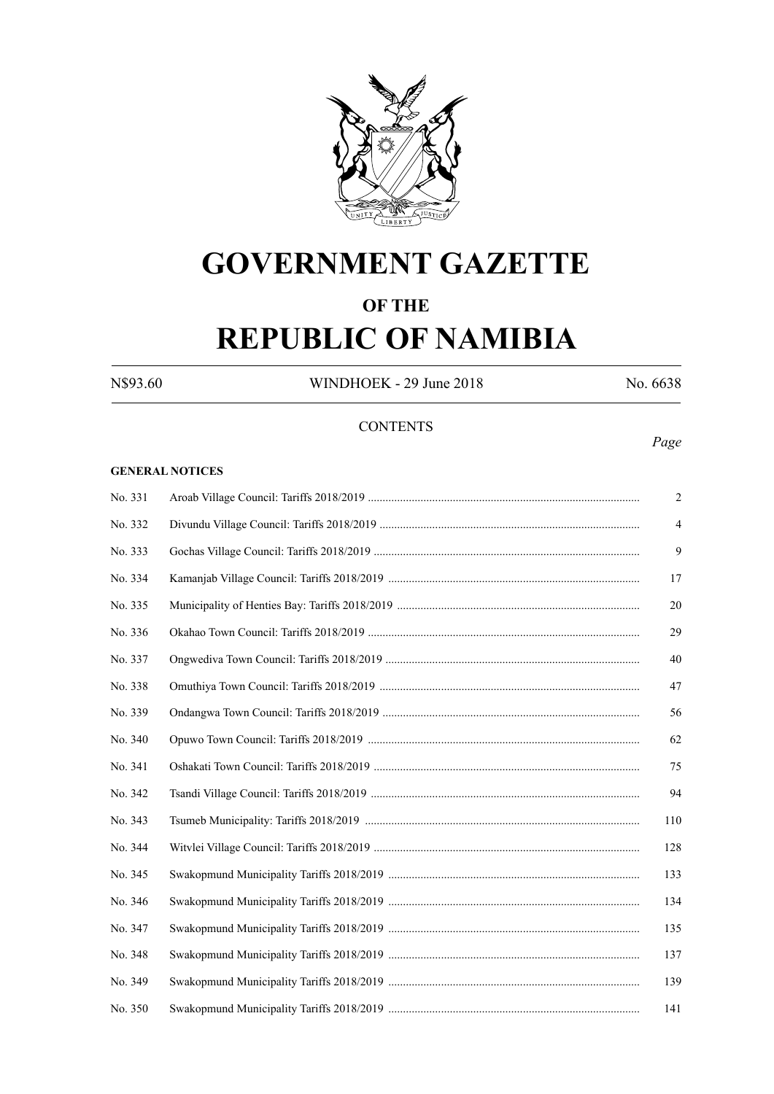

### **GOVERNMENT GAZETTE**

# **OF THE**

## **REPUBLIC OF NAMIBIA**

N\$93.60 WINDHOEK - 29 June 2018 No. 6638

#### **CONTENTS**

#### **GENERAL NOTICES**

| No. 331 | $\overline{2}$ |
|---------|----------------|
| No. 332 | $\overline{4}$ |
| No. 333 | 9              |
| No. 334 | 17             |
| No. 335 | 20             |
| No. 336 | 29             |
| No. 337 | 40             |
| No. 338 | 47             |
| No. 339 | 56             |
| No. 340 | 62             |
| No. 341 | 75             |
| No. 342 | 94             |
| No. 343 | 110            |
| No. 344 | 128            |
| No. 345 | 133            |
| No. 346 | 134            |
| No. 347 | 135            |
| No. 348 | 137            |
| No. 349 | 139            |
| No. 350 | 141            |

#### *Page*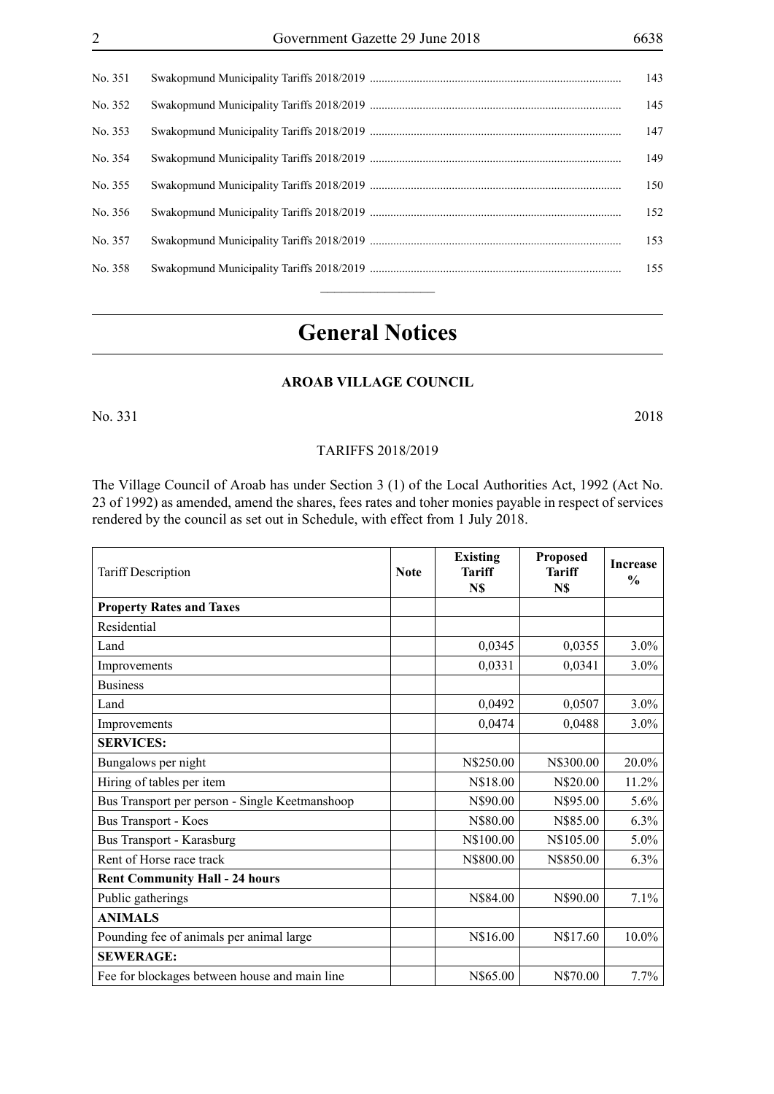| No. 351 | 143 |
|---------|-----|
| No. 352 | 145 |
| No. 353 | 147 |
| No. 354 | 149 |
| No. 355 | 150 |
| No. 356 | 152 |
| No. 357 | 153 |
| No. 358 | 155 |
|         |     |

### **General Notices**

#### **AROAB VILLAGE COUNCIL**

No. 331 2018

#### TARIFFS 2018/2019

The Village Council of Aroab has under Section 3 (1) of the Local Authorities Act, 1992 (Act No. 23 of 1992) as amended, amend the shares, fees rates and toher monies payable in respect of services rendered by the council as set out in Schedule, with effect from 1 July 2018.

| <b>Tariff Description</b>                      | <b>Note</b> | <b>Existing</b><br>Tariff<br>N\$ | <b>Proposed</b><br><b>Tariff</b><br>N\$ | <b>Increase</b><br>$\frac{0}{0}$ |
|------------------------------------------------|-------------|----------------------------------|-----------------------------------------|----------------------------------|
| <b>Property Rates and Taxes</b>                |             |                                  |                                         |                                  |
| Residential                                    |             |                                  |                                         |                                  |
| Land                                           |             | 0,0345                           | 0,0355                                  | $3.0\%$                          |
| Improvements                                   |             | 0,0331                           | 0,0341                                  | $3.0\%$                          |
| <b>Business</b>                                |             |                                  |                                         |                                  |
| Land                                           |             | 0,0492                           | 0,0507                                  | $3.0\%$                          |
| Improvements                                   |             | 0,0474                           | 0,0488                                  | 3.0%                             |
| <b>SERVICES:</b>                               |             |                                  |                                         |                                  |
| Bungalows per night                            |             | N\$250.00                        | N\$300.00                               | 20.0%                            |
| Hiring of tables per item                      |             | N\$18.00                         | N\$20.00                                | 11.2%                            |
| Bus Transport per person - Single Keetmanshoop |             | N\$90.00                         | N\$95.00                                | 5.6%                             |
| <b>Bus Transport - Koes</b>                    |             | N\$80.00                         | N\$85.00                                | 6.3%                             |
| Bus Transport - Karasburg                      |             | N\$100.00                        | N\$105.00                               | 5.0%                             |
| Rent of Horse race track                       |             | N\$800.00                        | N\$850.00                               | 6.3%                             |
| <b>Rent Community Hall - 24 hours</b>          |             |                                  |                                         |                                  |
| Public gatherings                              |             | N\$84.00                         | N\$90.00                                | 7.1%                             |
| <b>ANIMALS</b>                                 |             |                                  |                                         |                                  |
| Pounding fee of animals per animal large       |             | N\$16.00                         | N\$17.60                                | 10.0%                            |
| <b>SEWERAGE:</b>                               |             |                                  |                                         |                                  |
| Fee for blockages between house and main line  |             | N\$65.00                         | N\$70.00                                | 7.7%                             |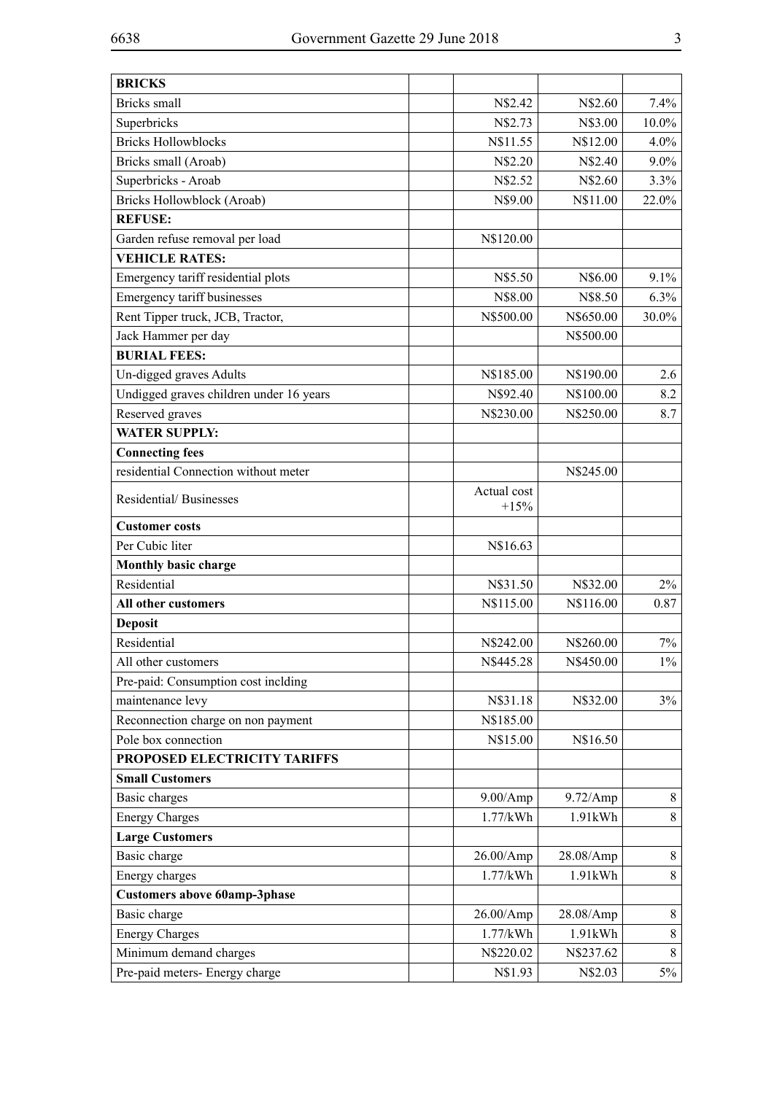| <b>BRICKS</b>                           |                       |            |          |
|-----------------------------------------|-----------------------|------------|----------|
| Bricks small                            | N\$2.42               | N\$2.60    | 7.4%     |
| Superbricks                             | N\$2.73               | N\$3.00    | $10.0\%$ |
| <b>Bricks Hollowblocks</b>              | N\$11.55              | N\$12.00   | $4.0\%$  |
| Bricks small (Aroab)                    | N\$2.20               | N\$2.40    | $9.0\%$  |
| Superbricks - Aroab                     | N\$2.52               | N\$2.60    | 3.3%     |
| Bricks Hollowblock (Aroab)              | N\$9.00               | N\$11.00   | 22.0%    |
| <b>REFUSE:</b>                          |                       |            |          |
| Garden refuse removal per load          | N\$120.00             |            |          |
| <b>VEHICLE RATES:</b>                   |                       |            |          |
| Emergency tariff residential plots      | N\$5.50               | N\$6.00    | 9.1%     |
| Emergency tariff businesses             | N\$8.00               | N\$8.50    | 6.3%     |
| Rent Tipper truck, JCB, Tractor,        | N\$500.00             | N\$650.00  | 30.0%    |
| Jack Hammer per day                     |                       | N\$500.00  |          |
| <b>BURIAL FEES:</b>                     |                       |            |          |
| Un-digged graves Adults                 | N\$185.00             | N\$190.00  | 2.6      |
| Undigged graves children under 16 years | N\$92.40              | N\$100.00  | 8.2      |
| Reserved graves                         | N\$230.00             | N\$250.00  | 8.7      |
| <b>WATER SUPPLY:</b>                    |                       |            |          |
| <b>Connecting fees</b>                  |                       |            |          |
| residential Connection without meter    |                       | N\$245.00  |          |
| Residential/Businesses                  | Actual cost<br>$+15%$ |            |          |
| <b>Customer</b> costs                   |                       |            |          |
| Per Cubic liter                         | N\$16.63              |            |          |
| Monthly basic charge                    |                       |            |          |
| Residential                             | N\$31.50              | N\$32.00   | 2%       |
| All other customers                     | N\$115.00             | N\$116.00  | 0.87     |
| <b>Deposit</b>                          |                       |            |          |
| Residential                             | N\$242.00             | N\$260.00  | 7%       |
| All other customers                     | N\$445.28             | N\$450.00  | $1\%$    |
| Pre-paid: Consumption cost inclding     |                       |            |          |
| maintenance levy                        | N\$31.18              | N\$32.00   | 3%       |
| Reconnection charge on non payment      | N\$185.00             |            |          |
| Pole box connection                     | N\$15.00              | N\$16.50   |          |
| PROPOSED ELECTRICITY TARIFFS            |                       |            |          |
| <b>Small Customers</b>                  |                       |            |          |
| Basic charges                           | 9.00/Amp              | 9.72/Amp   | 8        |
| <b>Energy Charges</b>                   | 1.77/kWh              | 1.91kWh    | 8        |
| <b>Large Customers</b>                  |                       |            |          |
| Basic charge                            | 26.00/Amp             | 28.08/Amp  | 8        |
| Energy charges                          | 1.77/kWh              | $1.91$ kWh | 8        |
| <b>Customers above 60amp-3phase</b>     |                       |            |          |
| Basic charge                            | 26.00/Amp             | 28.08/Amp  | 8        |
| <b>Energy Charges</b>                   | 1.77/kWh              | 1.91kWh    | 8        |
| Minimum demand charges                  | N\$220.02             | N\$237.62  | 8        |
| Pre-paid meters- Energy charge          | N\$1.93               | N\$2.03    | 5%       |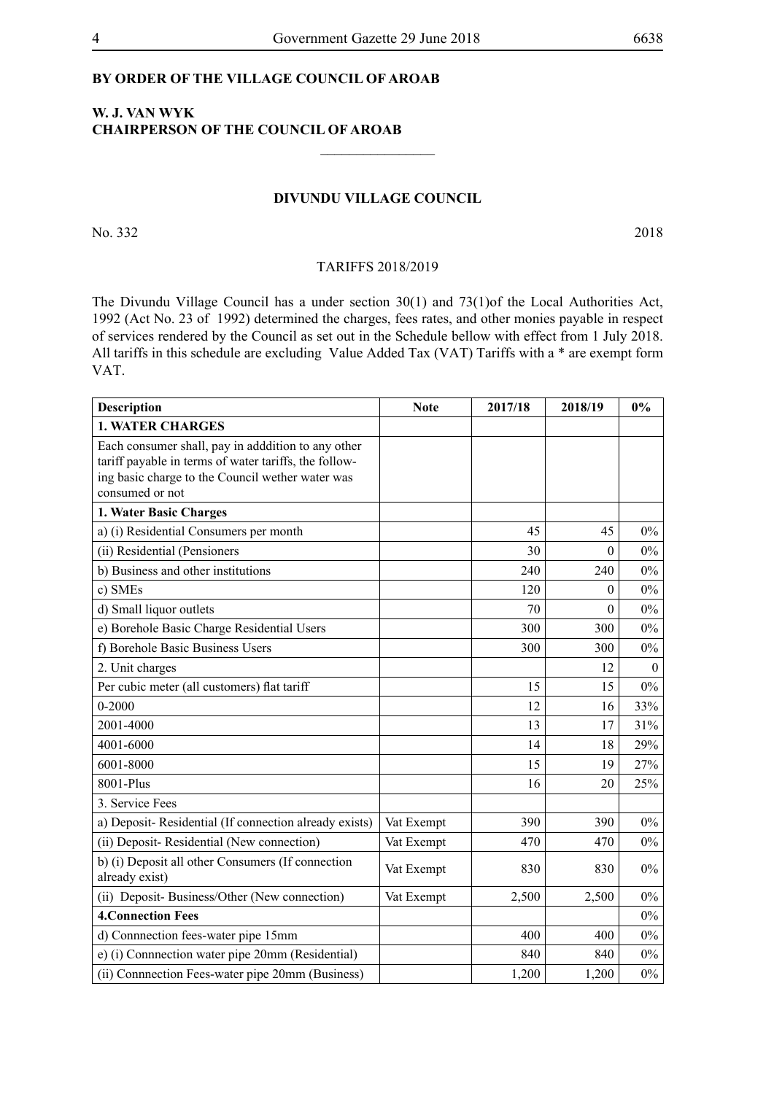#### **BY ORDER OF THE VILLAGE COUNCIL OF AROAB**

#### **W. J. VAN WYK CHAIRPERSON OF THE COUNCIL OF AROAB**

#### **DIVUNDU VILLAGE COUNCIL**

 $\overline{\phantom{a}}$  , where  $\overline{\phantom{a}}$ 

No. 332 2018

#### TARIFFS 2018/2019

The Divundu Village Council has a under section 30(1) and 73(1)of the Local Authorities Act, 1992 (Act No. 23 of 1992) determined the charges, fees rates, and other monies payable in respect of services rendered by the Council as set out in the Schedule bellow with effect from 1 July 2018. All tariffs in this schedule are excluding Value Added Tax (VAT) Tariffs with a \* are exempt form VAT.

| Description                                                                                                                                                                        | <b>Note</b> | 2017/18 | 2018/19  | 0%           |
|------------------------------------------------------------------------------------------------------------------------------------------------------------------------------------|-------------|---------|----------|--------------|
| <b>1. WATER CHARGES</b>                                                                                                                                                            |             |         |          |              |
| Each consumer shall, pay in adddition to any other<br>tariff payable in terms of water tariffs, the follow-<br>ing basic charge to the Council wether water was<br>consumed or not |             |         |          |              |
| 1. Water Basic Charges                                                                                                                                                             |             |         |          |              |
| a) (i) Residential Consumers per month                                                                                                                                             |             | 45      | 45       | $0\%$        |
| (ii) Residential (Pensioners                                                                                                                                                       |             | 30      | $\Omega$ | $0\%$        |
| b) Business and other institutions                                                                                                                                                 |             | 240     | 240      | $0\%$        |
| c) SMEs                                                                                                                                                                            |             | 120     | $\Omega$ | $0\%$        |
| d) Small liquor outlets                                                                                                                                                            |             | 70      | $\theta$ | $0\%$        |
| e) Borehole Basic Charge Residential Users                                                                                                                                         |             | 300     | 300      | $0\%$        |
| f) Borehole Basic Business Users                                                                                                                                                   |             | 300     | 300      | $0\%$        |
| 2. Unit charges                                                                                                                                                                    |             |         | 12       | $\mathbf{0}$ |
| Per cubic meter (all customers) flat tariff                                                                                                                                        |             | 15      | 15       | $0\%$        |
| $0 - 2000$                                                                                                                                                                         |             | 12      | 16       | 33%          |
| 2001-4000                                                                                                                                                                          |             | 13      | 17       | 31%          |
| 4001-6000                                                                                                                                                                          |             | 14      | 18       | 29%          |
| 6001-8000                                                                                                                                                                          |             | 15      | 19       | 27%          |
| 8001-Plus                                                                                                                                                                          |             | 16      | 20       | 25%          |
| 3. Service Fees                                                                                                                                                                    |             |         |          |              |
| a) Deposit-Residential (If connection already exists)                                                                                                                              | Vat Exempt  | 390     | 390      | $0\%$        |
| (ii) Deposit- Residential (New connection)                                                                                                                                         | Vat Exempt  | 470     | 470      | $0\%$        |
| b) (i) Deposit all other Consumers (If connection<br>already exist)                                                                                                                | Vat Exempt  | 830     | 830      | $0\%$        |
| (ii) Deposit- Business/Other (New connection)                                                                                                                                      | Vat Exempt  | 2,500   | 2,500    | $0\%$        |
| <b>4. Connection Fees</b>                                                                                                                                                          |             |         |          | $0\%$        |
| d) Connnection fees-water pipe 15mm                                                                                                                                                |             | 400     | 400      | $0\%$        |
| e) (i) Connnection water pipe 20mm (Residential)                                                                                                                                   |             | 840     | 840      | $0\%$        |
| (ii) Connnection Fees-water pipe 20mm (Business)                                                                                                                                   |             | 1,200   | 1,200    | $0\%$        |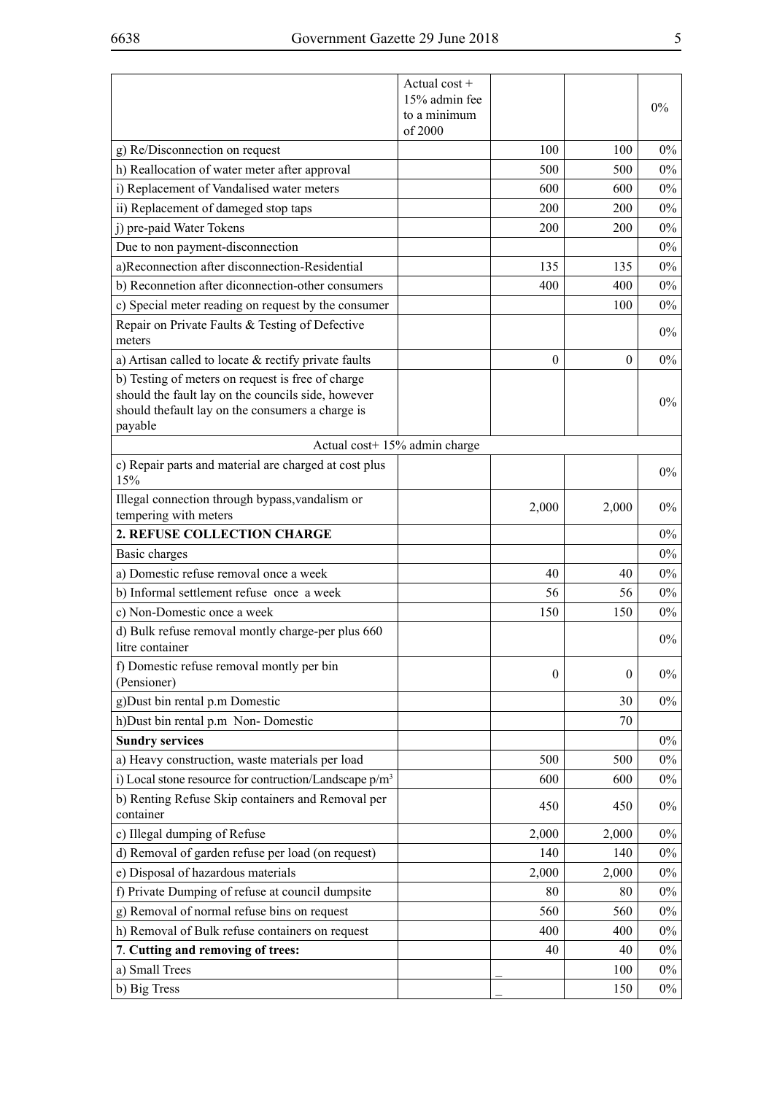|                                                                                                                                                                         | Actual cost +<br>15% admin fee<br>to a minimum<br>of 2000 |                  |                  | $0\%$ |
|-------------------------------------------------------------------------------------------------------------------------------------------------------------------------|-----------------------------------------------------------|------------------|------------------|-------|
| g) Re/Disconnection on request                                                                                                                                          |                                                           | 100              | 100              | $0\%$ |
| h) Reallocation of water meter after approval                                                                                                                           |                                                           | 500              | 500              | $0\%$ |
| i) Replacement of Vandalised water meters                                                                                                                               |                                                           | 600              | 600              | $0\%$ |
| ii) Replacement of dameged stop taps                                                                                                                                    |                                                           | 200              | 200              | $0\%$ |
| j) pre-paid Water Tokens                                                                                                                                                |                                                           | 200              | 200              | $0\%$ |
| Due to non payment-disconnection                                                                                                                                        |                                                           |                  |                  | $0\%$ |
| a)Reconnection after disconnection-Residential                                                                                                                          |                                                           | 135              | 135              | $0\%$ |
| b) Reconnetion after diconnection-other consumers                                                                                                                       |                                                           | 400              | 400              | $0\%$ |
| c) Special meter reading on request by the consumer                                                                                                                     |                                                           |                  | 100              | $0\%$ |
| Repair on Private Faults & Testing of Defective<br>meters                                                                                                               |                                                           |                  |                  | $0\%$ |
| a) Artisan called to locate $\&$ rectify private faults                                                                                                                 |                                                           | 0                | $\theta$         | $0\%$ |
| b) Testing of meters on request is free of charge<br>should the fault lay on the councils side, however<br>should the fault lay on the consumers a charge is<br>payable |                                                           |                  |                  | $0\%$ |
| Actual cost+ 15% admin charge                                                                                                                                           |                                                           |                  |                  |       |
| c) Repair parts and material are charged at cost plus<br>15%                                                                                                            |                                                           |                  |                  | $0\%$ |
| Illegal connection through bypass, vandalism or<br>tempering with meters                                                                                                |                                                           | 2,000            | 2,000            | $0\%$ |
| 2. REFUSE COLLECTION CHARGE                                                                                                                                             |                                                           |                  |                  | $0\%$ |
| Basic charges                                                                                                                                                           |                                                           |                  |                  | $0\%$ |
| a) Domestic refuse removal once a week                                                                                                                                  |                                                           | 40               | 40               | $0\%$ |
| b) Informal settlement refuse once a week                                                                                                                               |                                                           | 56               | 56               | $0\%$ |
| c) Non-Domestic once a week                                                                                                                                             |                                                           | 150              | 150              | $0\%$ |
| d) Bulk refuse removal montly charge-per plus 660<br>litre container                                                                                                    |                                                           |                  |                  | $0\%$ |
| f) Domestic refuse removal montly per bin<br>(Pensioner)                                                                                                                |                                                           | $\boldsymbol{0}$ | $\boldsymbol{0}$ | $0\%$ |
| g) Dust bin rental p.m Domestic                                                                                                                                         |                                                           |                  | 30               | $0\%$ |
| h)Dust bin rental p.m Non-Domestic                                                                                                                                      |                                                           |                  | 70               |       |
| <b>Sundry services</b>                                                                                                                                                  |                                                           |                  |                  | $0\%$ |
| a) Heavy construction, waste materials per load                                                                                                                         |                                                           | 500              | 500              | $0\%$ |
| i) Local stone resource for contruction/Landscape p/m <sup>3</sup>                                                                                                      |                                                           | 600              | 600              | $0\%$ |
| b) Renting Refuse Skip containers and Removal per<br>container                                                                                                          |                                                           | 450              | 450              | $0\%$ |
| c) Illegal dumping of Refuse                                                                                                                                            |                                                           | 2,000            | 2,000            | $0\%$ |
| d) Removal of garden refuse per load (on request)                                                                                                                       |                                                           | 140              | 140              | $0\%$ |
| e) Disposal of hazardous materials                                                                                                                                      |                                                           | 2,000            | 2,000            | $0\%$ |
| f) Private Dumping of refuse at council dumpsite                                                                                                                        |                                                           | 80               | 80               | $0\%$ |
| g) Removal of normal refuse bins on request                                                                                                                             |                                                           | 560              | 560              | $0\%$ |
| h) Removal of Bulk refuse containers on request                                                                                                                         |                                                           | 400              | 400              | $0\%$ |
| 7. Cutting and removing of trees:                                                                                                                                       |                                                           | 40               | 40               | $0\%$ |
| a) Small Trees                                                                                                                                                          |                                                           |                  | 100              | $0\%$ |
| b) Big Tress                                                                                                                                                            |                                                           |                  | 150              | $0\%$ |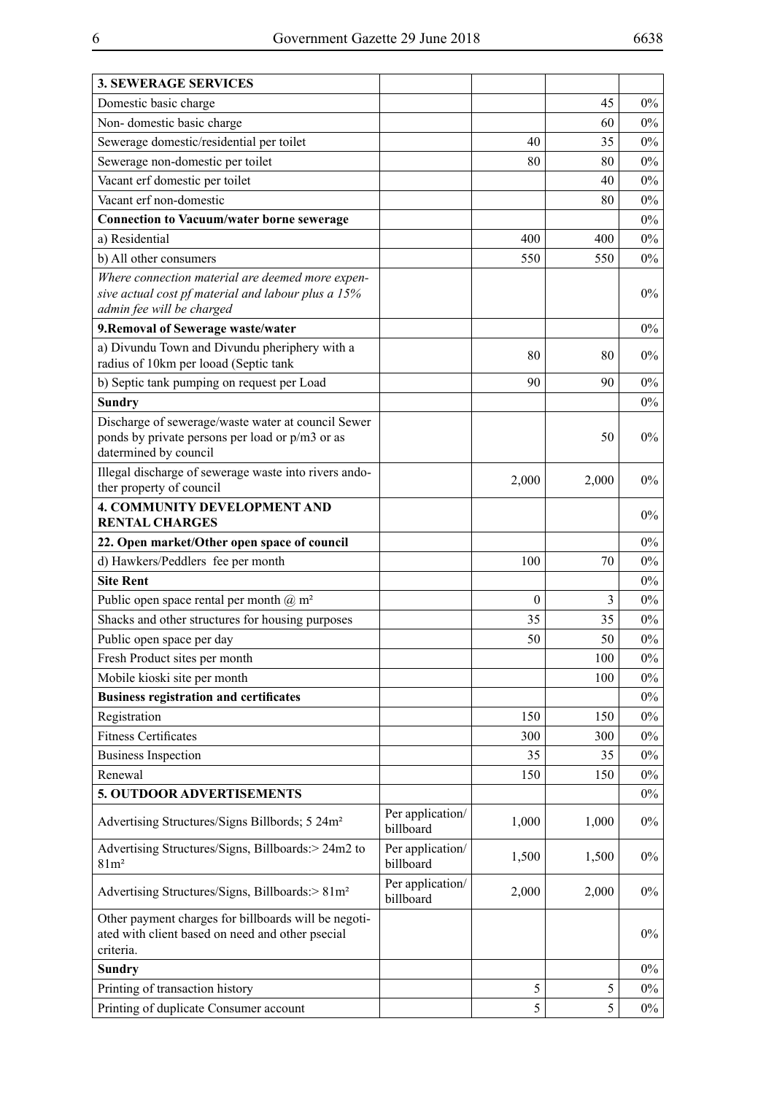| <b>3. SEWERAGE SERVICES</b>                                                                                                         |                               |          |       |       |
|-------------------------------------------------------------------------------------------------------------------------------------|-------------------------------|----------|-------|-------|
| Domestic basic charge                                                                                                               |                               |          | 45    | $0\%$ |
| Non-domestic basic charge                                                                                                           |                               |          | 60    | $0\%$ |
| Sewerage domestic/residential per toilet                                                                                            |                               | 40       | 35    | 0%    |
| Sewerage non-domestic per toilet                                                                                                    |                               | 80       | 80    | $0\%$ |
| Vacant erf domestic per toilet                                                                                                      |                               |          | 40    | 0%    |
| Vacant erf non-domestic                                                                                                             |                               |          | 80    | $0\%$ |
| <b>Connection to Vacuum/water borne sewerage</b>                                                                                    |                               |          |       | 0%    |
| a) Residential                                                                                                                      |                               | 400      | 400   | $0\%$ |
| b) All other consumers                                                                                                              |                               | 550      | 550   | 0%    |
| Where connection material are deemed more expen-<br>sive actual cost pf material and labour plus a 15%<br>admin fee will be charged |                               |          |       | $0\%$ |
| 9. Removal of Sewerage waste/water                                                                                                  |                               |          |       | 0%    |
| a) Divundu Town and Divundu pheriphery with a<br>radius of 10km per looad (Septic tank                                              |                               | 80       | 80    | 0%    |
| b) Septic tank pumping on request per Load                                                                                          |                               | 90       | 90    | $0\%$ |
| <b>Sundry</b>                                                                                                                       |                               |          |       | $0\%$ |
| Discharge of sewerage/waste water at council Sewer<br>ponds by private persons per load or p/m3 or as<br>datermined by council      |                               |          | 50    | 0%    |
| Illegal discharge of sewerage waste into rivers ando-<br>ther property of council                                                   |                               | 2,000    | 2,000 | 0%    |
| <b>4. COMMUNITY DEVELOPMENT AND</b><br><b>RENTAL CHARGES</b>                                                                        |                               |          |       | 0%    |
| 22. Open market/Other open space of council                                                                                         |                               |          |       | $0\%$ |
| d) Hawkers/Peddlers fee per month                                                                                                   |                               | 100      | 70    | 0%    |
| <b>Site Rent</b>                                                                                                                    |                               |          |       | $0\%$ |
| Public open space rental per month $(\hat{\omega})$ m <sup>2</sup>                                                                  |                               | $\theta$ | 3     | 0%    |
| Shacks and other structures for housing purposes                                                                                    |                               | 35       | 35    | $0\%$ |
| Public open space per day                                                                                                           |                               | 50       | 50    | $0\%$ |
| Fresh Product sites per month                                                                                                       |                               |          | 100   | $0\%$ |
| Mobile kioski site per month                                                                                                        |                               |          | 100   | $0\%$ |
| <b>Business registration and certificates</b>                                                                                       |                               |          |       | $0\%$ |
| Registration                                                                                                                        |                               | 150      | 150   | $0\%$ |
| <b>Fitness Certificates</b>                                                                                                         |                               | 300      | 300   | $0\%$ |
| <b>Business Inspection</b>                                                                                                          |                               | 35       | 35    | $0\%$ |
| Renewal                                                                                                                             |                               | 150      | 150   | $0\%$ |
| 5. OUTDOOR ADVERTISEMENTS                                                                                                           |                               |          |       | $0\%$ |
| Advertising Structures/Signs Billbords; 5 24m <sup>2</sup>                                                                          | Per application/<br>billboard | 1,000    | 1,000 | $0\%$ |
| Advertising Structures/Signs, Billboards:> 24m2 to<br>81m <sup>2</sup>                                                              | Per application/<br>billboard | 1,500    | 1,500 | $0\%$ |
| Advertising Structures/Signs, Billboards:> 81m <sup>2</sup>                                                                         | Per application/<br>billboard | 2,000    | 2,000 | $0\%$ |
| Other payment charges for billboards will be negoti-<br>ated with client based on need and other psecial<br>criteria.               |                               |          |       | $0\%$ |
| <b>Sundry</b>                                                                                                                       |                               |          |       | $0\%$ |
| Printing of transaction history                                                                                                     |                               | 5        | 5     | $0\%$ |
| Printing of duplicate Consumer account                                                                                              |                               | 5        | 5     | $0\%$ |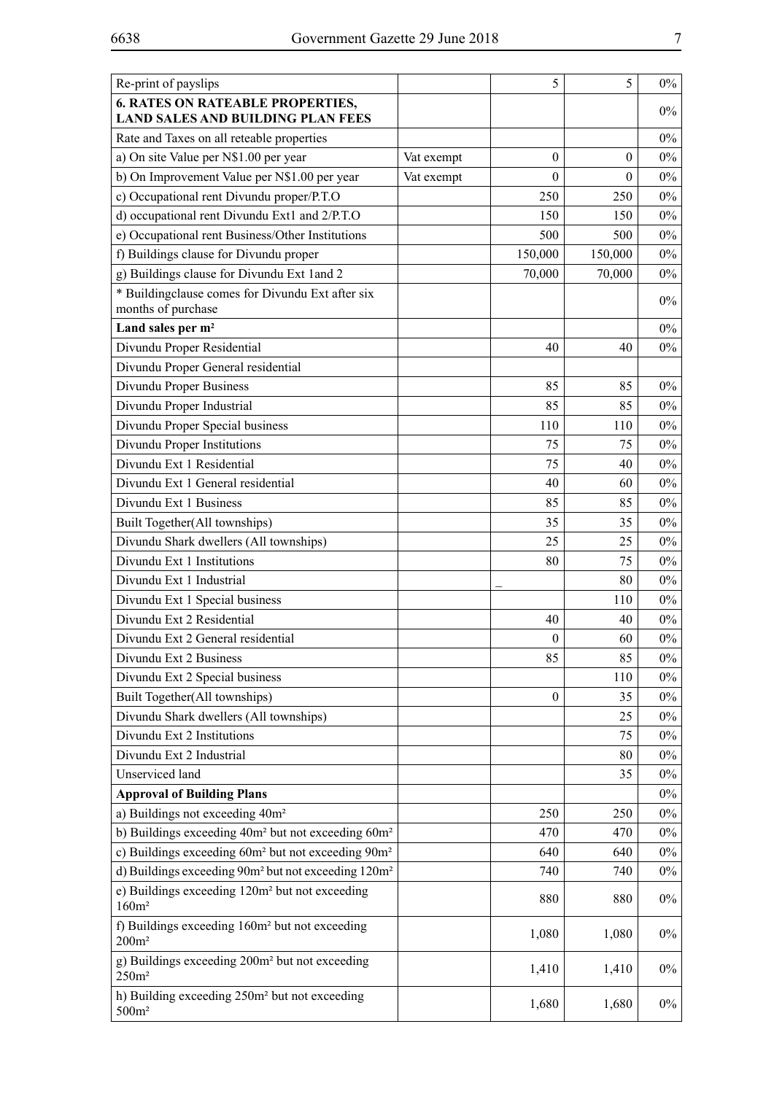| Re-print of payslips                                                                |            | 5                | 5            | $0\%$ |
|-------------------------------------------------------------------------------------|------------|------------------|--------------|-------|
| <b>6. RATES ON RATEABLE PROPERTIES,</b><br><b>LAND SALES AND BUILDING PLAN FEES</b> |            |                  |              | $0\%$ |
| Rate and Taxes on all reteable properties                                           |            |                  |              | $0\%$ |
| a) On site Value per N\$1.00 per year                                               | Vat exempt | $\theta$         | $\mathbf{0}$ | $0\%$ |
| b) On Improvement Value per N\$1.00 per year                                        | Vat exempt | $\theta$         | $\theta$     | $0\%$ |
| c) Occupational rent Divundu proper/P.T.O                                           |            | 250              | 250          | $0\%$ |
| d) occupational rent Divundu Ext1 and 2/P.T.O                                       |            | 150              | 150          | $0\%$ |
| e) Occupational rent Business/Other Institutions                                    |            | 500              | 500          | $0\%$ |
| f) Buildings clause for Divundu proper                                              |            | 150,000          | 150,000      | $0\%$ |
| g) Buildings clause for Divundu Ext 1 and 2                                         |            | 70,000           | 70,000       | $0\%$ |
| * Buildingclause comes for Divundu Ext after six<br>months of purchase              |            |                  |              | $0\%$ |
| Land sales per m <sup>2</sup>                                                       |            |                  |              | $0\%$ |
| Divundu Proper Residential                                                          |            | 40               | 40           | $0\%$ |
| Divundu Proper General residential                                                  |            |                  |              |       |
| Divundu Proper Business                                                             |            | 85               | 85           | $0\%$ |
| Divundu Proper Industrial                                                           |            | 85               | 85           | $0\%$ |
| Divundu Proper Special business                                                     |            | 110              | 110          | $0\%$ |
| Divundu Proper Institutions                                                         |            | 75               | 75           | $0\%$ |
| Divundu Ext 1 Residential                                                           |            | 75               | 40           | $0\%$ |
| Divundu Ext 1 General residential                                                   |            | 40               | 60           | $0\%$ |
| Divundu Ext 1 Business                                                              |            | 85               | 85           | $0\%$ |
| Built Together(All townships)                                                       |            | 35               | 35           | $0\%$ |
| Divundu Shark dwellers (All townships)                                              |            | 25               | 25           | $0\%$ |
| Divundu Ext 1 Institutions                                                          |            | 80               | 75           | $0\%$ |
| Divundu Ext 1 Industrial                                                            |            |                  | 80           | $0\%$ |
| Divundu Ext 1 Special business                                                      |            |                  | 110          | $0\%$ |
| Divundu Ext 2 Residential                                                           |            | 40               | 40           | $0\%$ |
| Divundu Ext 2 General residential                                                   |            | $\boldsymbol{0}$ | 60           | $0\%$ |
| Divundu Ext 2 Business                                                              |            | 85               | 85           | $0\%$ |
| Divundu Ext 2 Special business                                                      |            |                  | 110          | $0\%$ |
| Built Together(All townships)                                                       |            | $\boldsymbol{0}$ | 35           | $0\%$ |
| Divundu Shark dwellers (All townships)                                              |            |                  | 25           | $0\%$ |
| Divundu Ext 2 Institutions                                                          |            |                  | 75           | $0\%$ |
| Divundu Ext 2 Industrial                                                            |            |                  | 80           | $0\%$ |
| Unserviced land                                                                     |            |                  | 35           | $0\%$ |
| <b>Approval of Building Plans</b>                                                   |            |                  |              | $0\%$ |
| a) Buildings not exceeding 40m <sup>2</sup>                                         |            | 250              | 250          | $0\%$ |
| b) Buildings exceeding 40m <sup>2</sup> but not exceeding 60m <sup>2</sup>          |            | 470              | 470          | $0\%$ |
| c) Buildings exceeding 60m <sup>2</sup> but not exceeding 90m <sup>2</sup>          |            | 640              | 640          | $0\%$ |
| d) Buildings exceeding 90m <sup>2</sup> but not exceeding 120m <sup>2</sup>         |            | 740              | 740          | $0\%$ |
| e) Buildings exceeding 120m <sup>2</sup> but not exceeding<br>160m <sup>2</sup>     |            | 880              | 880          | $0\%$ |
| f) Buildings exceeding 160m <sup>2</sup> but not exceeding<br>$200m^2$              |            | 1,080            | 1,080        | $0\%$ |
| g) Buildings exceeding 200m <sup>2</sup> but not exceeding<br>250m <sup>2</sup>     |            | 1,410            | 1,410        | $0\%$ |
| h) Building exceeding 250m <sup>2</sup> but not exceeding<br>$500m^2$               |            | 1,680            | 1,680        | $0\%$ |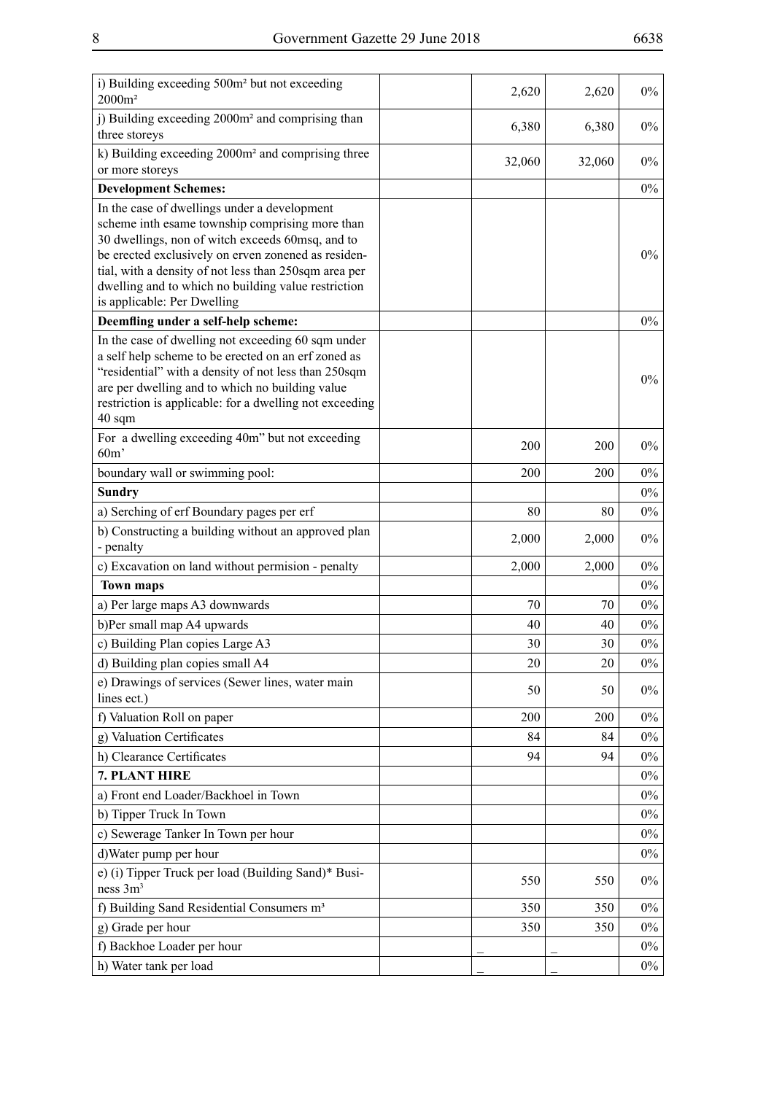| i) Building exceeding 500m <sup>2</sup> but not exceeding                                                 |        |        |       |
|-----------------------------------------------------------------------------------------------------------|--------|--------|-------|
| $2000m^2$                                                                                                 | 2,620  | 2,620  | $0\%$ |
| j) Building exceeding 2000m <sup>2</sup> and comprising than                                              |        |        |       |
| three storeys                                                                                             | 6,380  | 6,380  | $0\%$ |
| k) Building exceeding 2000m <sup>2</sup> and comprising three                                             |        |        |       |
| or more storeys                                                                                           | 32,060 | 32,060 | $0\%$ |
| <b>Development Schemes:</b>                                                                               |        |        | $0\%$ |
| In the case of dwellings under a development                                                              |        |        |       |
| scheme inth esame township comprising more than                                                           |        |        |       |
| 30 dwellings, non of witch exceeds 60msq, and to                                                          |        |        |       |
| be erected exclusively on erven zonened as residen-                                                       |        |        | $0\%$ |
| tial, with a density of not less than 250sqm area per                                                     |        |        |       |
| dwelling and to which no building value restriction<br>is applicable: Per Dwelling                        |        |        |       |
|                                                                                                           |        |        | $0\%$ |
| Deemfling under a self-help scheme:                                                                       |        |        |       |
| In the case of dwelling not exceeding 60 sqm under<br>a self help scheme to be erected on an erf zoned as |        |        |       |
| "residential" with a density of not less than 250sqm                                                      |        |        |       |
| are per dwelling and to which no building value                                                           |        |        | $0\%$ |
| restriction is applicable: for a dwelling not exceeding                                                   |        |        |       |
| 40 sqm                                                                                                    |        |        |       |
| For a dwelling exceeding 40m" but not exceeding                                                           |        |        | $0\%$ |
| 60 <sub>m</sub>                                                                                           | 200    | 200    |       |
| boundary wall or swimming pool:                                                                           | 200    | 200    | $0\%$ |
| <b>Sundry</b>                                                                                             |        |        | $0\%$ |
| a) Serching of erf Boundary pages per erf                                                                 | 80     | 80     | $0\%$ |
| b) Constructing a building without an approved plan                                                       |        |        |       |
| - penalty                                                                                                 | 2,000  | 2,000  | $0\%$ |
| c) Excavation on land without permision - penalty                                                         | 2,000  | 2,000  | $0\%$ |
| <b>Town maps</b>                                                                                          |        |        | $0\%$ |
| a) Per large maps A3 downwards                                                                            | 70     | 70     | $0\%$ |
| b)Per small map A4 upwards                                                                                | 40     | 40     | $0\%$ |
| c) Building Plan copies Large A3                                                                          | 30     | 30     | $0\%$ |
| d) Building plan copies small A4                                                                          | 20     | 20     | $0\%$ |
| e) Drawings of services (Sewer lines, water main                                                          |        |        |       |
| lines ect.)                                                                                               | 50     | 50     | $0\%$ |
| f) Valuation Roll on paper                                                                                | 200    | 200    | $0\%$ |
| g) Valuation Certificates                                                                                 | 84     | 84     | $0\%$ |
|                                                                                                           |        |        |       |
| h) Clearance Certificates                                                                                 | 94     | 94     | $0\%$ |
| 7. PLANT HIRE                                                                                             |        |        | $0\%$ |
| a) Front end Loader/Backhoel in Town                                                                      |        |        | $0\%$ |
| b) Tipper Truck In Town                                                                                   |        |        | $0\%$ |
| c) Sewerage Tanker In Town per hour                                                                       |        |        | $0\%$ |
| d) Water pump per hour                                                                                    |        |        | $0\%$ |
| e) (i) Tipper Truck per load (Building Sand)* Busi-                                                       | 550    | 550    | $0\%$ |
| ness 3m <sup>3</sup>                                                                                      |        |        |       |
| f) Building Sand Residential Consumers m <sup>3</sup>                                                     | 350    | 350    | $0\%$ |
| g) Grade per hour                                                                                         | 350    | 350    | $0\%$ |
| f) Backhoe Loader per hour                                                                                |        |        | $0\%$ |
| h) Water tank per load                                                                                    |        |        | $0\%$ |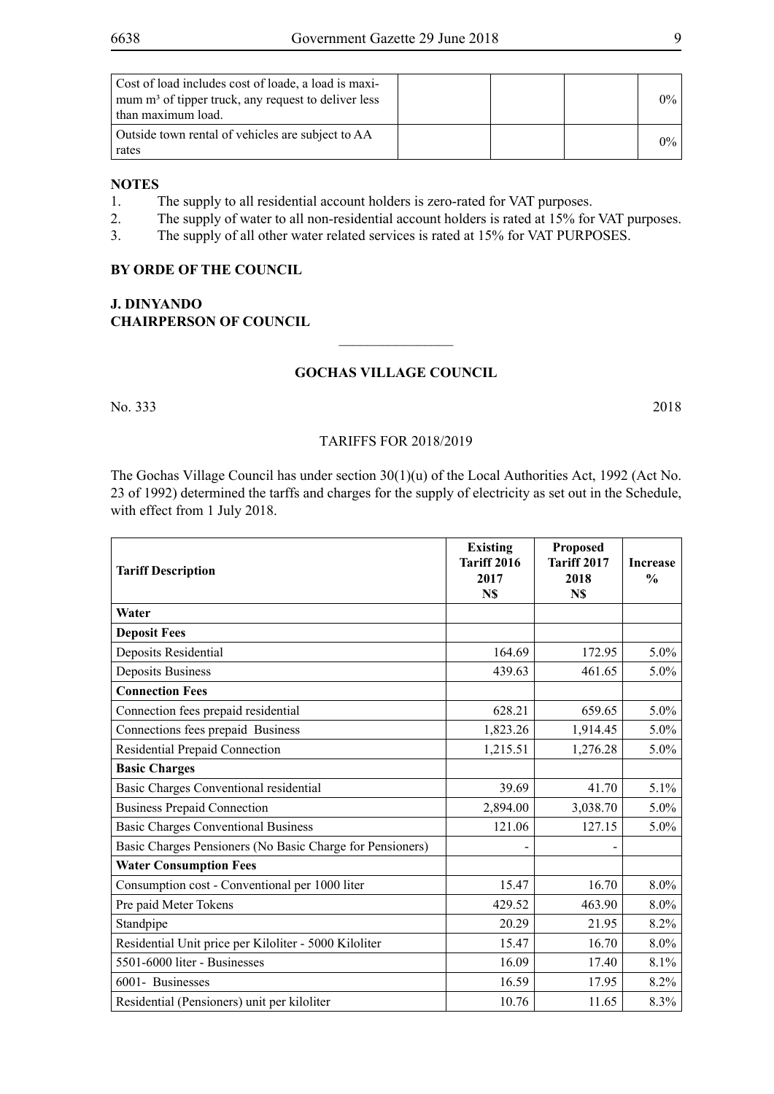| Cost of load includes cost of loade, a load is maxi-<br>mum m <sup>3</sup> of tipper truck, any request to deliver less<br>than maximum load. |  | $0\%$ |
|-----------------------------------------------------------------------------------------------------------------------------------------------|--|-------|
| Outside town rental of vehicles are subject to AA<br>rates                                                                                    |  | $0\%$ |

#### **NOTES**

- 1. The supply to all residential account holders is zero-rated for VAT purposes.
- 2. The supply of water to all non-residential account holders is rated at 15% for VAT purposes.
- 3. The supply of all other water related services is rated at 15% for VAT PURPOSES.

#### **By orde of the Council**

#### **J. Dinyando Chairperson of Council**

#### **Gochas Village Council**

 $\overline{\phantom{a}}$  , where  $\overline{\phantom{a}}$ 

No. 333 2018

#### Tariffs for 2018/2019

The Gochas Village Council has under section 30(1)(u) of the Local Authorities Act, 1992 (Act No. 23 of 1992) determined the tarffs and charges for the supply of electricity as set out in the Schedule, with effect from 1 July 2018.

| <b>Tariff Description</b>                                 | <b>Existing</b><br>Tariff 2016<br>2017<br>N\$ | <b>Proposed</b><br><b>Tariff 2017</b><br>2018<br>N\$ | <b>Increase</b><br>$\frac{0}{0}$ |
|-----------------------------------------------------------|-----------------------------------------------|------------------------------------------------------|----------------------------------|
| Water                                                     |                                               |                                                      |                                  |
| <b>Deposit Fees</b>                                       |                                               |                                                      |                                  |
| Deposits Residential                                      | 164.69                                        | 172.95                                               | $5.0\%$                          |
| <b>Deposits Business</b>                                  | 439.63                                        | 461.65                                               | 5.0%                             |
| <b>Connection Fees</b>                                    |                                               |                                                      |                                  |
| Connection fees prepaid residential                       | 628.21                                        | 659.65                                               | 5.0%                             |
| Connections fees prepaid Business                         | 1,823.26                                      | 1,914.45                                             | 5.0%                             |
| Residential Prepaid Connection                            | 1,215.51                                      | 1,276.28                                             | 5.0%                             |
| <b>Basic Charges</b>                                      |                                               |                                                      |                                  |
| Basic Charges Conventional residential                    | 39.69                                         | 41.70                                                | $5.1\%$                          |
| <b>Business Prepaid Connection</b>                        | 2,894.00                                      | 3,038.70                                             | $5.0\%$                          |
| <b>Basic Charges Conventional Business</b>                | 121.06                                        | 127.15                                               | 5.0%                             |
| Basic Charges Pensioners (No Basic Charge for Pensioners) |                                               |                                                      |                                  |
| <b>Water Consumption Fees</b>                             |                                               |                                                      |                                  |
| Consumption cost - Conventional per 1000 liter            | 15.47                                         | 16.70                                                | 8.0%                             |
| Pre paid Meter Tokens                                     | 429.52                                        | 463.90                                               | 8.0%                             |
| Standpipe                                                 | 20.29                                         | 21.95                                                | 8.2%                             |
| Residential Unit price per Kiloliter - 5000 Kiloliter     | 15.47                                         | 16.70                                                | 8.0%                             |
| 5501-6000 liter - Businesses                              | 16.09                                         | 17.40                                                | 8.1%                             |
| 6001- Businesses                                          | 16.59                                         | 17.95                                                | 8.2%                             |
| Residential (Pensioners) unit per kiloliter               | 10.76                                         | 11.65                                                | 8.3%                             |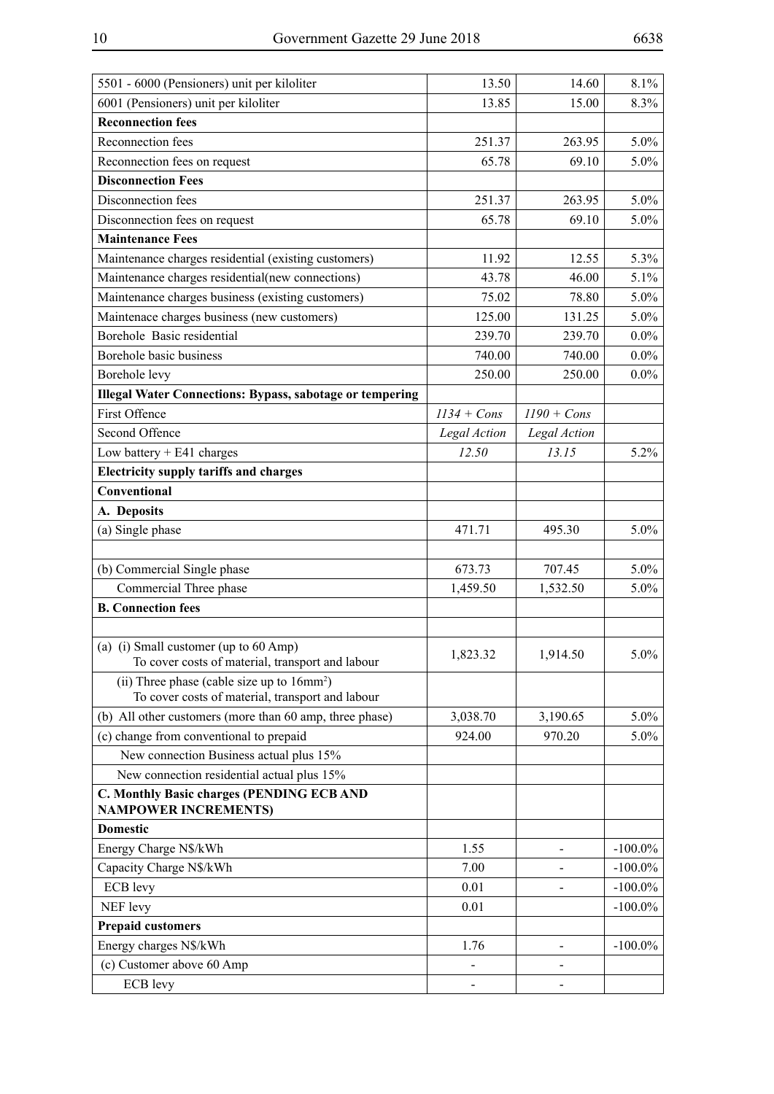| 5501 - 6000 (Pensioners) unit per kiloliter                                               | 13.50         | 14.60         | 8.1%       |
|-------------------------------------------------------------------------------------------|---------------|---------------|------------|
| 6001 (Pensioners) unit per kiloliter                                                      | 13.85         | 15.00         | 8.3%       |
| <b>Reconnection fees</b>                                                                  |               |               |            |
| Reconnection fees                                                                         | 251.37        | 263.95        | $5.0\%$    |
| Reconnection fees on request                                                              | 65.78         | 69.10         | $5.0\%$    |
| <b>Disconnection Fees</b>                                                                 |               |               |            |
| Disconnection fees                                                                        | 251.37        | 263.95        | $5.0\%$    |
| Disconnection fees on request                                                             | 65.78         | 69.10         | 5.0%       |
| <b>Maintenance Fees</b>                                                                   |               |               |            |
| Maintenance charges residential (existing customers)                                      | 11.92         | 12.55         | 5.3%       |
| Maintenance charges residential(new connections)                                          | 43.78         | 46.00         | 5.1%       |
| Maintenance charges business (existing customers)                                         | 75.02         | 78.80         | $5.0\%$    |
| Maintenace charges business (new customers)                                               | 125.00        | 131.25        | $5.0\%$    |
| Borehole Basic residential                                                                | 239.70        | 239.70        | $0.0\%$    |
| Borehole basic business                                                                   | 740.00        | 740.00        | $0.0\%$    |
| Borehole levy                                                                             | 250.00        | 250.00        | $0.0\%$    |
| <b>Illegal Water Connections: Bypass, sabotage or tempering</b>                           |               |               |            |
| <b>First Offence</b>                                                                      | $1134 + Cons$ | $1190 + Cons$ |            |
| Second Offence                                                                            | Legal Action  | Legal Action  |            |
| Low battery $+ E41$ charges                                                               | 12.50         | 13.15         | 5.2%       |
| <b>Electricity supply tariffs and charges</b>                                             |               |               |            |
| Conventional                                                                              |               |               |            |
| A. Deposits                                                                               |               |               |            |
| (a) Single phase                                                                          | 471.71        | 495.30        | $5.0\%$    |
|                                                                                           |               |               |            |
| (b) Commercial Single phase                                                               | 673.73        | 707.45        | $5.0\%$    |
| Commercial Three phase                                                                    | 1,459.50      | 1,532.50      | $5.0\%$    |
| <b>B.</b> Connection fees                                                                 |               |               |            |
|                                                                                           |               |               |            |
| (a) (i) Small customer (up to 60 Amp)<br>To cover costs of material, transport and labour | 1,823.32      | 1,914.50      | $5.0\%$    |
| (ii) Three phase (cable size up to $16mm^2$ )                                             |               |               |            |
| To cover costs of material, transport and labour                                          |               |               |            |
| (b) All other customers (more than 60 amp, three phase)                                   | 3,038.70      | 3,190.65      | $5.0\%$    |
| (c) change from conventional to prepaid                                                   | 924.00        | 970.20        | $5.0\%$    |
| New connection Business actual plus 15%                                                   |               |               |            |
| New connection residential actual plus 15%                                                |               |               |            |
| <b>C. Monthly Basic charges (PENDING ECB AND</b><br><b>NAMPOWER INCREMENTS)</b>           |               |               |            |
| <b>Domestic</b>                                                                           |               |               |            |
| Energy Charge N\$/kWh                                                                     | 1.55          |               | $-100.0\%$ |
| Capacity Charge N\$/kWh                                                                   | 7.00          |               | $-100.0\%$ |
| ECB levy                                                                                  | 0.01          |               | $-100.0\%$ |
| NEF levy                                                                                  | 0.01          |               | $-100.0\%$ |
| <b>Prepaid customers</b>                                                                  |               |               |            |
| Energy charges N\$/kWh                                                                    | 1.76          |               | $-100.0\%$ |
| (c) Customer above 60 Amp                                                                 |               |               |            |
| ECB levy                                                                                  |               |               |            |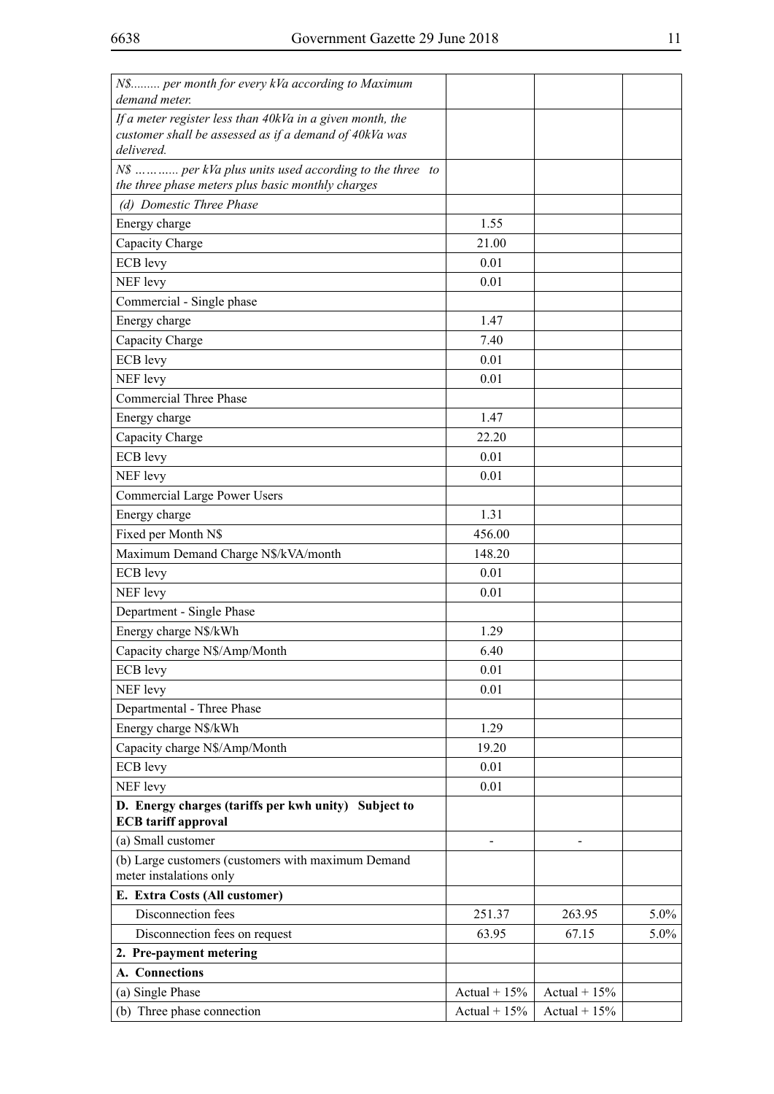| N\$ per month for every kVa according to Maximum<br>demand meter.                  |                |                |         |
|------------------------------------------------------------------------------------|----------------|----------------|---------|
| If a meter register less than 40kVa in a given month, the                          |                |                |         |
| customer shall be assessed as if a demand of 40kVa was                             |                |                |         |
| delivered.                                                                         |                |                |         |
| N\$  per kVa plus units used according to the three to                             |                |                |         |
| the three phase meters plus basic monthly charges                                  |                |                |         |
| (d) Domestic Three Phase                                                           |                |                |         |
| Energy charge                                                                      | 1.55           |                |         |
| Capacity Charge                                                                    | 21.00          |                |         |
| ECB levy                                                                           | 0.01           |                |         |
| NEF levy                                                                           | 0.01           |                |         |
| Commercial - Single phase                                                          |                |                |         |
| Energy charge                                                                      | 1.47           |                |         |
| Capacity Charge                                                                    | 7.40           |                |         |
| ECB levy                                                                           | 0.01           |                |         |
| NEF levy                                                                           | 0.01           |                |         |
| <b>Commercial Three Phase</b>                                                      |                |                |         |
| Energy charge                                                                      | 1.47           |                |         |
| Capacity Charge                                                                    | 22.20          |                |         |
| ECB levy                                                                           | 0.01           |                |         |
| NEF levy                                                                           | 0.01           |                |         |
| <b>Commercial Large Power Users</b>                                                |                |                |         |
| Energy charge                                                                      | 1.31           |                |         |
| Fixed per Month N\$                                                                | 456.00         |                |         |
| Maximum Demand Charge N\$/kVA/month                                                | 148.20         |                |         |
| ECB levy                                                                           | 0.01           |                |         |
| NEF levy                                                                           | 0.01           |                |         |
| Department - Single Phase                                                          |                |                |         |
| Energy charge N\$/kWh                                                              | 1.29           |                |         |
| Capacity charge N\$/Amp/Month                                                      | 6.40           |                |         |
| ECB levy                                                                           | 0.01           |                |         |
| NEF levy                                                                           | 0.01           |                |         |
| Departmental - Three Phase                                                         |                |                |         |
| Energy charge N\$/kWh                                                              | 1.29           |                |         |
| Capacity charge N\$/Amp/Month                                                      | 19.20          |                |         |
| ECB levy                                                                           | 0.01           |                |         |
| NEF levy                                                                           | 0.01           |                |         |
| D. Energy charges (tariffs per kwh unity) Subject to<br><b>ECB</b> tariff approval |                |                |         |
| (a) Small customer                                                                 | $\blacksquare$ |                |         |
| (b) Large customers (customers with maximum Demand                                 |                |                |         |
| meter instalations only                                                            |                |                |         |
| E. Extra Costs (All customer)                                                      |                |                |         |
| Disconnection fees                                                                 | 251.37         | 263.95         | $5.0\%$ |
| Disconnection fees on request                                                      | 63.95          | 67.15          | $5.0\%$ |
| 2. Pre-payment metering                                                            |                |                |         |
| A. Connections                                                                     |                |                |         |
| (a) Single Phase                                                                   | Actual + $15%$ | Actual $+15%$  |         |
| (b) Three phase connection                                                         | Actual + $15%$ | Actual + $15%$ |         |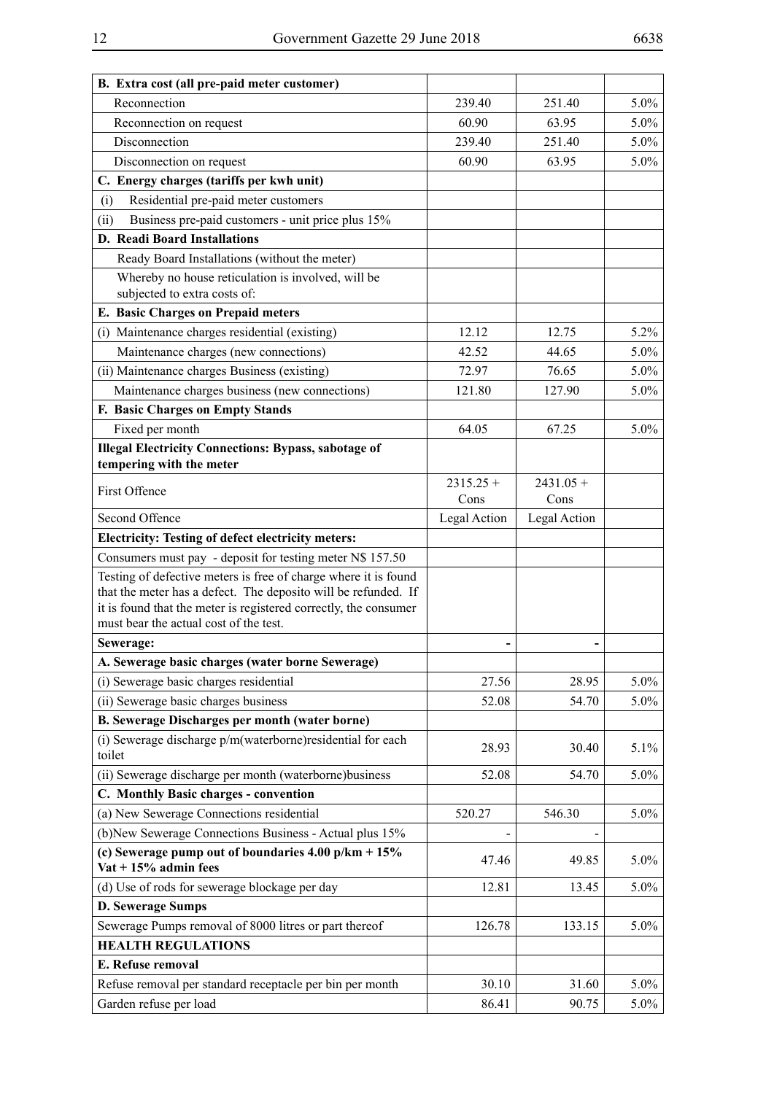| B. Extra cost (all pre-paid meter customer)                                                                                                                                                                                                     |              |              |         |
|-------------------------------------------------------------------------------------------------------------------------------------------------------------------------------------------------------------------------------------------------|--------------|--------------|---------|
| Reconnection                                                                                                                                                                                                                                    | 239.40       | 251.40       | $5.0\%$ |
| Reconnection on request                                                                                                                                                                                                                         | 60.90        | 63.95        | $5.0\%$ |
| Disconnection                                                                                                                                                                                                                                   | 239.40       | 251.40       | $5.0\%$ |
| Disconnection on request                                                                                                                                                                                                                        | 60.90        | 63.95        | $5.0\%$ |
| C. Energy charges (tariffs per kwh unit)                                                                                                                                                                                                        |              |              |         |
| Residential pre-paid meter customers<br>(i)                                                                                                                                                                                                     |              |              |         |
| Business pre-paid customers - unit price plus 15%<br>(ii)                                                                                                                                                                                       |              |              |         |
| <b>D. Readi Board Installations</b>                                                                                                                                                                                                             |              |              |         |
| Ready Board Installations (without the meter)                                                                                                                                                                                                   |              |              |         |
| Whereby no house reticulation is involved, will be<br>subjected to extra costs of:                                                                                                                                                              |              |              |         |
| E. Basic Charges on Prepaid meters                                                                                                                                                                                                              |              |              |         |
| (i) Maintenance charges residential (existing)                                                                                                                                                                                                  | 12.12        | 12.75        | $5.2\%$ |
| Maintenance charges (new connections)                                                                                                                                                                                                           | 42.52        | 44.65        | $5.0\%$ |
| (ii) Maintenance charges Business (existing)                                                                                                                                                                                                    | 72.97        | 76.65        | $5.0\%$ |
| Maintenance charges business (new connections)                                                                                                                                                                                                  | 121.80       | 127.90       | 5.0%    |
| F. Basic Charges on Empty Stands                                                                                                                                                                                                                |              |              |         |
| Fixed per month                                                                                                                                                                                                                                 | 64.05        | 67.25        | $5.0\%$ |
| <b>Illegal Electricity Connections: Bypass, sabotage of</b><br>tempering with the meter                                                                                                                                                         |              |              |         |
|                                                                                                                                                                                                                                                 | $2315.25 +$  | $2431.05 +$  |         |
| First Offence                                                                                                                                                                                                                                   | Cons         | Cons         |         |
| Second Offence                                                                                                                                                                                                                                  | Legal Action | Legal Action |         |
| <b>Electricity: Testing of defect electricity meters:</b>                                                                                                                                                                                       |              |              |         |
| Consumers must pay - deposit for testing meter N\$ 157.50                                                                                                                                                                                       |              |              |         |
| Testing of defective meters is free of charge where it is found<br>that the meter has a defect. The deposito will be refunded. If<br>it is found that the meter is registered correctly, the consumer<br>must bear the actual cost of the test. |              |              |         |
| Sewerage:                                                                                                                                                                                                                                       |              |              |         |
| A. Sewerage basic charges (water borne Sewerage)                                                                                                                                                                                                |              |              |         |
| (i) Sewerage basic charges residential                                                                                                                                                                                                          | 27.56        | 28.95        | $5.0\%$ |
| (ii) Sewerage basic charges business                                                                                                                                                                                                            | 52.08        | 54.70        | $5.0\%$ |
| <b>B. Sewerage Discharges per month (water borne)</b>                                                                                                                                                                                           |              |              |         |
| (i) Sewerage discharge p/m(waterborne)residential for each<br>toilet                                                                                                                                                                            | 28.93        | 30.40        | $5.1\%$ |
| (ii) Sewerage discharge per month (waterborne)business                                                                                                                                                                                          | 52.08        | 54.70        | $5.0\%$ |
| C. Monthly Basic charges - convention                                                                                                                                                                                                           |              |              |         |
| (a) New Sewerage Connections residential                                                                                                                                                                                                        | 520.27       | 546.30       | $5.0\%$ |
| (b)New Sewerage Connections Business - Actual plus 15%                                                                                                                                                                                          |              |              |         |
| (c) Sewerage pump out of boundaries $4.00$ p/km $+ 15\%$<br>$\text{Vat} + 15\%$ admin fees                                                                                                                                                      | 47.46        | 49.85        | $5.0\%$ |
| (d) Use of rods for sewerage blockage per day                                                                                                                                                                                                   | 12.81        | 13.45        | $5.0\%$ |
| <b>D. Sewerage Sumps</b>                                                                                                                                                                                                                        |              |              |         |
| Sewerage Pumps removal of 8000 litres or part thereof                                                                                                                                                                                           | 126.78       | 133.15       | $5.0\%$ |
| <b>HEALTH REGULATIONS</b>                                                                                                                                                                                                                       |              |              |         |
| E. Refuse removal                                                                                                                                                                                                                               |              |              |         |
| Refuse removal per standard receptacle per bin per month                                                                                                                                                                                        | 30.10        | 31.60        | $5.0\%$ |
| Garden refuse per load                                                                                                                                                                                                                          | 86.41        | 90.75        | $5.0\%$ |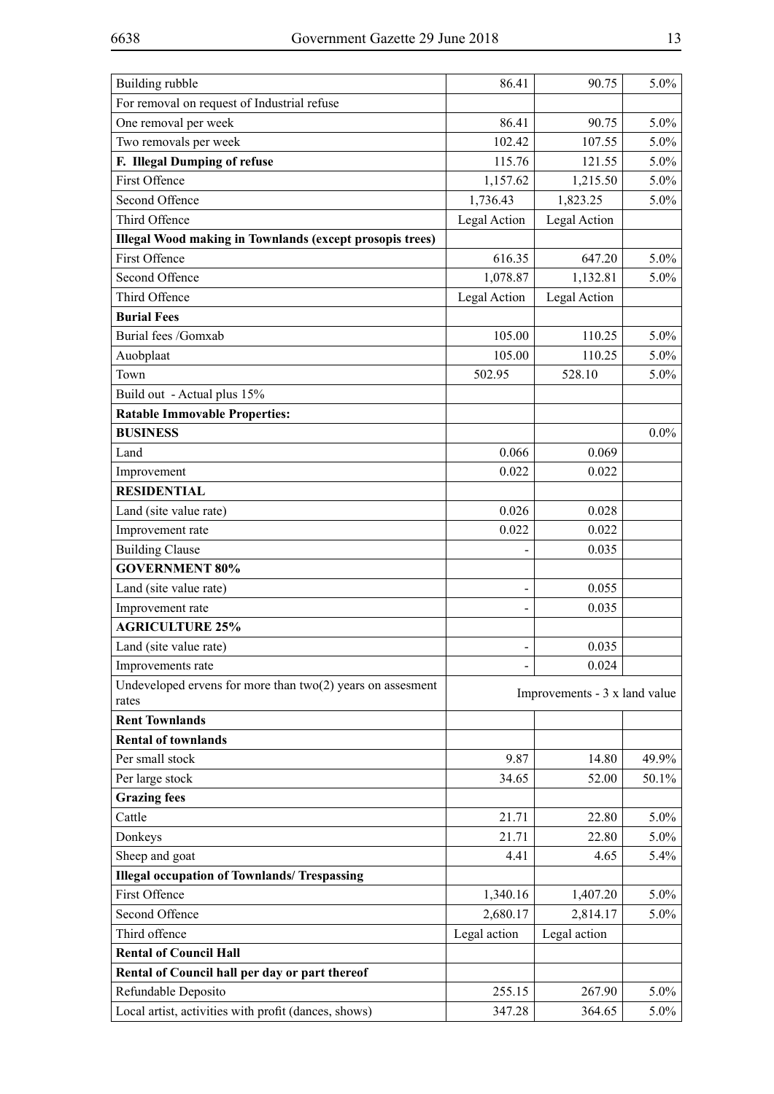| Building rubble                                                 | 86.41        | 90.75                         | 5.0%    |
|-----------------------------------------------------------------|--------------|-------------------------------|---------|
| For removal on request of Industrial refuse                     |              |                               |         |
| One removal per week                                            | 86.41        | 5.0%                          |         |
| Two removals per week                                           | 102.42       | 90.75<br>107.55               | 5.0%    |
| F. Illegal Dumping of refuse                                    | 115.76       | 121.55                        | 5.0%    |
| <b>First Offence</b>                                            | 1,157.62     | 1,215.50                      | 5.0%    |
| Second Offence                                                  | 1,736.43     | 1,823.25                      | 5.0%    |
| Third Offence                                                   | Legal Action | Legal Action                  |         |
| <b>Illegal Wood making in Townlands (except prosopis trees)</b> |              |                               |         |
| First Offence                                                   | 616.35       | 647.20                        | 5.0%    |
| Second Offence                                                  | 1,078.87     | 1,132.81                      | 5.0%    |
| Third Offence                                                   | Legal Action | Legal Action                  |         |
| <b>Burial Fees</b>                                              |              |                               |         |
| Burial fees /Gomxab                                             | 105.00       | 110.25                        | 5.0%    |
| Auobplaat                                                       | 105.00       | 110.25                        | 5.0%    |
| Town                                                            | 502.95       | 528.10                        | 5.0%    |
| Build out - Actual plus 15%                                     |              |                               |         |
| <b>Ratable Immovable Properties:</b>                            |              |                               |         |
| <b>BUSINESS</b>                                                 |              |                               | $0.0\%$ |
| Land                                                            | 0.066        | 0.069                         |         |
| Improvement                                                     | 0.022        | 0.022                         |         |
| <b>RESIDENTIAL</b>                                              |              |                               |         |
| Land (site value rate)                                          | 0.026        | 0.028                         |         |
| Improvement rate                                                | 0.022        | 0.022                         |         |
| <b>Building Clause</b>                                          |              | 0.035                         |         |
| <b>GOVERNMENT 80%</b>                                           |              |                               |         |
| Land (site value rate)                                          | -            | 0.055                         |         |
| Improvement rate                                                |              | 0.035                         |         |
| <b>AGRICULTURE 25%</b>                                          |              |                               |         |
| Land (site value rate)                                          |              | 0.035                         |         |
| Improvements rate                                               |              | 0.024                         |         |
| Undeveloped ervens for more than $two(2)$ years on assesment    |              |                               |         |
| rates                                                           |              | Improvements - 3 x land value |         |
| <b>Rent Townlands</b>                                           |              |                               |         |
| <b>Rental of townlands</b>                                      |              |                               |         |
| Per small stock                                                 | 9.87         | 14.80                         | 49.9%   |
| Per large stock                                                 | 34.65        | 52.00                         | 50.1%   |
| <b>Grazing fees</b>                                             |              |                               |         |
| Cattle                                                          | 21.71        | 22.80                         | 5.0%    |
| Donkeys                                                         | 21.71        | 22.80                         | 5.0%    |
| Sheep and goat                                                  | 4.41         | 4.65                          | 5.4%    |
| <b>Illegal occupation of Townlands/ Trespassing</b>             |              |                               |         |
| First Offence                                                   | 1,340.16     | 1,407.20                      | 5.0%    |
| Second Offence                                                  | 2,680.17     | 2,814.17                      | 5.0%    |
| Third offence                                                   | Legal action | Legal action                  |         |
| <b>Rental of Council Hall</b>                                   |              |                               |         |
| Rental of Council hall per day or part thereof                  |              |                               |         |
| Refundable Deposito                                             | 255.15       | 267.90                        | $5.0\%$ |
| Local artist, activities with profit (dances, shows)            | 347.28       | 364.65                        | 5.0%    |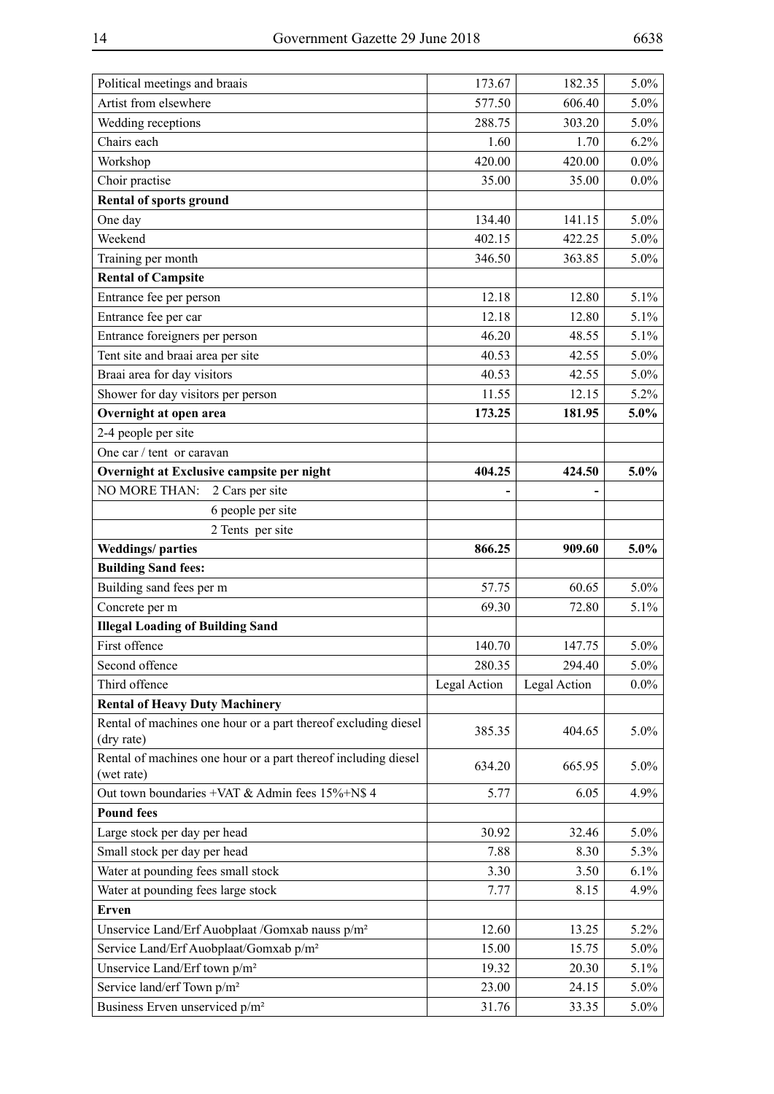L,

| Political meetings and braais                                                                           | 173.67         | 182.35         | $5.0\%$            |
|---------------------------------------------------------------------------------------------------------|----------------|----------------|--------------------|
| Artist from elsewhere                                                                                   | 577.50         | 606.40         | $5.0\%$            |
| Wedding receptions                                                                                      | 288.75         | 303.20         | $5.0\%$            |
| Chairs each                                                                                             | 1.60           | 1.70           | 6.2%               |
| Workshop                                                                                                | 420.00         | 420.00         | $0.0\%$            |
| Choir practise                                                                                          | 35.00          | 35.00          | $0.0\%$            |
| <b>Rental of sports ground</b>                                                                          |                |                |                    |
| One day                                                                                                 | 134.40         | 141.15         | $5.0\%$            |
| Weekend                                                                                                 | 402.15         | 422.25         | $5.0\%$            |
| Training per month                                                                                      | 346.50         | 363.85         | $5.0\%$            |
| <b>Rental of Campsite</b>                                                                               |                |                |                    |
| Entrance fee per person                                                                                 | 12.18          | 12.80          | 5.1%               |
| Entrance fee per car                                                                                    | 12.18          | 12.80          | 5.1%               |
| Entrance foreigners per person                                                                          | 46.20          | 48.55          | $5.1\%$            |
| Tent site and braai area per site                                                                       | 40.53          | 42.55          | $5.0\%$            |
| Braai area for day visitors                                                                             | 40.53          | 42.55          | $5.0\%$            |
| Shower for day visitors per person                                                                      | 11.55          | 12.15          | $5.2\%$            |
| Overnight at open area                                                                                  | 173.25         | 181.95         | 5.0%               |
| 2-4 people per site                                                                                     |                |                |                    |
| One car / tent or caravan                                                                               |                |                |                    |
| Overnight at Exclusive campsite per night                                                               | 404.25         | 424.50         | 5.0%               |
| 2 Cars per site<br><b>NO MORE THAN:</b>                                                                 |                |                |                    |
| 6 people per site                                                                                       |                |                |                    |
| 2 Tents per site                                                                                        |                |                |                    |
| <b>Weddings/parties</b>                                                                                 | 866.25         | 909.60         | 5.0%               |
| <b>Building Sand fees:</b>                                                                              |                |                |                    |
| Building sand fees per m                                                                                | 57.75          | 60.65          | $5.0\%$            |
| Concrete per m                                                                                          | 69.30          | 72.80          | 5.1%               |
| <b>Illegal Loading of Building Sand</b>                                                                 |                |                |                    |
| First offence                                                                                           | 140.70         | 147.75         | $5.0\%$            |
| Second offence                                                                                          | 280.35         |                |                    |
|                                                                                                         |                |                |                    |
|                                                                                                         |                | 294.40         | $5.0\%$            |
| Third offence                                                                                           | Legal Action   | Legal Action   | $0.0\%$            |
| <b>Rental of Heavy Duty Machinery</b><br>Rental of machines one hour or a part thereof excluding diesel | 385.35         | 404.65         | $5.0\%$            |
| (dry rate)<br>Rental of machines one hour or a part thereof including diesel                            | 634.20         | 665.95         | $5.0\%$            |
| (wet rate)                                                                                              |                |                |                    |
| Out town boundaries +VAT & Admin fees 15%+N\$ 4                                                         | 5.77           | 6.05           | 4.9%               |
| <b>Pound fees</b>                                                                                       |                |                |                    |
| Large stock per day per head                                                                            | 30.92          | 32.46          | $5.0\%$            |
| Small stock per day per head                                                                            | 7.88           | 8.30           | 5.3%               |
| Water at pounding fees small stock                                                                      | 3.30           | 3.50           | 6.1%               |
| Water at pounding fees large stock                                                                      | 7.77           | 8.15           | 4.9%               |
| Erven                                                                                                   |                |                |                    |
| Unservice Land/Erf Auobplaat /Gomxab nauss p/m <sup>2</sup>                                             | 12.60          | 13.25          | $5.2\%$            |
| Service Land/Erf Auobplaat/Gomxab p/m <sup>2</sup>                                                      | 15.00          | 15.75          | $5.0\%$            |
| Unservice Land/Erf town p/m <sup>2</sup>                                                                | 19.32          | 20.30          | $5.1\%$            |
| Service land/erf Town p/m <sup>2</sup><br>Business Erven unserviced p/m <sup>2</sup>                    | 23.00<br>31.76 | 24.15<br>33.35 | $5.0\%$<br>$5.0\%$ |

H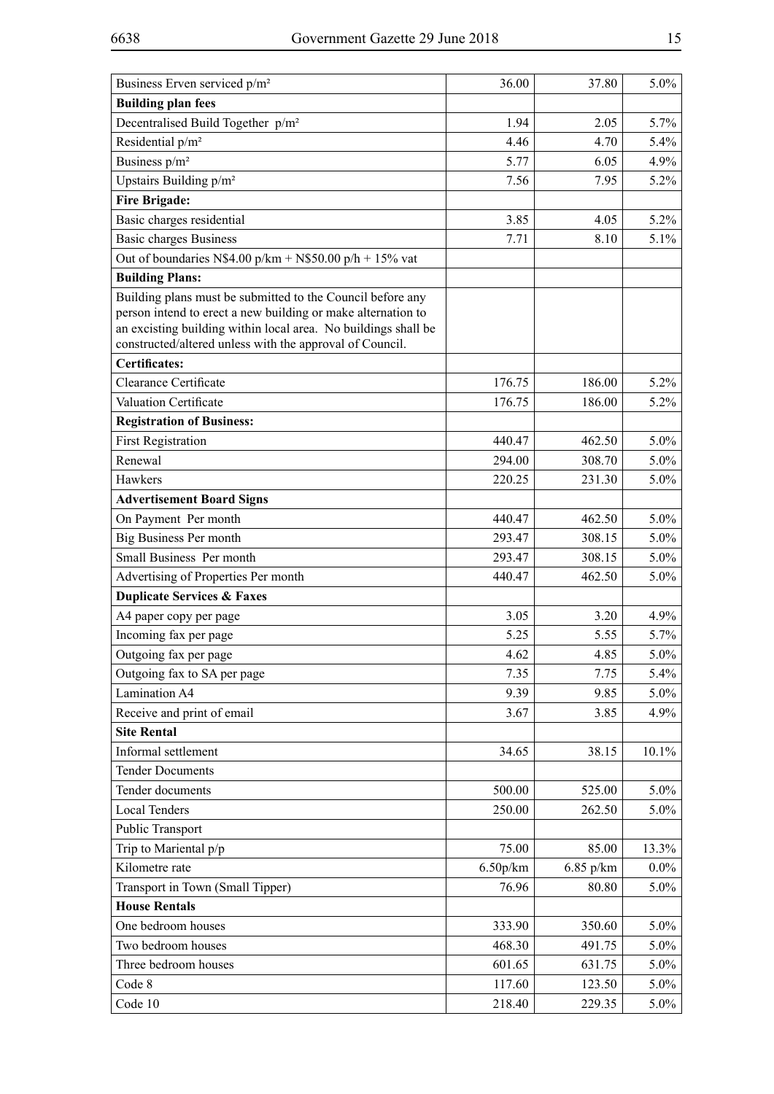| Business Erven serviced p/m <sup>2</sup>                                                                                                                                                                                                                 | 36.00    | 37.80     | 5.0%    |
|----------------------------------------------------------------------------------------------------------------------------------------------------------------------------------------------------------------------------------------------------------|----------|-----------|---------|
| <b>Building plan fees</b>                                                                                                                                                                                                                                |          |           |         |
| Decentralised Build Together p/m <sup>2</sup>                                                                                                                                                                                                            | 1.94     | 2.05      | 5.7%    |
| Residential p/m <sup>2</sup>                                                                                                                                                                                                                             | 4.46     | 4.70      | 5.4%    |
| Business p/m <sup>2</sup>                                                                                                                                                                                                                                | 5.77     | 6.05      | 4.9%    |
| Upstairs Building p/m <sup>2</sup>                                                                                                                                                                                                                       | 7.56     | 7.95      | 5.2%    |
| <b>Fire Brigade:</b>                                                                                                                                                                                                                                     |          |           |         |
| Basic charges residential                                                                                                                                                                                                                                | 3.85     | 4.05      | 5.2%    |
| <b>Basic charges Business</b>                                                                                                                                                                                                                            | 7.71     | 8.10      | 5.1%    |
| Out of boundaries N\$4.00 p/km + N\$50.00 p/h + 15% vat                                                                                                                                                                                                  |          |           |         |
| <b>Building Plans:</b>                                                                                                                                                                                                                                   |          |           |         |
| Building plans must be submitted to the Council before any<br>person intend to erect a new building or make alternation to<br>an excisting building within local area. No buildings shall be<br>constructed/altered unless with the approval of Council. |          |           |         |
| <b>Certificates:</b>                                                                                                                                                                                                                                     |          |           |         |
| Clearance Certificate                                                                                                                                                                                                                                    | 176.75   | 186.00    | 5.2%    |
| Valuation Certificate                                                                                                                                                                                                                                    | 176.75   | 186.00    | 5.2%    |
| <b>Registration of Business:</b>                                                                                                                                                                                                                         |          |           |         |
| <b>First Registration</b>                                                                                                                                                                                                                                | 440.47   | 462.50    | 5.0%    |
| Renewal                                                                                                                                                                                                                                                  | 294.00   | 308.70    | 5.0%    |
| Hawkers                                                                                                                                                                                                                                                  | 220.25   | 231.30    | 5.0%    |
| <b>Advertisement Board Signs</b>                                                                                                                                                                                                                         |          |           |         |
| On Payment Per month                                                                                                                                                                                                                                     | 440.47   | 462.50    | 5.0%    |
| Big Business Per month                                                                                                                                                                                                                                   | 293.47   | 308.15    | 5.0%    |
| Small Business Per month                                                                                                                                                                                                                                 | 293.47   | 308.15    | 5.0%    |
| Advertising of Properties Per month                                                                                                                                                                                                                      | 440.47   | 462.50    | 5.0%    |
| <b>Duplicate Services &amp; Faxes</b>                                                                                                                                                                                                                    |          |           |         |
| A4 paper copy per page                                                                                                                                                                                                                                   | 3.05     | 3.20      | 4.9%    |
| Incoming fax per page                                                                                                                                                                                                                                    | 5.25     | 5.55      | 5.7%    |
| Outgoing fax per page                                                                                                                                                                                                                                    | 4.62     | 4.85      | 5.0%    |
| Outgoing fax to SA per page                                                                                                                                                                                                                              | 7.35     | 7.75      | 5.4%    |
| <b>Lamination A4</b>                                                                                                                                                                                                                                     | 9.39     | 9.85      | $5.0\%$ |
| Receive and print of email                                                                                                                                                                                                                               | 3.67     | 3.85      | 4.9%    |
| <b>Site Rental</b>                                                                                                                                                                                                                                       |          |           |         |
| Informal settlement                                                                                                                                                                                                                                      | 34.65    | 38.15     | 10.1%   |
| <b>Tender Documents</b>                                                                                                                                                                                                                                  |          |           |         |
| Tender documents                                                                                                                                                                                                                                         | 500.00   | 525.00    | 5.0%    |
| <b>Local Tenders</b>                                                                                                                                                                                                                                     | 250.00   | 262.50    | 5.0%    |
| Public Transport                                                                                                                                                                                                                                         |          |           |         |
| Trip to Mariental p/p                                                                                                                                                                                                                                    | 75.00    | 85.00     | 13.3%   |
| Kilometre rate                                                                                                                                                                                                                                           | 6.50p/km | 6.85 p/km | $0.0\%$ |
| Transport in Town (Small Tipper)                                                                                                                                                                                                                         | 76.96    | 80.80     | 5.0%    |
| <b>House Rentals</b>                                                                                                                                                                                                                                     |          |           |         |
| One bedroom houses                                                                                                                                                                                                                                       | 333.90   | 350.60    | 5.0%    |
| Two bedroom houses                                                                                                                                                                                                                                       | 468.30   | 491.75    | 5.0%    |
| Three bedroom houses                                                                                                                                                                                                                                     | 601.65   | 631.75    | 5.0%    |
| Code 8                                                                                                                                                                                                                                                   | 117.60   | 123.50    | 5.0%    |
| Code 10                                                                                                                                                                                                                                                  | 218.40   | 229.35    | $5.0\%$ |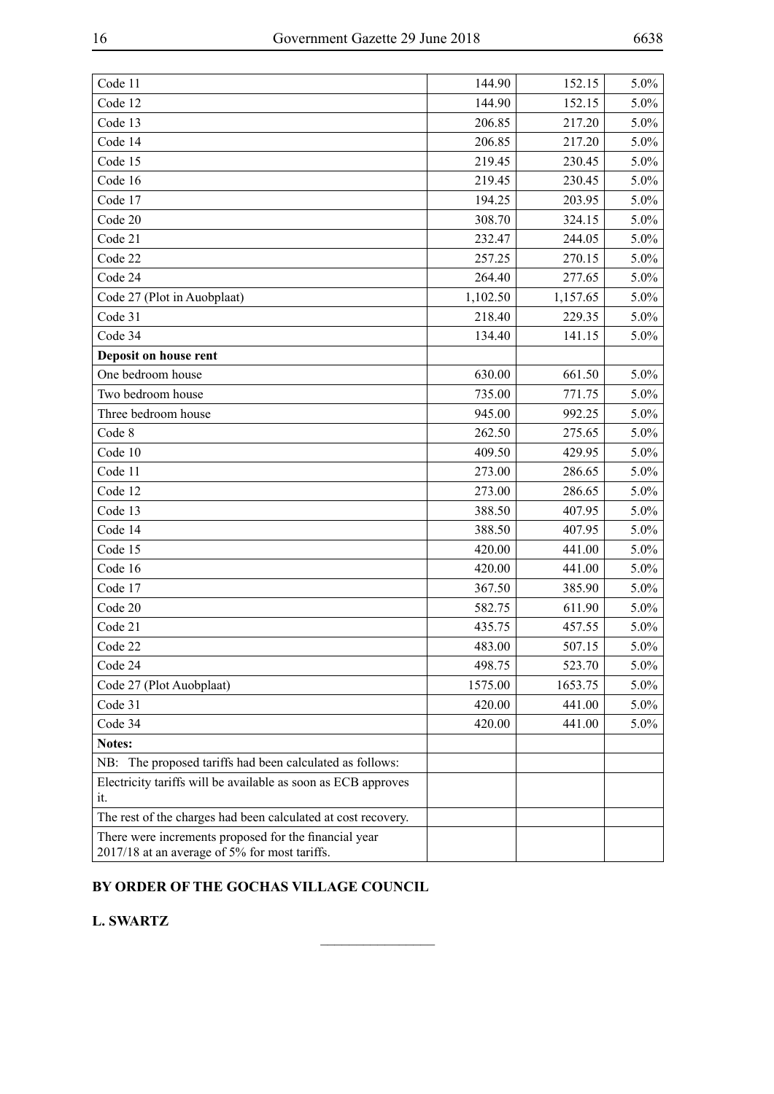| Code 11                                                       | 144.90   | 152.15   | 5.0%    |
|---------------------------------------------------------------|----------|----------|---------|
| Code 12                                                       | 144.90   | 152.15   | 5.0%    |
| Code 13                                                       | 206.85   | 217.20   | 5.0%    |
| Code 14                                                       | 206.85   | 217.20   | 5.0%    |
| Code 15                                                       | 219.45   | 230.45   | 5.0%    |
| Code 16                                                       | 219.45   | 230.45   | 5.0%    |
| Code 17                                                       | 194.25   | 203.95   | 5.0%    |
| Code 20                                                       | 308.70   | 324.15   | 5.0%    |
| Code 21                                                       | 232.47   | 244.05   | 5.0%    |
| Code 22                                                       | 257.25   | 270.15   | 5.0%    |
| Code 24                                                       | 264.40   | 277.65   | 5.0%    |
| Code 27 (Plot in Auobplaat)                                   | 1,102.50 | 1,157.65 | 5.0%    |
| Code 31                                                       | 218.40   | 229.35   | 5.0%    |
| Code 34                                                       | 134.40   | 141.15   | 5.0%    |
| Deposit on house rent                                         |          |          |         |
| One bedroom house                                             | 630.00   | 661.50   | 5.0%    |
| Two bedroom house                                             | 735.00   | 771.75   | 5.0%    |
| Three bedroom house                                           | 945.00   | 992.25   | 5.0%    |
| Code 8                                                        | 262.50   | 275.65   | 5.0%    |
| Code 10                                                       | 409.50   | 429.95   | 5.0%    |
| Code 11                                                       | 273.00   | 286.65   | 5.0%    |
| Code 12                                                       | 273.00   | 286.65   | 5.0%    |
| Code 13                                                       | 388.50   | 407.95   | 5.0%    |
| Code 14                                                       | 388.50   | 407.95   | 5.0%    |
| Code 15                                                       | 420.00   | 441.00   | 5.0%    |
| Code 16                                                       | 420.00   | 441.00   | 5.0%    |
| Code 17                                                       | 367.50   | 385.90   | 5.0%    |
| Code 20                                                       | 582.75   | 611.90   | 5.0%    |
| Code 21                                                       | 435.75   | 457.55   | $5.0\%$ |
| Code 22                                                       | 483.00   | 507.15   | 5.0%    |
| Code 24                                                       | 498.75   | 523.70   | $5.0\%$ |
| Code 27 (Plot Auobplaat)                                      | 1575.00  | 1653.75  | 5.0%    |
| Code 31                                                       | 420.00   | 441.00   | 5.0%    |
| Code 34                                                       | 420.00   | 441.00   | 5.0%    |
| Notes:                                                        |          |          |         |
| NB: The proposed tariffs had been calculated as follows:      |          |          |         |
| Electricity tariffs will be available as soon as ECB approves |          |          |         |
| it.                                                           |          |          |         |
| The rest of the charges had been calculated at cost recovery. |          |          |         |
| There were increments proposed for the financial year         |          |          |         |
| 2017/18 at an average of 5% for most tariffs.                 |          |          |         |

 $\frac{1}{2}$ 

#### **BY ORDER OF THE GOCHAS VILLAGE COUNCIL**

**L. SWARTZ**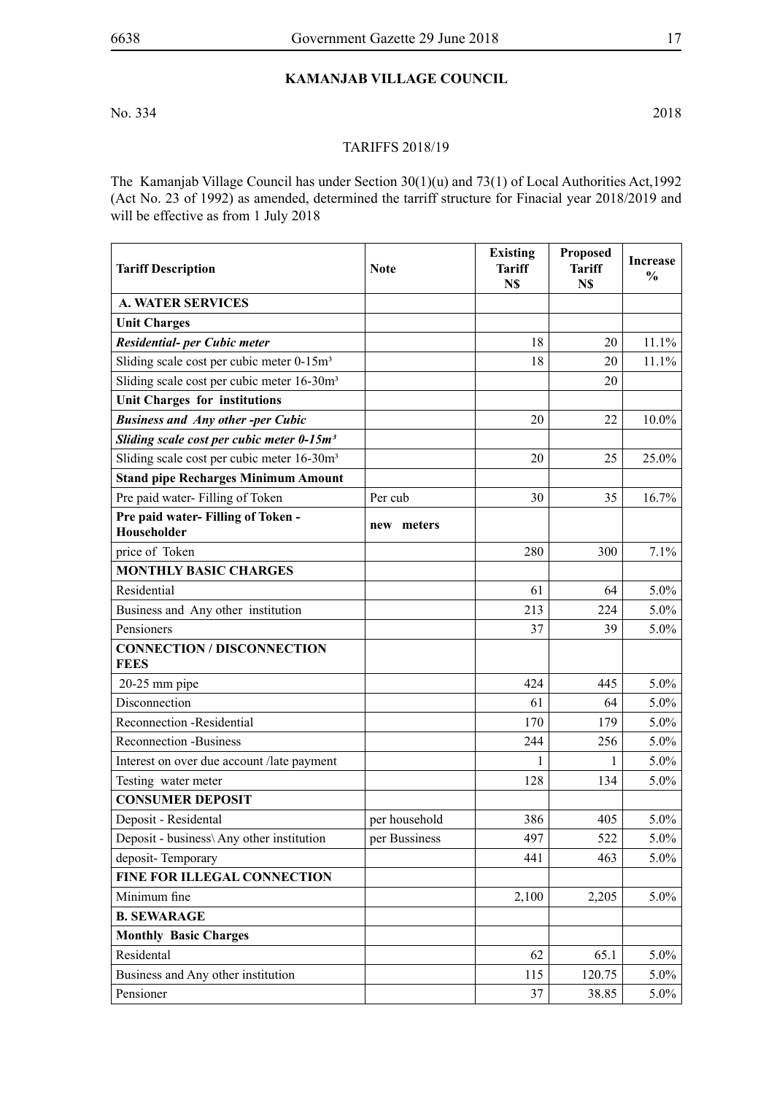#### **Kamanjab Village Council**

No. 334 2018

#### TARIFFS 2018/19

The Kamanjab Village Council has under Section 30(1)(u) and 73(1) of Local Authorities Act,1992 (Act No. 23 of 1992) as amended, determined the tarriff structure for Finacial year 2018/2019 and will be effective as from 1 July 2018

| <b>Tariff Description</b>                              | <b>Existing</b><br><b>Note</b><br><b>Tariff</b><br>N\$ |        | <b>Proposed</b><br><b>Tariff</b><br>N\$ | <b>Increase</b><br>$\frac{0}{0}$ |
|--------------------------------------------------------|--------------------------------------------------------|--------|-----------------------------------------|----------------------------------|
| <b>A. WATER SERVICES</b>                               |                                                        |        |                                         |                                  |
| <b>Unit Charges</b>                                    |                                                        |        |                                         |                                  |
| Residential- per Cubic meter                           |                                                        | 18     | 20                                      | 11.1%                            |
| Sliding scale cost per cubic meter 0-15m <sup>3</sup>  |                                                        | 18     | 20                                      | 11.1%                            |
| Sliding scale cost per cubic meter 16-30m <sup>3</sup> |                                                        |        | 20                                      |                                  |
| <b>Unit Charges for institutions</b>                   |                                                        |        |                                         |                                  |
| <b>Business and Any other-per Cubic</b>                |                                                        | 20     | 22                                      | 10.0%                            |
| Sliding scale cost per cubic meter 0-15m <sup>3</sup>  |                                                        |        |                                         |                                  |
| Sliding scale cost per cubic meter 16-30m <sup>3</sup> |                                                        | $20\,$ | 25                                      | 25.0%                            |
| <b>Stand pipe Recharges Minimum Amount</b>             |                                                        |        |                                         |                                  |
| Pre paid water-Filling of Token                        | Per cub                                                | 30     | 35                                      | 16.7%                            |
| Pre paid water- Filling of Token -<br>Householder      | new meters                                             |        |                                         |                                  |
| price of Token                                         |                                                        | 280    | 300                                     | 7.1%                             |
| <b>MONTHLY BASIC CHARGES</b>                           |                                                        |        |                                         |                                  |
| Residential                                            |                                                        | 61     | 64                                      | $5.0\%$                          |
| Business and Any other institution                     |                                                        | 213    | 224                                     | $5.0\%$                          |
| Pensioners                                             |                                                        | 37     | 39                                      | 5.0%                             |
| <b>CONNECTION / DISCONNECTION</b><br><b>FEES</b>       |                                                        |        |                                         |                                  |
| $20-25$ mm pipe                                        |                                                        | 424    | 445                                     | 5.0%                             |
| Disconnection                                          |                                                        | 61     | 64                                      | $5.0\%$                          |
| Reconnection -Residential                              |                                                        | 170    | 179                                     | 5.0%                             |
| <b>Reconnection -Business</b>                          |                                                        | 244    | 256                                     | 5.0%                             |
| Interest on over due account /late payment             |                                                        | 1      | 1                                       | 5.0%                             |
| Testing water meter                                    |                                                        | 128    | 134                                     | 5.0%                             |
| <b>CONSUMER DEPOSIT</b>                                |                                                        |        |                                         |                                  |
| Deposit - Residental                                   | per household                                          | 386    | 405                                     | $5.0\%$                          |
| Deposit - business\ Any other institution              | per Bussiness                                          | 497    | 522                                     | $5.0\%$                          |
| deposit-Temporary                                      |                                                        | 441    | 463                                     | $5.0\%$                          |
| FINE FOR ILLEGAL CONNECTION                            |                                                        |        |                                         |                                  |
| Minimum fine                                           |                                                        | 2,100  | 2,205                                   | $5.0\%$                          |
| <b>B. SEWARAGE</b>                                     |                                                        |        |                                         |                                  |
| <b>Monthly Basic Charges</b>                           |                                                        |        |                                         |                                  |
| Residental                                             |                                                        | 62     | 65.1                                    | $5.0\%$                          |
| Business and Any other institution                     |                                                        | 115    | 120.75                                  | $5.0\%$                          |
| Pensioner                                              |                                                        | 37     | 38.85                                   | $5.0\%$                          |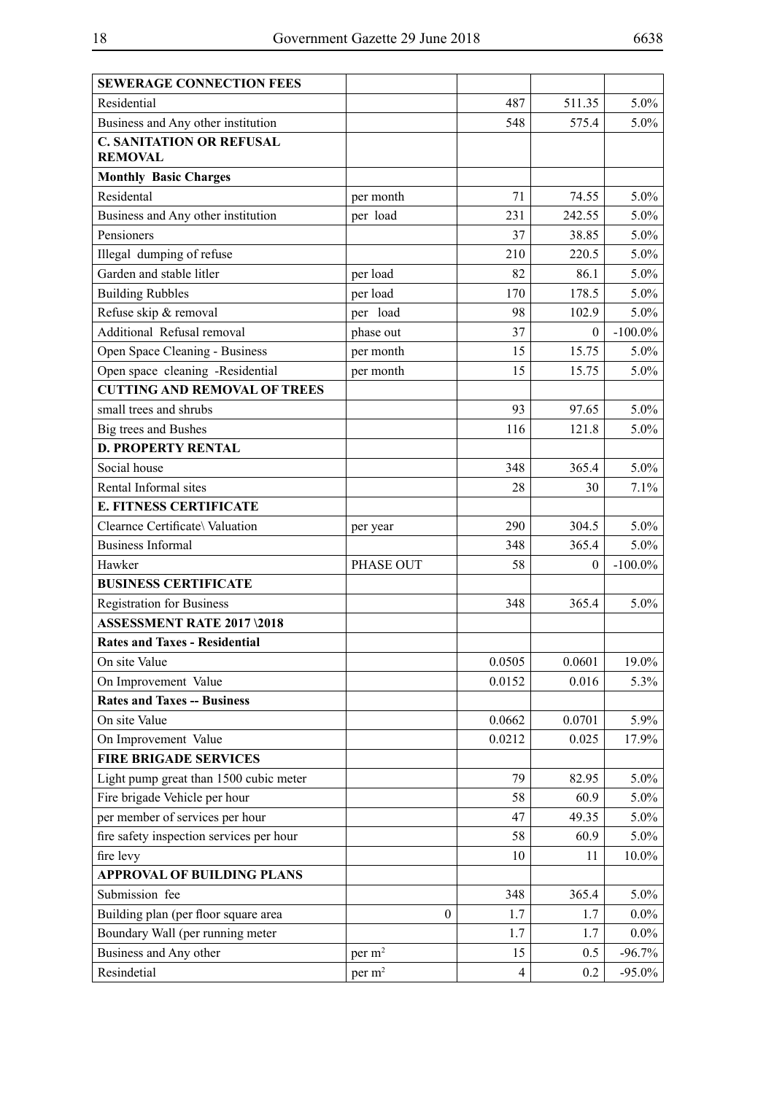| <b>SEWERAGE CONNECTION FEES</b>          |                    |                         |              |            |
|------------------------------------------|--------------------|-------------------------|--------------|------------|
| Residential                              |                    | 487                     | 511.35       | $5.0\%$    |
| Business and Any other institution       |                    | 548                     | 575.4        | $5.0\%$    |
| <b>C. SANITATION OR REFUSAL</b>          |                    |                         |              |            |
| <b>REMOVAL</b>                           |                    |                         |              |            |
| <b>Monthly Basic Charges</b>             |                    |                         |              |            |
| Residental                               | per month          | 71                      | 74.55        | $5.0\%$    |
| Business and Any other institution       | per load           | 231                     | 242.55       | $5.0\%$    |
| Pensioners                               |                    | 37                      | 38.85        | $5.0\%$    |
| Illegal dumping of refuse                |                    | 210                     | 220.5        | $5.0\%$    |
| Garden and stable litler                 | per load           | 82                      | 86.1         | $5.0\%$    |
| <b>Building Rubbles</b>                  | per load           | 170                     | 178.5        | $5.0\%$    |
| Refuse skip & removal                    | per load           | 98                      | 102.9        | $5.0\%$    |
| Additional Refusal removal               | phase out          | 37                      | $\Omega$     | $-100.0\%$ |
| Open Space Cleaning - Business           | per month          | 15                      | 15.75        | $5.0\%$    |
| Open space cleaning -Residential         | per month          | 15                      | 15.75        | $5.0\%$    |
| <b>CUTTING AND REMOVAL OF TREES</b>      |                    |                         |              |            |
| small trees and shrubs                   |                    | 93                      | 97.65        | $5.0\%$    |
| Big trees and Bushes                     |                    | 116                     | 121.8        | $5.0\%$    |
| <b>D. PROPERTY RENTAL</b>                |                    |                         |              |            |
| Social house                             |                    | 348                     | 365.4        | $5.0\%$    |
| Rental Informal sites                    |                    | 28                      | 30           | 7.1%       |
| <b>E. FITNESS CERTIFICATE</b>            |                    |                         |              |            |
| Clearnce Certificate\ Valuation          | per year           | 290                     | 304.5        | $5.0\%$    |
| <b>Business Informal</b>                 |                    | 348                     | 365.4        | $5.0\%$    |
| Hawker                                   | PHASE OUT          | 58                      | $\mathbf{0}$ | $-100.0\%$ |
| <b>BUSINESS CERTIFICATE</b>              |                    |                         |              |            |
| <b>Registration for Business</b>         |                    | 348                     | 365.4        | $5.0\%$    |
| <b>ASSESSMENT RATE 2017 \2018</b>        |                    |                         |              |            |
| <b>Rates and Taxes - Residential</b>     |                    |                         |              |            |
| On site Value                            |                    | 0.0505                  | 0.0601       | 19.0%      |
| On Improvement Value                     |                    | 0.0152                  | 0.016        | 5.3%       |
| <b>Rates and Taxes -- Business</b>       |                    |                         |              |            |
| On site Value                            |                    | 0.0662                  | 0.0701       | 5.9%       |
| On Improvement Value                     |                    | 0.0212                  | 0.025        | 17.9%      |
| <b>FIRE BRIGADE SERVICES</b>             |                    |                         |              |            |
| Light pump great than 1500 cubic meter   |                    | 79                      | 82.95        | $5.0\%$    |
| Fire brigade Vehicle per hour            |                    | 58                      | 60.9         | $5.0\%$    |
| per member of services per hour          |                    | 47                      | 49.35        | $5.0\%$    |
| fire safety inspection services per hour |                    | 58                      | 60.9         | $5.0\%$    |
| fire levy                                |                    | 10                      | 11           | $10.0\%$   |
| <b>APPROVAL OF BUILDING PLANS</b>        |                    |                         |              |            |
| Submission fee                           |                    | 348                     | 365.4        | $5.0\%$    |
| Building plan (per floor square area     | $\boldsymbol{0}$   | 1.7                     | 1.7          | $0.0\%$    |
| Boundary Wall (per running meter         |                    | 1.7                     | 1.7          | $0.0\%$    |
| Business and Any other                   | per m <sup>2</sup> | 15                      | 0.5          | $-96.7\%$  |
| Resindetial                              | per m <sup>2</sup> | $\overline{\mathbf{4}}$ | 0.2          | $-95.0\%$  |
|                                          |                    |                         |              |            |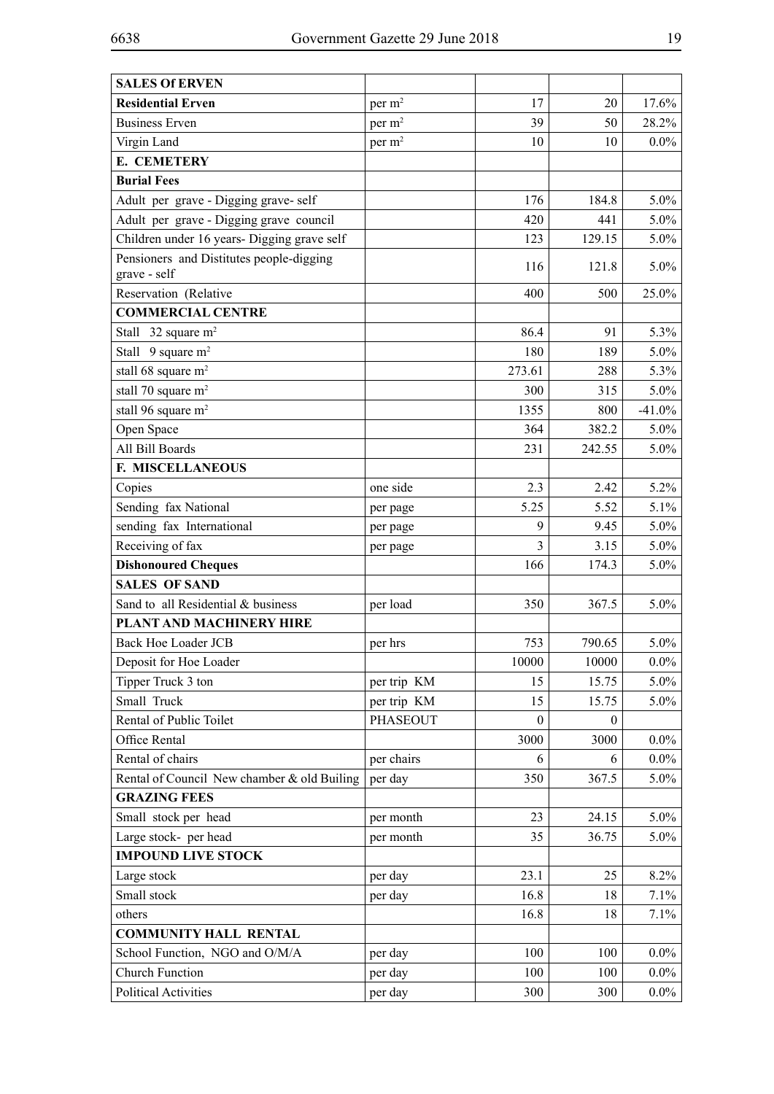| <b>SALES Of ERVEN</b>                       |                    |                |              |          |
|---------------------------------------------|--------------------|----------------|--------------|----------|
| <b>Residential Erven</b>                    | per m <sup>2</sup> | 17             | 20           | 17.6%    |
| <b>Business Erven</b>                       | per m <sup>2</sup> | 39             | 50           | 28.2%    |
| Virgin Land                                 | per m <sup>2</sup> | 10             | 10           | $0.0\%$  |
| E. CEMETERY                                 |                    |                |              |          |
| <b>Burial Fees</b>                          |                    |                |              |          |
| Adult per grave - Digging grave-self        |                    | 176            | 184.8        | 5.0%     |
| Adult per grave - Digging grave council     |                    | 420            | 441          | 5.0%     |
| Children under 16 years- Digging grave self |                    | 123            | 129.15       | 5.0%     |
| Pensioners and Distitutes people-digging    |                    | 116            | 121.8        | 5.0%     |
| grave - self                                |                    |                |              |          |
| Reservation (Relative                       |                    | 400            | 500          | 25.0%    |
| <b>COMMERCIAL CENTRE</b>                    |                    |                |              |          |
| Stall $32$ square m <sup>2</sup>            |                    | 86.4           | 91           | 5.3%     |
| Stall $9$ square m <sup>2</sup>             |                    | 180            | 189          | 5.0%     |
| stall 68 square m <sup>2</sup>              |                    | 273.61         | 288          | 5.3%     |
| stall 70 square m <sup>2</sup>              |                    | 300            | 315          | 5.0%     |
| stall 96 square m <sup>2</sup>              |                    | 1355           | 800          | $-41.0%$ |
| Open Space                                  |                    | 364            | 382.2        | $5.0\%$  |
| All Bill Boards                             |                    | 231            | 242.55       | 5.0%     |
| F. MISCELLANEOUS                            |                    |                |              |          |
| Copies                                      | one side           | 2.3            | 2.42         | 5.2%     |
| Sending fax National                        | per page           | 5.25           | 5.52         | 5.1%     |
| sending fax International                   | per page           | 9              | 9.45         | 5.0%     |
| Receiving of fax                            | per page           | $\overline{3}$ | 3.15         | 5.0%     |
| <b>Dishonoured Cheques</b>                  |                    | 166            | 174.3        | 5.0%     |
| <b>SALES OF SAND</b>                        |                    |                |              |          |
| Sand to all Residential & business          | per load           | 350            | 367.5        | 5.0%     |
| PLANT AND MACHINERY HIRE                    |                    |                |              |          |
| <b>Back Hoe Loader JCB</b>                  | per hrs            | 753            | 790.65       | 5.0%     |
| Deposit for Hoe Loader                      |                    | 10000          | 10000        | $0.0\%$  |
| Tipper Truck 3 ton                          | per trip KM        | 15             | 15.75        | 5.0%     |
| Small Truck                                 | per trip KM        | 15             | 15.75        | $5.0\%$  |
| Rental of Public Toilet                     | <b>PHASEOUT</b>    | $\theta$       | $\mathbf{0}$ |          |
| Office Rental                               |                    | 3000           | 3000         | $0.0\%$  |
| Rental of chairs                            | per chairs         | 6              | 6            | $0.0\%$  |
| Rental of Council New chamber & old Builing | per day            | 350            | 367.5        | $5.0\%$  |
| <b>GRAZING FEES</b>                         |                    |                |              |          |
| Small stock per head                        | per month          | 23             | 24.15        | $5.0\%$  |
| Large stock- per head                       | per month          | 35             | 36.75        | 5.0%     |
| <b>IMPOUND LIVE STOCK</b>                   |                    |                |              |          |
| Large stock                                 | per day            | 23.1           | 25           | 8.2%     |
| Small stock                                 | per day            | 16.8           | 18           | 7.1%     |
| others                                      |                    | 16.8           | 18           | 7.1%     |
| <b>COMMUNITY HALL RENTAL</b>                |                    |                |              |          |
| School Function, NGO and O/M/A              | per day            | 100            | 100          | $0.0\%$  |
| <b>Church Function</b>                      | per day            | 100            | 100          | $0.0\%$  |
| <b>Political Activities</b>                 | per day            | 300            | 300          | $0.0\%$  |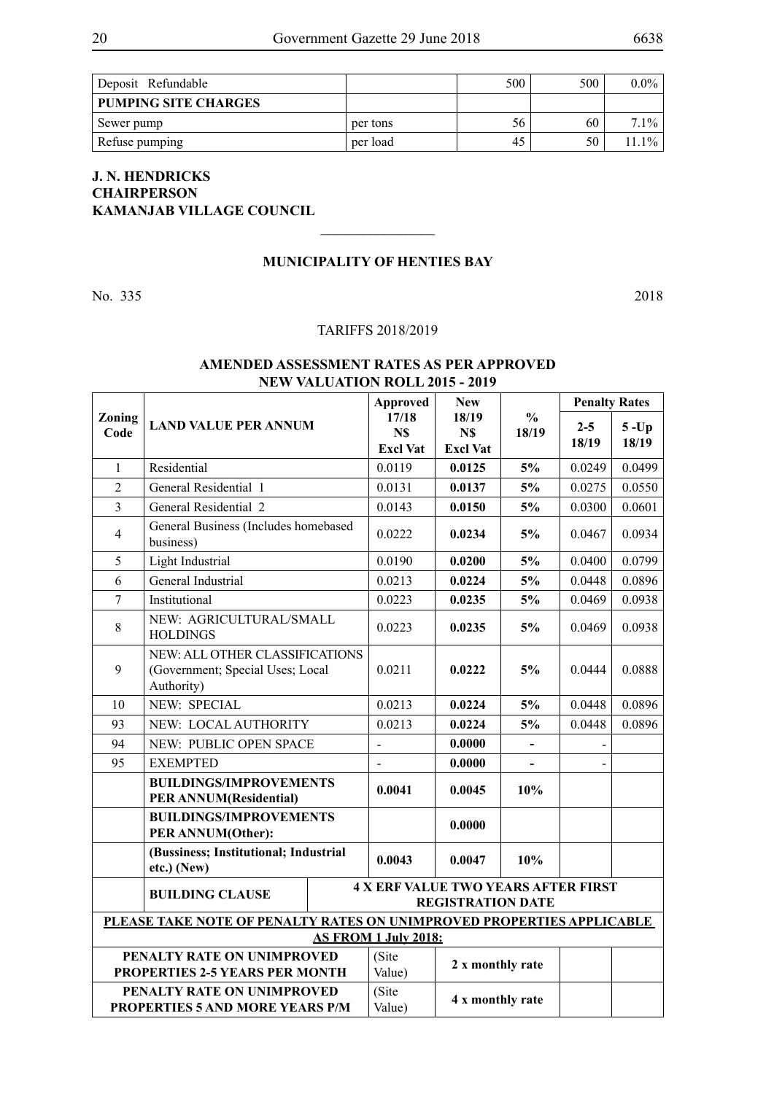| Deposit Refundable                  |          | 500 | 500 | $0.0\%$ |
|-------------------------------------|----------|-----|-----|---------|
| <b>PUMPING SITE CHARGES</b>         |          |     |     |         |
| $\overline{\phantom{a}}$ Sewer pump | per tons | 56  | 60  | $7.1\%$ |
| Refuse pumping                      | per load | 45  | 50  | $1.1\%$ |

#### **J. N. HENDRICKS CHAIRPERSON KAMANJAB VILLAGE COUNCIL**

#### **MUNICIPALITY OF HENTIES BAY**

 $\overline{\phantom{a}}$  , where  $\overline{\phantom{a}}$ 

No. 335 2018

#### TARIFFS 2018/2019

| Zoning         |                                                                                                  |  | <b>Approved</b><br>17/18    | <b>New</b>       | $\frac{0}{0}$<br>18/19 | <b>Penalty Rates</b> |          |
|----------------|--------------------------------------------------------------------------------------------------|--|-----------------------------|------------------|------------------------|----------------------|----------|
| Code           | <b>LAND VALUE PER ANNUM</b>                                                                      |  | N\$                         | N\$              | 18/19                  | $2 - 5$              | $5 - Up$ |
|                |                                                                                                  |  | <b>Excl Vat</b>             | <b>Excl Vat</b>  |                        | 18/19                | 18/19    |
| 1              | Residential                                                                                      |  | 0.0119                      | 0.0125           | 5%                     | 0.0249               | 0.0499   |
| $\overline{2}$ | General Residential 1                                                                            |  | 0.0131                      | 0.0137           | 5%                     | 0.0275               | 0.0550   |
| 3              | General Residential 2                                                                            |  | 0.0143                      | 0.0150           | 5%                     | 0.0300               | 0.0601   |
| $\overline{4}$ | General Business (Includes homebased<br>business)                                                |  | 0.0222                      | 0.0234           | 5%                     | 0.0467               | 0.0934   |
| 5              | Light Industrial                                                                                 |  | 0.0190                      | 0.0200           | 5%                     | 0.0400               | 0.0799   |
| 6              | General Industrial                                                                               |  | 0.0213                      | 0.0224           | 5%                     | 0.0448               | 0.0896   |
| $\overline{7}$ | Institutional                                                                                    |  | 0.0223                      | 0.0235           | 5%                     | 0.0469               | 0.0938   |
| 8              | NEW: AGRICULTURAL/SMALL<br><b>HOLDINGS</b>                                                       |  | 0.0223                      | 0.0235           | 5%                     | 0.0469               | 0.0938   |
| 9              | NEW: ALL OTHER CLASSIFICATIONS<br>(Government; Special Uses; Local<br>Authority)                 |  | 0.0211                      | 0.0222           | 5%                     | 0.0444               | 0.0888   |
| 10             | <b>NEW: SPECIAL</b>                                                                              |  | 0.0213                      | 0.0224           | 5%                     | 0.0448               | 0.0896   |
| 93             | NEW: LOCAL AUTHORITY                                                                             |  | 0.0213                      | 0.0224           | 5%                     | 0.0448               | 0.0896   |
| 94             | NEW: PUBLIC OPEN SPACE                                                                           |  | $\overline{a}$              | 0.0000           | $\blacksquare$         |                      |          |
| 95             | <b>EXEMPTED</b>                                                                                  |  | $\overline{a}$              | 0.0000           |                        |                      |          |
|                | <b>BUILDINGS/IMPROVEMENTS</b><br><b>PER ANNUM(Residential)</b>                                   |  | 0.0041                      | 0.0045           | 10%                    |                      |          |
|                | <b>BUILDINGS/IMPROVEMENTS</b><br>PER ANNUM(Other):                                               |  |                             | 0.0000           |                        |                      |          |
|                | (Bussiness; Institutional; Industrial<br>etc.) (New)                                             |  | 0.0043                      | 0.0047           | 10%                    |                      |          |
|                | <b>4 X ERF VALUE TWO YEARS AFTER FIRST</b><br><b>BUILDING CLAUSE</b><br><b>REGISTRATION DATE</b> |  |                             |                  |                        |                      |          |
|                | PLEASE TAKE NOTE OF PENALTY RATES ON UNIMPROVED PROPERTIES APPLICABLE                            |  |                             |                  |                        |                      |          |
|                |                                                                                                  |  | <b>AS FROM 1 July 2018:</b> |                  |                        |                      |          |
|                | PENALTY RATE ON UNIMPROVED                                                                       |  | (Site                       | 2 x monthly rate |                        |                      |          |
|                | PROPERTIES 2-5 YEARS PER MONTH                                                                   |  | Value)                      |                  |                        |                      |          |
|                | PENALTY RATE ON UNIMPROVED<br>PROPERTIES 5 AND MORE YEARS P/M                                    |  | (Site<br>Value)             | 4 x monthly rate |                        |                      |          |

#### **AMENDED ASSESSMENT RATES AS PER APPROVED NEW VALUATION ROLL 2015 - 2019**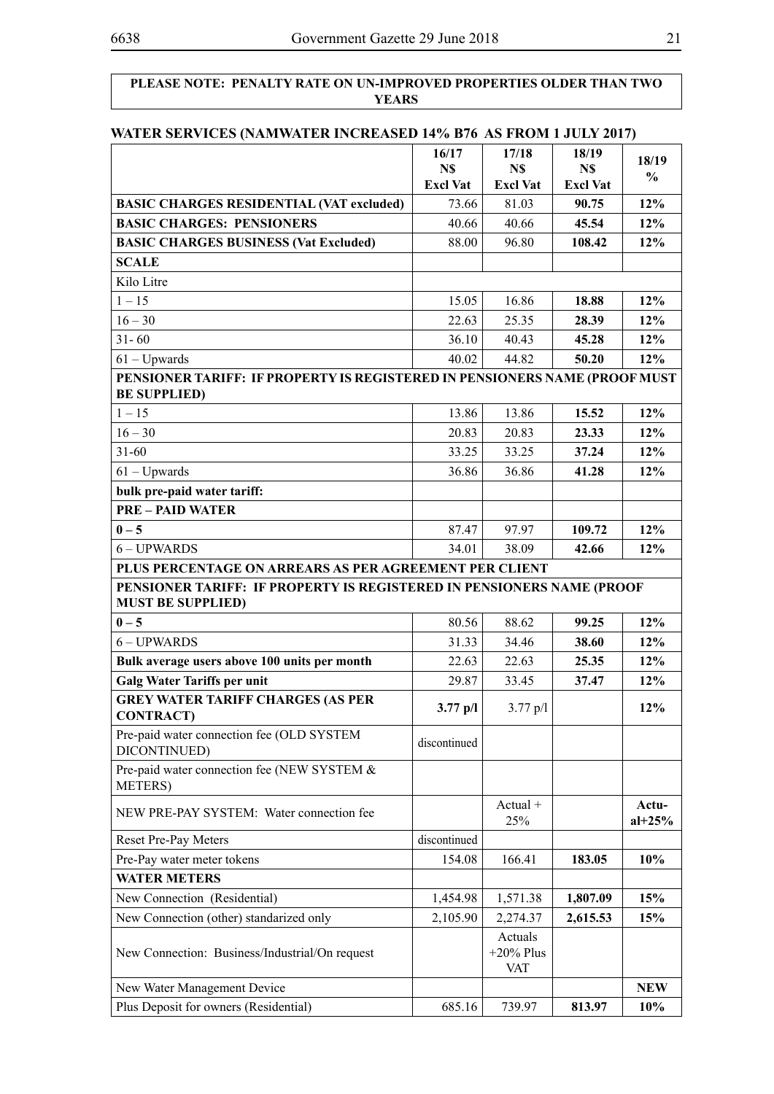#### **PLEASE NOTE: PENALTY RATE ON UN-IMPROVED PROPERTIES OLDER THAN TWO YEARS**

#### **WATER SERVICES (NAMWATER INCREASED 14% B76 AS FROM 1 JULY 2017)**

|                                                                                                   | 16/17<br>N\$    | 17/18<br>N\$                   | 18/19<br>N\$    | 18/19<br>$\frac{0}{0}$ |  |
|---------------------------------------------------------------------------------------------------|-----------------|--------------------------------|-----------------|------------------------|--|
|                                                                                                   | <b>Excl Vat</b> | <b>Excl Vat</b>                | <b>Excl Vat</b> |                        |  |
| <b>BASIC CHARGES RESIDENTIAL (VAT excluded)</b>                                                   | 73.66           | 81.03                          | 90.75           | 12%                    |  |
| <b>BASIC CHARGES: PENSIONERS</b>                                                                  | 40.66           | 40.66                          | 45.54           | 12%                    |  |
| <b>BASIC CHARGES BUSINESS (Vat Excluded)</b>                                                      | 88.00           | 96.80                          | 108.42          | 12%                    |  |
| <b>SCALE</b>                                                                                      |                 |                                |                 |                        |  |
| Kilo Litre                                                                                        |                 |                                |                 |                        |  |
| $1 - 15$                                                                                          | 15.05           | 16.86                          | 18.88           | 12%                    |  |
| $16 - 30$                                                                                         | 22.63           | 25.35                          | 28.39           | 12%                    |  |
| $31 - 60$                                                                                         | 36.10           | 40.43                          | 45.28           | 12%                    |  |
| $61 - Upwards$                                                                                    | 40.02           | 44.82                          | 50.20           | 12%                    |  |
| PENSIONER TARIFF: IF PROPERTY IS REGISTERED IN PENSIONERS NAME (PROOF MUST<br><b>BE SUPPLIED)</b> |                 |                                |                 |                        |  |
| $1 - 15$                                                                                          | 13.86           | 13.86                          | 15.52           | 12%                    |  |
| $16 - 30$                                                                                         | 20.83           | 20.83                          | 23.33           | 12%                    |  |
| $31 - 60$                                                                                         | 33.25           | 33.25                          | 37.24           | 12%                    |  |
| $61 - Upwards$                                                                                    | 36.86           | 36.86                          | 41.28           | 12%                    |  |
| bulk pre-paid water tariff:                                                                       |                 |                                |                 |                        |  |
| <b>PRE - PAID WATER</b>                                                                           |                 |                                |                 |                        |  |
| $0 - 5$                                                                                           | 87.47           | 97.97                          | 109.72          | 12%                    |  |
| 6-UPWARDS                                                                                         | 34.01           | 38.09                          | 42.66           | 12%                    |  |
| PLUS PERCENTAGE ON ARREARS AS PER AGREEMENT PER CLIENT                                            |                 |                                |                 |                        |  |
| PENSIONER TARIFF: IF PROPERTY IS REGISTERED IN PENSIONERS NAME (PROOF<br><b>MUST BE SUPPLIED)</b> |                 |                                |                 |                        |  |
| $0 - 5$                                                                                           | 80.56           | 88.62                          | 99.25           | 12%                    |  |
| 6-UPWARDS                                                                                         | 31.33           | 34.46                          | 38.60           | 12%                    |  |
| Bulk average users above 100 units per month                                                      | 22.63           | 22.63                          | 25.35           | 12%                    |  |
| <b>Galg Water Tariffs per unit</b>                                                                | 29.87           | 33.45                          | 37.47           | 12%                    |  |
| <b>GREY WATER TARIFF CHARGES (AS PER</b><br><b>CONTRACT</b> )                                     | $3.77$ p/l      | $3.77 \text{ p}/1$             |                 | 12%                    |  |
| Pre-paid water connection fee (OLD SYSTEM<br>DICONTINUED)                                         | discontinued    |                                |                 |                        |  |
| Pre-paid water connection fee (NEW SYSTEM &<br>METERS)                                            |                 |                                |                 |                        |  |
| NEW PRE-PAY SYSTEM: Water connection fee                                                          |                 | $Actual +$<br>25%              |                 | Actu-<br>$al+25%$      |  |
| Reset Pre-Pay Meters                                                                              | discontinued    |                                |                 |                        |  |
| Pre-Pay water meter tokens                                                                        | 154.08          | 166.41                         | 183.05          | 10%                    |  |
| <b>WATER METERS</b>                                                                               |                 |                                |                 |                        |  |
| New Connection (Residential)                                                                      | 1,454.98        | 1,571.38                       | 1,807.09        | 15%                    |  |
| New Connection (other) standarized only                                                           | 2,105.90        | 2,274.37                       | 2,615.53        | 15%                    |  |
| New Connection: Business/Industrial/On request                                                    |                 | Actuals<br>$+20\%$ Plus<br>VAT |                 |                        |  |
| New Water Management Device                                                                       |                 |                                |                 | <b>NEW</b>             |  |
| Plus Deposit for owners (Residential)                                                             | 685.16          | 739.97                         | 813.97          | 10%                    |  |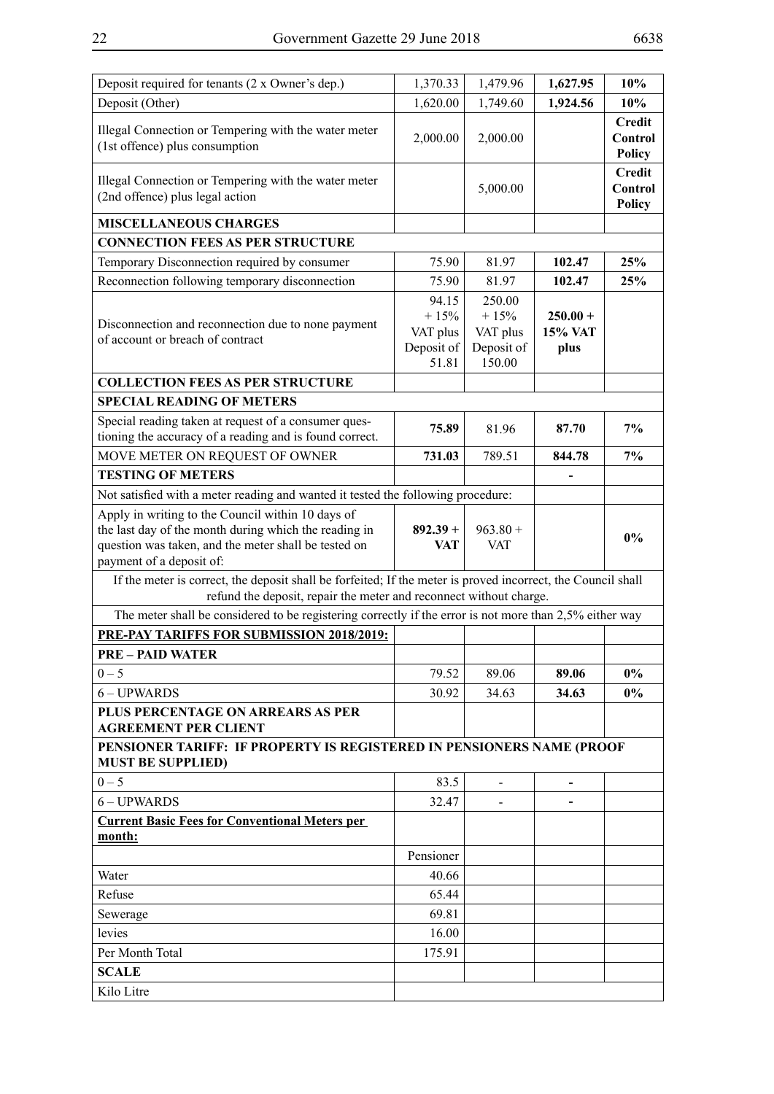| Deposit required for tenants (2 x Owner's dep.)                                                                                                                                                | 1,370.33                                           | 1,479.96                                             | 1,627.95                             | 10%                                       |
|------------------------------------------------------------------------------------------------------------------------------------------------------------------------------------------------|----------------------------------------------------|------------------------------------------------------|--------------------------------------|-------------------------------------------|
| Deposit (Other)                                                                                                                                                                                | 1,620.00                                           | 1,749.60                                             | 1,924.56                             | 10%                                       |
| Illegal Connection or Tempering with the water meter<br>(1st offence) plus consumption                                                                                                         | 2,000.00                                           | 2,000.00                                             |                                      | <b>Credit</b><br>Control<br>Policy        |
| Illegal Connection or Tempering with the water meter<br>(2nd offence) plus legal action                                                                                                        |                                                    | 5,000.00                                             |                                      | <b>Credit</b><br>Control<br><b>Policy</b> |
| <b>MISCELLANEOUS CHARGES</b>                                                                                                                                                                   |                                                    |                                                      |                                      |                                           |
| <b>CONNECTION FEES AS PER STRUCTURE</b>                                                                                                                                                        |                                                    |                                                      |                                      |                                           |
| Temporary Disconnection required by consumer                                                                                                                                                   | 75.90                                              | 81.97                                                | 102.47                               | 25%                                       |
| Reconnection following temporary disconnection                                                                                                                                                 | 75.90                                              | 81.97                                                | 102.47                               | 25%                                       |
| Disconnection and reconnection due to none payment<br>of account or breach of contract                                                                                                         | 94.15<br>$+15%$<br>VAT plus<br>Deposit of<br>51.81 | 250.00<br>$+15%$<br>VAT plus<br>Deposit of<br>150.00 | $250.00 +$<br><b>15% VAT</b><br>plus |                                           |
| <b>COLLECTION FEES AS PER STRUCTURE</b>                                                                                                                                                        |                                                    |                                                      |                                      |                                           |
| <b>SPECIAL READING OF METERS</b>                                                                                                                                                               |                                                    |                                                      |                                      |                                           |
| Special reading taken at request of a consumer ques-<br>tioning the accuracy of a reading and is found correct.                                                                                | 75.89                                              | 81.96                                                | 87.70                                | 7%                                        |
| MOVE METER ON REQUEST OF OWNER                                                                                                                                                                 | 731.03                                             | 789.51                                               | 844.78                               | 7%                                        |
| <b>TESTING OF METERS</b>                                                                                                                                                                       |                                                    |                                                      |                                      |                                           |
| Not satisfied with a meter reading and wanted it tested the following procedure:                                                                                                               |                                                    |                                                      |                                      |                                           |
| Apply in writing to the Council within 10 days of<br>the last day of the month during which the reading in<br>question was taken, and the meter shall be tested on<br>payment of a deposit of: | $892.39 +$<br><b>VAT</b>                           | $963.80 +$<br><b>VAT</b>                             |                                      | $0\%$                                     |
| If the meter is correct, the deposit shall be forfeited; If the meter is proved incorrect, the Council shall<br>refund the deposit, repair the meter and reconnect without charge.             |                                                    |                                                      |                                      |                                           |
| The meter shall be considered to be registering correctly if the error is not more than 2,5% either way                                                                                        |                                                    |                                                      |                                      |                                           |
| PRE-PAY TARIFFS FOR SUBMISSION 2018/2019:                                                                                                                                                      |                                                    |                                                      |                                      |                                           |
| <b>PRE - PAID WATER</b>                                                                                                                                                                        |                                                    |                                                      |                                      |                                           |
| $0 - 5$                                                                                                                                                                                        | 79.52                                              | 89.06                                                | 89.06                                | $0\%$                                     |
| 6 - UPWARDS                                                                                                                                                                                    | 30.92                                              | 34.63                                                | 34.63                                | $0\%$                                     |
| PLUS PERCENTAGE ON ARREARS AS PER<br><b>AGREEMENT PER CLIENT</b>                                                                                                                               |                                                    |                                                      |                                      |                                           |
| PENSIONER TARIFF: IF PROPERTY IS REGISTERED IN PENSIONERS NAME (PROOF<br><b>MUST BE SUPPLIED)</b>                                                                                              |                                                    |                                                      |                                      |                                           |
| $0 - 5$                                                                                                                                                                                        | 83.5                                               |                                                      |                                      |                                           |
| 6 - UPWARDS                                                                                                                                                                                    | 32.47                                              |                                                      |                                      |                                           |
| <b>Current Basic Fees for Conventional Meters per</b>                                                                                                                                          |                                                    |                                                      |                                      |                                           |
| month:                                                                                                                                                                                         |                                                    |                                                      |                                      |                                           |
|                                                                                                                                                                                                | Pensioner                                          |                                                      |                                      |                                           |
| Water                                                                                                                                                                                          | 40.66                                              |                                                      |                                      |                                           |
| Refuse                                                                                                                                                                                         | 65.44                                              |                                                      |                                      |                                           |
| Sewerage<br>levies                                                                                                                                                                             | 69.81<br>16.00                                     |                                                      |                                      |                                           |
| Per Month Total                                                                                                                                                                                | 175.91                                             |                                                      |                                      |                                           |
| <b>SCALE</b>                                                                                                                                                                                   |                                                    |                                                      |                                      |                                           |
| Kilo Litre                                                                                                                                                                                     |                                                    |                                                      |                                      |                                           |
|                                                                                                                                                                                                |                                                    |                                                      |                                      |                                           |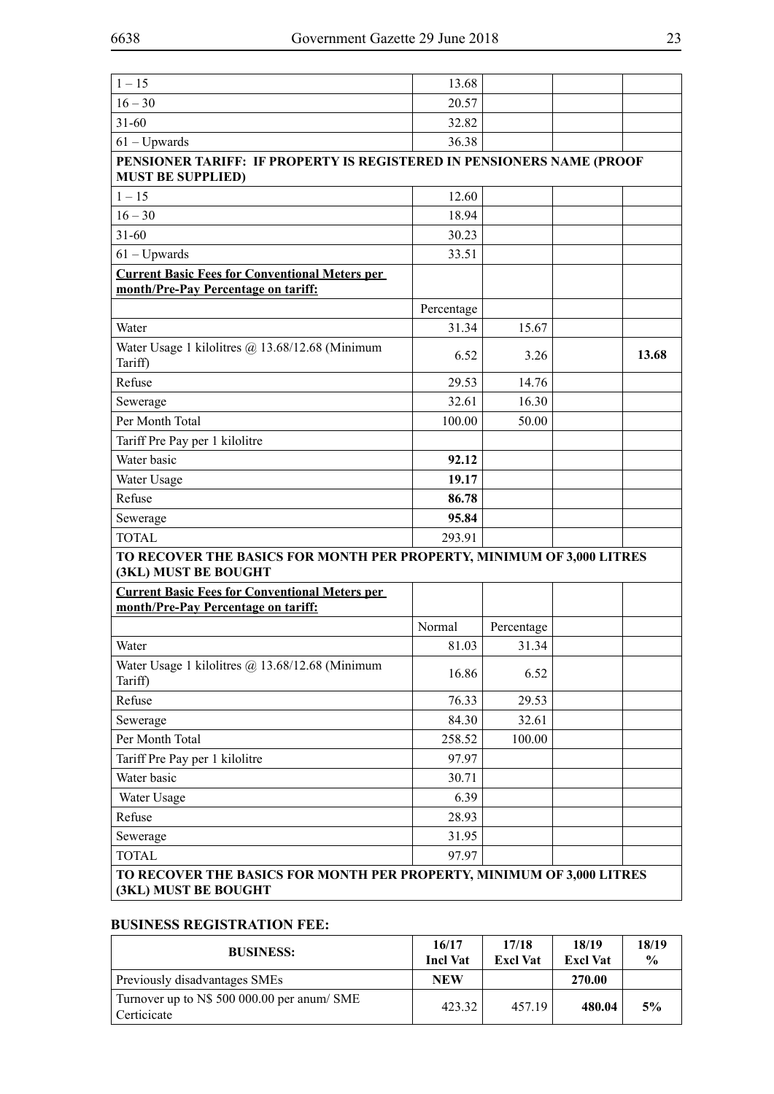| $1 - 15$                                                                                      | 13.68      |            |       |
|-----------------------------------------------------------------------------------------------|------------|------------|-------|
| $16 - 30$                                                                                     | 20.57      |            |       |
| $31 - 60$                                                                                     | 32.82      |            |       |
| $61 - Upwards$                                                                                | 36.38      |            |       |
| PENSIONER TARIFF: IF PROPERTY IS REGISTERED IN PENSIONERS NAME (PROOF                         |            |            |       |
| <b>MUST BE SUPPLIED)</b>                                                                      |            |            |       |
| $1 - 15$                                                                                      | 12.60      |            |       |
| $16 - 30$                                                                                     | 18.94      |            |       |
| $31 - 60$                                                                                     | 30.23      |            |       |
| $61 - Upwards$                                                                                | 33.51      |            |       |
| <b>Current Basic Fees for Conventional Meters per</b>                                         |            |            |       |
| month/Pre-Pay Percentage on tariff:                                                           |            |            |       |
|                                                                                               | Percentage |            |       |
| Water                                                                                         | 31.34      | 15.67      |       |
| Water Usage 1 kilolitres @ 13.68/12.68 (Minimum<br>Tariff)                                    | 6.52       | 3.26       | 13.68 |
| Refuse                                                                                        | 29.53      | 14.76      |       |
| Sewerage                                                                                      | 32.61      | 16.30      |       |
| Per Month Total                                                                               | 100.00     | 50.00      |       |
| Tariff Pre Pay per 1 kilolitre                                                                |            |            |       |
| Water basic                                                                                   | 92.12      |            |       |
| Water Usage                                                                                   | 19.17      |            |       |
| Refuse                                                                                        | 86.78      |            |       |
| Sewerage                                                                                      | 95.84      |            |       |
| <b>TOTAL</b>                                                                                  | 293.91     |            |       |
| TO RECOVER THE BASICS FOR MONTH PER PROPERTY, MINIMUM OF 3,000 LITRES<br>(3KL) MUST BE BOUGHT |            |            |       |
| <b>Current Basic Fees for Conventional Meters per</b>                                         |            |            |       |
| month/Pre-Pay Percentage on tariff:                                                           |            |            |       |
|                                                                                               | Normal     | Percentage |       |
| Water                                                                                         | 81.03      | 31.34      |       |
| Water Usage 1 kilolitres @ 13.68/12.68 (Minimum<br>Tariff)                                    | 16.86      | 6.52       |       |
| Refuse                                                                                        | 76.33      | 29.53      |       |
| Sewerage                                                                                      | 84.30      | 32.61      |       |
| Per Month Total                                                                               | 258.52     | 100.00     |       |
| Tariff Pre Pay per 1 kilolitre                                                                | 97.97      |            |       |
| Water basic                                                                                   | 30.71      |            |       |
| Water Usage                                                                                   | 6.39       |            |       |
| Refuse                                                                                        | 28.93      |            |       |
| Sewerage                                                                                      | 31.95      |            |       |
| <b>TOTAL</b>                                                                                  | 97.97      |            |       |
| TO RECOVER THE BASICS FOR MONTH PER PROPERTY, MINIMUM OF 3,000 LITRES                         |            |            |       |
| (3KL) MUST BE BOUGHT                                                                          |            |            |       |

#### **BUSINESS REGISTRATION FEE:**

| <b>BUSINESS:</b>                                           | 16/17<br><b>Incl Vat</b> | 17/18<br><b>Excl Vat</b> | 18/19<br><b>Excl Vat</b> | 18/19<br>$\frac{0}{0}$ |
|------------------------------------------------------------|--------------------------|--------------------------|--------------------------|------------------------|
| Previously disadvantages SMEs                              | <b>NEW</b>               |                          | 270.00                   |                        |
| Turnover up to N\$ 500 000.00 per anum/ SME<br>Certicicate | 423.32                   | 457.19                   | 480.04                   | 5%                     |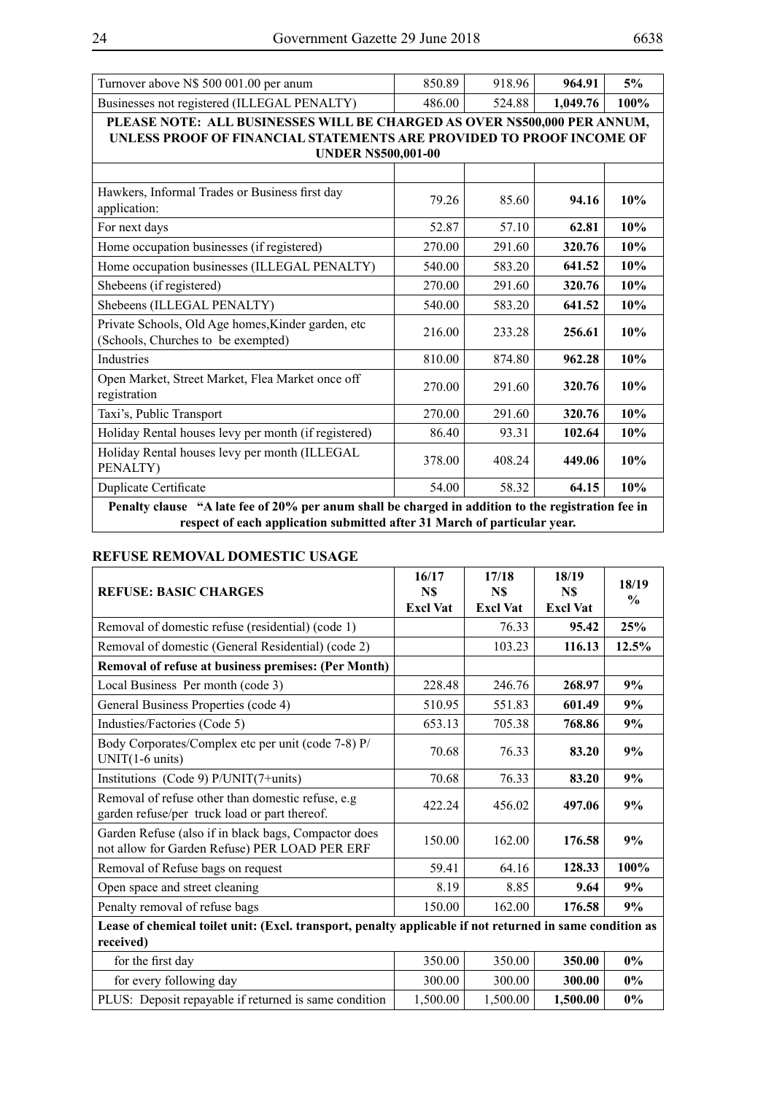| Turnover above N\$ 500 001.00 per anum                                                                                                                                          | 850.89 | 918.96 | 964.91   | 5%   |  |  |  |
|---------------------------------------------------------------------------------------------------------------------------------------------------------------------------------|--------|--------|----------|------|--|--|--|
| Businesses not registered (ILLEGAL PENALTY)                                                                                                                                     | 486.00 | 524.88 | 1,049.76 | 100% |  |  |  |
| PLEASE NOTE: ALL BUSINESSES WILL BE CHARGED AS OVER N\$500,000 PER ANNUM,<br>UNLESS PROOF OF FINANCIAL STATEMENTS ARE PROVIDED TO PROOF INCOME OF<br><b>UNDER N\$500,001-00</b> |        |        |          |      |  |  |  |
|                                                                                                                                                                                 |        |        |          |      |  |  |  |
| Hawkers, Informal Trades or Business first day<br>application:                                                                                                                  | 79.26  | 85.60  | 94.16    | 10%  |  |  |  |
| For next days                                                                                                                                                                   | 52.87  | 57.10  | 62.81    | 10%  |  |  |  |
| Home occupation businesses (if registered)                                                                                                                                      | 270.00 | 291.60 | 320.76   | 10%  |  |  |  |
| Home occupation businesses (ILLEGAL PENALTY)                                                                                                                                    | 540.00 | 583.20 | 641.52   | 10%  |  |  |  |
| Shebeens (if registered)                                                                                                                                                        | 270.00 | 291.60 | 320.76   | 10%  |  |  |  |
| Shebeens (ILLEGAL PENALTY)                                                                                                                                                      | 540.00 | 583.20 | 641.52   | 10%  |  |  |  |
| Private Schools, Old Age homes, Kinder garden, etc<br>(Schools, Churches to be exempted)                                                                                        | 216.00 | 233.28 | 256.61   | 10%  |  |  |  |
| Industries                                                                                                                                                                      | 810.00 | 874.80 | 962.28   | 10%  |  |  |  |
| Open Market, Street Market, Flea Market once off<br>registration                                                                                                                | 270.00 | 291.60 | 320.76   | 10%  |  |  |  |
| Taxi's, Public Transport                                                                                                                                                        | 270.00 | 291.60 | 320.76   | 10%  |  |  |  |
| Holiday Rental houses levy per month (if registered)                                                                                                                            | 86.40  | 93.31  | 102.64   | 10%  |  |  |  |
| Holiday Rental houses levy per month (ILLEGAL<br>PENALTY)                                                                                                                       | 378.00 | 408.24 | 449.06   | 10%  |  |  |  |
| <b>Duplicate Certificate</b>                                                                                                                                                    | 54.00  | 58.32  | 64.15    | 10%  |  |  |  |

**Penalty clause "A late fee of 20% per anum shall be charged in addition to the registration fee in respect of each application submitted after 31 March of particular year.**

#### **REFUSE REMOVAL DOMESTIC USAGE**

| <b>REFUSE: BASIC CHARGES</b>                                                                                          | 16/17<br>N\$<br><b>Excl Vat</b> | 17/18<br>N\$<br><b>Excl Vat</b> | 18/19<br>N\$<br><b>Excl Vat</b> | 18/19<br>$\frac{0}{0}$ |  |  |
|-----------------------------------------------------------------------------------------------------------------------|---------------------------------|---------------------------------|---------------------------------|------------------------|--|--|
| Removal of domestic refuse (residential) (code 1)                                                                     |                                 | 76.33                           | 95.42                           | 25%                    |  |  |
| Removal of domestic (General Residential) (code 2)                                                                    |                                 | 103.23                          | 116.13                          | 12.5%                  |  |  |
| Removal of refuse at business premises: (Per Month)                                                                   |                                 |                                 |                                 |                        |  |  |
| Local Business Per month (code 3)                                                                                     | 228.48                          | 246.76                          | 268.97                          | 9%                     |  |  |
| General Business Properties (code 4)                                                                                  | 510.95                          | 551.83                          | 601.49                          | 9%                     |  |  |
| Industies/Factories (Code 5)                                                                                          | 653.13                          | 705.38                          | 768.86                          | 9%                     |  |  |
| Body Corporates/Complex etc per unit (code 7-8) P/<br>$UNIT(1-6 units)$                                               | 70.68                           | 76.33                           | 83.20                           | 9%                     |  |  |
| Institutions (Code 9) $P/UNIT(7+units)$                                                                               | 70.68                           | 76.33                           | 83.20                           | 9%                     |  |  |
| Removal of refuse other than domestic refuse, e.g.<br>garden refuse/per truck load or part thereof.                   | 422.24                          | 456.02                          | 497.06                          | 9%                     |  |  |
| Garden Refuse (also if in black bags, Compactor does<br>not allow for Garden Refuse) PER LOAD PER ERF                 | 150.00                          | 162.00                          | 176.58                          | 9%                     |  |  |
| Removal of Refuse bags on request                                                                                     | 59.41                           | 64.16                           | 128.33                          | 100%                   |  |  |
| Open space and street cleaning                                                                                        | 8.19                            | 8.85                            | 9.64                            | 9%                     |  |  |
| Penalty removal of refuse bags                                                                                        | 150.00                          | 162.00                          | 176.58                          | 9%                     |  |  |
| Lease of chemical toilet unit: (Excl. transport, penalty applicable if not returned in same condition as<br>received) |                                 |                                 |                                 |                        |  |  |
| for the first day                                                                                                     | 350.00                          | 350.00                          | 350.00                          | $0\%$                  |  |  |
| for every following day                                                                                               | 300.00                          | 300.00                          | 300.00                          | $0\%$                  |  |  |
| PLUS: Deposit repayable if returned is same condition                                                                 | 1,500.00                        | 1,500.00                        | 1,500.00                        | $0\%$                  |  |  |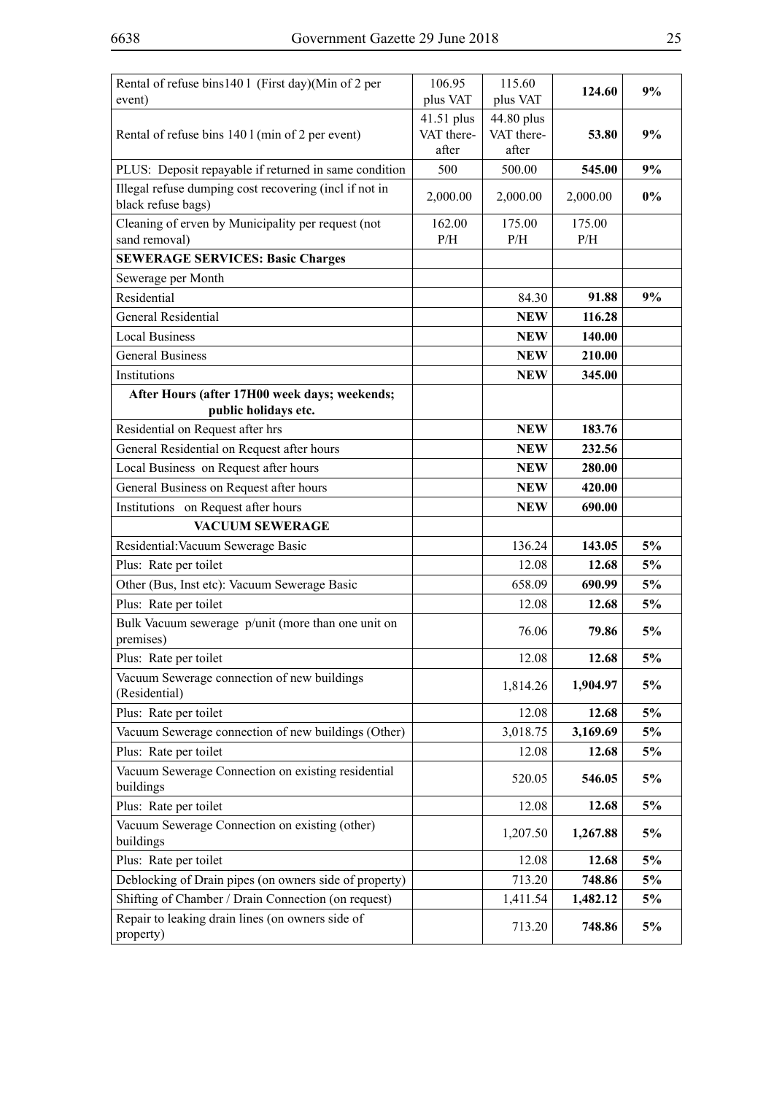| Rental of refuse bins140 1 (First day)(Min of 2 per<br>event)                | 106.95<br>plus VAT                | 115.60<br>plus VAT                | 124.60        | 9%    |
|------------------------------------------------------------------------------|-----------------------------------|-----------------------------------|---------------|-------|
| Rental of refuse bins 140 l (min of 2 per event)                             | 41.51 plus<br>VAT there-<br>after | 44.80 plus<br>VAT there-<br>after | 53.80         | 9%    |
| PLUS: Deposit repayable if returned in same condition                        | 500                               | 500.00                            | 545.00        | 9%    |
| Illegal refuse dumping cost recovering (incl if not in<br>black refuse bags) | 2,000.00                          | 2,000.00                          | 2,000.00      | $0\%$ |
| Cleaning of erven by Municipality per request (not<br>sand removal)          | 162.00<br>P/H                     | 175.00<br>P/H                     | 175.00<br>P/H |       |
| <b>SEWERAGE SERVICES: Basic Charges</b>                                      |                                   |                                   |               |       |
| Sewerage per Month                                                           |                                   |                                   |               |       |
| Residential                                                                  |                                   | 84.30                             | 91.88         | 9%    |
| <b>General Residential</b>                                                   |                                   | <b>NEW</b>                        | 116.28        |       |
| <b>Local Business</b>                                                        |                                   | <b>NEW</b>                        | 140.00        |       |
| General Business                                                             |                                   | <b>NEW</b>                        | 210.00        |       |
| Institutions                                                                 |                                   | <b>NEW</b>                        | 345.00        |       |
| After Hours (after 17H00 week days; weekends;<br>public holidays etc.        |                                   |                                   |               |       |
| Residential on Request after hrs                                             |                                   | <b>NEW</b>                        | 183.76        |       |
| General Residential on Request after hours                                   |                                   | <b>NEW</b>                        | 232.56        |       |
| Local Business on Request after hours                                        |                                   | <b>NEW</b>                        | 280.00        |       |
| General Business on Request after hours                                      |                                   | <b>NEW</b>                        | 420.00        |       |
| Institutions on Request after hours                                          |                                   | <b>NEW</b>                        | 690.00        |       |
| <b>VACUUM SEWERAGE</b>                                                       |                                   |                                   |               |       |
| Residential: Vacuum Sewerage Basic                                           |                                   | 136.24                            | 143.05        | 5%    |
| Plus: Rate per toilet                                                        |                                   | 12.08                             | 12.68         | 5%    |
| Other (Bus, Inst etc): Vacuum Sewerage Basic                                 |                                   | 658.09                            | 690.99        | 5%    |
| Plus: Rate per toilet                                                        |                                   | 12.08                             | 12.68         | 5%    |
| Bulk Vacuum sewerage p/unit (more than one unit on<br>premises)              |                                   | 76.06                             | 79.86         | 5%    |
| Plus: Rate per toilet                                                        |                                   | 12.08                             | 12.68         | 5%    |
| Vacuum Sewerage connection of new buildings<br>(Residential)                 |                                   | 1,814.26                          | 1,904.97      | 5%    |
| Plus: Rate per toilet                                                        |                                   | 12.08                             | 12.68         | 5%    |
| Vacuum Sewerage connection of new buildings (Other)                          |                                   | 3,018.75                          | 3,169.69      | 5%    |
| Plus: Rate per toilet                                                        |                                   | 12.08                             | 12.68         | 5%    |
| Vacuum Sewerage Connection on existing residential<br>buildings              |                                   | 520.05                            | 546.05        | 5%    |
| Plus: Rate per toilet                                                        |                                   | 12.08                             | 12.68         | 5%    |
| Vacuum Sewerage Connection on existing (other)<br>buildings                  |                                   | 1,207.50                          | 1,267.88      | 5%    |
| Plus: Rate per toilet                                                        |                                   | 12.08                             | 12.68         | 5%    |
| Deblocking of Drain pipes (on owners side of property)                       |                                   | 713.20                            | 748.86        | 5%    |
| Shifting of Chamber / Drain Connection (on request)                          |                                   | 1,411.54                          | 1,482.12      | 5%    |
| Repair to leaking drain lines (on owners side of<br>property)                |                                   | 713.20                            | 748.86        | 5%    |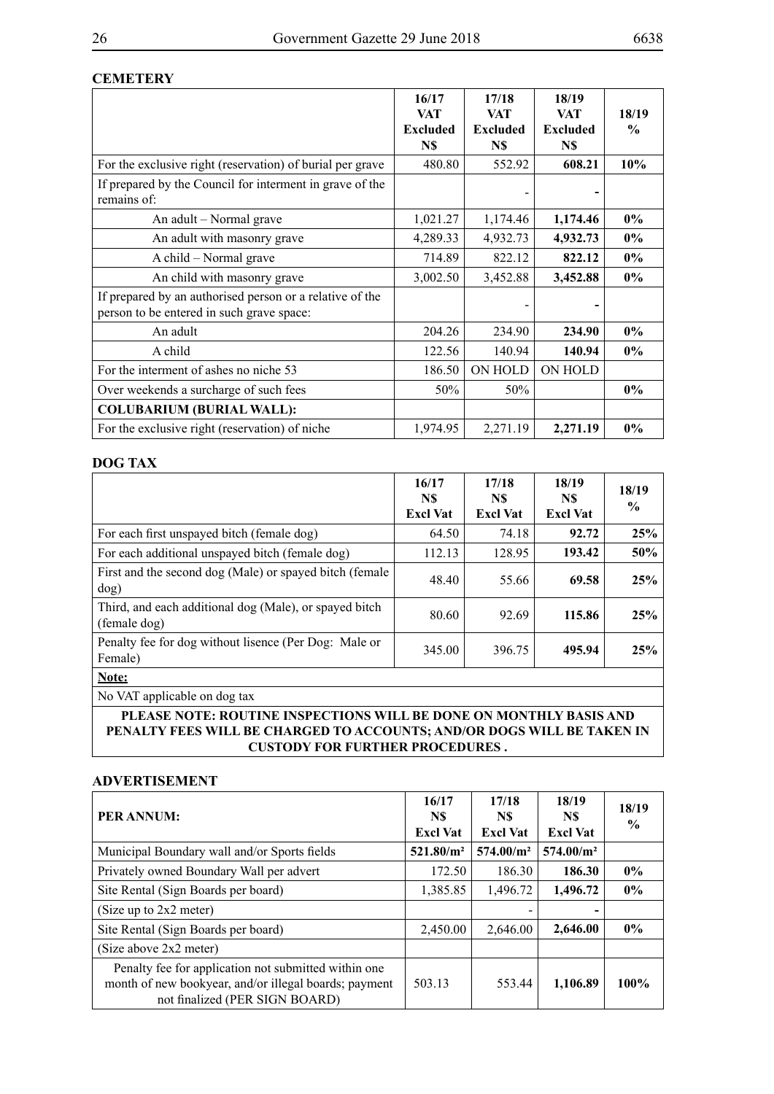#### **CEMETERY**

|                                                                                                       | 16/17<br><b>VAT</b>    | 17/18<br>VAT           | 18/19<br><b>VAT</b>    | 18/19         |
|-------------------------------------------------------------------------------------------------------|------------------------|------------------------|------------------------|---------------|
|                                                                                                       | <b>Excluded</b><br>N\$ | <b>Excluded</b><br>N\$ | <b>Excluded</b><br>N\$ | $\frac{0}{0}$ |
| For the exclusive right (reservation) of burial per grave                                             | 480.80                 | 552.92                 | 608.21                 | 10%           |
| If prepared by the Council for interment in grave of the<br>remains of:                               |                        |                        |                        |               |
| An adult – Normal grave                                                                               | 1,021.27               | 1,174.46               | 1,174.46               | $0\%$         |
| An adult with masonry grave                                                                           | 4,289.33               | 4,932.73               | 4,932.73               | $0\%$         |
| A child – Normal grave                                                                                | 714.89                 | 822.12                 | 822.12                 | $0\%$         |
| An child with masonry grave                                                                           | 3,002.50               | 3,452.88               | 3,452.88               | $0\%$         |
| If prepared by an authorised person or a relative of the<br>person to be entered in such grave space: |                        |                        |                        |               |
| An adult                                                                                              | 204.26                 | 234.90                 | 234.90                 | $0\%$         |
| A child                                                                                               | 122.56                 | 140.94                 | 140.94                 | $0\%$         |
| For the interment of ashes no niche 53                                                                | 186.50                 | ON HOLD                | ON HOLD                |               |
| Over weekends a surcharge of such fees                                                                | 50%                    | 50%                    |                        | $0\%$         |
| <b>COLUBARIUM (BURIAL WALL):</b>                                                                      |                        |                        |                        |               |
| For the exclusive right (reservation) of niche                                                        | 1,974.95               | 2,271.19               | 2,271.19               | $0\%$         |

#### **DOG TAX**

|                                                                        | 16/17<br>N\$<br><b>Excl Vat</b> | 17/18<br>N\$<br><b>Excl Vat</b> | 18/19<br>N\$<br><b>Excl Vat</b> | 18/19<br>$\frac{6}{9}$ |
|------------------------------------------------------------------------|---------------------------------|---------------------------------|---------------------------------|------------------------|
| For each first unspayed bitch (female dog)                             | 64.50                           | 74.18                           | 92.72                           | 25%                    |
| For each additional unspayed bitch (female dog)                        | 112.13                          | 128.95                          | 193.42                          | 50%                    |
| First and the second dog (Male) or spayed bitch (female<br>dog)        | 48.40                           | 55.66                           | 69.58                           | 25%                    |
| Third, and each additional dog (Male), or spayed bitch<br>(female dog) | 80.60                           | 92.69                           | 115.86                          | 25%                    |
| Penalty fee for dog without lisence (Per Dog: Male or<br>Female)       | 345.00                          | 396.75                          | 495.94                          | 25%                    |
| Note:                                                                  |                                 |                                 |                                 |                        |

No VAT applicable on dog tax

**PLEASE NOTE: ROUTINE INSPECTIONS WILL BE DONE ON MONTHLY BASIS AND PENALTY FEES WILL BE CHARGED TO ACCOUNTS; AND/OR DOGS WILL BE TAKEN IN CUSTODY FOR FURTHER PROCEDURES .**

#### **ADVERTISEMENT**

| PER ANNUM:                                                                                                                                      | 16/17<br>N\$<br><b>Excl Vat</b> | 17/18<br>N\$<br><b>Excl Vat</b> | 18/19<br>N\$<br><b>Excl Vat</b> | 18/19<br>$\frac{6}{9}$ |
|-------------------------------------------------------------------------------------------------------------------------------------------------|---------------------------------|---------------------------------|---------------------------------|------------------------|
| Municipal Boundary wall and/or Sports fields                                                                                                    | 521.80/m <sup>2</sup>           | 574.00/m <sup>2</sup>           | 574.00/m <sup>2</sup>           |                        |
| Privately owned Boundary Wall per advert                                                                                                        | 172.50                          | 186.30                          | 186.30                          | $0\%$                  |
| Site Rental (Sign Boards per board)                                                                                                             | 1,385.85                        | 1,496.72                        | 1,496.72                        | $0\%$                  |
| (Size up to 2x2 meter)                                                                                                                          |                                 |                                 |                                 |                        |
| Site Rental (Sign Boards per board)                                                                                                             | 2,450.00                        | 2,646.00                        | 2,646.00                        | $0\%$                  |
| (Size above 2x2 meter)                                                                                                                          |                                 |                                 |                                 |                        |
| Penalty fee for application not submitted within one<br>month of new bookyear, and/or illegal boards; payment<br>not finalized (PER SIGN BOARD) | 503.13                          | 553.44                          | 1,106.89                        | $100\%$                |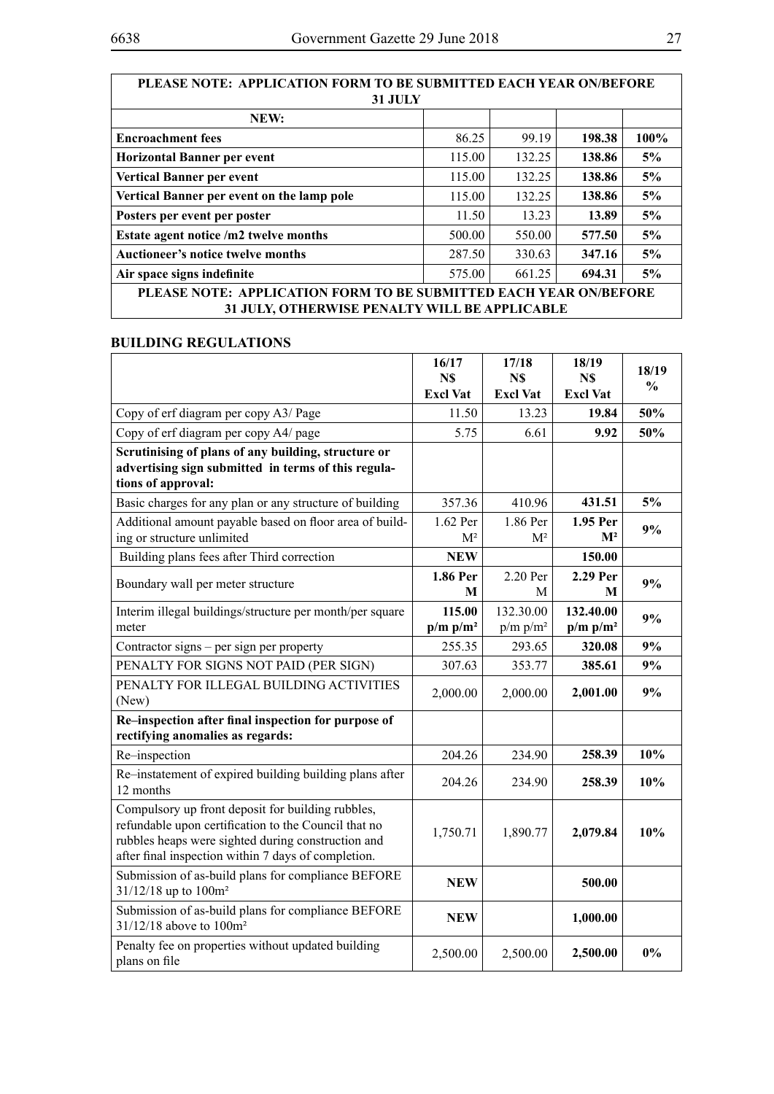| PLEASE NOTE: APPLICATION FORM TO BE SUBMITTED EACH YEAR ON/BEFORE                                                  |        |        |        |      |
|--------------------------------------------------------------------------------------------------------------------|--------|--------|--------|------|
| <b>31 JULY</b>                                                                                                     |        |        |        |      |
| NEW:                                                                                                               |        |        |        |      |
| <b>Encroachment</b> fees                                                                                           | 86.25  | 99.19  | 198.38 | 100% |
| <b>Horizontal Banner per event</b>                                                                                 | 115.00 | 132.25 | 138.86 | 5%   |
| <b>Vertical Banner per event</b>                                                                                   | 115.00 | 132.25 | 138.86 | 5%   |
| Vertical Banner per event on the lamp pole                                                                         | 115.00 | 132.25 | 138.86 | 5%   |
| Posters per event per poster                                                                                       | 11.50  | 13.23  | 13.89  | 5%   |
| Estate agent notice /m2 twelve months                                                                              | 500.00 | 550.00 | 577.50 | 5%   |
| <b>Auctioneer's notice twelve months</b>                                                                           | 287.50 | 330.63 | 347.16 | 5%   |
| Air space signs indefinite                                                                                         | 575.00 | 661.25 | 694.31 | 5%   |
| PLEASE NOTE: APPLICATION FORM TO BE SUBMITTED EACH YEAR ON/BEFORE<br>31 JULY, OTHERWISE PENALTY WILL BE APPLICABLE |        |        |        |      |
|                                                                                                                    |        |        |        |      |

### **BUILDING REGULATIONS**

|                                                                                                                                                                                                                        | 16/17<br>N\$<br><b>Excl Vat</b> | 17/18<br>N\$<br><b>Excl Vat</b> | 18/19<br>N\$<br><b>Excl Vat</b> | 18/19<br>$\%$ |
|------------------------------------------------------------------------------------------------------------------------------------------------------------------------------------------------------------------------|---------------------------------|---------------------------------|---------------------------------|---------------|
| Copy of erf diagram per copy A3/ Page                                                                                                                                                                                  | 11.50                           | 13.23                           | 19.84                           | 50%           |
| Copy of erf diagram per copy A4/ page                                                                                                                                                                                  | 5.75                            | 6.61                            | 9.92                            | 50%           |
| Scrutinising of plans of any building, structure or<br>advertising sign submitted in terms of this regula-<br>tions of approval:                                                                                       |                                 |                                 |                                 |               |
| Basic charges for any plan or any structure of building                                                                                                                                                                | 357.36                          | 410.96                          | 431.51                          | 5%            |
| Additional amount payable based on floor area of build-<br>ing or structure unlimited                                                                                                                                  | 1.62 Per<br>M <sup>2</sup>      | 1.86 Per<br>$M^2$               | 1.95 Per<br>$\mathbf{M}^2$      | 9%            |
| Building plans fees after Third correction                                                                                                                                                                             | <b>NEW</b>                      |                                 | 150.00                          |               |
| Boundary wall per meter structure                                                                                                                                                                                      | 1.86 Per<br>M                   | 2.20 Per<br>М                   | 2.29 Per<br>М                   | 9%            |
| Interim illegal buildings/structure per month/per square<br>meter                                                                                                                                                      | 115.00<br>$p/m p/m^2$           | 132.30.00<br>$p/m p/m^2$        | 132.40.00<br>$p/m p/m^2$        | 9%            |
| Contractor signs – per sign per property                                                                                                                                                                               | 255.35                          | 293.65                          | 320.08                          | 9%            |
| PENALTY FOR SIGNS NOT PAID (PER SIGN)                                                                                                                                                                                  | 307.63                          | 353.77                          | 385.61                          | 9%            |
| PENALTY FOR ILLEGAL BUILDING ACTIVITIES<br>(New)                                                                                                                                                                       | 2,000.00                        | 2,000.00                        | 2,001.00                        | 9%            |
| Re-inspection after final inspection for purpose of<br>rectifying anomalies as regards:                                                                                                                                |                                 |                                 |                                 |               |
| Re-inspection                                                                                                                                                                                                          | 204.26                          | 234.90                          | 258.39                          | 10%           |
| Re-instatement of expired building building plans after<br>12 months                                                                                                                                                   | 204.26                          | 234.90                          | 258.39                          | 10%           |
| Compulsory up front deposit for building rubbles,<br>refundable upon certification to the Council that no<br>rubbles heaps were sighted during construction and<br>after final inspection within 7 days of completion. | 1,750.71                        | 1,890.77                        | 2,079.84                        | 10%           |
| Submission of as-build plans for compliance BEFORE<br>31/12/18 up to 100m <sup>2</sup>                                                                                                                                 | <b>NEW</b>                      |                                 | 500.00                          |               |
| Submission of as-build plans for compliance BEFORE<br>31/12/18 above to 100m <sup>2</sup>                                                                                                                              | <b>NEW</b>                      |                                 | 1,000.00                        |               |
| Penalty fee on properties without updated building<br>plans on file                                                                                                                                                    | 2,500.00                        | 2,500.00                        | 2,500.00                        | $0\%$         |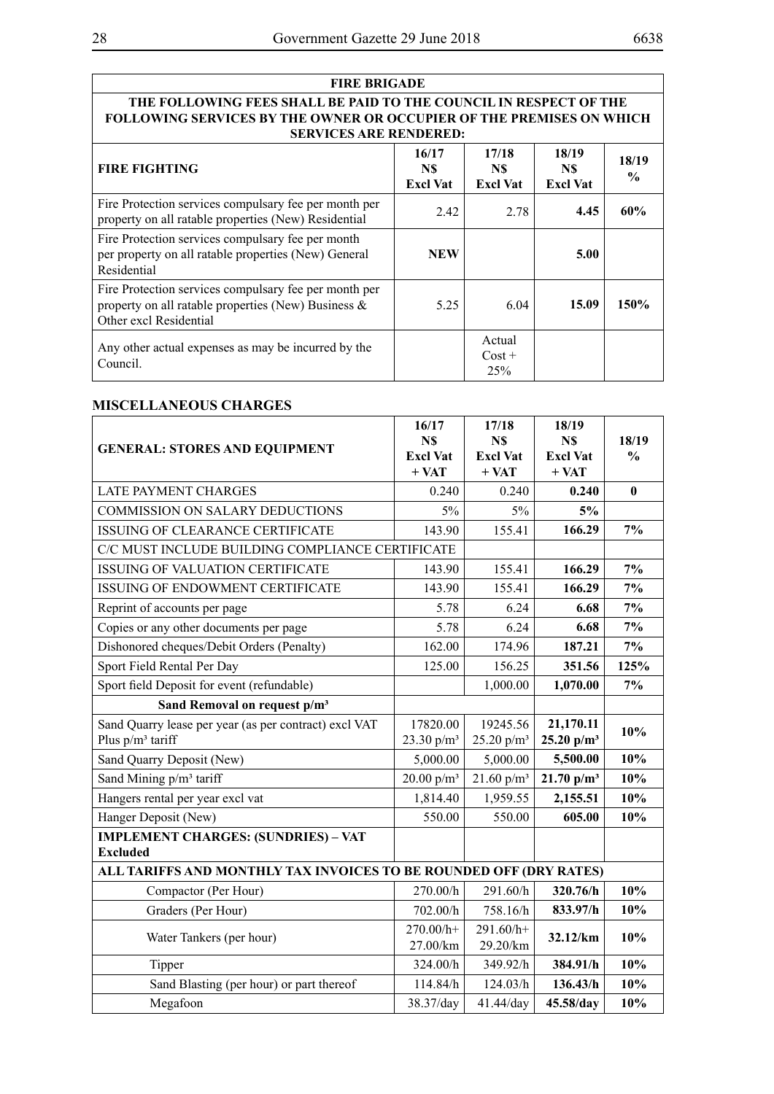| <b>FIRE BRIGADE</b>                                                                                                                                                               |                                 |                                       |                                 |                        |
|-----------------------------------------------------------------------------------------------------------------------------------------------------------------------------------|---------------------------------|---------------------------------------|---------------------------------|------------------------|
| THE FOLLOWING FEES SHALL BE PAID TO THE COUNCIL IN RESPECT OF THE<br><b>FOLLOWING SERVICES BY THE OWNER OR OCCUPIER OF THE PREMISES ON WHICH</b><br><b>SERVICES ARE RENDERED:</b> |                                 |                                       |                                 |                        |
| <b>FIRE FIGHTING</b>                                                                                                                                                              | 16/17<br>N\$<br><b>Excl Vat</b> | 17/18<br>N\$<br><b>Excl Vat</b>       | 18/19<br>N\$<br><b>Excl Vat</b> | 18/19<br>$\frac{0}{0}$ |
| Fire Protection services compulsary fee per month per<br>property on all ratable properties (New) Residential                                                                     | 2.42                            | 2.78                                  | 4.45                            | 60%                    |
| Fire Protection services compulsary fee per month<br>per property on all ratable properties (New) General<br>Residential                                                          | <b>NEW</b>                      |                                       | 5.00                            |                        |
| Fire Protection services compulsary fee per month per<br>property on all ratable properties (New) Business $\&$<br>Other excl Residential                                         | 5.25                            | 6.04                                  | 15.09                           | 150%                   |
| Any other actual expenses as may be incurred by the<br>Council.                                                                                                                   |                                 | Actual<br>$Cost +$<br>25 <sup>%</sup> |                                 |                        |

#### **MISCELLANEOUS CHARGES**

| <b>GENERAL: STORES AND EQUIPMENT</b>                                         | 16/17<br>N\$<br><b>Excl Vat</b><br>$+ VAT$ | 17/18<br>N\$<br><b>Excl Vat</b><br>$+ VAT$ | 18/19<br>N\$<br><b>Excl Vat</b><br>$+ VAT$ | 18/19<br>$\frac{0}{0}$ |
|------------------------------------------------------------------------------|--------------------------------------------|--------------------------------------------|--------------------------------------------|------------------------|
| <b>LATE PAYMENT CHARGES</b>                                                  | 0.240                                      | 0.240                                      | 0.240                                      | $\bf{0}$               |
| COMMISSION ON SALARY DEDUCTIONS                                              | 5%                                         | 5%                                         | 5%                                         |                        |
| <b>ISSUING OF CLEARANCE CERTIFICATE</b>                                      | 143.90                                     | 155.41                                     | 166.29                                     | 7%                     |
| C/C MUST INCLUDE BUILDING COMPLIANCE CERTIFICATE                             |                                            |                                            |                                            |                        |
| ISSUING OF VALUATION CERTIFICATE                                             | 143.90                                     | 155.41                                     | 166.29                                     | 7%                     |
| ISSUING OF ENDOWMENT CERTIFICATE                                             | 143.90                                     | 155.41                                     | 166.29                                     | 7%                     |
| Reprint of accounts per page                                                 | 5.78                                       | 6.24                                       | 6.68                                       | $7\%$                  |
| Copies or any other documents per page                                       | 5.78                                       | 6.24                                       | 6.68                                       | 7%                     |
| Dishonored cheques/Debit Orders (Penalty)                                    | 162.00                                     | 174.96                                     | 187.21                                     | 7%                     |
| Sport Field Rental Per Day                                                   | 125.00                                     | 156.25                                     | 351.56                                     | 125%                   |
| Sport field Deposit for event (refundable)                                   |                                            | 1,000.00                                   | 1,070.00                                   | 7%                     |
| Sand Removal on request p/m <sup>3</sup>                                     |                                            |                                            |                                            |                        |
| Sand Quarry lease per year (as per contract) excl VAT<br>Plus $p/m^3$ tariff | 17820.00<br>23.30 $p/m^3$                  | 19245.56<br>25.20 $p/m^3$                  | 21,170.11<br>25.20 $p/m^3$                 | 10%                    |
| Sand Quarry Deposit (New)                                                    | 5,000.00                                   | 5,000.00                                   | 5,500.00                                   | 10%                    |
| Sand Mining p/m <sup>3</sup> tariff                                          | 20.00 $p/m^3$                              | $21.60$ p/m <sup>3</sup>                   | 21.70 $p/m^3$                              | 10%                    |
| Hangers rental per year excl vat                                             | 1,814.40                                   | 1,959.55                                   | 2,155.51                                   | 10%                    |
| Hanger Deposit (New)                                                         | 550.00                                     | 550.00                                     | 605.00                                     | 10%                    |
| <b>IMPLEMENT CHARGES: (SUNDRIES) - VAT</b><br><b>Excluded</b>                |                                            |                                            |                                            |                        |
| ALL TARIFFS AND MONTHLY TAX INVOICES TO BE ROUNDED OFF (DRY RATES)           |                                            |                                            |                                            |                        |
| Compactor (Per Hour)                                                         | 270.00/h                                   | 291.60/h                                   | 320.76/h                                   | 10%                    |
| Graders (Per Hour)                                                           | 702.00/h                                   | 758.16/h                                   | 833.97/h                                   | 10%                    |
| Water Tankers (per hour)                                                     | $270.00/h+$<br>27.00/km                    | 291.60/h+<br>29.20/km                      | 32.12/km                                   | 10%                    |
| Tipper                                                                       | 324.00/h                                   | 349.92/h                                   | 384.91/h                                   | 10%                    |
| Sand Blasting (per hour) or part thereof                                     | 114.84/h                                   | 124.03/h                                   | 136.43/h                                   | 10%                    |
| Megafoon                                                                     | 38.37/day                                  | 41.44/day                                  | 45.58/day                                  | 10%                    |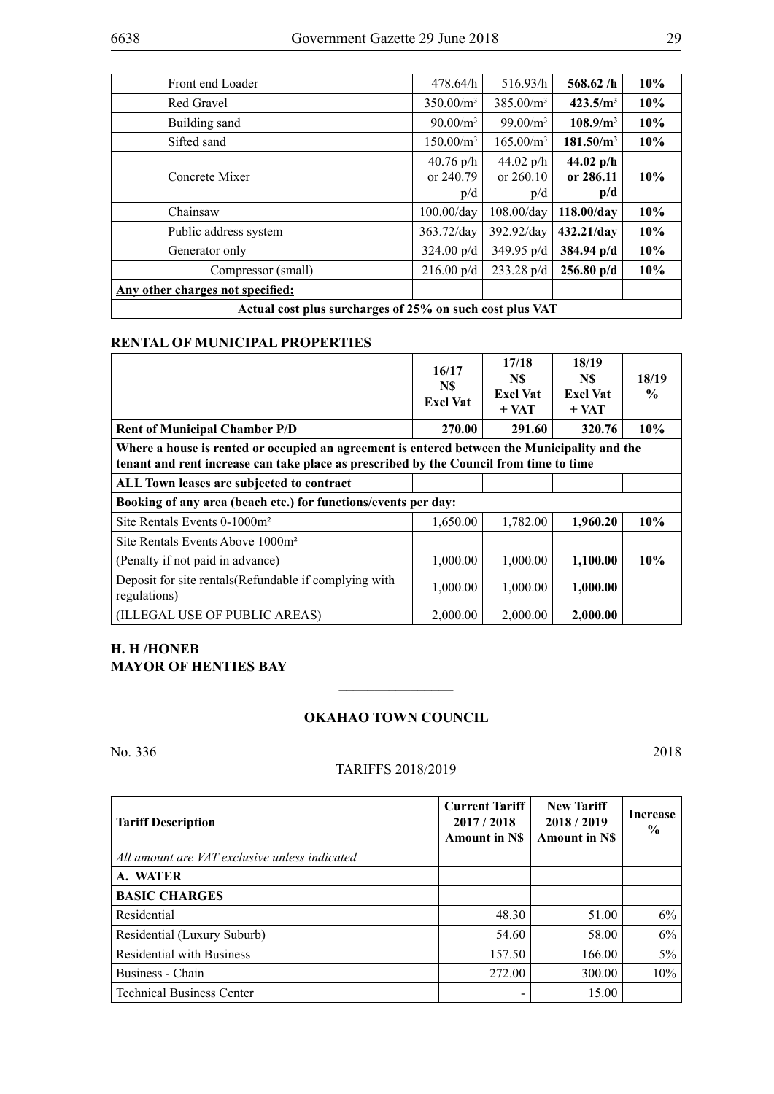| Front end Loader                                         | 478.64/h                        | 516.93/h                        | 568.62/h                                            | 10% |
|----------------------------------------------------------|---------------------------------|---------------------------------|-----------------------------------------------------|-----|
| Red Gravel                                               | $350.00/m^3$                    | 385.00/m <sup>3</sup>           | 423.5/m <sup>3</sup>                                | 10% |
| Building sand                                            | $90.00/m^3$                     | 99.00/m <sup>3</sup>            | 108.9/m <sup>3</sup>                                | 10% |
| Sifted sand                                              | 150.00/m <sup>3</sup>           | 165.00/m <sup>3</sup>           | 181.50/m <sup>3</sup>                               | 10% |
| Concrete Mixer                                           | $40.76$ p/h<br>or 240.79<br>p/d | 44.02 $p/h$<br>or 260.10<br>p/d | 44.02 $p/h$<br>or 286.11<br>$\mathbf{p}/\mathbf{d}$ | 10% |
| Chainsaw                                                 | $100.00$ /day                   | $108.00$ /dav                   | 118.00/day                                          | 10% |
| Public address system                                    | $363.72$ /day                   | $392.92$ /day                   | 432.21/day                                          | 10% |
| Generator only                                           | $324.00 \text{ p/d}$            | $349.95 \text{ p/d}$            | $384.94 \text{ p/d}$                                | 10% |
| Compressor (small)                                       | $216.00 \text{ p/d}$            | $233.28 \text{ p/d}$            | $256.80$ p/d                                        | 10% |
| Any other charges not specified:                         |                                 |                                 |                                                     |     |
| Actual cost plus surcharges of 25% on such cost plus VAT |                                 |                                 |                                                     |     |

#### **RENTAL OF MUNICIPAL PROPERTIES**

|                                                                                                                                                                                        | 16/17<br>N\$<br><b>Excl Vat</b> | 17/18<br>N\$<br><b>Excl Vat</b><br>$+$ VAT | 18/19<br>N\$<br><b>Excl Vat</b><br>$+$ VAT | 18/19<br>$\frac{6}{9}$ |  |
|----------------------------------------------------------------------------------------------------------------------------------------------------------------------------------------|---------------------------------|--------------------------------------------|--------------------------------------------|------------------------|--|
| <b>Rent of Municipal Chamber P/D</b>                                                                                                                                                   | 270.00                          | 291.60                                     | 320.76                                     | 10%                    |  |
| Where a house is rented or occupied an agreement is entered between the Municipality and the<br>tenant and rent increase can take place as prescribed by the Council from time to time |                                 |                                            |                                            |                        |  |
| ALL Town leases are subjected to contract                                                                                                                                              |                                 |                                            |                                            |                        |  |
| Booking of any area (beach etc.) for functions/events per day:                                                                                                                         |                                 |                                            |                                            |                        |  |
| Site Rentals Events 0-1000m <sup>2</sup>                                                                                                                                               | 1,650.00                        | 1,782.00                                   | 1,960.20                                   | 10%                    |  |
| Site Rentals Events Above 1000m <sup>2</sup>                                                                                                                                           |                                 |                                            |                                            |                        |  |
| (Penalty if not paid in advance)                                                                                                                                                       | 1,000.00                        | 1,000.00                                   | 1,100.00                                   | 10%                    |  |
| Deposit for site rentals (Refundable if complying with<br>regulations)                                                                                                                 | 1,000.00                        | 1,000.00                                   | 1,000.00                                   |                        |  |
| (ILLEGAL USE OF PUBLIC AREAS)                                                                                                                                                          | 2,000.00                        | 2,000.00                                   | 2,000.00                                   |                        |  |

#### **H. H /Honeb MAYOR OF HENTIES BAY**

#### **Okahao Town Council**

 $\overline{\phantom{a}}$  , where  $\overline{\phantom{a}}$ 

No. 336 2018

#### TARIFFS 2018/2019

| <b>Tariff Description</b>                     | <b>Current Tariff</b><br>2017/2018<br><b>Amount in NS</b> | <b>New Tariff</b><br>2018/2019<br><b>Amount in NS</b> | <b>Increase</b><br>$\frac{6}{9}$ |
|-----------------------------------------------|-----------------------------------------------------------|-------------------------------------------------------|----------------------------------|
| All amount are VAT exclusive unless indicated |                                                           |                                                       |                                  |
| A. WATER                                      |                                                           |                                                       |                                  |
| <b>BASIC CHARGES</b>                          |                                                           |                                                       |                                  |
| Residential                                   | 48.30                                                     | 51.00                                                 | 6%                               |
| Residential (Luxury Suburb)                   | 54.60                                                     | 58.00                                                 | 6%                               |
| <b>Residential with Business</b>              | 157.50                                                    | 166.00                                                | 5%                               |
| Business - Chain                              | 272.00                                                    | 300.00                                                | 10%                              |
| <b>Technical Business Center</b>              |                                                           | 15.00                                                 |                                  |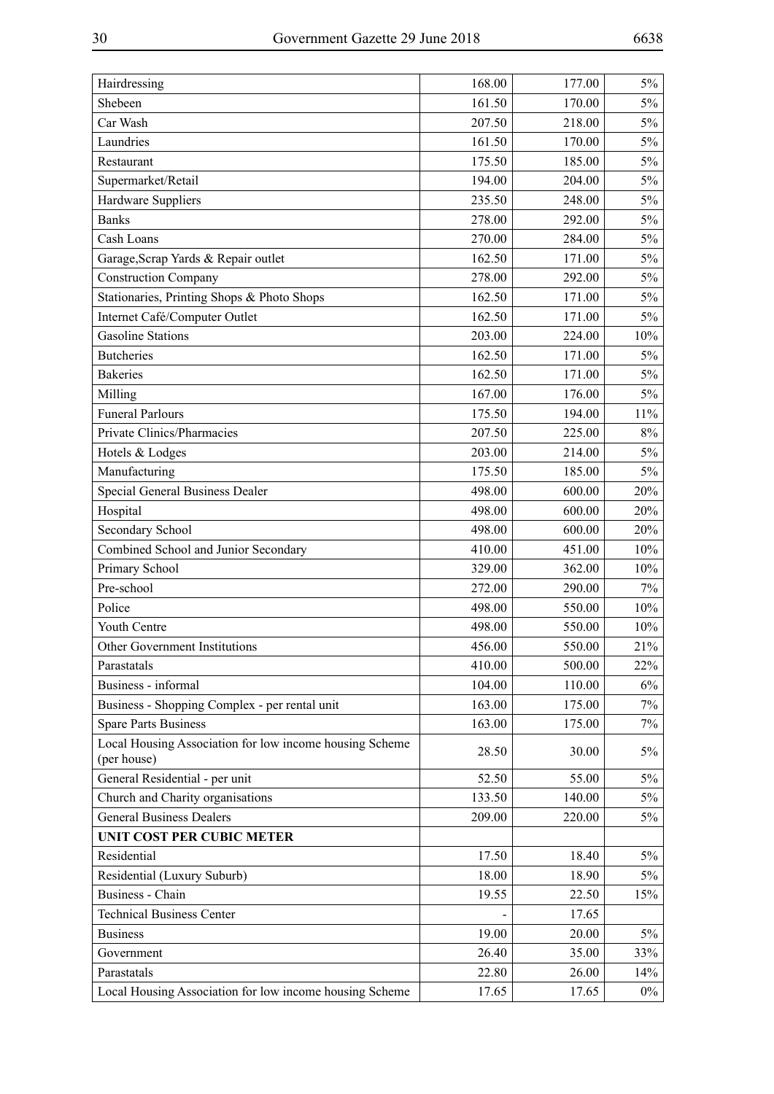| Hairdressing                                                           | 168.00 | 177.00 | 5%    |
|------------------------------------------------------------------------|--------|--------|-------|
| Shebeen                                                                | 161.50 | 170.00 | $5\%$ |
| Car Wash                                                               | 207.50 | 218.00 | $5\%$ |
| Laundries                                                              | 161.50 | 170.00 | $5\%$ |
| Restaurant                                                             | 175.50 | 185.00 | $5\%$ |
| Supermarket/Retail                                                     | 194.00 | 204.00 | $5\%$ |
| Hardware Suppliers                                                     | 235.50 | 248.00 | $5\%$ |
| <b>Banks</b>                                                           | 278.00 | 292.00 | $5\%$ |
| Cash Loans                                                             | 270.00 | 284.00 | $5\%$ |
| Garage, Scrap Yards & Repair outlet                                    | 162.50 | 171.00 | $5\%$ |
| <b>Construction Company</b>                                            | 278.00 | 292.00 | $5\%$ |
| Stationaries, Printing Shops & Photo Shops                             | 162.50 | 171.00 | $5\%$ |
| Internet Café/Computer Outlet                                          | 162.50 | 171.00 | 5%    |
| <b>Gasoline Stations</b>                                               | 203.00 | 224.00 | 10%   |
| <b>Butcheries</b>                                                      | 162.50 | 171.00 | $5\%$ |
| <b>Bakeries</b>                                                        | 162.50 | 171.00 | $5\%$ |
| Milling                                                                | 167.00 | 176.00 | $5\%$ |
| <b>Funeral Parlours</b>                                                | 175.50 | 194.00 | 11%   |
| Private Clinics/Pharmacies                                             | 207.50 | 225.00 | $8\%$ |
| Hotels & Lodges                                                        | 203.00 | 214.00 | $5\%$ |
| Manufacturing                                                          | 175.50 | 185.00 | $5\%$ |
| Special General Business Dealer                                        | 498.00 | 600.00 | 20%   |
| Hospital                                                               | 498.00 | 600.00 | 20%   |
| Secondary School                                                       | 498.00 | 600.00 | 20%   |
| Combined School and Junior Secondary                                   | 410.00 | 451.00 | 10%   |
| Primary School                                                         | 329.00 | 362.00 | 10%   |
| Pre-school                                                             | 272.00 | 290.00 | $7\%$ |
| Police                                                                 | 498.00 | 550.00 | 10%   |
| Youth Centre                                                           | 498.00 | 550.00 | 10%   |
| Other Government Institutions                                          | 456.00 | 550.00 | 21%   |
| Parastatals                                                            | 410.00 | 500.00 | 22%   |
| Business - informal                                                    | 104.00 | 110.00 | 6%    |
| Business - Shopping Complex - per rental unit                          | 163.00 | 175.00 | 7%    |
| <b>Spare Parts Business</b>                                            | 163.00 | 175.00 | 7%    |
| Local Housing Association for low income housing Scheme<br>(per house) | 28.50  | 30.00  | $5\%$ |
| General Residential - per unit                                         | 52.50  | 55.00  | $5\%$ |
| Church and Charity organisations                                       | 133.50 | 140.00 | $5\%$ |
| <b>General Business Dealers</b>                                        | 209.00 | 220.00 | 5%    |
| UNIT COST PER CUBIC METER                                              |        |        |       |
| Residential                                                            | 17.50  | 18.40  | $5\%$ |
| Residential (Luxury Suburb)                                            | 18.00  | 18.90  | $5\%$ |
| Business - Chain                                                       | 19.55  | 22.50  | 15%   |
| <b>Technical Business Center</b>                                       |        | 17.65  |       |
| <b>Business</b>                                                        | 19.00  | 20.00  | $5\%$ |
| Government                                                             | 26.40  | 35.00  | 33%   |
| Parastatals                                                            | 22.80  | 26.00  | 14%   |
| Local Housing Association for low income housing Scheme                | 17.65  | 17.65  | $0\%$ |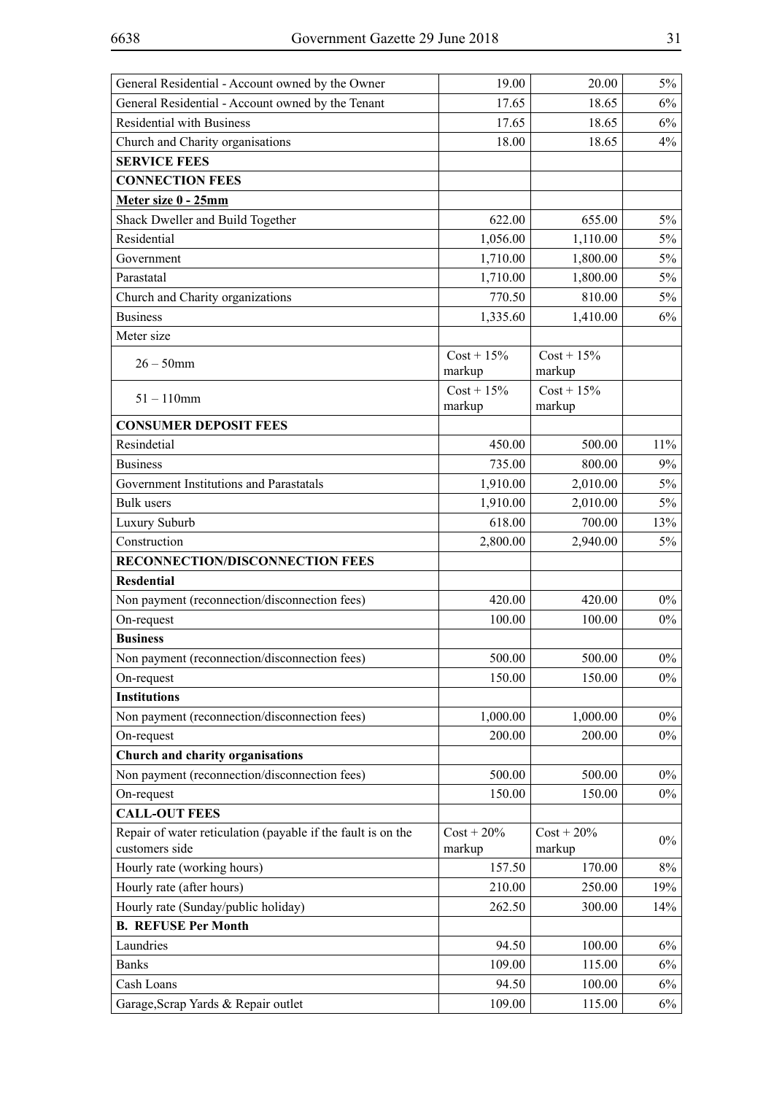| General Residential - Account owned by the Owner                               | 19.00                   | 20.00                   | $5\%$ |
|--------------------------------------------------------------------------------|-------------------------|-------------------------|-------|
| General Residential - Account owned by the Tenant                              | 17.65                   | 18.65                   | $6\%$ |
| <b>Residential with Business</b>                                               | 17.65                   | 18.65                   | $6\%$ |
| Church and Charity organisations                                               | 18.00                   | 18.65                   | 4%    |
| <b>SERVICE FEES</b>                                                            |                         |                         |       |
| <b>CONNECTION FEES</b>                                                         |                         |                         |       |
| Meter size 0 - 25mm                                                            |                         |                         |       |
| Shack Dweller and Build Together                                               | 622.00                  | 655.00                  | $5\%$ |
| Residential                                                                    | 1,056.00                | 1,110.00                | 5%    |
| Government                                                                     | 1,710.00                | 1,800.00                | $5\%$ |
| Parastatal                                                                     | 1,710.00                | 1,800.00                | $5\%$ |
| Church and Charity organizations                                               | 770.50                  | 810.00                  | $5\%$ |
| <b>Business</b>                                                                | 1,335.60                | 1,410.00                | 6%    |
| Meter size                                                                     |                         |                         |       |
| $26 - 50$ mm                                                                   | $Cost + 15\%$<br>markup | $Cost + 15\%$<br>markup |       |
| $51 - 110$ mm                                                                  | $Cost + 15\%$<br>markup | $Cost + 15\%$<br>markup |       |
| <b>CONSUMER DEPOSIT FEES</b>                                                   |                         |                         |       |
| Resindetial                                                                    | 450.00                  | 500.00                  | 11%   |
| <b>Business</b>                                                                | 735.00                  | 800.00                  | 9%    |
| Government Institutions and Parastatals                                        | 1,910.00                | 2,010.00                | $5\%$ |
| <b>Bulk</b> users                                                              | 1,910.00                | 2,010.00                | $5\%$ |
| Luxury Suburb                                                                  | 618.00                  | 700.00                  | 13%   |
| Construction                                                                   | 2,800.00                | 2,940.00                | $5\%$ |
| RECONNECTION/DISCONNECTION FEES                                                |                         |                         |       |
| <b>Resdential</b>                                                              |                         |                         |       |
| Non payment (reconnection/disconnection fees)                                  | 420.00                  | 420.00                  | $0\%$ |
| On-request                                                                     | 100.00                  | 100.00                  | $0\%$ |
| <b>Business</b>                                                                |                         |                         |       |
| Non payment (reconnection/disconnection fees)                                  | 500.00                  | 500.00                  | $0\%$ |
| On-request                                                                     | 150.00                  | 150.00                  | $0\%$ |
| <b>Institutions</b>                                                            |                         |                         |       |
| Non payment (reconnection/disconnection fees)                                  | 1,000.00                | 1,000.00                | $0\%$ |
| On-request                                                                     | 200.00                  | 200.00                  | $0\%$ |
| Church and charity organisations                                               |                         |                         |       |
| Non payment (reconnection/disconnection fees)                                  | 500.00                  | 500.00                  | $0\%$ |
| On-request                                                                     | 150.00                  | 150.00                  | $0\%$ |
| <b>CALL-OUT FEES</b>                                                           |                         |                         |       |
| Repair of water reticulation (payable if the fault is on the<br>customers side | $Cost + 20\%$<br>markup | $Cost + 20\%$<br>markup | $0\%$ |
| Hourly rate (working hours)                                                    | 157.50                  | 170.00                  | $8\%$ |
| Hourly rate (after hours)                                                      | 210.00                  | 250.00                  | 19%   |
| Hourly rate (Sunday/public holiday)                                            | 262.50                  | 300.00                  | 14%   |
| <b>B. REFUSE Per Month</b>                                                     |                         |                         |       |
| Laundries                                                                      | 94.50                   | 100.00                  | 6%    |
| <b>Banks</b>                                                                   | 109.00                  | 115.00                  | 6%    |
| Cash Loans                                                                     | 94.50                   | 100.00                  | 6%    |
| Garage, Scrap Yards & Repair outlet                                            | 109.00                  | 115.00                  | $6\%$ |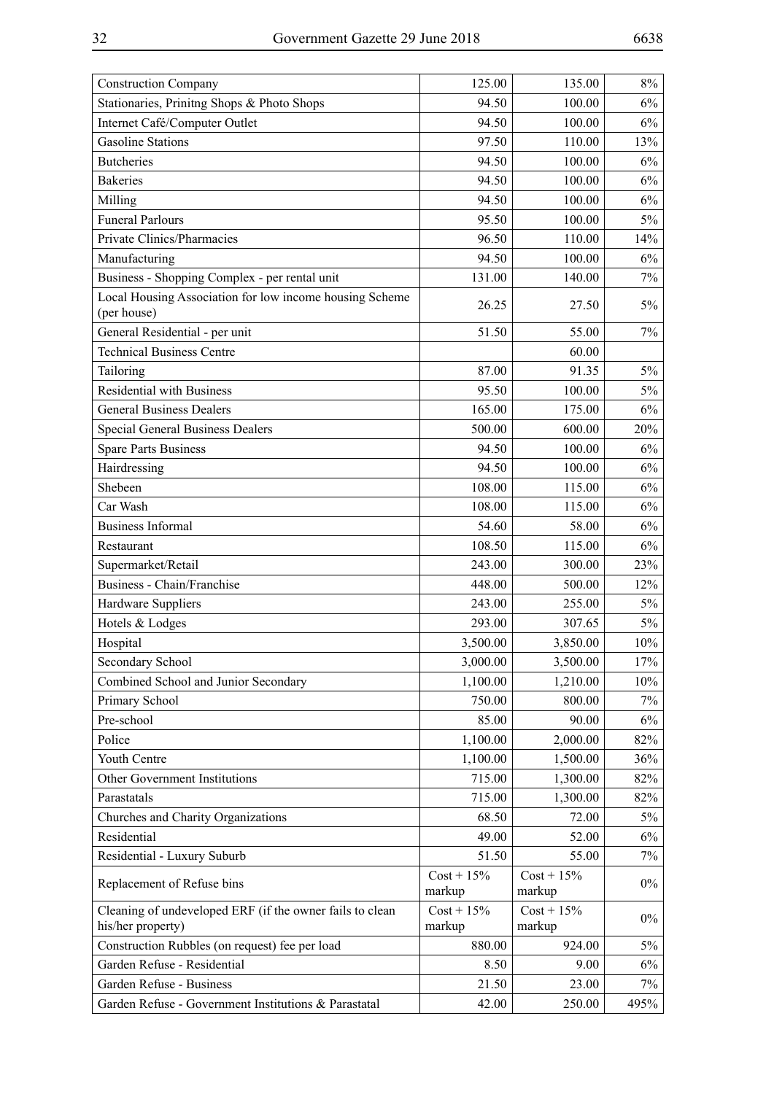| Stationaries, Prinitng Shops & Photo Shops<br>94.50<br>100.00<br>$6\%$<br>Internet Café/Computer Outlet<br>94.50<br>100.00<br>6%<br><b>Gasoline Stations</b><br>97.50<br>110.00<br>13%<br>94.50<br>100.00<br>6%<br><b>Butcheries</b><br><b>Bakeries</b><br>94.50<br>100.00<br>$6\%$<br>6%<br>Milling<br>94.50<br>100.00<br><b>Funeral Parlours</b><br>95.50<br>100.00<br>$5\%$<br>Private Clinics/Pharmacies<br>96.50<br>110.00<br>14%<br>100.00<br>94.50<br>$6\%$<br>Manufacturing<br>Business - Shopping Complex - per rental unit<br>131.00<br>140.00<br>7%<br>Local Housing Association for low income housing Scheme<br>26.25<br>$5\%$<br>27.50<br>(per house)<br>General Residential - per unit<br>51.50<br>55.00<br>7%<br><b>Technical Business Centre</b><br>60.00<br>Tailoring<br>87.00<br>91.35<br>$5\%$<br><b>Residential with Business</b><br>95.50<br>100.00<br>$5\%$<br>165.00<br><b>General Business Dealers</b><br>175.00<br>6%<br><b>Special General Business Dealers</b><br>500.00<br>600.00<br>20%<br><b>Spare Parts Business</b><br>94.50<br>100.00<br>6%<br>Hairdressing<br>94.50<br>100.00<br>6%<br>108.00<br>Shebeen<br>115.00<br>6%<br>108.00<br>115.00<br>6%<br>Car Wash<br><b>Business Informal</b><br>54.60<br>58.00<br>6%<br>108.50<br>115.00<br>6%<br>Restaurant<br>Supermarket/Retail<br>243.00<br>300.00<br>23%<br>Business - Chain/Franchise<br>448.00<br>500.00<br>12%<br>Hardware Suppliers<br>243.00<br>$5\%$<br>255.00<br>Hotels & Lodges<br>293.00<br>307.65<br>$5\%$<br>Hospital<br>3,500.00<br>3,850.00<br>10%<br>Secondary School<br>3,000.00<br>3,500.00<br>17%<br>Combined School and Junior Secondary<br>1,100.00<br>1,210.00<br>10%<br>Primary School<br>750.00<br>800.00<br>7% |
|-----------------------------------------------------------------------------------------------------------------------------------------------------------------------------------------------------------------------------------------------------------------------------------------------------------------------------------------------------------------------------------------------------------------------------------------------------------------------------------------------------------------------------------------------------------------------------------------------------------------------------------------------------------------------------------------------------------------------------------------------------------------------------------------------------------------------------------------------------------------------------------------------------------------------------------------------------------------------------------------------------------------------------------------------------------------------------------------------------------------------------------------------------------------------------------------------------------------------------------------------------------------------------------------------------------------------------------------------------------------------------------------------------------------------------------------------------------------------------------------------------------------------------------------------------------------------------------------------------------------------------------------------------------------------------------------------------------------------------|
|                                                                                                                                                                                                                                                                                                                                                                                                                                                                                                                                                                                                                                                                                                                                                                                                                                                                                                                                                                                                                                                                                                                                                                                                                                                                                                                                                                                                                                                                                                                                                                                                                                                                                                                             |
|                                                                                                                                                                                                                                                                                                                                                                                                                                                                                                                                                                                                                                                                                                                                                                                                                                                                                                                                                                                                                                                                                                                                                                                                                                                                                                                                                                                                                                                                                                                                                                                                                                                                                                                             |
|                                                                                                                                                                                                                                                                                                                                                                                                                                                                                                                                                                                                                                                                                                                                                                                                                                                                                                                                                                                                                                                                                                                                                                                                                                                                                                                                                                                                                                                                                                                                                                                                                                                                                                                             |
|                                                                                                                                                                                                                                                                                                                                                                                                                                                                                                                                                                                                                                                                                                                                                                                                                                                                                                                                                                                                                                                                                                                                                                                                                                                                                                                                                                                                                                                                                                                                                                                                                                                                                                                             |
|                                                                                                                                                                                                                                                                                                                                                                                                                                                                                                                                                                                                                                                                                                                                                                                                                                                                                                                                                                                                                                                                                                                                                                                                                                                                                                                                                                                                                                                                                                                                                                                                                                                                                                                             |
|                                                                                                                                                                                                                                                                                                                                                                                                                                                                                                                                                                                                                                                                                                                                                                                                                                                                                                                                                                                                                                                                                                                                                                                                                                                                                                                                                                                                                                                                                                                                                                                                                                                                                                                             |
|                                                                                                                                                                                                                                                                                                                                                                                                                                                                                                                                                                                                                                                                                                                                                                                                                                                                                                                                                                                                                                                                                                                                                                                                                                                                                                                                                                                                                                                                                                                                                                                                                                                                                                                             |
|                                                                                                                                                                                                                                                                                                                                                                                                                                                                                                                                                                                                                                                                                                                                                                                                                                                                                                                                                                                                                                                                                                                                                                                                                                                                                                                                                                                                                                                                                                                                                                                                                                                                                                                             |
|                                                                                                                                                                                                                                                                                                                                                                                                                                                                                                                                                                                                                                                                                                                                                                                                                                                                                                                                                                                                                                                                                                                                                                                                                                                                                                                                                                                                                                                                                                                                                                                                                                                                                                                             |
|                                                                                                                                                                                                                                                                                                                                                                                                                                                                                                                                                                                                                                                                                                                                                                                                                                                                                                                                                                                                                                                                                                                                                                                                                                                                                                                                                                                                                                                                                                                                                                                                                                                                                                                             |
|                                                                                                                                                                                                                                                                                                                                                                                                                                                                                                                                                                                                                                                                                                                                                                                                                                                                                                                                                                                                                                                                                                                                                                                                                                                                                                                                                                                                                                                                                                                                                                                                                                                                                                                             |
|                                                                                                                                                                                                                                                                                                                                                                                                                                                                                                                                                                                                                                                                                                                                                                                                                                                                                                                                                                                                                                                                                                                                                                                                                                                                                                                                                                                                                                                                                                                                                                                                                                                                                                                             |
|                                                                                                                                                                                                                                                                                                                                                                                                                                                                                                                                                                                                                                                                                                                                                                                                                                                                                                                                                                                                                                                                                                                                                                                                                                                                                                                                                                                                                                                                                                                                                                                                                                                                                                                             |
|                                                                                                                                                                                                                                                                                                                                                                                                                                                                                                                                                                                                                                                                                                                                                                                                                                                                                                                                                                                                                                                                                                                                                                                                                                                                                                                                                                                                                                                                                                                                                                                                                                                                                                                             |
|                                                                                                                                                                                                                                                                                                                                                                                                                                                                                                                                                                                                                                                                                                                                                                                                                                                                                                                                                                                                                                                                                                                                                                                                                                                                                                                                                                                                                                                                                                                                                                                                                                                                                                                             |
|                                                                                                                                                                                                                                                                                                                                                                                                                                                                                                                                                                                                                                                                                                                                                                                                                                                                                                                                                                                                                                                                                                                                                                                                                                                                                                                                                                                                                                                                                                                                                                                                                                                                                                                             |
|                                                                                                                                                                                                                                                                                                                                                                                                                                                                                                                                                                                                                                                                                                                                                                                                                                                                                                                                                                                                                                                                                                                                                                                                                                                                                                                                                                                                                                                                                                                                                                                                                                                                                                                             |
|                                                                                                                                                                                                                                                                                                                                                                                                                                                                                                                                                                                                                                                                                                                                                                                                                                                                                                                                                                                                                                                                                                                                                                                                                                                                                                                                                                                                                                                                                                                                                                                                                                                                                                                             |
|                                                                                                                                                                                                                                                                                                                                                                                                                                                                                                                                                                                                                                                                                                                                                                                                                                                                                                                                                                                                                                                                                                                                                                                                                                                                                                                                                                                                                                                                                                                                                                                                                                                                                                                             |
|                                                                                                                                                                                                                                                                                                                                                                                                                                                                                                                                                                                                                                                                                                                                                                                                                                                                                                                                                                                                                                                                                                                                                                                                                                                                                                                                                                                                                                                                                                                                                                                                                                                                                                                             |
|                                                                                                                                                                                                                                                                                                                                                                                                                                                                                                                                                                                                                                                                                                                                                                                                                                                                                                                                                                                                                                                                                                                                                                                                                                                                                                                                                                                                                                                                                                                                                                                                                                                                                                                             |
|                                                                                                                                                                                                                                                                                                                                                                                                                                                                                                                                                                                                                                                                                                                                                                                                                                                                                                                                                                                                                                                                                                                                                                                                                                                                                                                                                                                                                                                                                                                                                                                                                                                                                                                             |
|                                                                                                                                                                                                                                                                                                                                                                                                                                                                                                                                                                                                                                                                                                                                                                                                                                                                                                                                                                                                                                                                                                                                                                                                                                                                                                                                                                                                                                                                                                                                                                                                                                                                                                                             |
|                                                                                                                                                                                                                                                                                                                                                                                                                                                                                                                                                                                                                                                                                                                                                                                                                                                                                                                                                                                                                                                                                                                                                                                                                                                                                                                                                                                                                                                                                                                                                                                                                                                                                                                             |
|                                                                                                                                                                                                                                                                                                                                                                                                                                                                                                                                                                                                                                                                                                                                                                                                                                                                                                                                                                                                                                                                                                                                                                                                                                                                                                                                                                                                                                                                                                                                                                                                                                                                                                                             |
|                                                                                                                                                                                                                                                                                                                                                                                                                                                                                                                                                                                                                                                                                                                                                                                                                                                                                                                                                                                                                                                                                                                                                                                                                                                                                                                                                                                                                                                                                                                                                                                                                                                                                                                             |
|                                                                                                                                                                                                                                                                                                                                                                                                                                                                                                                                                                                                                                                                                                                                                                                                                                                                                                                                                                                                                                                                                                                                                                                                                                                                                                                                                                                                                                                                                                                                                                                                                                                                                                                             |
|                                                                                                                                                                                                                                                                                                                                                                                                                                                                                                                                                                                                                                                                                                                                                                                                                                                                                                                                                                                                                                                                                                                                                                                                                                                                                                                                                                                                                                                                                                                                                                                                                                                                                                                             |
|                                                                                                                                                                                                                                                                                                                                                                                                                                                                                                                                                                                                                                                                                                                                                                                                                                                                                                                                                                                                                                                                                                                                                                                                                                                                                                                                                                                                                                                                                                                                                                                                                                                                                                                             |
|                                                                                                                                                                                                                                                                                                                                                                                                                                                                                                                                                                                                                                                                                                                                                                                                                                                                                                                                                                                                                                                                                                                                                                                                                                                                                                                                                                                                                                                                                                                                                                                                                                                                                                                             |
|                                                                                                                                                                                                                                                                                                                                                                                                                                                                                                                                                                                                                                                                                                                                                                                                                                                                                                                                                                                                                                                                                                                                                                                                                                                                                                                                                                                                                                                                                                                                                                                                                                                                                                                             |
|                                                                                                                                                                                                                                                                                                                                                                                                                                                                                                                                                                                                                                                                                                                                                                                                                                                                                                                                                                                                                                                                                                                                                                                                                                                                                                                                                                                                                                                                                                                                                                                                                                                                                                                             |
| Pre-school<br>85.00<br>90.00<br>6%                                                                                                                                                                                                                                                                                                                                                                                                                                                                                                                                                                                                                                                                                                                                                                                                                                                                                                                                                                                                                                                                                                                                                                                                                                                                                                                                                                                                                                                                                                                                                                                                                                                                                          |
| Police<br>82%<br>1,100.00<br>2,000.00                                                                                                                                                                                                                                                                                                                                                                                                                                                                                                                                                                                                                                                                                                                                                                                                                                                                                                                                                                                                                                                                                                                                                                                                                                                                                                                                                                                                                                                                                                                                                                                                                                                                                       |
| Youth Centre<br>1,100.00<br>1,500.00<br>36%                                                                                                                                                                                                                                                                                                                                                                                                                                                                                                                                                                                                                                                                                                                                                                                                                                                                                                                                                                                                                                                                                                                                                                                                                                                                                                                                                                                                                                                                                                                                                                                                                                                                                 |
| 82%<br>Other Government Institutions<br>715.00<br>1,300.00                                                                                                                                                                                                                                                                                                                                                                                                                                                                                                                                                                                                                                                                                                                                                                                                                                                                                                                                                                                                                                                                                                                                                                                                                                                                                                                                                                                                                                                                                                                                                                                                                                                                  |
| 715.00<br>1,300.00<br>82%<br>Parastatals                                                                                                                                                                                                                                                                                                                                                                                                                                                                                                                                                                                                                                                                                                                                                                                                                                                                                                                                                                                                                                                                                                                                                                                                                                                                                                                                                                                                                                                                                                                                                                                                                                                                                    |
| Churches and Charity Organizations<br>68.50<br>72.00<br>$5\%$                                                                                                                                                                                                                                                                                                                                                                                                                                                                                                                                                                                                                                                                                                                                                                                                                                                                                                                                                                                                                                                                                                                                                                                                                                                                                                                                                                                                                                                                                                                                                                                                                                                               |
| Residential<br>49.00<br>52.00<br>$6\%$                                                                                                                                                                                                                                                                                                                                                                                                                                                                                                                                                                                                                                                                                                                                                                                                                                                                                                                                                                                                                                                                                                                                                                                                                                                                                                                                                                                                                                                                                                                                                                                                                                                                                      |
| 55.00<br>Residential - Luxury Suburb<br>51.50<br>7%                                                                                                                                                                                                                                                                                                                                                                                                                                                                                                                                                                                                                                                                                                                                                                                                                                                                                                                                                                                                                                                                                                                                                                                                                                                                                                                                                                                                                                                                                                                                                                                                                                                                         |
| $Cost + 15\%$<br>$Cost + 15\%$<br>Replacement of Refuse bins<br>$0\%$<br>markup<br>markup                                                                                                                                                                                                                                                                                                                                                                                                                                                                                                                                                                                                                                                                                                                                                                                                                                                                                                                                                                                                                                                                                                                                                                                                                                                                                                                                                                                                                                                                                                                                                                                                                                   |
| Cleaning of undeveloped ERF (if the owner fails to clean<br>$Cost + 15\%$<br>$Cost + 15\%$<br>$0\%$<br>his/her property)<br>markup<br>markup                                                                                                                                                                                                                                                                                                                                                                                                                                                                                                                                                                                                                                                                                                                                                                                                                                                                                                                                                                                                                                                                                                                                                                                                                                                                                                                                                                                                                                                                                                                                                                                |
| Construction Rubbles (on request) fee per load<br>880.00<br>924.00<br>$5\%$                                                                                                                                                                                                                                                                                                                                                                                                                                                                                                                                                                                                                                                                                                                                                                                                                                                                                                                                                                                                                                                                                                                                                                                                                                                                                                                                                                                                                                                                                                                                                                                                                                                 |
| Garden Refuse - Residential<br>8.50<br>$6\%$<br>9.00                                                                                                                                                                                                                                                                                                                                                                                                                                                                                                                                                                                                                                                                                                                                                                                                                                                                                                                                                                                                                                                                                                                                                                                                                                                                                                                                                                                                                                                                                                                                                                                                                                                                        |
| Garden Refuse - Business<br>21.50<br>23.00<br>7%                                                                                                                                                                                                                                                                                                                                                                                                                                                                                                                                                                                                                                                                                                                                                                                                                                                                                                                                                                                                                                                                                                                                                                                                                                                                                                                                                                                                                                                                                                                                                                                                                                                                            |
| Garden Refuse - Government Institutions & Parastatal<br>42.00<br>250.00<br>495%                                                                                                                                                                                                                                                                                                                                                                                                                                                                                                                                                                                                                                                                                                                                                                                                                                                                                                                                                                                                                                                                                                                                                                                                                                                                                                                                                                                                                                                                                                                                                                                                                                             |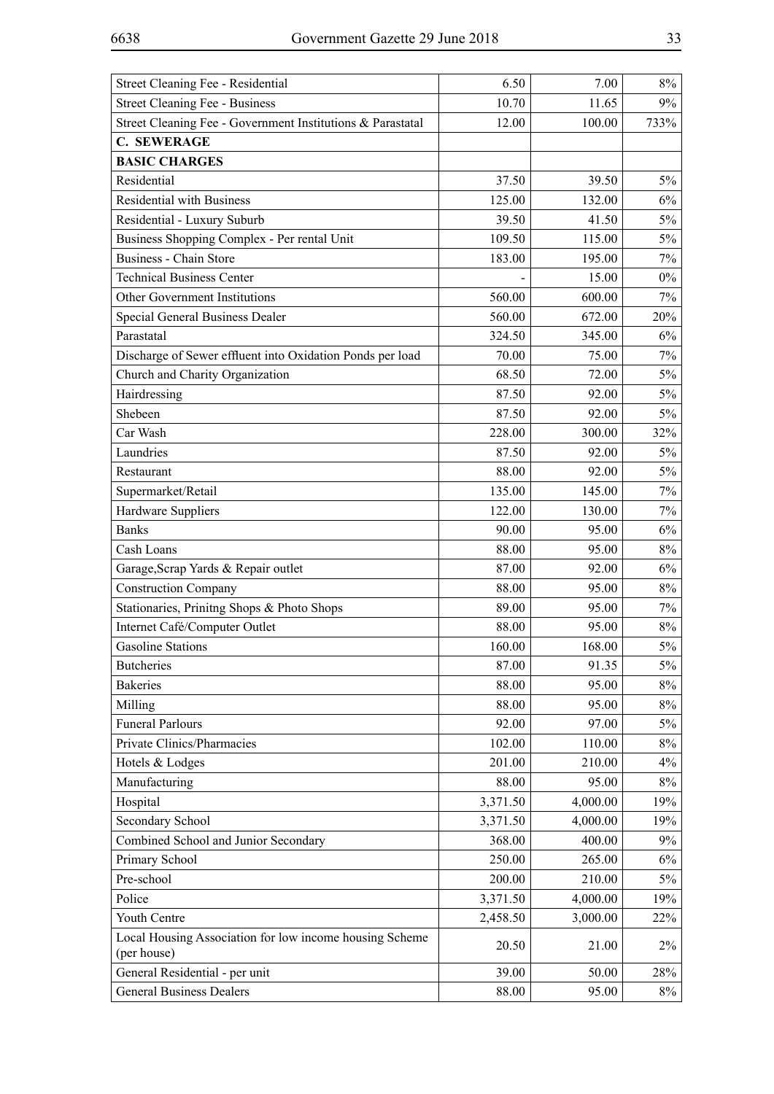| Street Cleaning Fee - Residential                                      | 6.50     | 7.00     | 8%    |
|------------------------------------------------------------------------|----------|----------|-------|
| Street Cleaning Fee - Business                                         | 10.70    | 11.65    | 9%    |
| Street Cleaning Fee - Government Institutions & Parastatal             | 12.00    | 100.00   | 733%  |
| <b>C. SEWERAGE</b>                                                     |          |          |       |
| <b>BASIC CHARGES</b>                                                   |          |          |       |
| Residential                                                            | 37.50    | 39.50    | $5\%$ |
| <b>Residential with Business</b>                                       | 125.00   | 132.00   | 6%    |
| Residential - Luxury Suburb                                            | 39.50    | 41.50    | $5\%$ |
| Business Shopping Complex - Per rental Unit                            | 109.50   | 115.00   | $5\%$ |
| <b>Business - Chain Store</b>                                          | 183.00   | 195.00   | 7%    |
| <b>Technical Business Center</b>                                       |          | 15.00    | $0\%$ |
| Other Government Institutions                                          | 560.00   | 600.00   | 7%    |
| Special General Business Dealer                                        | 560.00   | 672.00   | 20%   |
| Parastatal                                                             | 324.50   | 345.00   | 6%    |
| Discharge of Sewer effluent into Oxidation Ponds per load              | 70.00    | 75.00    | $7\%$ |
| Church and Charity Organization                                        | 68.50    | 72.00    | $5\%$ |
| Hairdressing                                                           | 87.50    | 92.00    | $5\%$ |
| Shebeen                                                                | 87.50    | 92.00    | $5\%$ |
| Car Wash                                                               | 228.00   | 300.00   | 32%   |
| Laundries                                                              | 87.50    | 92.00    | $5\%$ |
| Restaurant                                                             | 88.00    | 92.00    | $5\%$ |
| Supermarket/Retail                                                     | 135.00   | 145.00   | 7%    |
| Hardware Suppliers                                                     | 122.00   | 130.00   | 7%    |
| <b>Banks</b>                                                           | 90.00    | 95.00    | 6%    |
| Cash Loans                                                             | 88.00    | 95.00    | 8%    |
| Garage, Scrap Yards & Repair outlet                                    | 87.00    | 92.00    | 6%    |
| <b>Construction Company</b>                                            | 88.00    | 95.00    | 8%    |
| Stationaries, Prinitng Shops & Photo Shops                             | 89.00    | 95.00    | 7%    |
| Internet Café/Computer Outlet                                          | 88.00    | 95.00    | $8\%$ |
| <b>Gasoline Stations</b>                                               | 160.00   | 168.00   | $5\%$ |
| <b>Butcheries</b>                                                      | 87.00    | 91.35    | $5\%$ |
| <b>Bakeries</b>                                                        | 88.00    | 95.00    | $8\%$ |
| Milling                                                                | 88.00    | 95.00    | 8%    |
| <b>Funeral Parlours</b>                                                | 92.00    | 97.00    | $5\%$ |
| Private Clinics/Pharmacies                                             | 102.00   | 110.00   | 8%    |
| Hotels & Lodges                                                        | 201.00   | 210.00   | 4%    |
| Manufacturing                                                          | 88.00    | 95.00    | 8%    |
| Hospital                                                               | 3,371.50 | 4,000.00 | 19%   |
| Secondary School                                                       | 3,371.50 | 4,000.00 | 19%   |
| Combined School and Junior Secondary                                   | 368.00   | 400.00   | $9\%$ |
| Primary School                                                         | 250.00   | 265.00   | 6%    |
| Pre-school                                                             | 200.00   | 210.00   | $5\%$ |
| Police                                                                 | 3,371.50 | 4,000.00 | 19%   |
| Youth Centre                                                           | 2,458.50 | 3,000.00 | 22%   |
| Local Housing Association for low income housing Scheme<br>(per house) | 20.50    | 21.00    | $2\%$ |
| General Residential - per unit                                         | 39.00    | 50.00    | 28%   |
| <b>General Business Dealers</b>                                        | 88.00    | 95.00    | $8\%$ |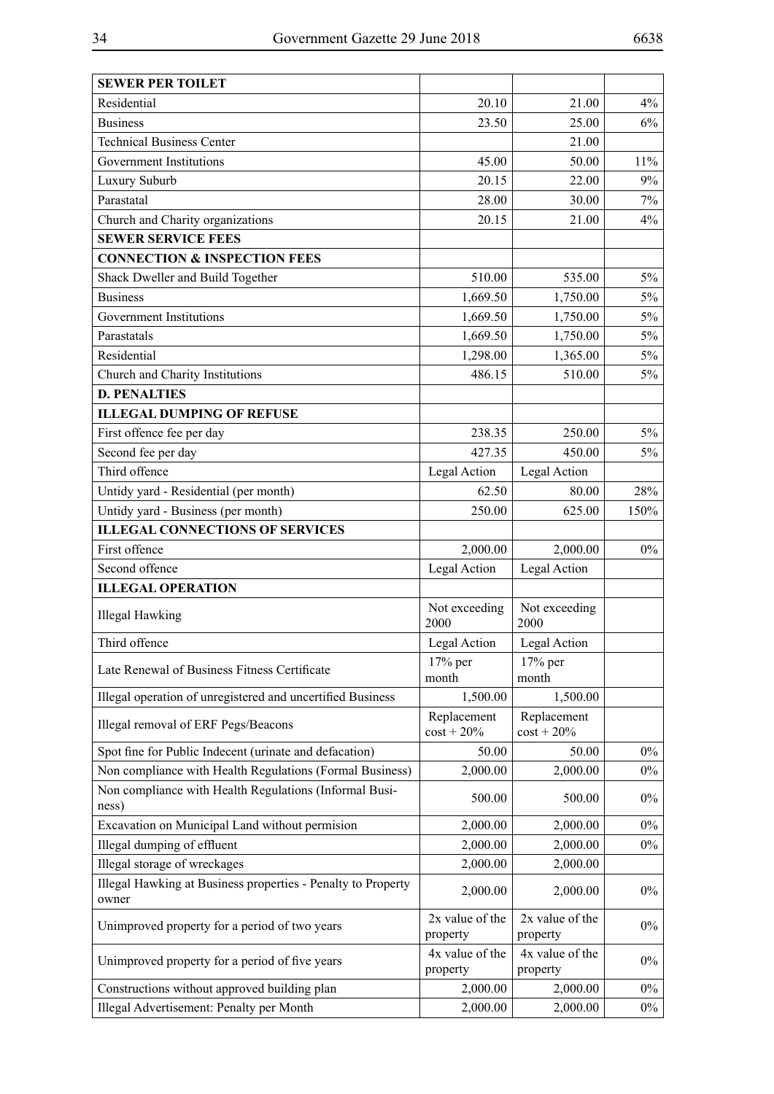| <b>SEWER PER TOILET</b>                                               |                             |                              |        |
|-----------------------------------------------------------------------|-----------------------------|------------------------------|--------|
| Residential                                                           | 20.10                       | 21.00                        | 4%     |
| <b>Business</b>                                                       | 23.50                       | 25.00                        | 6%     |
| <b>Technical Business Center</b>                                      |                             | 21.00                        |        |
| Government Institutions                                               | 45.00                       | 50.00                        | $11\%$ |
| Luxury Suburb                                                         | 20.15                       | 22.00                        | 9%     |
| Parastatal                                                            | 28.00                       | 30.00                        | 7%     |
| Church and Charity organizations                                      | 20.15                       | 21.00                        | 4%     |
| <b>SEWER SERVICE FEES</b>                                             |                             |                              |        |
| <b>CONNECTION &amp; INSPECTION FEES</b>                               |                             |                              |        |
| Shack Dweller and Build Together                                      | 510.00                      | 535.00                       | $5\%$  |
| <b>Business</b>                                                       | 1,669.50                    | 1,750.00                     | $5\%$  |
| Government Institutions                                               | 1,669.50                    | 1,750.00                     | $5\%$  |
| Parastatals                                                           | 1,669.50                    | 1,750.00                     | $5\%$  |
| Residential                                                           | 1,298.00                    | 1,365.00                     | $5\%$  |
| Church and Charity Institutions                                       | 486.15                      | 510.00                       | $5\%$  |
| <b>D. PENALTIES</b>                                                   |                             |                              |        |
| <b>ILLEGAL DUMPING OF REFUSE</b>                                      |                             |                              |        |
| First offence fee per day                                             | 238.35                      | 250.00                       | $5\%$  |
| Second fee per day                                                    | 427.35                      | 450.00                       | 5%     |
| Third offence                                                         | Legal Action                | Legal Action                 |        |
| Untidy yard - Residential (per month)                                 | 62.50                       | 80.00                        | 28%    |
| Untidy yard - Business (per month)                                    | 250.00                      | 625.00                       | 150%   |
| <b>ILLEGAL CONNECTIONS OF SERVICES</b>                                |                             |                              |        |
| First offence                                                         | 2,000.00                    | 2,000.00                     | $0\%$  |
| Second offence                                                        | Legal Action                | Legal Action                 |        |
| <b>ILLEGAL OPERATION</b>                                              |                             |                              |        |
| <b>Illegal Hawking</b>                                                | Not exceeding<br>2000       | Not exceeding<br>2000        |        |
| Third offence                                                         | Legal Action                | Legal Action                 |        |
| Late Renewal of Business Fitness Certificate                          | 17% per<br>month            | 17% per<br>month             |        |
| Illegal operation of unregistered and uncertified Business            | 1,500.00                    | 1,500.00                     |        |
| Illegal removal of ERF Pegs/Beacons                                   | Replacement<br>$cost + 20%$ | Replacement<br>$cost + 20\%$ |        |
| Spot fine for Public Indecent (urinate and defacation)                | 50.00                       | 50.00                        | $0\%$  |
| Non compliance with Health Regulations (Formal Business)              | 2,000.00                    | 2,000.00                     | $0\%$  |
| Non compliance with Health Regulations (Informal Busi-<br>ness)       | 500.00                      | 500.00                       | $0\%$  |
| Excavation on Municipal Land without permision                        | 2,000.00                    | 2,000.00                     | $0\%$  |
| Illegal dumping of effluent                                           | 2,000.00                    | 2,000.00                     | $0\%$  |
| Illegal storage of wreckages                                          | 2,000.00                    | 2,000.00                     |        |
| Illegal Hawking at Business properties - Penalty to Property<br>owner | 2,000.00                    | 2,000.00                     | $0\%$  |
| Unimproved property for a period of two years                         | 2x value of the<br>property | 2x value of the<br>property  | $0\%$  |
| Unimproved property for a period of five years                        | 4x value of the<br>property | 4x value of the<br>property  | $0\%$  |
| Constructions without approved building plan                          | 2,000.00                    | 2,000.00                     | $0\%$  |
| Illegal Advertisement: Penalty per Month                              | 2,000.00                    | 2,000.00                     | $0\%$  |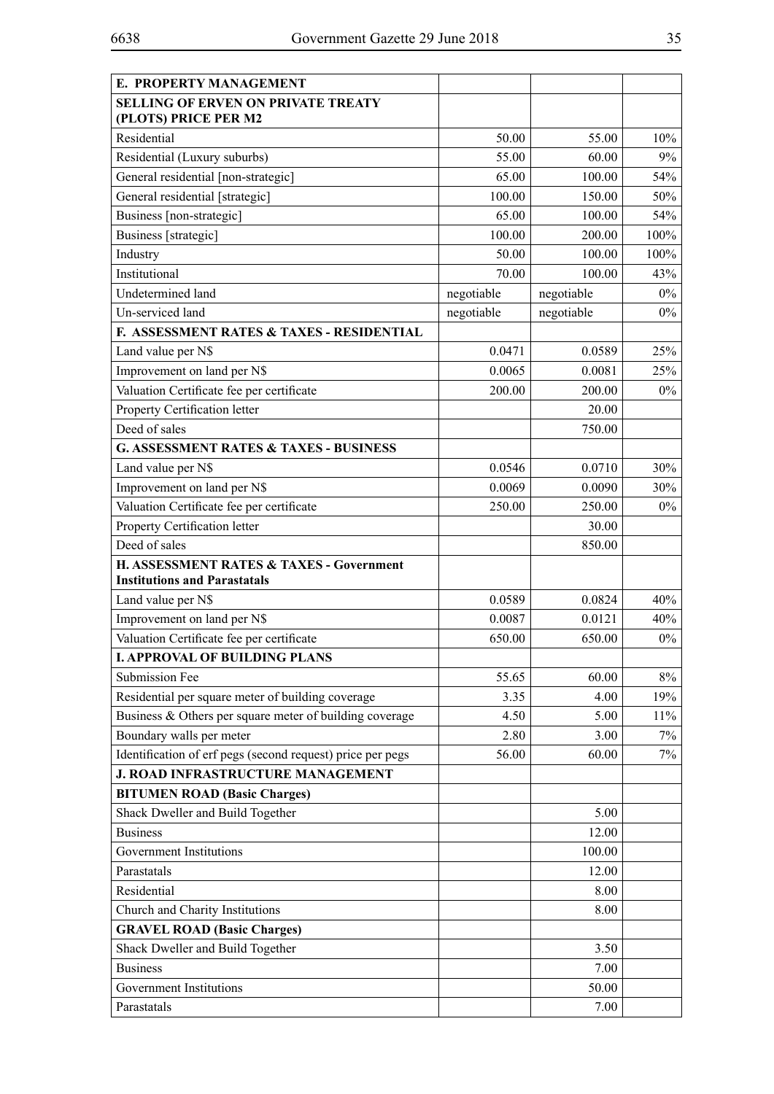| E. PROPERTY MANAGEMENT                                                                     |            |            |        |
|--------------------------------------------------------------------------------------------|------------|------------|--------|
| <b>SELLING OF ERVEN ON PRIVATE TREATY</b><br>(PLOTS) PRICE PER M2                          |            |            |        |
| Residential                                                                                | 50.00      | 55.00      | 10%    |
| Residential (Luxury suburbs)                                                               | 55.00      | 60.00      | 9%     |
| General residential [non-strategic]                                                        | 65.00      | 100.00     | 54%    |
| General residential [strategic]                                                            | 100.00     | 150.00     | 50%    |
| Business [non-strategic]                                                                   | 65.00      | 100.00     | 54%    |
| Business [strategic]                                                                       | 100.00     | 200.00     | 100%   |
| Industry                                                                                   | 50.00      | 100.00     | 100%   |
| Institutional                                                                              | 70.00      | 100.00     | 43%    |
| Undetermined land                                                                          | negotiable | negotiable | $0\%$  |
| Un-serviced land                                                                           | negotiable | negotiable | $0\%$  |
| F. ASSESSMENT RATES & TAXES - RESIDENTIAL                                                  |            |            |        |
| Land value per N\$                                                                         | 0.0471     | 0.0589     | 25%    |
| Improvement on land per N\$                                                                | 0.0065     | 0.0081     | 25%    |
| Valuation Certificate fee per certificate                                                  | 200.00     | 200.00     | $0\%$  |
| Property Certification letter                                                              |            | 20.00      |        |
| Deed of sales                                                                              |            | 750.00     |        |
| <b>G. ASSESSMENT RATES &amp; TAXES - BUSINESS</b>                                          |            |            |        |
| Land value per N\$                                                                         | 0.0546     | 0.0710     | 30%    |
| Improvement on land per N\$                                                                | 0.0069     | 0.0090     | 30%    |
| Valuation Certificate fee per certificate                                                  | 250.00     | 250.00     | $0\%$  |
| Property Certification letter                                                              |            | 30.00      |        |
| Deed of sales                                                                              |            | 850.00     |        |
| <b>H. ASSESSMENT RATES &amp; TAXES - Government</b><br><b>Institutions and Parastatals</b> |            |            |        |
| Land value per N\$                                                                         | 0.0589     | 0.0824     | 40%    |
| Improvement on land per N\$                                                                | 0.0087     | 0.0121     | 40%    |
| Valuation Certificate fee per certificate                                                  | 650.00     | 650.00     | $0\%$  |
| <b>I. APPROVAL OF BUILDING PLANS</b>                                                       |            |            |        |
| <b>Submission Fee</b>                                                                      | 55.65      | 60.00      | 8%     |
| Residential per square meter of building coverage                                          | 3.35       | 4.00       | 19%    |
| Business & Others per square meter of building coverage                                    | 4.50       | 5.00       | $11\%$ |
| Boundary walls per meter                                                                   | 2.80       | 3.00       | $7\%$  |
| Identification of erf pegs (second request) price per pegs                                 | 56.00      | 60.00      | 7%     |
| J. ROAD INFRASTRUCTURE MANAGEMENT                                                          |            |            |        |
| <b>BITUMEN ROAD (Basic Charges)</b>                                                        |            |            |        |
| Shack Dweller and Build Together                                                           |            | 5.00       |        |
| <b>Business</b>                                                                            |            | 12.00      |        |
| Government Institutions                                                                    |            | 100.00     |        |
| Parastatals                                                                                |            | 12.00      |        |
| Residential                                                                                |            | 8.00       |        |
| Church and Charity Institutions                                                            |            | 8.00       |        |
| <b>GRAVEL ROAD (Basic Charges)</b>                                                         |            |            |        |
| Shack Dweller and Build Together                                                           |            | 3.50       |        |
| <b>Business</b>                                                                            |            | 7.00       |        |
| Government Institutions                                                                    |            | 50.00      |        |
| Parastatals                                                                                |            | 7.00       |        |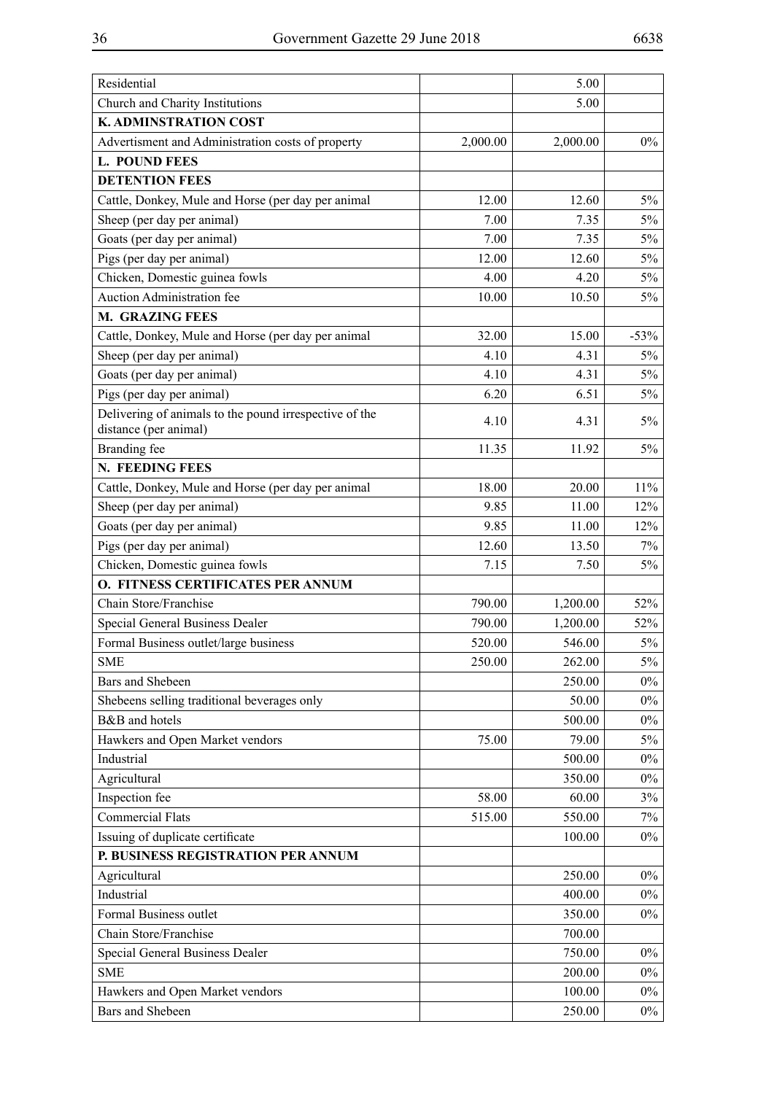| Residential                                                                     |          | 5.00     |        |
|---------------------------------------------------------------------------------|----------|----------|--------|
| Church and Charity Institutions                                                 |          | 5.00     |        |
| K. ADMINSTRATION COST                                                           |          |          |        |
| Advertisment and Administration costs of property                               | 2,000.00 | 2,000.00 | $0\%$  |
| <b>L. POUND FEES</b>                                                            |          |          |        |
| <b>DETENTION FEES</b>                                                           |          |          |        |
| Cattle, Donkey, Mule and Horse (per day per animal                              | 12.00    | 12.60    | $5\%$  |
| Sheep (per day per animal)                                                      | 7.00     | 7.35     | 5%     |
| Goats (per day per animal)                                                      | 7.00     | 7.35     | 5%     |
| Pigs (per day per animal)                                                       | 12.00    | 12.60    | $5\%$  |
| Chicken, Domestic guinea fowls                                                  | 4.00     | 4.20     | $5\%$  |
| Auction Administration fee                                                      | 10.00    | 10.50    | 5%     |
| <b>M. GRAZING FEES</b>                                                          |          |          |        |
| Cattle, Donkey, Mule and Horse (per day per animal                              | 32.00    | 15.00    | $-53%$ |
| Sheep (per day per animal)                                                      | 4.10     | 4.31     | 5%     |
| Goats (per day per animal)                                                      | 4.10     | 4.31     | 5%     |
| Pigs (per day per animal)                                                       | 6.20     | 6.51     | 5%     |
| Delivering of animals to the pound irrespective of the<br>distance (per animal) | 4.10     | 4.31     | 5%     |
| Branding fee                                                                    | 11.35    | 11.92    | 5%     |
| N. FEEDING FEES                                                                 |          |          |        |
| Cattle, Donkey, Mule and Horse (per day per animal                              | 18.00    | 20.00    | 11%    |
| Sheep (per day per animal)                                                      | 9.85     | 11.00    | 12%    |
| Goats (per day per animal)                                                      | 9.85     | 11.00    | 12%    |
| Pigs (per day per animal)                                                       | 12.60    | 13.50    | 7%     |
| Chicken, Domestic guinea fowls                                                  | 7.15     | 7.50     | 5%     |
| O. FITNESS CERTIFICATES PER ANNUM                                               |          |          |        |
| Chain Store/Franchise                                                           | 790.00   | 1,200.00 | 52%    |
| Special General Business Dealer                                                 | 790.00   | 1,200.00 | 52%    |
| Formal Business outlet/large business                                           | 520.00   | 546.00   | $5\%$  |
| <b>SME</b>                                                                      | 250.00   | 262.00   | 5%     |
| Bars and Shebeen                                                                |          | 250.00   | $0\%$  |
| Shebeens selling traditional beverages only                                     |          | 50.00    | $0\%$  |
| B&B and hotels                                                                  |          | 500.00   | $0\%$  |
| Hawkers and Open Market vendors                                                 | 75.00    | 79.00    | 5%     |
| Industrial                                                                      |          | 500.00   | $0\%$  |
| Agricultural                                                                    |          | 350.00   | $0\%$  |
| Inspection fee                                                                  | 58.00    | 60.00    | 3%     |
| <b>Commercial Flats</b>                                                         | 515.00   | 550.00   | 7%     |
| Issuing of duplicate certificate                                                |          | 100.00   | $0\%$  |
| P. BUSINESS REGISTRATION PER ANNUM                                              |          |          |        |
| Agricultural                                                                    |          | 250.00   | $0\%$  |
| Industrial                                                                      |          | 400.00   | $0\%$  |
| Formal Business outlet                                                          |          | 350.00   | $0\%$  |
| Chain Store/Franchise                                                           |          | 700.00   |        |
| Special General Business Dealer                                                 |          | 750.00   | $0\%$  |
| <b>SME</b>                                                                      |          | 200.00   | $0\%$  |
| Hawkers and Open Market vendors                                                 |          | 100.00   | $0\%$  |
| <b>Bars and Shebeen</b>                                                         |          | 250.00   | $0\%$  |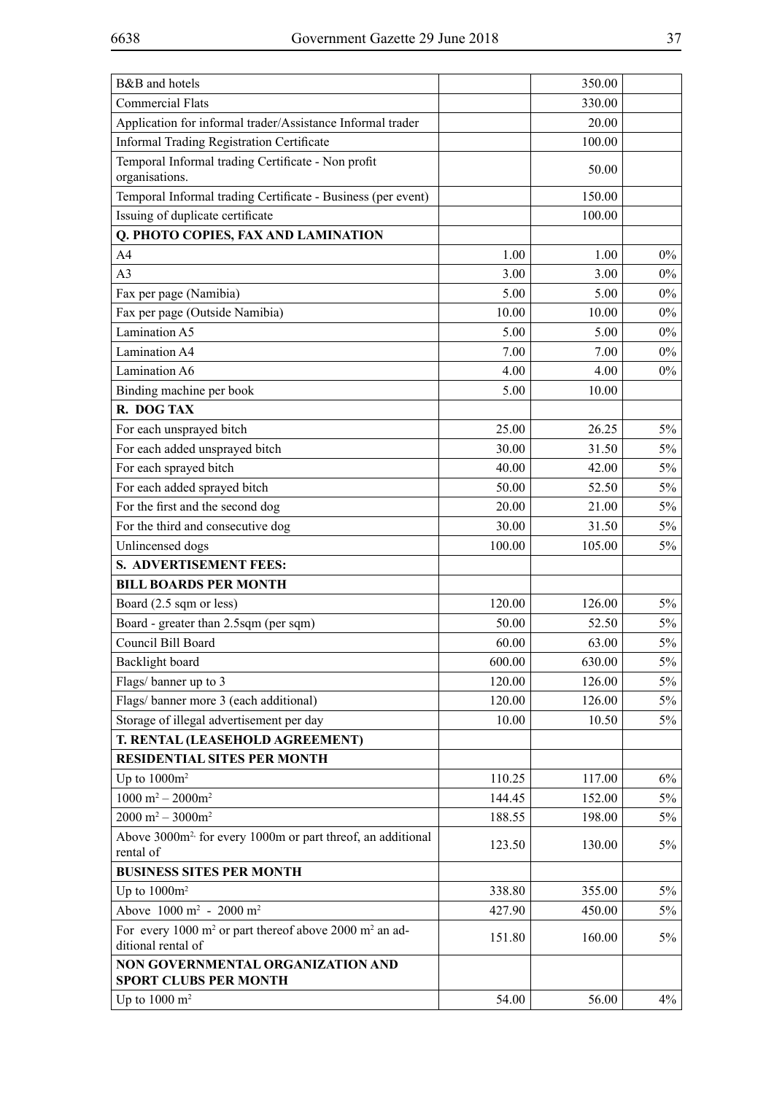| B&B and hotels                                                                       |        | 350.00 |       |
|--------------------------------------------------------------------------------------|--------|--------|-------|
| <b>Commercial Flats</b>                                                              |        | 330.00 |       |
| Application for informal trader/Assistance Informal trader                           |        | 20.00  |       |
| <b>Informal Trading Registration Certificate</b>                                     |        | 100.00 |       |
| Temporal Informal trading Certificate - Non profit<br>organisations.                 |        | 50.00  |       |
| Temporal Informal trading Certificate - Business (per event)                         |        | 150.00 |       |
| Issuing of duplicate certificate                                                     |        | 100.00 |       |
| <b>Q. PHOTO COPIES, FAX AND LAMINATION</b>                                           |        |        |       |
| A <sub>4</sub>                                                                       | 1.00   | 1.00   | $0\%$ |
| A <sub>3</sub>                                                                       | 3.00   | 3.00   | $0\%$ |
| Fax per page (Namibia)                                                               | 5.00   | 5.00   | $0\%$ |
| Fax per page (Outside Namibia)                                                       | 10.00  | 10.00  | $0\%$ |
| Lamination A5                                                                        | 5.00   | 5.00   | $0\%$ |
| Lamination A4                                                                        | 7.00   | 7.00   | $0\%$ |
| Lamination A6                                                                        | 4.00   | 4.00   | $0\%$ |
| Binding machine per book                                                             | 5.00   | 10.00  |       |
| R. DOG TAX                                                                           |        |        |       |
|                                                                                      | 25.00  | 26.25  | $5\%$ |
| For each unsprayed bitch                                                             |        |        |       |
| For each added unsprayed bitch                                                       | 30.00  | 31.50  | $5\%$ |
| For each sprayed bitch                                                               | 40.00  | 42.00  | $5\%$ |
| For each added sprayed bitch                                                         | 50.00  | 52.50  | $5\%$ |
| For the first and the second dog                                                     | 20.00  | 21.00  | $5\%$ |
| For the third and consecutive dog                                                    | 30.00  | 31.50  | $5\%$ |
| Unlincensed dogs                                                                     | 100.00 | 105.00 | $5\%$ |
| <b>S. ADVERTISEMENT FEES:</b>                                                        |        |        |       |
| <b>BILL BOARDS PER MONTH</b>                                                         |        |        |       |
| Board (2.5 sqm or less)                                                              | 120.00 | 126.00 | $5\%$ |
| Board - greater than 2.5sqm (per sqm)                                                | 50.00  | 52.50  | $5\%$ |
| Council Bill Board                                                                   | 60.00  | 63.00  | 5%    |
| Backlight board                                                                      | 600.00 | 630.00 | $5\%$ |
| Flags/banner up to 3                                                                 | 120.00 | 126.00 | $5\%$ |
| Flags/banner more 3 (each additional)                                                | 120.00 | 126.00 | $5\%$ |
| Storage of illegal advertisement per day                                             | 10.00  | 10.50  | $5\%$ |
| T. RENTAL (LEASEHOLD AGREEMENT)                                                      |        |        |       |
| <b>RESIDENTIAL SITES PER MONTH</b>                                                   |        |        |       |
| Up to $1000m^2$                                                                      | 110.25 | 117.00 | $6\%$ |
| $1000 \text{ m}^2 - 2000 \text{m}^2$                                                 | 144.45 | 152.00 | $5\%$ |
| $2000 \text{ m}^2 - 3000 \text{ m}^2$                                                | 188.55 | 198.00 | 5%    |
| Above 3000m <sup>2,</sup> for every 1000m or part threof, an additional<br>rental of | 123.50 | 130.00 | 5%    |
| <b>BUSINESS SITES PER MONTH</b>                                                      |        |        |       |
| Up to $1000m^2$                                                                      | 338.80 | 355.00 | $5\%$ |
| Above 1000 m <sup>2</sup> - 2000 m <sup>2</sup>                                      | 427.90 | 450.00 | 5%    |
| For every 1000 m <sup>2</sup> or part thereof above 2000 m <sup>2</sup> an ad-       | 151.80 | 160.00 | $5\%$ |
| ditional rental of                                                                   |        |        |       |
| NON GOVERNMENTAL ORGANIZATION AND<br><b>SPORT CLUBS PER MONTH</b>                    |        |        |       |
| Up to $1000 \text{ m}^2$                                                             | 54.00  | 56.00  | 4%    |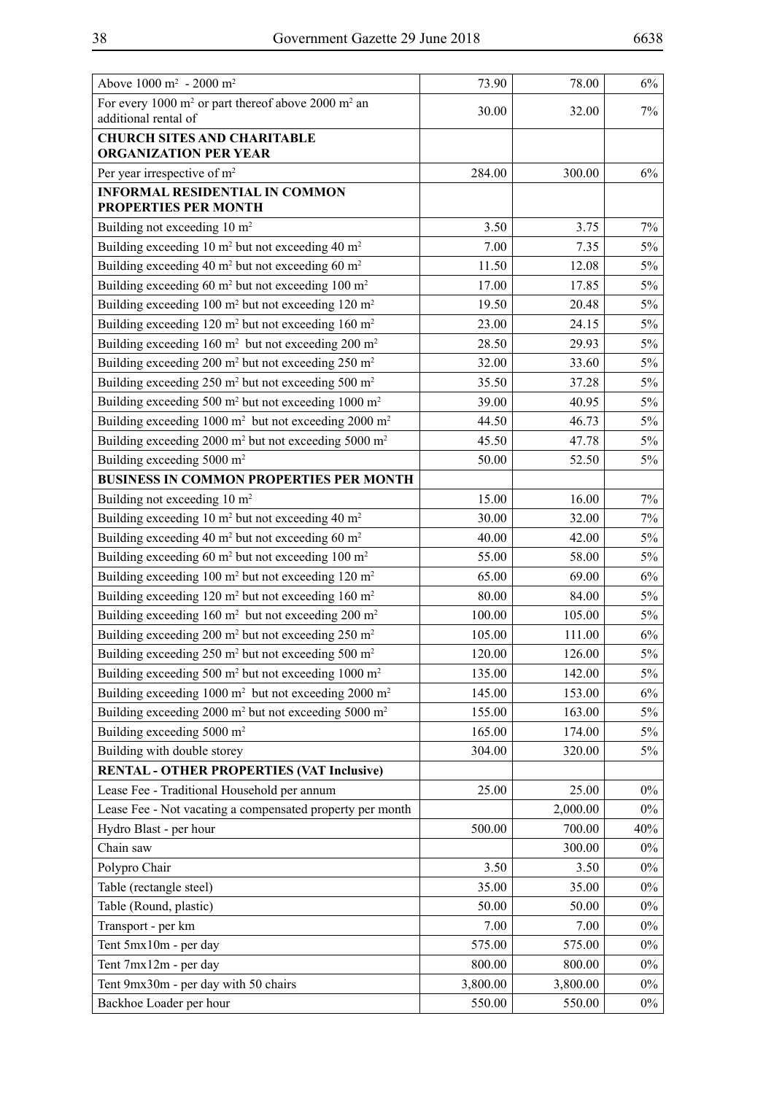| Above $1000 \text{ m}^2 - 2000 \text{ m}^2$                                                        | 73.90    | 78.00    | $6\%$ |
|----------------------------------------------------------------------------------------------------|----------|----------|-------|
| For every 1000 m <sup>2</sup> or part thereof above 2000 m <sup>2</sup> an<br>additional rental of | 30.00    | 32.00    | $7\%$ |
| <b>CHURCH SITES AND CHARITABLE</b>                                                                 |          |          |       |
| <b>ORGANIZATION PER YEAR</b>                                                                       |          |          |       |
| Per year irrespective of m <sup>2</sup>                                                            | 284.00   | 300.00   | 6%    |
| <b>INFORMAL RESIDENTIAL IN COMMON</b><br>PROPERTIES PER MONTH                                      |          |          |       |
| Building not exceeding 10 m <sup>2</sup>                                                           | 3.50     | 3.75     | 7%    |
| Building exceeding 10 $m2$ but not exceeding 40 $m2$                                               | 7.00     | 7.35     | $5\%$ |
| Building exceeding 40 m <sup>2</sup> but not exceeding 60 m <sup>2</sup>                           | 11.50    | 12.08    | $5\%$ |
| Building exceeding 60 m <sup>2</sup> but not exceeding 100 m <sup>2</sup>                          | 17.00    | 17.85    | $5\%$ |
| Building exceeding 100 m <sup>2</sup> but not exceeding 120 m <sup>2</sup>                         | 19.50    | 20.48    | $5\%$ |
| Building exceeding $120 \text{ m}^2$ but not exceeding $160 \text{ m}^2$                           | 23.00    | 24.15    | $5\%$ |
| Building exceeding 160 m <sup>2</sup> but not exceeding 200 m <sup>2</sup>                         | 28.50    | 29.93    | $5\%$ |
| Building exceeding 200 m <sup>2</sup> but not exceeding 250 m <sup>2</sup>                         | 32.00    | 33.60    | 5%    |
| Building exceeding 250 m <sup>2</sup> but not exceeding 500 m <sup>2</sup>                         | 35.50    | 37.28    | $5\%$ |
| Building exceeding 500 m <sup>2</sup> but not exceeding 1000 m <sup>2</sup>                        | 39.00    | 40.95    | 5%    |
| Building exceeding 1000 m <sup>2</sup> but not exceeding 2000 m <sup>2</sup>                       | 44.50    | 46.73    | $5\%$ |
| Building exceeding 2000 m <sup>2</sup> but not exceeding 5000 m <sup>2</sup>                       | 45.50    | 47.78    | 5%    |
| Building exceeding 5000 m <sup>2</sup>                                                             | 50.00    | 52.50    | $5\%$ |
| <b>BUSINESS IN COMMON PROPERTIES PER MONTH</b>                                                     |          |          |       |
| Building not exceeding 10 m <sup>2</sup>                                                           | 15.00    | 16.00    | 7%    |
| Building exceeding 10 m <sup>2</sup> but not exceeding 40 m <sup>2</sup>                           | 30.00    | 32.00    | 7%    |
| Building exceeding 40 m <sup>2</sup> but not exceeding 60 m <sup>2</sup>                           | 40.00    | 42.00    | 5%    |
| Building exceeding 60 m <sup>2</sup> but not exceeding 100 m <sup>2</sup>                          | 55.00    | 58.00    | 5%    |
| Building exceeding 100 m <sup>2</sup> but not exceeding 120 m <sup>2</sup>                         | 65.00    | 69.00    | 6%    |
| Building exceeding 120 m <sup>2</sup> but not exceeding 160 m <sup>2</sup>                         | 80.00    | 84.00    | $5\%$ |
| Building exceeding $160 \text{ m}^2$ but not exceeding $200 \text{ m}^2$                           | 100.00   | 105.00   | $5\%$ |
| Building exceeding 200 m <sup>2</sup> but not exceeding 250 m <sup>2</sup>                         | 105.00   | 111.00   | $6\%$ |
| Building exceeding 250 m <sup>2</sup> but not exceeding 500 m <sup>2</sup>                         | 120.00   | 126.00   | 5%    |
| Building exceeding 500 m <sup>2</sup> but not exceeding 1000 m <sup>2</sup>                        | 135.00   | 142.00   | $5\%$ |
| Building exceeding $1000 \text{ m}^2$ but not exceeding $2000 \text{ m}^2$                         | 145.00   | 153.00   | $6\%$ |
| Building exceeding 2000 m <sup>2</sup> but not exceeding 5000 m <sup>2</sup>                       | 155.00   | 163.00   | $5\%$ |
| Building exceeding 5000 m <sup>2</sup>                                                             | 165.00   | 174.00   | $5\%$ |
| Building with double storey                                                                        | 304.00   | 320.00   | $5\%$ |
| <b>RENTAL - OTHER PROPERTIES (VAT Inclusive)</b>                                                   |          |          |       |
| Lease Fee - Traditional Household per annum                                                        | 25.00    | 25.00    | $0\%$ |
| Lease Fee - Not vacating a compensated property per month                                          |          | 2,000.00 | $0\%$ |
| Hydro Blast - per hour                                                                             | 500.00   | 700.00   | 40%   |
| Chain saw                                                                                          |          | 300.00   | $0\%$ |
| Polypro Chair                                                                                      | 3.50     | 3.50     | $0\%$ |
| Table (rectangle steel)                                                                            | 35.00    | 35.00    | $0\%$ |
| Table (Round, plastic)                                                                             | 50.00    | 50.00    | $0\%$ |
| Transport - per km                                                                                 | 7.00     | 7.00     | $0\%$ |
| Tent 5mx10m - per day                                                                              | 575.00   | 575.00   | $0\%$ |
| Tent 7mx12m - per day                                                                              | 800.00   | 800.00   | $0\%$ |
| Tent 9mx30m - per day with 50 chairs                                                               | 3,800.00 | 3,800.00 | $0\%$ |
| Backhoe Loader per hour                                                                            | 550.00   | 550.00   | $0\%$ |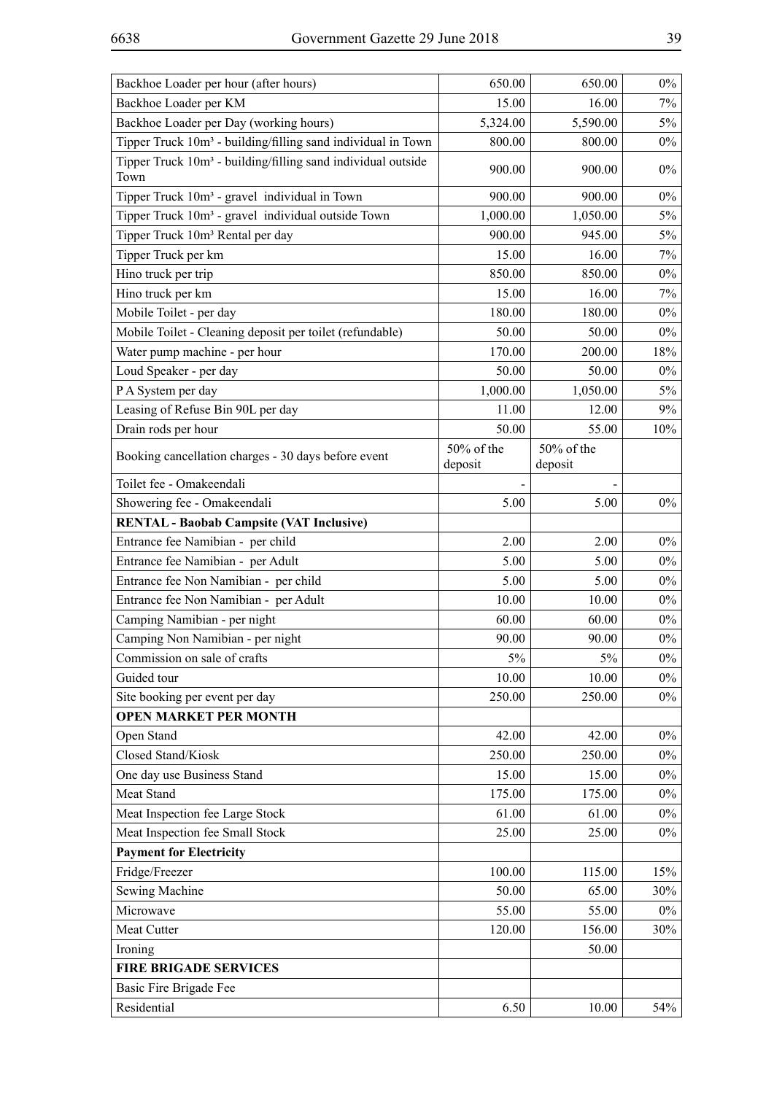| Backhoe Loader per hour (after hours)                                            | 650.00                | 650.00                | $0\%$ |
|----------------------------------------------------------------------------------|-----------------------|-----------------------|-------|
| Backhoe Loader per KM                                                            | 15.00                 | 16.00                 | 7%    |
| Backhoe Loader per Day (working hours)                                           | 5,324.00              | 5,590.00              | $5\%$ |
| Tipper Truck 10m <sup>3</sup> - building/filling sand individual in Town         | 800.00                | 800.00                | $0\%$ |
| Tipper Truck 10m <sup>3</sup> - building/filling sand individual outside<br>Town | 900.00                | 900.00                | $0\%$ |
| Tipper Truck 10m <sup>3</sup> - gravel individual in Town                        | 900.00                | 900.00                | $0\%$ |
| Tipper Truck 10m <sup>3</sup> - gravel individual outside Town                   | 1,000.00              | 1,050.00              | $5\%$ |
| Tipper Truck 10m <sup>3</sup> Rental per day                                     | 900.00                | 945.00                | $5\%$ |
| Tipper Truck per km                                                              | 15.00                 | 16.00                 | 7%    |
| Hino truck per trip                                                              | 850.00                | 850.00                | $0\%$ |
| Hino truck per km                                                                | 15.00                 | 16.00                 | 7%    |
| Mobile Toilet - per day                                                          | 180.00                | 180.00                | $0\%$ |
| Mobile Toilet - Cleaning deposit per toilet (refundable)                         | 50.00                 | 50.00                 | $0\%$ |
| Water pump machine - per hour                                                    | 170.00                | 200.00                | 18%   |
| Loud Speaker - per day                                                           | 50.00                 | 50.00                 | $0\%$ |
| P A System per day                                                               | 1,000.00              | 1,050.00              | $5\%$ |
| Leasing of Refuse Bin 90L per day                                                | 11.00                 | 12.00                 | 9%    |
| Drain rods per hour                                                              | 50.00                 | 55.00                 | 10%   |
| Booking cancellation charges - 30 days before event                              | 50% of the<br>deposit | 50% of the<br>deposit |       |
| Toilet fee - Omakeendali                                                         |                       |                       |       |
| Showering fee - Omakeendali                                                      | 5.00                  | 5.00                  | $0\%$ |
| <b>RENTAL - Baobab Campsite (VAT Inclusive)</b>                                  |                       |                       |       |
| Entrance fee Namibian - per child                                                | 2.00                  | 2.00                  | $0\%$ |
| Entrance fee Namibian - per Adult                                                | 5.00                  | 5.00                  | $0\%$ |
| Entrance fee Non Namibian - per child                                            | 5.00                  | 5.00                  | $0\%$ |
| Entrance fee Non Namibian - per Adult                                            | 10.00                 | 10.00                 | $0\%$ |
| Camping Namibian - per night                                                     | 60.00                 | 60.00                 | $0\%$ |
| Camping Non Namibian - per night                                                 | 90.00                 | 90.00                 | $0\%$ |
| Commission on sale of crafts                                                     | 5%                    | $5\%$                 | $0\%$ |
| Guided tour                                                                      | 10.00                 | 10.00                 | $0\%$ |
| Site booking per event per day                                                   | 250.00                | 250.00                | $0\%$ |
| <b>OPEN MARKET PER MONTH</b>                                                     |                       |                       |       |
| Open Stand                                                                       | 42.00                 | 42.00                 | $0\%$ |
| Closed Stand/Kiosk                                                               | 250.00                | 250.00                | $0\%$ |
| One day use Business Stand                                                       | 15.00                 | 15.00                 | $0\%$ |
| Meat Stand                                                                       | 175.00                | 175.00                | $0\%$ |
| Meat Inspection fee Large Stock                                                  | 61.00                 | 61.00                 | $0\%$ |
| Meat Inspection fee Small Stock                                                  | 25.00                 | 25.00                 | $0\%$ |
| <b>Payment for Electricity</b>                                                   |                       |                       |       |
| Fridge/Freezer                                                                   | 100.00                | 115.00                | 15%   |
| Sewing Machine                                                                   | 50.00                 | 65.00                 | 30%   |
| Microwave                                                                        | 55.00                 | 55.00                 | $0\%$ |
| Meat Cutter                                                                      | 120.00                | 156.00                | 30%   |
| Ironing                                                                          |                       | 50.00                 |       |
| <b>FIRE BRIGADE SERVICES</b>                                                     |                       |                       |       |
| Basic Fire Brigade Fee                                                           |                       |                       |       |
| Residential                                                                      | 6.50                  | 10.00                 | 54%   |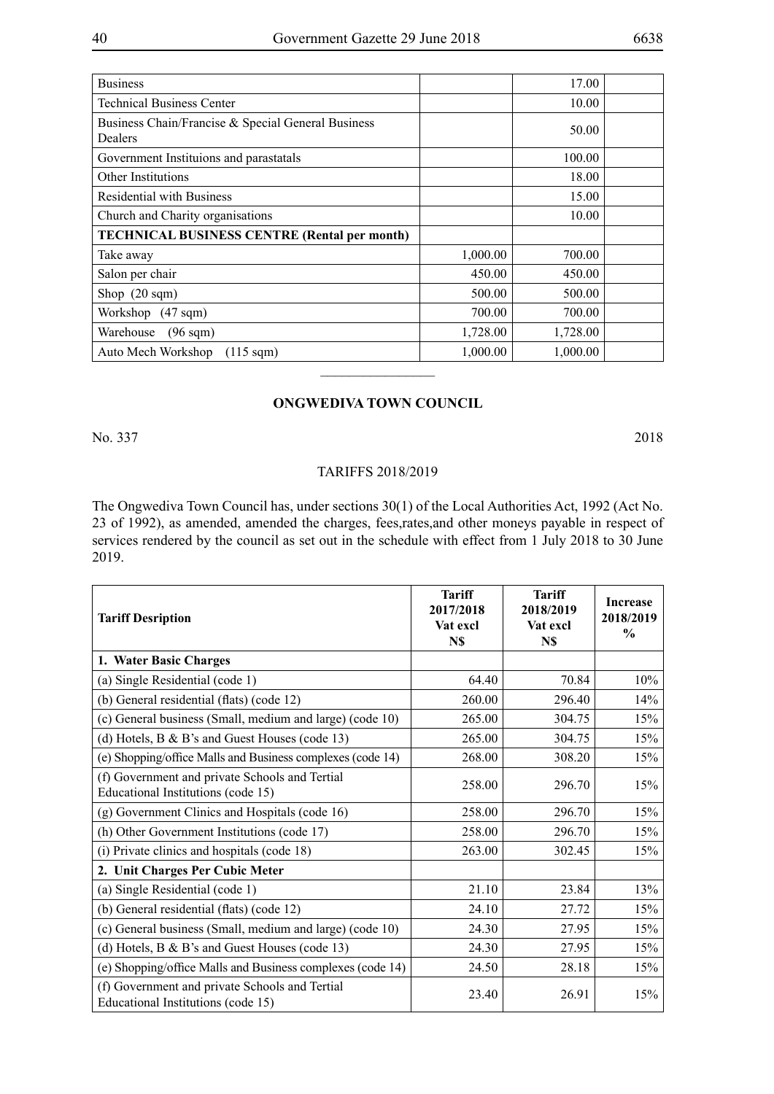| <b>Business</b>                                               |          | 17.00    |  |
|---------------------------------------------------------------|----------|----------|--|
| <b>Technical Business Center</b>                              |          | 10.00    |  |
| Business Chain/Francise & Special General Business<br>Dealers |          | 50.00    |  |
| Government Instituions and parastatals                        |          | 100.00   |  |
| <b>Other Institutions</b>                                     |          | 18.00    |  |
| <b>Residential with Business</b>                              |          | 15.00    |  |
| Church and Charity organisations                              |          | 10.00    |  |
| <b>TECHNICAL BUSINESS CENTRE (Rental per month)</b>           |          |          |  |
| Take away                                                     | 1,000.00 | 700.00   |  |
| Salon per chair                                               | 450.00   | 450.00   |  |
| Shop $(20 \text{ sqm})$                                       | 500.00   | 500.00   |  |
| Workshop (47 sqm)                                             | 700.00   | 700.00   |  |
| Warehouse<br>$(96 \text{ sqm})$                               | 1,728.00 | 1,728.00 |  |
| Auto Mech Workshop<br>$(115 \text{ sqm})$                     | 1,000.00 | 1,000.00 |  |
|                                                               |          |          |  |

### **ONGWEDIVA TOWN COUNCIL**

No. 337 2018

#### TARIFFS 2018/2019

The Ongwediva Town Council has, under sections 30(1) of the Local Authorities Act, 1992 (Act No. 23 of 1992), as amended, amended the charges, fees,rates,and other moneys payable in respect of services rendered by the council as set out in the schedule with effect from 1 July 2018 to 30 June 2019.

| <b>Tariff Desription</b>                                                             | <b>Tariff</b><br>2017/2018<br>Vat excl<br>N\$ | <b>Tariff</b><br>2018/2019<br>Vat excl<br>N\$ | <b>Increase</b><br>2018/2019<br>$\frac{0}{0}$ |
|--------------------------------------------------------------------------------------|-----------------------------------------------|-----------------------------------------------|-----------------------------------------------|
| 1. Water Basic Charges                                                               |                                               |                                               |                                               |
| (a) Single Residential (code 1)                                                      | 64.40                                         | 70.84                                         | 10%                                           |
| (b) General residential (flats) (code 12)                                            | 260.00                                        | 296.40                                        | 14%                                           |
| (c) General business (Small, medium and large) (code 10)                             | 265.00                                        | 304.75                                        | 15%                                           |
| (d) Hotels, $B \& B$ 's and Guest Houses (code 13)                                   | 265.00                                        | 304.75                                        | 15%                                           |
| (e) Shopping/office Malls and Business complexes (code 14)                           | 268.00                                        | 308.20                                        | 15%                                           |
| (f) Government and private Schools and Tertial<br>Educational Institutions (code 15) | 258.00                                        | 296.70                                        | 15%                                           |
| (g) Government Clinics and Hospitals (code 16)                                       | 258.00                                        | 296.70                                        | 15%                                           |
| (h) Other Government Institutions (code 17)                                          | 258.00                                        | 296.70                                        | 15%                                           |
| (i) Private clinics and hospitals (code 18)                                          | 263.00                                        | 302.45                                        | 15%                                           |
| 2. Unit Charges Per Cubic Meter                                                      |                                               |                                               |                                               |
| (a) Single Residential (code 1)                                                      | 21.10                                         | 23.84                                         | 13%                                           |
| (b) General residential (flats) (code 12)                                            | 24.10                                         | 27.72                                         | 15%                                           |
| (c) General business (Small, medium and large) (code 10)                             | 24.30                                         | 27.95                                         | 15%                                           |
| (d) Hotels, $B \& B$ 's and Guest Houses (code 13)                                   | 24.30                                         | 27.95                                         | 15%                                           |
| (e) Shopping/office Malls and Business complexes (code 14)                           | 24.50                                         | 28.18                                         | 15%                                           |
| (f) Government and private Schools and Tertial<br>Educational Institutions (code 15) | 23.40                                         | 26.91                                         | 15%                                           |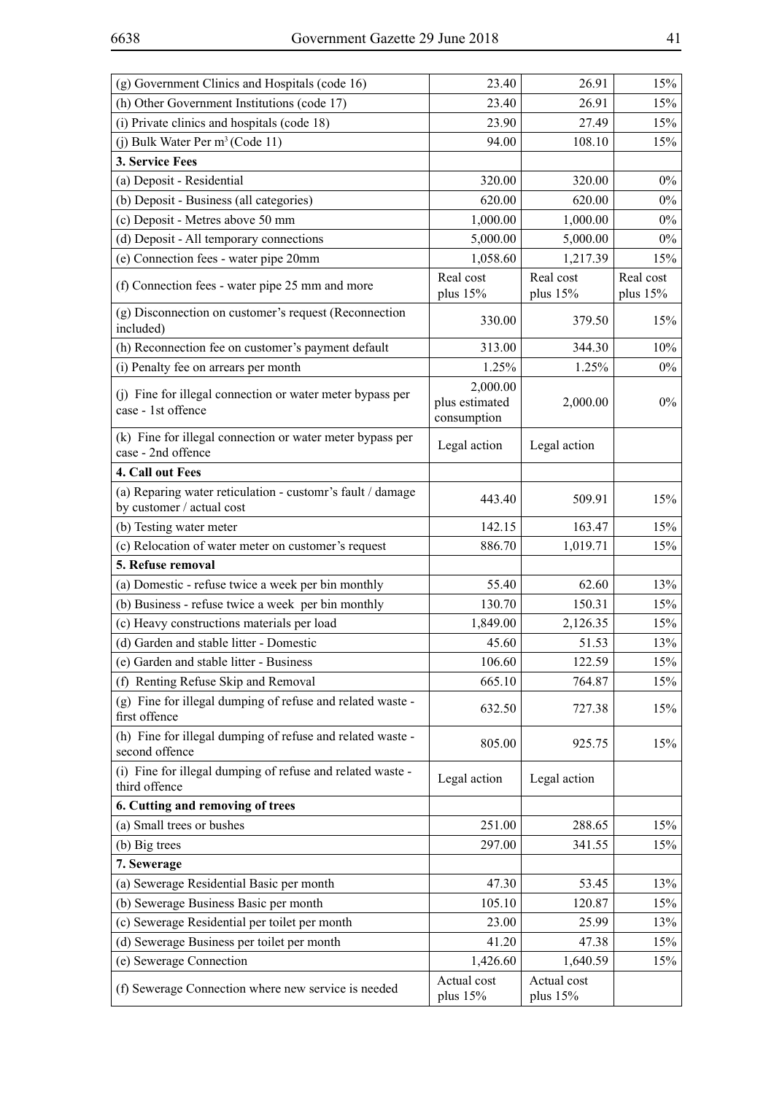| (g) Government Clinics and Hospitals (code 16)                                          | 23.40                                     | 26.91                   | 15%                     |
|-----------------------------------------------------------------------------------------|-------------------------------------------|-------------------------|-------------------------|
| (h) Other Government Institutions (code 17)                                             | 23.40                                     | 26.91                   | 15%                     |
| (i) Private clinics and hospitals (code 18)                                             | 23.90                                     | 27.49                   | 15%                     |
| (i) Bulk Water Per m <sup>3</sup> (Code 11)                                             | 94.00                                     | 108.10                  | 15%                     |
| 3. Service Fees                                                                         |                                           |                         |                         |
| (a) Deposit - Residential                                                               | 320.00                                    | 320.00                  | $0\%$                   |
| (b) Deposit - Business (all categories)                                                 | 620.00                                    | 620.00                  | $0\%$                   |
| (c) Deposit - Metres above 50 mm                                                        | 1,000.00                                  | 1,000.00                | $0\%$                   |
| (d) Deposit - All temporary connections                                                 | 5,000.00                                  | 5,000.00                | $0\%$                   |
| (e) Connection fees - water pipe 20mm                                                   | 1,058.60                                  | 1,217.39                | 15%                     |
| (f) Connection fees - water pipe 25 mm and more                                         | Real cost<br>plus $15%$                   | Real cost<br>plus $15%$ | Real cost<br>plus $15%$ |
| (g) Disconnection on customer's request (Reconnection<br>included)                      | 330.00                                    | 379.50                  | 15%                     |
| (h) Reconnection fee on customer's payment default                                      | 313.00                                    | 344.30                  | 10%                     |
| (i) Penalty fee on arrears per month                                                    | 1.25%                                     | 1.25%                   | $0\%$                   |
| (j) Fine for illegal connection or water meter bypass per<br>case - 1st offence         | 2,000.00<br>plus estimated<br>consumption | 2,000.00                | $0\%$                   |
| (k) Fine for illegal connection or water meter bypass per<br>case - 2nd offence         | Legal action                              | Legal action            |                         |
| 4. Call out Fees                                                                        |                                           |                         |                         |
| (a) Reparing water reticulation - customr's fault / damage<br>by customer / actual cost | 443.40                                    | 509.91                  | 15%                     |
| (b) Testing water meter                                                                 | 142.15                                    | 163.47                  | 15%                     |
| (c) Relocation of water meter on customer's request                                     | 886.70                                    | 1,019.71                | 15%                     |
| 5. Refuse removal                                                                       |                                           |                         |                         |
| (a) Domestic - refuse twice a week per bin monthly                                      | 55.40                                     | 62.60                   | 13%                     |
| (b) Business - refuse twice a week per bin monthly                                      | 130.70                                    | 150.31                  | 15%                     |
| (c) Heavy constructions materials per load                                              | 1,849.00                                  | 2,126.35                | 15%                     |
| (d) Garden and stable litter - Domestic                                                 | 45.60                                     | 51.53                   | 13%                     |
| (e) Garden and stable litter - Business                                                 | 106.60                                    | 122.59                  | 15%                     |
| (f) Renting Refuse Skip and Removal                                                     | 665.10                                    | 764.87                  | 15%                     |
| (g) Fine for illegal dumping of refuse and related waste -<br>first offence             | 632.50                                    | 727.38                  | 15%                     |
| (h) Fine for illegal dumping of refuse and related waste -<br>second offence            | 805.00                                    | 925.75                  | 15%                     |
| (i) Fine for illegal dumping of refuse and related waste -<br>third offence             | Legal action                              | Legal action            |                         |
| 6. Cutting and removing of trees                                                        |                                           |                         |                         |
| (a) Small trees or bushes                                                               | 251.00                                    | 288.65                  | 15%                     |
| (b) Big trees                                                                           | 297.00                                    | 341.55                  | 15%                     |
| 7. Sewerage                                                                             |                                           |                         |                         |
| (a) Sewerage Residential Basic per month                                                | 47.30                                     | 53.45                   | 13%                     |
| (b) Sewerage Business Basic per month                                                   | 105.10                                    | 120.87                  | 15%                     |
| (c) Sewerage Residential per toilet per month                                           | 23.00                                     | 25.99                   | 13%                     |
| (d) Sewerage Business per toilet per month                                              | 41.20                                     | 47.38                   | 15%                     |
| (e) Sewerage Connection                                                                 | 1,426.60                                  | 1,640.59                | 15%                     |
| (f) Sewerage Connection where new service is needed                                     | Actual cost<br>plus 15%                   | Actual cost<br>plus 15% |                         |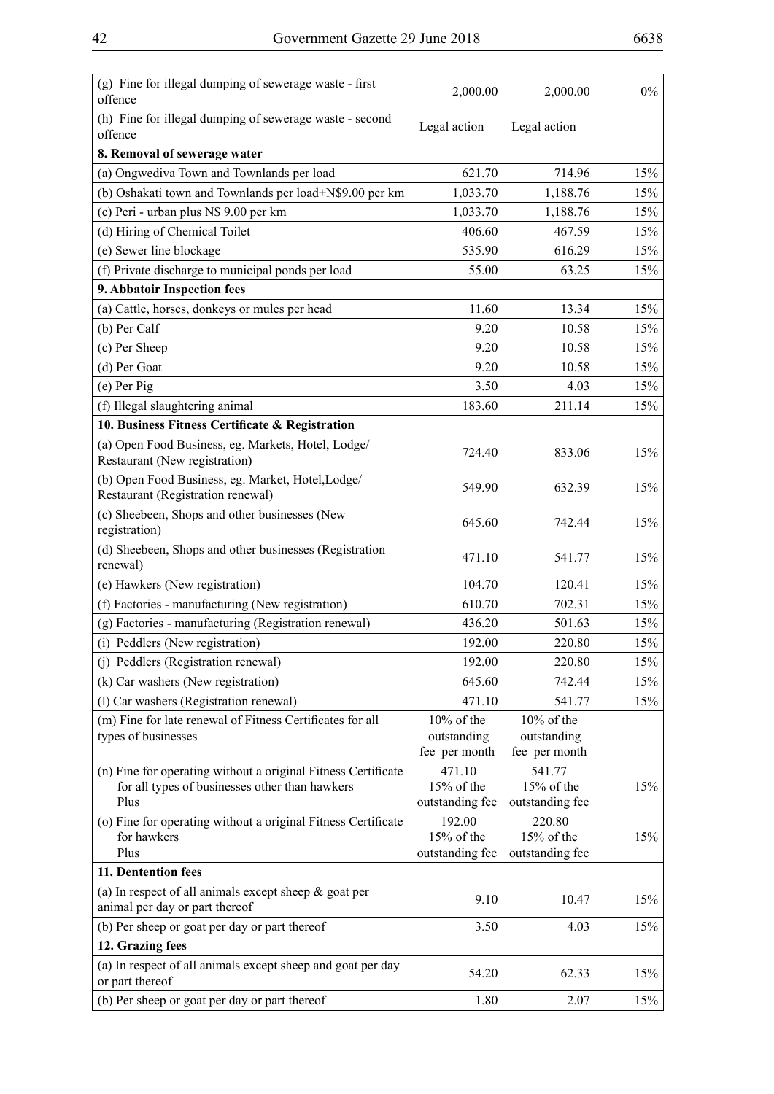| (g) Fine for illegal dumping of sewerage waste - first<br>offence                          | 2,000.00             | 2,000.00             | $0\%$ |
|--------------------------------------------------------------------------------------------|----------------------|----------------------|-------|
| (h) Fine for illegal dumping of sewerage waste - second<br>offence                         | Legal action         | Legal action         |       |
| 8. Removal of sewerage water                                                               |                      |                      |       |
| (a) Ongwediva Town and Townlands per load                                                  | 621.70               | 714.96               | 15%   |
| (b) Oshakati town and Townlands per load+N\$9.00 per km                                    | 1,033.70             | 1,188.76             | 15%   |
| (c) Peri - urban plus N\$ 9.00 per km                                                      | 1,033.70             | 1,188.76             | 15%   |
| (d) Hiring of Chemical Toilet                                                              | 406.60               | 467.59               | 15%   |
| (e) Sewer line blockage                                                                    | 535.90               | 616.29               | 15%   |
| (f) Private discharge to municipal ponds per load                                          | 55.00                | 63.25                | 15%   |
| 9. Abbatoir Inspection fees                                                                |                      |                      |       |
| (a) Cattle, horses, donkeys or mules per head                                              | 11.60                | 13.34                | 15%   |
| (b) Per Calf                                                                               | 9.20                 | 10.58                | 15%   |
| (c) Per Sheep                                                                              | 9.20                 | 10.58                | 15%   |
| (d) Per Goat                                                                               | 9.20                 | 10.58                | 15%   |
| $(e)$ Per Pig                                                                              | 3.50                 | 4.03                 | 15%   |
| (f) Illegal slaughtering animal                                                            | 183.60               | 211.14               | 15%   |
| 10. Business Fitness Certificate & Registration                                            |                      |                      |       |
| (a) Open Food Business, eg. Markets, Hotel, Lodge/                                         |                      |                      |       |
| Restaurant (New registration)                                                              | 724.40               | 833.06               | 15%   |
| (b) Open Food Business, eg. Market, Hotel, Lodge/<br>Restaurant (Registration renewal)     | 549.90               | 632.39               | 15%   |
| (c) Sheebeen, Shops and other businesses (New<br>registration)                             | 645.60               | 742.44               | 15%   |
| (d) Sheebeen, Shops and other businesses (Registration<br>renewal)                         | 471.10               | 541.77               | 15%   |
| (e) Hawkers (New registration)                                                             | 104.70               | 120.41               | 15%   |
| (f) Factories - manufacturing (New registration)                                           | 610.70               | 702.31               | 15%   |
| (g) Factories - manufacturing (Registration renewal)                                       | 436.20               | 501.63               | 15%   |
| (i) Peddlers (New registration)                                                            | 192.00               | 220.80               | 15%   |
| (j) Peddlers (Registration renewal)                                                        | 192.00               | 220.80               | 15%   |
| (k) Car washers (New registration)                                                         | 645.60               | 742.44               | 15%   |
| (l) Car washers (Registration renewal)                                                     | 471.10               | 541.77               | 15%   |
| (m) Fine for late renewal of Fitness Certificates for all                                  | 10% of the           | 10% of the           |       |
| types of businesses                                                                        | outstanding          | outstanding          |       |
|                                                                                            | fee per month        | fee per month        |       |
| (n) Fine for operating without a original Fitness Certificate                              | 471.10               | 541.77               |       |
| for all types of businesses other than hawkers<br>Plus                                     | 15% of the           | 15% of the           | 15%   |
|                                                                                            | outstanding fee      | outstanding fee      |       |
| (o) Fine for operating without a original Fitness Certificate<br>for hawkers               | 192.00<br>15% of the | 220.80<br>15% of the | 15%   |
| Plus                                                                                       | outstanding fee      | outstanding fee      |       |
| 11. Dentention fees                                                                        |                      |                      |       |
| (a) In respect of all animals except sheep $\&$ goat per<br>animal per day or part thereof | 9.10                 | 10.47                | 15%   |
| (b) Per sheep or goat per day or part thereof                                              | 3.50                 | 4.03                 | 15%   |
| 12. Grazing fees                                                                           |                      |                      |       |
| (a) In respect of all animals except sheep and goat per day                                |                      |                      |       |
| or part thereof                                                                            | 54.20                | 62.33                | 15%   |
| (b) Per sheep or goat per day or part thereof                                              | 1.80                 | 2.07                 | 15%   |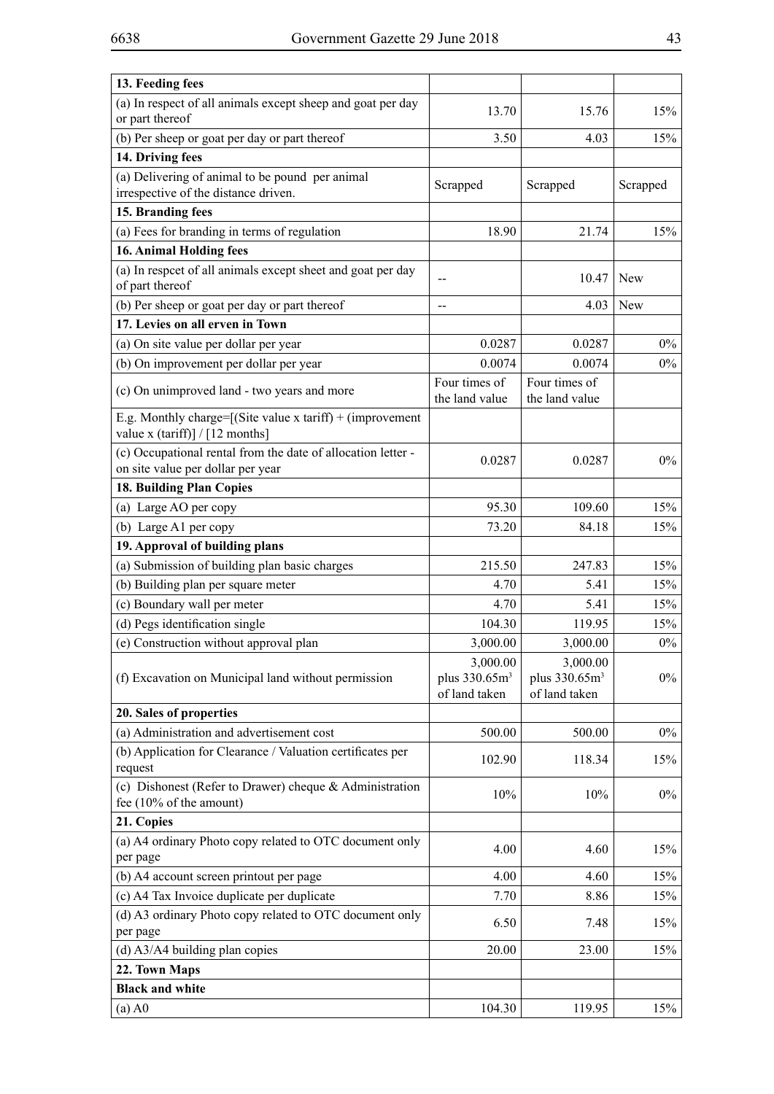| (a) In respect of all animals except sheep and goat per day<br>15%<br>13.70<br>15.76<br>or part thereof<br>(b) Per sheep or goat per day or part thereof<br>15%<br>3.50<br>4.03<br>14. Driving fees<br>(a) Delivering of animal to be pound per animal<br>Scrapped<br>Scrapped<br>Scrapped<br>irrespective of the distance driven.<br>15. Branding fees<br>(a) Fees for branding in terms of regulation<br>15%<br>18.90<br>21.74<br><b>16. Animal Holding fees</b><br>(a) In respect of all animals except sheet and goat per day<br>10.47<br><b>New</b><br>--<br>of part thereof<br>(b) Per sheep or goat per day or part thereof<br>4.03<br>New<br>$-$<br>17. Levies on all erven in Town<br>(a) On site value per dollar per year<br>0.0287<br>0.0287<br>$0\%$<br>(b) On improvement per dollar per year<br>0.0074<br>0.0074<br>$0\%$<br>Four times of<br>Four times of<br>(c) On unimproved land - two years and more<br>the land value<br>the land value<br>E.g. Monthly charge= $[(\text{Site value x tariff}) + (\text{improvement})$<br>value x (tariff)] / [12 months]<br>(c) Occupational rental from the date of allocation letter -<br>$0\%$<br>0.0287<br>0.0287<br>on site value per dollar per year<br>18. Building Plan Copies<br>95.30<br>109.60<br>15%<br>(a) Large AO per copy<br>(b) Large A1 per copy<br>15%<br>73.20<br>84.18 |
|----------------------------------------------------------------------------------------------------------------------------------------------------------------------------------------------------------------------------------------------------------------------------------------------------------------------------------------------------------------------------------------------------------------------------------------------------------------------------------------------------------------------------------------------------------------------------------------------------------------------------------------------------------------------------------------------------------------------------------------------------------------------------------------------------------------------------------------------------------------------------------------------------------------------------------------------------------------------------------------------------------------------------------------------------------------------------------------------------------------------------------------------------------------------------------------------------------------------------------------------------------------------------------------------------------------------------------------------------|
|                                                                                                                                                                                                                                                                                                                                                                                                                                                                                                                                                                                                                                                                                                                                                                                                                                                                                                                                                                                                                                                                                                                                                                                                                                                                                                                                                    |
|                                                                                                                                                                                                                                                                                                                                                                                                                                                                                                                                                                                                                                                                                                                                                                                                                                                                                                                                                                                                                                                                                                                                                                                                                                                                                                                                                    |
|                                                                                                                                                                                                                                                                                                                                                                                                                                                                                                                                                                                                                                                                                                                                                                                                                                                                                                                                                                                                                                                                                                                                                                                                                                                                                                                                                    |
|                                                                                                                                                                                                                                                                                                                                                                                                                                                                                                                                                                                                                                                                                                                                                                                                                                                                                                                                                                                                                                                                                                                                                                                                                                                                                                                                                    |
|                                                                                                                                                                                                                                                                                                                                                                                                                                                                                                                                                                                                                                                                                                                                                                                                                                                                                                                                                                                                                                                                                                                                                                                                                                                                                                                                                    |
|                                                                                                                                                                                                                                                                                                                                                                                                                                                                                                                                                                                                                                                                                                                                                                                                                                                                                                                                                                                                                                                                                                                                                                                                                                                                                                                                                    |
|                                                                                                                                                                                                                                                                                                                                                                                                                                                                                                                                                                                                                                                                                                                                                                                                                                                                                                                                                                                                                                                                                                                                                                                                                                                                                                                                                    |
|                                                                                                                                                                                                                                                                                                                                                                                                                                                                                                                                                                                                                                                                                                                                                                                                                                                                                                                                                                                                                                                                                                                                                                                                                                                                                                                                                    |
|                                                                                                                                                                                                                                                                                                                                                                                                                                                                                                                                                                                                                                                                                                                                                                                                                                                                                                                                                                                                                                                                                                                                                                                                                                                                                                                                                    |
|                                                                                                                                                                                                                                                                                                                                                                                                                                                                                                                                                                                                                                                                                                                                                                                                                                                                                                                                                                                                                                                                                                                                                                                                                                                                                                                                                    |
|                                                                                                                                                                                                                                                                                                                                                                                                                                                                                                                                                                                                                                                                                                                                                                                                                                                                                                                                                                                                                                                                                                                                                                                                                                                                                                                                                    |
|                                                                                                                                                                                                                                                                                                                                                                                                                                                                                                                                                                                                                                                                                                                                                                                                                                                                                                                                                                                                                                                                                                                                                                                                                                                                                                                                                    |
|                                                                                                                                                                                                                                                                                                                                                                                                                                                                                                                                                                                                                                                                                                                                                                                                                                                                                                                                                                                                                                                                                                                                                                                                                                                                                                                                                    |
|                                                                                                                                                                                                                                                                                                                                                                                                                                                                                                                                                                                                                                                                                                                                                                                                                                                                                                                                                                                                                                                                                                                                                                                                                                                                                                                                                    |
|                                                                                                                                                                                                                                                                                                                                                                                                                                                                                                                                                                                                                                                                                                                                                                                                                                                                                                                                                                                                                                                                                                                                                                                                                                                                                                                                                    |
|                                                                                                                                                                                                                                                                                                                                                                                                                                                                                                                                                                                                                                                                                                                                                                                                                                                                                                                                                                                                                                                                                                                                                                                                                                                                                                                                                    |
|                                                                                                                                                                                                                                                                                                                                                                                                                                                                                                                                                                                                                                                                                                                                                                                                                                                                                                                                                                                                                                                                                                                                                                                                                                                                                                                                                    |
|                                                                                                                                                                                                                                                                                                                                                                                                                                                                                                                                                                                                                                                                                                                                                                                                                                                                                                                                                                                                                                                                                                                                                                                                                                                                                                                                                    |
| 19. Approval of building plans                                                                                                                                                                                                                                                                                                                                                                                                                                                                                                                                                                                                                                                                                                                                                                                                                                                                                                                                                                                                                                                                                                                                                                                                                                                                                                                     |
| (a) Submission of building plan basic charges<br>15%<br>215.50<br>247.83                                                                                                                                                                                                                                                                                                                                                                                                                                                                                                                                                                                                                                                                                                                                                                                                                                                                                                                                                                                                                                                                                                                                                                                                                                                                           |
| (b) Building plan per square meter<br>15%<br>4.70<br>5.41                                                                                                                                                                                                                                                                                                                                                                                                                                                                                                                                                                                                                                                                                                                                                                                                                                                                                                                                                                                                                                                                                                                                                                                                                                                                                          |
| (c) Boundary wall per meter<br>4.70<br>15%<br>5.41                                                                                                                                                                                                                                                                                                                                                                                                                                                                                                                                                                                                                                                                                                                                                                                                                                                                                                                                                                                                                                                                                                                                                                                                                                                                                                 |
| (d) Pegs identification single<br>104.30<br>119.95<br>15%                                                                                                                                                                                                                                                                                                                                                                                                                                                                                                                                                                                                                                                                                                                                                                                                                                                                                                                                                                                                                                                                                                                                                                                                                                                                                          |
| $0\%$<br>(e) Construction without approval plan<br>3,000.00<br>3,000.00                                                                                                                                                                                                                                                                                                                                                                                                                                                                                                                                                                                                                                                                                                                                                                                                                                                                                                                                                                                                                                                                                                                                                                                                                                                                            |
| 3,000.00<br>3,000.00<br>plus 330.65m <sup>3</sup><br>plus 330.65m <sup>3</sup><br>$0\%$<br>(f) Excavation on Municipal land without permission<br>of land taken<br>of land taken                                                                                                                                                                                                                                                                                                                                                                                                                                                                                                                                                                                                                                                                                                                                                                                                                                                                                                                                                                                                                                                                                                                                                                   |
| 20. Sales of properties                                                                                                                                                                                                                                                                                                                                                                                                                                                                                                                                                                                                                                                                                                                                                                                                                                                                                                                                                                                                                                                                                                                                                                                                                                                                                                                            |
| (a) Administration and advertisement cost<br>500.00<br>500.00<br>$0\%$                                                                                                                                                                                                                                                                                                                                                                                                                                                                                                                                                                                                                                                                                                                                                                                                                                                                                                                                                                                                                                                                                                                                                                                                                                                                             |
| (b) Application for Clearance / Valuation certificates per<br>15%<br>102.90<br>118.34<br>request                                                                                                                                                                                                                                                                                                                                                                                                                                                                                                                                                                                                                                                                                                                                                                                                                                                                                                                                                                                                                                                                                                                                                                                                                                                   |
| (c) Dishonest (Refer to Drawer) cheque & Administration<br>$0\%$<br>10%<br>10%<br>fee $(10\% \text{ of the amount})$                                                                                                                                                                                                                                                                                                                                                                                                                                                                                                                                                                                                                                                                                                                                                                                                                                                                                                                                                                                                                                                                                                                                                                                                                               |
| 21. Copies                                                                                                                                                                                                                                                                                                                                                                                                                                                                                                                                                                                                                                                                                                                                                                                                                                                                                                                                                                                                                                                                                                                                                                                                                                                                                                                                         |
| (a) A4 ordinary Photo copy related to OTC document only<br>4.00<br>4.60<br>15%<br>per page                                                                                                                                                                                                                                                                                                                                                                                                                                                                                                                                                                                                                                                                                                                                                                                                                                                                                                                                                                                                                                                                                                                                                                                                                                                         |
| (b) A4 account screen printout per page<br>4.00<br>4.60<br>15%                                                                                                                                                                                                                                                                                                                                                                                                                                                                                                                                                                                                                                                                                                                                                                                                                                                                                                                                                                                                                                                                                                                                                                                                                                                                                     |
| (c) A4 Tax Invoice duplicate per duplicate<br>7.70<br>8.86<br>15%                                                                                                                                                                                                                                                                                                                                                                                                                                                                                                                                                                                                                                                                                                                                                                                                                                                                                                                                                                                                                                                                                                                                                                                                                                                                                  |
| (d) A3 ordinary Photo copy related to OTC document only<br>6.50<br>15%<br>7.48<br>per page                                                                                                                                                                                                                                                                                                                                                                                                                                                                                                                                                                                                                                                                                                                                                                                                                                                                                                                                                                                                                                                                                                                                                                                                                                                         |
| $(d)$ A3/A4 building plan copies<br>15%<br>20.00<br>23.00                                                                                                                                                                                                                                                                                                                                                                                                                                                                                                                                                                                                                                                                                                                                                                                                                                                                                                                                                                                                                                                                                                                                                                                                                                                                                          |
| 22. Town Maps                                                                                                                                                                                                                                                                                                                                                                                                                                                                                                                                                                                                                                                                                                                                                                                                                                                                                                                                                                                                                                                                                                                                                                                                                                                                                                                                      |
| <b>Black and white</b>                                                                                                                                                                                                                                                                                                                                                                                                                                                                                                                                                                                                                                                                                                                                                                                                                                                                                                                                                                                                                                                                                                                                                                                                                                                                                                                             |
| 104.30<br>119.95<br>15%<br>$(a)$ A $0$                                                                                                                                                                                                                                                                                                                                                                                                                                                                                                                                                                                                                                                                                                                                                                                                                                                                                                                                                                                                                                                                                                                                                                                                                                                                                                             |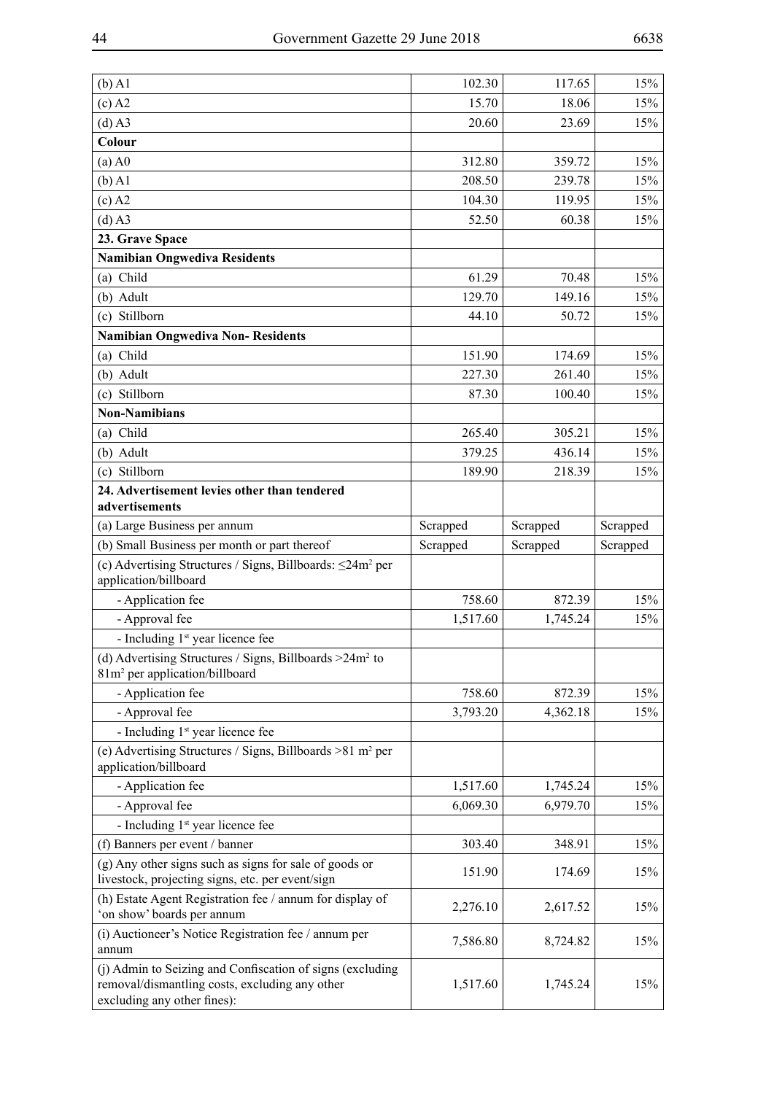| $(b)$ A1                                                                                                                                   | 102.30   | 117.65   | 15%      |
|--------------------------------------------------------------------------------------------------------------------------------------------|----------|----------|----------|
| $(c)$ A2                                                                                                                                   | 15.70    | 18.06    | 15%      |
| $(d)$ A3                                                                                                                                   | 20.60    | 23.69    | 15%      |
| Colour                                                                                                                                     |          |          |          |
| $(a)$ A $0$                                                                                                                                | 312.80   | 359.72   | 15%      |
| $(b)$ A1                                                                                                                                   | 208.50   | 239.78   | 15%      |
| $(c)$ A2                                                                                                                                   | 104.30   | 119.95   | 15%      |
| $(d)$ A3                                                                                                                                   | 52.50    | 60.38    | 15%      |
| 23. Grave Space                                                                                                                            |          |          |          |
| <b>Namibian Ongwediva Residents</b>                                                                                                        |          |          |          |
| (a) Child                                                                                                                                  | 61.29    | 70.48    | 15%      |
| (b) Adult                                                                                                                                  | 129.70   | 149.16   | 15%      |
| (c) Stillborn                                                                                                                              | 44.10    | 50.72    | 15%      |
| <b>Namibian Ongwediva Non-Residents</b>                                                                                                    |          |          |          |
| (a) Child                                                                                                                                  | 151.90   | 174.69   | 15%      |
| (b) Adult                                                                                                                                  | 227.30   | 261.40   | 15%      |
| (c) Stillborn                                                                                                                              | 87.30    | 100.40   | 15%      |
| <b>Non-Namibians</b>                                                                                                                       |          |          |          |
| (a) Child                                                                                                                                  | 265.40   | 305.21   | 15%      |
| (b) Adult                                                                                                                                  | 379.25   | 436.14   | 15%      |
| (c) Stillborn                                                                                                                              | 189.90   | 218.39   | 15%      |
| 24. Advertisement levies other than tendered<br>advertisements                                                                             |          |          |          |
| (a) Large Business per annum                                                                                                               | Scrapped | Scrapped | Scrapped |
| (b) Small Business per month or part thereof                                                                                               | Scrapped | Scrapped | Scrapped |
| (c) Advertising Structures / Signs, Billboards: $\leq$ 24m <sup>2</sup> per<br>application/billboard                                       |          |          |          |
| - Application fee                                                                                                                          | 758.60   | 872.39   | 15%      |
| - Approval fee                                                                                                                             | 1,517.60 | 1,745.24 | 15%      |
| - Including 1 <sup>st</sup> year licence fee                                                                                               |          |          |          |
| (d) Advertising Structures / Signs, Billboards $>24m^2$ to<br>81m <sup>2</sup> per application/billboard                                   |          |          |          |
| - Application fee                                                                                                                          | 758.60   | 872.39   | 15%      |
| - Approval fee                                                                                                                             | 3,793.20 | 4,362.18 | 15%      |
| - Including 1 <sup>st</sup> year licence fee                                                                                               |          |          |          |
| (e) Advertising Structures / Signs, Billboards $>81$ m <sup>2</sup> per<br>application/billboard                                           |          |          |          |
| - Application fee                                                                                                                          | 1,517.60 | 1,745.24 | 15%      |
| - Approval fee                                                                                                                             | 6,069.30 | 6,979.70 | 15%      |
| - Including 1 <sup>st</sup> year licence fee                                                                                               |          |          |          |
| (f) Banners per event / banner                                                                                                             | 303.40   | 348.91   | 15%      |
| (g) Any other signs such as signs for sale of goods or<br>livestock, projecting signs, etc. per event/sign                                 | 151.90   | 174.69   | 15%      |
| (h) Estate Agent Registration fee / annum for display of<br>'on show' boards per annum                                                     | 2,276.10 | 2,617.52 | 15%      |
| (i) Auctioneer's Notice Registration fee / annum per<br>annum                                                                              | 7,586.80 | 8,724.82 | 15%      |
| (j) Admin to Seizing and Confiscation of signs (excluding<br>removal/dismantling costs, excluding any other<br>excluding any other fines): | 1,517.60 | 1,745.24 | 15%      |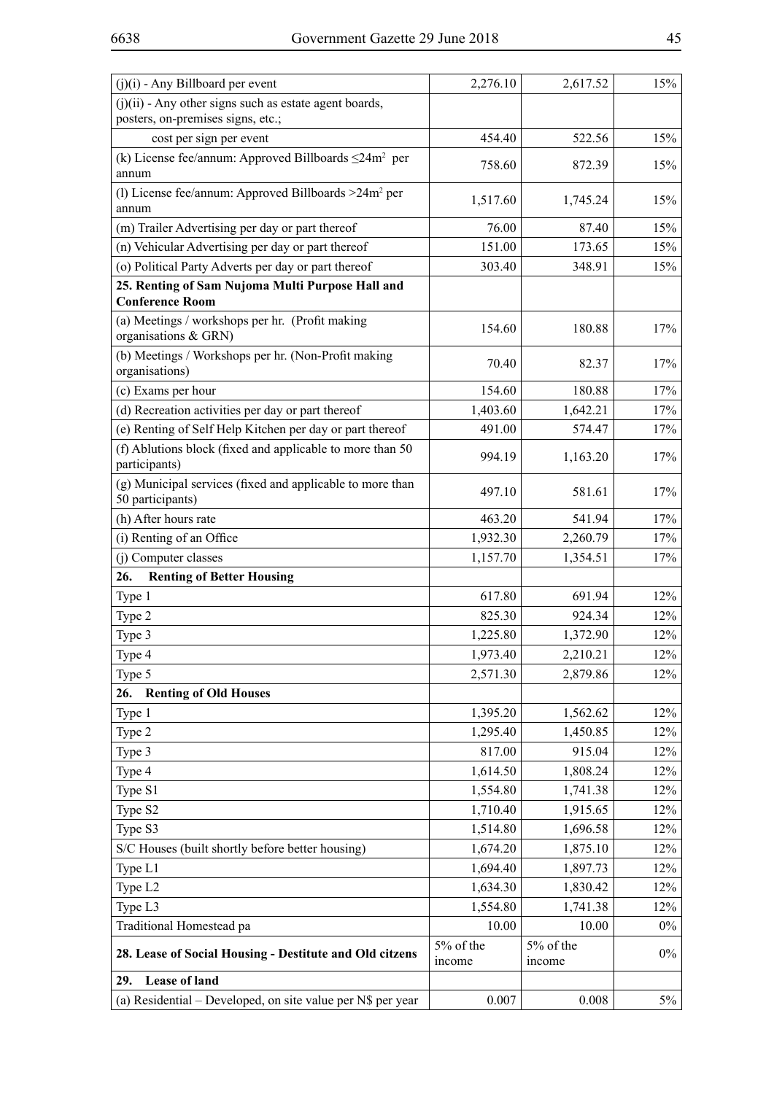| $(j)(i)$ - Any Billboard per event                                                            | 2,276.10            | 2,617.52            | 15%   |
|-----------------------------------------------------------------------------------------------|---------------------|---------------------|-------|
| $(j)(ii)$ - Any other signs such as estate agent boards,<br>posters, on-premises signs, etc.; |                     |                     |       |
| cost per sign per event                                                                       | 454.40              | 522.56              | 15%   |
| (k) License fee/annum: Approved Billboards $\leq 24m^2$ per<br>annum                          | 758.60              | 872.39              | 15%   |
| (1) License fee/annum: Approved Billboards $>24m^2$ per<br>annum                              | 1,517.60            | 1,745.24            | 15%   |
| (m) Trailer Advertising per day or part thereof                                               | 76.00               | 87.40               | 15%   |
| (n) Vehicular Advertising per day or part thereof                                             | 151.00              | 173.65              | 15%   |
| (o) Political Party Adverts per day or part thereof                                           | 303.40              | 348.91              | 15%   |
| 25. Renting of Sam Nujoma Multi Purpose Hall and<br><b>Conference Room</b>                    |                     |                     |       |
| (a) Meetings / workshops per hr. (Profit making<br>organisations & GRN)                       | 154.60              | 180.88              | 17%   |
| (b) Meetings / Workshops per hr. (Non-Profit making<br>organisations)                         | 70.40               | 82.37               | 17%   |
| (c) Exams per hour                                                                            | 154.60              | 180.88              | 17%   |
| (d) Recreation activities per day or part thereof                                             | 1,403.60            | 1,642.21            | 17%   |
| (e) Renting of Self Help Kitchen per day or part thereof                                      | 491.00              | 574.47              | 17%   |
| (f) Ablutions block (fixed and applicable to more than 50<br>participants)                    | 994.19              | 1,163.20            | 17%   |
| (g) Municipal services (fixed and applicable to more than<br>50 participants)                 | 497.10              | 581.61              | 17%   |
| (h) After hours rate                                                                          | 463.20              | 541.94              | 17%   |
| (i) Renting of an Office                                                                      | 1,932.30            | 2,260.79            | 17%   |
| (j) Computer classes                                                                          | 1,157.70            | 1,354.51            | 17%   |
| 26.<br><b>Renting of Better Housing</b>                                                       |                     |                     |       |
| Type 1                                                                                        | 617.80              | 691.94              | 12%   |
| Type 2                                                                                        | 825.30              | 924.34              | 12%   |
| Type 3                                                                                        | 1,225.80            | 1,372.90            | 12%   |
| Type 4                                                                                        | 1,973.40            | 2,210.21            | 12%   |
| Type 5                                                                                        | 2,571.30            | 2,879.86            | 12%   |
| 26.<br><b>Renting of Old Houses</b>                                                           |                     |                     |       |
| Type 1                                                                                        | 1,395.20            | 1,562.62            | 12%   |
| Type 2                                                                                        | 1,295.40            | 1,450.85            | 12%   |
| Type 3                                                                                        | 817.00              | 915.04              | 12%   |
| Type 4                                                                                        | 1,614.50            | 1,808.24            | 12%   |
| Type S1                                                                                       | 1,554.80            | 1,741.38            | 12%   |
| Type S2                                                                                       | 1,710.40            | 1,915.65            | 12%   |
| Type S3                                                                                       | 1,514.80            | 1,696.58            | 12%   |
| S/C Houses (built shortly before better housing)                                              | 1,674.20            | 1,875.10            | 12%   |
| Type L1                                                                                       | 1,694.40            | 1,897.73            | 12%   |
| Type L2                                                                                       | 1,634.30            | 1,830.42            | 12%   |
| Type L3                                                                                       | 1,554.80            | 1,741.38            | 12%   |
| Traditional Homestead pa                                                                      | 10.00               | 10.00               | $0\%$ |
| 28. Lease of Social Housing - Destitute and Old citzens                                       | 5% of the<br>income | 5% of the<br>income | $0\%$ |
| Lease of land<br>29.                                                                          |                     |                     |       |
| (a) Residential – Developed, on site value per N\$ per year                                   | 0.007               | 0.008               | $5\%$ |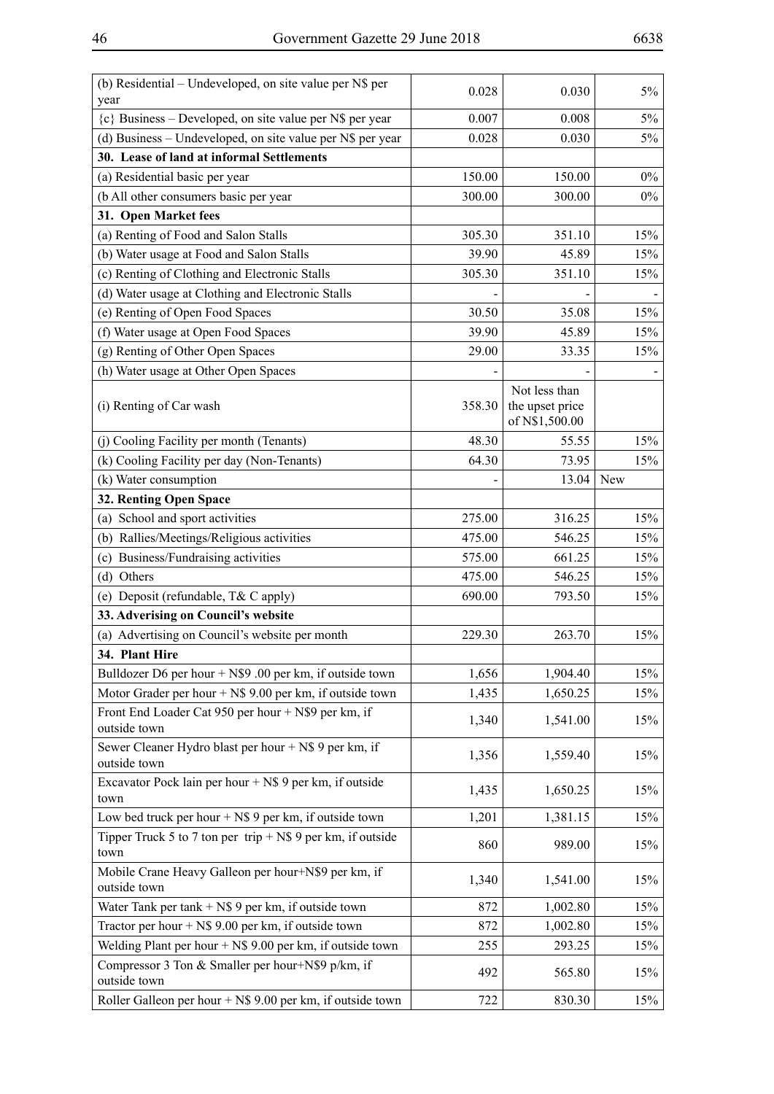| (b) Residential – Undeveloped, on site value per N\$ per<br>year      | 0.028  | 0.030                                              | 5%    |
|-----------------------------------------------------------------------|--------|----------------------------------------------------|-------|
| ${c}$ Business – Developed, on site value per N\$ per year            | 0.007  | 0.008                                              | $5\%$ |
| (d) Business - Undeveloped, on site value per N\$ per year            | 0.028  | 0.030                                              | 5%    |
| 30. Lease of land at informal Settlements                             |        |                                                    |       |
| (a) Residential basic per year                                        | 150.00 | 150.00                                             | $0\%$ |
| (b All other consumers basic per year                                 | 300.00 | 300.00                                             | $0\%$ |
| 31. Open Market fees                                                  |        |                                                    |       |
| (a) Renting of Food and Salon Stalls                                  | 305.30 | 351.10                                             | 15%   |
| (b) Water usage at Food and Salon Stalls                              | 39.90  | 45.89                                              | 15%   |
| (c) Renting of Clothing and Electronic Stalls                         | 305.30 | 351.10                                             | 15%   |
| (d) Water usage at Clothing and Electronic Stalls                     |        |                                                    |       |
| (e) Renting of Open Food Spaces                                       | 30.50  | 35.08                                              | 15%   |
| (f) Water usage at Open Food Spaces                                   | 39.90  | 45.89                                              | 15%   |
| (g) Renting of Other Open Spaces                                      | 29.00  | 33.35                                              | 15%   |
| (h) Water usage at Other Open Spaces                                  |        |                                                    |       |
| (i) Renting of Car wash                                               | 358.30 | Not less than<br>the upset price<br>of N\$1,500.00 |       |
| (j) Cooling Facility per month (Tenants)                              | 48.30  | 55.55                                              | 15%   |
| (k) Cooling Facility per day (Non-Tenants)                            | 64.30  | 73.95                                              | 15%   |
| (k) Water consumption                                                 |        | 13.04                                              | New   |
| 32. Renting Open Space                                                |        |                                                    |       |
| (a) School and sport activities                                       | 275.00 | 316.25                                             | 15%   |
| (b) Rallies/Meetings/Religious activities                             | 475.00 | 546.25                                             | 15%   |
| (c) Business/Fundraising activities                                   | 575.00 | 661.25                                             | 15%   |
| (d) Others                                                            | 475.00 | 546.25                                             | 15%   |
| (e) Deposit (refundable, T& C apply)                                  | 690.00 | 793.50                                             | 15%   |
| 33. Adverising on Council's website                                   |        |                                                    |       |
| (a) Advertising on Council's website per month                        | 229.30 | 263.70                                             | 15%   |
| 34. Plant Hire                                                        |        |                                                    |       |
| Bulldozer D6 per hour $+$ N\$9 .00 per km, if outside town            | 1,656  | 1,904.40                                           | 15%   |
| Motor Grader per hour $+$ N\$ 9.00 per km, if outside town            | 1,435  | 1,650.25                                           | 15%   |
| Front End Loader Cat 950 per hour + N\$9 per km, if<br>outside town   | 1,340  | 1,541.00                                           | 15%   |
| Sewer Cleaner Hydro blast per hour + N\$ 9 per km, if<br>outside town | 1,356  | 1,559.40                                           | 15%   |
| Excavator Pock lain per hour $+$ N\$ 9 per km, if outside<br>town     | 1,435  | 1,650.25                                           | 15%   |
| Low bed truck per hour $+$ N\$ 9 per km, if outside town              | 1,201  | 1,381.15                                           | 15%   |
| Tipper Truck 5 to 7 ton per trip $+$ N\$ 9 per km, if outside<br>town | 860    | 989.00                                             | 15%   |
| Mobile Crane Heavy Galleon per hour+N\$9 per km, if<br>outside town   | 1,340  | 1,541.00                                           | 15%   |
| Water Tank per tank $+$ N\$ 9 per km, if outside town                 | 872    | 1,002.80                                           | 15%   |
| Tractor per hour $+$ N\$ 9.00 per km, if outside town                 | 872    | 1,002.80                                           | 15%   |
| Welding Plant per hour $+$ N\$ 9.00 per km, if outside town           | 255    | 293.25                                             | 15%   |
| Compressor 3 Ton & Smaller per hour+N\$9 p/km, if<br>outside town     | 492    | 565.80                                             | 15%   |
| Roller Galleon per hour $+$ N\$ 9.00 per km, if outside town          | 722    | 830.30                                             | 15%   |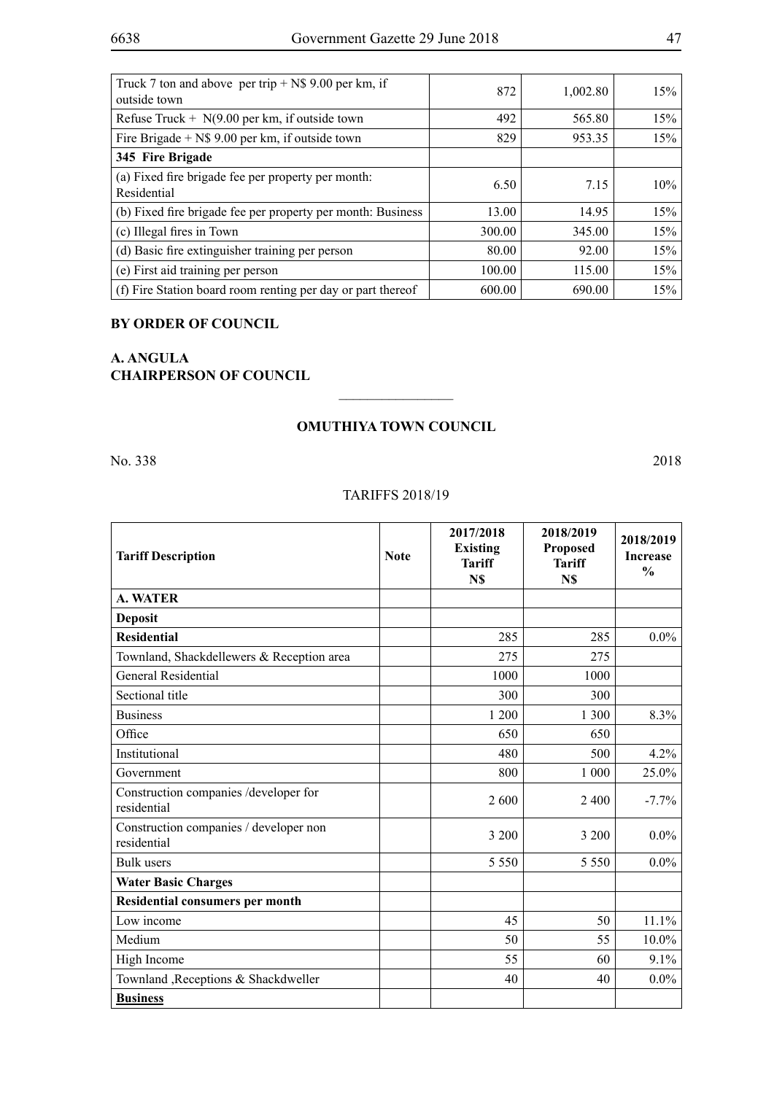| Truck 7 ton and above per trip $+$ N\$ 9.00 per km, if<br>outside town | 872    | 1,002.80 | 15% |
|------------------------------------------------------------------------|--------|----------|-----|
| Refuse Truck + $N(9.00$ per km, if outside town                        | 492    | 565.80   | 15% |
| Fire Brigade $+$ N\$ 9.00 per km, if outside town                      | 829    | 953.35   | 15% |
| 345 Fire Brigade                                                       |        |          |     |
| (a) Fixed fire brigade fee per property per month:<br>Residential      | 6.50   | 7.15     | 10% |
| (b) Fixed fire brigade fee per property per month: Business            | 13.00  | 14.95    | 15% |
| (c) Illegal fires in Town                                              | 300.00 | 345.00   | 15% |
| (d) Basic fire extinguisher training per person                        | 80.00  | 92.00    | 15% |
| (e) First aid training per person                                      | 100.00 | 115.00   | 15% |
| (f) Fire Station board room renting per day or part thereof            | 600.00 | 690.00   | 15% |

# **BY ORDER OF COUNCIL**

# **A. ANGULA CHAIRPERSON OF COUNCIL**

## **OMUTHIYA TOWN COUNCIL**

 $\frac{1}{2}$ 

No. 338 2018

# TARIFFS 2018/19

| <b>Tariff Description</b>                             | <b>Note</b> | 2017/2018<br><b>Existing</b><br><b>Tariff</b><br>N\$ | 2018/2019<br><b>Proposed</b><br><b>Tariff</b><br>N\$ | 2018/2019<br><b>Increase</b><br>$\frac{0}{0}$ |
|-------------------------------------------------------|-------------|------------------------------------------------------|------------------------------------------------------|-----------------------------------------------|
| <b>A. WATER</b>                                       |             |                                                      |                                                      |                                               |
| <b>Deposit</b>                                        |             |                                                      |                                                      |                                               |
| <b>Residential</b>                                    |             | 285                                                  | 285                                                  | $0.0\%$                                       |
| Townland, Shackdellewers & Reception area             |             | 275                                                  | 275                                                  |                                               |
| General Residential                                   |             | 1000                                                 | 1000                                                 |                                               |
| Sectional title                                       |             | 300                                                  | 300                                                  |                                               |
| <b>Business</b>                                       |             | 1 200                                                | 1 300                                                | 8.3%                                          |
| Office                                                |             | 650                                                  | 650                                                  |                                               |
| Institutional                                         |             | 480                                                  | 500                                                  | 4.2%                                          |
| Government                                            |             | 800                                                  | 1 0 0 0                                              | 25.0%                                         |
| Construction companies /developer for<br>residential  |             | 2 600                                                | 2 4 0 0                                              | $-7.7%$                                       |
| Construction companies / developer non<br>residential |             | 3 200                                                | 3 200                                                | $0.0\%$                                       |
| <b>Bulk</b> users                                     |             | 5 5 5 0                                              | 5 5 5 0                                              | $0.0\%$                                       |
| <b>Water Basic Charges</b>                            |             |                                                      |                                                      |                                               |
| Residential consumers per month                       |             |                                                      |                                                      |                                               |
| Low income                                            |             | 45                                                   | 50                                                   | 11.1%                                         |
| Medium                                                |             | 50                                                   | 55                                                   | 10.0%                                         |
| High Income                                           |             | 55                                                   | 60                                                   | 9.1%                                          |
| Townland , Receptions & Shackdweller                  |             | 40                                                   | 40                                                   | $0.0\%$                                       |
| <b>Business</b>                                       |             |                                                      |                                                      |                                               |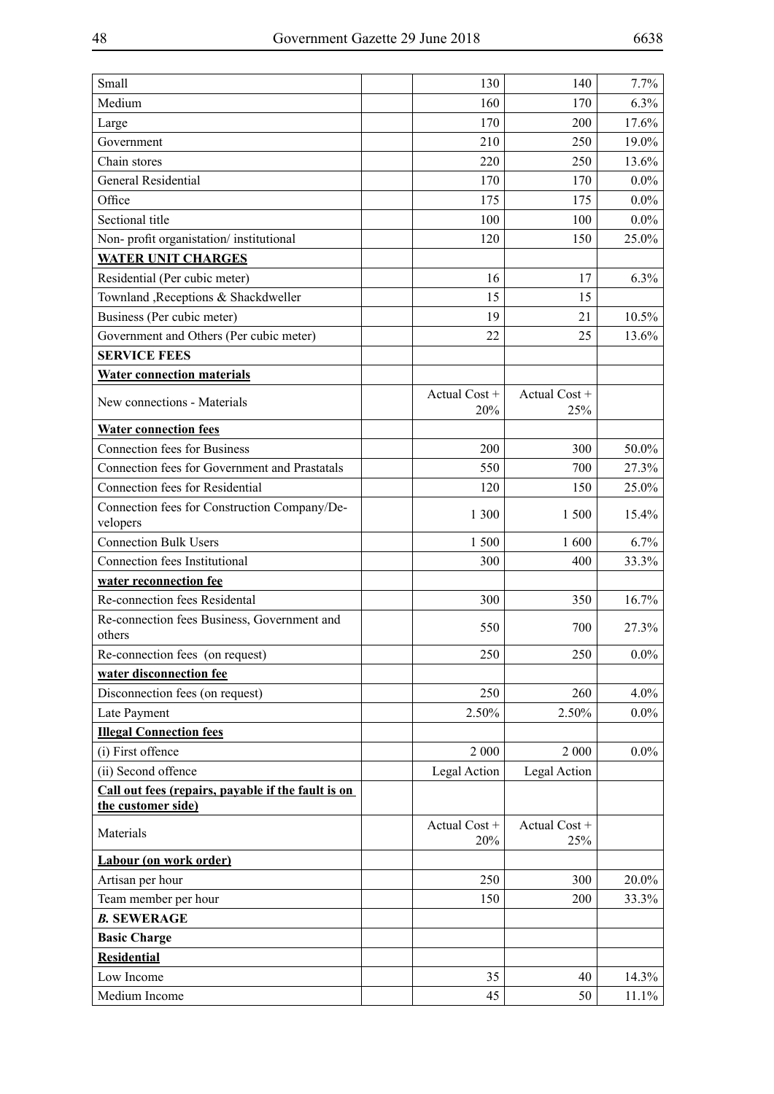| Small                                                    | 130                  | 140                  | 7.7%    |
|----------------------------------------------------------|----------------------|----------------------|---------|
| Medium                                                   | 160                  | 170                  | 6.3%    |
| Large                                                    | 170                  | 200                  | 17.6%   |
| Government                                               | 210                  | 250                  | 19.0%   |
| Chain stores                                             | 220                  | 250                  | 13.6%   |
| <b>General Residential</b>                               | 170                  | 170                  | $0.0\%$ |
| Office                                                   | 175                  | 175                  | $0.0\%$ |
| Sectional title                                          | 100                  | 100                  | $0.0\%$ |
| Non-profit organistation/institutional                   | 120                  | 150                  | 25.0%   |
| <b>WATER UNIT CHARGES</b>                                |                      |                      |         |
| Residential (Per cubic meter)                            | 16                   | 17                   | 6.3%    |
| Townland , Receptions & Shackdweller                     | 15                   | 15                   |         |
| Business (Per cubic meter)                               | 19                   | 21                   | 10.5%   |
| Government and Others (Per cubic meter)                  | 22                   | 25                   | 13.6%   |
| <b>SERVICE FEES</b>                                      |                      |                      |         |
| <b>Water connection materials</b>                        |                      |                      |         |
| New connections - Materials                              | Actual Cost +<br>20% | Actual Cost +<br>25% |         |
| <b>Water connection fees</b>                             |                      |                      |         |
| <b>Connection fees for Business</b>                      | 200                  | 300                  | 50.0%   |
| Connection fees for Government and Prastatals            | 550                  | 700                  | 27.3%   |
| Connection fees for Residential                          | 120                  | 150                  | 25.0%   |
| Connection fees for Construction Company/De-<br>velopers | 1 300                | 1 500                | 15.4%   |
| <b>Connection Bulk Users</b>                             | 1500                 | 1600                 | 6.7%    |
| Connection fees Institutional                            | 300                  | 400                  | 33.3%   |
| water reconnection fee                                   |                      |                      |         |
| Re-connection fees Residental                            | 300                  | 350                  | 16.7%   |
| Re-connection fees Business, Government and<br>others    | 550                  | 700                  | 27.3%   |
| Re-connection fees (on request)                          | 250                  | 250                  | $0.0\%$ |
| water disconnection fee                                  |                      |                      |         |
| Disconnection fees (on request)                          | 250                  | 260                  | $4.0\%$ |
| Late Payment                                             | 2.50%                | 2.50%                | $0.0\%$ |
| <b>Illegal Connection fees</b>                           |                      |                      |         |
| (i) First offence                                        | 2 000                | 2 000                | $0.0\%$ |
| (ii) Second offence                                      | Legal Action         | Legal Action         |         |
| Call out fees (repairs, payable if the fault is on       |                      |                      |         |
| the customer side)                                       |                      |                      |         |
| Materials                                                | Actual Cost +<br>20% | Actual Cost +<br>25% |         |
| Labour (on work order)                                   |                      |                      |         |
| Artisan per hour                                         | 250                  | 300                  | 20.0%   |
| Team member per hour                                     | 150                  | 200                  | 33.3%   |
| <b>B. SEWERAGE</b>                                       |                      |                      |         |
| <b>Basic Charge</b>                                      |                      |                      |         |
| <b>Residential</b>                                       |                      |                      |         |
| Low Income                                               | 35                   | 40                   | 14.3%   |
| Medium Income                                            | 45                   | 50                   | 11.1%   |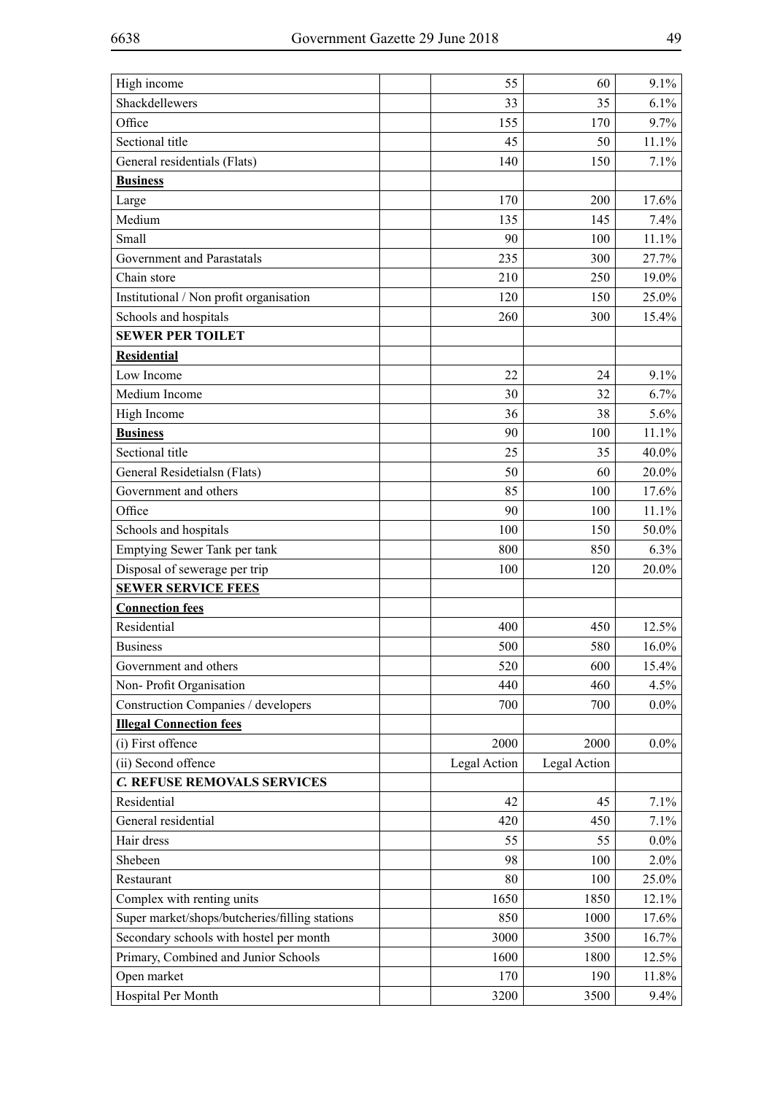| High income                                    | 55           | 60           | 9.1%    |
|------------------------------------------------|--------------|--------------|---------|
| Shackdellewers                                 | 33           | 35           | 6.1%    |
| Office                                         | 155          | 170          | 9.7%    |
| Sectional title                                | 45           | 50           | 11.1%   |
| General residentials (Flats)                   | 140          | 150          | 7.1%    |
| <b>Business</b>                                |              |              |         |
| Large                                          | 170          | 200          | 17.6%   |
| Medium                                         | 135          | 145          | 7.4%    |
| Small                                          | 90           | 100          | 11.1%   |
| Government and Parastatals                     | 235          | 300          | 27.7%   |
| Chain store                                    | 210          | 250          | 19.0%   |
| Institutional / Non profit organisation        | 120          | 150          | 25.0%   |
| Schools and hospitals                          | 260          | 300          | 15.4%   |
| <b>SEWER PER TOILET</b>                        |              |              |         |
| <b>Residential</b>                             |              |              |         |
| Low Income                                     | 22           | 24           | 9.1%    |
| Medium Income                                  | 30           | 32           | 6.7%    |
| High Income                                    | 36           | 38           | 5.6%    |
| <b>Business</b>                                | 90           | 100          | 11.1%   |
| Sectional title                                | 25           | 35           | 40.0%   |
| General Residetialsn (Flats)                   | 50           | 60           | 20.0%   |
| Government and others                          | 85           | 100          | 17.6%   |
| Office                                         | 90           | 100          | 11.1%   |
| Schools and hospitals                          | 100          | 150          | 50.0%   |
| Emptying Sewer Tank per tank                   | 800          | 850          | 6.3%    |
| Disposal of sewerage per trip                  | 100          | 120          | 20.0%   |
| <b>SEWER SERVICE FEES</b>                      |              |              |         |
| <b>Connection fees</b>                         |              |              |         |
| Residential                                    | 400          | 450          | 12.5%   |
| <b>Business</b>                                | 500          | 580          | 16.0%   |
| Government and others                          | 520          | 600          | 15.4%   |
| Non-Profit Organisation                        | 440          | 460          | 4.5%    |
| Construction Companies / developers            | 700          | 700          | $0.0\%$ |
| <b>Illegal Connection fees</b>                 |              |              |         |
| (i) First offence                              | 2000         | 2000         | $0.0\%$ |
| (ii) Second offence                            | Legal Action | Legal Action |         |
| C. REFUSE REMOVALS SERVICES                    |              |              |         |
| Residential                                    | 42           | 45           | 7.1%    |
| General residential                            | 420          | 450          | 7.1%    |
| Hair dress                                     | 55           | 55           | $0.0\%$ |
| Shebeen                                        | 98           | 100          | 2.0%    |
| Restaurant                                     | 80           | 100          | 25.0%   |
| Complex with renting units                     | 1650         | 1850         | 12.1%   |
| Super market/shops/butcheries/filling stations | 850          | 1000         | 17.6%   |
| Secondary schools with hostel per month        | 3000         | 3500         | 16.7%   |
| Primary, Combined and Junior Schools           | 1600         | 1800         | 12.5%   |
| Open market                                    | 170          | 190          | 11.8%   |
| Hospital Per Month                             | 3200         | 3500         | 9.4%    |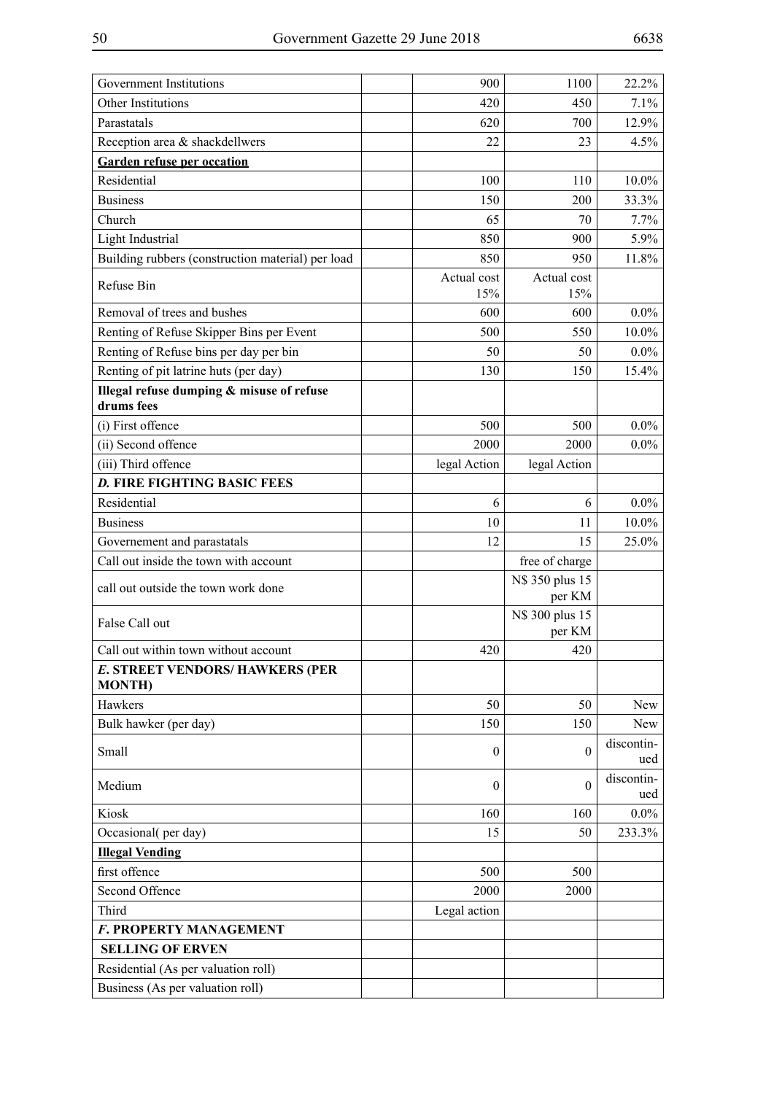| <b>Government Institutions</b>                          | 900                | 1100                      | 22.2%             |
|---------------------------------------------------------|--------------------|---------------------------|-------------------|
| Other Institutions                                      | 420                | 450                       | 7.1%              |
| Parastatals                                             | 620                | 700                       | 12.9%             |
| Reception area & shackdellwers                          | 22                 | 23                        | 4.5%              |
| <b>Garden refuse per occation</b>                       |                    |                           |                   |
| Residential                                             | 100                | 110                       | $10.0\%$          |
| <b>Business</b>                                         | 150                | 200                       | 33.3%             |
| Church                                                  | 65                 | 70                        | 7.7%              |
| Light Industrial                                        | 850                | 900                       | 5.9%              |
| Building rubbers (construction material) per load       | 850                | 950                       | 11.8%             |
| Refuse Bin                                              | Actual cost<br>15% | Actual cost<br>15%        |                   |
| Removal of trees and bushes                             | 600                | 600                       | $0.0\%$           |
| Renting of Refuse Skipper Bins per Event                | 500                | 550                       | $10.0\%$          |
| Renting of Refuse bins per day per bin                  | 50                 | 50                        | $0.0\%$           |
| Renting of pit latrine huts (per day)                   | 130                | 150                       | 15.4%             |
| Illegal refuse dumping & misuse of refuse<br>drums fees |                    |                           |                   |
| (i) First offence                                       | 500                | 500                       | $0.0\%$           |
| (ii) Second offence                                     | 2000               | 2000                      | $0.0\%$           |
| (iii) Third offence                                     | legal Action       | legal Action              |                   |
| <b>D. FIRE FIGHTING BASIC FEES</b>                      |                    |                           |                   |
| Residential                                             | 6                  | 6                         | $0.0\%$           |
| <b>Business</b>                                         | 10                 | 11                        | $10.0\%$          |
| Governement and parastatals                             | 12                 | 15                        | 25.0%             |
| Call out inside the town with account                   |                    | free of charge            |                   |
| call out outside the town work done                     |                    | N\$ 350 plus 15<br>per KM |                   |
| False Call out                                          |                    | N\$ 300 plus 15<br>per KM |                   |
| Call out within town without account                    | 420                | 420                       |                   |
| <b>E. STREET VENDORS/ HAWKERS (PER</b><br><b>MONTH)</b> |                    |                           |                   |
| Hawkers                                                 | 50                 | 50                        | New               |
| Bulk hawker (per day)                                   | 150                | 150                       | New               |
| Small                                                   | $\mathbf{0}$       | $\boldsymbol{0}$          | discontin-<br>ued |
| Medium                                                  | $\boldsymbol{0}$   | $\mathbf{0}$              | discontin-<br>ued |
| Kiosk                                                   | 160                | 160                       | $0.0\%$           |
| Occasional(per day)                                     | 15                 | 50                        | 233.3%            |
| <b>Illegal Vending</b>                                  |                    |                           |                   |
| first offence                                           | 500                | 500                       |                   |
| Second Offence                                          | 2000               | 2000                      |                   |
| Third                                                   | Legal action       |                           |                   |
| F. PROPERTY MANAGEMENT                                  |                    |                           |                   |
| <b>SELLING OF ERVEN</b>                                 |                    |                           |                   |
| Residential (As per valuation roll)                     |                    |                           |                   |
| Business (As per valuation roll)                        |                    |                           |                   |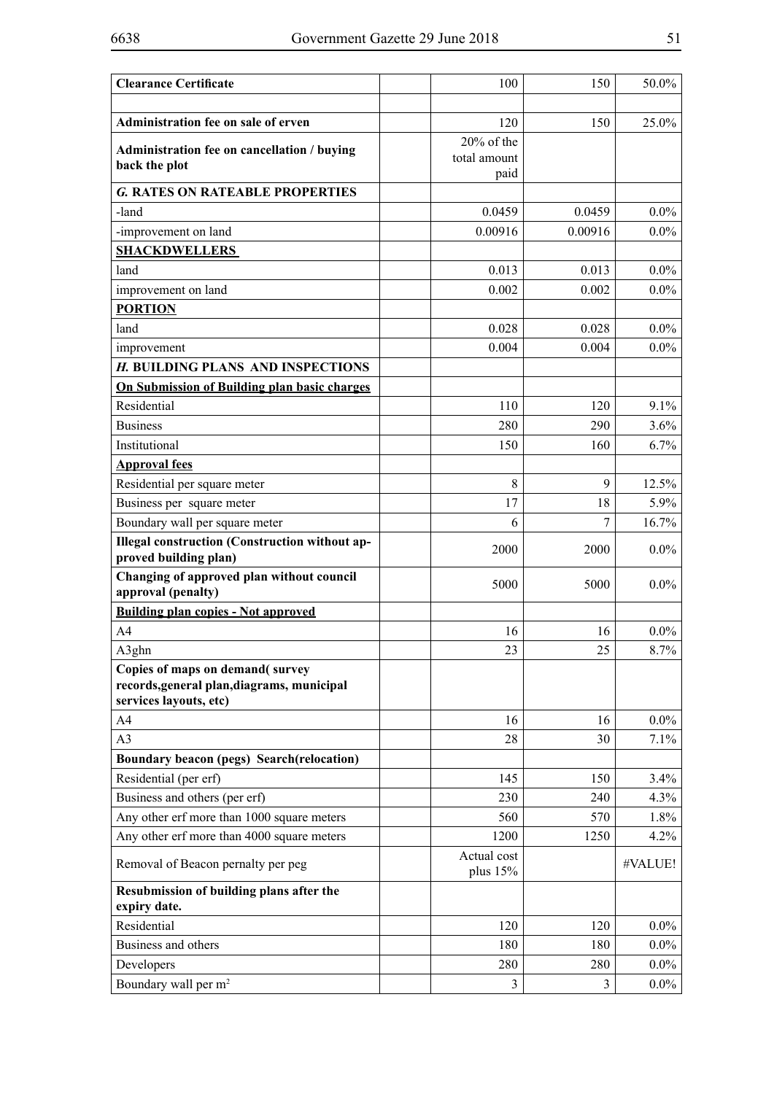| <b>Clearance Certificate</b>                                                   | 100                     | 150     | 50.0%   |
|--------------------------------------------------------------------------------|-------------------------|---------|---------|
| Administration fee on sale of erven                                            | 120                     | 150     | 25.0%   |
|                                                                                | 20% of the              |         |         |
| Administration fee on cancellation / buying<br>back the plot                   | total amount            |         |         |
|                                                                                | paid                    |         |         |
| <b>G. RATES ON RATEABLE PROPERTIES</b>                                         |                         |         |         |
| -land                                                                          | 0.0459                  | 0.0459  | $0.0\%$ |
| -improvement on land                                                           | 0.00916                 | 0.00916 | $0.0\%$ |
| <b>SHACKDWELLERS</b>                                                           |                         |         |         |
| land                                                                           | 0.013                   | 0.013   | $0.0\%$ |
| improvement on land                                                            | 0.002                   | 0.002   | $0.0\%$ |
| <b>PORTION</b>                                                                 |                         |         |         |
| land                                                                           | 0.028                   | 0.028   | $0.0\%$ |
| improvement                                                                    | 0.004                   | 0.004   | $0.0\%$ |
| H. BUILDING PLANS AND INSPECTIONS                                              |                         |         |         |
| On Submission of Building plan basic charges                                   |                         |         |         |
| Residential                                                                    | 110                     | 120     | 9.1%    |
| <b>Business</b>                                                                | 280                     | 290     | 3.6%    |
| Institutional                                                                  | 150                     | 160     | 6.7%    |
| <b>Approval fees</b>                                                           |                         |         |         |
| Residential per square meter                                                   | 8                       | 9       | 12.5%   |
| Business per square meter                                                      | 17                      | 18      | 5.9%    |
| Boundary wall per square meter                                                 | 6                       | 7       | 16.7%   |
| <b>Illegal construction (Construction without ap-</b><br>proved building plan) | 2000                    | 2000    | $0.0\%$ |
| Changing of approved plan without council<br>approval (penalty)                | 5000                    | 5000    | $0.0\%$ |
| <b>Building plan copies - Not approved</b>                                     |                         |         |         |
| A <sub>4</sub>                                                                 | 16                      | 16      | $0.0\%$ |
| A3ghn                                                                          | 23                      | 25      | 8.7%    |
| Copies of maps on demand(survey                                                |                         |         |         |
| records, general plan, diagrams, municipal                                     |                         |         |         |
| services layouts, etc)                                                         |                         |         |         |
| A4                                                                             | 16                      | 16      | $0.0\%$ |
| A3                                                                             | 28                      | 30      | 7.1%    |
| Boundary beacon (pegs) Search(relocation)                                      |                         |         |         |
| Residential (per erf)                                                          | 145                     | 150     | 3.4%    |
| Business and others (per erf)                                                  | 230                     | 240     | 4.3%    |
| Any other erf more than 1000 square meters                                     | 560                     | 570     | 1.8%    |
| Any other erf more than 4000 square meters                                     | 1200                    | 1250    | 4.2%    |
| Removal of Beacon pernalty per peg                                             | Actual cost<br>plus 15% |         | #VALUE! |
| Resubmission of building plans after the<br>expiry date.                       |                         |         |         |
| Residential                                                                    | 120                     | 120     | $0.0\%$ |
| Business and others                                                            | 180                     | 180     | $0.0\%$ |
| Developers                                                                     | 280                     | 280     | $0.0\%$ |
| Boundary wall per m <sup>2</sup>                                               | 3                       | 3       | $0.0\%$ |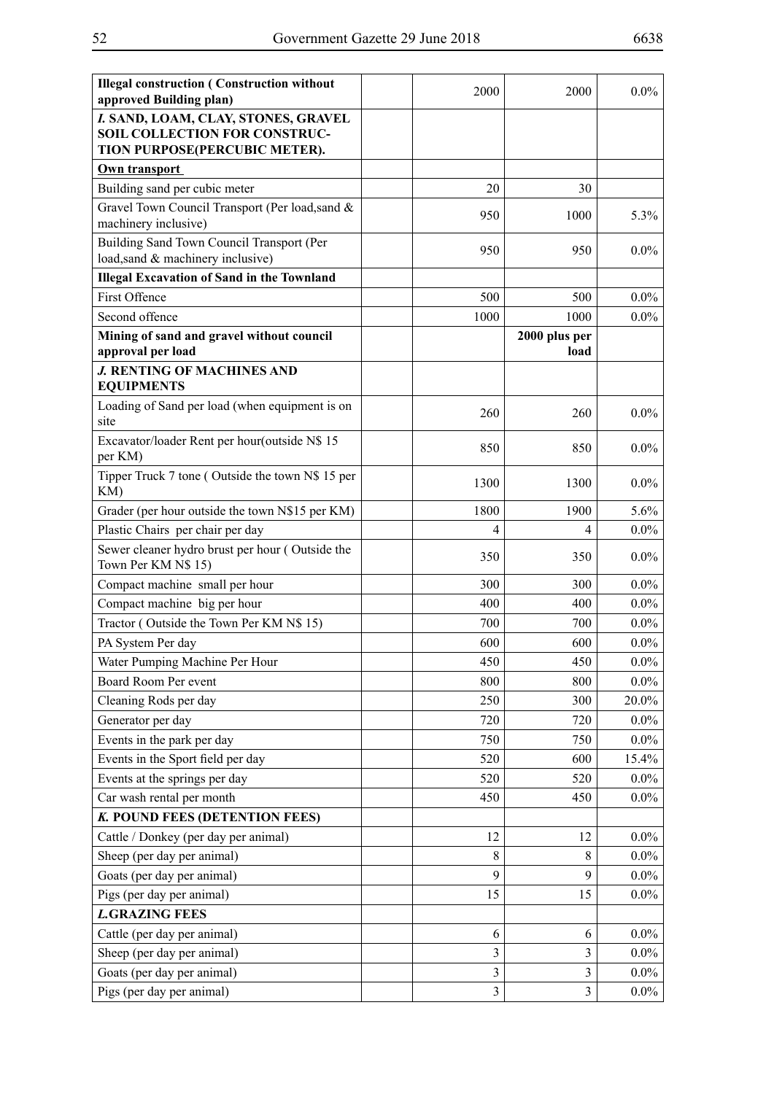| <b>Illegal construction (Construction without</b><br>approved Building plan)                          | 2000           | 2000                  | $0.0\%$ |
|-------------------------------------------------------------------------------------------------------|----------------|-----------------------|---------|
| I. SAND, LOAM, CLAY, STONES, GRAVEL<br>SOIL COLLECTION FOR CONSTRUC-<br>TION PURPOSE(PERCUBIC METER). |                |                       |         |
| Own transport                                                                                         |                |                       |         |
| Building sand per cubic meter                                                                         | 20             | 30                    |         |
| Gravel Town Council Transport (Per load, sand &<br>machinery inclusive)                               | 950            | 1000                  | 5.3%    |
| Building Sand Town Council Transport (Per<br>load, sand & machinery inclusive)                        | 950            | 950                   | $0.0\%$ |
| <b>Illegal Excavation of Sand in the Townland</b>                                                     |                |                       |         |
| <b>First Offence</b>                                                                                  | 500            | 500                   | $0.0\%$ |
| Second offence                                                                                        | 1000           | 1000                  | $0.0\%$ |
| Mining of sand and gravel without council<br>approval per load                                        |                | 2000 plus per<br>load |         |
| <b>J. RENTING OF MACHINES AND</b><br><b>EQUIPMENTS</b>                                                |                |                       |         |
| Loading of Sand per load (when equipment is on<br>site                                                | 260            | 260                   | $0.0\%$ |
| Excavator/loader Rent per hour(outside N\$ 15<br>per KM)                                              | 850            | 850                   | $0.0\%$ |
| Tipper Truck 7 tone (Outside the town N\$ 15 per<br>KM)                                               | 1300           | 1300                  | $0.0\%$ |
| Grader (per hour outside the town N\$15 per KM)                                                       | 1800           | 1900                  | 5.6%    |
| Plastic Chairs per chair per day                                                                      | 4              | 4                     | $0.0\%$ |
| Sewer cleaner hydro brust per hour (Outside the<br>Town Per KM N\$ 15)                                | 350            | 350                   | $0.0\%$ |
| Compact machine small per hour                                                                        | 300            | 300                   | $0.0\%$ |
| Compact machine big per hour                                                                          | 400            | 400                   | $0.0\%$ |
| Tractor (Outside the Town Per KM N\$ 15)                                                              | 700            | 700                   | $0.0\%$ |
| PA System Per day                                                                                     | 600            | 600                   | $0.0\%$ |
| Water Pumping Machine Per Hour                                                                        | 450            | 450                   | $0.0\%$ |
| Board Room Per event                                                                                  | 800            | 800                   | $0.0\%$ |
| Cleaning Rods per day                                                                                 | 250            | 300                   | 20.0%   |
| Generator per day                                                                                     | 720            | 720                   | $0.0\%$ |
| Events in the park per day                                                                            | 750            | 750                   | $0.0\%$ |
| Events in the Sport field per day                                                                     | 520            | 600                   | 15.4%   |
| Events at the springs per day                                                                         | 520            | 520                   | $0.0\%$ |
| Car wash rental per month                                                                             | 450            | 450                   | $0.0\%$ |
| K. POUND FEES (DETENTION FEES)                                                                        |                |                       |         |
| Cattle / Donkey (per day per animal)                                                                  | 12             | 12                    | $0.0\%$ |
| Sheep (per day per animal)                                                                            | 8              | 8                     | $0.0\%$ |
| Goats (per day per animal)                                                                            | 9              | 9                     | $0.0\%$ |
| Pigs (per day per animal)                                                                             | 15             | 15                    | $0.0\%$ |
| <b>L.GRAZING FEES</b>                                                                                 |                |                       |         |
| Cattle (per day per animal)                                                                           | 6              | 6                     | $0.0\%$ |
| Sheep (per day per animal)                                                                            | 3              | $\overline{3}$        | $0.0\%$ |
| Goats (per day per animal)                                                                            | $\mathfrak{Z}$ | $\mathfrak{Z}$        | $0.0\%$ |
| Pigs (per day per animal)                                                                             | 3              | $\overline{3}$        | $0.0\%$ |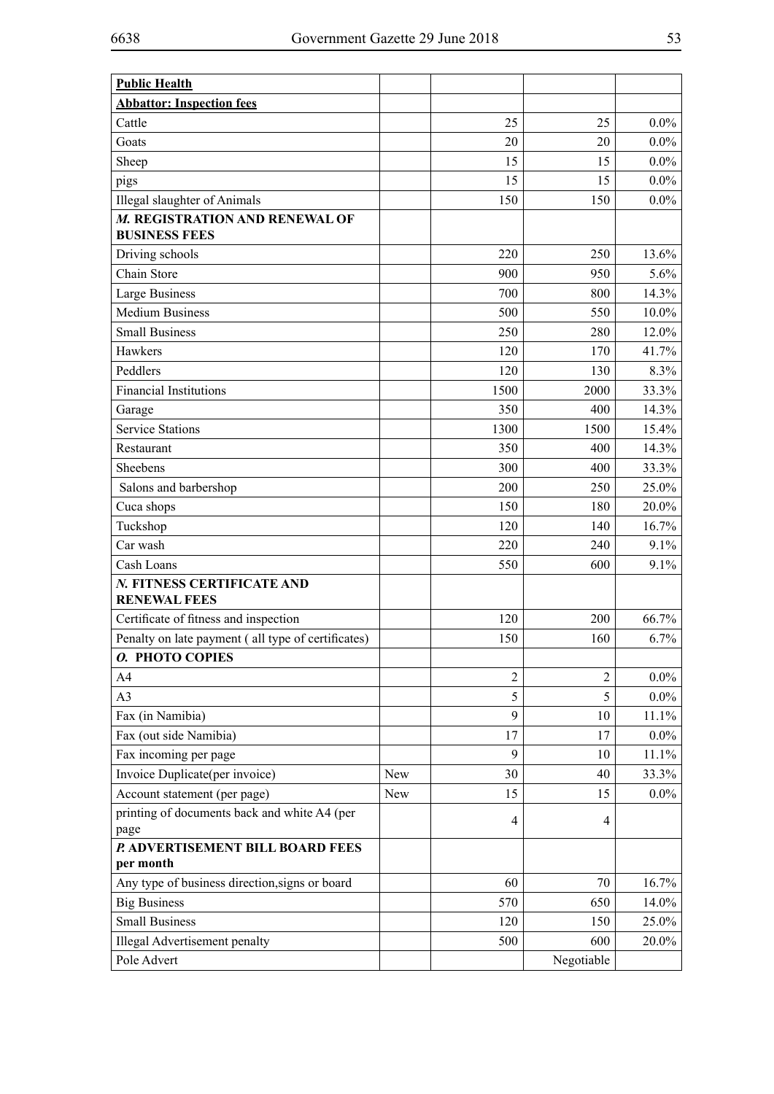| <b>Public Health</b>                                 |     |                |                |          |
|------------------------------------------------------|-----|----------------|----------------|----------|
| <b>Abbattor: Inspection fees</b>                     |     |                |                |          |
| Cattle                                               |     | 25             | 25             | $0.0\%$  |
| Goats                                                |     | 20             | 20             | $0.0\%$  |
| Sheep                                                |     | 15             | 15             | $0.0\%$  |
| pigs                                                 |     | 15             | 15             | $0.0\%$  |
| Illegal slaughter of Animals                         |     | 150            | 150            | $0.0\%$  |
| M. REGISTRATION AND RENEWAL OF                       |     |                |                |          |
| <b>BUSINESS FEES</b>                                 |     |                |                |          |
| Driving schools                                      |     | 220            | 250            | 13.6%    |
| Chain Store                                          |     | 900            | 950            | 5.6%     |
| Large Business                                       |     | 700            | 800            | 14.3%    |
| <b>Medium Business</b>                               |     | 500            | 550            | $10.0\%$ |
| <b>Small Business</b>                                |     | 250            | 280            | 12.0%    |
| Hawkers                                              |     | 120            | 170            | 41.7%    |
| Peddlers                                             |     | 120            | 130            | 8.3%     |
| <b>Financial Institutions</b>                        |     | 1500           | 2000           | 33.3%    |
| Garage                                               |     | 350            | 400            | 14.3%    |
| <b>Service Stations</b>                              |     | 1300           | 1500           | 15.4%    |
| Restaurant                                           |     | 350            | 400            | 14.3%    |
| Sheebens                                             |     | 300            | 400            | 33.3%    |
| Salons and barbershop                                |     | 200            | 250            | 25.0%    |
| Cuca shops                                           |     | 150            | 180            | 20.0%    |
| Tuckshop                                             |     | 120            | 140            | 16.7%    |
| Car wash                                             |     | 220            | 240            | 9.1%     |
| Cash Loans                                           |     | 550            | 600            | 9.1%     |
| N. FITNESS CERTIFICATE AND<br><b>RENEWAL FEES</b>    |     |                |                |          |
| Certificate of fitness and inspection                |     | 120            | 200            | 66.7%    |
| Penalty on late payment (all type of certificates)   |     | 150            | 160            | 6.7%     |
| O. PHOTO COPIES                                      |     |                |                |          |
| A4                                                   |     | $\overline{2}$ | $\overline{2}$ | $0.0\%$  |
| A3                                                   |     | 5              | 5              | $0.0\%$  |
| Fax (in Namibia)                                     |     | 9              | 10             | 11.1%    |
| Fax (out side Namibia)                               |     | 17             | 17             | $0.0\%$  |
| Fax incoming per page                                |     | 9              | 10             | 11.1%    |
| Invoice Duplicate(per invoice)                       | New | 30             | 40             | 33.3%    |
| Account statement (per page)                         | New | 15             | 15             | $0.0\%$  |
| printing of documents back and white A4 (per<br>page |     | 4              | 4              |          |
| P. ADVERTISEMENT BILL BOARD FEES<br>per month        |     |                |                |          |
| Any type of business direction, signs or board       |     | 60             | 70             | 16.7%    |
| <b>Big Business</b>                                  |     | 570            | 650            | 14.0%    |
| <b>Small Business</b>                                |     | 120            | 150            | 25.0%    |
| Illegal Advertisement penalty                        |     | 500            | 600            | 20.0%    |
| Pole Advert                                          |     |                | Negotiable     |          |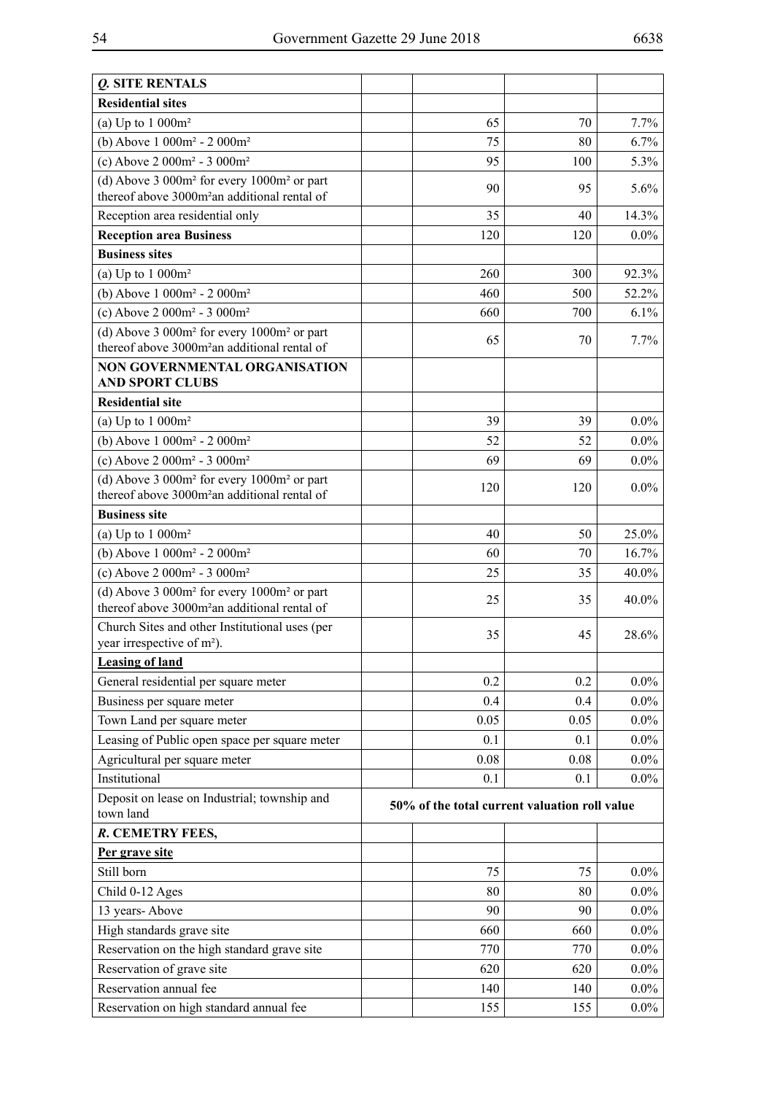| <i><b>O. SITE RENTALS</b></i>                                                                               |                                               |      |         |  |  |
|-------------------------------------------------------------------------------------------------------------|-----------------------------------------------|------|---------|--|--|
| <b>Residential sites</b>                                                                                    |                                               |      |         |  |  |
| (a) Up to $1000m^2$                                                                                         | 65                                            | 70   | 7.7%    |  |  |
| (b) Above $1000m^2 - 2000m^2$                                                                               | 75                                            | 80   | 6.7%    |  |  |
| (c) Above $2000m^2 - 3000m^2$                                                                               | 95                                            | 100  | 5.3%    |  |  |
| (d) Above $3000m^2$ for every $1000m^2$ or part<br>thereof above 3000m <sup>2</sup> an additional rental of | 90                                            | 95   | 5.6%    |  |  |
| Reception area residential only                                                                             | 35                                            | 40   | 14.3%   |  |  |
| <b>Reception area Business</b>                                                                              | 120                                           | 120  | $0.0\%$ |  |  |
| <b>Business sites</b>                                                                                       |                                               |      |         |  |  |
| (a) Up to $1000m^2$                                                                                         | 260                                           | 300  | 92.3%   |  |  |
| (b) Above 1 000m <sup>2</sup> - 2 000m <sup>2</sup>                                                         | 460                                           | 500  | 52.2%   |  |  |
| (c) Above $2000m^2 - 3000m^2$                                                                               | 660                                           | 700  | 6.1%    |  |  |
| (d) Above 3 000m <sup>2</sup> for every 1000m <sup>2</sup> or part                                          |                                               |      |         |  |  |
| thereof above 3000m <sup>2</sup> an additional rental of                                                    | 65                                            | 70   | 7.7%    |  |  |
| <b>NON GOVERNMENTAL ORGANISATION</b><br><b>AND SPORT CLUBS</b>                                              |                                               |      |         |  |  |
| <b>Residential site</b>                                                                                     |                                               |      |         |  |  |
| (a) Up to $1000m^2$                                                                                         | 39                                            | 39   | $0.0\%$ |  |  |
| (b) Above $1000m^2 - 2000m^2$                                                                               | 52                                            | 52   | $0.0\%$ |  |  |
| (c) Above $2000m^2 - 3000m^2$                                                                               | 69                                            | 69   | $0.0\%$ |  |  |
| (d) Above $3000m^2$ for every $1000m^2$ or part<br>thereof above 3000m <sup>2</sup> an additional rental of | 120                                           | 120  | $0.0\%$ |  |  |
| <b>Business site</b>                                                                                        |                                               |      |         |  |  |
| (a) Up to $1000m^2$                                                                                         | 40                                            | 50   | 25.0%   |  |  |
| (b) Above $1000m^2 - 2000m^2$                                                                               | 60                                            | 70   | 16.7%   |  |  |
| (c) Above $2000m^2 - 3000m^2$                                                                               | 25                                            | 35   | 40.0%   |  |  |
| (d) Above $3000m^2$ for every $1000m^2$ or part<br>thereof above 3000m <sup>2</sup> an additional rental of | 25                                            | 35   | 40.0%   |  |  |
| Church Sites and other Institutional uses (per<br>year irrespective of m <sup>2</sup> ).                    | 35                                            | 45   | 28.6%   |  |  |
| <b>Leasing of land</b>                                                                                      |                                               |      |         |  |  |
| General residential per square meter                                                                        | 0.2                                           | 0.2  | $0.0\%$ |  |  |
| Business per square meter                                                                                   | 0.4                                           | 0.4  | $0.0\%$ |  |  |
| Town Land per square meter                                                                                  | 0.05                                          | 0.05 | $0.0\%$ |  |  |
| Leasing of Public open space per square meter                                                               | 0.1                                           | 0.1  | $0.0\%$ |  |  |
| Agricultural per square meter                                                                               | 0.08                                          | 0.08 | $0.0\%$ |  |  |
| Institutional                                                                                               | 0.1                                           | 0.1  | $0.0\%$ |  |  |
| Deposit on lease on Industrial; township and<br>town land                                                   | 50% of the total current valuation roll value |      |         |  |  |
| R. CEMETRY FEES,                                                                                            |                                               |      |         |  |  |
| Per grave site                                                                                              |                                               |      |         |  |  |
| Still born                                                                                                  | 75                                            | 75   | $0.0\%$ |  |  |
| Child 0-12 Ages                                                                                             | 80                                            | 80   | $0.0\%$ |  |  |
| 13 years-Above                                                                                              | 90                                            | 90   | $0.0\%$ |  |  |
| High standards grave site                                                                                   | 660                                           | 660  | $0.0\%$ |  |  |
| Reservation on the high standard grave site                                                                 | 770                                           | 770  | $0.0\%$ |  |  |
| Reservation of grave site                                                                                   | 620                                           | 620  | $0.0\%$ |  |  |
| Reservation annual fee                                                                                      | 140                                           | 140  | $0.0\%$ |  |  |
| Reservation on high standard annual fee                                                                     | 155                                           | 155  | $0.0\%$ |  |  |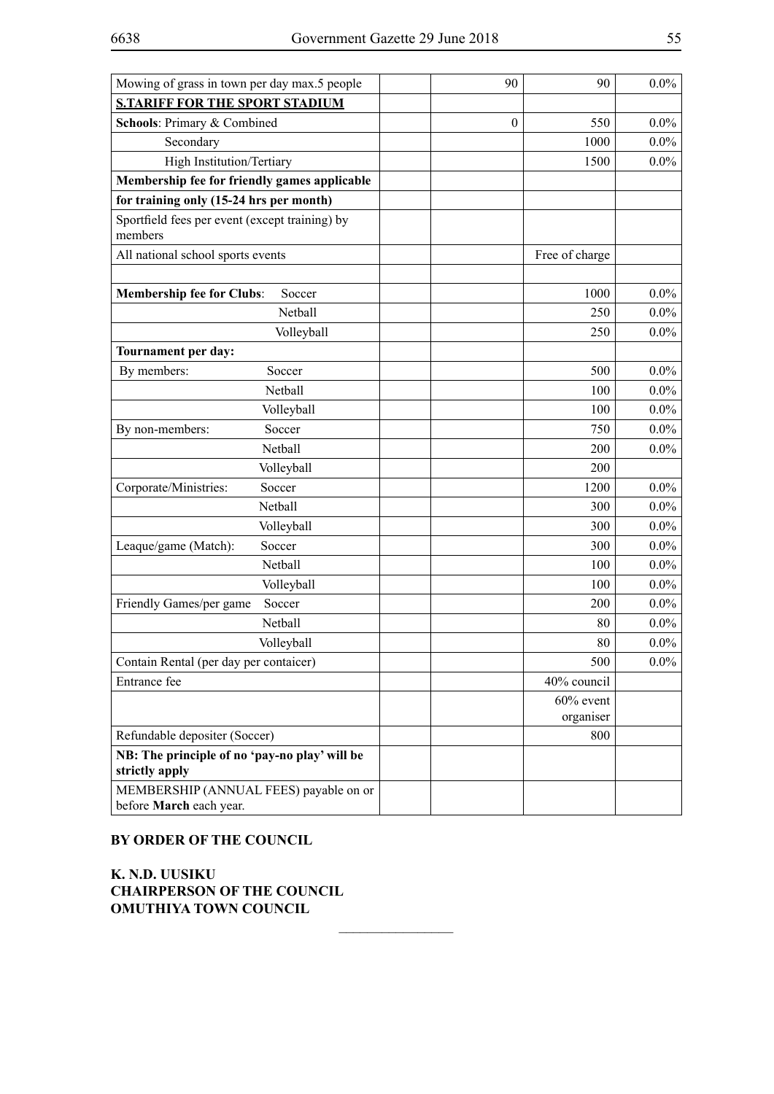| Mowing of grass in town per day max.5 people                    | 90               | 90             | $0.0\%$ |
|-----------------------------------------------------------------|------------------|----------------|---------|
| <b>S.TARIFF FOR THE SPORT STADIUM</b>                           |                  |                |         |
| Schools: Primary & Combined                                     | $\boldsymbol{0}$ | 550            | $0.0\%$ |
| Secondary                                                       |                  | 1000           | $0.0\%$ |
| High Institution/Tertiary                                       |                  | 1500           | $0.0\%$ |
| Membership fee for friendly games applicable                    |                  |                |         |
| for training only (15-24 hrs per month)                         |                  |                |         |
| Sportfield fees per event (except training) by<br>members       |                  |                |         |
| All national school sports events                               |                  | Free of charge |         |
|                                                                 |                  |                |         |
| <b>Membership fee for Clubs:</b><br>Soccer                      |                  | 1000           | $0.0\%$ |
| Netball                                                         |                  | 250            | $0.0\%$ |
| Volleyball                                                      |                  | 250            | $0.0\%$ |
| Tournament per day:                                             |                  |                |         |
| By members:<br>Soccer                                           |                  | 500            | $0.0\%$ |
| Netball                                                         |                  | 100            | $0.0\%$ |
| Volleyball                                                      |                  | 100            | $0.0\%$ |
| Soccer<br>By non-members:                                       |                  | 750            | $0.0\%$ |
| Netball                                                         |                  | 200            | 0.0%    |
| Volleyball                                                      |                  | 200            |         |
| Corporate/Ministries:<br>Soccer                                 |                  | 1200           | $0.0\%$ |
| Netball                                                         |                  | 300            | $0.0\%$ |
| Volleyball                                                      |                  | 300            | $0.0\%$ |
| Soccer<br>Leaque/game (Match):                                  |                  | 300            | $0.0\%$ |
| Netball                                                         |                  | 100            | $0.0\%$ |
| Volleyball                                                      |                  | 100            | $0.0\%$ |
| Soccer<br>Friendly Games/per game                               |                  | 200            | $0.0\%$ |
| Netball                                                         |                  | 80             | $0.0\%$ |
| Volleyball                                                      |                  | 80             | $0.0\%$ |
| Contain Rental (per day per contaicer)                          |                  | 500            | $0.0\%$ |
| Entrance fee                                                    |                  | 40% council    |         |
|                                                                 |                  | $60\%$ event   |         |
|                                                                 |                  | organiser      |         |
| Refundable depositer (Soccer)                                   |                  | 800            |         |
| NB: The principle of no 'pay-no play' will be<br>strictly apply |                  |                |         |
| MEMBERSHIP (ANNUAL FEES) payable on or                          |                  |                |         |
| before March each year.                                         |                  |                |         |

 $\overline{\phantom{a}}$  , where  $\overline{\phantom{a}}$ 

### **BY ORDER OF THE COUNCIL**

**K. N.D. UUSIKU CHAIRPERSON OF THE COUNCIL OMUTHIYA TOWN COUNCIL**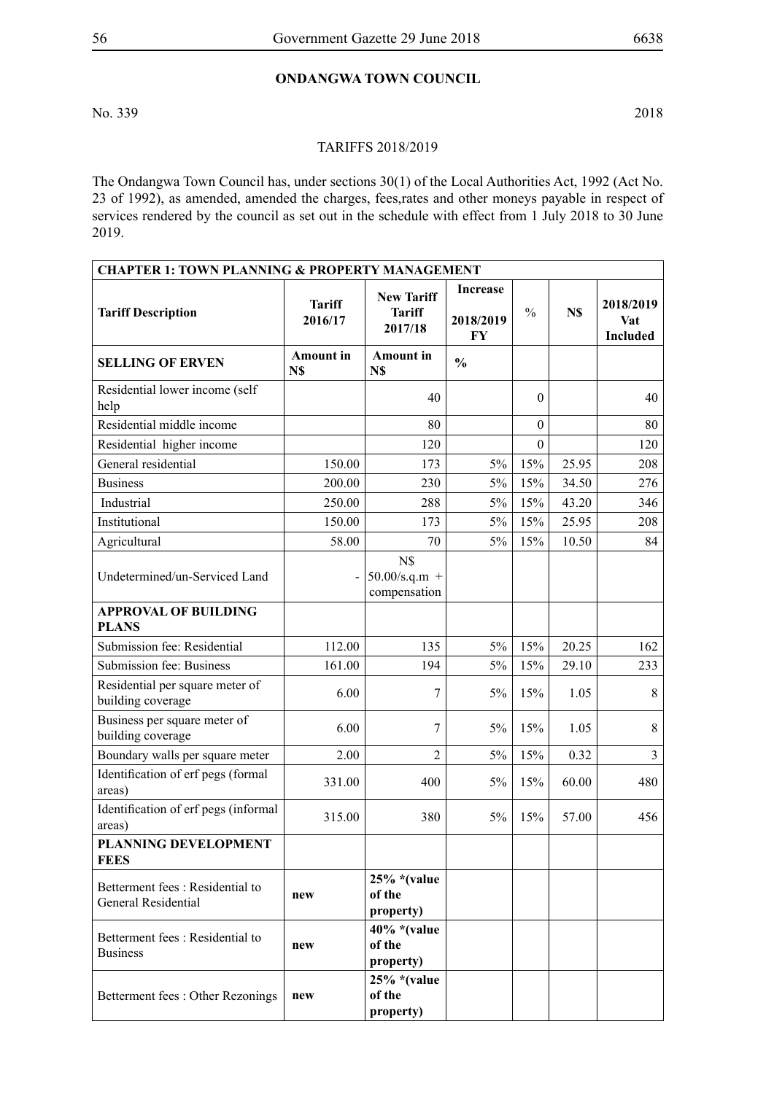# **Ondangwa Town Council**

No. 339 2018

#### TARIFFS 2018/2019

The Ondangwa Town Council has, under sections 30(1) of the Local Authorities Act, 1992 (Act No. 23 of 1992), as amended, amended the charges, fees,rates and other moneys payable in respect of services rendered by the council as set out in the schedule with effect from 1 July 2018 to 30 June 2019.

| <b>CHAPTER 1: TOWN PLANNING &amp; PROPERTY MANAGEMENT</b> |                          |                                               |                                    |                  |       |                                     |  |  |
|-----------------------------------------------------------|--------------------------|-----------------------------------------------|------------------------------------|------------------|-------|-------------------------------------|--|--|
| <b>Tariff Description</b>                                 | <b>Tariff</b><br>2016/17 | <b>New Tariff</b><br><b>Tariff</b><br>2017/18 | <b>Increase</b><br>2018/2019<br>FY | $\frac{0}{0}$    | N\$   | 2018/2019<br>Vat<br><b>Included</b> |  |  |
| <b>SELLING OF ERVEN</b>                                   | <b>Amount</b> in<br>N\$  | <b>Amount</b> in<br>N\$                       | $\frac{0}{0}$                      |                  |       |                                     |  |  |
| Residential lower income (self<br>help                    |                          | 40                                            |                                    | $\theta$         |       | 40                                  |  |  |
| Residential middle income                                 |                          | 80                                            |                                    | $\theta$         |       | 80                                  |  |  |
| Residential higher income                                 |                          | 120                                           |                                    | $\boldsymbol{0}$ |       | 120                                 |  |  |
| General residential                                       | 150.00                   | 173                                           | $5\%$                              | 15%              | 25.95 | 208                                 |  |  |
| <b>Business</b>                                           | 200.00                   | 230                                           | $5\%$                              | 15%              | 34.50 | 276                                 |  |  |
| Industrial                                                | 250.00                   | 288                                           | 5%                                 | 15%              | 43.20 | 346                                 |  |  |
| Institutional                                             | 150.00                   | 173                                           | $5\%$                              | 15%              | 25.95 | 208                                 |  |  |
| Agricultural                                              | 58.00                    | 70                                            | $5\%$                              | 15%              | 10.50 | 84                                  |  |  |
| Undetermined/un-Serviced Land                             |                          | N\$<br>$50.00$ /s.q.m +<br>compensation       |                                    |                  |       |                                     |  |  |
| <b>APPROVAL OF BUILDING</b><br><b>PLANS</b>               |                          |                                               |                                    |                  |       |                                     |  |  |
| Submission fee: Residential                               | 112.00                   | 135                                           | $5\%$                              | 15%              | 20.25 | 162                                 |  |  |
| Submission fee: Business                                  | 161.00                   | 194                                           | $5\%$                              | 15%              | 29.10 | 233                                 |  |  |
| Residential per square meter of<br>building coverage      | 6.00                     | 7                                             | 5%                                 | 15%              | 1.05  | $8\,$                               |  |  |
| Business per square meter of<br>building coverage         | 6.00                     | 7                                             | 5%                                 | 15%              | 1.05  | 8                                   |  |  |
| Boundary walls per square meter                           | 2.00                     | $\overline{2}$                                | $5\%$                              | 15%              | 0.32  | $\overline{3}$                      |  |  |
| Identification of erf pegs (formal<br>areas)              | 331.00                   | 400                                           | $5\%$                              | 15%              | 60.00 | 480                                 |  |  |
| Identification of erf pegs (informal<br>areas)            | 315.00                   | 380                                           | $5\%$                              | 15%              | 57.00 | 456                                 |  |  |
| PLANNING DEVELOPMENT<br><b>FEES</b>                       |                          |                                               |                                    |                  |       |                                     |  |  |
| Betterment fees: Residential to<br>General Residential    | new                      | $25\%$ *(value<br>of the<br>property)         |                                    |                  |       |                                     |  |  |
| Betterment fees: Residential to<br><b>Business</b>        | new                      | $40\%$ *(value<br>of the<br>property)         |                                    |                  |       |                                     |  |  |
| Betterment fees: Other Rezonings                          | new                      | $25\%$ *(value<br>of the<br>property)         |                                    |                  |       |                                     |  |  |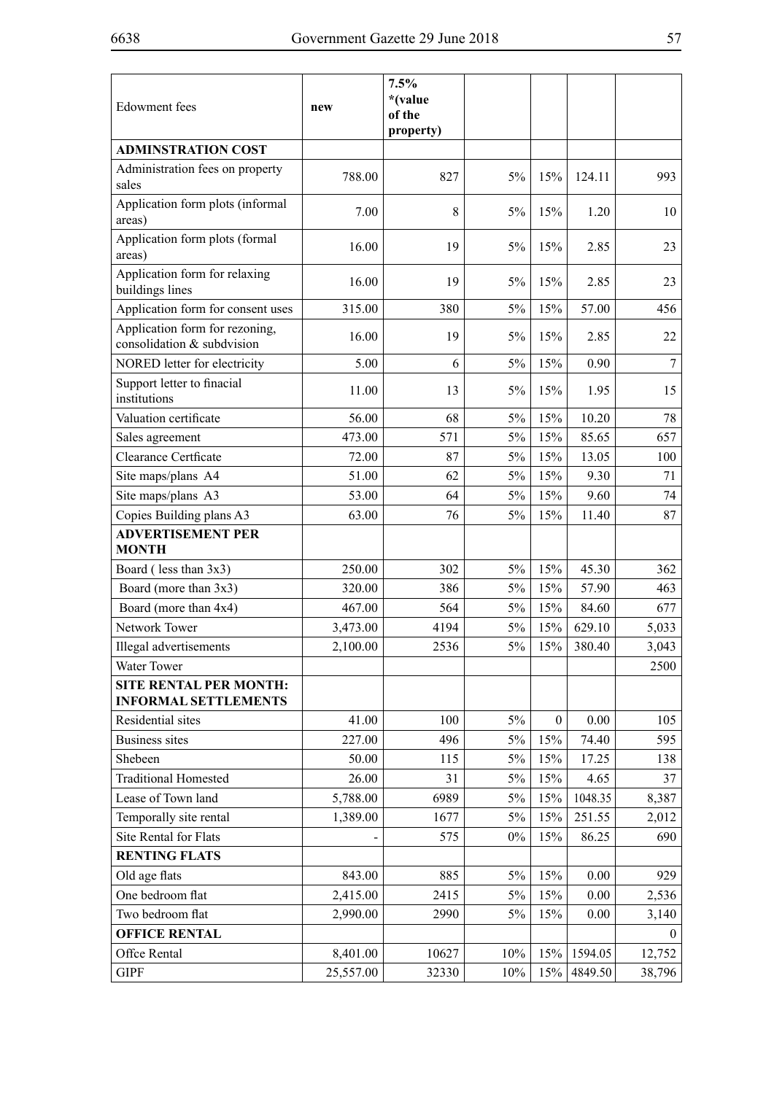| <b>Edowment</b> fees                                         | new       | 7.5%<br>*(value<br>of the<br>property) |       |          |         |          |
|--------------------------------------------------------------|-----------|----------------------------------------|-------|----------|---------|----------|
| <b>ADMINSTRATION COST</b>                                    |           |                                        |       |          |         |          |
| Administration fees on property<br>sales                     | 788.00    | 827                                    | $5\%$ | 15%      | 124.11  | 993      |
| Application form plots (informal<br>areas)                   | 7.00      | 8                                      | $5\%$ | 15%      | 1.20    | 10       |
| Application form plots (formal<br>areas)                     | 16.00     | 19                                     | $5\%$ | 15%      | 2.85    | 23       |
| Application form for relaxing<br>buildings lines             | 16.00     | 19                                     | 5%    | 15%      | 2.85    | 23       |
| Application form for consent uses                            | 315.00    | 380                                    | $5\%$ | 15%      | 57.00   | 456      |
| Application form for rezoning,<br>consolidation & subdvision | 16.00     | 19                                     | 5%    | 15%      | 2.85    | 22       |
| NORED letter for electricity                                 | 5.00      | 6                                      | $5\%$ | 15%      | 0.90    | 7        |
| Support letter to finacial<br>institutions                   | 11.00     | 13                                     | 5%    | 15%      | 1.95    | 15       |
| Valuation certificate                                        | 56.00     | 68                                     | $5\%$ | 15%      | 10.20   | 78       |
| Sales agreement                                              | 473.00    | 571                                    | 5%    | 15%      | 85.65   | 657      |
| Clearance Certficate                                         | 72.00     | 87                                     | $5\%$ | 15%      | 13.05   | 100      |
| Site maps/plans A4                                           | 51.00     | 62                                     | $5\%$ | 15%      | 9.30    | 71       |
| Site maps/plans A3                                           | 53.00     | 64                                     | $5\%$ | 15%      | 9.60    | 74       |
| Copies Building plans A3                                     | 63.00     | 76                                     | $5\%$ | 15%      | 11.40   | 87       |
| <b>ADVERTISEMENT PER</b><br><b>MONTH</b>                     |           |                                        |       |          |         |          |
| Board (less than 3x3)                                        | 250.00    | 302                                    | $5\%$ | 15%      | 45.30   | 362      |
| Board (more than 3x3)                                        | 320.00    | 386                                    | $5\%$ | 15%      | 57.90   | 463      |
| Board (more than 4x4)                                        | 467.00    | 564                                    | $5\%$ | 15%      | 84.60   | 677      |
| Network Tower                                                | 3,473.00  | 4194                                   | $5\%$ | 15%      | 629.10  | 5,033    |
| Illegal advertisements                                       | 2,100.00  | 2536                                   | 5%    | 15%      | 380.40  | 3,043    |
| Water Tower                                                  |           |                                        |       |          |         | 2500     |
| <b>SITE RENTAL PER MONTH:</b><br><b>INFORMAL SETTLEMENTS</b> |           |                                        |       |          |         |          |
| Residential sites                                            | 41.00     | 100                                    | $5\%$ | $\theta$ | 0.00    | 105      |
| <b>Business sites</b>                                        | 227.00    | 496                                    | $5\%$ | 15%      | 74.40   | 595      |
| Shebeen                                                      | 50.00     | 115                                    | 5%    | 15%      | 17.25   | 138      |
| <b>Traditional Homested</b>                                  | 26.00     | 31                                     | 5%    | 15%      | 4.65    | 37       |
| Lease of Town land                                           | 5,788.00  | 6989                                   | 5%    | 15%      | 1048.35 | 8,387    |
| Temporally site rental                                       | 1,389.00  | 1677                                   | 5%    | 15%      | 251.55  | 2,012    |
| Site Rental for Flats                                        |           | 575                                    | $0\%$ | 15%      | 86.25   | 690      |
| <b>RENTING FLATS</b>                                         |           |                                        |       |          |         |          |
| Old age flats                                                | 843.00    | 885                                    | $5\%$ | 15%      | 0.00    | 929      |
| One bedroom flat                                             | 2,415.00  | 2415                                   | 5%    | 15%      | 0.00    | 2,536    |
| Two bedroom flat                                             | 2,990.00  | 2990                                   | $5\%$ | 15%      | 0.00    | 3,140    |
| <b>OFFICE RENTAL</b>                                         |           |                                        |       |          |         | $\Omega$ |
| Offce Rental                                                 | 8,401.00  | 10627                                  | 10%   | 15%      | 1594.05 | 12,752   |
| <b>GIPF</b>                                                  | 25,557.00 | 32330                                  | 10%   | 15%      | 4849.50 | 38,796   |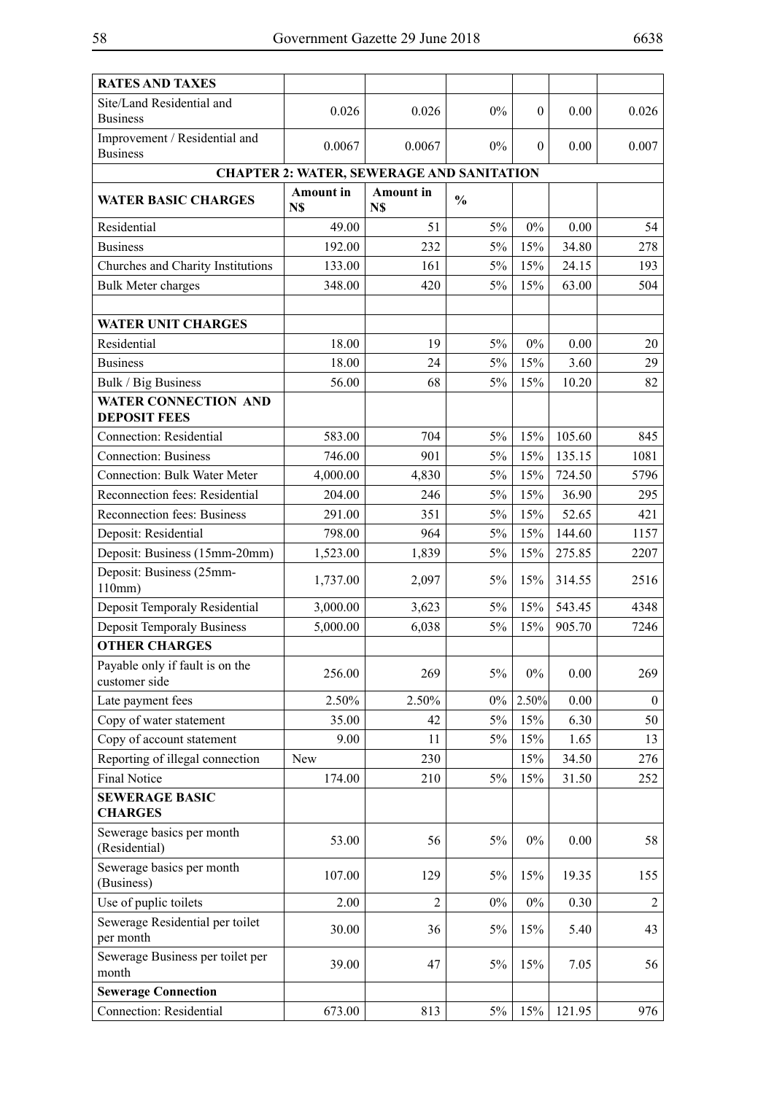| <b>RATES AND TAXES</b>                             |                         |                                                  |               |          |          |                |
|----------------------------------------------------|-------------------------|--------------------------------------------------|---------------|----------|----------|----------------|
| Site/Land Residential and<br><b>Business</b>       | 0.026                   | 0.026                                            | $0\%$         | $\theta$ | 0.00     | 0.026          |
| Improvement / Residential and<br><b>Business</b>   | 0.0067                  | 0.0067                                           | $0\%$         | $\theta$ | 0.00     | 0.007          |
|                                                    |                         | <b>CHAPTER 2: WATER, SEWERAGE AND SANITATION</b> |               |          |          |                |
| <b>WATER BASIC CHARGES</b>                         | <b>Amount</b> in<br>N\$ | <b>Amount</b> in<br>N\$                          | $\frac{0}{0}$ |          |          |                |
| Residential                                        | 49.00                   | 51                                               | 5%            | $0\%$    | 0.00     | 54             |
| <b>Business</b>                                    | 192.00                  | 232                                              | 5%            | 15%      | 34.80    | 278            |
| Churches and Charity Institutions                  | 133.00                  | 161                                              | $5\%$         | 15%      | 24.15    | 193            |
| <b>Bulk Meter charges</b>                          | 348.00                  | 420                                              | 5%            | 15%      | 63.00    | 504            |
|                                                    |                         |                                                  |               |          |          |                |
| <b>WATER UNIT CHARGES</b>                          |                         |                                                  |               |          |          |                |
| Residential                                        | 18.00                   | 19                                               | 5%            | $0\%$    | 0.00     | 20             |
| <b>Business</b>                                    | 18.00                   | 24                                               | 5%            | 15%      | 3.60     | 29             |
| Bulk / Big Business                                | 56.00                   | 68                                               | 5%            | 15%      | 10.20    | 82             |
| <b>WATER CONNECTION AND</b><br><b>DEPOSIT FEES</b> |                         |                                                  |               |          |          |                |
| <b>Connection: Residential</b>                     | 583.00                  | 704                                              | $5\%$         | 15%      | 105.60   | 845            |
| <b>Connection: Business</b>                        | 746.00                  | 901                                              | 5%            | 15%      | 135.15   | 1081           |
| <b>Connection: Bulk Water Meter</b>                | 4,000.00                | 4,830                                            | $5\%$         | 15%      | 724.50   | 5796           |
| Reconnection fees: Residential                     | 204.00                  | 246                                              | 5%            | 15%      | 36.90    | 295            |
| Reconnection fees: Business                        | 291.00                  | 351                                              | $5\%$         | 15%      | 52.65    | 421            |
| Deposit: Residential                               | 798.00                  | 964                                              | $5\%$         | 15%      | 144.60   | 1157           |
| Deposit: Business (15mm-20mm)                      | 1,523.00                | 1,839                                            | $5\%$         | 15%      | 275.85   | 2207           |
| Deposit: Business (25mm-<br>110mm)                 | 1,737.00                | 2,097                                            | 5%            | 15%      | 314.55   | 2516           |
| Deposit Temporaly Residential                      | 3,000.00                | 3,623                                            | $5\%$         | 15%      | 543.45   | 4348           |
| <b>Deposit Temporaly Business</b>                  | 5,000.00                | 6,038                                            | 5%            | 15%      | 905.70   | 7246           |
| <b>OTHER CHARGES</b>                               |                         |                                                  |               |          |          |                |
| Payable only if fault is on the<br>customer side   | 256.00                  | 269                                              | 5%            | $0\%$    | $0.00\,$ | 269            |
| Late payment fees                                  | 2.50%                   | 2.50%                                            | $0\%$         | 2.50%    | 0.00     | $\mathbf{0}$   |
| Copy of water statement                            | 35.00                   | 42                                               | 5%            | 15%      | 6.30     | 50             |
| Copy of account statement                          | 9.00                    | 11                                               | $5\%$         | 15%      | 1.65     | 13             |
| Reporting of illegal connection                    | New                     | 230                                              |               | 15%      | 34.50    | 276            |
| <b>Final Notice</b>                                | 174.00                  | 210                                              | 5%            | 15%      | 31.50    | 252            |
| <b>SEWERAGE BASIC</b><br><b>CHARGES</b>            |                         |                                                  |               |          |          |                |
| Sewerage basics per month<br>(Residential)         | 53.00                   | 56                                               | $5\%$         | $0\%$    | 0.00     | 58             |
| Sewerage basics per month<br>(Business)            | 107.00                  | 129                                              | 5%            | 15%      | 19.35    | 155            |
| Use of puplic toilets                              | 2.00                    | $\overline{2}$                                   | $0\%$         | $0\%$    | 0.30     | $\mathfrak{2}$ |
| Sewerage Residential per toilet<br>per month       | 30.00                   | 36                                               | 5%            | 15%      | 5.40     | 43             |
| Sewerage Business per toilet per<br>month          | 39.00                   | 47                                               | 5%            | 15%      | 7.05     | 56             |
| <b>Sewerage Connection</b>                         |                         |                                                  |               |          |          |                |
| <b>Connection: Residential</b>                     | 673.00                  | 813                                              | 5%            | 15%      | 121.95   | 976            |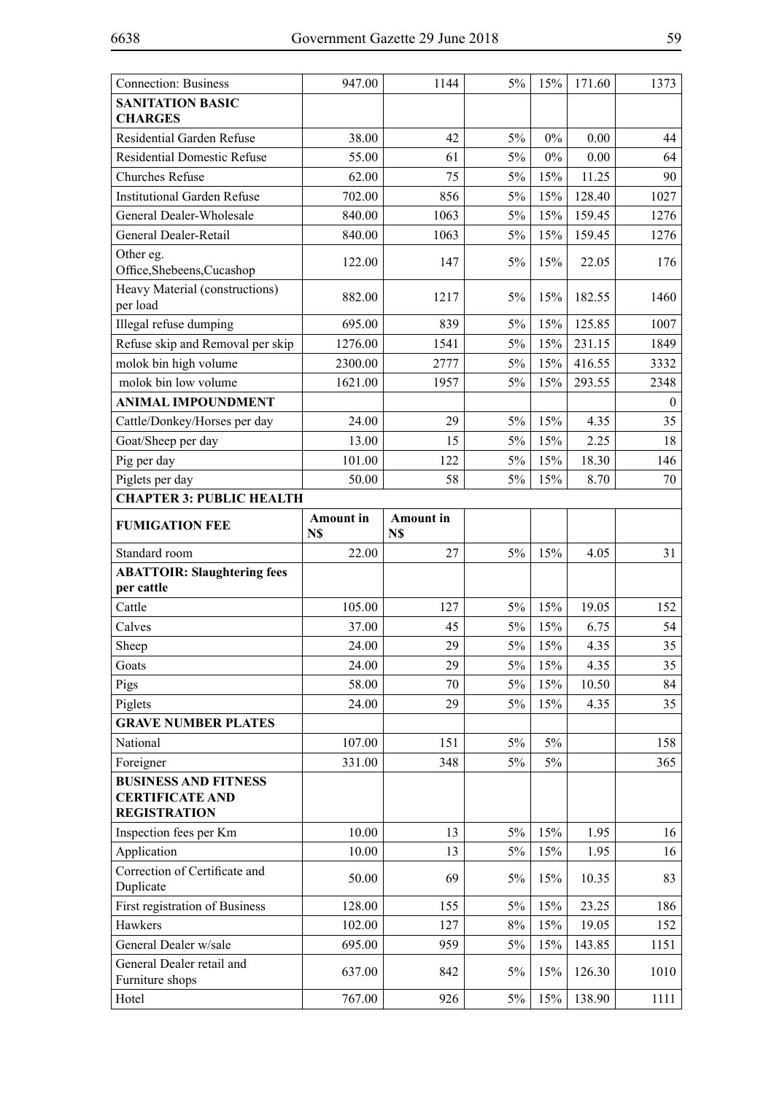| <b>Connection: Business</b>                                                  | 947.00                  | 1144                    | 5%    | 15%   | 171.60 | 1373             |  |
|------------------------------------------------------------------------------|-------------------------|-------------------------|-------|-------|--------|------------------|--|
| <b>SANITATION BASIC</b><br><b>CHARGES</b>                                    |                         |                         |       |       |        |                  |  |
| Residential Garden Refuse                                                    | 38.00                   | 42                      | 5%    | 0%    | 0.00   | 44               |  |
| <b>Residential Domestic Refuse</b>                                           | 55.00                   | 61                      | 5%    | 0%    | 0.00   | 64               |  |
| <b>Churches Refuse</b>                                                       | 62.00                   | 75                      | 5%    | 15%   | 11.25  | 90               |  |
| <b>Institutional Garden Refuse</b>                                           | 702.00                  | 856                     | 5%    | 15%   | 128.40 | 1027             |  |
| General Dealer-Wholesale                                                     | 840.00                  | 1063                    | 5%    | 15%   | 159.45 | 1276             |  |
| General Dealer-Retail                                                        | 840.00                  | 1063                    | 5%    | 15%   | 159.45 | 1276             |  |
| Other eg.<br>Office, Shebeens, Cucashop                                      | 122.00                  | 147                     | 5%    | 15%   | 22.05  | 176              |  |
| Heavy Material (constructions)<br>per load                                   | 882.00                  | 1217                    | 5%    | 15%   | 182.55 | 1460             |  |
| Illegal refuse dumping                                                       | 695.00                  | 839                     | 5%    | 15%   | 125.85 | 1007             |  |
| Refuse skip and Removal per skip                                             | 1276.00                 | 1541                    | 5%    | 15%   | 231.15 | 1849             |  |
| molok bin high volume                                                        | 2300.00                 | 2777                    | $5\%$ | 15%   | 416.55 | 3332             |  |
| molok bin low volume                                                         | 1621.00                 | 1957                    | 5%    | 15%   | 293.55 | 2348             |  |
| <b>ANIMAL IMPOUNDMENT</b>                                                    |                         |                         |       |       |        | $\boldsymbol{0}$ |  |
| Cattle/Donkey/Horses per day                                                 | 24.00                   | 29                      | 5%    | 15%   | 4.35   | 35               |  |
| Goat/Sheep per day                                                           | 13.00                   | 15                      | 5%    | 15%   | 2.25   | 18               |  |
| Pig per day                                                                  | 101.00                  | 122                     | $5\%$ | 15%   | 18.30  | 146              |  |
| Piglets per day                                                              | 50.00                   | 58                      | 5%    | 15%   | 8.70   | 70               |  |
| <b>CHAPTER 3: PUBLIC HEALTH</b>                                              |                         |                         |       |       |        |                  |  |
| <b>FUMIGATION FEE</b>                                                        | <b>Amount</b> in<br>N\$ | <b>Amount</b> in<br>N\$ |       |       |        |                  |  |
|                                                                              |                         |                         |       |       |        |                  |  |
| Standard room                                                                | 22.00                   | 27                      | 5%    | 15%   | 4.05   | 31               |  |
| <b>ABATTOIR: Slaughtering fees</b><br>per cattle                             |                         |                         |       |       |        |                  |  |
| Cattle                                                                       | 105.00                  | 127                     | 5%    | 15%   | 19.05  | 152              |  |
| Calves                                                                       | 37.00                   | 45                      | 5%    | 15%   | 6.75   | 54               |  |
| Sheep                                                                        | 24.00                   | 29                      | 5%    | 15%   | 4.35   | 35               |  |
| Goats                                                                        | 24.00                   | 29                      | 5%    | 15%   | 4.35   | 35               |  |
| Pigs                                                                         | 58.00                   | 70                      | 5%    | 15%   | 10.50  | 84               |  |
| Piglets                                                                      | 24.00                   | 29                      | $5\%$ | 15%   | 4.35   | 35               |  |
| <b>GRAVE NUMBER PLATES</b>                                                   |                         |                         |       |       |        |                  |  |
| National                                                                     | 107.00                  | 151                     | $5\%$ | $5\%$ |        | 158              |  |
| Foreigner                                                                    | 331.00                  | 348                     | 5%    | 5%    |        | 365              |  |
| <b>BUSINESS AND FITNESS</b><br><b>CERTIFICATE AND</b><br><b>REGISTRATION</b> |                         |                         |       |       |        |                  |  |
| Inspection fees per Km                                                       | 10.00                   | 13                      | $5\%$ | 15%   | 1.95   | 16               |  |
| Application                                                                  | 10.00                   | 13                      | $5\%$ | 15%   | 1.95   | 16               |  |
| Correction of Certificate and<br>Duplicate                                   | 50.00                   | 69                      | $5\%$ | 15%   | 10.35  | 83               |  |
| First registration of Business                                               | 128.00                  | 155                     | 5%    | 15%   | 23.25  | 186              |  |
| Hawkers                                                                      | 102.00                  | 127                     | $8\%$ | 15%   | 19.05  | 152              |  |
| General Dealer w/sale                                                        | 695.00                  | 959                     | 5%    | 15%   | 143.85 | 1151             |  |
| General Dealer retail and<br>Furniture shops                                 | 637.00                  | 842                     | 5%    | 15%   | 126.30 | 1010             |  |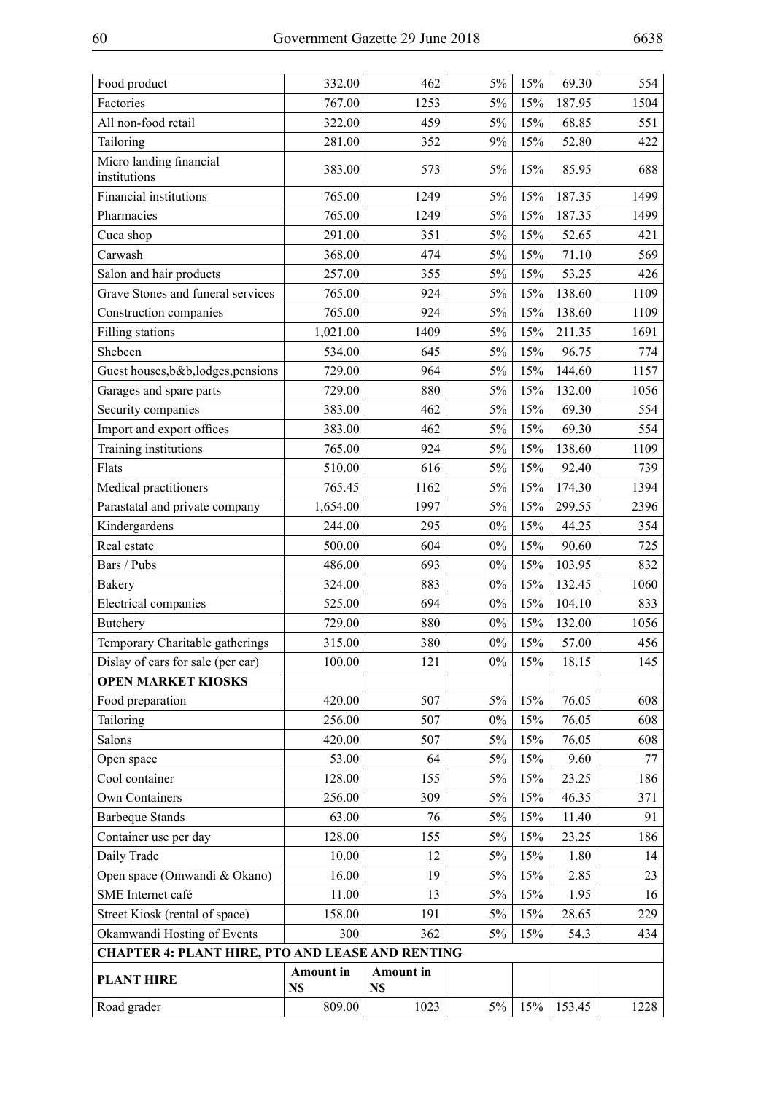| Food product                                            | 332.00                  | 462                     | 5%    | 15% | 69.30  | 554  |
|---------------------------------------------------------|-------------------------|-------------------------|-------|-----|--------|------|
| Factories                                               | 767.00                  | 1253                    | 5%    | 15% | 187.95 | 1504 |
| All non-food retail                                     | 322.00                  | 459                     | 5%    | 15% | 68.85  | 551  |
| Tailoring                                               | 281.00                  | 352                     | 9%    | 15% | 52.80  | 422  |
| Micro landing financial<br>institutions                 | 383.00                  | 573                     | 5%    | 15% | 85.95  | 688  |
| Financial institutions                                  | 765.00                  | 1249                    | 5%    | 15% | 187.35 | 1499 |
| Pharmacies                                              | 765.00                  | 1249                    | 5%    | 15% | 187.35 | 1499 |
| Cuca shop                                               | 291.00                  | 351                     | 5%    | 15% | 52.65  | 421  |
| Carwash                                                 | 368.00                  | 474                     | 5%    | 15% | 71.10  | 569  |
| Salon and hair products                                 | 257.00                  | 355                     | 5%    | 15% | 53.25  | 426  |
| Grave Stones and funeral services                       | 765.00                  | 924                     | 5%    | 15% | 138.60 | 1109 |
| Construction companies                                  | 765.00                  | 924                     | 5%    | 15% | 138.60 | 1109 |
| Filling stations                                        | 1,021.00                | 1409                    | 5%    | 15% | 211.35 | 1691 |
| Shebeen                                                 | 534.00                  | 645                     | 5%    | 15% | 96.75  | 774  |
| Guest houses, b&b, lodges, pensions                     | 729.00                  | 964                     | 5%    | 15% | 144.60 | 1157 |
| Garages and spare parts                                 | 729.00                  | 880                     | 5%    | 15% | 132.00 | 1056 |
| Security companies                                      | 383.00                  | 462                     | 5%    | 15% | 69.30  | 554  |
| Import and export offices                               | 383.00                  | 462                     | 5%    | 15% | 69.30  | 554  |
| Training institutions                                   | 765.00                  | 924                     | 5%    | 15% | 138.60 | 1109 |
| Flats                                                   | 510.00                  | 616                     | 5%    | 15% | 92.40  | 739  |
| Medical practitioners                                   | 765.45                  | 1162                    | 5%    | 15% | 174.30 | 1394 |
| Parastatal and private company                          | 1,654.00                | 1997                    | 5%    | 15% | 299.55 | 2396 |
| Kindergardens                                           | 244.00                  | 295                     | $0\%$ | 15% | 44.25  | 354  |
| Real estate                                             | 500.00                  | 604                     | $0\%$ | 15% | 90.60  | 725  |
| Bars / Pubs                                             | 486.00                  | 693                     | $0\%$ | 15% | 103.95 | 832  |
| <b>Bakery</b>                                           | 324.00                  | 883                     | $0\%$ | 15% | 132.45 | 1060 |
| <b>Electrical</b> companies                             | 525.00                  | 694                     | $0\%$ | 15% | 104.10 | 833  |
| Butchery                                                | 729.00                  | 880                     | $0\%$ | 15% | 132.00 | 1056 |
| Temporary Charitable gatherings                         | 315.00                  | 380                     | $0\%$ | 15% | 57.00  | 456  |
| Dislay of cars for sale (per car)                       | 100.00                  | 121                     | $0\%$ | 15% | 18.15  | 145  |
| <b>OPEN MARKET KIOSKS</b>                               |                         |                         |       |     |        |      |
| Food preparation                                        | 420.00                  | 507                     | 5%    | 15% | 76.05  | 608  |
| Tailoring                                               | 256.00                  | 507                     | $0\%$ | 15% | 76.05  | 608  |
| Salons                                                  | 420.00                  | 507                     | 5%    | 15% | 76.05  | 608  |
| Open space                                              | 53.00                   | 64                      | 5%    | 15% | 9.60   | 77   |
| Cool container                                          | 128.00                  | 155                     | 5%    | 15% | 23.25  | 186  |
| Own Containers                                          | 256.00                  | 309                     | 5%    | 15% | 46.35  | 371  |
| <b>Barbeque Stands</b>                                  | 63.00                   | 76                      | 5%    | 15% | 11.40  | 91   |
| Container use per day                                   | 128.00                  | 155                     | $5\%$ | 15% | 23.25  | 186  |
| Daily Trade                                             | 10.00                   | 12                      | 5%    | 15% | 1.80   | 14   |
| Open space (Omwandi & Okano)                            | 16.00                   | 19                      | 5%    | 15% | 2.85   | 23   |
| SME Internet café                                       | 11.00                   | 13                      | 5%    | 15% | 1.95   | 16   |
| Street Kiosk (rental of space)                          | 158.00                  | 191                     | 5%    | 15% | 28.65  | 229  |
| Okamwandi Hosting of Events                             | 300                     | 362                     | $5\%$ | 15% | 54.3   | 434  |
| <b>CHAPTER 4: PLANT HIRE, PTO AND LEASE AND RENTING</b> |                         |                         |       |     |        |      |
| <b>PLANT HIRE</b>                                       | <b>Amount</b> in<br>N\$ | <b>Amount</b> in<br>N\$ |       |     |        |      |
| Road grader                                             | 809.00                  | 1023                    | $5\%$ | 15% | 153.45 | 1228 |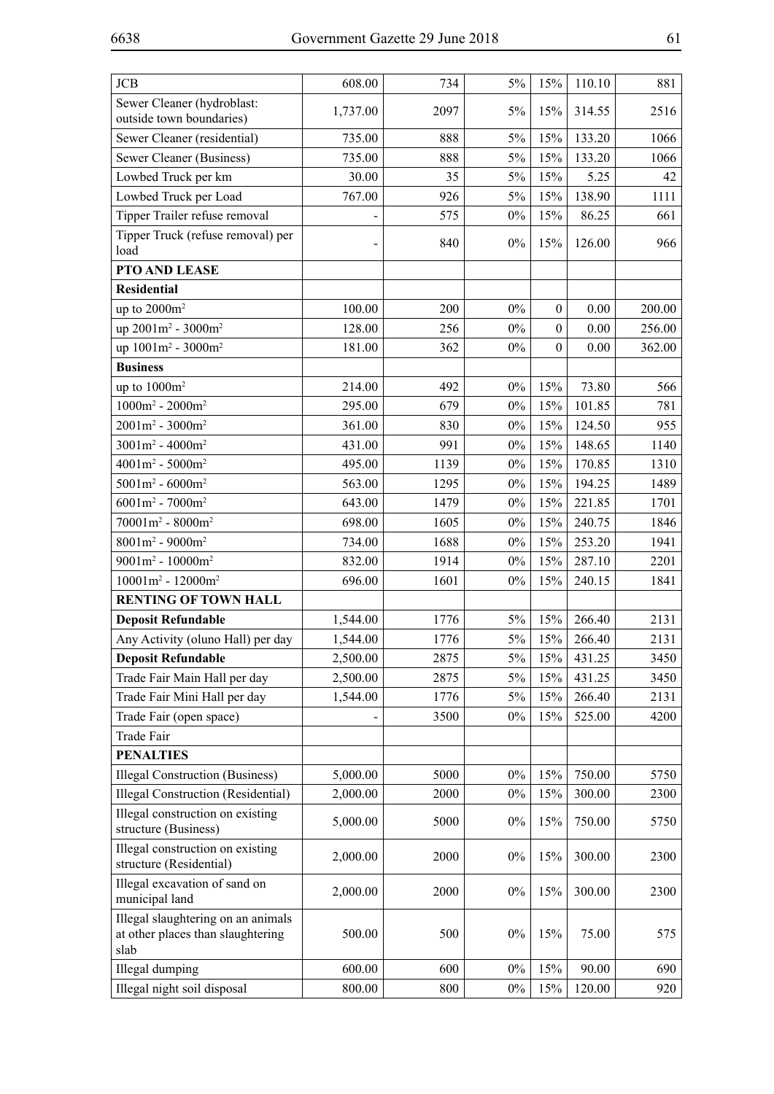$\overline{\phantom{a}}$ 

 $\overline{\phantom{0}}$ 

 $\overline{1}$ 

 $\overline{\phantom{a}}$ 

 $\overline{a}$ 

| <b>JCB</b>                                                                      | 608.00   | 734  | 5%    | 15%              | 110.10   | 881    |
|---------------------------------------------------------------------------------|----------|------|-------|------------------|----------|--------|
| Sewer Cleaner (hydroblast:<br>outside town boundaries)                          | 1,737.00 | 2097 | $5\%$ | 15%              | 314.55   | 2516   |
| Sewer Cleaner (residential)                                                     | 735.00   | 888  | $5\%$ | 15%              | 133.20   | 1066   |
| Sewer Cleaner (Business)                                                        | 735.00   | 888  | 5%    | 15%              | 133.20   | 1066   |
| Lowbed Truck per km                                                             | 30.00    | 35   | 5%    | 15%              | 5.25     | 42     |
| Lowbed Truck per Load                                                           | 767.00   | 926  | $5\%$ | 15%              | 138.90   | 1111   |
| Tipper Trailer refuse removal                                                   |          | 575  | $0\%$ | 15%              | 86.25    | 661    |
| Tipper Truck (refuse removal) per<br>load                                       |          | 840  | $0\%$ | 15%              | 126.00   | 966    |
| PTO AND LEASE                                                                   |          |      |       |                  |          |        |
| <b>Residential</b>                                                              |          |      |       |                  |          |        |
| up to $2000m^2$                                                                 | 100.00   | 200  | $0\%$ | $\boldsymbol{0}$ | $0.00\,$ | 200.00 |
| up 2001m <sup>2</sup> - 3000m <sup>2</sup>                                      | 128.00   | 256  | $0\%$ | $\mathbf{0}$     | 0.00     | 256.00 |
| up 1001m <sup>2</sup> - 3000m <sup>2</sup>                                      | 181.00   | 362  | $0\%$ | $\boldsymbol{0}$ | 0.00     | 362.00 |
| <b>Business</b>                                                                 |          |      |       |                  |          |        |
| up to $1000m^2$                                                                 | 214.00   | 492  | $0\%$ | 15%              | 73.80    | 566    |
| $1000m^2 - 2000m^2$                                                             | 295.00   | 679  | $0\%$ | 15%              | 101.85   | 781    |
| $2001m^2 - 3000m^2$                                                             | 361.00   | 830  | $0\%$ | 15%              | 124.50   | 955    |
| $3001m^2 - 4000m^2$                                                             | 431.00   | 991  | $0\%$ | 15%              | 148.65   | 1140   |
| $4001m^2 - 5000m^2$                                                             | 495.00   | 1139 | $0\%$ | 15%              | 170.85   | 1310   |
| $5001m^2 - 6000m^2$                                                             | 563.00   | 1295 | $0\%$ | 15%              | 194.25   | 1489   |
| $6001m^2 - 7000m^2$                                                             | 643.00   | 1479 | $0\%$ | 15%              | 221.85   | 1701   |
| $70001m^2 - 8000m^2$                                                            | 698.00   | 1605 | $0\%$ | 15%              | 240.75   | 1846   |
| $8001m^2 - 9000m^2$                                                             | 734.00   | 1688 | $0\%$ | 15%              | 253.20   | 1941   |
| $9001m^2 - 10000m^2$                                                            | 832.00   | 1914 | $0\%$ | 15%              | 287.10   | 2201   |
| $10001m^2 - 12000m^2$                                                           | 696.00   | 1601 | $0\%$ | 15%              | 240.15   | 1841   |
| <b>RENTING OF TOWN HALL</b>                                                     |          |      |       |                  |          |        |
| <b>Deposit Refundable</b>                                                       | 1,544.00 | 1776 | $5\%$ | 15%              | 266.40   | 2131   |
| Any Activity (oluno Hall) per day                                               | 1,544.00 | 1776 | $5\%$ | 15%              | 266.40   | 2131   |
| <b>Deposit Refundable</b>                                                       | 2,500.00 | 2875 | $5\%$ | 15%              | 431.25   | 3450   |
| Trade Fair Main Hall per day                                                    | 2,500.00 | 2875 | $5\%$ | 15%              | 431.25   | 3450   |
| Trade Fair Mini Hall per day                                                    | 1,544.00 | 1776 | 5%    | 15%              | 266.40   | 2131   |
| Trade Fair (open space)                                                         |          | 3500 | $0\%$ | 15%              | 525.00   | 4200   |
| Trade Fair                                                                      |          |      |       |                  |          |        |
| <b>PENALTIES</b>                                                                |          |      |       |                  |          |        |
| Illegal Construction (Business)                                                 | 5,000.00 | 5000 | $0\%$ | 15%              | 750.00   | 5750   |
| <b>Illegal Construction (Residential)</b>                                       | 2,000.00 | 2000 | $0\%$ | 15%              | 300.00   | 2300   |
| Illegal construction on existing<br>structure (Business)                        | 5,000.00 | 5000 | $0\%$ | 15%              | 750.00   | 5750   |
| Illegal construction on existing<br>structure (Residential)                     | 2,000.00 | 2000 | $0\%$ | 15%              | 300.00   | 2300   |
| Illegal excavation of sand on<br>municipal land                                 | 2,000.00 | 2000 | $0\%$ | 15%              | 300.00   | 2300   |
| Illegal slaughtering on an animals<br>at other places than slaughtering<br>slab | 500.00   | 500  | $0\%$ | 15%              | 75.00    | 575    |
| Illegal dumping                                                                 | 600.00   | 600  | $0\%$ | 15%              | 90.00    | 690    |
| Illegal night soil disposal                                                     | 800.00   | 800  | $0\%$ | 15%              | 120.00   | 920    |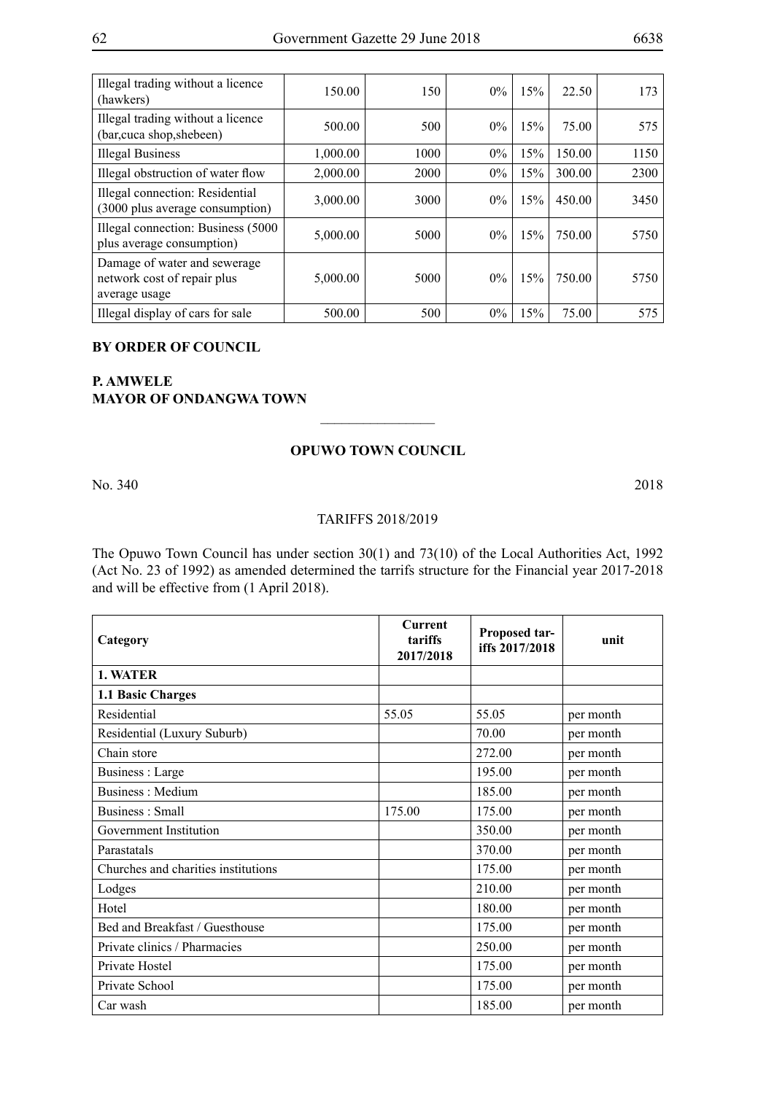| Illegal trading without a licence<br>(hawkers)                               | 150.00   | 150  | $0\%$ | 15% | 22.50  | 173  |
|------------------------------------------------------------------------------|----------|------|-------|-----|--------|------|
| Illegal trading without a licence<br>(bar, cuca shop, shebeen)               | 500.00   | 500  | $0\%$ | 15% | 75.00  | 575  |
| <b>Illegal Business</b>                                                      | 1,000.00 | 1000 | $0\%$ | 15% | 150.00 | 1150 |
| Illegal obstruction of water flow                                            | 2,000.00 | 2000 | $0\%$ | 15% | 300.00 | 2300 |
| Illegal connection: Residential<br>(3000 plus average consumption)           | 3,000.00 | 3000 | $0\%$ | 15% | 450.00 | 3450 |
| Illegal connection: Business (5000)<br>plus average consumption)             | 5,000.00 | 5000 | $0\%$ | 15% | 750.00 | 5750 |
| Damage of water and sewerage<br>network cost of repair plus<br>average usage | 5,000.00 | 5000 | $0\%$ | 15% | 750.00 | 5750 |
| Illegal display of cars for sale                                             | 500.00   | 500  | $0\%$ | 15% | 75.00  | 575  |

### **BY ORDER OF COUNCIL**

# **P. Amwele Mayor of Ondangwa Town**

### **Opuwo Town Council**

 $\overline{\phantom{a}}$  , where  $\overline{\phantom{a}}$ 

No. 340 2018

### TARIFFS 2018/2019

The Opuwo Town Council has under section 30(1) and 73(10) of the Local Authorities Act, 1992 (Act No. 23 of 1992) as amended determined the tarrifs structure for the Financial year 2017-2018 and will be effective from (1 April 2018).

| Category                            | <b>Current</b><br>tariffs<br>2017/2018 | Proposed tar-<br>iffs 2017/2018 | unit      |
|-------------------------------------|----------------------------------------|---------------------------------|-----------|
| 1. WATER                            |                                        |                                 |           |
| 1.1 Basic Charges                   |                                        |                                 |           |
| Residential                         | 55.05                                  | 55.05                           | per month |
| Residential (Luxury Suburb)         |                                        | 70.00                           | per month |
| Chain store                         |                                        | 272.00                          | per month |
| Business : Large                    |                                        | 195.00                          | per month |
| Business: Medium                    |                                        | 185.00                          | per month |
| Business: Small                     | 175.00                                 | 175.00                          | per month |
| Government Institution              |                                        | 350.00                          | per month |
| Parastatals                         |                                        | 370.00                          | per month |
| Churches and charities institutions |                                        | 175.00                          | per month |
| Lodges                              |                                        | 210.00                          | per month |
| Hotel                               |                                        | 180.00                          | per month |
| Bed and Breakfast / Guesthouse      |                                        | 175.00                          | per month |
| Private clinics / Pharmacies        |                                        | 250.00                          | per month |
| Private Hostel                      |                                        | 175.00                          | per month |
| Private School                      |                                        | 175.00                          | per month |
| Car wash                            |                                        | 185.00                          | per month |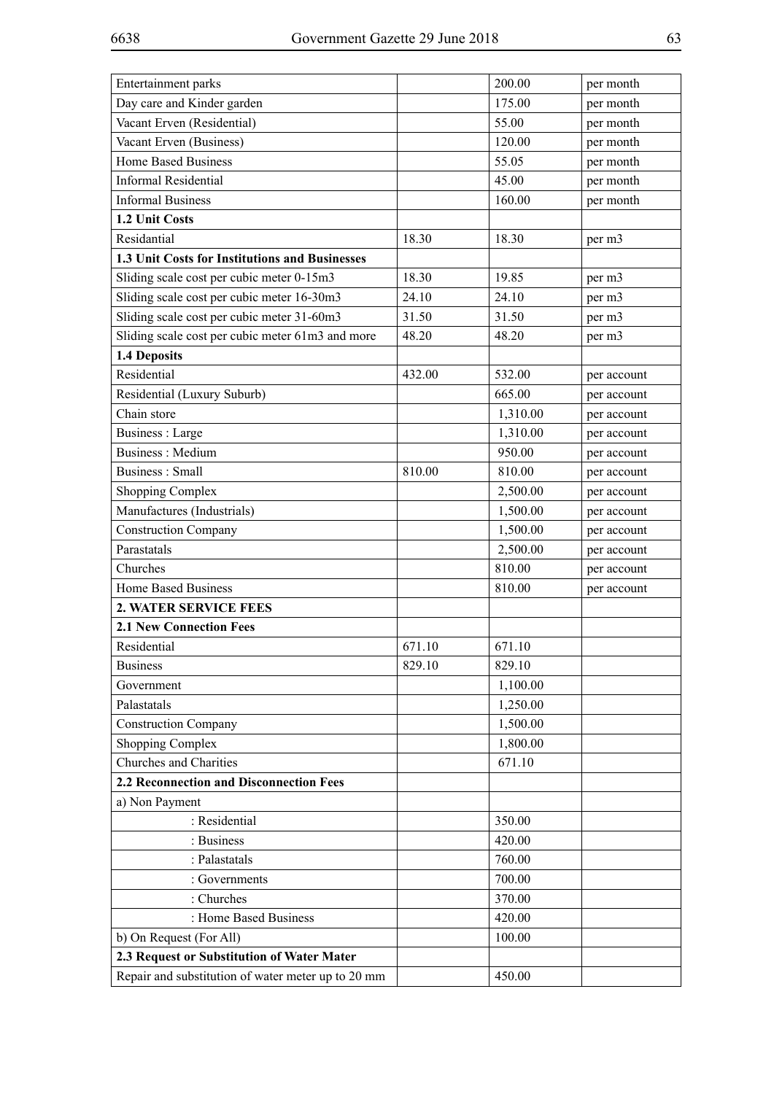| Entertainment parks                                |        | 200.00   | per month   |
|----------------------------------------------------|--------|----------|-------------|
| Day care and Kinder garden                         |        | 175.00   | per month   |
| Vacant Erven (Residential)                         |        | 55.00    | per month   |
| Vacant Erven (Business)                            |        | 120.00   | per month   |
| Home Based Business                                |        | 55.05    | per month   |
| <b>Informal Residential</b>                        |        | 45.00    | per month   |
| <b>Informal Business</b>                           |        | 160.00   | per month   |
| 1.2 Unit Costs                                     |        |          |             |
| Residantial                                        | 18.30  | 18.30    | per m3      |
| 1.3 Unit Costs for Institutions and Businesses     |        |          |             |
| Sliding scale cost per cubic meter 0-15m3          | 18.30  | 19.85    | per m3      |
| Sliding scale cost per cubic meter 16-30m3         | 24.10  | 24.10    | per m3      |
| Sliding scale cost per cubic meter 31-60m3         | 31.50  | 31.50    | per m3      |
| Sliding scale cost per cubic meter 61m3 and more   | 48.20  | 48.20    | per m3      |
| 1.4 Deposits                                       |        |          |             |
| Residential                                        | 432.00 | 532.00   | per account |
| Residential (Luxury Suburb)                        |        | 665.00   | per account |
| Chain store                                        |        | 1,310.00 | per account |
| <b>Business</b> : Large                            |        | 1,310.00 | per account |
| <b>Business: Medium</b>                            |        | 950.00   | per account |
| <b>Business: Small</b>                             | 810.00 | 810.00   | per account |
| <b>Shopping Complex</b>                            |        | 2,500.00 | per account |
| Manufactures (Industrials)                         |        | 1,500.00 | per account |
| <b>Construction Company</b>                        |        | 1,500.00 | per account |
| Parastatals                                        |        | 2,500.00 | per account |
| Churches                                           |        | 810.00   | per account |
| <b>Home Based Business</b>                         |        | 810.00   | per account |
| 2. WATER SERVICE FEES                              |        |          |             |
| <b>2.1 New Connection Fees</b>                     |        |          |             |
| Residential                                        | 671.10 | 671.10   |             |
| <b>Business</b>                                    | 829.10 | 829.10   |             |
| Government                                         |        | 1,100.00 |             |
| Palastatals                                        |        | 1,250.00 |             |
| <b>Construction Company</b>                        |        | 1,500.00 |             |
| <b>Shopping Complex</b>                            |        | 1,800.00 |             |
| Churches and Charities                             |        | 671.10   |             |
| 2.2 Reconnection and Disconnection Fees            |        |          |             |
| a) Non Payment                                     |        |          |             |
| : Residential                                      |        | 350.00   |             |
| : Business                                         |        | 420.00   |             |
| : Palastatals                                      |        | 760.00   |             |
| : Governments                                      |        | 700.00   |             |
| : Churches                                         |        | 370.00   |             |
| : Home Based Business                              |        | 420.00   |             |
| b) On Request (For All)                            |        | 100.00   |             |
| 2.3 Request or Substitution of Water Mater         |        |          |             |
| Repair and substitution of water meter up to 20 mm |        | 450.00   |             |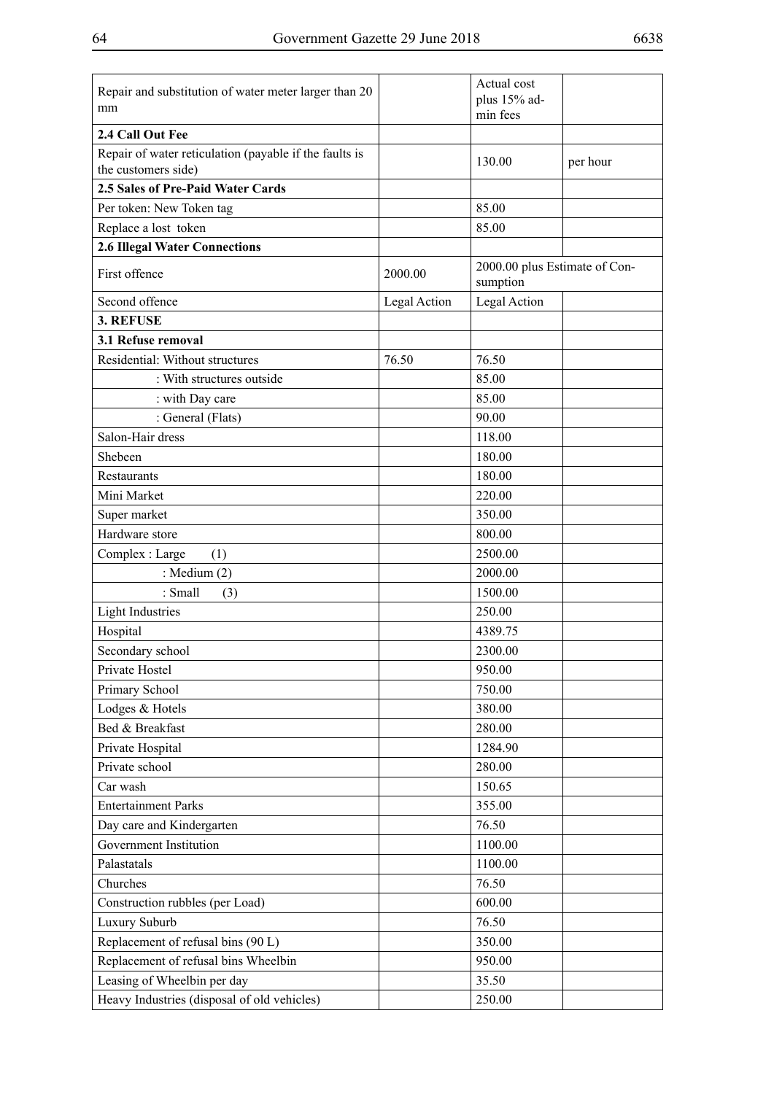| Repair and substitution of water meter larger than 20<br>mm                   |              | Actual cost<br>plus 15% ad-<br>min fees   |          |
|-------------------------------------------------------------------------------|--------------|-------------------------------------------|----------|
| 2.4 Call Out Fee                                                              |              |                                           |          |
| Repair of water reticulation (payable if the faults is<br>the customers side) |              | 130.00                                    | per hour |
| 2.5 Sales of Pre-Paid Water Cards                                             |              |                                           |          |
| Per token: New Token tag                                                      |              | 85.00                                     |          |
| Replace a lost token                                                          |              | 85.00                                     |          |
| <b>2.6 Illegal Water Connections</b>                                          |              |                                           |          |
| First offence                                                                 | 2000.00      | 2000.00 plus Estimate of Con-<br>sumption |          |
| Second offence                                                                | Legal Action | Legal Action                              |          |
| 3. REFUSE                                                                     |              |                                           |          |
| 3.1 Refuse removal                                                            |              |                                           |          |
| Residential: Without structures                                               | 76.50        | 76.50                                     |          |
| : With structures outside                                                     |              | 85.00                                     |          |
| : with Day care                                                               |              | 85.00                                     |          |
| : General (Flats)                                                             |              | 90.00                                     |          |
| Salon-Hair dress                                                              |              | 118.00                                    |          |
| Shebeen                                                                       |              | 180.00                                    |          |
| Restaurants                                                                   |              | 180.00                                    |          |
| Mini Market                                                                   |              | 220.00                                    |          |
| Super market                                                                  |              | 350.00                                    |          |
| Hardware store                                                                |              | 800.00                                    |          |
| Complex: Large<br>(1)                                                         |              | 2500.00                                   |          |
| : Medium $(2)$                                                                |              | 2000.00                                   |          |
| : Small<br>(3)                                                                |              | 1500.00                                   |          |
| <b>Light Industries</b>                                                       |              | 250.00                                    |          |
| Hospital                                                                      |              | 4389.75                                   |          |
| Secondary school                                                              |              | 2300.00                                   |          |
| Private Hostel                                                                |              | 950.00                                    |          |
| Primary School                                                                |              | 750.00                                    |          |
| Lodges & Hotels                                                               |              | 380.00                                    |          |
| Bed & Breakfast                                                               |              | 280.00                                    |          |
| Private Hospital                                                              |              | 1284.90                                   |          |
| Private school                                                                |              | 280.00                                    |          |
| Car wash                                                                      |              | 150.65                                    |          |
| <b>Entertainment Parks</b>                                                    |              | 355.00                                    |          |
| Day care and Kindergarten                                                     |              | 76.50                                     |          |
| Government Institution                                                        |              | 1100.00                                   |          |
| Palastatals                                                                   |              | 1100.00                                   |          |
| Churches                                                                      |              | 76.50                                     |          |
| Construction rubbles (per Load)                                               |              | 600.00                                    |          |
| Luxury Suburb                                                                 |              | 76.50                                     |          |
| Replacement of refusal bins (90 L)                                            |              | 350.00                                    |          |
| Replacement of refusal bins Wheelbin                                          |              | 950.00                                    |          |
| Leasing of Wheelbin per day                                                   |              | 35.50                                     |          |
| Heavy Industries (disposal of old vehicles)                                   |              | 250.00                                    |          |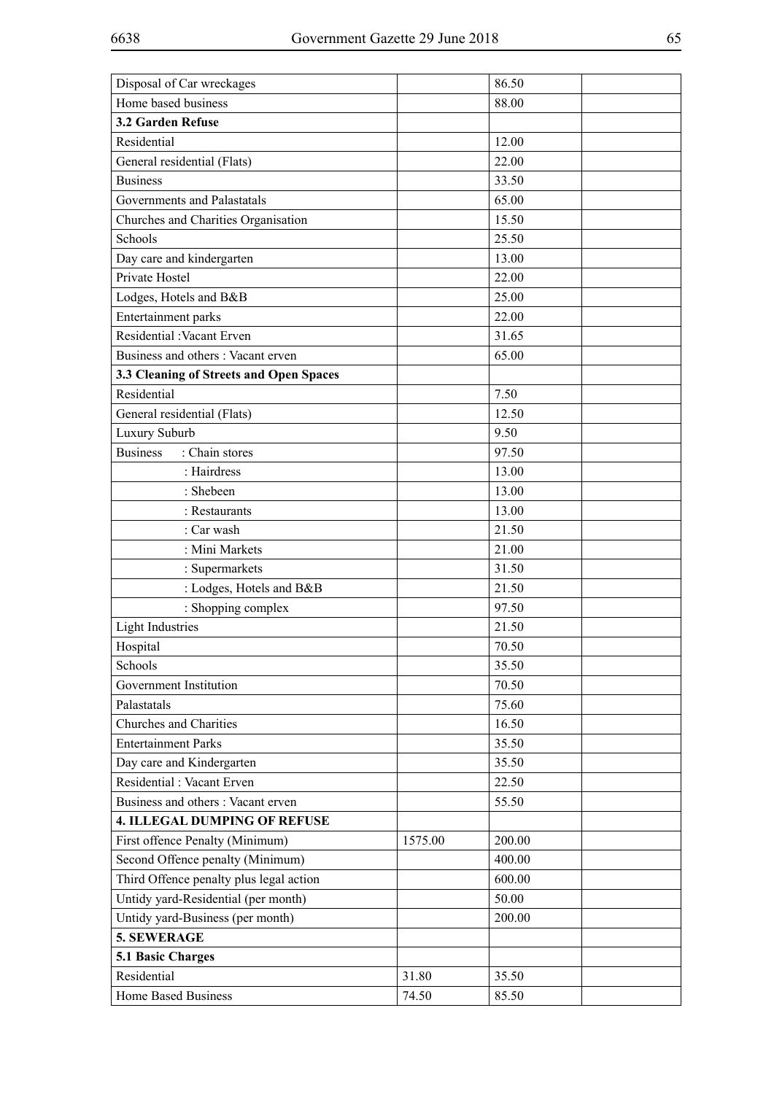| Disposal of Car wreckages               |         | 86.50  |  |
|-----------------------------------------|---------|--------|--|
| Home based business                     |         | 88.00  |  |
| 3.2 Garden Refuse                       |         |        |  |
| Residential                             |         | 12.00  |  |
| General residential (Flats)             |         | 22.00  |  |
| <b>Business</b>                         |         | 33.50  |  |
| Governments and Palastatals             |         | 65.00  |  |
| Churches and Charities Organisation     |         | 15.50  |  |
| Schools                                 |         | 25.50  |  |
| Day care and kindergarten               |         | 13.00  |  |
| Private Hostel                          |         | 22.00  |  |
| Lodges, Hotels and B&B                  |         | 25.00  |  |
| Entertainment parks                     |         | 22.00  |  |
| Residential : Vacant Erven              |         | 31.65  |  |
| Business and others: Vacant erven       |         | 65.00  |  |
| 3.3 Cleaning of Streets and Open Spaces |         |        |  |
| Residential                             |         | 7.50   |  |
| General residential (Flats)             |         | 12.50  |  |
| Luxury Suburb                           |         | 9.50   |  |
| <b>Business</b><br>: Chain stores       |         | 97.50  |  |
| : Hairdress                             |         | 13.00  |  |
| : Shebeen                               |         | 13.00  |  |
| : Restaurants                           |         | 13.00  |  |
| : Car wash                              |         | 21.50  |  |
| : Mini Markets                          |         | 21.00  |  |
| : Supermarkets                          |         | 31.50  |  |
| : Lodges, Hotels and B&B                |         | 21.50  |  |
| : Shopping complex                      |         | 97.50  |  |
| <b>Light Industries</b>                 |         | 21.50  |  |
| Hospital                                |         | 70.50  |  |
| Schools                                 |         | 35.50  |  |
| Government Institution                  |         | 70.50  |  |
| Palastatals                             |         | 75.60  |  |
| Churches and Charities                  |         | 16.50  |  |
| <b>Entertainment Parks</b>              |         | 35.50  |  |
| Day care and Kindergarten               |         | 35.50  |  |
| Residential : Vacant Erven              |         | 22.50  |  |
| Business and others: Vacant erven       |         | 55.50  |  |
| <b>4. ILLEGAL DUMPING OF REFUSE</b>     |         |        |  |
| First offence Penalty (Minimum)         | 1575.00 | 200.00 |  |
| Second Offence penalty (Minimum)        |         | 400.00 |  |
| Third Offence penalty plus legal action |         | 600.00 |  |
| Untidy yard-Residential (per month)     |         | 50.00  |  |
| Untidy yard-Business (per month)        |         | 200.00 |  |
| 5. SEWERAGE                             |         |        |  |
| <b>5.1 Basic Charges</b>                |         |        |  |
| Residential                             | 31.80   | 35.50  |  |
| Home Based Business                     | 74.50   | 85.50  |  |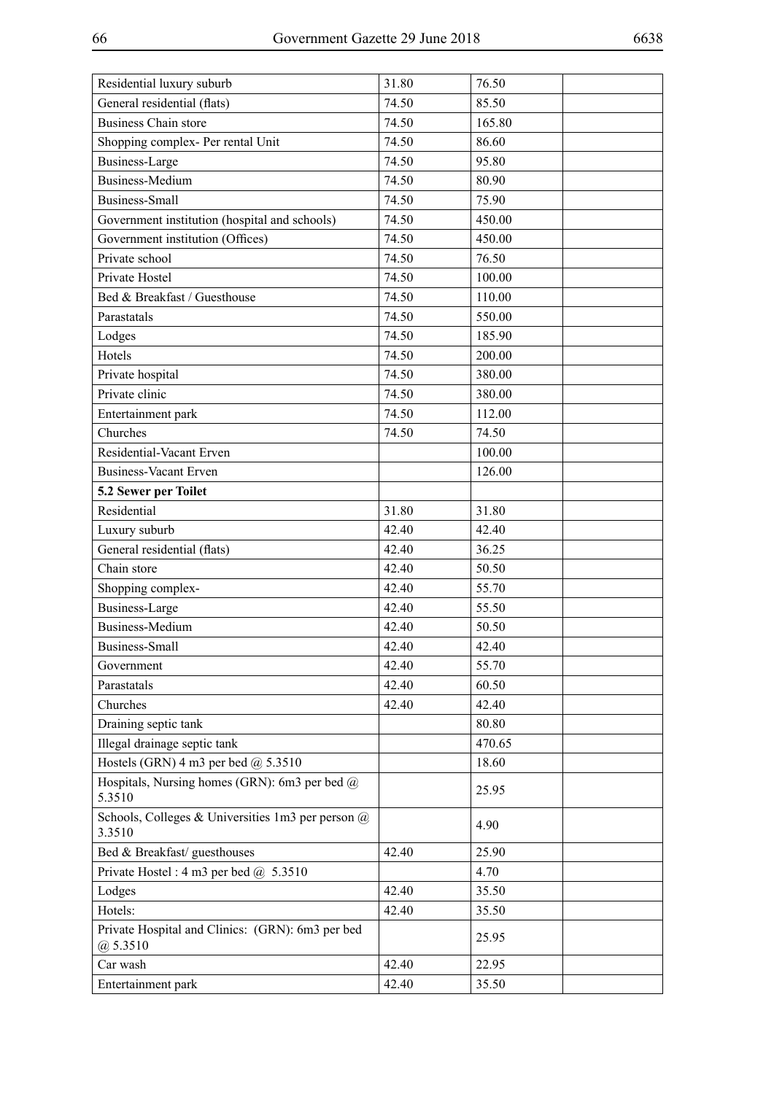| Residential luxury suburb                                      | 31.80 | 76.50  |
|----------------------------------------------------------------|-------|--------|
| General residential (flats)                                    | 74.50 | 85.50  |
| <b>Business Chain store</b>                                    | 74.50 | 165.80 |
| Shopping complex- Per rental Unit                              | 74.50 | 86.60  |
| <b>Business-Large</b>                                          | 74.50 | 95.80  |
| <b>Business-Medium</b>                                         | 74.50 | 80.90  |
| <b>Business-Small</b>                                          | 74.50 | 75.90  |
| Government institution (hospital and schools)                  | 74.50 | 450.00 |
| Government institution (Offices)                               | 74.50 | 450.00 |
| Private school                                                 | 74.50 | 76.50  |
| Private Hostel                                                 | 74.50 | 100.00 |
| Bed & Breakfast / Guesthouse                                   | 74.50 | 110.00 |
| Parastatals                                                    | 74.50 | 550.00 |
| Lodges                                                         | 74.50 | 185.90 |
| Hotels                                                         | 74.50 | 200.00 |
| Private hospital                                               | 74.50 | 380.00 |
| Private clinic                                                 | 74.50 | 380.00 |
| Entertainment park                                             | 74.50 | 112.00 |
| Churches                                                       | 74.50 | 74.50  |
| Residential-Vacant Erven                                       |       | 100.00 |
| <b>Business-Vacant Erven</b>                                   |       | 126.00 |
| 5.2 Sewer per Toilet                                           |       |        |
| Residential                                                    | 31.80 | 31.80  |
| Luxury suburb                                                  | 42.40 | 42.40  |
| General residential (flats)                                    | 42.40 | 36.25  |
| Chain store                                                    | 42.40 | 50.50  |
| Shopping complex-                                              | 42.40 | 55.70  |
| <b>Business-Large</b>                                          | 42.40 | 55.50  |
| <b>Business-Medium</b>                                         | 42.40 | 50.50  |
| <b>Business-Small</b>                                          | 42.40 | 42.40  |
| Government                                                     | 42.40 | 55.70  |
| Parastatals                                                    | 42.40 | 60.50  |
| Churches                                                       | 42.40 | 42.40  |
| Draining septic tank                                           |       | 80.80  |
| Illegal drainage septic tank                                   |       | 470.65 |
| Hostels (GRN) 4 m3 per bed $@$ 5.3510                          |       | 18.60  |
| Hospitals, Nursing homes (GRN): 6m3 per bed $@$<br>5.3510      |       | 25.95  |
| Schools, Colleges & Universities 1m3 per person @<br>3.3510    |       | 4.90   |
| Bed & Breakfast/ guesthouses                                   | 42.40 | 25.90  |
| Private Hostel: $4 \text{ m}3$ per bed $\omega$ 5.3510         |       | 4.70   |
| Lodges                                                         | 42.40 | 35.50  |
| Hotels:                                                        | 42.40 | 35.50  |
| Private Hospital and Clinics: (GRN): 6m3 per bed<br>(a) 5.3510 |       | 25.95  |
| Car wash                                                       | 42.40 | 22.95  |
| Entertainment park                                             | 42.40 | 35.50  |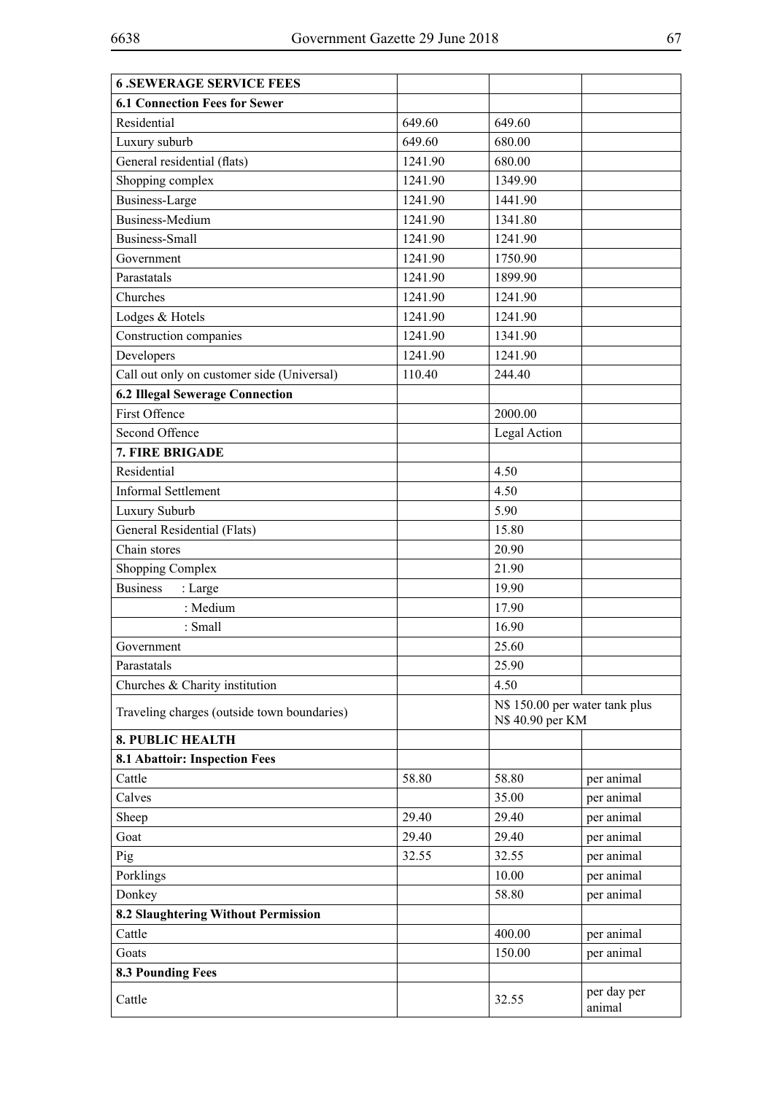| <b>6.SEWERAGE SERVICE FEES</b>              |         |                                                    |                       |
|---------------------------------------------|---------|----------------------------------------------------|-----------------------|
| <b>6.1 Connection Fees for Sewer</b>        |         |                                                    |                       |
| Residential                                 | 649.60  | 649.60                                             |                       |
| Luxury suburb                               | 649.60  | 680.00                                             |                       |
| General residential (flats)                 | 1241.90 | 680.00                                             |                       |
| Shopping complex                            | 1241.90 | 1349.90                                            |                       |
| <b>Business-Large</b>                       | 1241.90 | 1441.90                                            |                       |
| <b>Business-Medium</b>                      | 1241.90 | 1341.80                                            |                       |
| <b>Business-Small</b>                       | 1241.90 | 1241.90                                            |                       |
| Government                                  | 1241.90 | 1750.90                                            |                       |
| Parastatals                                 | 1241.90 | 1899.90                                            |                       |
| Churches                                    | 1241.90 | 1241.90                                            |                       |
| Lodges & Hotels                             | 1241.90 | 1241.90                                            |                       |
| Construction companies                      | 1241.90 | 1341.90                                            |                       |
| Developers                                  | 1241.90 | 1241.90                                            |                       |
| Call out only on customer side (Universal)  | 110.40  | 244.40                                             |                       |
| <b>6.2 Illegal Sewerage Connection</b>      |         |                                                    |                       |
| First Offence                               |         | 2000.00                                            |                       |
| Second Offence                              |         | Legal Action                                       |                       |
| 7. FIRE BRIGADE                             |         |                                                    |                       |
| Residential                                 |         | 4.50                                               |                       |
| <b>Informal Settlement</b>                  |         | 4.50                                               |                       |
| Luxury Suburb                               |         | 5.90                                               |                       |
| General Residential (Flats)                 |         | 15.80                                              |                       |
| Chain stores                                |         | 20.90                                              |                       |
| <b>Shopping Complex</b>                     |         | 21.90                                              |                       |
| <b>Business</b><br>: Large                  |         | 19.90                                              |                       |
| : Medium                                    |         | 17.90                                              |                       |
| : Small                                     |         | 16.90                                              |                       |
| Government                                  |         | 25.60                                              |                       |
| Parastatals                                 |         | 25.90                                              |                       |
| Churches & Charity institution              |         | 4.50                                               |                       |
| Traveling charges (outside town boundaries) |         | N\$ 150.00 per water tank plus<br>N\$ 40.90 per KM |                       |
| <b>8. PUBLIC HEALTH</b>                     |         |                                                    |                       |
| <b>8.1 Abattoir: Inspection Fees</b>        |         |                                                    |                       |
| Cattle                                      | 58.80   | 58.80                                              | per animal            |
| Calves                                      |         | 35.00                                              | per animal            |
| Sheep                                       | 29.40   | 29.40                                              | per animal            |
| Goat                                        | 29.40   | 29.40                                              | per animal            |
| Pig                                         | 32.55   | 32.55                                              | per animal            |
| Porklings                                   |         | 10.00                                              | per animal            |
| Donkey                                      |         | 58.80                                              | per animal            |
| 8.2 Slaughtering Without Permission         |         |                                                    |                       |
| Cattle                                      |         | 400.00                                             | per animal            |
| Goats                                       |         | 150.00                                             | per animal            |
| <b>8.3 Pounding Fees</b>                    |         |                                                    |                       |
| Cattle                                      |         | 32.55                                              | per day per<br>animal |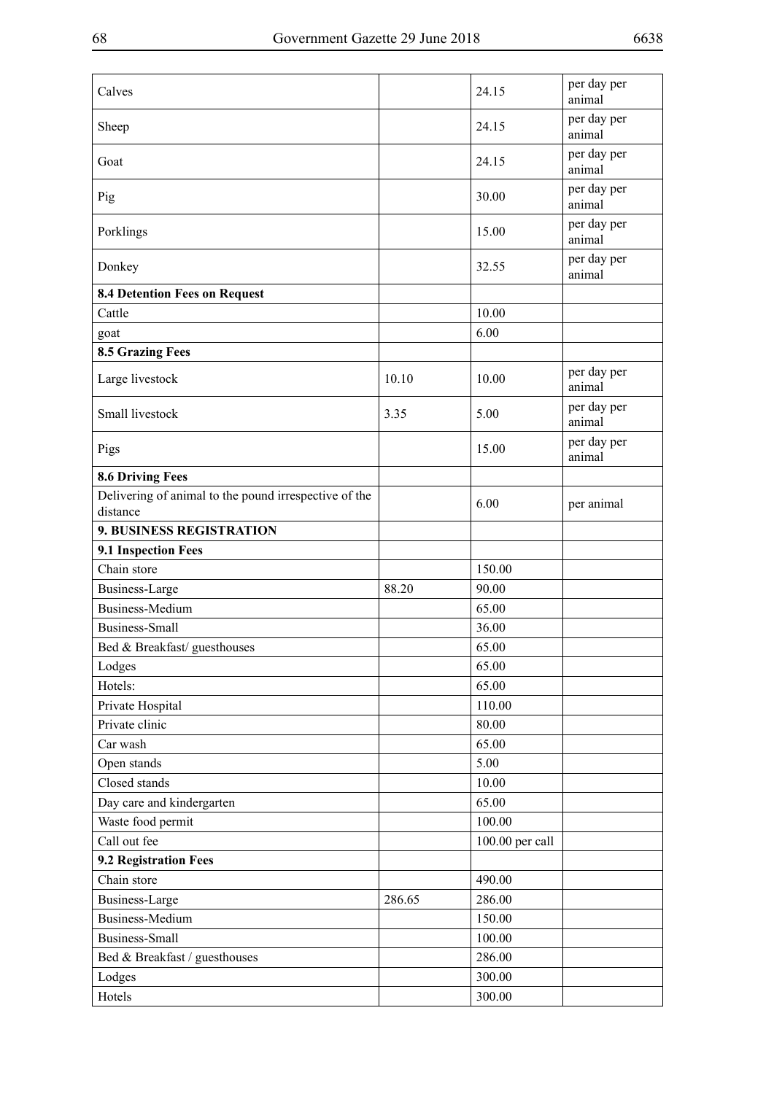| Calves                                                            |        | 24.15           | per day per<br>animal |
|-------------------------------------------------------------------|--------|-----------------|-----------------------|
| Sheep                                                             |        | 24.15           | per day per<br>animal |
| Goat                                                              |        | 24.15           | per day per<br>animal |
| Pig                                                               |        | 30.00           | per day per<br>animal |
| Porklings                                                         |        | 15.00           | per day per<br>animal |
| Donkey                                                            |        | 32.55           | per day per<br>animal |
| 8.4 Detention Fees on Request                                     |        |                 |                       |
| Cattle                                                            |        | 10.00           |                       |
| goat                                                              |        | 6.00            |                       |
| <b>8.5 Grazing Fees</b>                                           |        |                 |                       |
| Large livestock                                                   | 10.10  | 10.00           | per day per<br>animal |
| Small livestock                                                   | 3.35   | 5.00            | per day per<br>animal |
| Pigs                                                              |        | 15.00           | per day per<br>animal |
| <b>8.6 Driving Fees</b>                                           |        |                 |                       |
| Delivering of animal to the pound irrespective of the<br>distance |        | 6.00            | per animal            |
| <b>9. BUSINESS REGISTRATION</b>                                   |        |                 |                       |
| 9.1 Inspection Fees                                               |        |                 |                       |
| Chain store                                                       |        | 150.00          |                       |
| <b>Business-Large</b>                                             | 88.20  | 90.00           |                       |
| <b>Business-Medium</b>                                            |        | 65.00           |                       |
| <b>Business-Small</b>                                             |        | 36.00           |                       |
| Bed & Breakfast/ guesthouses                                      |        | 65.00           |                       |
| Lodges                                                            |        | 65.00           |                       |
| Hotels:                                                           |        | 65.00           |                       |
| Private Hospital                                                  |        | 110.00          |                       |
| Private clinic                                                    |        | 80.00           |                       |
| Car wash                                                          |        | 65.00           |                       |
| Open stands                                                       |        | 5.00            |                       |
| Closed stands                                                     |        | 10.00           |                       |
| Day care and kindergarten                                         |        | 65.00           |                       |
| Waste food permit                                                 |        | 100.00          |                       |
| Call out fee                                                      |        | 100.00 per call |                       |
| 9.2 Registration Fees                                             |        |                 |                       |
| Chain store                                                       |        | 490.00          |                       |
| <b>Business-Large</b>                                             | 286.65 | 286.00          |                       |
| <b>Business-Medium</b>                                            |        | 150.00          |                       |
| <b>Business-Small</b>                                             |        | 100.00          |                       |
| Bed & Breakfast / guesthouses                                     |        | 286.00          |                       |
| Lodges                                                            |        | 300.00          |                       |
| Hotels                                                            |        | 300.00          |                       |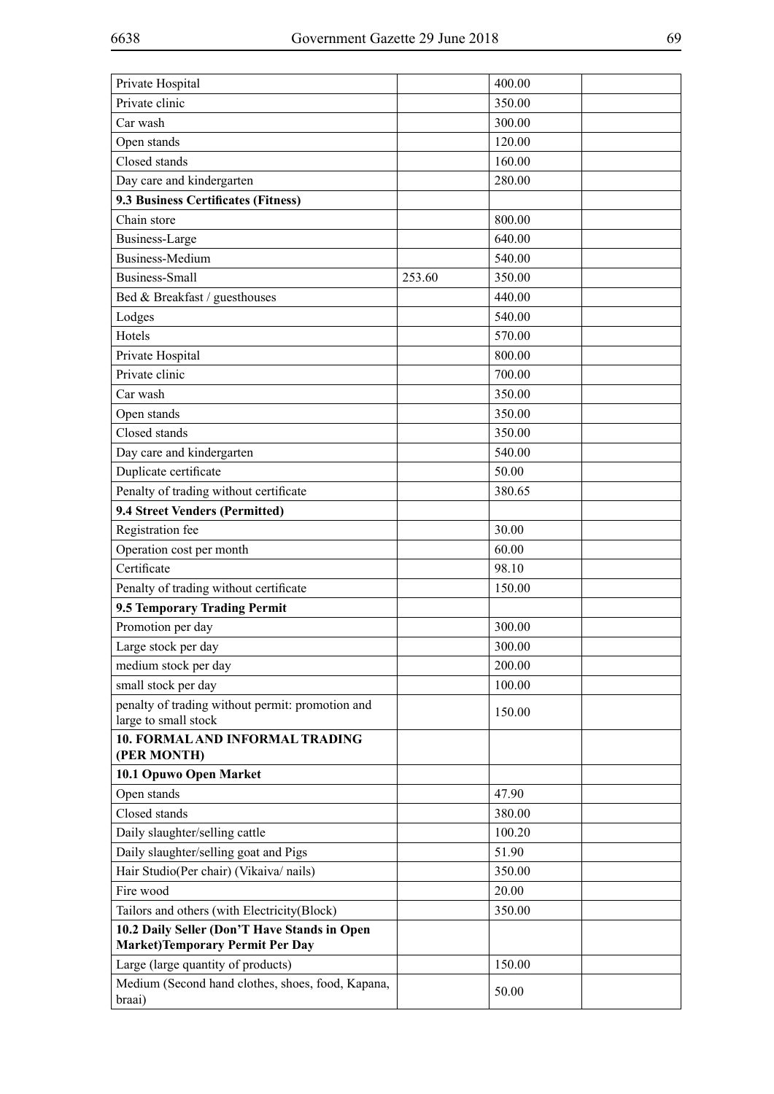| Private Hospital                                                         |        | 400.00 |  |
|--------------------------------------------------------------------------|--------|--------|--|
| Private clinic                                                           |        | 350.00 |  |
| Car wash                                                                 |        | 300.00 |  |
| Open stands                                                              |        | 120.00 |  |
| Closed stands                                                            |        | 160.00 |  |
| Day care and kindergarten                                                |        | 280.00 |  |
| 9.3 Business Certificates (Fitness)                                      |        |        |  |
| Chain store                                                              |        | 800.00 |  |
| Business-Large                                                           |        | 640.00 |  |
| <b>Business-Medium</b>                                                   |        | 540.00 |  |
| <b>Business-Small</b>                                                    | 253.60 | 350.00 |  |
| Bed & Breakfast / guesthouses                                            |        | 440.00 |  |
| Lodges                                                                   |        | 540.00 |  |
| Hotels                                                                   |        | 570.00 |  |
| Private Hospital                                                         |        | 800.00 |  |
| Private clinic                                                           |        | 700.00 |  |
| Car wash                                                                 |        | 350.00 |  |
| Open stands                                                              |        | 350.00 |  |
| Closed stands                                                            |        | 350.00 |  |
| Day care and kindergarten                                                |        | 540.00 |  |
| Duplicate certificate                                                    |        | 50.00  |  |
| Penalty of trading without certificate                                   |        | 380.65 |  |
| 9.4 Street Venders (Permitted)                                           |        |        |  |
| Registration fee                                                         |        | 30.00  |  |
| Operation cost per month                                                 |        | 60.00  |  |
| Certificate                                                              |        | 98.10  |  |
| Penalty of trading without certificate                                   |        | 150.00 |  |
| 9.5 Temporary Trading Permit                                             |        |        |  |
| Promotion per day                                                        |        | 300.00 |  |
| Large stock per day                                                      |        | 300.00 |  |
| medium stock per day                                                     |        | 200.00 |  |
| small stock per day                                                      |        | 100.00 |  |
| penalty of trading without permit: promotion and<br>large to small stock |        | 150.00 |  |
| 10. FORMAL AND INFORMAL TRADING<br>(PER MONTH)                           |        |        |  |
| 10.1 Opuwo Open Market                                                   |        |        |  |
| Open stands                                                              |        | 47.90  |  |
| Closed stands                                                            |        | 380.00 |  |
| Daily slaughter/selling cattle                                           |        | 100.20 |  |
| Daily slaughter/selling goat and Pigs                                    |        | 51.90  |  |
| Hair Studio(Per chair) (Vikaiva/ nails)                                  |        | 350.00 |  |
| Fire wood                                                                |        | 20.00  |  |
| Tailors and others (with Electricity(Block)                              |        | 350.00 |  |
| 10.2 Daily Seller (Don'T Have Stands in Open                             |        |        |  |
| <b>Market)Temporary Permit Per Day</b>                                   |        |        |  |
| Large (large quantity of products)                                       |        | 150.00 |  |
| Medium (Second hand clothes, shoes, food, Kapana,                        |        | 50.00  |  |
| braai)                                                                   |        |        |  |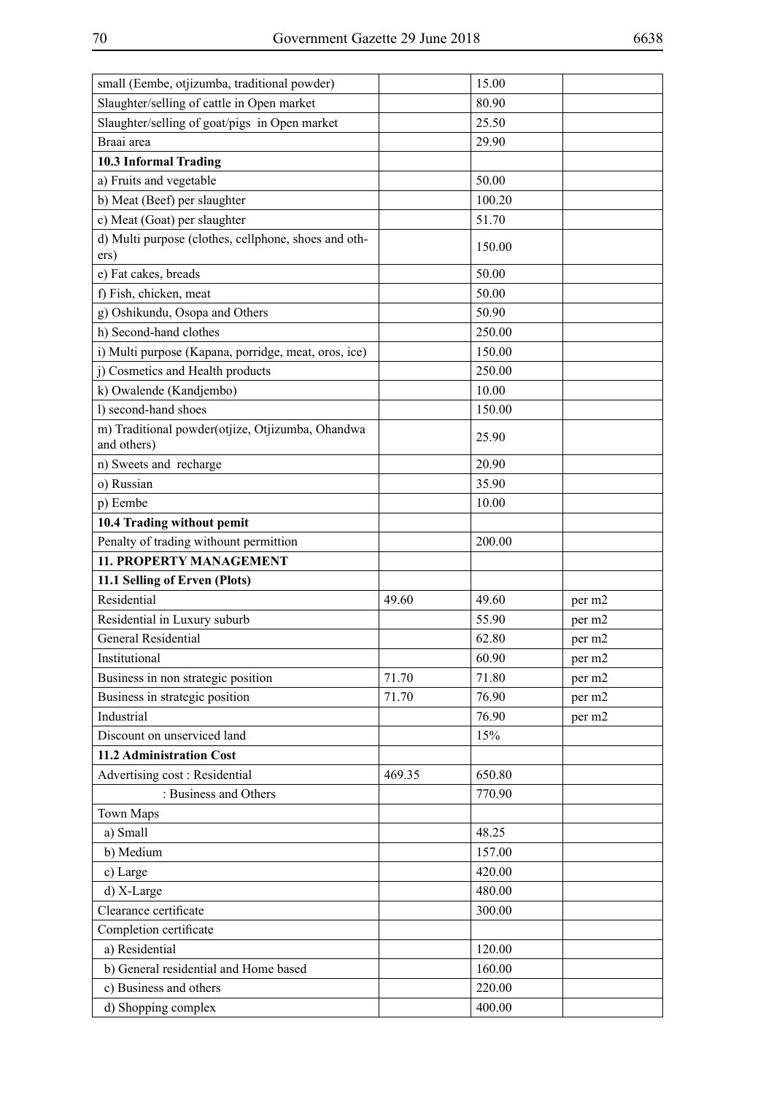| small (Eembe, otjizumba, traditional powder)                    |        | 15.00  |        |
|-----------------------------------------------------------------|--------|--------|--------|
| Slaughter/selling of cattle in Open market                      |        | 80.90  |        |
| Slaughter/selling of goat/pigs in Open market                   |        | 25.50  |        |
| Braai area                                                      |        | 29.90  |        |
| 10.3 Informal Trading                                           |        |        |        |
| a) Fruits and vegetable                                         |        | 50.00  |        |
| b) Meat (Beef) per slaughter                                    |        | 100.20 |        |
| c) Meat (Goat) per slaughter                                    |        | 51.70  |        |
| d) Multi purpose (clothes, cellphone, shoes and oth-<br>ers)    |        | 150.00 |        |
| e) Fat cakes, breads                                            |        | 50.00  |        |
| f) Fish, chicken, meat                                          |        | 50.00  |        |
| g) Oshikundu, Osopa and Others                                  |        | 50.90  |        |
| h) Second-hand clothes                                          |        | 250.00 |        |
| i) Multi purpose (Kapana, porridge, meat, oros, ice)            |        | 150.00 |        |
| j) Cosmetics and Health products                                |        | 250.00 |        |
| k) Owalende (Kandjembo)                                         |        | 10.00  |        |
| l) second-hand shoes                                            |        | 150.00 |        |
| m) Traditional powder(otjize, Otjizumba, Ohandwa<br>and others) |        | 25.90  |        |
| n) Sweets and recharge                                          |        | 20.90  |        |
| o) Russian                                                      |        | 35.90  |        |
| p) Eembe                                                        |        | 10.00  |        |
| 10.4 Trading without pemit                                      |        |        |        |
| Penalty of trading withount permittion                          |        | 200.00 |        |
| 11. PROPERTY MANAGEMENT                                         |        |        |        |
| 11.1 Selling of Erven (Plots)                                   |        |        |        |
| Residential                                                     | 49.60  | 49.60  | per m2 |
| Residential in Luxury suburb                                    |        | 55.90  | per m2 |
| <b>General Residential</b>                                      |        | 62.80  | per m2 |
| Institutional                                                   |        | 60.90  | per m2 |
| Business in non strategic position                              | 71.70  | 71.80  | per m2 |
| Business in strategic position                                  | 71.70  | 76.90  | per m2 |
| Industrial                                                      |        | 76.90  | per m2 |
| Discount on unserviced land                                     |        | 15%    |        |
| 11.2 Administration Cost                                        |        |        |        |
| Advertising cost: Residential                                   | 469.35 | 650.80 |        |
| : Business and Others                                           |        | 770.90 |        |
| <b>Town Maps</b>                                                |        |        |        |
| a) Small                                                        |        | 48.25  |        |
| b) Medium                                                       |        | 157.00 |        |
| c) Large                                                        |        | 420.00 |        |
| d) X-Large                                                      |        | 480.00 |        |
| Clearance certificate                                           |        | 300.00 |        |
| Completion certificate                                          |        |        |        |
| a) Residential                                                  |        | 120.00 |        |
| b) General residential and Home based                           |        | 160.00 |        |
| c) Business and others                                          |        | 220.00 |        |
| d) Shopping complex                                             |        | 400.00 |        |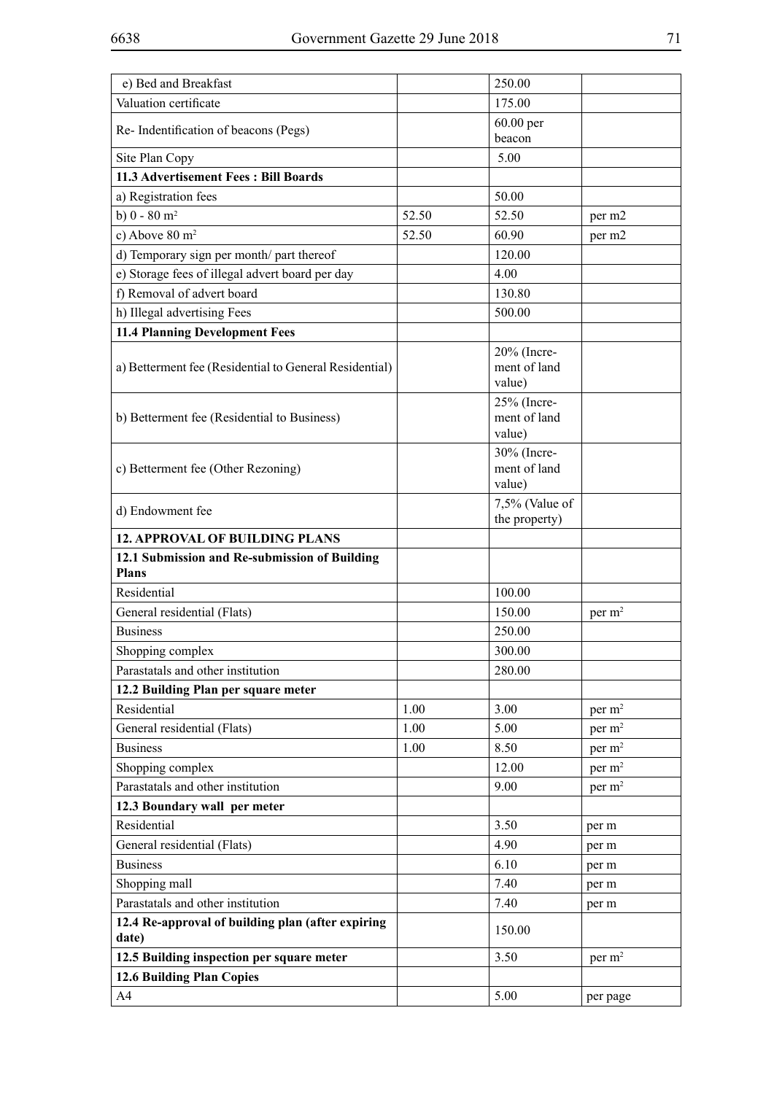| e) Bed and Breakfast                                          |       | 250.00                                |                    |
|---------------------------------------------------------------|-------|---------------------------------------|--------------------|
| Valuation certificate                                         |       | 175.00                                |                    |
| Re-Indentification of beacons (Pegs)                          |       | 60.00 per<br>beacon                   |                    |
| Site Plan Copy                                                |       | 5.00                                  |                    |
| 11.3 Advertisement Fees: Bill Boards                          |       |                                       |                    |
| a) Registration fees                                          |       | 50.00                                 |                    |
| b) $0 - 80$ m <sup>2</sup>                                    | 52.50 | 52.50                                 | per m2             |
| c) Above $80 \text{ m}^2$                                     | 52.50 | 60.90                                 | per m2             |
| d) Temporary sign per month/ part thereof                     |       | 120.00                                |                    |
| e) Storage fees of illegal advert board per day               |       | 4.00                                  |                    |
| f) Removal of advert board                                    |       | 130.80                                |                    |
| h) Illegal advertising Fees                                   |       | 500.00                                |                    |
| <b>11.4 Planning Development Fees</b>                         |       |                                       |                    |
|                                                               |       | 20% (Incre-                           |                    |
| a) Betterment fee (Residential to General Residential)        |       | ment of land<br>value)                |                    |
| b) Betterment fee (Residential to Business)                   |       | 25% (Incre-<br>ment of land<br>value) |                    |
|                                                               |       | 30% (Incre-                           |                    |
| c) Betterment fee (Other Rezoning)                            |       | ment of land                          |                    |
|                                                               |       | value)                                |                    |
| d) Endowment fee                                              |       | 7,5% (Value of<br>the property)       |                    |
| <b>12. APPROVAL OF BUILDING PLANS</b>                         |       |                                       |                    |
| 12.1 Submission and Re-submission of Building<br><b>Plans</b> |       |                                       |                    |
| Residential                                                   |       | 100.00                                |                    |
| General residential (Flats)                                   |       | 150.00                                | per m <sup>2</sup> |
| <b>Business</b>                                               |       | 250.00                                |                    |
| Shopping complex                                              |       | 300.00                                |                    |
| Parastatals and other institution                             |       | 280.00                                |                    |
| 12.2 Building Plan per square meter                           |       |                                       |                    |
| Residential                                                   | 1.00  | 3.00                                  | per m <sup>2</sup> |
| General residential (Flats)                                   | 1.00  | 5.00                                  | per $m2$           |
| <b>Business</b>                                               | 1.00  | 8.50                                  | per m <sup>2</sup> |
| Shopping complex                                              |       | 12.00                                 | per $m2$           |
| Parastatals and other institution                             |       | 9.00                                  | per $m2$           |
| 12.3 Boundary wall per meter                                  |       |                                       |                    |
| Residential                                                   |       | 3.50                                  | per m              |
| General residential (Flats)                                   |       | 4.90                                  | per m              |
| <b>Business</b>                                               |       | 6.10                                  | per m              |
| Shopping mall                                                 |       | 7.40                                  | per m              |
| Parastatals and other institution                             |       | 7.40                                  | per m              |
| 12.4 Re-approval of building plan (after expiring             |       | 150.00                                |                    |
| date)                                                         |       |                                       |                    |
| 12.5 Building inspection per square meter                     |       | 3.50                                  | per m <sup>2</sup> |
| 12.6 Building Plan Copies                                     |       |                                       |                    |
| A4                                                            |       | 5.00                                  | per page           |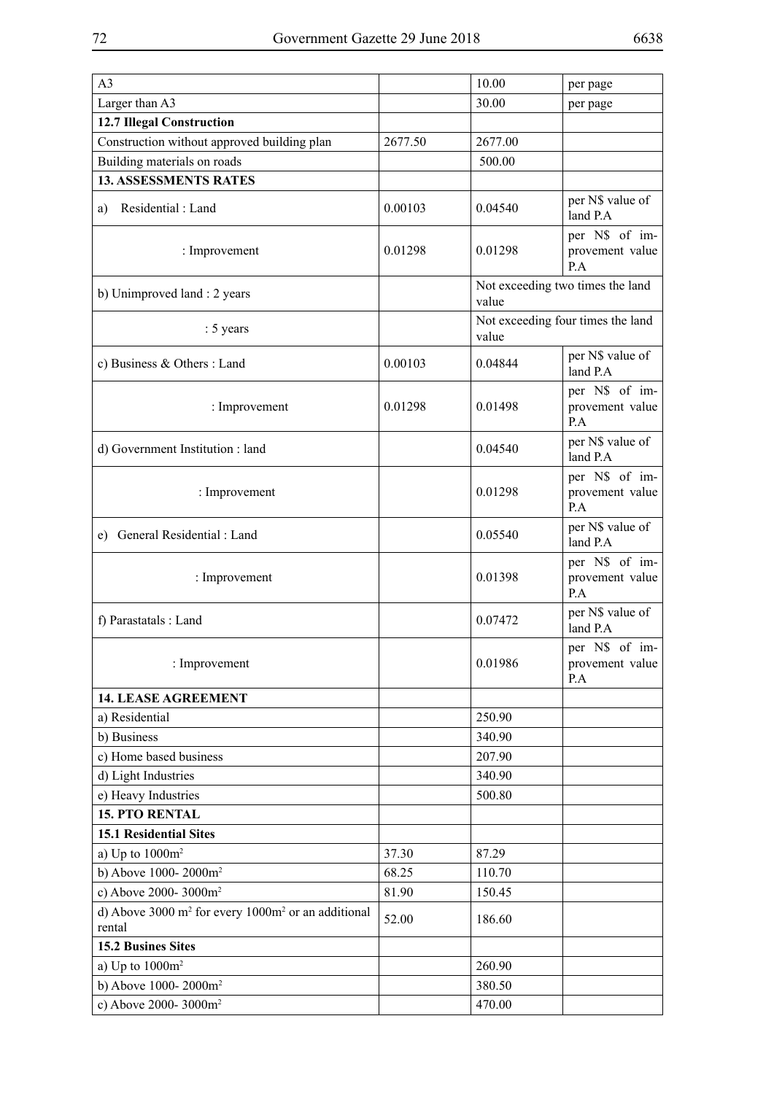| A <sub>3</sub>                                                      |         | 10.00                                      | per page                                 |
|---------------------------------------------------------------------|---------|--------------------------------------------|------------------------------------------|
| Larger than A3                                                      |         | 30.00                                      | per page                                 |
| <b>12.7 Illegal Construction</b>                                    |         |                                            |                                          |
| Construction without approved building plan                         | 2677.50 | 2677.00                                    |                                          |
| Building materials on roads                                         |         | 500.00                                     |                                          |
| <b>13. ASSESSMENTS RATES</b>                                        |         |                                            |                                          |
| Residential: Land<br>a)                                             | 0.00103 | 0.04540                                    | per N\$ value of<br>land P.A             |
| : Improvement                                                       | 0.01298 | 0.01298                                    | per N\$ of im-<br>provement value<br>P.A |
| b) Unimproved land : 2 years                                        |         | Not exceeding two times the land<br>value  |                                          |
| : 5 years                                                           |         | Not exceeding four times the land<br>value |                                          |
| c) Business & Others : Land                                         | 0.00103 | 0.04844                                    | per N\$ value of<br>land P.A             |
| : Improvement                                                       | 0.01298 | 0.01498                                    | per N\$ of im-<br>provement value<br>P.A |
| d) Government Institution : land                                    |         | 0.04540                                    | per N\$ value of<br>land P.A             |
| : Improvement                                                       |         | 0.01298                                    | per N\$ of im-<br>provement value<br>P.A |
| e) General Residential : Land                                       |         | 0.05540                                    | per N\$ value of<br>land P.A             |
| : Improvement                                                       |         | 0.01398                                    | per N\$ of im-<br>provement value<br>P.A |
| f) Parastatals : Land                                               |         | 0.07472                                    | per N\$ value of<br>land P.A             |
| : Improvement                                                       |         | 0.01986                                    | per N\$ of im-<br>provement value<br>P.A |
| <b>14. LEASE AGREEMENT</b>                                          |         |                                            |                                          |
| a) Residential                                                      |         | 250.90                                     |                                          |
| b) Business                                                         |         | 340.90                                     |                                          |
| c) Home based business                                              |         | 207.90                                     |                                          |
| d) Light Industries                                                 |         | 340.90                                     |                                          |
| e) Heavy Industries                                                 |         | 500.80                                     |                                          |
| <b>15. PTO RENTAL</b>                                               |         |                                            |                                          |
| <b>15.1 Residential Sites</b>                                       |         |                                            |                                          |
| a) Up to $1000m^2$                                                  | 37.30   | 87.29                                      |                                          |
| b) Above 1000-2000m <sup>2</sup>                                    | 68.25   | 110.70                                     |                                          |
| c) Above 2000-3000m <sup>2</sup>                                    | 81.90   | 150.45                                     |                                          |
| d) Above 3000 $m^2$ for every 1000 $m^2$ or an additional<br>rental | 52.00   | 186.60                                     |                                          |
| <b>15.2 Busines Sites</b>                                           |         |                                            |                                          |
| a) Up to $1000m^2$                                                  |         | 260.90                                     |                                          |
| b) Above 1000-2000m <sup>2</sup>                                    |         | 380.50                                     |                                          |
| c) Above 2000-3000m <sup>2</sup>                                    |         | 470.00                                     |                                          |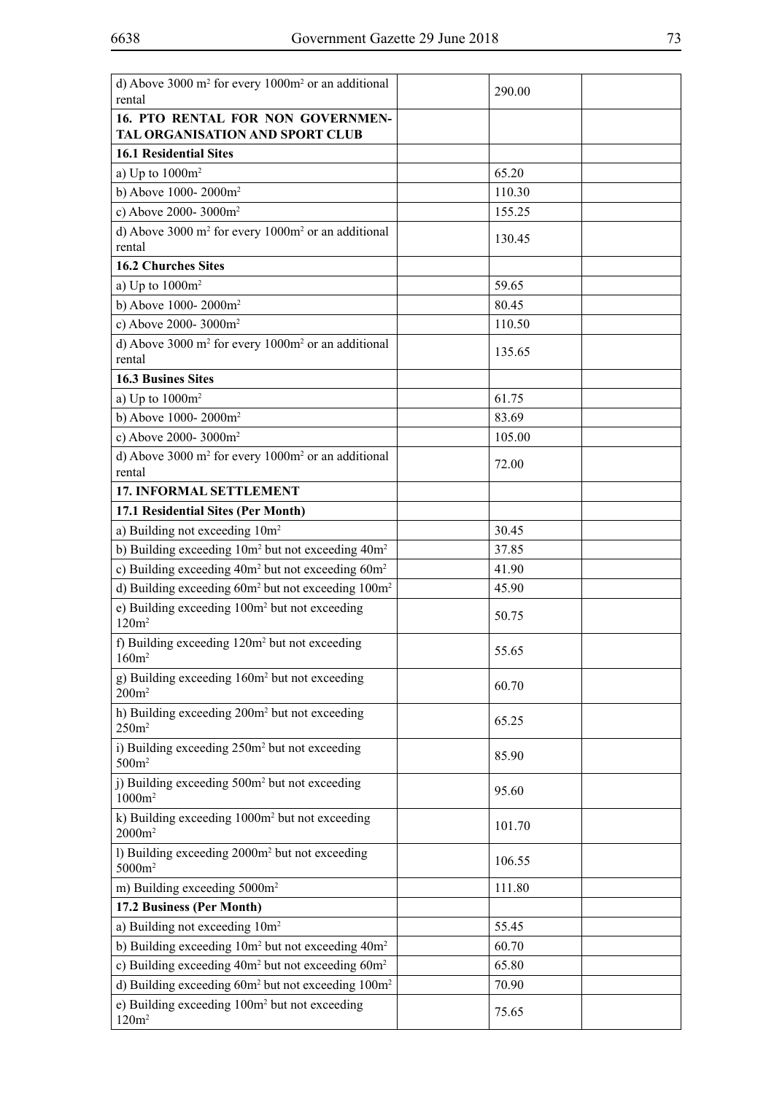| d) Above 3000 m <sup>2</sup> for every 1000m <sup>2</sup> or an additional<br>rental | 290.00 |
|--------------------------------------------------------------------------------------|--------|
| 16. PTO RENTAL FOR NON GOVERNMEN-<br>TAL ORGANISATION AND SPORT CLUB                 |        |
| <b>16.1 Residential Sites</b>                                                        |        |
| a) Up to $1000m^2$                                                                   | 65.20  |
| b) Above 1000-2000m <sup>2</sup>                                                     | 110.30 |
| c) Above 2000-3000m <sup>2</sup>                                                     | 155.25 |
| d) Above 3000 m <sup>2</sup> for every 1000m <sup>2</sup> or an additional           |        |
| rental                                                                               | 130.45 |
| <b>16.2 Churches Sites</b>                                                           |        |
| a) Up to $1000m^2$                                                                   | 59.65  |
| b) Above 1000-2000m <sup>2</sup>                                                     | 80.45  |
| c) Above 2000-3000m <sup>2</sup>                                                     | 110.50 |
| d) Above 3000 m <sup>2</sup> for every 1000m <sup>2</sup> or an additional<br>rental | 135.65 |
| <b>16.3 Busines Sites</b>                                                            |        |
| a) Up to $1000m^2$                                                                   | 61.75  |
| b) Above 1000-2000m <sup>2</sup>                                                     | 83.69  |
| c) Above 2000-3000m <sup>2</sup>                                                     | 105.00 |
| d) Above 3000 $m^2$ for every 1000 $m^2$ or an additional                            |        |
| rental                                                                               | 72.00  |
| 17. INFORMAL SETTLEMENT                                                              |        |
| 17.1 Residential Sites (Per Month)                                                   |        |
| a) Building not exceeding 10m <sup>2</sup>                                           | 30.45  |
| b) Building exceeding 10m <sup>2</sup> but not exceeding 40m <sup>2</sup>            | 37.85  |
| c) Building exceeding 40m <sup>2</sup> but not exceeding 60m <sup>2</sup>            | 41.90  |
| d) Building exceeding 60m <sup>2</sup> but not exceeding 100m <sup>2</sup>           | 45.90  |
| e) Building exceeding 100m <sup>2</sup> but not exceeding<br>120m <sup>2</sup>       | 50.75  |
| f) Building exceeding 120m <sup>2</sup> but not exceeding<br>160m <sup>2</sup>       | 55.65  |
| g) Building exceeding 160m <sup>2</sup> but not exceeding<br>200m <sup>2</sup>       | 60.70  |
| h) Building exceeding 200m <sup>2</sup> but not exceeding<br>250m <sup>2</sup>       | 65.25  |
| i) Building exceeding 250m <sup>2</sup> but not exceeding<br>500m <sup>2</sup>       | 85.90  |
| j) Building exceeding 500m <sup>2</sup> but not exceeding<br>$1000m^2$               | 95.60  |
| k) Building exceeding 1000m <sup>2</sup> but not exceeding<br>$2000m^2$              | 101.70 |
| 1) Building exceeding 2000m <sup>2</sup> but not exceeding<br>$5000m^2$              | 106.55 |
| m) Building exceeding 5000m <sup>2</sup>                                             | 111.80 |
| 17.2 Business (Per Month)                                                            |        |
| a) Building not exceeding 10m <sup>2</sup>                                           | 55.45  |
| b) Building exceeding 10m <sup>2</sup> but not exceeding 40m <sup>2</sup>            | 60.70  |
| c) Building exceeding 40m <sup>2</sup> but not exceeding 60m <sup>2</sup>            | 65.80  |
| d) Building exceeding 60m <sup>2</sup> but not exceeding 100m <sup>2</sup>           | 70.90  |
| e) Building exceeding 100m <sup>2</sup> but not exceeding<br>120m <sup>2</sup>       | 75.65  |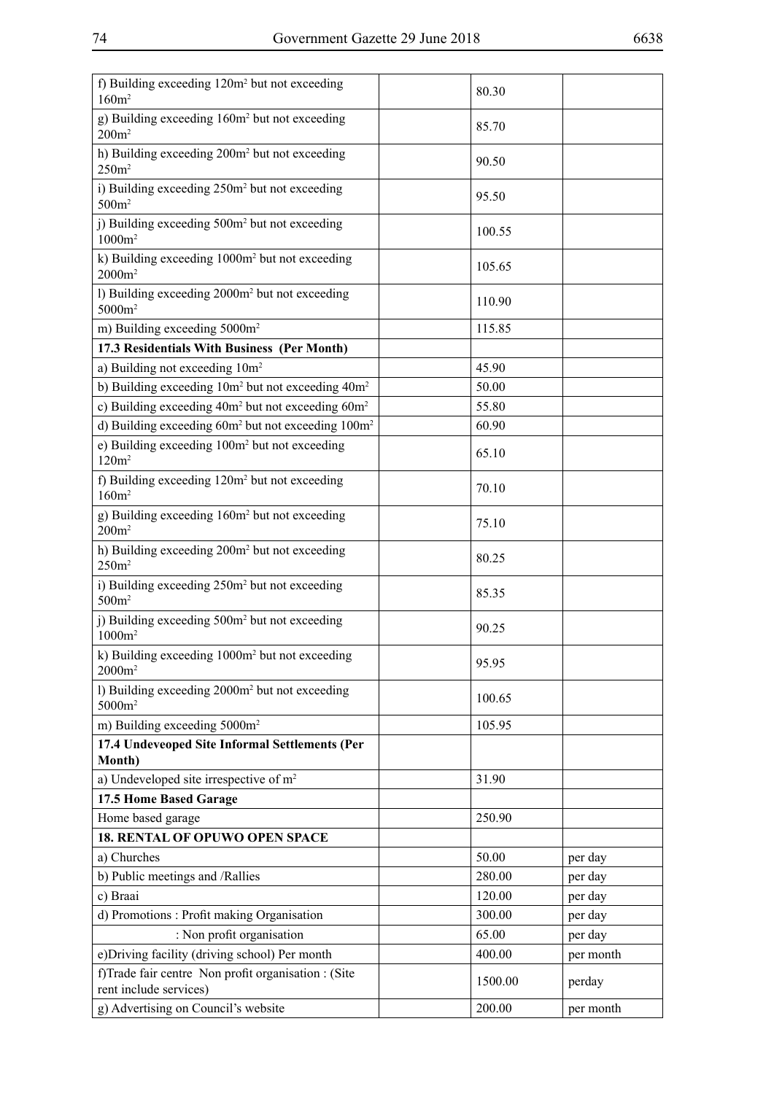| f) Building exceeding 120m <sup>2</sup> but not exceeding<br>160m <sup>2</sup>   | 80.30   |           |
|----------------------------------------------------------------------------------|---------|-----------|
| g) Building exceeding 160m <sup>2</sup> but not exceeding<br>$200m^2$            | 85.70   |           |
| h) Building exceeding 200m <sup>2</sup> but not exceeding<br>250m <sup>2</sup>   | 90.50   |           |
| i) Building exceeding 250m <sup>2</sup> but not exceeding<br>500m <sup>2</sup>   | 95.50   |           |
| i) Building exceeding 500m <sup>2</sup> but not exceeding<br>$1000m^2$           | 100.55  |           |
| k) Building exceeding 1000m <sup>2</sup> but not exceeding<br>$2000m^2$          | 105.65  |           |
| 1) Building exceeding 2000m <sup>2</sup> but not exceeding<br>5000m <sup>2</sup> | 110.90  |           |
| m) Building exceeding 5000m <sup>2</sup>                                         | 115.85  |           |
| 17.3 Residentials With Business (Per Month)                                      |         |           |
| a) Building not exceeding $10m^2$                                                | 45.90   |           |
| b) Building exceeding 10m <sup>2</sup> but not exceeding 40m <sup>2</sup>        | 50.00   |           |
| c) Building exceeding $40m^2$ but not exceeding $60m^2$                          | 55.80   |           |
| d) Building exceeding $60m^2$ but not exceeding $100m^2$                         | 60.90   |           |
| e) Building exceeding 100m <sup>2</sup> but not exceeding<br>120m <sup>2</sup>   | 65.10   |           |
| f) Building exceeding 120m <sup>2</sup> but not exceeding<br>160m <sup>2</sup>   | 70.10   |           |
| g) Building exceeding 160m <sup>2</sup> but not exceeding<br>200m <sup>2</sup>   | 75.10   |           |
| h) Building exceeding 200m <sup>2</sup> but not exceeding<br>250m <sup>2</sup>   | 80.25   |           |
| i) Building exceeding 250m <sup>2</sup> but not exceeding<br>500m <sup>2</sup>   | 85.35   |           |
| j) Building exceeding 500m <sup>2</sup> but not exceeding<br>$1000m^2$           | 90.25   |           |
| k) Building exceeding 1000m <sup>2</sup> but not exceeding<br>$2000m^2$          | 95.95   |           |
| 1) Building exceeding 2000m <sup>2</sup> but not exceeding<br>5000m <sup>2</sup> | 100.65  |           |
| m) Building exceeding 5000m <sup>2</sup>                                         | 105.95  |           |
| 17.4 Undeveoped Site Informal Settlements (Per<br>Month)                         |         |           |
| a) Undeveloped site irrespective of m <sup>2</sup>                               | 31.90   |           |
| 17.5 Home Based Garage                                                           |         |           |
| Home based garage                                                                | 250.90  |           |
| <b>18. RENTAL OF OPUWO OPEN SPACE</b>                                            |         |           |
| a) Churches                                                                      | 50.00   | per day   |
| b) Public meetings and /Rallies                                                  | 280.00  | per day   |
| c) Braai                                                                         | 120.00  | per day   |
| d) Promotions: Profit making Organisation                                        | 300.00  | per day   |
| : Non profit organisation                                                        | 65.00   | per day   |
| e)Driving facility (driving school) Per month                                    | 400.00  | per month |
| f)Trade fair centre Non profit organisation : (Site<br>rent include services)    | 1500.00 | perday    |
| g) Advertising on Council's website                                              | 200.00  | per month |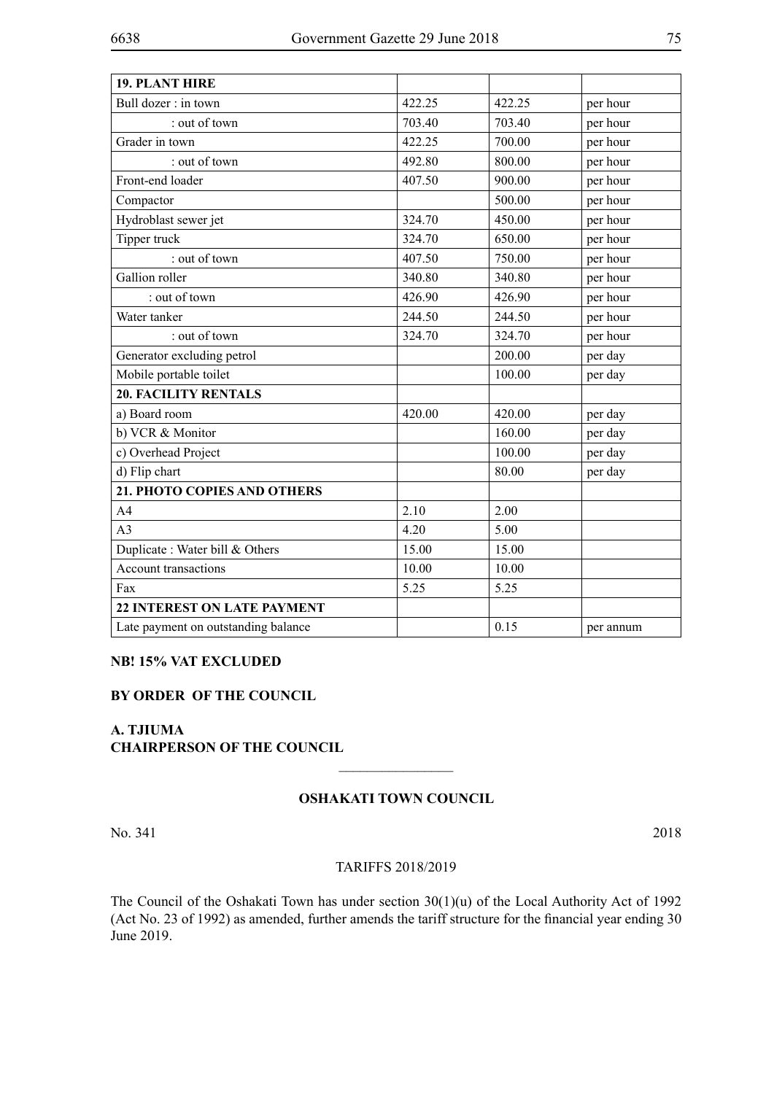| <b>19. PLANT HIRE</b>               |        |        |           |
|-------------------------------------|--------|--------|-----------|
| Bull dozer: in town                 | 422.25 | 422.25 | per hour  |
| : out of town                       | 703.40 | 703.40 | per hour  |
| Grader in town                      | 422.25 | 700.00 | per hour  |
| : out of town                       | 492.80 | 800.00 | per hour  |
| Front-end loader                    | 407.50 | 900.00 | per hour  |
| Compactor                           |        | 500.00 | per hour  |
| Hydroblast sewer jet                | 324.70 | 450.00 | per hour  |
| Tipper truck                        | 324.70 | 650.00 | per hour  |
| : out of town                       | 407.50 | 750.00 | per hour  |
| Gallion roller                      | 340.80 | 340.80 | per hour  |
| : out of town                       | 426.90 | 426.90 | per hour  |
| Water tanker                        | 244.50 | 244.50 | per hour  |
| : out of town                       | 324.70 | 324.70 | per hour  |
| Generator excluding petrol          |        | 200.00 | per day   |
| Mobile portable toilet              |        | 100.00 | per day   |
| <b>20. FACILITY RENTALS</b>         |        |        |           |
| a) Board room                       | 420.00 | 420.00 | per day   |
| b) VCR & Monitor                    |        | 160.00 | per day   |
| c) Overhead Project                 |        | 100.00 | per day   |
| d) Flip chart                       |        | 80.00  | per day   |
| 21. PHOTO COPIES AND OTHERS         |        |        |           |
| A <sub>4</sub>                      | 2.10   | 2.00   |           |
| A <sub>3</sub>                      | 4.20   | 5.00   |           |
| Duplicate: Water bill & Others      | 15.00  | 15.00  |           |
| <b>Account transactions</b>         | 10.00  | 10.00  |           |
| Fax                                 | 5.25   | 5.25   |           |
| <b>22 INTEREST ON LATE PAYMENT</b>  |        |        |           |
| Late payment on outstanding balance |        | 0.15   | per annum |
|                                     |        |        |           |

## **NB! 15% VAT EXCLUDED**

## **BY ORDER OF THE COUNCIL**

**A. TJIUMA CHAIRPERSON OF THE COUNCIL**

### **Oshakati Town Council**

 $\frac{1}{2}$ 

No. 341 2018

### TARIFFS 2018/2019

The Council of the Oshakati Town has under section 30(1)(u) of the Local Authority Act of 1992 (Act No. 23 of 1992) as amended, further amends the tariff structure for the financial year ending 30 June 2019.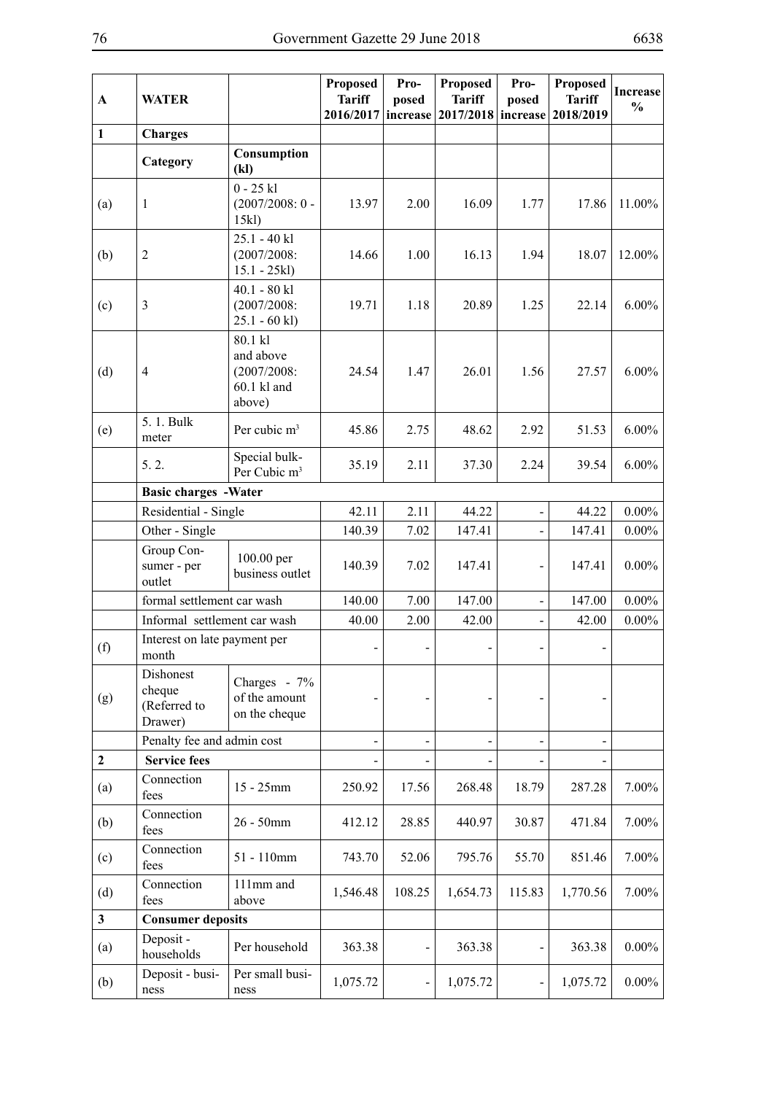| $\mathbf{A}$ | <b>WATER</b>                                   |                                                                | <b>Proposed</b><br><b>Tariff</b><br>2016/2017 | Pro-<br>posed<br>increase | <b>Proposed</b><br><b>Tariff</b><br>2017/2018 | Pro-<br>posed<br>increase | <b>Proposed</b><br><b>Tariff</b><br>2018/2019 | <b>Increase</b><br>$\frac{0}{0}$ |
|--------------|------------------------------------------------|----------------------------------------------------------------|-----------------------------------------------|---------------------------|-----------------------------------------------|---------------------------|-----------------------------------------------|----------------------------------|
| $\mathbf{1}$ | <b>Charges</b>                                 |                                                                |                                               |                           |                                               |                           |                                               |                                  |
|              | Category                                       | Consumption<br>(kl)                                            |                                               |                           |                                               |                           |                                               |                                  |
| (a)          | $\mathbf{1}$                                   | $0 - 25$ kl<br>$(2007/2008:0 -$<br>15kl)                       | 13.97                                         | 2.00                      | 16.09                                         | 1.77                      | 17.86                                         | 11.00%                           |
| (b)          | $\overline{2}$                                 | $25.1 - 40$ kl<br>(2007/2008)<br>$15.1 - 25kl$                 | 14.66                                         | 1.00                      | 16.13                                         | 1.94                      | 18.07                                         | 12.00%                           |
| (c)          | $\mathfrak{Z}$                                 | $40.1 - 80$ kl<br>(2007/2008)<br>$25.1 - 60$ kl)               | 19.71                                         | 1.18                      | 20.89                                         | 1.25                      | 22.14                                         | $6.00\%$                         |
| (d)          | $\overline{4}$                                 | 80.1 kl<br>and above<br>(2007/2008)<br>$60.1$ kl and<br>above) | 24.54                                         | 1.47                      | 26.01                                         | 1.56                      | 27.57                                         | $6.00\%$                         |
| (e)          | 5.1. Bulk<br>meter                             | Per cubic m <sup>3</sup>                                       | 45.86                                         | 2.75                      | 48.62                                         | 2.92                      | 51.53                                         | $6.00\%$                         |
|              | 5.2.                                           | Special bulk-<br>Per Cubic m <sup>3</sup>                      | 35.19                                         | 2.11                      | 37.30                                         | 2.24                      | 39.54                                         | $6.00\%$                         |
|              | <b>Basic charges -Water</b>                    |                                                                |                                               |                           |                                               |                           |                                               |                                  |
|              | Residential - Single                           |                                                                | 42.11                                         | 2.11                      | 44.22                                         |                           | 44.22                                         | $0.00\%$                         |
|              | Other - Single                                 |                                                                | 140.39                                        | 7.02                      | 147.41                                        |                           | 147.41                                        | $0.00\%$                         |
|              | Group Con-<br>sumer - per<br>outlet            | 100.00 per<br>business outlet                                  | 140.39                                        | 7.02                      | 147.41                                        | -                         | 147.41                                        | $0.00\%$                         |
|              | formal settlement car wash                     |                                                                | 140.00                                        | 7.00                      | 147.00                                        |                           | 147.00                                        | $0.00\%$                         |
|              | Informal settlement car wash                   |                                                                | 40.00                                         | 2.00                      | 42.00                                         |                           | 42.00                                         | $0.00\%$                         |
| (f)          | Interest on late payment per<br>month          |                                                                |                                               |                           | $\blacksquare$                                |                           |                                               |                                  |
| (g)          | Dishonest<br>cheque<br>(Referred to<br>Drawer) | Charges - 7%<br>of the amount<br>on the cheque                 |                                               |                           |                                               |                           |                                               |                                  |
|              | Penalty fee and admin cost                     |                                                                |                                               |                           |                                               |                           |                                               |                                  |
| $\mathbf{2}$ | <b>Service fees</b>                            |                                                                |                                               |                           |                                               |                           |                                               |                                  |
| (a)          | Connection<br>fees                             | 15 - 25mm                                                      | 250.92                                        | 17.56                     | 268.48                                        | 18.79                     | 287.28                                        | 7.00%                            |
| (b)          | Connection<br>fees                             | $26 - 50$ mm                                                   | 412.12                                        | 28.85                     | 440.97                                        | 30.87                     | 471.84                                        | $7.00\%$                         |
| (c)          | Connection<br>fees                             | 51 - 110mm                                                     | 743.70                                        | 52.06                     | 795.76                                        | 55.70                     | 851.46                                        | 7.00%                            |
| (d)          | Connection<br>fees                             | 111mm and<br>above                                             | 1,546.48                                      | 108.25                    | 1,654.73                                      | 115.83                    | 1,770.56                                      | 7.00%                            |
| $\mathbf{3}$ | <b>Consumer deposits</b>                       |                                                                |                                               |                           |                                               |                           |                                               |                                  |
| (a)          | Deposit -<br>households                        | Per household                                                  | 363.38                                        |                           | 363.38                                        |                           | 363.38                                        | $0.00\%$                         |
| (b)          | Deposit - busi-<br>ness                        | Per small busi-<br>ness                                        | 1,075.72                                      |                           | 1,075.72                                      |                           | 1,075.72                                      | $0.00\%$                         |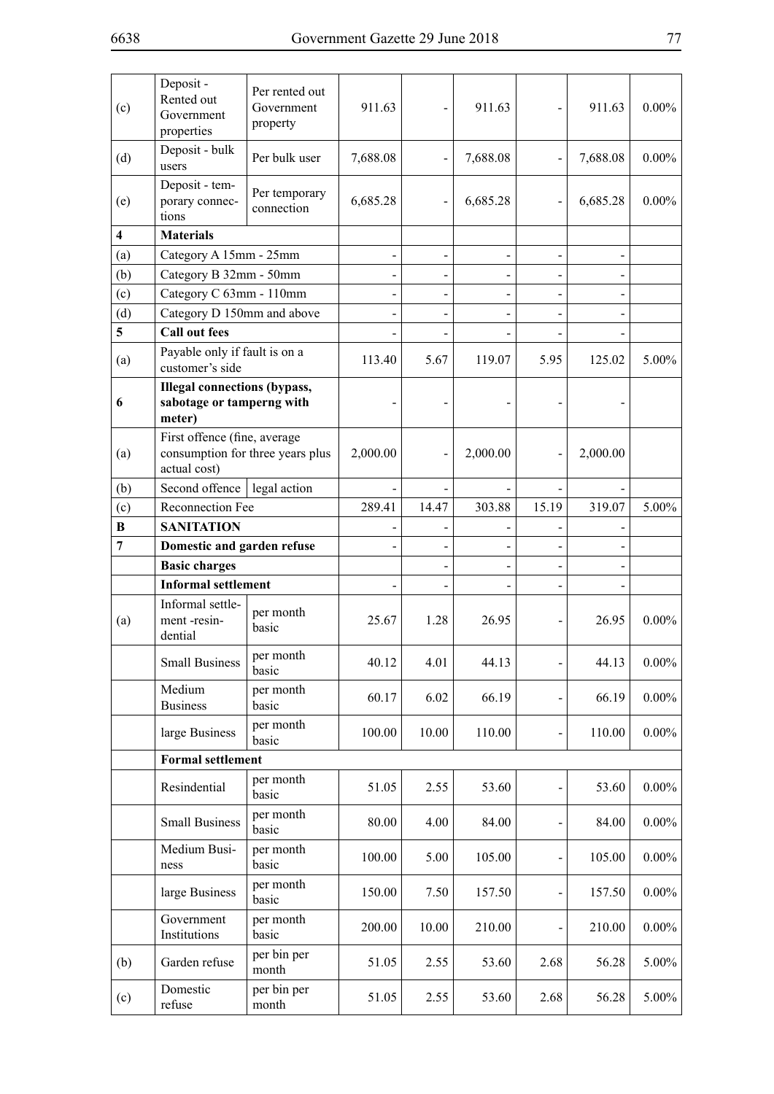| (c)                     | Deposit -<br>Rented out<br>Government<br>properties                              | Per rented out<br>Government<br>property | 911.63   |       | 911.63   |       | 911.63   | $0.00\%$ |
|-------------------------|----------------------------------------------------------------------------------|------------------------------------------|----------|-------|----------|-------|----------|----------|
| (d)                     | Deposit - bulk<br>users                                                          | Per bulk user                            | 7,688.08 |       | 7,688.08 |       | 7,688.08 | $0.00\%$ |
| (e)                     | Deposit - tem-<br>porary connec-<br>tions                                        | Per temporary<br>connection              | 6,685.28 |       | 6,685.28 |       | 6,685.28 | $0.00\%$ |
| $\overline{\mathbf{4}}$ | <b>Materials</b>                                                                 |                                          |          |       |          |       |          |          |
| (a)                     | Category A 15mm - 25mm                                                           |                                          |          |       |          |       |          |          |
| (b)                     | Category B 32mm - 50mm                                                           |                                          |          |       |          |       |          |          |
| (c)                     | Category C 63mm - 110mm                                                          |                                          |          |       |          |       |          |          |
| (d)                     | Category D 150mm and above                                                       |                                          |          |       |          |       |          |          |
| 5                       | <b>Call out fees</b>                                                             |                                          |          |       |          |       |          |          |
| (a)                     | Payable only if fault is on a<br>customer's side                                 |                                          | 113.40   | 5.67  | 119.07   | 5.95  | 125.02   | $5.00\%$ |
| 6                       | <b>Illegal connections (bypass,</b><br>sabotage or tamperng with<br>meter)       |                                          |          |       |          |       |          |          |
| (a)                     | First offence (fine, average<br>consumption for three years plus<br>actual cost) |                                          | 2,000.00 |       | 2,000.00 |       | 2,000.00 |          |
| (b)                     | legal action<br>Second offence                                                   |                                          |          |       |          |       |          |          |
| (c)                     | Reconnection Fee                                                                 |                                          | 289.41   | 14.47 | 303.88   | 15.19 | 319.07   | 5.00%    |
| B                       | <b>SANITATION</b>                                                                |                                          |          |       |          |       |          |          |
| $\overline{7}$          | Domestic and garden refuse                                                       |                                          |          |       |          |       |          |          |
|                         | <b>Basic charges</b>                                                             |                                          |          |       |          |       |          |          |
|                         | <b>Informal settlement</b>                                                       |                                          |          |       |          |       |          |          |
| (a)                     | Informal settle-<br>ment-resin-<br>dential                                       | per month<br>basic                       | 25.67    | 1.28  | 26.95    |       | 26.95    | $0.00\%$ |
|                         | <b>Small Business</b>                                                            | per month<br>basic                       | 40.12    | 4.01  | 44.13    |       | 44.13    | $0.00\%$ |
|                         | Medium<br><b>Business</b>                                                        | per month<br>basic                       | 60.17    | 6.02  | 66.19    |       | 66.19    | $0.00\%$ |
|                         | large Business                                                                   | per month<br>basic                       | 100.00   | 10.00 | 110.00   |       | 110.00   | $0.00\%$ |
|                         | <b>Formal settlement</b>                                                         |                                          |          |       |          |       |          |          |
|                         | Resindential                                                                     | per month<br>basic                       | 51.05    | 2.55  | 53.60    |       | 53.60    | $0.00\%$ |
|                         | <b>Small Business</b>                                                            | per month<br>basic                       | 80.00    | 4.00  | 84.00    |       | 84.00    | $0.00\%$ |
|                         | Medium Busi-<br>ness                                                             | per month<br>basic                       | 100.00   | 5.00  | 105.00   |       | 105.00   | $0.00\%$ |
|                         | large Business                                                                   | per month<br>basic                       | 150.00   | 7.50  | 157.50   |       | 157.50   | $0.00\%$ |
|                         | Government<br>Institutions                                                       | per month<br>basic                       | 200.00   | 10.00 | 210.00   |       | 210.00   | $0.00\%$ |
| (b)                     | Garden refuse                                                                    | per bin per<br>month                     | 51.05    | 2.55  | 53.60    | 2.68  | 56.28    | 5.00%    |
| (c)                     | Domestic<br>refuse                                                               | per bin per<br>month                     | 51.05    | 2.55  | 53.60    | 2.68  | 56.28    | 5.00%    |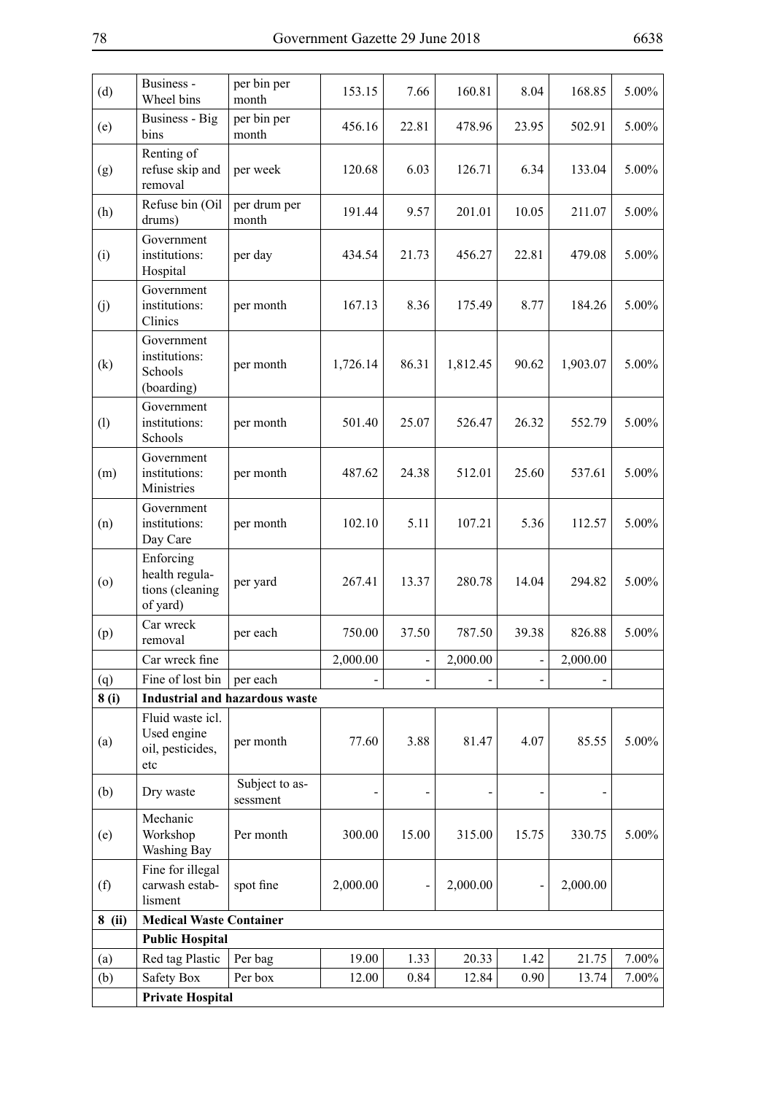| (d)    | Business -<br>Wheel bins                                   | per bin per<br>month                  | 153.15   | 7.66  | 160.81   | 8.04  | 168.85   | 5.00%    |
|--------|------------------------------------------------------------|---------------------------------------|----------|-------|----------|-------|----------|----------|
| (e)    | <b>Business - Big</b><br>bins                              | per bin per<br>month                  | 456.16   | 22.81 | 478.96   | 23.95 | 502.91   | 5.00%    |
| (g)    | Renting of<br>refuse skip and<br>removal                   | per week                              | 120.68   | 6.03  | 126.71   | 6.34  | 133.04   | 5.00%    |
| (h)    | Refuse bin (Oil<br>drums)                                  | per drum per<br>month                 | 191.44   | 9.57  | 201.01   | 10.05 | 211.07   | 5.00%    |
| (i)    | Government<br>institutions:<br>Hospital                    | per day                               | 434.54   | 21.73 | 456.27   | 22.81 | 479.08   | 5.00%    |
| (j)    | Government<br>institutions:<br>Clinics                     | per month                             | 167.13   | 8.36  | 175.49   | 8.77  | 184.26   | 5.00%    |
| (k)    | Government<br>institutions:<br>Schools<br>(boarding)       | per month                             | 1,726.14 | 86.31 | 1,812.45 | 90.62 | 1,903.07 | 5.00%    |
| (1)    | Government<br>institutions:<br>Schools                     | per month                             | 501.40   | 25.07 | 526.47   | 26.32 | 552.79   | 5.00%    |
| (m)    | Government<br>institutions:<br>Ministries                  | per month                             | 487.62   | 24.38 | 512.01   | 25.60 | 537.61   | 5.00%    |
| (n)    | Government<br>institutions:<br>Day Care                    | per month                             | 102.10   | 5.11  | 107.21   | 5.36  | 112.57   | 5.00%    |
| (0)    | Enforcing<br>health regula-<br>tions (cleaning<br>of yard) | per yard                              | 267.41   | 13.37 | 280.78   | 14.04 | 294.82   | 5.00%    |
| (p)    | Car wreck<br>removal                                       | per each                              | 750.00   | 37.50 | 787.50   | 39.38 | 826.88   | 5.00%    |
|        | Car wreck fine                                             |                                       | 2,000.00 |       | 2,000.00 |       | 2,000.00 |          |
| (q)    | Fine of lost bin                                           | per each                              |          |       |          |       |          |          |
| 8(i)   |                                                            | <b>Industrial and hazardous waste</b> |          |       |          |       |          |          |
| (a)    | Fluid waste icl.<br>Used engine<br>oil, pesticides,<br>etc | per month                             | 77.60    | 3.88  | 81.47    | 4.07  | 85.55    | 5.00%    |
| (b)    | Dry waste                                                  | Subject to as-<br>sessment            |          |       |          |       |          |          |
| (e)    | Mechanic<br>Workshop<br>Washing Bay                        | Per month                             | 300.00   | 15.00 | 315.00   | 15.75 | 330.75   | $5.00\%$ |
| (f)    | Fine for illegal<br>carwash estab-<br>lisment              | spot fine                             | 2,000.00 |       | 2,000.00 |       | 2,000.00 |          |
| 8 (ii) | <b>Medical Waste Container</b>                             |                                       |          |       |          |       |          |          |
|        | <b>Public Hospital</b>                                     |                                       |          |       |          |       |          |          |
| (a)    | Red tag Plastic                                            | Per bag                               | 19.00    | 1.33  | 20.33    | 1.42  | 21.75    | 7.00%    |
| (b)    | Safety Box                                                 | Per box                               | 12.00    | 0.84  | 12.84    | 0.90  | 13.74    | $7.00\%$ |
|        | <b>Private Hospital</b>                                    |                                       |          |       |          |       |          |          |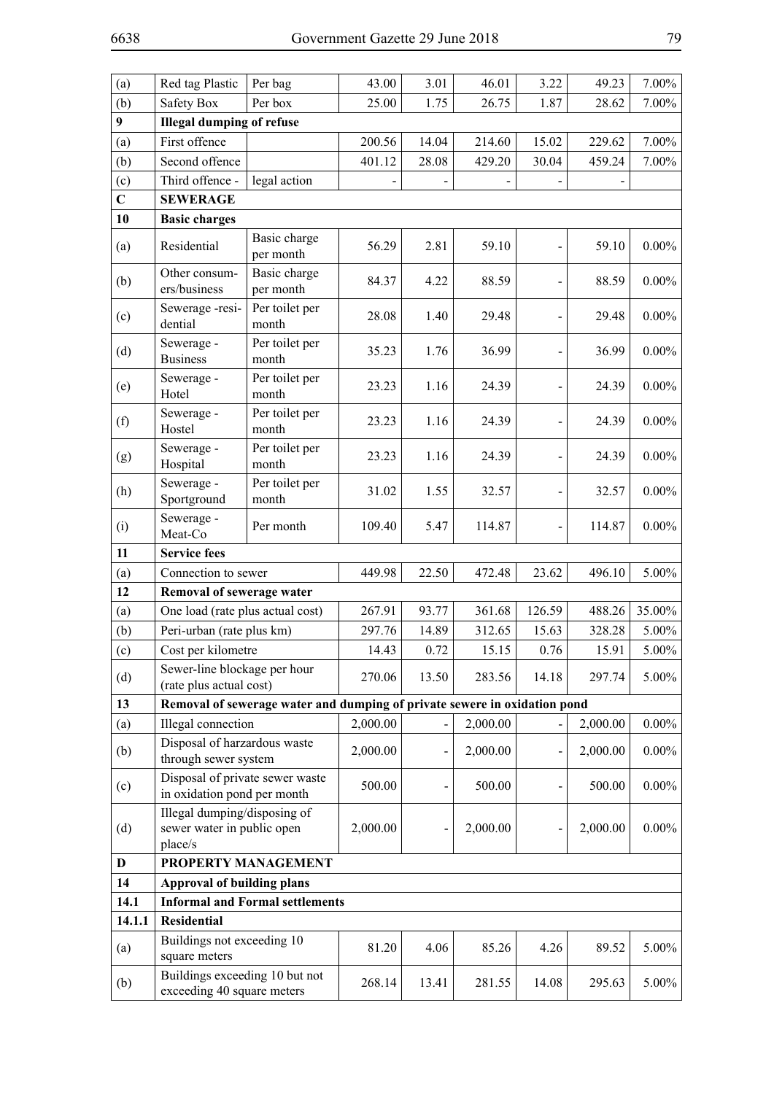| (a)            | Red tag Plastic                                                       | Per bag                                                                   | 43.00    | 3.01  | 46.01    | 3.22   | 49.23    | $7.00\%$ |  |  |  |
|----------------|-----------------------------------------------------------------------|---------------------------------------------------------------------------|----------|-------|----------|--------|----------|----------|--|--|--|
| (b)            | Safety Box                                                            | Per box                                                                   | 25.00    | 1.75  | 26.75    | 1.87   | 28.62    | 7.00%    |  |  |  |
| 9              | <b>Illegal dumping of refuse</b>                                      |                                                                           |          |       |          |        |          |          |  |  |  |
| (a)            | First offence                                                         |                                                                           | 200.56   | 14.04 | 214.60   | 15.02  | 229.62   | $7.00\%$ |  |  |  |
| (b)            | Second offence                                                        |                                                                           | 401.12   | 28.08 | 429.20   | 30.04  | 459.24   | $7.00\%$ |  |  |  |
| (c)            | Third offence -                                                       | legal action                                                              |          |       |          |        |          |          |  |  |  |
| $\overline{C}$ | <b>SEWERAGE</b>                                                       |                                                                           |          |       |          |        |          |          |  |  |  |
| 10             | <b>Basic charges</b>                                                  |                                                                           |          |       |          |        |          |          |  |  |  |
| (a)            | Residential                                                           | Basic charge<br>per month                                                 | 56.29    | 2.81  | 59.10    |        | 59.10    | $0.00\%$ |  |  |  |
| (b)            | Other consum-<br>ers/business                                         | Basic charge<br>per month                                                 | 84.37    | 4.22  | 88.59    |        | 88.59    | $0.00\%$ |  |  |  |
| (c)            | Sewerage-resi-<br>dential                                             | Per toilet per<br>month                                                   | 28.08    | 1.40  | 29.48    |        | 29.48    | $0.00\%$ |  |  |  |
| (d)            | Sewerage -<br><b>Business</b>                                         | Per toilet per<br>month                                                   | 35.23    | 1.76  | 36.99    |        | 36.99    | $0.00\%$ |  |  |  |
| (e)            | Sewerage -<br>Hotel                                                   | Per toilet per<br>month                                                   | 23.23    | 1.16  | 24.39    |        | 24.39    | $0.00\%$ |  |  |  |
| (f)            | Sewerage -<br>Hostel                                                  | Per toilet per<br>month                                                   | 23.23    | 1.16  | 24.39    |        | 24.39    | $0.00\%$ |  |  |  |
| (g)            | Sewerage -<br>Hospital                                                | Per toilet per<br>month                                                   | 23.23    | 1.16  | 24.39    |        | 24.39    | $0.00\%$ |  |  |  |
| (h)            | Sewerage -<br>Sportground                                             | Per toilet per<br>month                                                   | 31.02    | 1.55  | 32.57    |        | 32.57    | $0.00\%$ |  |  |  |
| (i)            | Sewerage -<br>Meat-Co                                                 | Per month                                                                 | 109.40   | 5.47  | 114.87   |        | 114.87   | $0.00\%$ |  |  |  |
| 11             | <b>Service fees</b>                                                   |                                                                           |          |       |          |        |          |          |  |  |  |
| (a)            | Connection to sewer                                                   |                                                                           | 449.98   | 22.50 | 472.48   | 23.62  | 496.10   | 5.00%    |  |  |  |
| 12             | Removal of sewerage water                                             |                                                                           |          |       |          |        |          |          |  |  |  |
| (a)            | One load (rate plus actual cost)                                      |                                                                           | 267.91   | 93.77 | 361.68   | 126.59 | 488.26   | 35.00%   |  |  |  |
| (b)            | Peri-urban (rate plus km)                                             |                                                                           | 297.76   | 14.89 | 312.65   | 15.63  | 328.28   | 5.00%    |  |  |  |
| (c)            | Cost per kilometre                                                    |                                                                           | 14.43    | 0.72  | 15.15    | 0.76   | 15.91    | $5.00\%$ |  |  |  |
| (d)            | Sewer-line blockage per hour<br>(rate plus actual cost)               |                                                                           | 270.06   | 13.50 | 283.56   | 14.18  | 297.74   | 5.00%    |  |  |  |
| 13             |                                                                       | Removal of sewerage water and dumping of private sewere in oxidation pond |          |       |          |        |          |          |  |  |  |
| (a)            | Illegal connection                                                    |                                                                           | 2,000.00 |       | 2,000.00 |        | 2,000.00 | $0.00\%$ |  |  |  |
| (b)            | Disposal of harzardous waste<br>through sewer system                  |                                                                           | 2,000.00 |       | 2,000.00 |        | 2,000.00 | $0.00\%$ |  |  |  |
| (c)            | Disposal of private sewer waste<br>in oxidation pond per month        |                                                                           | 500.00   |       | 500.00   |        | 500.00   | $0.00\%$ |  |  |  |
| (d)            | Illegal dumping/disposing of<br>sewer water in public open<br>place/s |                                                                           | 2,000.00 |       | 2,000.00 |        | 2,000.00 | $0.00\%$ |  |  |  |
| D              |                                                                       | PROPERTY MANAGEMENT                                                       |          |       |          |        |          |          |  |  |  |
| 14             | <b>Approval of building plans</b>                                     |                                                                           |          |       |          |        |          |          |  |  |  |
| 14.1           |                                                                       | <b>Informal and Formal settlements</b>                                    |          |       |          |        |          |          |  |  |  |
| 14.1.1         | <b>Residential</b>                                                    |                                                                           |          |       |          |        |          |          |  |  |  |
| (a)            | Buildings not exceeding 10<br>square meters                           |                                                                           | 81.20    | 4.06  | 85.26    | 4.26   | 89.52    | 5.00%    |  |  |  |
| (b)            | Buildings exceeding 10 but not<br>exceeding 40 square meters          |                                                                           | 268.14   | 13.41 | 281.55   | 14.08  | 295.63   | 5.00%    |  |  |  |
|                |                                                                       |                                                                           |          |       |          |        |          |          |  |  |  |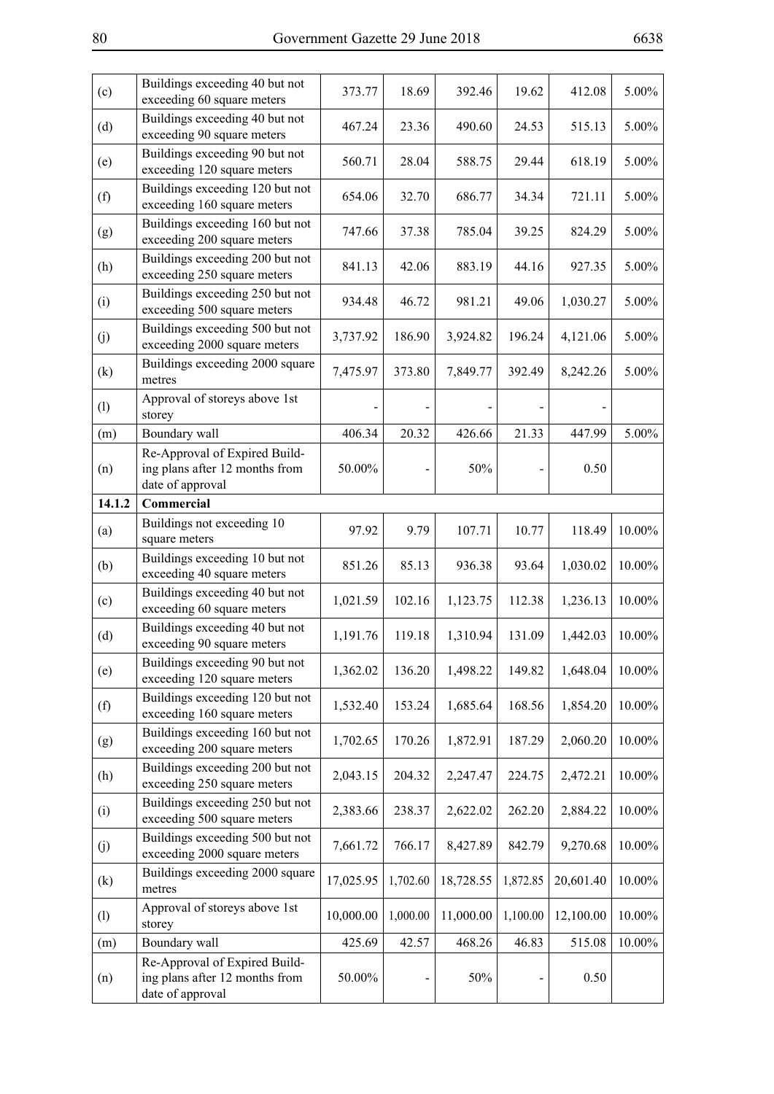| Buildings exceeding 40 but not<br>exceeding 60 square meters                        | 373.77    | 18.69    | 392.46    | 19.62    | 412.08    | 5.00%     |
|-------------------------------------------------------------------------------------|-----------|----------|-----------|----------|-----------|-----------|
| Buildings exceeding 40 but not<br>exceeding 90 square meters                        | 467.24    | 23.36    | 490.60    | 24.53    | 515.13    | 5.00%     |
| Buildings exceeding 90 but not<br>exceeding 120 square meters                       | 560.71    | 28.04    | 588.75    | 29.44    | 618.19    | 5.00%     |
| Buildings exceeding 120 but not<br>exceeding 160 square meters                      | 654.06    | 32.70    | 686.77    | 34.34    | 721.11    | 5.00%     |
| Buildings exceeding 160 but not<br>exceeding 200 square meters                      | 747.66    | 37.38    | 785.04    | 39.25    | 824.29    | 5.00%     |
| Buildings exceeding 200 but not<br>exceeding 250 square meters                      | 841.13    | 42.06    | 883.19    | 44.16    | 927.35    | 5.00%     |
| Buildings exceeding 250 but not<br>exceeding 500 square meters                      | 934.48    | 46.72    | 981.21    | 49.06    | 1,030.27  | 5.00%     |
| Buildings exceeding 500 but not<br>exceeding 2000 square meters                     | 3,737.92  | 186.90   | 3,924.82  | 196.24   | 4,121.06  | 5.00%     |
| Buildings exceeding 2000 square<br>metres                                           | 7,475.97  | 373.80   | 7,849.77  | 392.49   | 8,242.26  | 5.00%     |
| Approval of storeys above 1st<br>storey                                             |           |          |           |          |           |           |
| Boundary wall                                                                       | 406.34    | 20.32    | 426.66    | 21.33    | 447.99    | 5.00%     |
| Re-Approval of Expired Build-<br>ing plans after 12 months from<br>date of approval | 50.00%    |          | 50%       |          | 0.50      |           |
| Commercial                                                                          |           |          |           |          |           |           |
| Buildings not exceeding 10<br>square meters                                         | 97.92     | 9.79     | 107.71    | 10.77    | 118.49    | 10.00%    |
| Buildings exceeding 10 but not<br>exceeding 40 square meters                        | 851.26    | 85.13    | 936.38    | 93.64    | 1,030.02  | 10.00%    |
| Buildings exceeding 40 but not<br>exceeding 60 square meters                        | 1,021.59  | 102.16   | 1,123.75  | 112.38   | 1,236.13  | $10.00\%$ |
| Buildings exceeding 40 but not<br>exceeding 90 square meters                        | 1,191.76  | 119.18   | 1,310.94  | 131.09   | 1,442.03  | 10.00%    |
| Buildings exceeding 90 but not<br>exceeding 120 square meters                       | 1,362.02  | 136.20   | 1,498.22  | 149.82   | 1,648.04  | 10.00%    |
| Buildings exceeding 120 but not<br>exceeding 160 square meters                      | 1,532.40  | 153.24   | 1,685.64  | 168.56   | 1,854.20  | 10.00%    |
| Buildings exceeding 160 but not<br>exceeding 200 square meters                      | 1,702.65  | 170.26   | 1,872.91  | 187.29   | 2,060.20  | 10.00%    |
| Buildings exceeding 200 but not<br>exceeding 250 square meters                      | 2,043.15  | 204.32   | 2,247.47  | 224.75   | 2,472.21  | 10.00%    |
| Buildings exceeding 250 but not<br>exceeding 500 square meters                      | 2,383.66  | 238.37   | 2,622.02  | 262.20   | 2,884.22  | 10.00%    |
| Buildings exceeding 500 but not<br>exceeding 2000 square meters                     | 7,661.72  | 766.17   | 8,427.89  | 842.79   | 9,270.68  | 10.00%    |
| Buildings exceeding 2000 square<br>metres                                           | 17,025.95 | 1,702.60 | 18,728.55 | 1,872.85 | 20,601.40 | 10.00%    |
| Approval of storeys above 1st<br>storey                                             | 10,000.00 | 1,000.00 | 11,000.00 | 1,100.00 | 12,100.00 | 10.00%    |
| Boundary wall                                                                       | 425.69    | 42.57    | 468.26    | 46.83    | 515.08    | 10.00%    |
| Re-Approval of Expired Build-<br>ing plans after 12 months from<br>date of approval | 50.00%    |          | 50%       |          | 0.50      |           |
|                                                                                     |           |          |           |          |           |           |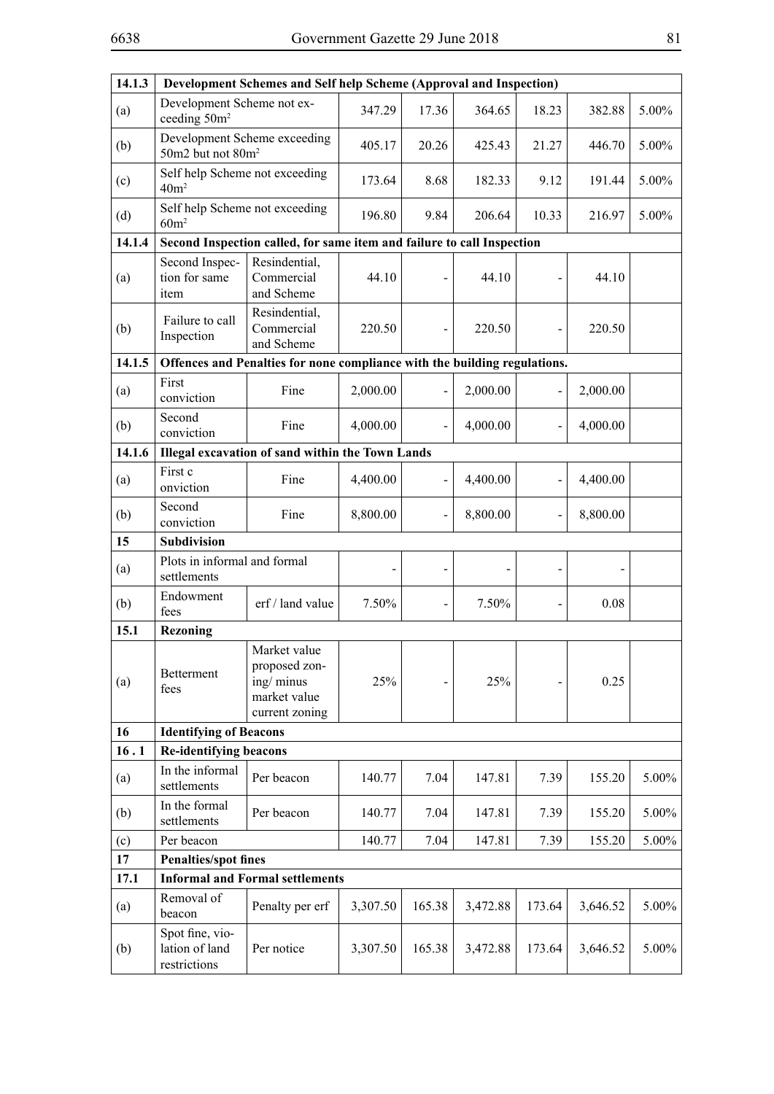| 14.1.3 |                                                                        | Development Schemes and Self help Scheme (Approval and Inspection)           |          |        |          |        |          |       |  |
|--------|------------------------------------------------------------------------|------------------------------------------------------------------------------|----------|--------|----------|--------|----------|-------|--|
| (a)    | Development Scheme not ex-<br>ceeding 50m <sup>2</sup>                 |                                                                              | 347.29   | 17.36  | 364.65   | 18.23  | 382.88   | 5.00% |  |
| (b)    | 50m2 but not 80m <sup>2</sup>                                          | Development Scheme exceeding                                                 | 405.17   | 20.26  | 425.43   | 21.27  | 446.70   | 5.00% |  |
| (c)    | Self help Scheme not exceeding<br>40m <sup>2</sup>                     |                                                                              | 173.64   | 8.68   | 182.33   | 9.12   | 191.44   | 5.00% |  |
| (d)    | Self help Scheme not exceeding<br>60m <sup>2</sup>                     |                                                                              | 196.80   | 9.84   | 206.64   | 10.33  | 216.97   | 5.00% |  |
| 14.1.4 | Second Inspection called, for same item and failure to call Inspection |                                                                              |          |        |          |        |          |       |  |
| (a)    | Second Inspec-<br>tion for same<br>item                                | Resindential,<br>Commercial<br>and Scheme                                    | 44.10    |        | 44.10    |        | 44.10    |       |  |
| (b)    | Failure to call<br>Inspection                                          | Resindential,<br>Commercial<br>and Scheme                                    | 220.50   |        | 220.50   |        | 220.50   |       |  |
| 14.1.5 |                                                                        | Offences and Penalties for none compliance with the building regulations.    |          |        |          |        |          |       |  |
| (a)    | First<br>conviction                                                    | Fine                                                                         | 2,000.00 |        | 2,000.00 |        | 2,000.00 |       |  |
| (b)    | Second<br>conviction                                                   | Fine                                                                         | 4,000.00 |        | 4,000.00 |        | 4,000.00 |       |  |
| 14.1.6 | Illegal excavation of sand within the Town Lands                       |                                                                              |          |        |          |        |          |       |  |
| (a)    | First c<br>onviction                                                   | Fine                                                                         | 4,400.00 |        | 4,400.00 |        | 4,400.00 |       |  |
| (b)    | Second<br>conviction                                                   | Fine                                                                         | 8,800.00 |        | 8,800.00 |        | 8,800.00 |       |  |
| 15     | Subdivision                                                            |                                                                              |          |        |          |        |          |       |  |
| (a)    | Plots in informal and formal<br>settlements                            |                                                                              |          |        |          |        |          |       |  |
| (b)    | Endowment<br>fees                                                      | erf / land value                                                             | 7.50%    |        | 7.50%    |        | 0.08     |       |  |
| 15.1   | <b>Rezoning</b>                                                        |                                                                              |          |        |          |        |          |       |  |
| (a)    | <b>Betterment</b><br>fees                                              | Market value<br>proposed zon-<br>ing/minus<br>market value<br>current zoning | 25%      |        | 25%      |        | 0.25     |       |  |
| 16     | <b>Identifying of Beacons</b>                                          |                                                                              |          |        |          |        |          |       |  |
| 16.1   | <b>Re-identifying beacons</b>                                          |                                                                              |          |        |          |        |          |       |  |
| (a)    | In the informal<br>settlements                                         | Per beacon                                                                   | 140.77   | 7.04   | 147.81   | 7.39   | 155.20   | 5.00% |  |
| (b)    | In the formal<br>settlements                                           | Per beacon                                                                   | 140.77   | 7.04   | 147.81   | 7.39   | 155.20   | 5.00% |  |
| (c)    | Per beacon                                                             |                                                                              | 140.77   | 7.04   | 147.81   | 7.39   | 155.20   | 5.00% |  |
| 17     | <b>Penalties/spot fines</b>                                            |                                                                              |          |        |          |        |          |       |  |
| 17.1   |                                                                        | <b>Informal and Formal settlements</b>                                       |          |        |          |        |          |       |  |
| (a)    | Removal of<br>beacon                                                   | Penalty per erf                                                              | 3,307.50 | 165.38 | 3,472.88 | 173.64 | 3,646.52 | 5.00% |  |
| (b)    | Spot fine, vio-<br>lation of land<br>restrictions                      | Per notice                                                                   | 3,307.50 | 165.38 | 3,472.88 | 173.64 | 3,646.52 | 5.00% |  |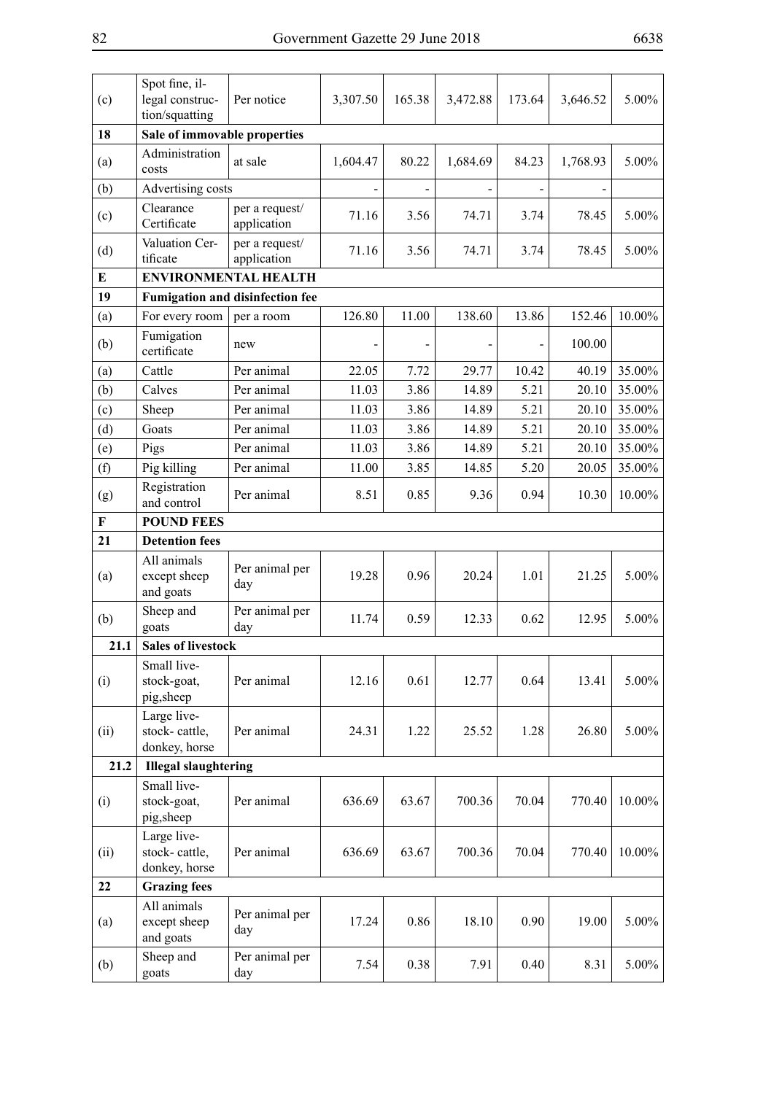| (c)         | Spot fine, il-<br>legal construc-<br>tion/squatting | Per notice                             | 3,307.50 | 165.38 | 3,472.88 | 173.64 | 3,646.52 | 5.00%    |  |  |  |
|-------------|-----------------------------------------------------|----------------------------------------|----------|--------|----------|--------|----------|----------|--|--|--|
| 18          | Sale of immovable properties                        |                                        |          |        |          |        |          |          |  |  |  |
| (a)         | Administration<br>costs                             | at sale                                | 1,604.47 | 80.22  | 1,684.69 | 84.23  | 1,768.93 | 5.00%    |  |  |  |
| (b)         | Advertising costs                                   |                                        |          |        |          |        |          |          |  |  |  |
| (c)         | Clearance<br>Certificate                            | per a request/<br>application          | 71.16    | 3.56   | 74.71    | 3.74   | 78.45    | $5.00\%$ |  |  |  |
| (d)         | Valuation Cer-<br>tificate                          | per a request/<br>application          | 71.16    | 3.56   | 74.71    | 3.74   | 78.45    | 5.00%    |  |  |  |
| Е           |                                                     | <b>ENVIRONMENTAL HEALTH</b>            |          |        |          |        |          |          |  |  |  |
| 19          |                                                     | <b>Fumigation and disinfection fee</b> |          |        |          |        |          |          |  |  |  |
| (a)         | For every room                                      | per a room                             | 126.80   | 11.00  | 138.60   | 13.86  | 152.46   | 10.00%   |  |  |  |
| (b)         | Fumigation<br>certificate                           | new                                    |          |        |          |        | 100.00   |          |  |  |  |
| (a)         | Cattle                                              | Per animal                             | 22.05    | 7.72   | 29.77    | 10.42  | 40.19    | 35.00%   |  |  |  |
| (b)         | Calves                                              | Per animal                             | 11.03    | 3.86   | 14.89    | 5.21   | 20.10    | 35.00%   |  |  |  |
| (c)         | Sheep                                               | Per animal                             | 11.03    | 3.86   | 14.89    | 5.21   | 20.10    | 35.00%   |  |  |  |
| (d)         | Goats                                               | Per animal                             | 11.03    | 3.86   | 14.89    | 5.21   | 20.10    | 35.00%   |  |  |  |
| (e)         | Pigs                                                | Per animal                             | 11.03    | 3.86   | 14.89    | 5.21   | 20.10    | 35.00%   |  |  |  |
| (f)         | Pig killing                                         | Per animal                             | 11.00    | 3.85   | 14.85    | 5.20   | 20.05    | 35.00%   |  |  |  |
| (g)         | Registration<br>and control                         | Per animal                             | 8.51     | 0.85   | 9.36     | 0.94   | 10.30    | 10.00%   |  |  |  |
| $\mathbf F$ | <b>POUND FEES</b>                                   |                                        |          |        |          |        |          |          |  |  |  |
| 21          | <b>Detention fees</b>                               |                                        |          |        |          |        |          |          |  |  |  |
| (a)         | All animals<br>except sheep<br>and goats            | Per animal per<br>day                  | 19.28    | 0.96   | 20.24    | 1.01   | 21.25    | $5.00\%$ |  |  |  |
| (b)         | Sheep and<br>goats                                  | Per animal per<br>day                  | 11.74    | 0.59   | 12.33    | 0.62   | 12.95    | $5.00\%$ |  |  |  |
| 21.1        | <b>Sales of livestock</b>                           |                                        |          |        |          |        |          |          |  |  |  |
| (i)         | Small live-<br>stock-goat,<br>pig, sheep            | Per animal                             | 12.16    | 0.61   | 12.77    | 0.64   | 13.41    | 5.00%    |  |  |  |
| (ii)        | Large live-<br>stock-cattle,<br>donkey, horse       | Per animal                             | 24.31    | 1.22   | 25.52    | 1.28   | 26.80    | 5.00%    |  |  |  |
| 21.2        | <b>Illegal slaughtering</b>                         |                                        |          |        |          |        |          |          |  |  |  |
| (i)         | Small live-<br>stock-goat,<br>pig,sheep             | Per animal                             | 636.69   | 63.67  | 700.36   | 70.04  | 770.40   | 10.00%   |  |  |  |
| (ii)        | Large live-<br>stock-cattle,<br>donkey, horse       | Per animal                             | 636.69   | 63.67  | 700.36   | 70.04  | 770.40   | 10.00%   |  |  |  |
| 22          | <b>Grazing fees</b>                                 |                                        |          |        |          |        |          |          |  |  |  |
| (a)         | All animals<br>except sheep<br>and goats            | Per animal per<br>day                  | 17.24    | 0.86   | 18.10    | 0.90   | 19.00    | 5.00%    |  |  |  |
| (b)         | Sheep and<br>goats                                  | Per animal per<br>day                  | 7.54     | 0.38   | 7.91     | 0.40   | 8.31     | 5.00%    |  |  |  |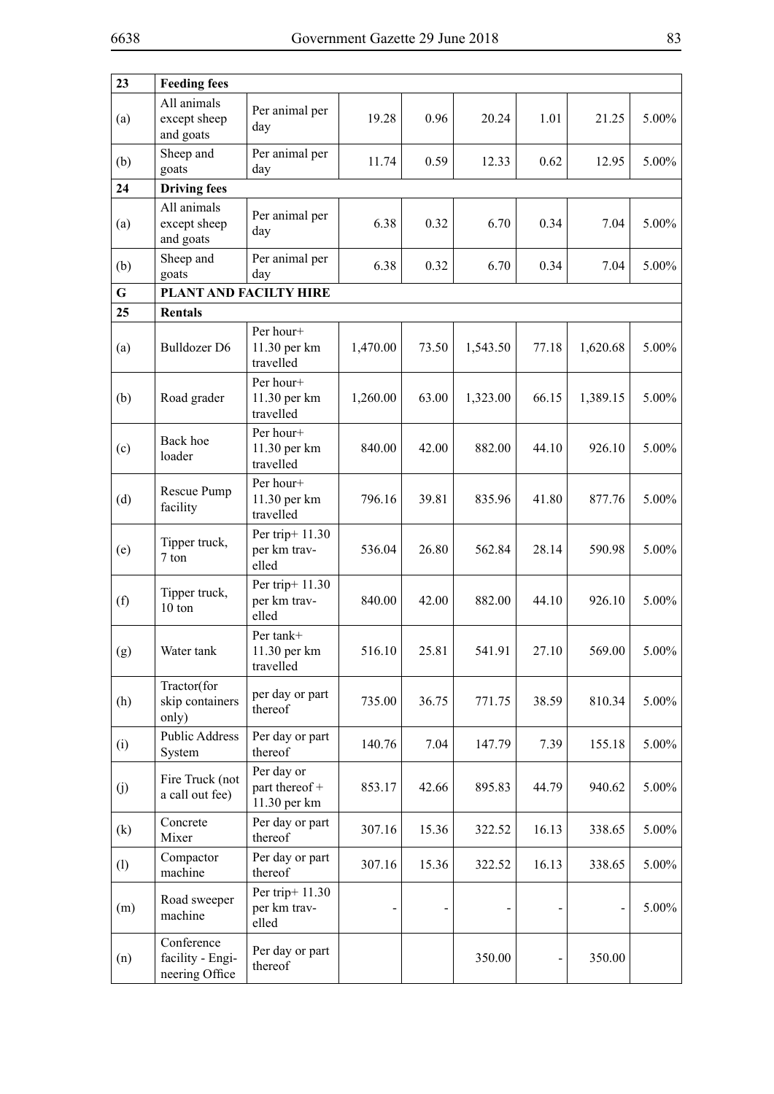| 23  | <b>Feeding fees</b>                              |                                              |          |       |          |       |          |          |
|-----|--------------------------------------------------|----------------------------------------------|----------|-------|----------|-------|----------|----------|
| (a) | All animals<br>except sheep<br>and goats         | Per animal per<br>day                        | 19.28    | 0.96  | 20.24    | 1.01  | 21.25    | 5.00%    |
| (b) | Sheep and<br>goats                               | Per animal per<br>day                        | 11.74    | 0.59  | 12.33    | 0.62  | 12.95    | 5.00%    |
| 24  | <b>Driving fees</b>                              |                                              |          |       |          |       |          |          |
| (a) | All animals<br>except sheep<br>and goats         | Per animal per<br>day                        | 6.38     | 0.32  | 6.70     | 0.34  | 7.04     | 5.00%    |
| (b) | Sheep and<br>goats                               | Per animal per<br>day                        | 6.38     | 0.32  | 6.70     | 0.34  | 7.04     | 5.00%    |
| G   |                                                  | PLANT AND FACILTY HIRE                       |          |       |          |       |          |          |
| 25  | <b>Rentals</b>                                   |                                              |          |       |          |       |          |          |
| (a) | <b>Bulldozer D6</b>                              | Per hour+<br>11.30 per km<br>travelled       | 1,470.00 | 73.50 | 1,543.50 | 77.18 | 1,620.68 | 5.00%    |
| (b) | Road grader                                      | Per hour+<br>11.30 per km<br>travelled       | 1,260.00 | 63.00 | 1,323.00 | 66.15 | 1,389.15 | 5.00%    |
| (c) | Back hoe<br>loader                               | Per hour+<br>11.30 per km<br>travelled       | 840.00   | 42.00 | 882.00   | 44.10 | 926.10   | 5.00%    |
| (d) | Rescue Pump<br>facility                          | Per hour+<br>11.30 per km<br>travelled       | 796.16   | 39.81 | 835.96   | 41.80 | 877.76   | 5.00%    |
| (e) | Tipper truck,<br>7 ton                           | Per trip+ 11.30<br>per km trav-<br>elled     | 536.04   | 26.80 | 562.84   | 28.14 | 590.98   | 5.00%    |
| (f) | Tipper truck,<br>10 ton                          | Per trip+ 11.30<br>per km trav-<br>elled     | 840.00   | 42.00 | 882.00   | 44.10 | 926.10   | 5.00%    |
| (g) | Water tank                                       | Per tank+<br>11.30 per km<br>travelled       | 516.10   | 25.81 | 541.91   | 27.10 | 569.00   | 5.00%    |
| (h) | Tractor(for<br>skip containers<br>only)          | per day or part<br>thereof                   | 735.00   | 36.75 | 771.75   | 38.59 | 810.34   | 5.00%    |
| (i) | <b>Public Address</b><br>System                  | Per day or part<br>thereof                   | 140.76   | 7.04  | 147.79   | 7.39  | 155.18   | 5.00%    |
| (j) | Fire Truck (not<br>a call out fee)               | Per day or<br>part thereof +<br>11.30 per km | 853.17   | 42.66 | 895.83   | 44.79 | 940.62   | 5.00%    |
| (k) | Concrete<br>Mixer                                | Per day or part<br>thereof                   | 307.16   | 15.36 | 322.52   | 16.13 | 338.65   | 5.00%    |
| (1) | Compactor<br>machine                             | Per day or part<br>thereof                   | 307.16   | 15.36 | 322.52   | 16.13 | 338.65   | 5.00%    |
| (m) | Road sweeper<br>machine                          | Per trip+ 11.30<br>per km trav-<br>elled     |          |       |          |       |          | $5.00\%$ |
| (n) | Conference<br>facility - Engi-<br>neering Office | Per day or part<br>thereof                   |          |       | 350.00   |       | 350.00   |          |

 $\overline{\phantom{0}}$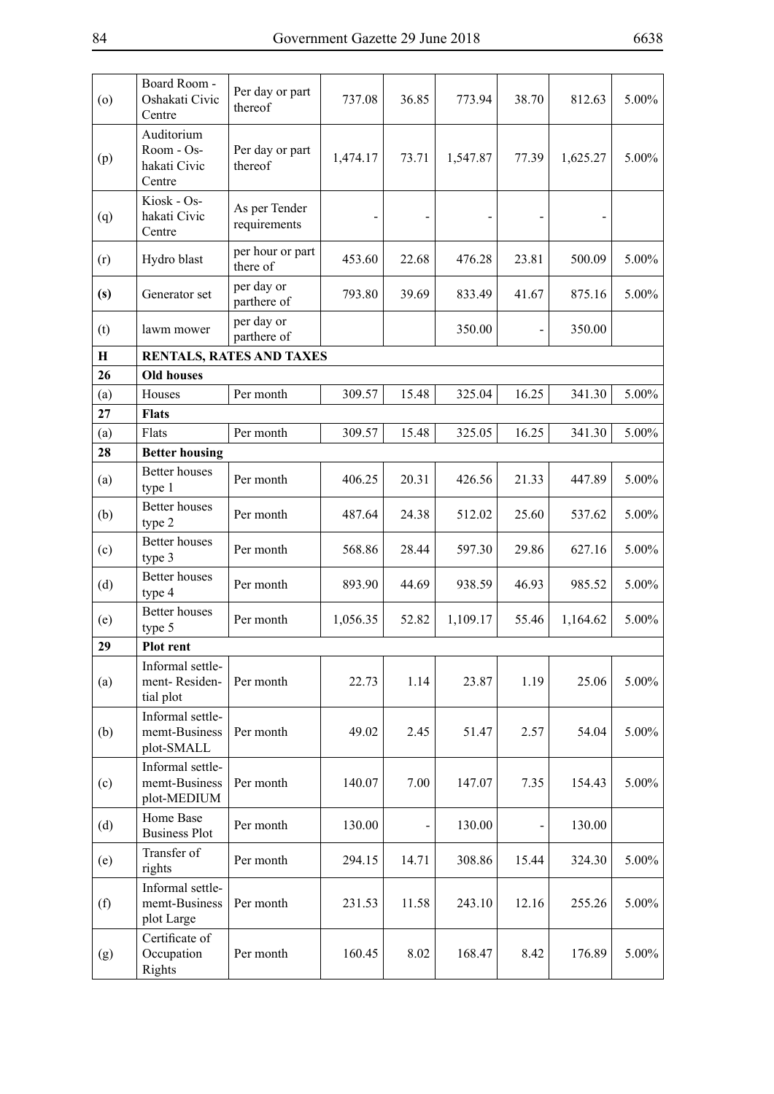| (0)         | Board Room -<br>Oshakati Civic<br>Centre                              | Per day or part<br>thereof    | 737.08   | 36.85 | 773.94   | 38.70 | 812.63   | 5.00% |
|-------------|-----------------------------------------------------------------------|-------------------------------|----------|-------|----------|-------|----------|-------|
| (p)         | Auditorium<br>Room - Os-<br>hakati Civic<br>Centre                    | Per day or part<br>thereof    | 1,474.17 | 73.71 | 1,547.87 | 77.39 | 1,625.27 | 5.00% |
| (q)         | Kiosk - Os-<br>hakati Civic<br>Centre                                 | As per Tender<br>requirements |          |       |          |       |          |       |
| (r)         | Hydro blast                                                           | per hour or part<br>there of  | 453.60   | 22.68 | 476.28   | 23.81 | 500.09   | 5.00% |
| (s)         | Generator set                                                         | per day or<br>parthere of     | 793.80   | 39.69 | 833.49   | 41.67 | 875.16   | 5.00% |
| (t)         | lawm mower                                                            | per day or<br>parthere of     |          |       | 350.00   |       | 350.00   |       |
| $\mathbf H$ |                                                                       | RENTALS, RATES AND TAXES      |          |       |          |       |          |       |
| 26          | <b>Old houses</b>                                                     |                               |          |       |          |       |          |       |
| (a)         | Houses                                                                | Per month                     | 309.57   | 15.48 | 325.04   | 16.25 | 341.30   | 5.00% |
| 27          | <b>Flats</b>                                                          |                               |          |       |          |       |          |       |
| (a)         | Flats                                                                 | Per month                     | 309.57   | 15.48 | 325.05   | 16.25 | 341.30   | 5.00% |
| 28          | <b>Better housing</b>                                                 |                               |          |       |          |       |          |       |
| (a)         | <b>Better houses</b><br>type 1                                        | Per month                     | 406.25   | 20.31 | 426.56   | 21.33 | 447.89   | 5.00% |
| (b)         | <b>Better</b> houses<br>type 2                                        | Per month                     | 487.64   | 24.38 | 512.02   | 25.60 | 537.62   | 5.00% |
| (c)         | <b>Better</b> houses<br>type 3                                        | Per month                     | 568.86   | 28.44 | 597.30   | 29.86 | 627.16   | 5.00% |
| (d)         | <b>Better</b> houses<br>type 4                                        | Per month                     | 893.90   | 44.69 | 938.59   | 46.93 | 985.52   | 5.00% |
| (e)         | <b>Better houses</b><br>type 5                                        | Per month                     | 1,056.35 | 52.82 | 1,109.17 | 55.46 | 1,164.62 | 5.00% |
| 29          | Plot rent                                                             |                               |          |       |          |       |          |       |
| (a)         | Informal settle-<br>ment-Residen-<br>tial plot                        | Per month                     | 22.73    | 1.14  | 23.87    | 1.19  | 25.06    | 5.00% |
| (b)         | Informal settle-<br>memt-Business<br>plot-SMALL                       | Per month                     | 49.02    | 2.45  | 51.47    | 2.57  | 54.04    | 5.00% |
| (c)         | Informal settle-<br>memt-Business<br>${\rm plot}\text{-}{\rm MEDIUM}$ | Per month                     | 140.07   | 7.00  | 147.07   | 7.35  | 154.43   | 5.00% |
| (d)         | Home Base<br><b>Business Plot</b>                                     | Per month                     | 130.00   |       | 130.00   |       | 130.00   |       |
| (e)         | Transfer of<br>rights                                                 | Per month                     | 294.15   | 14.71 | 308.86   | 15.44 | 324.30   | 5.00% |
| (f)         | Informal settle-<br>memt-Business<br>plot Large                       | Per month                     | 231.53   | 11.58 | 243.10   | 12.16 | 255.26   | 5.00% |
| (g)         | Certificate of<br>Occupation<br>Rights                                | Per month                     | 160.45   | 8.02  | 168.47   | 8.42  | 176.89   | 5.00% |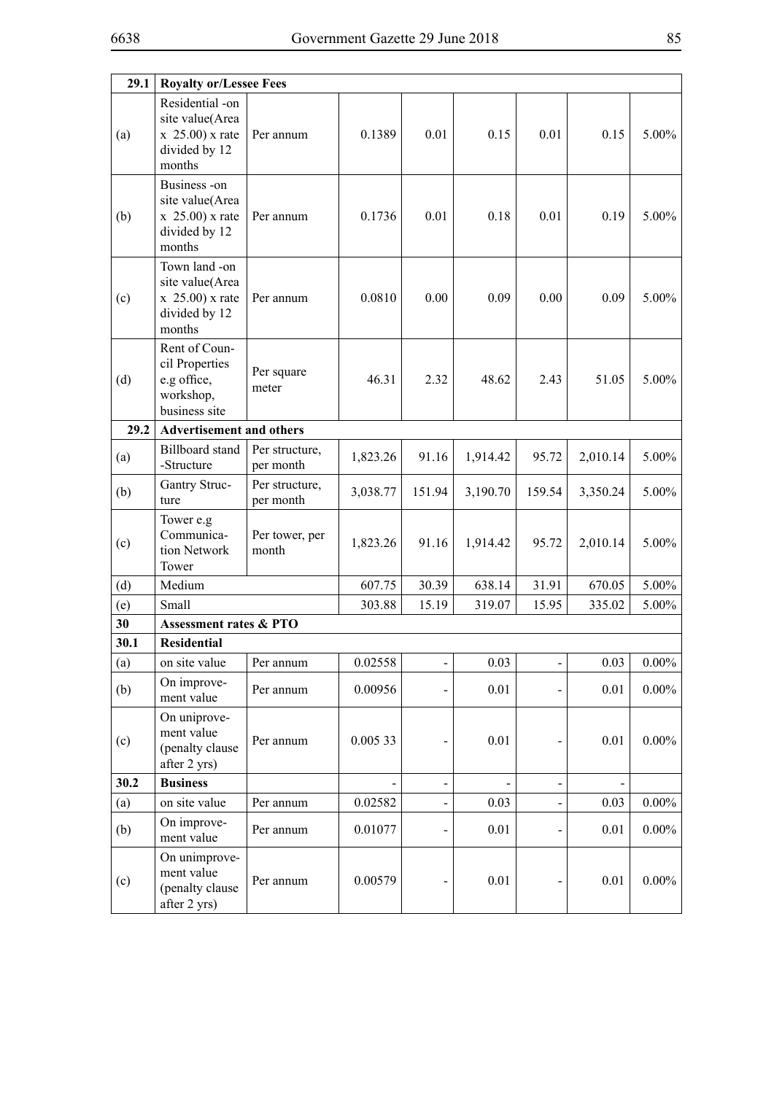| 29.1 | <b>Royalty or/Lessee Fees</b>                                                        |                             |          |                |          |                          |          |          |
|------|--------------------------------------------------------------------------------------|-----------------------------|----------|----------------|----------|--------------------------|----------|----------|
| (a)  | Residential -on<br>site value(Area<br>$x\;25.00$ ) x rate<br>divided by 12<br>months | Per annum                   | 0.1389   | 0.01           | 0.15     | 0.01                     | 0.15     | 5.00%    |
| (b)  | Business -on<br>site value(Area<br>$x\;25.00$ ) x rate<br>divided by 12<br>months    | Per annum                   | 0.1736   | 0.01           | 0.18     | 0.01                     | 0.19     | 5.00%    |
| (c)  | Town land -on<br>site value(Area<br>$x \; 25.00$ ) x rate<br>divided by 12<br>months | Per annum                   | 0.0810   | 0.00           | 0.09     | 0.00                     | 0.09     | 5.00%    |
| (d)  | Rent of Coun-<br>cil Properties<br>e.g office,<br>workshop,<br>business site         | Per square<br>meter         | 46.31    | 2.32           | 48.62    | 2.43                     | 51.05    | 5.00%    |
| 29.2 | <b>Advertisement and others</b>                                                      |                             |          |                |          |                          |          |          |
| (a)  | <b>Billboard</b> stand<br>-Structure                                                 | Per structure,<br>per month | 1,823.26 | 91.16          | 1,914.42 | 95.72                    | 2,010.14 | 5.00%    |
| (b)  | Gantry Struc-<br>ture                                                                | Per structure,<br>per month | 3,038.77 | 151.94         | 3,190.70 | 159.54                   | 3,350.24 | 5.00%    |
| (c)  | Tower e.g<br>Communica-<br>tion Network<br>Tower                                     | Per tower, per<br>month     | 1,823.26 | 91.16          | 1,914.42 | 95.72                    | 2,010.14 | 5.00%    |
| (d)  | Medium                                                                               |                             | 607.75   | 30.39          | 638.14   | 31.91                    | 670.05   | 5.00%    |
| (e)  | Small                                                                                |                             | 303.88   | 15.19          | 319.07   | 15.95                    | 335.02   | 5.00%    |
| 30   | <b>Assessment rates &amp; PTO</b>                                                    |                             |          |                |          |                          |          |          |
| 30.1 | <b>Residential</b>                                                                   |                             |          |                |          |                          |          |          |
| (a)  | on site value                                                                        | Per annum                   | 0.02558  | $\blacksquare$ | 0.03     | $\overline{\phantom{0}}$ | 0.03     | $0.00\%$ |
| (b)  | On improve-<br>ment value                                                            | Per annum                   | 0.00956  |                | 0.01     |                          | 0.01     | $0.00\%$ |
| (c)  | On uniprove-<br>ment value<br>(penalty clause<br>after 2 yrs)                        | Per annum                   | 0.005 33 |                | 0.01     |                          | $0.01\,$ | $0.00\%$ |
| 30.2 | <b>Business</b>                                                                      |                             |          |                |          |                          |          |          |
| (a)  | on site value                                                                        | Per annum                   | 0.02582  |                | 0.03     |                          | $0.03\,$ | $0.00\%$ |
| (b)  | On improve-<br>ment value                                                            | Per annum                   | 0.01077  |                | 0.01     |                          | 0.01     | $0.00\%$ |
| (c)  | On unimprove-<br>ment value<br>(penalty clause<br>after 2 yrs)                       | Per annum                   | 0.00579  |                | 0.01     |                          | $0.01\,$ | $0.00\%$ |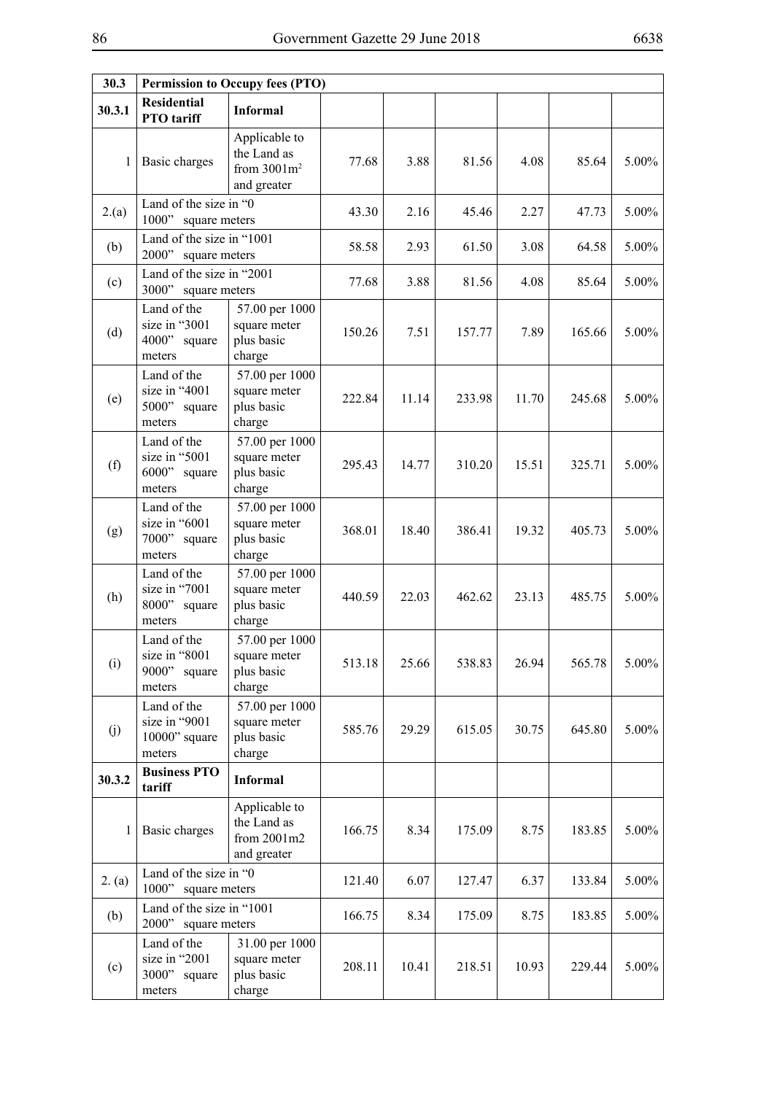| 30.3   |                                                           | <b>Permission to Occupy fees (PTO)</b>                        |        |       |        |       |        |          |
|--------|-----------------------------------------------------------|---------------------------------------------------------------|--------|-------|--------|-------|--------|----------|
| 30.3.1 | <b>Residential</b><br>PTO tariff                          | <b>Informal</b>                                               |        |       |        |       |        |          |
| 1      | Basic charges                                             | Applicable to<br>the Land as<br>from $3001m^2$<br>and greater | 77.68  | 3.88  | 81.56  | 4.08  | 85.64  | $5.00\%$ |
| 2(a)   | Land of the size in "0<br>1000"<br>square meters          |                                                               | 43.30  | 2.16  | 45.46  | 2.27  | 47.73  | 5.00%    |
| (b)    | Land of the size in "1001<br>2000"<br>square meters       |                                                               | 58.58  | 2.93  | 61.50  | 3.08  | 64.58  | $5.00\%$ |
| (c)    | Land of the size in "2001<br>3000"<br>square meters       |                                                               | 77.68  | 3.88  | 81.56  | 4.08  | 85.64  | 5.00%    |
| (d)    | Land of the<br>size in "3001<br>4000"<br>square<br>meters | 57.00 per 1000<br>square meter<br>plus basic<br>charge        | 150.26 | 7.51  | 157.77 | 7.89  | 165.66 | $5.00\%$ |
| (e)    | Land of the<br>size in "4001<br>5000" square<br>meters    | 57.00 per 1000<br>square meter<br>plus basic<br>charge        | 222.84 | 11.14 | 233.98 | 11.70 | 245.68 | 5.00%    |
| (f)    | Land of the<br>size in "5001<br>6000"<br>square<br>meters | 57.00 per 1000<br>square meter<br>plus basic<br>charge        | 295.43 | 14.77 | 310.20 | 15.51 | 325.71 | 5.00%    |
| (g)    | Land of the<br>size in "6001<br>7000" square<br>meters    | 57.00 per 1000<br>square meter<br>plus basic<br>charge        | 368.01 | 18.40 | 386.41 | 19.32 | 405.73 | 5.00%    |
| (h)    | Land of the<br>size in "7001<br>8000"<br>square<br>meters | 57.00 per 1000<br>square meter<br>plus basic<br>charge        | 440.59 | 22.03 | 462.62 | 23.13 | 485.75 | $5.00\%$ |
| (i)    | Land of the<br>size in "8001<br>9000"<br>square<br>meters | 57.00 per 1000<br>square meter<br>plus basic<br>charge        | 513.18 | 25.66 | 538.83 | 26.94 | 565.78 | $5.00\%$ |
| (j)    | Land of the<br>size in "9001<br>10000" square<br>meters   | 57.00 per 1000<br>square meter<br>plus basic<br>charge        | 585.76 | 29.29 | 615.05 | 30.75 | 645.80 | $5.00\%$ |
| 30.3.2 | <b>Business PTO</b><br>tariff                             | <b>Informal</b>                                               |        |       |        |       |        |          |
| 1      | Basic charges                                             | Applicable to<br>the Land as<br>from 2001m2<br>and greater    | 166.75 | 8.34  | 175.09 | 8.75  | 183.85 | $5.00\%$ |
| 2. (a) | Land of the size in "0<br>1000"<br>square meters          |                                                               | 121.40 | 6.07  | 127.47 | 6.37  | 133.84 | $5.00\%$ |
| (b)    | Land of the size in "1001<br>2000"<br>square meters       |                                                               | 166.75 | 8.34  | 175.09 | 8.75  | 183.85 | $5.00\%$ |
| (c)    | Land of the<br>size in "2001<br>3000" square<br>meters    | 31.00 per 1000<br>square meter<br>plus basic<br>charge        | 208.11 | 10.41 | 218.51 | 10.93 | 229.44 | $5.00\%$ |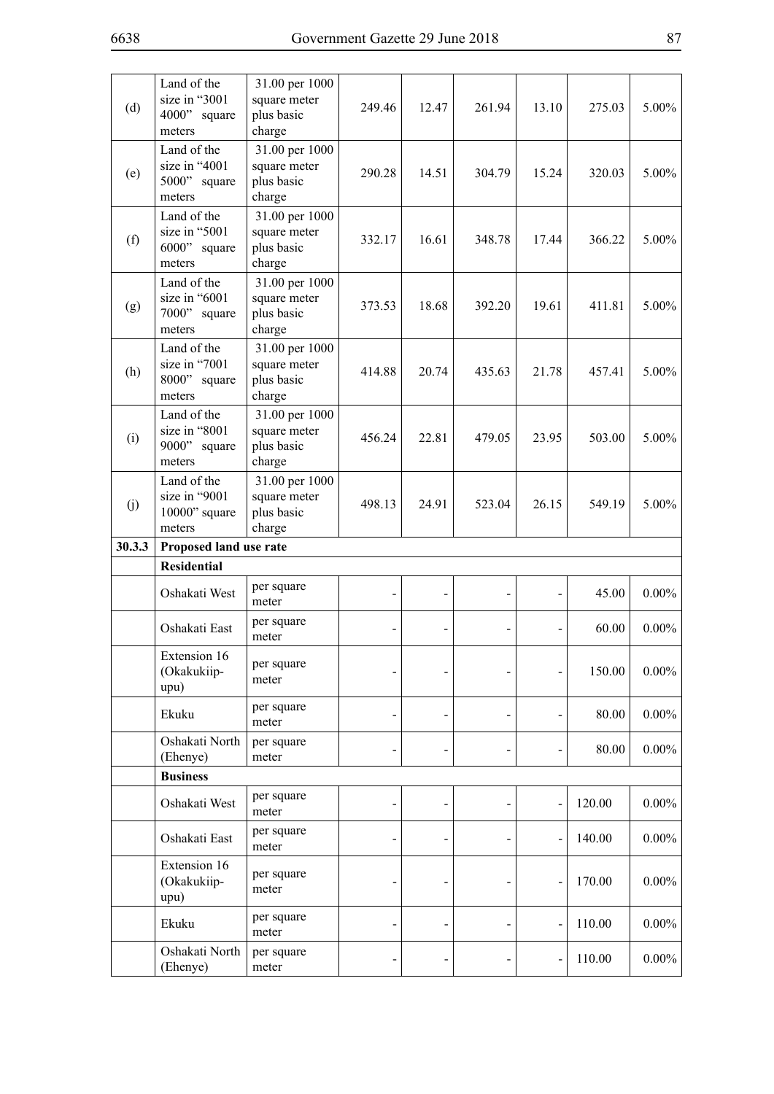| (d)    | Land of the<br>size in "3001<br>4000" square<br>meters  | 31.00 per 1000<br>square meter<br>plus basic<br>charge | 249.46 | 12.47 | 261.94 | 13.10 | 275.03 | $5.00\%$                         |
|--------|---------------------------------------------------------|--------------------------------------------------------|--------|-------|--------|-------|--------|----------------------------------|
| (e)    | Land of the<br>size in "4001<br>5000" square<br>meters  | 31.00 per 1000<br>square meter<br>plus basic<br>charge | 290.28 | 14.51 | 304.79 | 15.24 | 320.03 | $5.00\%$                         |
| (f)    | Land of the<br>size in "5001<br>6000" square<br>meters  | 31.00 per 1000<br>square meter<br>plus basic<br>charge | 332.17 | 16.61 | 348.78 | 17.44 | 366.22 | $5.00\%$                         |
| (g)    | Land of the<br>size in "6001<br>7000" square<br>meters  | 31.00 per 1000<br>square meter<br>plus basic<br>charge | 373.53 | 18.68 | 392.20 | 19.61 | 411.81 | $5.00\%$                         |
| (h)    | Land of the<br>size in "7001<br>8000" square<br>meters  | 31.00 per 1000<br>square meter<br>plus basic<br>charge | 414.88 | 20.74 | 435.63 | 21.78 | 457.41 | $5.00\%$                         |
| (i)    | Land of the<br>size in "8001<br>9000" square<br>meters  | 31.00 per 1000<br>square meter<br>plus basic<br>charge | 456.24 | 22.81 | 479.05 | 23.95 | 503.00 | 5.00%                            |
| (j)    | Land of the<br>size in "9001<br>10000" square<br>meters | 31.00 per 1000<br>square meter<br>plus basic<br>charge | 498.13 | 24.91 | 523.04 | 26.15 | 549.19 | $5.00\%$                         |
|        |                                                         |                                                        |        |       |        |       |        |                                  |
| 30.3.3 | Proposed land use rate                                  |                                                        |        |       |        |       |        |                                  |
|        | <b>Residential</b>                                      |                                                        |        |       |        |       |        |                                  |
|        | Oshakati West                                           | per square<br>meter                                    |        |       |        |       | 45.00  |                                  |
|        | Oshakati East                                           | per square<br>meter                                    |        |       |        |       | 60.00  | $0.00\%$                         |
|        | Extension 16<br>(Okakukiip-<br>upu)                     | per square<br>meter                                    |        |       |        |       | 150.00 |                                  |
|        | Ekuku                                                   | per square<br>meter                                    |        |       |        |       | 80.00  | $0.00\%$<br>$0.00\%$<br>$0.00\%$ |
|        | Oshakati North<br>(Ehenye)                              | per square<br>meter                                    |        |       |        |       | 80.00  | $0.00\%$                         |
|        | <b>Business</b>                                         |                                                        |        |       |        |       |        |                                  |
|        | Oshakati West                                           | per square<br>meter                                    |        |       |        |       | 120.00 | $0.00\%$                         |
|        | Oshakati East                                           | per square<br>meter                                    |        |       |        |       | 140.00 |                                  |
|        | Extension 16<br>(Okakukiip-<br>upu)                     | per square<br>meter                                    |        |       |        |       | 170.00 |                                  |
|        | Ekuku                                                   | per square<br>meter                                    |        |       |        |       | 110.00 | $0.00\%$<br>$0.00\%$<br>$0.00\%$ |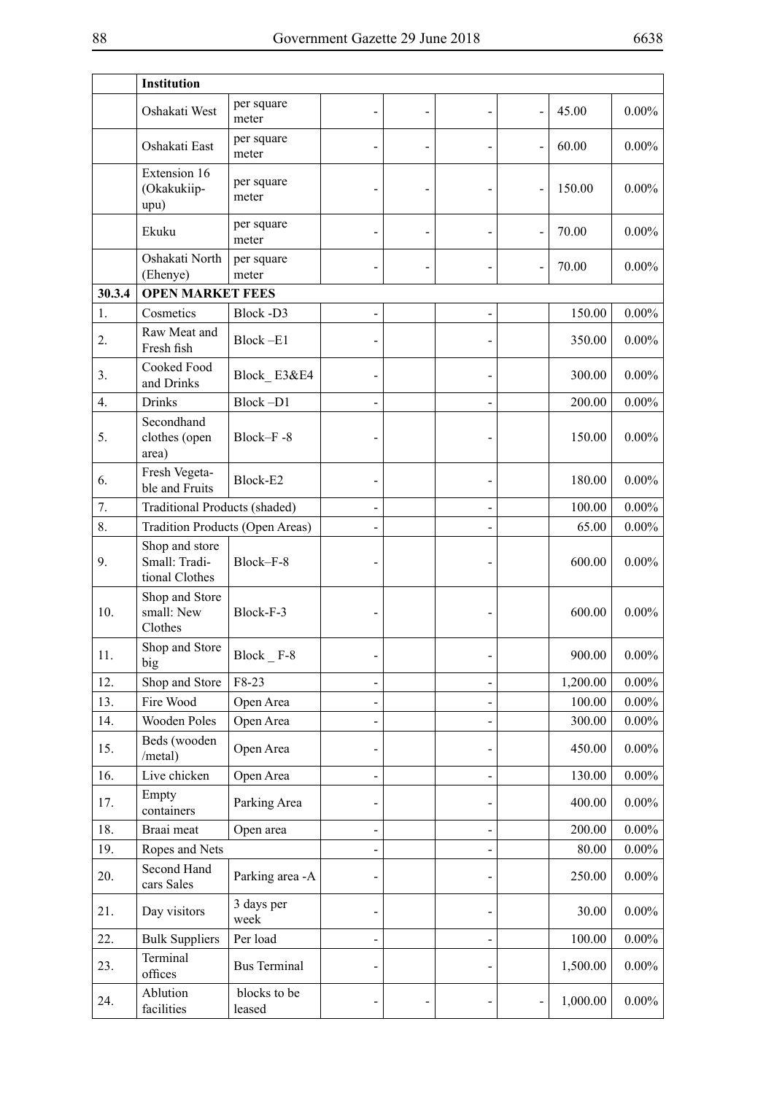| Institution                                       |                        |                                                                                                    |  |          |          |
|---------------------------------------------------|------------------------|----------------------------------------------------------------------------------------------------|--|----------|----------|
| Oshakati West                                     | per square<br>meter    |                                                                                                    |  | 45.00    | $0.00\%$ |
| Oshakati East                                     | per square<br>meter    |                                                                                                    |  | 60.00    | $0.00\%$ |
| Extension 16<br>(Okakukiip-<br>upu)               | per square<br>meter    |                                                                                                    |  | 150.00   | $0.00\%$ |
| Ekuku                                             | per square<br>meter    |                                                                                                    |  | 70.00    | $0.00\%$ |
| Oshakati North<br>(Ehenye)                        | per square<br>meter    |                                                                                                    |  | 70.00    | $0.00\%$ |
|                                                   |                        |                                                                                                    |  |          |          |
| Cosmetics                                         | Block-D3               |                                                                                                    |  | 150.00   | $0.00\%$ |
| Raw Meat and<br>Fresh fish                        | Block-E1               |                                                                                                    |  | 350.00   | $0.00\%$ |
| Cooked Food<br>and Drinks                         | Block E3&E4            |                                                                                                    |  | 300.00   | $0.00\%$ |
| <b>Drinks</b>                                     | Block-D1               |                                                                                                    |  | 200.00   | $0.00\%$ |
| Secondhand<br>clothes (open<br>area)              | Block-F-8              |                                                                                                    |  | 150.00   | $0.00\%$ |
| Fresh Vegeta-<br>ble and Fruits                   | Block-E2               |                                                                                                    |  | 180.00   | $0.00\%$ |
|                                                   |                        |                                                                                                    |  | 100.00   | $0.00\%$ |
|                                                   |                        |                                                                                                    |  | 65.00    | $0.00\%$ |
| Shop and store<br>Small: Tradi-<br>tional Clothes | Block-F-8              |                                                                                                    |  | 600.00   | $0.00\%$ |
| Shop and Store<br>small: New<br>Clothes           | Block-F-3              |                                                                                                    |  | 600.00   | $0.00\%$ |
| Shop and Store<br>big                             | $Block$ $-F-8$         |                                                                                                    |  | 900.00   | $0.00\%$ |
| Shop and Store                                    | F8-23                  |                                                                                                    |  | 1,200.00 | $0.00\%$ |
| Fire Wood                                         | Open Area              |                                                                                                    |  | 100.00   | $0.00\%$ |
| Wooden Poles                                      | Open Area              |                                                                                                    |  | 300.00   | $0.00\%$ |
| Beds (wooden<br>/metal)                           | Open Area              |                                                                                                    |  | 450.00   | $0.00\%$ |
| Live chicken                                      | Open Area              |                                                                                                    |  | 130.00   | $0.00\%$ |
| Empty<br>containers                               | Parking Area           |                                                                                                    |  | 400.00   | $0.00\%$ |
| Braai meat                                        | Open area              |                                                                                                    |  | 200.00   | $0.00\%$ |
| Ropes and Nets                                    |                        |                                                                                                    |  | 80.00    | $0.00\%$ |
| Second Hand<br>cars Sales                         | Parking area -A        |                                                                                                    |  | 250.00   | $0.00\%$ |
| Day visitors                                      | 3 days per<br>week     |                                                                                                    |  | 30.00    | $0.00\%$ |
| <b>Bulk Suppliers</b>                             | Per load               |                                                                                                    |  | 100.00   | $0.00\%$ |
| Terminal<br>offices                               | <b>Bus Terminal</b>    |                                                                                                    |  | 1,500.00 | $0.00\%$ |
| Ablution<br>facilities                            | blocks to be<br>leased |                                                                                                    |  | 1,000.00 | $0.00\%$ |
|                                                   |                        | <b>OPEN MARKET FEES</b><br><b>Traditional Products (shaded)</b><br>Tradition Products (Open Areas) |  |          |          |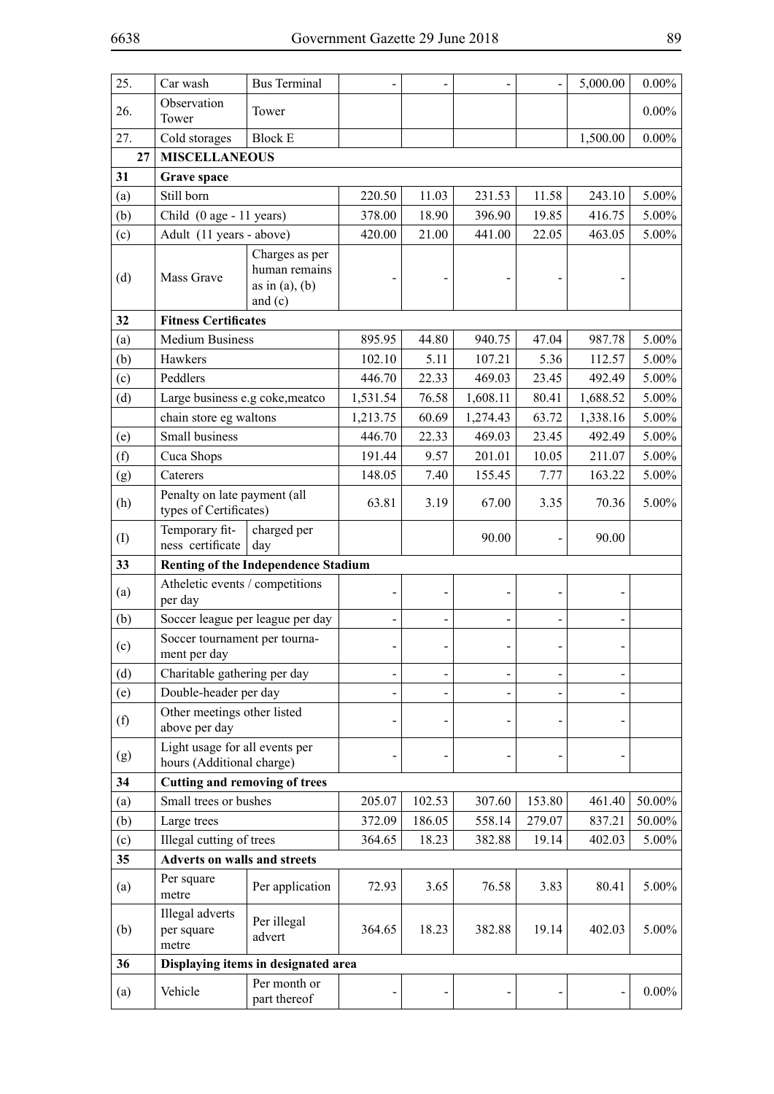| 25. | Car wash                                                    | <b>Bus Terminal</b>                                                 |          |        |          |        | 5,000.00 | $0.00\%$ |
|-----|-------------------------------------------------------------|---------------------------------------------------------------------|----------|--------|----------|--------|----------|----------|
| 26. | Observation<br>Tower                                        | Tower                                                               |          |        |          |        |          | $0.00\%$ |
| 27. | Cold storages                                               | <b>Block E</b>                                                      |          |        |          |        | 1,500.00 | $0.00\%$ |
| 27  | <b>MISCELLANEOUS</b>                                        |                                                                     |          |        |          |        |          |          |
| 31  | Grave space                                                 |                                                                     |          |        |          |        |          |          |
| (a) | Still born                                                  |                                                                     | 220.50   | 11.03  | 231.53   | 11.58  | 243.10   | 5.00%    |
| (b) | Child (0 age - 11 years)                                    |                                                                     | 378.00   | 18.90  | 396.90   | 19.85  | 416.75   | 5.00%    |
| (c) | Adult (11 years - above)                                    |                                                                     | 420.00   | 21.00  | 441.00   | 22.05  | 463.05   | 5.00%    |
| (d) | Mass Grave                                                  | Charges as per<br>human remains<br>as in $(a)$ , $(b)$<br>and $(c)$ |          |        |          |        |          |          |
| 32  | <b>Fitness Certificates</b>                                 |                                                                     |          |        |          |        |          |          |
| (a) | <b>Medium Business</b>                                      |                                                                     | 895.95   | 44.80  | 940.75   | 47.04  | 987.78   | 5.00%    |
| (b) | Hawkers                                                     |                                                                     | 102.10   | 5.11   | 107.21   | 5.36   | 112.57   | 5.00%    |
| (c) | Peddlers                                                    |                                                                     | 446.70   | 22.33  | 469.03   | 23.45  | 492.49   | 5.00%    |
| (d) | Large business e.g coke, meatco                             |                                                                     | 1,531.54 | 76.58  | 1,608.11 | 80.41  | 1,688.52 | 5.00%    |
|     | chain store eg waltons                                      |                                                                     | 1,213.75 | 60.69  | 1,274.43 | 63.72  | 1,338.16 | 5.00%    |
| (e) | Small business                                              |                                                                     | 446.70   | 22.33  | 469.03   | 23.45  | 492.49   | 5.00%    |
| (f) | Cuca Shops                                                  |                                                                     | 191.44   | 9.57   | 201.01   | 10.05  | 211.07   | 5.00%    |
| (g) | Caterers                                                    |                                                                     | 148.05   | 7.40   | 155.45   | 7.77   | 163.22   | 5.00%    |
| (h) | Penalty on late payment (all<br>types of Certificates)      |                                                                     | 63.81    | 3.19   | 67.00    | 3.35   | 70.36    | 5.00%    |
| (1) | Temporary fit-<br>ness certificate                          | charged per<br>day                                                  |          |        | 90.00    |        | 90.00    |          |
| 33  |                                                             | Renting of the Independence Stadium                                 |          |        |          |        |          |          |
| (a) | Atheletic events / competitions<br>per day                  |                                                                     |          |        |          |        |          |          |
| (b) |                                                             | Soccer league per league per day                                    |          |        |          |        |          |          |
| (c) | Soccer tournament per tourna-<br>ment per day               |                                                                     |          |        |          |        |          |          |
| (d) | Charitable gathering per day                                |                                                                     |          |        |          |        |          |          |
| (e) | Double-header per day                                       |                                                                     |          |        |          |        |          |          |
| (f) | Other meetings other listed<br>above per day                |                                                                     |          |        |          |        |          |          |
| (g) | Light usage for all events per<br>hours (Additional charge) |                                                                     |          |        |          |        |          |          |
| 34  | <b>Cutting and removing of trees</b>                        |                                                                     |          |        |          |        |          |          |
| (a) | Small trees or bushes                                       |                                                                     | 205.07   | 102.53 | 307.60   | 153.80 | 461.40   | 50.00%   |
| (b) | Large trees                                                 |                                                                     | 372.09   | 186.05 | 558.14   | 279.07 | 837.21   | 50.00%   |
| (c) | Illegal cutting of trees                                    |                                                                     | 364.65   | 18.23  | 382.88   | 19.14  | 402.03   | $5.00\%$ |
| 35  | <b>Adverts on walls and streets</b>                         |                                                                     |          |        |          |        |          |          |
| (a) | Per square<br>metre                                         | Per application                                                     | 72.93    | 3.65   | 76.58    | 3.83   | 80.41    | 5.00%    |
| (b) | Illegal adverts<br>per square<br>metre                      | Per illegal<br>advert                                               | 364.65   | 18.23  | 382.88   | 19.14  | 402.03   | 5.00%    |
| 36  |                                                             | Displaying items in designated area                                 |          |        |          |        |          |          |
| (a) | Vehicle                                                     | Per month or<br>part thereof                                        |          |        |          |        |          | $0.00\%$ |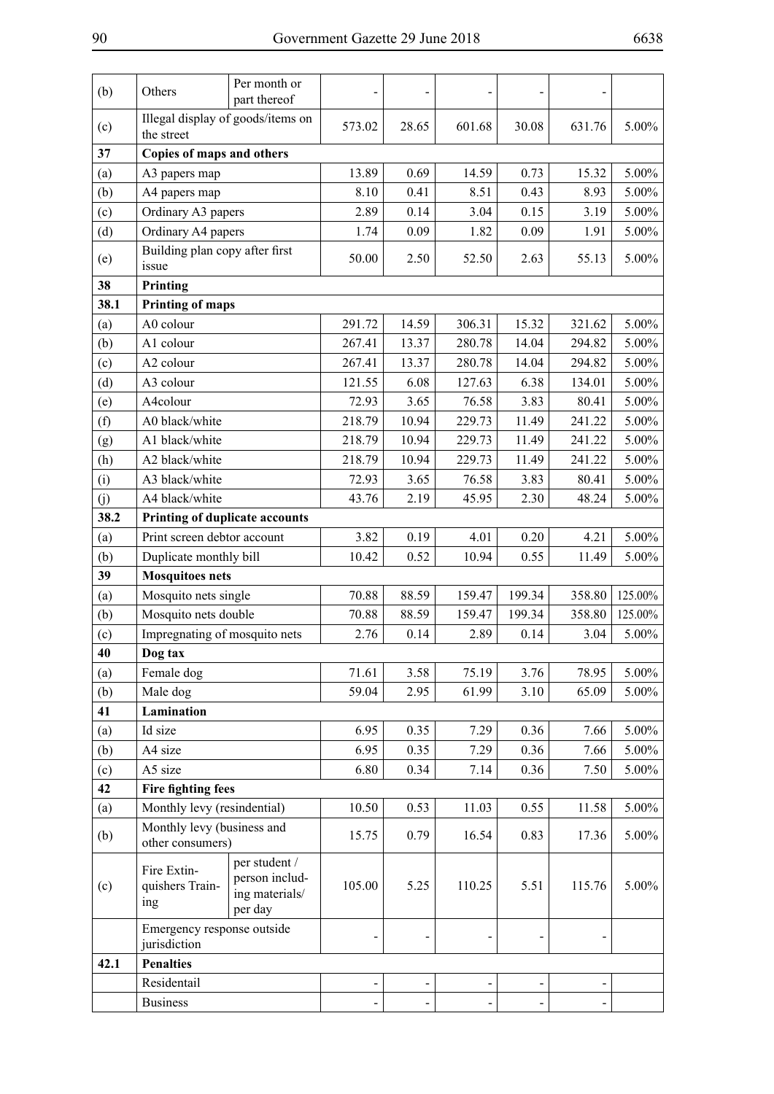| Illegal display of goods/items on<br>28.65<br>601.68<br>30.08<br>631.76<br>$5.00\%$<br>(c)<br>573.02<br>the street<br>37<br>Copies of maps and others<br>0.73<br>5.00%<br>13.89<br>0.69<br>14.59<br>15.32<br>(a)<br>A3 papers map<br>5.00%<br>(b)<br>8.10<br>0.41<br>8.51<br>0.43<br>8.93<br>A4 papers map<br>Ordinary A3 papers<br>2.89<br>$5.00\%$<br>(c)<br>0.14<br>3.04<br>0.15<br>3.19<br>Ordinary A4 papers<br>(d)<br>0.09<br>1.82<br>0.09<br>1.91<br>5.00%<br>1.74<br>Building plan copy after first<br>50.00<br>2.50<br>$5.00\%$<br>(e)<br>52.50<br>2.63<br>55.13<br>issue<br>38<br>Printing<br>38.1<br><b>Printing of maps</b><br>291.72<br>A0 colour<br>14.59<br>306.31<br>15.32<br>321.62<br>5.00%<br>(a)<br>(b)<br>A1 colour<br>267.41<br>13.37<br>280.78<br>294.82<br>$5.00\%$<br>14.04<br>A2 colour<br>13.37<br>280.78<br>294.82<br>5.00%<br>(c)<br>267.41<br>14.04<br>(d)<br>A3 colour<br>121.55<br>127.63<br>$5.00\%$<br>6.08<br>6.38<br>134.01<br>A4colour<br>72.93<br>3.65<br>3.83<br>80.41<br>5.00%<br>(e)<br>76.58<br>(f)<br>218.79<br>10.94<br>229.73<br>241.22<br>$5.00\%$<br>A0 black/white<br>11.49<br>A1 black/white<br>218.79<br>10.94<br>229.73<br>241.22<br>5.00%<br>(g)<br>11.49<br>(h)<br>A2 black/white<br>218.79<br>10.94<br>$5.00\%$<br>229.73<br>11.49<br>241.22<br>(i)<br>A3 black/white<br>76.58<br>3.83<br>5.00%<br>72.93<br>3.65<br>80.41<br>A4 black/white<br>(j)<br>2.19<br>45.95<br>48.24<br>5.00%<br>43.76<br>2.30<br>38.2<br>Printing of duplicate accounts<br>Print screen debtor account<br>3.82<br>0.20<br>4.21<br>5.00%<br>(a)<br>0.19<br>4.01<br>5.00%<br>Duplicate monthly bill<br>10.42<br>0.52<br>0.55<br>(b)<br>10.94<br>11.49<br>39<br><b>Mosquitoes nets</b><br>199.34<br>125.00%<br>Mosquito nets single<br>70.88<br>88.59<br>358.80<br>(a)<br>159.47<br>Mosquito nets double<br>199.34<br>(b)<br>70.88<br>88.59<br>159.47<br>358.80<br>125.00%<br>Impregnating of mosquito nets<br>5.00%<br>(c)<br>2.76<br>0.14<br>2.89<br>0.14<br>3.04<br>40<br>Dog tax<br>3.76<br>$5.00\%$<br>71.61<br>3.58<br>75.19<br>78.95<br>Female dog<br>(a)<br>(b)<br>Male dog<br>59.04<br>2.95<br>61.99<br>3.10<br>5.00%<br>65.09<br>41<br>Lamination<br>Id size<br>6.95<br>0.36<br>5.00%<br>(a)<br>0.35<br>7.29<br>7.66<br>6.95<br>5.00%<br>(b)<br>0.35<br>0.36<br>7.66<br>A4 size<br>7.29<br>(c)<br>A5 size<br>6.80<br>0.34<br>0.36<br>7.50<br>5.00%<br>7.14<br>42<br><b>Fire fighting fees</b><br>(a)<br>Monthly levy (resindential)<br>10.50<br>0.55<br>5.00%<br>0.53<br>11.03<br>11.58<br>Monthly levy (business and<br>(b)<br>5.00%<br>0.79<br>16.54<br>0.83<br>15.75<br>17.36<br>other consumers)<br>per student /<br>Fire Extin-<br>person includ-<br>105.00<br>$5.00\%$<br>quishers Train-<br>5.25<br>110.25<br>5.51<br>115.76<br>(c)<br>ing materials/<br>ing<br>per day<br>Emergency response outside<br>jurisdiction<br>42.1<br><b>Penalties</b><br>Residentail | (b) | Others          | Per month or<br>part thereof |  |  |  |
|---------------------------------------------------------------------------------------------------------------------------------------------------------------------------------------------------------------------------------------------------------------------------------------------------------------------------------------------------------------------------------------------------------------------------------------------------------------------------------------------------------------------------------------------------------------------------------------------------------------------------------------------------------------------------------------------------------------------------------------------------------------------------------------------------------------------------------------------------------------------------------------------------------------------------------------------------------------------------------------------------------------------------------------------------------------------------------------------------------------------------------------------------------------------------------------------------------------------------------------------------------------------------------------------------------------------------------------------------------------------------------------------------------------------------------------------------------------------------------------------------------------------------------------------------------------------------------------------------------------------------------------------------------------------------------------------------------------------------------------------------------------------------------------------------------------------------------------------------------------------------------------------------------------------------------------------------------------------------------------------------------------------------------------------------------------------------------------------------------------------------------------------------------------------------------------------------------------------------------------------------------------------------------------------------------------------------------------------------------------------------------------------------------------------------------------------------------------------------------------------------------------------------------------------------------------------------------------------------------------------------------------------------------------------------------------------------------------------------------------------------------------------------------------------------------------------------------------------------------------------------------------------------------------|-----|-----------------|------------------------------|--|--|--|
|                                                                                                                                                                                                                                                                                                                                                                                                                                                                                                                                                                                                                                                                                                                                                                                                                                                                                                                                                                                                                                                                                                                                                                                                                                                                                                                                                                                                                                                                                                                                                                                                                                                                                                                                                                                                                                                                                                                                                                                                                                                                                                                                                                                                                                                                                                                                                                                                                                                                                                                                                                                                                                                                                                                                                                                                                                                                                                               |     |                 |                              |  |  |  |
|                                                                                                                                                                                                                                                                                                                                                                                                                                                                                                                                                                                                                                                                                                                                                                                                                                                                                                                                                                                                                                                                                                                                                                                                                                                                                                                                                                                                                                                                                                                                                                                                                                                                                                                                                                                                                                                                                                                                                                                                                                                                                                                                                                                                                                                                                                                                                                                                                                                                                                                                                                                                                                                                                                                                                                                                                                                                                                               |     |                 |                              |  |  |  |
|                                                                                                                                                                                                                                                                                                                                                                                                                                                                                                                                                                                                                                                                                                                                                                                                                                                                                                                                                                                                                                                                                                                                                                                                                                                                                                                                                                                                                                                                                                                                                                                                                                                                                                                                                                                                                                                                                                                                                                                                                                                                                                                                                                                                                                                                                                                                                                                                                                                                                                                                                                                                                                                                                                                                                                                                                                                                                                               |     |                 |                              |  |  |  |
|                                                                                                                                                                                                                                                                                                                                                                                                                                                                                                                                                                                                                                                                                                                                                                                                                                                                                                                                                                                                                                                                                                                                                                                                                                                                                                                                                                                                                                                                                                                                                                                                                                                                                                                                                                                                                                                                                                                                                                                                                                                                                                                                                                                                                                                                                                                                                                                                                                                                                                                                                                                                                                                                                                                                                                                                                                                                                                               |     |                 |                              |  |  |  |
|                                                                                                                                                                                                                                                                                                                                                                                                                                                                                                                                                                                                                                                                                                                                                                                                                                                                                                                                                                                                                                                                                                                                                                                                                                                                                                                                                                                                                                                                                                                                                                                                                                                                                                                                                                                                                                                                                                                                                                                                                                                                                                                                                                                                                                                                                                                                                                                                                                                                                                                                                                                                                                                                                                                                                                                                                                                                                                               |     |                 |                              |  |  |  |
|                                                                                                                                                                                                                                                                                                                                                                                                                                                                                                                                                                                                                                                                                                                                                                                                                                                                                                                                                                                                                                                                                                                                                                                                                                                                                                                                                                                                                                                                                                                                                                                                                                                                                                                                                                                                                                                                                                                                                                                                                                                                                                                                                                                                                                                                                                                                                                                                                                                                                                                                                                                                                                                                                                                                                                                                                                                                                                               |     |                 |                              |  |  |  |
|                                                                                                                                                                                                                                                                                                                                                                                                                                                                                                                                                                                                                                                                                                                                                                                                                                                                                                                                                                                                                                                                                                                                                                                                                                                                                                                                                                                                                                                                                                                                                                                                                                                                                                                                                                                                                                                                                                                                                                                                                                                                                                                                                                                                                                                                                                                                                                                                                                                                                                                                                                                                                                                                                                                                                                                                                                                                                                               |     |                 |                              |  |  |  |
|                                                                                                                                                                                                                                                                                                                                                                                                                                                                                                                                                                                                                                                                                                                                                                                                                                                                                                                                                                                                                                                                                                                                                                                                                                                                                                                                                                                                                                                                                                                                                                                                                                                                                                                                                                                                                                                                                                                                                                                                                                                                                                                                                                                                                                                                                                                                                                                                                                                                                                                                                                                                                                                                                                                                                                                                                                                                                                               |     |                 |                              |  |  |  |
|                                                                                                                                                                                                                                                                                                                                                                                                                                                                                                                                                                                                                                                                                                                                                                                                                                                                                                                                                                                                                                                                                                                                                                                                                                                                                                                                                                                                                                                                                                                                                                                                                                                                                                                                                                                                                                                                                                                                                                                                                                                                                                                                                                                                                                                                                                                                                                                                                                                                                                                                                                                                                                                                                                                                                                                                                                                                                                               |     |                 |                              |  |  |  |
|                                                                                                                                                                                                                                                                                                                                                                                                                                                                                                                                                                                                                                                                                                                                                                                                                                                                                                                                                                                                                                                                                                                                                                                                                                                                                                                                                                                                                                                                                                                                                                                                                                                                                                                                                                                                                                                                                                                                                                                                                                                                                                                                                                                                                                                                                                                                                                                                                                                                                                                                                                                                                                                                                                                                                                                                                                                                                                               |     |                 |                              |  |  |  |
|                                                                                                                                                                                                                                                                                                                                                                                                                                                                                                                                                                                                                                                                                                                                                                                                                                                                                                                                                                                                                                                                                                                                                                                                                                                                                                                                                                                                                                                                                                                                                                                                                                                                                                                                                                                                                                                                                                                                                                                                                                                                                                                                                                                                                                                                                                                                                                                                                                                                                                                                                                                                                                                                                                                                                                                                                                                                                                               |     |                 |                              |  |  |  |
|                                                                                                                                                                                                                                                                                                                                                                                                                                                                                                                                                                                                                                                                                                                                                                                                                                                                                                                                                                                                                                                                                                                                                                                                                                                                                                                                                                                                                                                                                                                                                                                                                                                                                                                                                                                                                                                                                                                                                                                                                                                                                                                                                                                                                                                                                                                                                                                                                                                                                                                                                                                                                                                                                                                                                                                                                                                                                                               |     |                 |                              |  |  |  |
|                                                                                                                                                                                                                                                                                                                                                                                                                                                                                                                                                                                                                                                                                                                                                                                                                                                                                                                                                                                                                                                                                                                                                                                                                                                                                                                                                                                                                                                                                                                                                                                                                                                                                                                                                                                                                                                                                                                                                                                                                                                                                                                                                                                                                                                                                                                                                                                                                                                                                                                                                                                                                                                                                                                                                                                                                                                                                                               |     |                 |                              |  |  |  |
|                                                                                                                                                                                                                                                                                                                                                                                                                                                                                                                                                                                                                                                                                                                                                                                                                                                                                                                                                                                                                                                                                                                                                                                                                                                                                                                                                                                                                                                                                                                                                                                                                                                                                                                                                                                                                                                                                                                                                                                                                                                                                                                                                                                                                                                                                                                                                                                                                                                                                                                                                                                                                                                                                                                                                                                                                                                                                                               |     |                 |                              |  |  |  |
|                                                                                                                                                                                                                                                                                                                                                                                                                                                                                                                                                                                                                                                                                                                                                                                                                                                                                                                                                                                                                                                                                                                                                                                                                                                                                                                                                                                                                                                                                                                                                                                                                                                                                                                                                                                                                                                                                                                                                                                                                                                                                                                                                                                                                                                                                                                                                                                                                                                                                                                                                                                                                                                                                                                                                                                                                                                                                                               |     |                 |                              |  |  |  |
|                                                                                                                                                                                                                                                                                                                                                                                                                                                                                                                                                                                                                                                                                                                                                                                                                                                                                                                                                                                                                                                                                                                                                                                                                                                                                                                                                                                                                                                                                                                                                                                                                                                                                                                                                                                                                                                                                                                                                                                                                                                                                                                                                                                                                                                                                                                                                                                                                                                                                                                                                                                                                                                                                                                                                                                                                                                                                                               |     |                 |                              |  |  |  |
|                                                                                                                                                                                                                                                                                                                                                                                                                                                                                                                                                                                                                                                                                                                                                                                                                                                                                                                                                                                                                                                                                                                                                                                                                                                                                                                                                                                                                                                                                                                                                                                                                                                                                                                                                                                                                                                                                                                                                                                                                                                                                                                                                                                                                                                                                                                                                                                                                                                                                                                                                                                                                                                                                                                                                                                                                                                                                                               |     |                 |                              |  |  |  |
|                                                                                                                                                                                                                                                                                                                                                                                                                                                                                                                                                                                                                                                                                                                                                                                                                                                                                                                                                                                                                                                                                                                                                                                                                                                                                                                                                                                                                                                                                                                                                                                                                                                                                                                                                                                                                                                                                                                                                                                                                                                                                                                                                                                                                                                                                                                                                                                                                                                                                                                                                                                                                                                                                                                                                                                                                                                                                                               |     |                 |                              |  |  |  |
|                                                                                                                                                                                                                                                                                                                                                                                                                                                                                                                                                                                                                                                                                                                                                                                                                                                                                                                                                                                                                                                                                                                                                                                                                                                                                                                                                                                                                                                                                                                                                                                                                                                                                                                                                                                                                                                                                                                                                                                                                                                                                                                                                                                                                                                                                                                                                                                                                                                                                                                                                                                                                                                                                                                                                                                                                                                                                                               |     |                 |                              |  |  |  |
|                                                                                                                                                                                                                                                                                                                                                                                                                                                                                                                                                                                                                                                                                                                                                                                                                                                                                                                                                                                                                                                                                                                                                                                                                                                                                                                                                                                                                                                                                                                                                                                                                                                                                                                                                                                                                                                                                                                                                                                                                                                                                                                                                                                                                                                                                                                                                                                                                                                                                                                                                                                                                                                                                                                                                                                                                                                                                                               |     |                 |                              |  |  |  |
|                                                                                                                                                                                                                                                                                                                                                                                                                                                                                                                                                                                                                                                                                                                                                                                                                                                                                                                                                                                                                                                                                                                                                                                                                                                                                                                                                                                                                                                                                                                                                                                                                                                                                                                                                                                                                                                                                                                                                                                                                                                                                                                                                                                                                                                                                                                                                                                                                                                                                                                                                                                                                                                                                                                                                                                                                                                                                                               |     |                 |                              |  |  |  |
|                                                                                                                                                                                                                                                                                                                                                                                                                                                                                                                                                                                                                                                                                                                                                                                                                                                                                                                                                                                                                                                                                                                                                                                                                                                                                                                                                                                                                                                                                                                                                                                                                                                                                                                                                                                                                                                                                                                                                                                                                                                                                                                                                                                                                                                                                                                                                                                                                                                                                                                                                                                                                                                                                                                                                                                                                                                                                                               |     |                 |                              |  |  |  |
|                                                                                                                                                                                                                                                                                                                                                                                                                                                                                                                                                                                                                                                                                                                                                                                                                                                                                                                                                                                                                                                                                                                                                                                                                                                                                                                                                                                                                                                                                                                                                                                                                                                                                                                                                                                                                                                                                                                                                                                                                                                                                                                                                                                                                                                                                                                                                                                                                                                                                                                                                                                                                                                                                                                                                                                                                                                                                                               |     |                 |                              |  |  |  |
|                                                                                                                                                                                                                                                                                                                                                                                                                                                                                                                                                                                                                                                                                                                                                                                                                                                                                                                                                                                                                                                                                                                                                                                                                                                                                                                                                                                                                                                                                                                                                                                                                                                                                                                                                                                                                                                                                                                                                                                                                                                                                                                                                                                                                                                                                                                                                                                                                                                                                                                                                                                                                                                                                                                                                                                                                                                                                                               |     |                 |                              |  |  |  |
|                                                                                                                                                                                                                                                                                                                                                                                                                                                                                                                                                                                                                                                                                                                                                                                                                                                                                                                                                                                                                                                                                                                                                                                                                                                                                                                                                                                                                                                                                                                                                                                                                                                                                                                                                                                                                                                                                                                                                                                                                                                                                                                                                                                                                                                                                                                                                                                                                                                                                                                                                                                                                                                                                                                                                                                                                                                                                                               |     |                 |                              |  |  |  |
|                                                                                                                                                                                                                                                                                                                                                                                                                                                                                                                                                                                                                                                                                                                                                                                                                                                                                                                                                                                                                                                                                                                                                                                                                                                                                                                                                                                                                                                                                                                                                                                                                                                                                                                                                                                                                                                                                                                                                                                                                                                                                                                                                                                                                                                                                                                                                                                                                                                                                                                                                                                                                                                                                                                                                                                                                                                                                                               |     |                 |                              |  |  |  |
|                                                                                                                                                                                                                                                                                                                                                                                                                                                                                                                                                                                                                                                                                                                                                                                                                                                                                                                                                                                                                                                                                                                                                                                                                                                                                                                                                                                                                                                                                                                                                                                                                                                                                                                                                                                                                                                                                                                                                                                                                                                                                                                                                                                                                                                                                                                                                                                                                                                                                                                                                                                                                                                                                                                                                                                                                                                                                                               |     |                 |                              |  |  |  |
|                                                                                                                                                                                                                                                                                                                                                                                                                                                                                                                                                                                                                                                                                                                                                                                                                                                                                                                                                                                                                                                                                                                                                                                                                                                                                                                                                                                                                                                                                                                                                                                                                                                                                                                                                                                                                                                                                                                                                                                                                                                                                                                                                                                                                                                                                                                                                                                                                                                                                                                                                                                                                                                                                                                                                                                                                                                                                                               |     |                 |                              |  |  |  |
|                                                                                                                                                                                                                                                                                                                                                                                                                                                                                                                                                                                                                                                                                                                                                                                                                                                                                                                                                                                                                                                                                                                                                                                                                                                                                                                                                                                                                                                                                                                                                                                                                                                                                                                                                                                                                                                                                                                                                                                                                                                                                                                                                                                                                                                                                                                                                                                                                                                                                                                                                                                                                                                                                                                                                                                                                                                                                                               |     |                 |                              |  |  |  |
|                                                                                                                                                                                                                                                                                                                                                                                                                                                                                                                                                                                                                                                                                                                                                                                                                                                                                                                                                                                                                                                                                                                                                                                                                                                                                                                                                                                                                                                                                                                                                                                                                                                                                                                                                                                                                                                                                                                                                                                                                                                                                                                                                                                                                                                                                                                                                                                                                                                                                                                                                                                                                                                                                                                                                                                                                                                                                                               |     |                 |                              |  |  |  |
|                                                                                                                                                                                                                                                                                                                                                                                                                                                                                                                                                                                                                                                                                                                                                                                                                                                                                                                                                                                                                                                                                                                                                                                                                                                                                                                                                                                                                                                                                                                                                                                                                                                                                                                                                                                                                                                                                                                                                                                                                                                                                                                                                                                                                                                                                                                                                                                                                                                                                                                                                                                                                                                                                                                                                                                                                                                                                                               |     |                 |                              |  |  |  |
|                                                                                                                                                                                                                                                                                                                                                                                                                                                                                                                                                                                                                                                                                                                                                                                                                                                                                                                                                                                                                                                                                                                                                                                                                                                                                                                                                                                                                                                                                                                                                                                                                                                                                                                                                                                                                                                                                                                                                                                                                                                                                                                                                                                                                                                                                                                                                                                                                                                                                                                                                                                                                                                                                                                                                                                                                                                                                                               |     |                 |                              |  |  |  |
|                                                                                                                                                                                                                                                                                                                                                                                                                                                                                                                                                                                                                                                                                                                                                                                                                                                                                                                                                                                                                                                                                                                                                                                                                                                                                                                                                                                                                                                                                                                                                                                                                                                                                                                                                                                                                                                                                                                                                                                                                                                                                                                                                                                                                                                                                                                                                                                                                                                                                                                                                                                                                                                                                                                                                                                                                                                                                                               |     |                 |                              |  |  |  |
|                                                                                                                                                                                                                                                                                                                                                                                                                                                                                                                                                                                                                                                                                                                                                                                                                                                                                                                                                                                                                                                                                                                                                                                                                                                                                                                                                                                                                                                                                                                                                                                                                                                                                                                                                                                                                                                                                                                                                                                                                                                                                                                                                                                                                                                                                                                                                                                                                                                                                                                                                                                                                                                                                                                                                                                                                                                                                                               |     |                 |                              |  |  |  |
|                                                                                                                                                                                                                                                                                                                                                                                                                                                                                                                                                                                                                                                                                                                                                                                                                                                                                                                                                                                                                                                                                                                                                                                                                                                                                                                                                                                                                                                                                                                                                                                                                                                                                                                                                                                                                                                                                                                                                                                                                                                                                                                                                                                                                                                                                                                                                                                                                                                                                                                                                                                                                                                                                                                                                                                                                                                                                                               |     |                 |                              |  |  |  |
|                                                                                                                                                                                                                                                                                                                                                                                                                                                                                                                                                                                                                                                                                                                                                                                                                                                                                                                                                                                                                                                                                                                                                                                                                                                                                                                                                                                                                                                                                                                                                                                                                                                                                                                                                                                                                                                                                                                                                                                                                                                                                                                                                                                                                                                                                                                                                                                                                                                                                                                                                                                                                                                                                                                                                                                                                                                                                                               |     |                 |                              |  |  |  |
|                                                                                                                                                                                                                                                                                                                                                                                                                                                                                                                                                                                                                                                                                                                                                                                                                                                                                                                                                                                                                                                                                                                                                                                                                                                                                                                                                                                                                                                                                                                                                                                                                                                                                                                                                                                                                                                                                                                                                                                                                                                                                                                                                                                                                                                                                                                                                                                                                                                                                                                                                                                                                                                                                                                                                                                                                                                                                                               |     |                 |                              |  |  |  |
|                                                                                                                                                                                                                                                                                                                                                                                                                                                                                                                                                                                                                                                                                                                                                                                                                                                                                                                                                                                                                                                                                                                                                                                                                                                                                                                                                                                                                                                                                                                                                                                                                                                                                                                                                                                                                                                                                                                                                                                                                                                                                                                                                                                                                                                                                                                                                                                                                                                                                                                                                                                                                                                                                                                                                                                                                                                                                                               |     |                 |                              |  |  |  |
|                                                                                                                                                                                                                                                                                                                                                                                                                                                                                                                                                                                                                                                                                                                                                                                                                                                                                                                                                                                                                                                                                                                                                                                                                                                                                                                                                                                                                                                                                                                                                                                                                                                                                                                                                                                                                                                                                                                                                                                                                                                                                                                                                                                                                                                                                                                                                                                                                                                                                                                                                                                                                                                                                                                                                                                                                                                                                                               |     |                 |                              |  |  |  |
|                                                                                                                                                                                                                                                                                                                                                                                                                                                                                                                                                                                                                                                                                                                                                                                                                                                                                                                                                                                                                                                                                                                                                                                                                                                                                                                                                                                                                                                                                                                                                                                                                                                                                                                                                                                                                                                                                                                                                                                                                                                                                                                                                                                                                                                                                                                                                                                                                                                                                                                                                                                                                                                                                                                                                                                                                                                                                                               |     |                 |                              |  |  |  |
|                                                                                                                                                                                                                                                                                                                                                                                                                                                                                                                                                                                                                                                                                                                                                                                                                                                                                                                                                                                                                                                                                                                                                                                                                                                                                                                                                                                                                                                                                                                                                                                                                                                                                                                                                                                                                                                                                                                                                                                                                                                                                                                                                                                                                                                                                                                                                                                                                                                                                                                                                                                                                                                                                                                                                                                                                                                                                                               |     | <b>Business</b> |                              |  |  |  |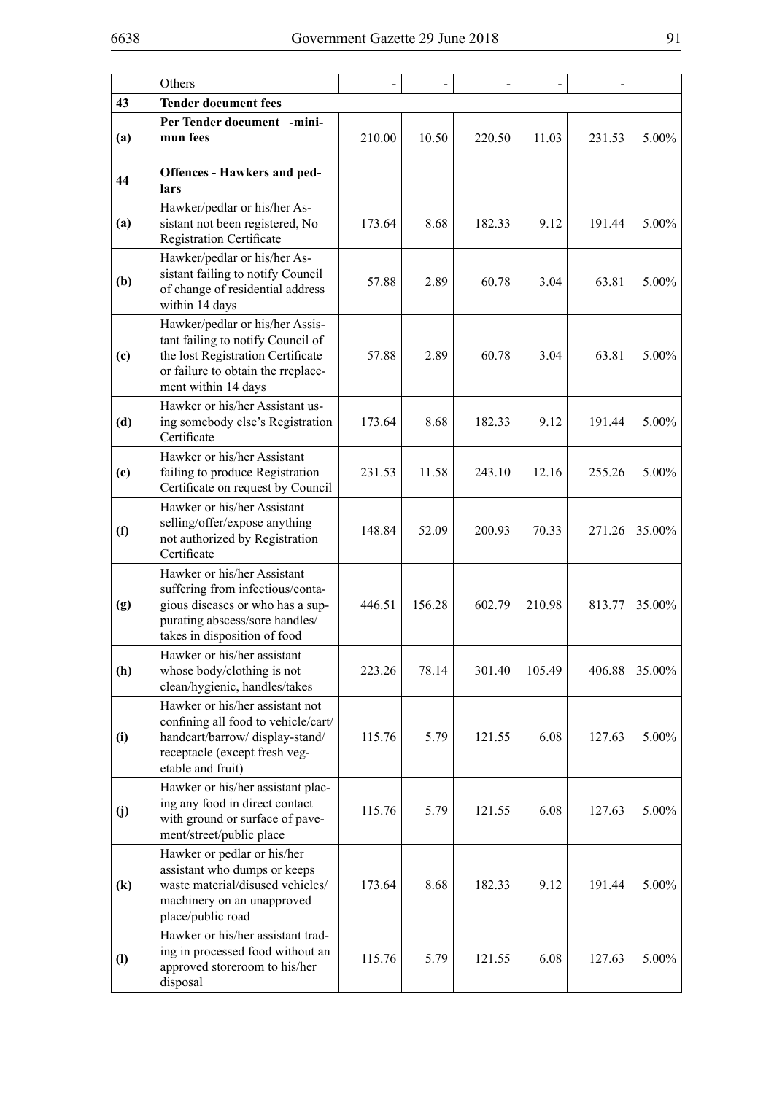|                             | Others                                                                                                                                                                 |        |        |        |        |        |        |
|-----------------------------|------------------------------------------------------------------------------------------------------------------------------------------------------------------------|--------|--------|--------|--------|--------|--------|
| 43                          | <b>Tender document fees</b>                                                                                                                                            |        |        |        |        |        |        |
| (a)                         | Per Tender document -mini-<br>mun fees                                                                                                                                 | 210.00 | 10.50  | 220.50 | 11.03  | 231.53 | 5.00%  |
| 44                          | <b>Offences - Hawkers and ped-</b><br>lars                                                                                                                             |        |        |        |        |        |        |
| (a)                         | Hawker/pedlar or his/her As-<br>sistant not been registered, No<br><b>Registration Certificate</b>                                                                     | 173.64 | 8.68   | 182.33 | 9.12   | 191.44 | 5.00%  |
| (b)                         | Hawker/pedlar or his/her As-<br>sistant failing to notify Council<br>of change of residential address<br>within 14 days                                                | 57.88  | 2.89   | 60.78  | 3.04   | 63.81  | 5.00%  |
| (c)                         | Hawker/pedlar or his/her Assis-<br>tant failing to notify Council of<br>the lost Registration Certificate<br>or failure to obtain the rreplace-<br>ment within 14 days | 57.88  | 2.89   | 60.78  | 3.04   | 63.81  | 5.00%  |
| (d)                         | Hawker or his/her Assistant us-<br>ing somebody else's Registration<br>Certificate                                                                                     | 173.64 | 8.68   | 182.33 | 9.12   | 191.44 | 5.00%  |
| (e)                         | Hawker or his/her Assistant<br>failing to produce Registration<br>Certificate on request by Council                                                                    | 231.53 | 11.58  | 243.10 | 12.16  | 255.26 | 5.00%  |
| (f)                         | Hawker or his/her Assistant<br>selling/offer/expose anything<br>not authorized by Registration<br>Certificate                                                          | 148.84 | 52.09  | 200.93 | 70.33  | 271.26 | 35.00% |
| (g)                         | Hawker or his/her Assistant<br>suffering from infectious/conta-<br>gious diseases or who has a sup-<br>purating abscess/sore handles/<br>takes in disposition of food  | 446.51 | 156.28 | 602.79 | 210.98 | 813.77 | 35.00% |
| (h)                         | Hawker or his/her assistant<br>whose body/clothing is not<br>clean/hygienic, handles/takes                                                                             | 223.26 | 78.14  | 301.40 | 105.49 | 406.88 | 35.00% |
| (i)                         | Hawker or his/her assistant not<br>confining all food to vehicle/cart/<br>handcart/barrow/display-stand/<br>receptacle (except fresh veg-<br>etable and fruit)         | 115.76 | 5.79   | 121.55 | 6.08   | 127.63 | 5.00%  |
| (j)                         | Hawker or his/her assistant plac-<br>ing any food in direct contact<br>with ground or surface of pave-<br>ment/street/public place                                     | 115.76 | 5.79   | 121.55 | 6.08   | 127.63 | 5.00%  |
| $\left( \mathbf{k}\right)$  | Hawker or pedlar or his/her<br>assistant who dumps or keeps<br>waste material/disused vehicles/<br>machinery on an unapproved<br>place/public road                     | 173.64 | 8.68   | 182.33 | 9.12   | 191.44 | 5.00%  |
| $\left( \mathbf{l} \right)$ | Hawker or his/her assistant trad-<br>ing in processed food without an<br>approved storeroom to his/her<br>disposal                                                     | 115.76 | 5.79   | 121.55 | 6.08   | 127.63 | 5.00%  |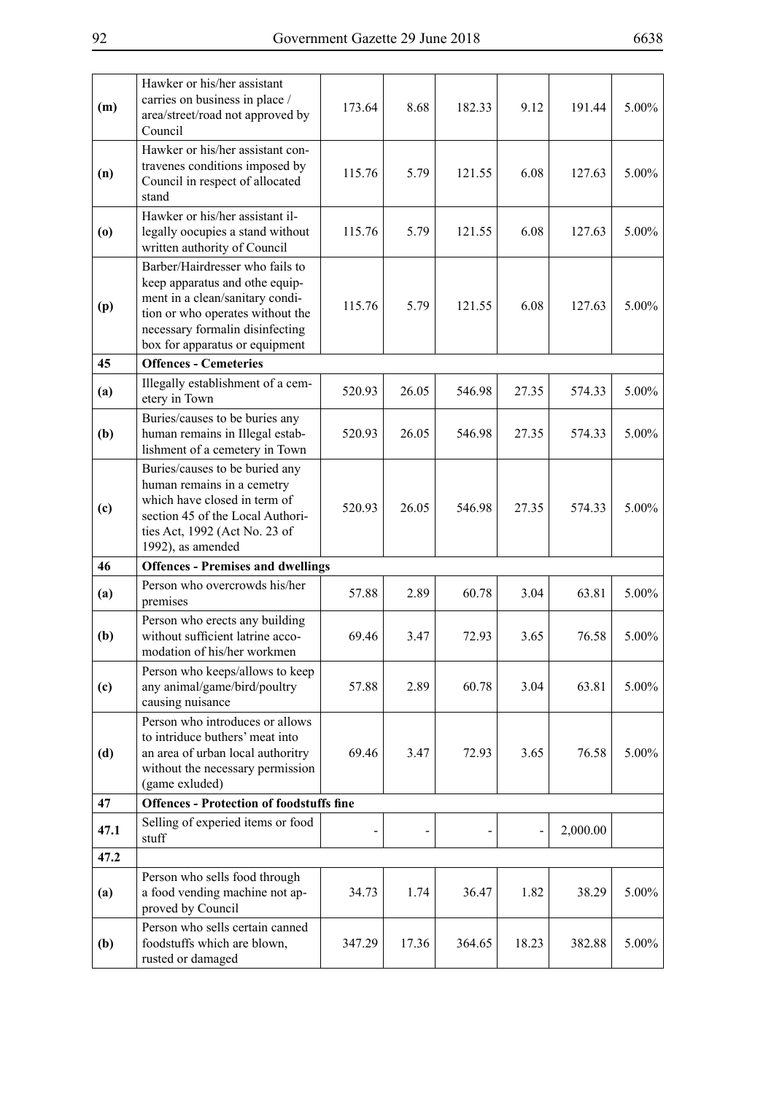| (m)  | Hawker or his/her assistant<br>carries on business in place /<br>area/street/road not approved by<br>Council                                                                                                  | 173.64 | 8.68  | 182.33 | 9.12  | 191.44   | 5.00%    |
|------|---------------------------------------------------------------------------------------------------------------------------------------------------------------------------------------------------------------|--------|-------|--------|-------|----------|----------|
| (n)  | Hawker or his/her assistant con-<br>travenes conditions imposed by<br>Council in respect of allocated<br>stand                                                                                                | 115.76 | 5.79  | 121.55 | 6.08  | 127.63   | 5.00%    |
| (0)  | Hawker or his/her assistant il-<br>legally oocupies a stand without<br>written authority of Council                                                                                                           | 115.76 | 5.79  | 121.55 | 6.08  | 127.63   | 5.00%    |
| (p)  | Barber/Hairdresser who fails to<br>keep apparatus and othe equip-<br>ment in a clean/sanitary condi-<br>tion or who operates without the<br>necessary formalin disinfecting<br>box for apparatus or equipment | 115.76 | 5.79  | 121.55 | 6.08  | 127.63   | 5.00%    |
| 45   | <b>Offences - Cemeteries</b>                                                                                                                                                                                  |        |       |        |       |          |          |
| (a)  | Illegally establishment of a cem-<br>etery in Town                                                                                                                                                            | 520.93 | 26.05 | 546.98 | 27.35 | 574.33   | 5.00%    |
| (b)  | Buries/causes to be buries any<br>human remains in Illegal estab-<br>lishment of a cemetery in Town                                                                                                           | 520.93 | 26.05 | 546.98 | 27.35 | 574.33   | 5.00%    |
| (c)  | Buries/causes to be buried any<br>human remains in a cemetry<br>which have closed in term of<br>section 45 of the Local Authori-<br>ties Act, 1992 (Act No. 23 of<br>1992), as amended                        | 520.93 | 26.05 | 546.98 | 27.35 | 574.33   | 5.00%    |
| 46   | <b>Offences - Premises and dwellings</b>                                                                                                                                                                      |        |       |        |       |          |          |
| (a)  | Person who overcrowds his/her<br>premises                                                                                                                                                                     | 57.88  | 2.89  | 60.78  | 3.04  | 63.81    | 5.00%    |
| (b)  | Person who erects any building<br>without sufficient latrine acco-<br>modation of his/her workmen                                                                                                             | 69.46  | 3.47  | 72.93  | 3.65  | 76.58    | 5.00%    |
| (c)  | Person who keeps/allows to keep<br>any animal/game/bird/poultry<br>causing nuisance                                                                                                                           | 57.88  | 2.89  | 60.78  | 3.04  | 63.81    | 5.00%    |
| (d)  | Person who introduces or allows<br>to intriduce buthers' meat into<br>an area of urban local authoritry<br>without the necessary permission<br>(game exluded)                                                 | 69.46  | 3.47  | 72.93  | 3.65  | 76.58    | 5.00%    |
| 47   | <b>Offences - Protection of foodstuffs fine</b>                                                                                                                                                               |        |       |        |       |          |          |
| 47.1 | Selling of experied items or food<br>stuff                                                                                                                                                                    |        |       |        |       | 2,000.00 |          |
| 47.2 |                                                                                                                                                                                                               |        |       |        |       |          |          |
| (a)  | Person who sells food through<br>a food vending machine not ap-<br>proved by Council                                                                                                                          | 34.73  | 1.74  | 36.47  | 1.82  | 38.29    | 5.00%    |
| (b)  | Person who sells certain canned<br>foodstuffs which are blown,<br>rusted or damaged                                                                                                                           | 347.29 | 17.36 | 364.65 | 18.23 | 382.88   | $5.00\%$ |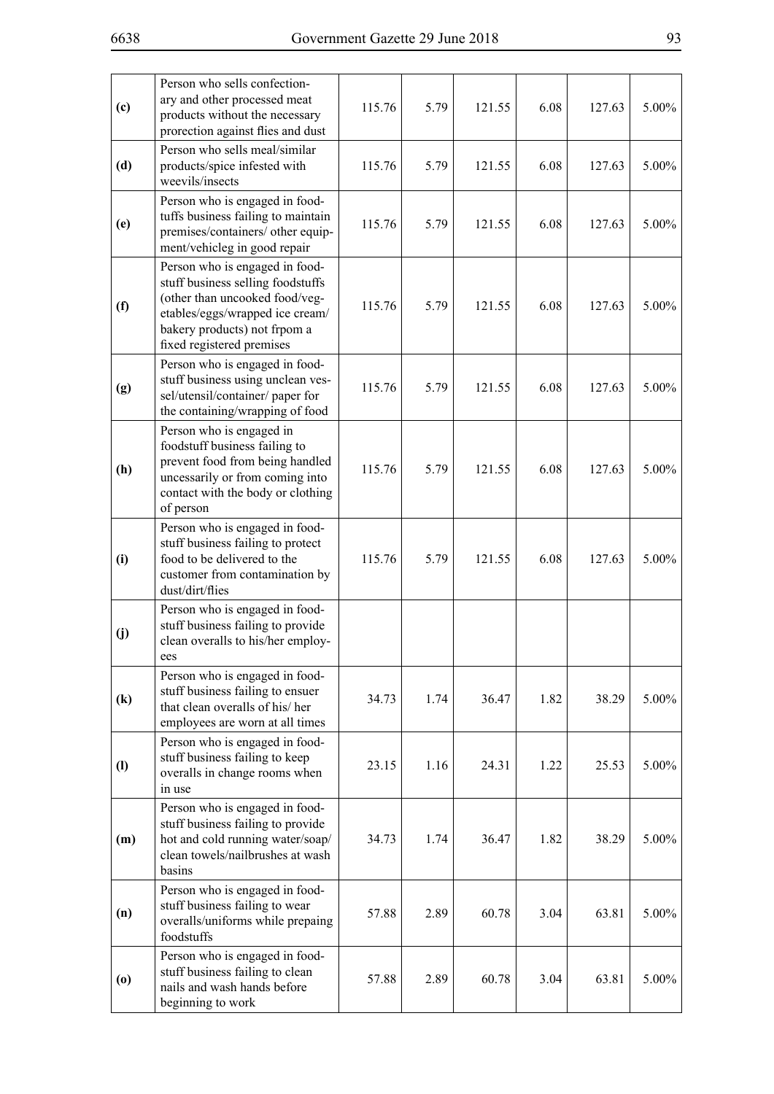| (c)                                      | Person who sells confection-<br>ary and other processed meat<br>products without the necessary<br>prorection against flies and dust                                                                   | 115.76 | 5.79 | 121.55 | 6.08 | 127.63 | 5.00% |
|------------------------------------------|-------------------------------------------------------------------------------------------------------------------------------------------------------------------------------------------------------|--------|------|--------|------|--------|-------|
| (d)                                      | Person who sells meal/similar<br>products/spice infested with<br>weevils/insects                                                                                                                      | 115.76 | 5.79 | 121.55 | 6.08 | 127.63 | 5.00% |
| (e)                                      | Person who is engaged in food-<br>tuffs business failing to maintain<br>premises/containers/ other equip-<br>ment/vehicleg in good repair                                                             | 115.76 | 5.79 | 121.55 | 6.08 | 127.63 | 5.00% |
| (f)                                      | Person who is engaged in food-<br>stuff business selling foodstuffs<br>(other than uncooked food/veg-<br>etables/eggs/wrapped ice cream/<br>bakery products) not frpom a<br>fixed registered premises | 115.76 | 5.79 | 121.55 | 6.08 | 127.63 | 5.00% |
| (g)                                      | Person who is engaged in food-<br>stuff business using unclean ves-<br>sel/utensil/container/ paper for<br>the containing/wrapping of food                                                            | 115.76 | 5.79 | 121.55 | 6.08 | 127.63 | 5.00% |
| (h)                                      | Person who is engaged in<br>foodstuff business failing to<br>prevent food from being handled<br>uncessarily or from coming into<br>contact with the body or clothing<br>of person                     | 115.76 | 5.79 | 121.55 | 6.08 | 127.63 | 5.00% |
| (i)                                      | Person who is engaged in food-<br>stuff business failing to protect<br>food to be delivered to the<br>customer from contamination by<br>dust/dirt/flies                                               | 115.76 | 5.79 | 121.55 | 6.08 | 127.63 | 5.00% |
| (j)                                      | Person who is engaged in food-<br>stuff business failing to provide<br>clean overalls to his/her employ-<br>ces                                                                                       |        |      |        |      |        |       |
| $\left( \mathbf{k}\right)$               | Person who is engaged in food-<br>stuff business failing to ensuer<br>that clean overalls of his/her<br>employees are worn at all times                                                               | 34.73  | 1.74 | 36.47  | 1.82 | 38.29  | 5.00% |
| $\left( \mathbf{l} \right)$              | Person who is engaged in food-<br>stuff business failing to keep<br>overalls in change rooms when<br>in use                                                                                           | 23.15  | 1.16 | 24.31  | 1.22 | 25.53  | 5.00% |
| (m)                                      | Person who is engaged in food-<br>stuff business failing to provide<br>hot and cold running water/soap/<br>clean towels/nailbrushes at wash<br>basins                                                 | 34.73  | 1.74 | 36.47  | 1.82 | 38.29  | 5.00% |
| (n)                                      | Person who is engaged in food-<br>stuff business failing to wear<br>overalls/uniforms while prepaing<br>foodstuffs                                                                                    | 57.88  | 2.89 | 60.78  | 3.04 | 63.81  | 5.00% |
| $\boldsymbol{\left( \mathbf{0}\right) }$ | Person who is engaged in food-<br>stuff business failing to clean<br>nails and wash hands before<br>beginning to work                                                                                 | 57.88  | 2.89 | 60.78  | 3.04 | 63.81  | 5.00% |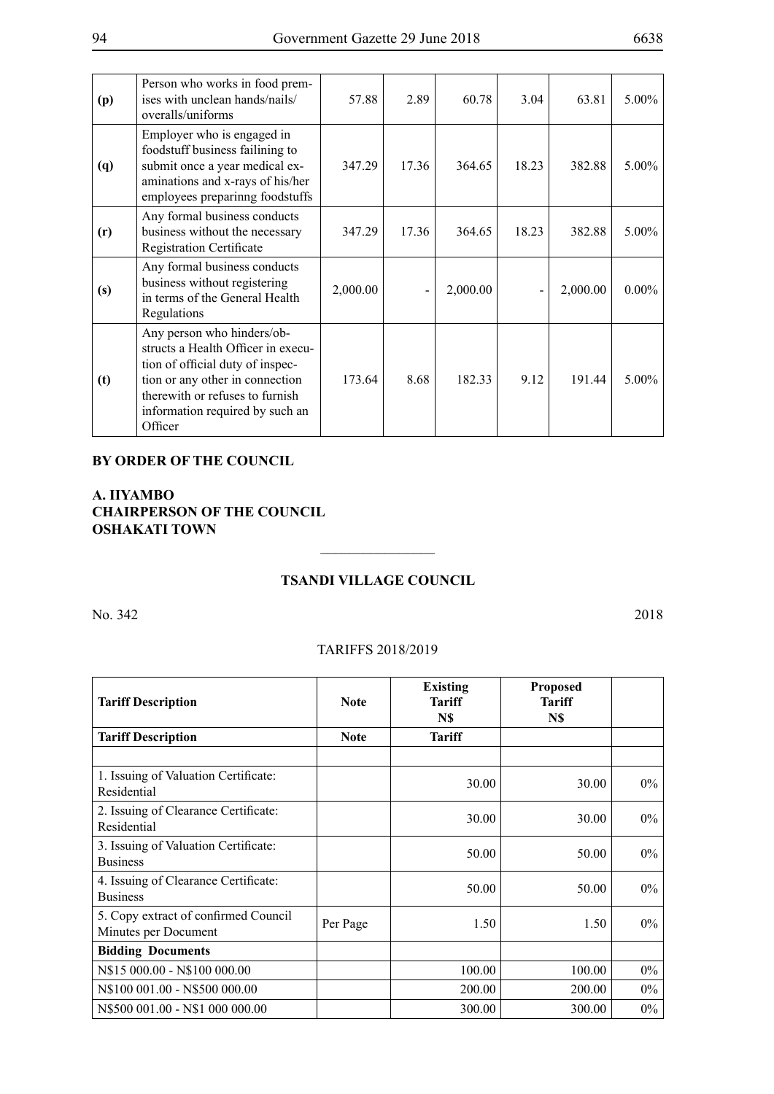| (p)        | Person who works in food prem-<br>ises with unclean hands/nails/<br>overalls/uniforms                                                                                                                                    | 57.88    | 2.89  | 60.78    | 3.04  | 63.81    | $5.00\%$ |
|------------|--------------------------------------------------------------------------------------------------------------------------------------------------------------------------------------------------------------------------|----------|-------|----------|-------|----------|----------|
| <b>(q)</b> | Employer who is engaged in<br>foodstuff business failining to<br>submit once a year medical ex-<br>aminations and x-rays of his/her<br>employees preparinng foodstuffs                                                   | 347.29   | 17.36 | 364.65   | 18.23 | 382.88   | $5.00\%$ |
| (r)        | Any formal business conducts<br>business without the necessary<br><b>Registration Certificate</b>                                                                                                                        | 347.29   | 17.36 | 364.65   | 18.23 | 382.88   | $5.00\%$ |
| (s)        | Any formal business conducts<br>business without registering<br>in terms of the General Health<br>Regulations                                                                                                            | 2,000.00 |       | 2,000.00 |       | 2,000.00 | $0.00\%$ |
| (t)        | Any person who hinders/ob-<br>structs a Health Officer in execu-<br>tion of official duty of inspec-<br>tion or any other in connection<br>therewith or refuses to furnish<br>information required by such an<br>Officer | 173.64   | 8.68  | 182.33   | 9.12  | 191.44   | $5.00\%$ |

## **BY ORDER OF THE COUNCIL**

# **A. IIYAMBO CHAIRPERSON OF THE COUNCIL OSHAKATI TOWN**

# **Tsandi Village Council**

 $\frac{1}{2}$ 

No. 342 2018

### TARIFFS 2018/2019

| <b>Tariff Description</b>                                    | <b>Note</b> | <b>Existing</b><br><b>Tariff</b><br>N\$ | <b>Proposed</b><br><b>Tariff</b><br>N\$ |       |
|--------------------------------------------------------------|-------------|-----------------------------------------|-----------------------------------------|-------|
| <b>Tariff Description</b>                                    | <b>Note</b> | <b>Tariff</b>                           |                                         |       |
| 1. Issuing of Valuation Certificate:<br>Residential          |             | 30.00                                   | 30.00                                   | $0\%$ |
| 2. Issuing of Clearance Certificate:<br>Residential          |             | 30.00                                   | 30.00                                   | $0\%$ |
| 3. Issuing of Valuation Certificate:<br><b>Business</b>      |             | 50.00                                   | 50.00                                   | $0\%$ |
| 4. Issuing of Clearance Certificate:<br><b>Business</b>      |             | 50.00                                   | 50.00                                   | $0\%$ |
| 5. Copy extract of confirmed Council<br>Minutes per Document | Per Page    | 1.50                                    | 1.50                                    | $0\%$ |
| <b>Bidding Documents</b>                                     |             |                                         |                                         |       |
| N\$15 000.00 - N\$100 000.00                                 |             | 100.00                                  | 100.00                                  | $0\%$ |
| N\\$100\;001.00 - N\\$500\;000.00                            |             | 200.00                                  | 200.00                                  | $0\%$ |
| N\$500 001.00 - N\$1 000 000.00                              |             | 300.00                                  | 300.00                                  | $0\%$ |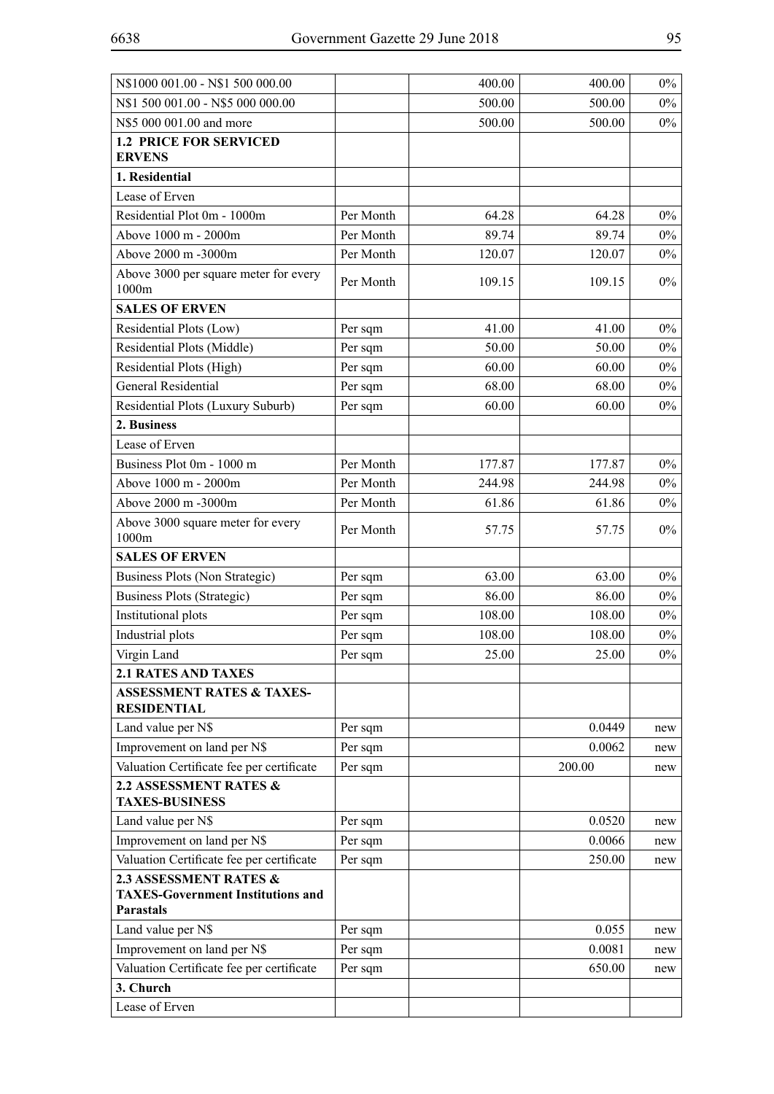| N\$1000 001.00 - N\$1 500 000.00                                   |           | 400.00 | 400.00 | $0\%$ |
|--------------------------------------------------------------------|-----------|--------|--------|-------|
| N\$1 500 001.00 - N\$5 000 000.00                                  |           | 500.00 | 500.00 | $0\%$ |
| N\$5 000 001.00 and more                                           |           | 500.00 | 500.00 | $0\%$ |
| <b>1.2 PRICE FOR SERVICED</b>                                      |           |        |        |       |
| <b>ERVENS</b>                                                      |           |        |        |       |
| 1. Residential                                                     |           |        |        |       |
| Lease of Erven                                                     |           |        |        |       |
| Residential Plot 0m - 1000m                                        | Per Month | 64.28  | 64.28  | $0\%$ |
| Above 1000 m - 2000m                                               | Per Month | 89.74  | 89.74  | $0\%$ |
| Above 2000 m -3000m                                                | Per Month | 120.07 | 120.07 | $0\%$ |
| Above 3000 per square meter for every<br>1000m                     | Per Month | 109.15 | 109.15 | $0\%$ |
| <b>SALES OF ERVEN</b>                                              |           |        |        |       |
| Residential Plots (Low)                                            | Per sqm   | 41.00  | 41.00  | $0\%$ |
| Residential Plots (Middle)                                         | Per sqm   | 50.00  | 50.00  | $0\%$ |
| Residential Plots (High)                                           | Per sqm   | 60.00  | 60.00  | $0\%$ |
| <b>General Residential</b>                                         | Per sqm   | 68.00  | 68.00  | $0\%$ |
| Residential Plots (Luxury Suburb)                                  | Per sqm   | 60.00  | 60.00  | $0\%$ |
| 2. Business                                                        |           |        |        |       |
| Lease of Erven                                                     |           |        |        |       |
| Business Plot 0m - 1000 m                                          | Per Month | 177.87 | 177.87 | $0\%$ |
| Above 1000 m - 2000m                                               | Per Month | 244.98 | 244.98 | $0\%$ |
| Above 2000 m -3000m                                                | Per Month | 61.86  | 61.86  | $0\%$ |
| Above 3000 square meter for every<br>1000m                         | Per Month | 57.75  | 57.75  | $0\%$ |
| <b>SALES OF ERVEN</b>                                              |           |        |        |       |
| Business Plots (Non Strategic)                                     | Per sqm   | 63.00  | 63.00  | $0\%$ |
| Business Plots (Strategic)                                         | Per sqm   | 86.00  | 86.00  | $0\%$ |
| Institutional plots                                                | Per sqm   | 108.00 | 108.00 | $0\%$ |
| Industrial plots                                                   | Per sqm   | 108.00 | 108.00 | $0\%$ |
| Virgin Land                                                        | Per sqm   | 25.00  | 25.00  | $0\%$ |
| <b>2.1 RATES AND TAXES</b>                                         |           |        |        |       |
| <b>ASSESSMENT RATES &amp; TAXES-</b><br><b>RESIDENTIAL</b>         |           |        |        |       |
| Land value per N\$                                                 | Per sqm   |        | 0.0449 | new   |
| Improvement on land per N\$                                        | Per sqm   |        | 0.0062 | new   |
| Valuation Certificate fee per certificate                          | Per sqm   |        | 200.00 | new   |
| 2.2 ASSESSMENT RATES &<br><b>TAXES-BUSINESS</b>                    |           |        |        |       |
| Land value per N\$                                                 | Per sqm   |        | 0.0520 | new   |
| Improvement on land per N\$                                        | Per sqm   |        | 0.0066 | new   |
| Valuation Certificate fee per certificate                          | Per sqm   |        | 250.00 | new   |
| 2.3 ASSESSMENT RATES &<br><b>TAXES-Government Institutions and</b> |           |        |        |       |
| <b>Parastals</b>                                                   |           |        |        |       |
| Land value per N\$                                                 | Per sqm   |        | 0.055  | new   |
| Improvement on land per N\$                                        | Per sqm   |        | 0.0081 | new   |
| Valuation Certificate fee per certificate                          | Per sqm   |        | 650.00 | new   |
| 3. Church                                                          |           |        |        |       |
| Lease of Erven                                                     |           |        |        |       |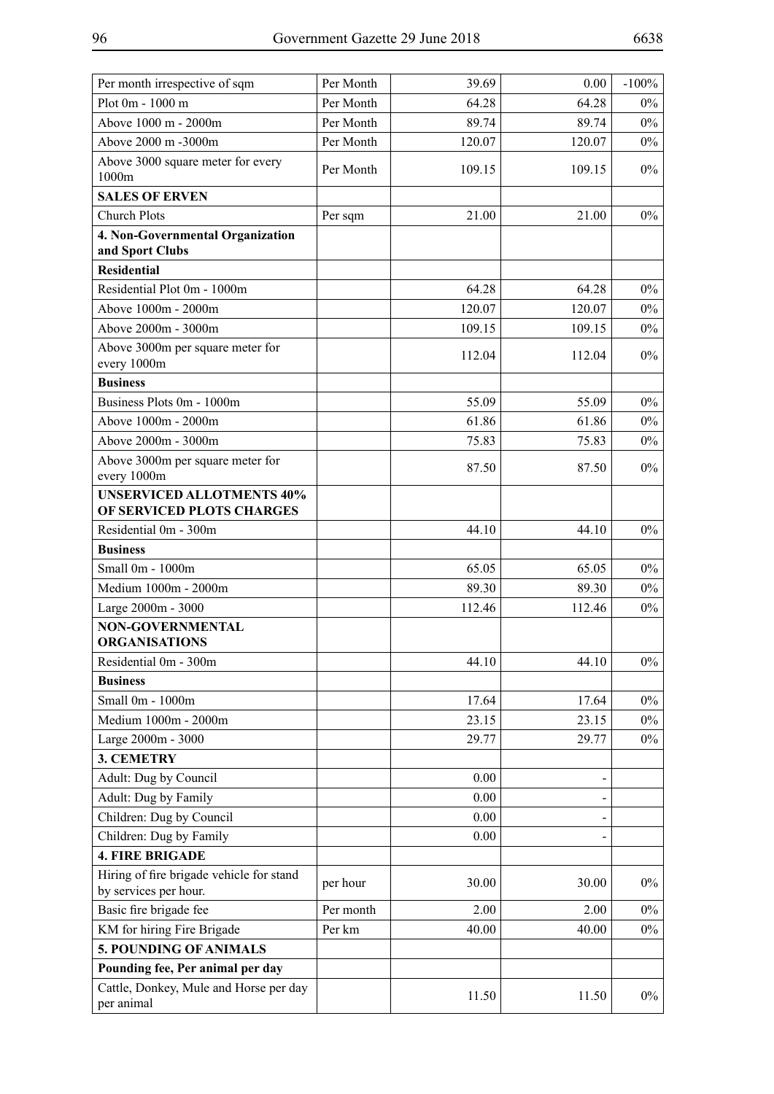| Per month irrespective of sqm                                 | Per Month | 39.69        | 0.00   | $-100\%$ |
|---------------------------------------------------------------|-----------|--------------|--------|----------|
| Plot 0m - 1000 m                                              | Per Month | 64.28        | 64.28  | $0\%$    |
| Above 1000 m - 2000m                                          | Per Month | 89.74        | 89.74  | $0\%$    |
| Above 2000 m -3000m                                           | Per Month | 120.07       | 120.07 | $0\%$    |
| Above 3000 square meter for every<br>1000m                    | Per Month | 109.15       | 109.15 | $0\%$    |
| <b>SALES OF ERVEN</b>                                         |           |              |        |          |
| <b>Church Plots</b>                                           | Per sqm   | 21.00        | 21.00  | $0\%$    |
| 4. Non-Governmental Organization<br>and Sport Clubs           |           |              |        |          |
| <b>Residential</b>                                            |           |              |        |          |
| Residential Plot 0m - 1000m                                   |           | 64.28        | 64.28  | $0\%$    |
| Above 1000m - 2000m                                           |           | 120.07       | 120.07 | $0\%$    |
| Above 2000m - 3000m                                           |           | 109.15       | 109.15 | $0\%$    |
| Above 3000m per square meter for<br>every 1000m               |           | 112.04       | 112.04 | $0\%$    |
| <b>Business</b>                                               |           |              |        |          |
| Business Plots 0m - 1000m                                     |           | 55.09        | 55.09  | $0\%$    |
| Above 1000m - 2000m                                           |           | 61.86        | 61.86  | $0\%$    |
| Above 2000m - 3000m                                           |           | 75.83        | 75.83  | $0\%$    |
| Above 3000m per square meter for                              |           | 87.50        | 87.50  | $0\%$    |
| every 1000m                                                   |           |              |        |          |
| <b>UNSERVICED ALLOTMENTS 40%</b><br>OF SERVICED PLOTS CHARGES |           |              |        |          |
| Residential 0m - 300m                                         |           | 44.10        | 44.10  | $0\%$    |
| <b>Business</b>                                               |           |              |        |          |
| Small 0m - 1000m                                              |           | 65.05        | 65.05  | $0\%$    |
| Medium 1000m - 2000m                                          |           | 89.30        | 89.30  | $0\%$    |
| Large 2000m - 3000                                            |           | 112.46       | 112.46 | $0\%$    |
| <b>NON-GOVERNMENTAL</b><br><b>ORGANISATIONS</b>               |           |              |        |          |
| Residential 0m - 300m                                         |           | 44.10        | 44.10  | $0\%$    |
| <b>Business</b>                                               |           |              |        |          |
| Small 0m - 1000m                                              |           | 17.64        | 17.64  | $0\%$    |
| Medium 1000m - 2000m                                          |           | 23.15        | 23.15  | $0\%$    |
| Large 2000m - 3000                                            |           | 29.77        | 29.77  | $0\%$    |
| 3. CEMETRY                                                    |           |              |        |          |
| Adult: Dug by Council                                         |           | 0.00         |        |          |
| Adult: Dug by Family                                          |           | 0.00         |        |          |
| Children: Dug by Council<br>Children: Dug by Family           |           | 0.00<br>0.00 |        |          |
| <b>4. FIRE BRIGADE</b>                                        |           |              |        |          |
| Hiring of fire brigade vehicle for stand                      |           |              |        |          |
| by services per hour.                                         | per hour  | 30.00        | 30.00  | $0\%$    |
| Basic fire brigade fee                                        | Per month | 2.00         | 2.00   | $0\%$    |
| KM for hiring Fire Brigade                                    | Per km    | 40.00        | 40.00  | $0\%$    |
| 5. POUNDING OF ANIMALS                                        |           |              |        |          |
| Pounding fee, Per animal per day                              |           |              |        |          |
| Cattle, Donkey, Mule and Horse per day<br>per animal          |           | 11.50        | 11.50  | $0\%$    |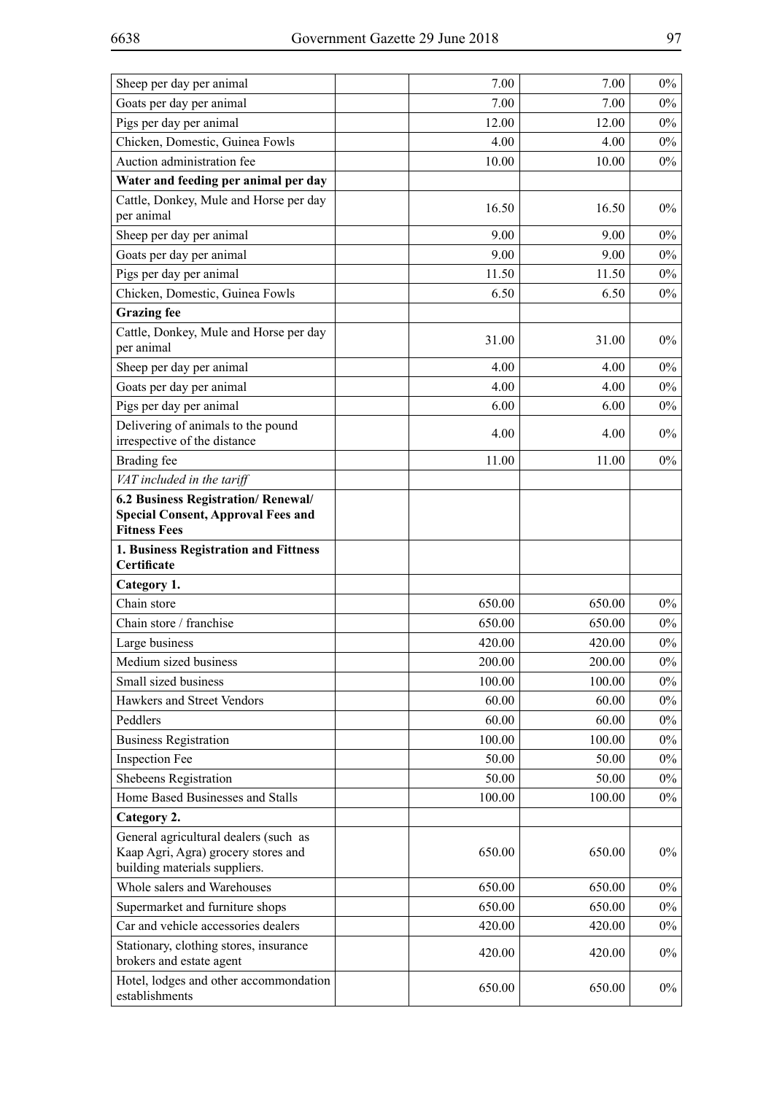| Sheep per day per animal                                                                                      | 7.00   | 7.00   | $0\%$ |
|---------------------------------------------------------------------------------------------------------------|--------|--------|-------|
| Goats per day per animal                                                                                      | 7.00   | 7.00   | $0\%$ |
| Pigs per day per animal                                                                                       | 12.00  | 12.00  | $0\%$ |
| Chicken, Domestic, Guinea Fowls                                                                               | 4.00   | 4.00   | $0\%$ |
| Auction administration fee                                                                                    | 10.00  | 10.00  | $0\%$ |
| Water and feeding per animal per day                                                                          |        |        |       |
| Cattle, Donkey, Mule and Horse per day<br>per animal                                                          | 16.50  | 16.50  | $0\%$ |
| Sheep per day per animal                                                                                      | 9.00   | 9.00   | $0\%$ |
| Goats per day per animal                                                                                      | 9.00   | 9.00   | $0\%$ |
| Pigs per day per animal                                                                                       | 11.50  | 11.50  | $0\%$ |
| Chicken, Domestic, Guinea Fowls                                                                               | 6.50   | 6.50   | $0\%$ |
| <b>Grazing</b> fee                                                                                            |        |        |       |
| Cattle, Donkey, Mule and Horse per day<br>per animal                                                          | 31.00  | 31.00  | $0\%$ |
| Sheep per day per animal                                                                                      | 4.00   | 4.00   | $0\%$ |
| Goats per day per animal                                                                                      | 4.00   | 4.00   | $0\%$ |
| Pigs per day per animal                                                                                       | 6.00   | 6.00   | $0\%$ |
| Delivering of animals to the pound<br>irrespective of the distance                                            | 4.00   | 4.00   | $0\%$ |
| Brading fee                                                                                                   | 11.00  | 11.00  | $0\%$ |
| VAT included in the tariff                                                                                    |        |        |       |
| 6.2 Business Registration/ Renewal/                                                                           |        |        |       |
| <b>Special Consent, Approval Fees and</b><br><b>Fitness Fees</b>                                              |        |        |       |
| 1. Business Registration and Fittness<br>Certificate                                                          |        |        |       |
| Category 1.                                                                                                   |        |        |       |
| Chain store                                                                                                   | 650.00 | 650.00 | $0\%$ |
| Chain store / franchise                                                                                       | 650.00 | 650.00 | $0\%$ |
| Large business                                                                                                | 420.00 | 420.00 | $0\%$ |
| Medium sized business                                                                                         | 200.00 | 200.00 | $0\%$ |
| Small sized business                                                                                          | 100.00 | 100.00 | $0\%$ |
| Hawkers and Street Vendors                                                                                    | 60.00  | 60.00  | $0\%$ |
| Peddlers                                                                                                      | 60.00  | 60.00  | $0\%$ |
| <b>Business Registration</b>                                                                                  | 100.00 | 100.00 | $0\%$ |
| <b>Inspection Fee</b>                                                                                         | 50.00  | 50.00  | $0\%$ |
| Shebeens Registration                                                                                         | 50.00  | 50.00  | $0\%$ |
| Home Based Businesses and Stalls                                                                              | 100.00 | 100.00 | $0\%$ |
| Category 2.                                                                                                   |        |        |       |
| General agricultural dealers (such as<br>Kaap Agri, Agra) grocery stores and<br>building materials suppliers. | 650.00 | 650.00 | $0\%$ |
| Whole salers and Warehouses                                                                                   | 650.00 | 650.00 | $0\%$ |
| Supermarket and furniture shops                                                                               | 650.00 | 650.00 | $0\%$ |
| Car and vehicle accessories dealers                                                                           | 420.00 | 420.00 | $0\%$ |
| Stationary, clothing stores, insurance<br>brokers and estate agent                                            | 420.00 | 420.00 | $0\%$ |
| Hotel, lodges and other accommondation<br>establishments                                                      | 650.00 | 650.00 | $0\%$ |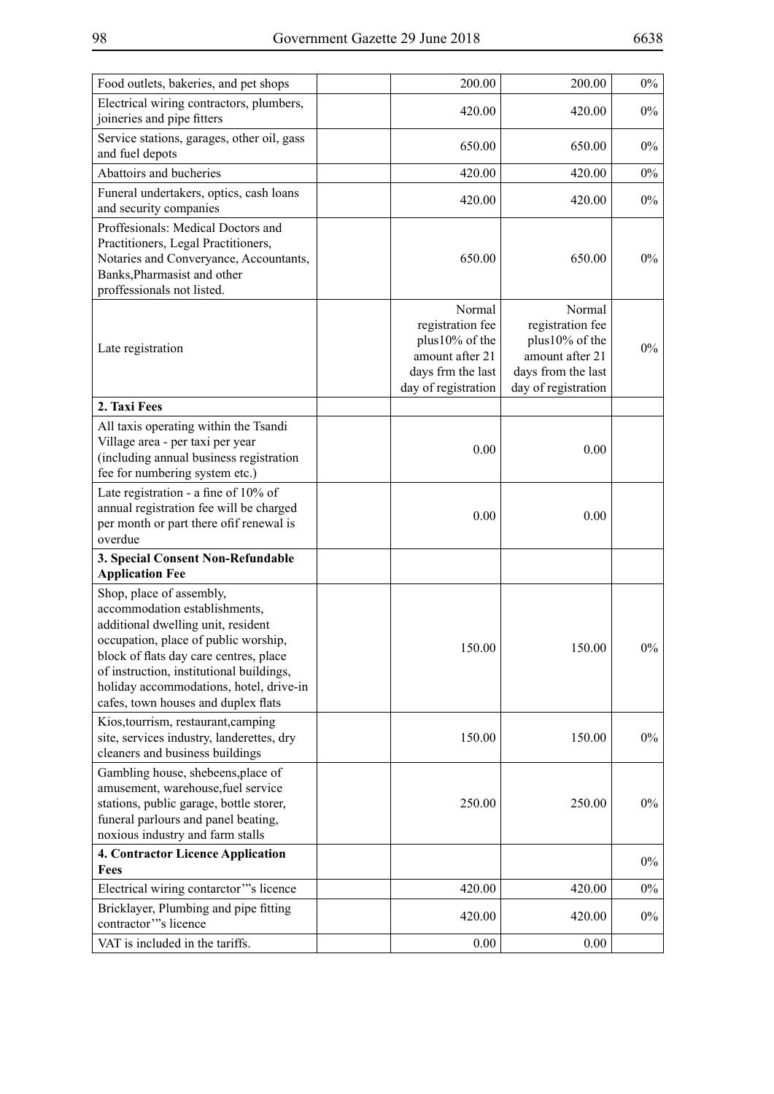| Food outlets, bakeries, and pet shops                                                                                                                                                                                                                                                                           | 200.00                                                                                                      | 200.00                                                                                                       | $0\%$ |
|-----------------------------------------------------------------------------------------------------------------------------------------------------------------------------------------------------------------------------------------------------------------------------------------------------------------|-------------------------------------------------------------------------------------------------------------|--------------------------------------------------------------------------------------------------------------|-------|
| Electrical wiring contractors, plumbers,<br>joineries and pipe fitters                                                                                                                                                                                                                                          | 420.00                                                                                                      | 420.00                                                                                                       | $0\%$ |
| Service stations, garages, other oil, gass<br>and fuel depots                                                                                                                                                                                                                                                   | 650.00                                                                                                      | 650.00                                                                                                       | $0\%$ |
| Abattoirs and bucheries                                                                                                                                                                                                                                                                                         | 420.00                                                                                                      | 420.00                                                                                                       | $0\%$ |
| Funeral undertakers, optics, cash loans<br>and security companies                                                                                                                                                                                                                                               | 420.00                                                                                                      | 420.00                                                                                                       | $0\%$ |
| Proffesionals: Medical Doctors and<br>Practitioners, Legal Practitioners,<br>Notaries and Converyance, Accountants,<br>Banks, Pharmasist and other<br>proffessionals not listed.                                                                                                                                | 650.00                                                                                                      | 650.00                                                                                                       | $0\%$ |
| Late registration                                                                                                                                                                                                                                                                                               | Normal<br>registration fee<br>plus10% of the<br>amount after 21<br>days frm the last<br>day of registration | Normal<br>registration fee<br>plus10% of the<br>amount after 21<br>days from the last<br>day of registration | $0\%$ |
| 2. Taxi Fees                                                                                                                                                                                                                                                                                                    |                                                                                                             |                                                                                                              |       |
| All taxis operating within the Tsandi<br>Village area - per taxi per year<br>(including annual business registration<br>fee for numbering system etc.)                                                                                                                                                          | 0.00                                                                                                        | 0.00                                                                                                         |       |
| Late registration - a fine of 10% of<br>annual registration fee will be charged<br>per month or part there of if renewal is<br>overdue                                                                                                                                                                          | 0.00                                                                                                        | 0.00                                                                                                         |       |
| 3. Special Consent Non-Refundable<br><b>Application Fee</b>                                                                                                                                                                                                                                                     |                                                                                                             |                                                                                                              |       |
| Shop, place of assembly,<br>accommodation establishments,<br>additional dwelling unit, resident<br>occupation, place of public worship,<br>block of flats day care centres, place<br>of instruction, institutional buildings,<br>holiday accommodations, hotel, drive-in<br>cafes, town houses and duplex flats | 150.00                                                                                                      | 150.00                                                                                                       | $0\%$ |
| Kios, tourrism, restaurant, camping<br>site, services industry, landerettes, dry<br>cleaners and business buildings                                                                                                                                                                                             | 150.00                                                                                                      | 150.00                                                                                                       | $0\%$ |
| Gambling house, shebeens, place of<br>amusement, warehouse, fuel service<br>stations, public garage, bottle storer,<br>funeral parlours and panel beating,<br>noxious industry and farm stalls                                                                                                                  | 250.00                                                                                                      | 250.00                                                                                                       | $0\%$ |
| 4. Contractor Licence Application<br>Fees                                                                                                                                                                                                                                                                       |                                                                                                             |                                                                                                              | $0\%$ |
| Electrical wiring contarctor"'s licence                                                                                                                                                                                                                                                                         | 420.00                                                                                                      | 420.00                                                                                                       | $0\%$ |
| Bricklayer, Plumbing and pipe fitting<br>contractor"'s licence                                                                                                                                                                                                                                                  | 420.00                                                                                                      | 420.00                                                                                                       | $0\%$ |
| VAT is included in the tariffs.                                                                                                                                                                                                                                                                                 | 0.00                                                                                                        | 0.00                                                                                                         |       |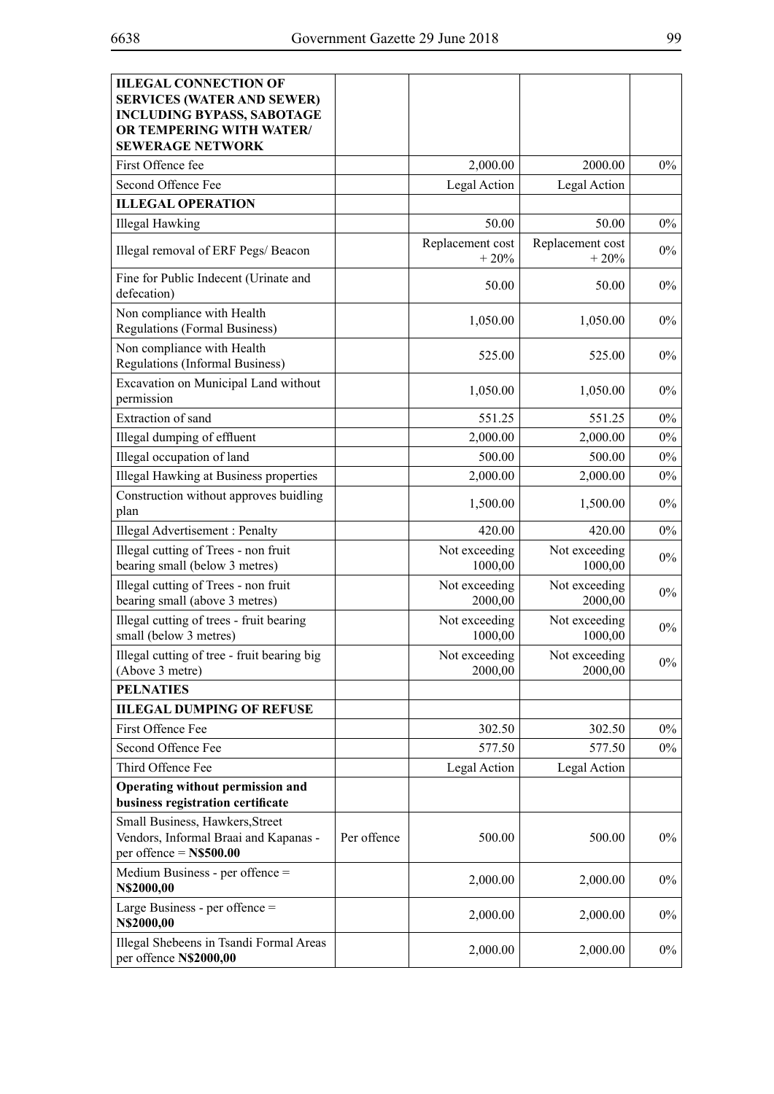| <b>IILEGAL CONNECTION OF</b><br><b>SERVICES (WATER AND SEWER)</b><br><b>INCLUDING BYPASS, SABOTAGE</b><br>OR TEMPERING WITH WATER/<br><b>SEWERAGE NETWORK</b> |             |                            |                            |       |
|---------------------------------------------------------------------------------------------------------------------------------------------------------------|-------------|----------------------------|----------------------------|-------|
| First Offence fee                                                                                                                                             |             | 2,000.00                   | 2000.00                    | $0\%$ |
| Second Offence Fee                                                                                                                                            |             | Legal Action               | Legal Action               |       |
| <b>ILLEGAL OPERATION</b>                                                                                                                                      |             |                            |                            |       |
| <b>Illegal Hawking</b>                                                                                                                                        |             | 50.00                      | 50.00                      | $0\%$ |
| Illegal removal of ERF Pegs/ Beacon                                                                                                                           |             | Replacement cost<br>$+20%$ | Replacement cost<br>$+20%$ | $0\%$ |
| Fine for Public Indecent (Urinate and<br>defecation)                                                                                                          |             | 50.00                      | 50.00                      | $0\%$ |
| Non compliance with Health<br><b>Regulations (Formal Business)</b>                                                                                            |             | 1,050.00                   | 1,050.00                   | $0\%$ |
| Non compliance with Health<br><b>Regulations (Informal Business)</b>                                                                                          |             | 525.00                     | 525.00                     | $0\%$ |
| Excavation on Municipal Land without<br>permission                                                                                                            |             | 1,050.00                   | 1,050.00                   | $0\%$ |
| Extraction of sand                                                                                                                                            |             | 551.25                     | 551.25                     | $0\%$ |
| Illegal dumping of effluent                                                                                                                                   |             | 2,000.00                   | 2,000.00                   | $0\%$ |
| Illegal occupation of land                                                                                                                                    |             | 500.00                     | 500.00                     | $0\%$ |
| Illegal Hawking at Business properties                                                                                                                        |             | 2,000.00                   | 2,000.00                   | $0\%$ |
| Construction without approves buidling<br>plan                                                                                                                |             | 1,500.00                   | 1,500.00                   | $0\%$ |
| Illegal Advertisement : Penalty                                                                                                                               |             | 420.00                     | 420.00                     | $0\%$ |
| Illegal cutting of Trees - non fruit<br>bearing small (below 3 metres)                                                                                        |             | Not exceeding<br>1000,00   | Not exceeding<br>1000,00   | $0\%$ |
| Illegal cutting of Trees - non fruit<br>bearing small (above 3 metres)                                                                                        |             | Not exceeding<br>2000,00   | Not exceeding<br>2000,00   | $0\%$ |
| Illegal cutting of trees - fruit bearing<br>small (below 3 metres)                                                                                            |             | Not exceeding<br>1000,00   | Not exceeding<br>1000,00   | $0\%$ |
| Illegal cutting of tree - fruit bearing big<br>(Above 3 metre)                                                                                                |             | Not exceeding<br>2000,00   | Not exceeding<br>2000,00   | $0\%$ |
| <b>PELNATIES</b>                                                                                                                                              |             |                            |                            |       |
| <b>IILEGAL DUMPING OF REFUSE</b>                                                                                                                              |             |                            |                            |       |
| First Offence Fee                                                                                                                                             |             | 302.50                     | 302.50                     | $0\%$ |
| Second Offence Fee                                                                                                                                            |             | 577.50                     | 577.50                     | $0\%$ |
| Third Offence Fee                                                                                                                                             |             | Legal Action               | Legal Action               |       |
| Operating without permission and<br>business registration certificate                                                                                         |             |                            |                            |       |
| Small Business, Hawkers, Street<br>Vendors, Informal Braai and Kapanas -<br>per offence $=$ N\$500.00                                                         | Per offence | 500.00                     | 500.00                     | $0\%$ |
| Medium Business - per offence =<br>N\$2000,00                                                                                                                 |             | 2,000.00                   | 2,000.00                   | $0\%$ |
| Large Business - per offence $=$<br>N\$2000,00                                                                                                                |             | 2,000.00                   | 2,000.00                   | $0\%$ |
| Illegal Shebeens in Tsandi Formal Areas<br>per offence N\$2000,00                                                                                             |             | 2,000.00                   | 2,000.00                   | $0\%$ |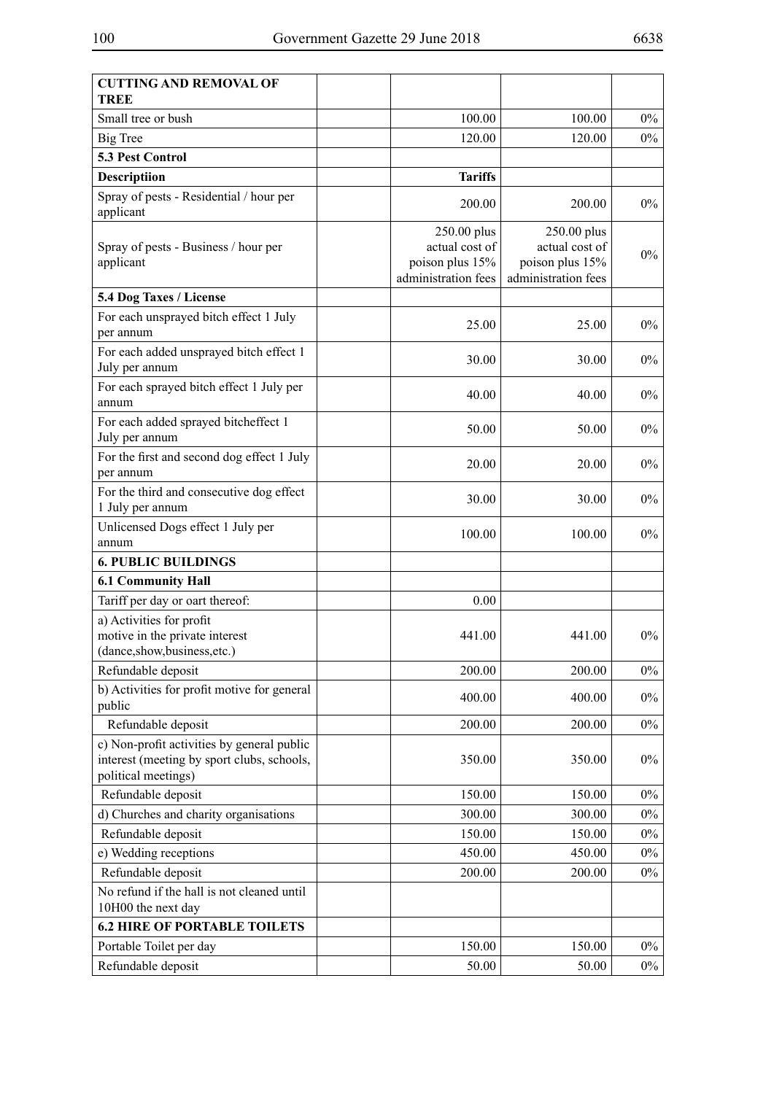| <b>CUTTING AND REMOVAL OF</b><br>TREE                                                                           |                                                                         |                                                                         |       |
|-----------------------------------------------------------------------------------------------------------------|-------------------------------------------------------------------------|-------------------------------------------------------------------------|-------|
| Small tree or bush                                                                                              | 100.00                                                                  | 100.00                                                                  | $0\%$ |
| Big Tree                                                                                                        | 120.00                                                                  | 120.00                                                                  | $0\%$ |
| <b>5.3 Pest Control</b>                                                                                         |                                                                         |                                                                         |       |
| <b>Descriptiion</b>                                                                                             | <b>Tariffs</b>                                                          |                                                                         |       |
| Spray of pests - Residential / hour per<br>applicant                                                            | 200.00                                                                  | 200.00                                                                  | $0\%$ |
| Spray of pests - Business / hour per<br>applicant                                                               | 250.00 plus<br>actual cost of<br>poison plus 15%<br>administration fees | 250.00 plus<br>actual cost of<br>poison plus 15%<br>administration fees | $0\%$ |
| 5.4 Dog Taxes / License                                                                                         |                                                                         |                                                                         |       |
| For each unsprayed bitch effect 1 July<br>per annum                                                             | 25.00                                                                   | 25.00                                                                   | $0\%$ |
| For each added unsprayed bitch effect 1<br>July per annum                                                       | 30.00                                                                   | 30.00                                                                   | $0\%$ |
| For each sprayed bitch effect 1 July per<br>annum                                                               | 40.00                                                                   | 40.00                                                                   | $0\%$ |
| For each added sprayed bitcheffect 1<br>July per annum                                                          | 50.00                                                                   | 50.00                                                                   | $0\%$ |
| For the first and second dog effect 1 July<br>per annum                                                         | 20.00                                                                   | 20.00                                                                   | $0\%$ |
| For the third and consecutive dog effect<br>1 July per annum                                                    | 30.00                                                                   | 30.00                                                                   | $0\%$ |
| Unlicensed Dogs effect 1 July per<br>annum                                                                      | 100.00                                                                  | 100.00                                                                  | $0\%$ |
| <b>6. PUBLIC BUILDINGS</b>                                                                                      |                                                                         |                                                                         |       |
| <b>6.1 Community Hall</b>                                                                                       |                                                                         |                                                                         |       |
| Tariff per day or oart thereof:                                                                                 | 0.00                                                                    |                                                                         |       |
| a) Activities for profit<br>motive in the private interest<br>(dance,show,business,etc.)                        | 441.00                                                                  | 441.00                                                                  | $0\%$ |
| Refundable deposit                                                                                              | 200.00                                                                  | 200.00                                                                  | $0\%$ |
| b) Activities for profit motive for general<br>public                                                           | 400.00                                                                  | 400.00                                                                  | $0\%$ |
| Refundable deposit                                                                                              | 200.00                                                                  | 200.00                                                                  | $0\%$ |
| c) Non-profit activities by general public<br>interest (meeting by sport clubs, schools,<br>political meetings) | 350.00                                                                  | 350.00                                                                  | $0\%$ |
| Refundable deposit                                                                                              | 150.00                                                                  | 150.00                                                                  | $0\%$ |
| d) Churches and charity organisations                                                                           | 300.00                                                                  | 300.00                                                                  | $0\%$ |
| Refundable deposit                                                                                              | 150.00                                                                  | 150.00                                                                  | $0\%$ |
| e) Wedding receptions                                                                                           | 450.00                                                                  | 450.00                                                                  | $0\%$ |
| Refundable deposit                                                                                              | 200.00                                                                  | 200.00                                                                  | $0\%$ |
| No refund if the hall is not cleaned until<br>10H00 the next day                                                |                                                                         |                                                                         |       |
| <b>6.2 HIRE OF PORTABLE TOILETS</b>                                                                             |                                                                         |                                                                         |       |
| Portable Toilet per day                                                                                         | 150.00                                                                  | 150.00                                                                  | $0\%$ |
| Refundable deposit                                                                                              | 50.00                                                                   | 50.00                                                                   | $0\%$ |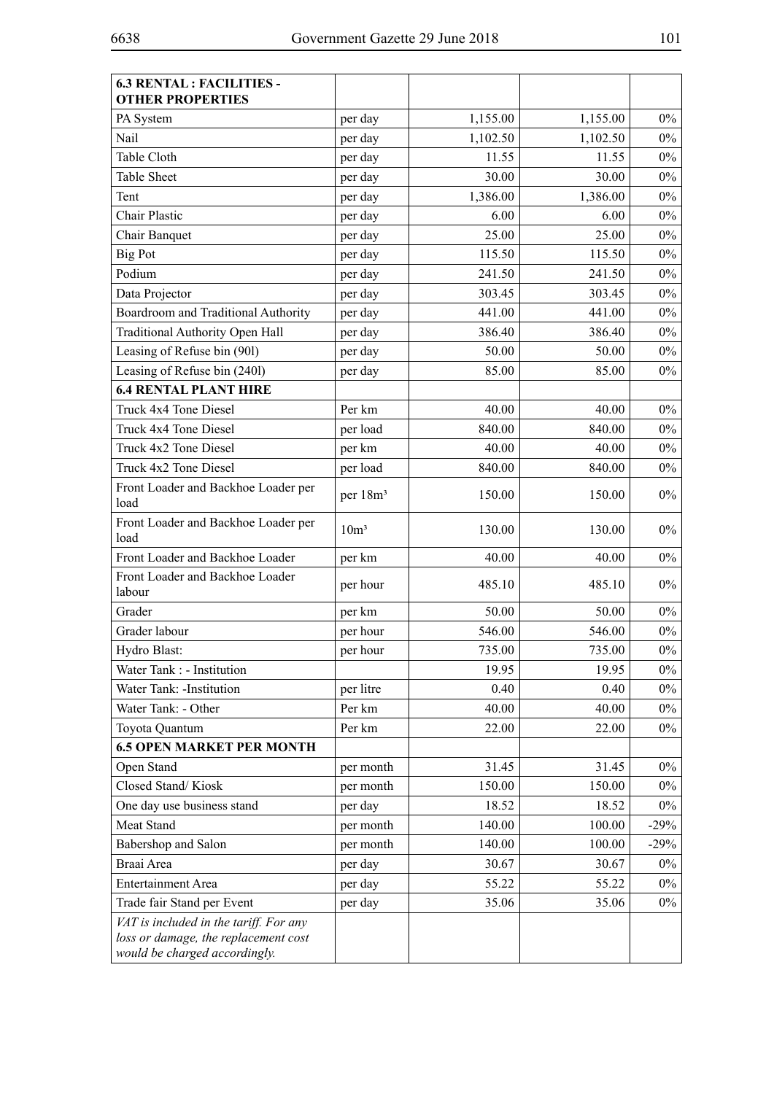| <b>6.3 RENTAL: FACILITIES -</b><br><b>OTHER PROPERTIES</b>                                                      |                      |          |          |        |
|-----------------------------------------------------------------------------------------------------------------|----------------------|----------|----------|--------|
| PA System                                                                                                       | per day              | 1,155.00 | 1,155.00 | $0\%$  |
| Nail                                                                                                            | per day              | 1,102.50 | 1,102.50 | $0\%$  |
| Table Cloth                                                                                                     | per day              | 11.55    | 11.55    | $0\%$  |
| <b>Table Sheet</b>                                                                                              | per day              | 30.00    | 30.00    | $0\%$  |
| Tent                                                                                                            | per day              | 1,386.00 | 1,386.00 | $0\%$  |
| <b>Chair Plastic</b>                                                                                            | per day              | 6.00     | 6.00     | $0\%$  |
| Chair Banquet                                                                                                   | per day              | 25.00    | 25.00    | $0\%$  |
| <b>Big Pot</b>                                                                                                  | per day              | 115.50   | 115.50   | $0\%$  |
| Podium                                                                                                          | per day              | 241.50   | 241.50   | $0\%$  |
| Data Projector                                                                                                  | per day              | 303.45   | 303.45   | $0\%$  |
| Boardroom and Traditional Authority                                                                             | per day              | 441.00   | 441.00   | $0\%$  |
| <b>Traditional Authority Open Hall</b>                                                                          | per day              | 386.40   | 386.40   | $0\%$  |
| Leasing of Refuse bin (901)                                                                                     | per day              | 50.00    | 50.00    | $0\%$  |
| Leasing of Refuse bin (240l)                                                                                    | per day              | 85.00    | 85.00    | $0\%$  |
| <b>6.4 RENTAL PLANT HIRE</b>                                                                                    |                      |          |          |        |
| Truck 4x4 Tone Diesel                                                                                           | Per km               | 40.00    | 40.00    | $0\%$  |
| Truck 4x4 Tone Diesel                                                                                           | per load             | 840.00   | 840.00   | $0\%$  |
| Truck 4x2 Tone Diesel                                                                                           | per km               | 40.00    | 40.00    | $0\%$  |
| Truck 4x2 Tone Diesel                                                                                           | per load             | 840.00   | 840.00   | $0\%$  |
| Front Loader and Backhoe Loader per<br>load                                                                     | per 18m <sup>3</sup> | 150.00   | 150.00   | $0\%$  |
| Front Loader and Backhoe Loader per<br>load                                                                     | 10 <sup>m3</sup>     | 130.00   | 130.00   | $0\%$  |
| Front Loader and Backhoe Loader                                                                                 | per km               | 40.00    | 40.00    | $0\%$  |
| Front Loader and Backhoe Loader<br>labour                                                                       | per hour             | 485.10   | 485.10   | $0\%$  |
| Grader                                                                                                          | per km               | 50.00    | 50.00    | $0\%$  |
| Grader labour                                                                                                   | per hour             | 546.00   | 546.00   | $0\%$  |
| Hydro Blast:                                                                                                    | per hour             | 735.00   | 735.00   | $0\%$  |
| Water Tank : - Institution                                                                                      |                      | 19.95    | 19.95    | $0\%$  |
| Water Tank: -Institution                                                                                        | per litre            | 0.40     | 0.40     | $0\%$  |
| Water Tank: - Other                                                                                             | Per km               | 40.00    | 40.00    | $0\%$  |
| Toyota Quantum                                                                                                  | Per km               | 22.00    | 22.00    | $0\%$  |
| <b>6.5 OPEN MARKET PER MONTH</b>                                                                                |                      |          |          |        |
| Open Stand                                                                                                      | per month            | 31.45    | 31.45    | $0\%$  |
| Closed Stand/Kiosk                                                                                              | per month            | 150.00   | 150.00   | $0\%$  |
| One day use business stand                                                                                      | per day              | 18.52    | 18.52    | $0\%$  |
| Meat Stand                                                                                                      | per month            | 140.00   | 100.00   | $-29%$ |
| Babershop and Salon                                                                                             | per month            | 140.00   | 100.00   | $-29%$ |
| Braai Area                                                                                                      | per day              | 30.67    | 30.67    | $0\%$  |
| <b>Entertainment Area</b>                                                                                       | per day              | 55.22    | 55.22    | $0\%$  |
| Trade fair Stand per Event                                                                                      | per day              | 35.06    | 35.06    | $0\%$  |
| VAT is included in the tariff. For any<br>loss or damage, the replacement cost<br>would be charged accordingly. |                      |          |          |        |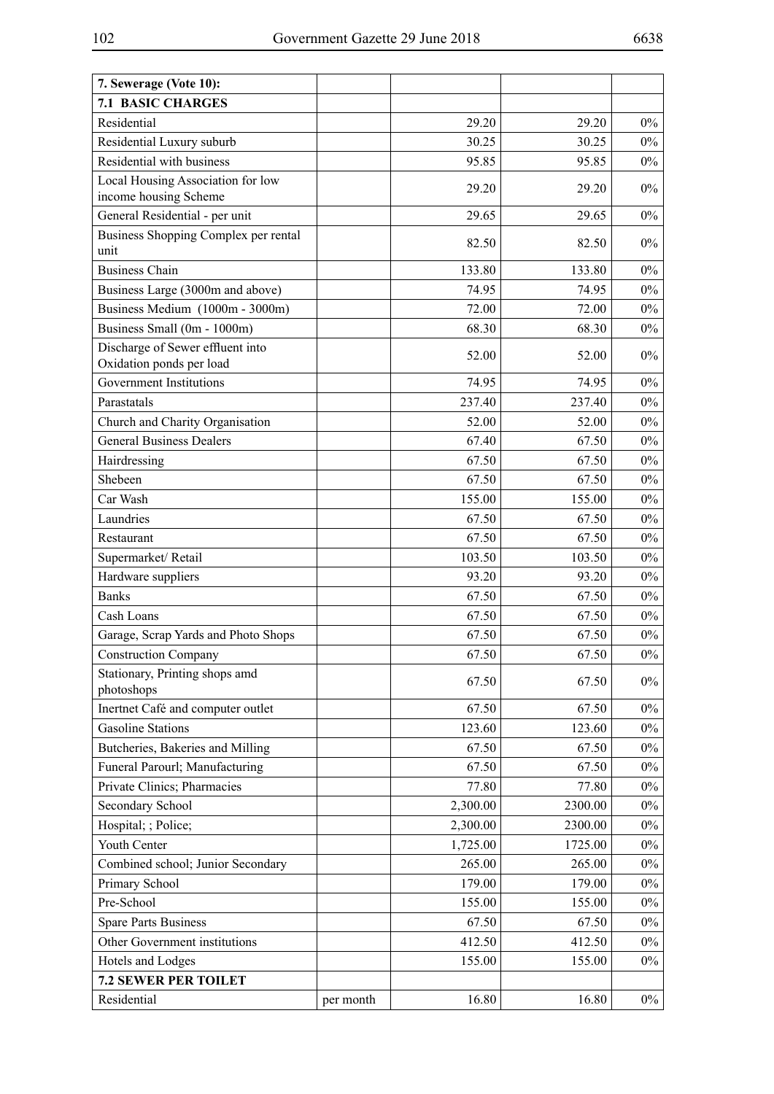| 7. Sewerage (Vote 10):                                       |           |          |         |       |
|--------------------------------------------------------------|-----------|----------|---------|-------|
| <b>7.1 BASIC CHARGES</b>                                     |           |          |         |       |
| Residential                                                  |           | 29.20    | 29.20   | $0\%$ |
| Residential Luxury suburb                                    |           | 30.25    | 30.25   | $0\%$ |
| Residential with business                                    |           | 95.85    | 95.85   | $0\%$ |
| Local Housing Association for low<br>income housing Scheme   |           | 29.20    | 29.20   | $0\%$ |
| General Residential - per unit                               |           | 29.65    | 29.65   | $0\%$ |
| Business Shopping Complex per rental<br>unit                 |           | 82.50    | 82.50   | $0\%$ |
| <b>Business Chain</b>                                        |           | 133.80   | 133.80  | $0\%$ |
| Business Large (3000m and above)                             |           | 74.95    | 74.95   | $0\%$ |
| Business Medium (1000m - 3000m)                              |           | 72.00    | 72.00   | $0\%$ |
| Business Small (0m - 1000m)                                  |           | 68.30    | 68.30   | $0\%$ |
| Discharge of Sewer effluent into<br>Oxidation ponds per load |           | 52.00    | 52.00   | $0\%$ |
| <b>Government Institutions</b>                               |           | 74.95    | 74.95   | $0\%$ |
| Parastatals                                                  |           | 237.40   | 237.40  | $0\%$ |
| Church and Charity Organisation                              |           | 52.00    | 52.00   | $0\%$ |
| <b>General Business Dealers</b>                              |           | 67.40    | 67.50   | $0\%$ |
| Hairdressing                                                 |           | 67.50    | 67.50   | $0\%$ |
| Shebeen                                                      |           | 67.50    | 67.50   | $0\%$ |
| Car Wash                                                     |           | 155.00   | 155.00  | $0\%$ |
| Laundries                                                    |           | 67.50    | 67.50   | $0\%$ |
| Restaurant                                                   |           | 67.50    | 67.50   | $0\%$ |
| Supermarket/Retail                                           |           | 103.50   | 103.50  | $0\%$ |
| Hardware suppliers                                           |           | 93.20    | 93.20   | $0\%$ |
| <b>Banks</b>                                                 |           | 67.50    | 67.50   | $0\%$ |
| Cash Loans                                                   |           | 67.50    | 67.50   | $0\%$ |
| Garage, Scrap Yards and Photo Shops                          |           | 67.50    | 67.50   | $0\%$ |
| <b>Construction Company</b>                                  |           | 67.50    | 67.50   | $0\%$ |
| Stationary, Printing shops amd<br>photoshops                 |           | 67.50    | 67.50   | $0\%$ |
| Inertnet Café and computer outlet                            |           | 67.50    | 67.50   | $0\%$ |
| <b>Gasoline Stations</b>                                     |           | 123.60   | 123.60  | $0\%$ |
| Butcheries, Bakeries and Milling                             |           | 67.50    | 67.50   | $0\%$ |
| Funeral Parourl; Manufacturing                               |           | 67.50    | 67.50   | $0\%$ |
| Private Clinics; Pharmacies                                  |           | 77.80    | 77.80   | $0\%$ |
| Secondary School                                             |           | 2,300.00 | 2300.00 | $0\%$ |
| Hospital; ; Police;                                          |           | 2,300.00 | 2300.00 | $0\%$ |
| Youth Center                                                 |           | 1,725.00 | 1725.00 | $0\%$ |
| Combined school; Junior Secondary                            |           | 265.00   | 265.00  | $0\%$ |
| Primary School                                               |           | 179.00   | 179.00  | $0\%$ |
| Pre-School                                                   |           | 155.00   | 155.00  | $0\%$ |
| <b>Spare Parts Business</b>                                  |           | 67.50    | 67.50   | $0\%$ |
| Other Government institutions                                |           | 412.50   | 412.50  | $0\%$ |
| Hotels and Lodges                                            |           | 155.00   | 155.00  | $0\%$ |
| 7.2 SEWER PER TOILET                                         |           |          |         |       |
| Residential                                                  | per month | 16.80    | 16.80   | $0\%$ |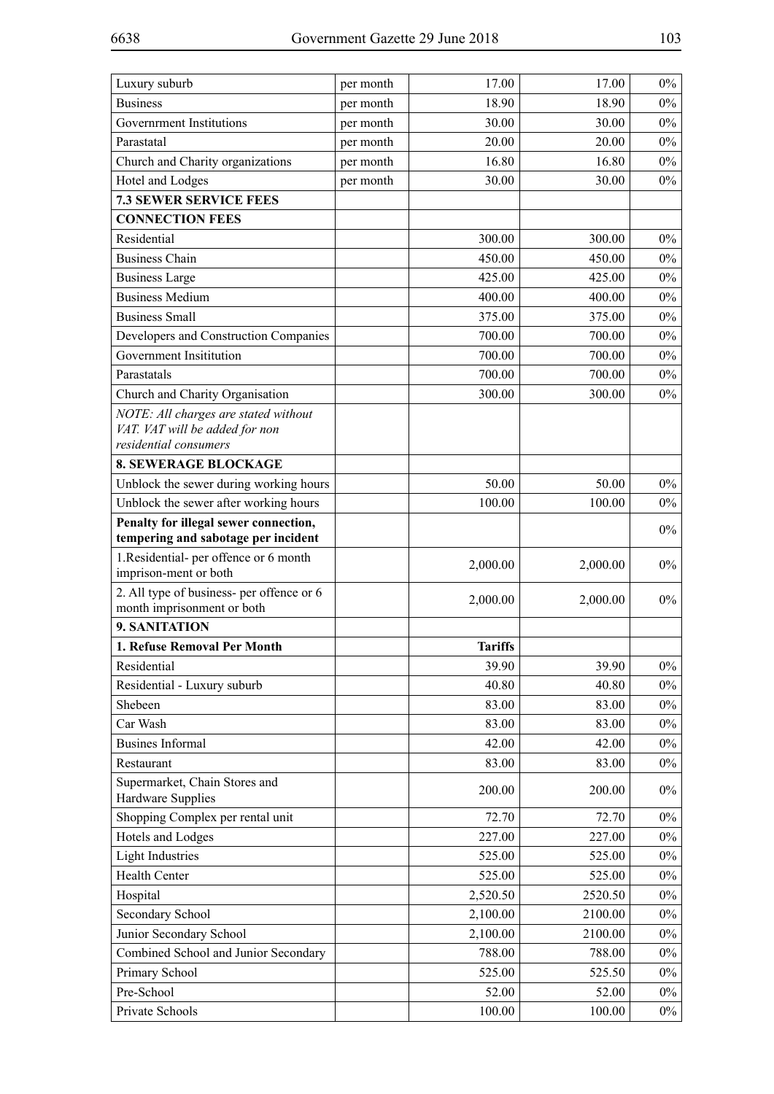| Luxury suburb                                                                | per month | 17.00          | 17.00    | $0\%$ |
|------------------------------------------------------------------------------|-----------|----------------|----------|-------|
| <b>Business</b>                                                              | per month | 18.90          | 18.90    | $0\%$ |
| Government Institutions                                                      | per month | 30.00          | 30.00    | $0\%$ |
| Parastatal                                                                   | per month | 20.00          | 20.00    | $0\%$ |
| Church and Charity organizations                                             | per month | 16.80          | 16.80    | $0\%$ |
| Hotel and Lodges                                                             | per month | 30.00          | 30.00    | $0\%$ |
| <b>7.3 SEWER SERVICE FEES</b>                                                |           |                |          |       |
| <b>CONNECTION FEES</b>                                                       |           |                |          |       |
| Residential                                                                  |           | 300.00         | 300.00   | $0\%$ |
| <b>Business Chain</b>                                                        |           | 450.00         | 450.00   | $0\%$ |
| <b>Business Large</b>                                                        |           | 425.00         | 425.00   | $0\%$ |
| <b>Business Medium</b>                                                       |           | 400.00         | 400.00   | $0\%$ |
| <b>Business Small</b>                                                        |           | 375.00         | 375.00   | $0\%$ |
| Developers and Construction Companies                                        |           | 700.00         | 700.00   | $0\%$ |
| Government Insititution                                                      |           | 700.00         | 700.00   | $0\%$ |
| Parastatals                                                                  |           | 700.00         | 700.00   | $0\%$ |
| Church and Charity Organisation                                              |           | 300.00         | 300.00   | $0\%$ |
| NOTE: All charges are stated without                                         |           |                |          |       |
| VAT. VAT will be added for non                                               |           |                |          |       |
| residential consumers                                                        |           |                |          |       |
| <b>8. SEWERAGE BLOCKAGE</b>                                                  |           |                |          |       |
| Unblock the sewer during working hours                                       |           | 50.00          | 50.00    | $0\%$ |
| Unblock the sewer after working hours                                        |           | 100.00         | 100.00   | $0\%$ |
| Penalty for illegal sewer connection,<br>tempering and sabotage per incident |           |                |          | $0\%$ |
| 1.Residential- per offence or 6 month<br>imprison-ment or both               |           | 2,000.00       | 2,000.00 | $0\%$ |
| 2. All type of business- per offence or 6                                    |           | 2,000.00       | 2,000.00 | $0\%$ |
| month imprisonment or both                                                   |           |                |          |       |
| 9. SANITATION                                                                |           |                |          |       |
| 1. Refuse Removal Per Month                                                  |           | <b>Tariffs</b> |          |       |
| Residential                                                                  |           | 39.90          | 39.90    | $0\%$ |
| Residential - Luxury suburb                                                  |           | 40.80          | 40.80    | $0\%$ |
| Shebeen                                                                      |           | 83.00          | 83.00    | $0\%$ |
| Car Wash                                                                     |           | 83.00          | 83.00    | $0\%$ |
| <b>Busines Informal</b>                                                      |           | 42.00          | 42.00    | $0\%$ |
| Restaurant                                                                   |           | 83.00          | 83.00    | $0\%$ |
| Supermarket, Chain Stores and                                                |           | 200.00         | 200.00   | $0\%$ |
| Hardware Supplies                                                            |           |                |          |       |
| Shopping Complex per rental unit                                             |           | 72.70          | 72.70    | $0\%$ |
| Hotels and Lodges                                                            |           | 227.00         | 227.00   | $0\%$ |
| <b>Light Industries</b>                                                      |           | 525.00         | 525.00   | $0\%$ |
| Health Center                                                                |           | 525.00         | 525.00   | $0\%$ |
| Hospital                                                                     |           | 2,520.50       | 2520.50  | $0\%$ |
| Secondary School                                                             |           | 2,100.00       | 2100.00  | $0\%$ |
| Junior Secondary School                                                      |           | 2,100.00       | 2100.00  | $0\%$ |
| Combined School and Junior Secondary                                         |           | 788.00         | 788.00   | $0\%$ |
| Primary School                                                               |           | 525.00         | 525.50   | $0\%$ |
| Pre-School                                                                   |           | 52.00          | 52.00    | $0\%$ |
| Private Schools                                                              |           | 100.00         | 100.00   | $0\%$ |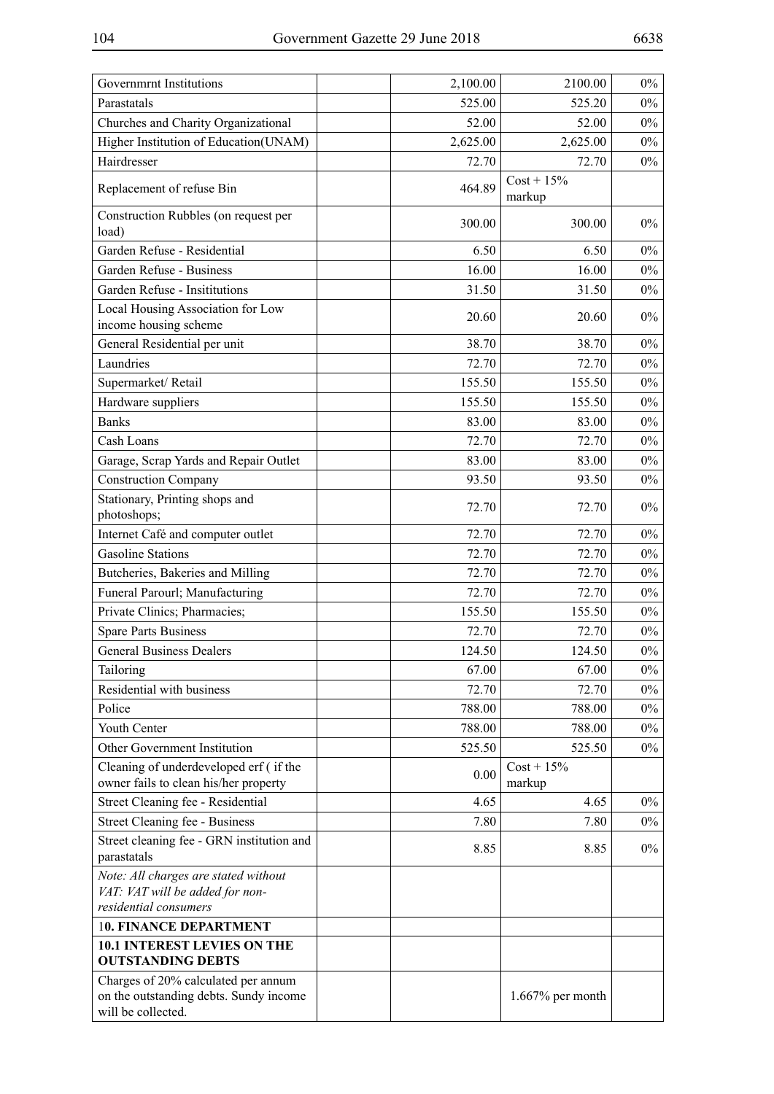| Governmrnt Institutions                                                                             | 2,100.00 | 2100.00                 | $0\%$ |
|-----------------------------------------------------------------------------------------------------|----------|-------------------------|-------|
| Parastatals                                                                                         | 525.00   | 525.20                  | $0\%$ |
| Churches and Charity Organizational                                                                 | 52.00    | 52.00                   | $0\%$ |
| Higher Institution of Education(UNAM)                                                               | 2,625.00 | 2,625.00                | $0\%$ |
| Hairdresser                                                                                         | 72.70    | 72.70                   | $0\%$ |
| Replacement of refuse Bin                                                                           | 464.89   | $Cost + 15\%$<br>markup |       |
| Construction Rubbles (on request per<br>load)                                                       | 300.00   | 300.00                  | $0\%$ |
| Garden Refuse - Residential                                                                         | 6.50     | 6.50                    | $0\%$ |
| Garden Refuse - Business                                                                            | 16.00    | 16.00                   | $0\%$ |
| Garden Refuse - Insititutions                                                                       | 31.50    | 31.50                   | $0\%$ |
| Local Housing Association for Low<br>income housing scheme                                          | 20.60    | 20.60                   | $0\%$ |
| General Residential per unit                                                                        | 38.70    | 38.70                   | $0\%$ |
| Laundries                                                                                           | 72.70    | 72.70                   | $0\%$ |
| Supermarket/Retail                                                                                  | 155.50   | 155.50                  | $0\%$ |
| Hardware suppliers                                                                                  | 155.50   | 155.50                  | $0\%$ |
| <b>Banks</b>                                                                                        | 83.00    | 83.00                   | $0\%$ |
| Cash Loans                                                                                          | 72.70    | 72.70                   | $0\%$ |
| Garage, Scrap Yards and Repair Outlet                                                               | 83.00    | 83.00                   | $0\%$ |
| <b>Construction Company</b>                                                                         | 93.50    | 93.50                   | $0\%$ |
| Stationary, Printing shops and<br>photoshops;                                                       | 72.70    | 72.70                   | $0\%$ |
| Internet Café and computer outlet                                                                   | 72.70    | 72.70                   | $0\%$ |
| <b>Gasoline Stations</b>                                                                            | 72.70    | 72.70                   | $0\%$ |
| Butcheries, Bakeries and Milling                                                                    | 72.70    | 72.70                   | $0\%$ |
| Funeral Parourl; Manufacturing                                                                      | 72.70    | 72.70                   | $0\%$ |
| Private Clinics; Pharmacies;                                                                        | 155.50   | 155.50                  | $0\%$ |
| <b>Spare Parts Business</b>                                                                         | 72.70    | 72.70                   | $0\%$ |
| <b>General Business Dealers</b>                                                                     | 124.50   | 124.50                  | $0\%$ |
| Tailoring                                                                                           | 67.00    | 67.00                   | $0\%$ |
| Residential with business                                                                           | 72.70    | 72.70                   | $0\%$ |
| Police                                                                                              | 788.00   | 788.00                  | $0\%$ |
| Youth Center                                                                                        | 788.00   | 788.00                  | $0\%$ |
| Other Government Institution                                                                        | 525.50   | 525.50                  | $0\%$ |
| Cleaning of underdeveloped erf (if the<br>owner fails to clean his/her property                     | 0.00     | $Cost + 15\%$<br>markup |       |
| Street Cleaning fee - Residential                                                                   | 4.65     | 4.65                    | $0\%$ |
| Street Cleaning fee - Business                                                                      | 7.80     | 7.80                    | $0\%$ |
| Street cleaning fee - GRN institution and<br>parastatals                                            | 8.85     | 8.85                    | $0\%$ |
| Note: All charges are stated without<br>VAT: VAT will be added for non-<br>residential consumers    |          |                         |       |
| <b>10. FINANCE DEPARTMENT</b>                                                                       |          |                         |       |
| <b>10.1 INTEREST LEVIES ON THE</b><br><b>OUTSTANDING DEBTS</b>                                      |          |                         |       |
| Charges of 20% calculated per annum<br>on the outstanding debts. Sundy income<br>will be collected. |          | $1.667\%$ per month     |       |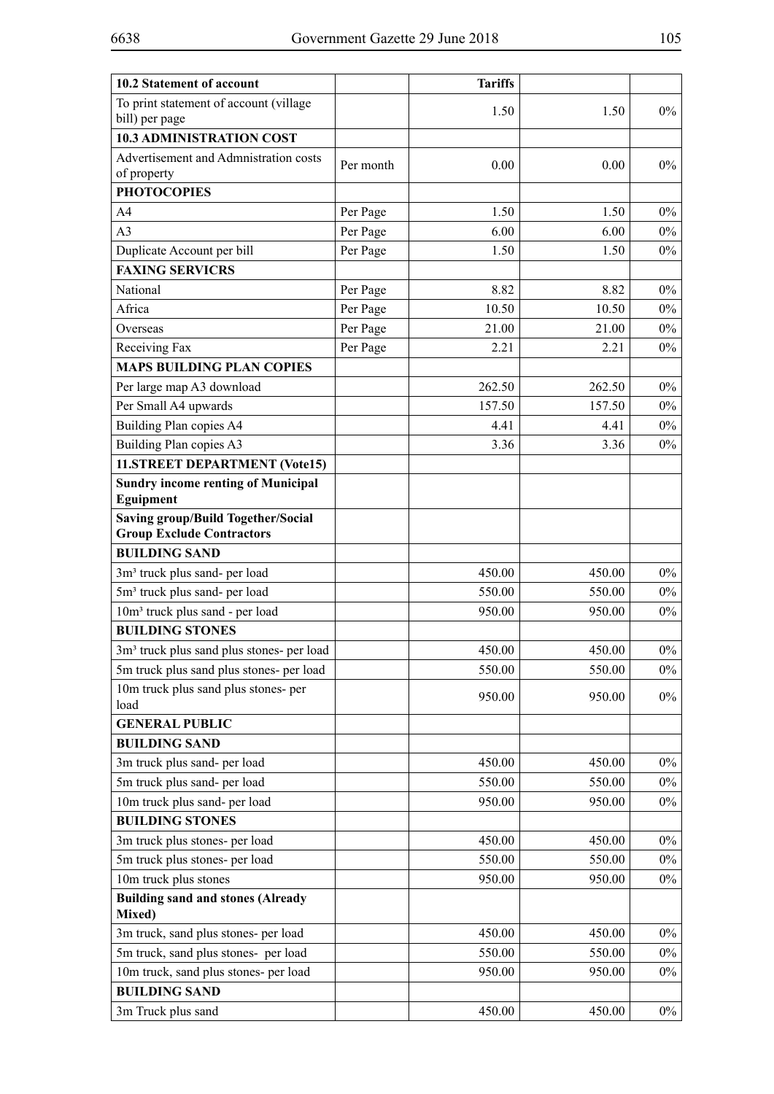| 10.2 Statement of account                                                     |           | <b>Tariffs</b> |        |       |
|-------------------------------------------------------------------------------|-----------|----------------|--------|-------|
| To print statement of account (village<br>bill) per page                      |           | 1.50           | 1.50   | $0\%$ |
| <b>10.3 ADMINISTRATION COST</b>                                               |           |                |        |       |
| Advertisement and Admnistration costs<br>of property                          | Per month | 0.00           | 0.00   | $0\%$ |
| <b>PHOTOCOPIES</b>                                                            |           |                |        |       |
| A <sub>4</sub>                                                                | Per Page  | 1.50           | 1.50   | $0\%$ |
| A <sub>3</sub>                                                                | Per Page  | 6.00           | 6.00   | $0\%$ |
| Duplicate Account per bill                                                    | Per Page  | 1.50           | 1.50   | $0\%$ |
| <b>FAXING SERVICRS</b>                                                        |           |                |        |       |
| National                                                                      | Per Page  | 8.82           | 8.82   | $0\%$ |
| Africa                                                                        | Per Page  | 10.50          | 10.50  | $0\%$ |
| Overseas                                                                      | Per Page  | 21.00          | 21.00  | $0\%$ |
| Receiving Fax                                                                 | Per Page  | 2.21           | 2.21   | $0\%$ |
| <b>MAPS BUILDING PLAN COPIES</b>                                              |           |                |        |       |
| Per large map A3 download                                                     |           | 262.50         | 262.50 | $0\%$ |
| Per Small A4 upwards                                                          |           | 157.50         | 157.50 | $0\%$ |
| Building Plan copies A4                                                       |           | 4.41           | 4.41   | $0\%$ |
| Building Plan copies A3                                                       |           | 3.36           | 3.36   | $0\%$ |
| 11.STREET DEPARTMENT (Vote15)                                                 |           |                |        |       |
| <b>Sundry income renting of Municipal</b><br><b>Eguipment</b>                 |           |                |        |       |
| <b>Saving group/Build Together/Social</b><br><b>Group Exclude Contractors</b> |           |                |        |       |
| <b>BUILDING SAND</b>                                                          |           |                |        |       |
| 3m <sup>3</sup> truck plus sand- per load                                     |           | 450.00         | 450.00 | $0\%$ |
| 5m <sup>3</sup> truck plus sand- per load                                     |           | 550.00         | 550.00 | $0\%$ |
| 10m <sup>3</sup> truck plus sand - per load                                   |           | 950.00         | 950.00 | $0\%$ |
| <b>BUILDING STONES</b>                                                        |           |                |        |       |
| 3m <sup>3</sup> truck plus sand plus stones- per load                         |           | 450.00         | 450.00 | $0\%$ |
| 5m truck plus sand plus stones- per load                                      |           | 550.00         | 550.00 | $0\%$ |
| 10m truck plus sand plus stones- per<br>load                                  |           | 950.00         | 950.00 | $0\%$ |
| <b>GENERAL PUBLIC</b>                                                         |           |                |        |       |
| <b>BUILDING SAND</b>                                                          |           |                |        |       |
| 3m truck plus sand- per load                                                  |           | 450.00         | 450.00 | $0\%$ |
| 5m truck plus sand- per load                                                  |           | 550.00         | 550.00 | $0\%$ |
| 10m truck plus sand- per load                                                 |           | 950.00         | 950.00 | $0\%$ |
| <b>BUILDING STONES</b>                                                        |           |                |        |       |
| 3m truck plus stones- per load                                                |           | 450.00         | 450.00 | $0\%$ |
| 5m truck plus stones- per load                                                |           | 550.00         | 550.00 | $0\%$ |
| 10m truck plus stones                                                         |           | 950.00         | 950.00 | $0\%$ |
| <b>Building sand and stones (Already</b><br>Mixed)                            |           |                |        |       |
| 3m truck, sand plus stones- per load                                          |           | 450.00         | 450.00 | $0\%$ |
| 5m truck, sand plus stones- per load                                          |           | 550.00         | 550.00 | $0\%$ |
| 10m truck, sand plus stones- per load                                         |           | 950.00         | 950.00 | $0\%$ |
| <b>BUILDING SAND</b>                                                          |           |                |        |       |
| 3m Truck plus sand                                                            |           | 450.00         | 450.00 | $0\%$ |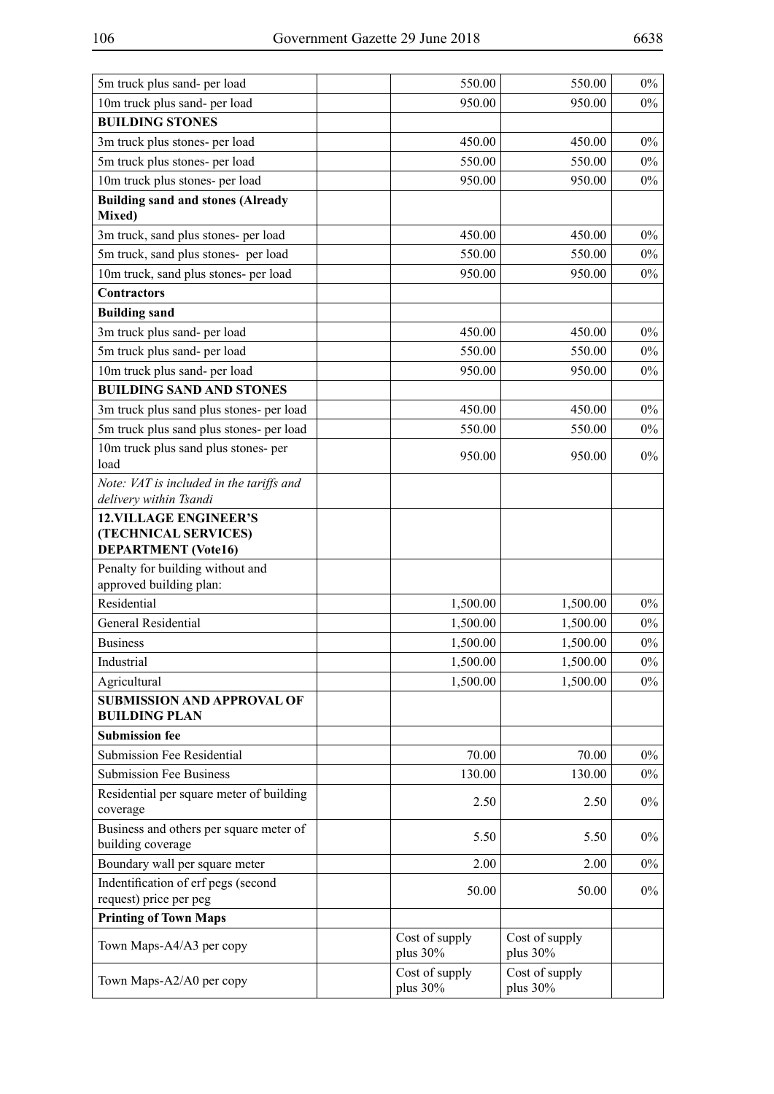| 10m truck plus sand- per load<br>950.00<br>$0\%$<br>950.00<br><b>BUILDING STONES</b><br>3m truck plus stones- per load<br>450.00<br>$0\%$<br>450.00<br>5m truck plus stones- per load<br>550.00<br>550.00<br>$0\%$<br>10m truck plus stones- per load<br>950.00<br>950.00<br>$0\%$<br><b>Building sand and stones (Already</b><br>Mixed)<br>3m truck, sand plus stones- per load<br>450.00<br>450.00<br>$0\%$<br>5m truck, sand plus stones- per load<br>550.00<br>$0\%$<br>550.00<br>10m truck, sand plus stones- per load<br>950.00<br>$0\%$<br>950.00<br><b>Contractors</b><br><b>Building sand</b><br>3m truck plus sand- per load<br>450.00<br>$0\%$<br>450.00<br>5m truck plus sand- per load<br>550.00<br>550.00<br>$0\%$<br>10m truck plus sand- per load<br>950.00<br>950.00<br>$0\%$<br><b>BUILDING SAND AND STONES</b><br>3m truck plus sand plus stones- per load<br>450.00<br>450.00<br>$0\%$<br>5m truck plus sand plus stones- per load<br>550.00<br>550.00<br>$0\%$<br>10m truck plus sand plus stones- per<br>$0\%$<br>950.00<br>950.00<br>load<br>Note: VAT is included in the tariffs and<br>delivery within Tsandi<br><b>12. VILLAGE ENGINEER'S</b><br>(TECHNICAL SERVICES)<br><b>DEPARTMENT</b> (Vote16)<br>Penalty for building without and<br>approved building plan:<br>Residential<br>1,500.00<br>1,500.00<br>$0\%$<br>General Residential<br>1,500.00<br>1,500.00<br>$0\%$<br>1,500.00<br>1,500.00<br>$0\%$<br><b>Business</b><br>Industrial<br>1,500.00<br>1,500.00<br>$0\%$<br>1,500.00<br>1,500.00<br>$0\%$<br>Agricultural<br><b>SUBMISSION AND APPROVAL OF</b><br><b>BUILDING PLAN</b><br><b>Submission fee</b><br><b>Submission Fee Residential</b><br>70.00<br>$0\%$<br>70.00<br><b>Submission Fee Business</b><br>130.00<br>130.00<br>$0\%$<br>Residential per square meter of building<br>$0\%$<br>2.50<br>2.50<br>coverage<br>Business and others per square meter of<br>5.50<br>5.50<br>$0\%$<br>building coverage<br>Boundary wall per square meter<br>2.00<br>2.00<br>$0\%$<br>Indentification of erf pegs (second<br>50.00<br>50.00<br>$0\%$<br>request) price per peg<br><b>Printing of Town Maps</b><br>Cost of supply<br>Cost of supply<br>Town Maps-A4/A3 per copy<br>plus 30%<br>plus 30%<br>Cost of supply<br>Cost of supply<br>Town Maps-A2/A0 per copy<br>plus 30%<br>plus 30% | 5m truck plus sand- per load | 550.00 | 550.00 | $0\%$ |
|--------------------------------------------------------------------------------------------------------------------------------------------------------------------------------------------------------------------------------------------------------------------------------------------------------------------------------------------------------------------------------------------------------------------------------------------------------------------------------------------------------------------------------------------------------------------------------------------------------------------------------------------------------------------------------------------------------------------------------------------------------------------------------------------------------------------------------------------------------------------------------------------------------------------------------------------------------------------------------------------------------------------------------------------------------------------------------------------------------------------------------------------------------------------------------------------------------------------------------------------------------------------------------------------------------------------------------------------------------------------------------------------------------------------------------------------------------------------------------------------------------------------------------------------------------------------------------------------------------------------------------------------------------------------------------------------------------------------------------------------------------------------------------------------------------------------------------------------------------------------------------------------------------------------------------------------------------------------------------------------------------------------------------------------------------------------------------------------------------------------------------------------------------------------------------------------------------------------------------------------------------------------------------------------------------------------------------|------------------------------|--------|--------|-------|
|                                                                                                                                                                                                                                                                                                                                                                                                                                                                                                                                                                                                                                                                                                                                                                                                                                                                                                                                                                                                                                                                                                                                                                                                                                                                                                                                                                                                                                                                                                                                                                                                                                                                                                                                                                                                                                                                                                                                                                                                                                                                                                                                                                                                                                                                                                                                |                              |        |        |       |
|                                                                                                                                                                                                                                                                                                                                                                                                                                                                                                                                                                                                                                                                                                                                                                                                                                                                                                                                                                                                                                                                                                                                                                                                                                                                                                                                                                                                                                                                                                                                                                                                                                                                                                                                                                                                                                                                                                                                                                                                                                                                                                                                                                                                                                                                                                                                |                              |        |        |       |
|                                                                                                                                                                                                                                                                                                                                                                                                                                                                                                                                                                                                                                                                                                                                                                                                                                                                                                                                                                                                                                                                                                                                                                                                                                                                                                                                                                                                                                                                                                                                                                                                                                                                                                                                                                                                                                                                                                                                                                                                                                                                                                                                                                                                                                                                                                                                |                              |        |        |       |
|                                                                                                                                                                                                                                                                                                                                                                                                                                                                                                                                                                                                                                                                                                                                                                                                                                                                                                                                                                                                                                                                                                                                                                                                                                                                                                                                                                                                                                                                                                                                                                                                                                                                                                                                                                                                                                                                                                                                                                                                                                                                                                                                                                                                                                                                                                                                |                              |        |        |       |
|                                                                                                                                                                                                                                                                                                                                                                                                                                                                                                                                                                                                                                                                                                                                                                                                                                                                                                                                                                                                                                                                                                                                                                                                                                                                                                                                                                                                                                                                                                                                                                                                                                                                                                                                                                                                                                                                                                                                                                                                                                                                                                                                                                                                                                                                                                                                |                              |        |        |       |
|                                                                                                                                                                                                                                                                                                                                                                                                                                                                                                                                                                                                                                                                                                                                                                                                                                                                                                                                                                                                                                                                                                                                                                                                                                                                                                                                                                                                                                                                                                                                                                                                                                                                                                                                                                                                                                                                                                                                                                                                                                                                                                                                                                                                                                                                                                                                |                              |        |        |       |
|                                                                                                                                                                                                                                                                                                                                                                                                                                                                                                                                                                                                                                                                                                                                                                                                                                                                                                                                                                                                                                                                                                                                                                                                                                                                                                                                                                                                                                                                                                                                                                                                                                                                                                                                                                                                                                                                                                                                                                                                                                                                                                                                                                                                                                                                                                                                |                              |        |        |       |
|                                                                                                                                                                                                                                                                                                                                                                                                                                                                                                                                                                                                                                                                                                                                                                                                                                                                                                                                                                                                                                                                                                                                                                                                                                                                                                                                                                                                                                                                                                                                                                                                                                                                                                                                                                                                                                                                                                                                                                                                                                                                                                                                                                                                                                                                                                                                |                              |        |        |       |
|                                                                                                                                                                                                                                                                                                                                                                                                                                                                                                                                                                                                                                                                                                                                                                                                                                                                                                                                                                                                                                                                                                                                                                                                                                                                                                                                                                                                                                                                                                                                                                                                                                                                                                                                                                                                                                                                                                                                                                                                                                                                                                                                                                                                                                                                                                                                |                              |        |        |       |
|                                                                                                                                                                                                                                                                                                                                                                                                                                                                                                                                                                                                                                                                                                                                                                                                                                                                                                                                                                                                                                                                                                                                                                                                                                                                                                                                                                                                                                                                                                                                                                                                                                                                                                                                                                                                                                                                                                                                                                                                                                                                                                                                                                                                                                                                                                                                |                              |        |        |       |
|                                                                                                                                                                                                                                                                                                                                                                                                                                                                                                                                                                                                                                                                                                                                                                                                                                                                                                                                                                                                                                                                                                                                                                                                                                                                                                                                                                                                                                                                                                                                                                                                                                                                                                                                                                                                                                                                                                                                                                                                                                                                                                                                                                                                                                                                                                                                |                              |        |        |       |
|                                                                                                                                                                                                                                                                                                                                                                                                                                                                                                                                                                                                                                                                                                                                                                                                                                                                                                                                                                                                                                                                                                                                                                                                                                                                                                                                                                                                                                                                                                                                                                                                                                                                                                                                                                                                                                                                                                                                                                                                                                                                                                                                                                                                                                                                                                                                |                              |        |        |       |
|                                                                                                                                                                                                                                                                                                                                                                                                                                                                                                                                                                                                                                                                                                                                                                                                                                                                                                                                                                                                                                                                                                                                                                                                                                                                                                                                                                                                                                                                                                                                                                                                                                                                                                                                                                                                                                                                                                                                                                                                                                                                                                                                                                                                                                                                                                                                |                              |        |        |       |
|                                                                                                                                                                                                                                                                                                                                                                                                                                                                                                                                                                                                                                                                                                                                                                                                                                                                                                                                                                                                                                                                                                                                                                                                                                                                                                                                                                                                                                                                                                                                                                                                                                                                                                                                                                                                                                                                                                                                                                                                                                                                                                                                                                                                                                                                                                                                |                              |        |        |       |
|                                                                                                                                                                                                                                                                                                                                                                                                                                                                                                                                                                                                                                                                                                                                                                                                                                                                                                                                                                                                                                                                                                                                                                                                                                                                                                                                                                                                                                                                                                                                                                                                                                                                                                                                                                                                                                                                                                                                                                                                                                                                                                                                                                                                                                                                                                                                |                              |        |        |       |
|                                                                                                                                                                                                                                                                                                                                                                                                                                                                                                                                                                                                                                                                                                                                                                                                                                                                                                                                                                                                                                                                                                                                                                                                                                                                                                                                                                                                                                                                                                                                                                                                                                                                                                                                                                                                                                                                                                                                                                                                                                                                                                                                                                                                                                                                                                                                |                              |        |        |       |
|                                                                                                                                                                                                                                                                                                                                                                                                                                                                                                                                                                                                                                                                                                                                                                                                                                                                                                                                                                                                                                                                                                                                                                                                                                                                                                                                                                                                                                                                                                                                                                                                                                                                                                                                                                                                                                                                                                                                                                                                                                                                                                                                                                                                                                                                                                                                |                              |        |        |       |
|                                                                                                                                                                                                                                                                                                                                                                                                                                                                                                                                                                                                                                                                                                                                                                                                                                                                                                                                                                                                                                                                                                                                                                                                                                                                                                                                                                                                                                                                                                                                                                                                                                                                                                                                                                                                                                                                                                                                                                                                                                                                                                                                                                                                                                                                                                                                |                              |        |        |       |
|                                                                                                                                                                                                                                                                                                                                                                                                                                                                                                                                                                                                                                                                                                                                                                                                                                                                                                                                                                                                                                                                                                                                                                                                                                                                                                                                                                                                                                                                                                                                                                                                                                                                                                                                                                                                                                                                                                                                                                                                                                                                                                                                                                                                                                                                                                                                |                              |        |        |       |
|                                                                                                                                                                                                                                                                                                                                                                                                                                                                                                                                                                                                                                                                                                                                                                                                                                                                                                                                                                                                                                                                                                                                                                                                                                                                                                                                                                                                                                                                                                                                                                                                                                                                                                                                                                                                                                                                                                                                                                                                                                                                                                                                                                                                                                                                                                                                |                              |        |        |       |
|                                                                                                                                                                                                                                                                                                                                                                                                                                                                                                                                                                                                                                                                                                                                                                                                                                                                                                                                                                                                                                                                                                                                                                                                                                                                                                                                                                                                                                                                                                                                                                                                                                                                                                                                                                                                                                                                                                                                                                                                                                                                                                                                                                                                                                                                                                                                |                              |        |        |       |
|                                                                                                                                                                                                                                                                                                                                                                                                                                                                                                                                                                                                                                                                                                                                                                                                                                                                                                                                                                                                                                                                                                                                                                                                                                                                                                                                                                                                                                                                                                                                                                                                                                                                                                                                                                                                                                                                                                                                                                                                                                                                                                                                                                                                                                                                                                                                |                              |        |        |       |
|                                                                                                                                                                                                                                                                                                                                                                                                                                                                                                                                                                                                                                                                                                                                                                                                                                                                                                                                                                                                                                                                                                                                                                                                                                                                                                                                                                                                                                                                                                                                                                                                                                                                                                                                                                                                                                                                                                                                                                                                                                                                                                                                                                                                                                                                                                                                |                              |        |        |       |
|                                                                                                                                                                                                                                                                                                                                                                                                                                                                                                                                                                                                                                                                                                                                                                                                                                                                                                                                                                                                                                                                                                                                                                                                                                                                                                                                                                                                                                                                                                                                                                                                                                                                                                                                                                                                                                                                                                                                                                                                                                                                                                                                                                                                                                                                                                                                |                              |        |        |       |
|                                                                                                                                                                                                                                                                                                                                                                                                                                                                                                                                                                                                                                                                                                                                                                                                                                                                                                                                                                                                                                                                                                                                                                                                                                                                                                                                                                                                                                                                                                                                                                                                                                                                                                                                                                                                                                                                                                                                                                                                                                                                                                                                                                                                                                                                                                                                |                              |        |        |       |
|                                                                                                                                                                                                                                                                                                                                                                                                                                                                                                                                                                                                                                                                                                                                                                                                                                                                                                                                                                                                                                                                                                                                                                                                                                                                                                                                                                                                                                                                                                                                                                                                                                                                                                                                                                                                                                                                                                                                                                                                                                                                                                                                                                                                                                                                                                                                |                              |        |        |       |
|                                                                                                                                                                                                                                                                                                                                                                                                                                                                                                                                                                                                                                                                                                                                                                                                                                                                                                                                                                                                                                                                                                                                                                                                                                                                                                                                                                                                                                                                                                                                                                                                                                                                                                                                                                                                                                                                                                                                                                                                                                                                                                                                                                                                                                                                                                                                |                              |        |        |       |
|                                                                                                                                                                                                                                                                                                                                                                                                                                                                                                                                                                                                                                                                                                                                                                                                                                                                                                                                                                                                                                                                                                                                                                                                                                                                                                                                                                                                                                                                                                                                                                                                                                                                                                                                                                                                                                                                                                                                                                                                                                                                                                                                                                                                                                                                                                                                |                              |        |        |       |
|                                                                                                                                                                                                                                                                                                                                                                                                                                                                                                                                                                                                                                                                                                                                                                                                                                                                                                                                                                                                                                                                                                                                                                                                                                                                                                                                                                                                                                                                                                                                                                                                                                                                                                                                                                                                                                                                                                                                                                                                                                                                                                                                                                                                                                                                                                                                |                              |        |        |       |
|                                                                                                                                                                                                                                                                                                                                                                                                                                                                                                                                                                                                                                                                                                                                                                                                                                                                                                                                                                                                                                                                                                                                                                                                                                                                                                                                                                                                                                                                                                                                                                                                                                                                                                                                                                                                                                                                                                                                                                                                                                                                                                                                                                                                                                                                                                                                |                              |        |        |       |
|                                                                                                                                                                                                                                                                                                                                                                                                                                                                                                                                                                                                                                                                                                                                                                                                                                                                                                                                                                                                                                                                                                                                                                                                                                                                                                                                                                                                                                                                                                                                                                                                                                                                                                                                                                                                                                                                                                                                                                                                                                                                                                                                                                                                                                                                                                                                |                              |        |        |       |
|                                                                                                                                                                                                                                                                                                                                                                                                                                                                                                                                                                                                                                                                                                                                                                                                                                                                                                                                                                                                                                                                                                                                                                                                                                                                                                                                                                                                                                                                                                                                                                                                                                                                                                                                                                                                                                                                                                                                                                                                                                                                                                                                                                                                                                                                                                                                |                              |        |        |       |
|                                                                                                                                                                                                                                                                                                                                                                                                                                                                                                                                                                                                                                                                                                                                                                                                                                                                                                                                                                                                                                                                                                                                                                                                                                                                                                                                                                                                                                                                                                                                                                                                                                                                                                                                                                                                                                                                                                                                                                                                                                                                                                                                                                                                                                                                                                                                |                              |        |        |       |
|                                                                                                                                                                                                                                                                                                                                                                                                                                                                                                                                                                                                                                                                                                                                                                                                                                                                                                                                                                                                                                                                                                                                                                                                                                                                                                                                                                                                                                                                                                                                                                                                                                                                                                                                                                                                                                                                                                                                                                                                                                                                                                                                                                                                                                                                                                                                |                              |        |        |       |
|                                                                                                                                                                                                                                                                                                                                                                                                                                                                                                                                                                                                                                                                                                                                                                                                                                                                                                                                                                                                                                                                                                                                                                                                                                                                                                                                                                                                                                                                                                                                                                                                                                                                                                                                                                                                                                                                                                                                                                                                                                                                                                                                                                                                                                                                                                                                |                              |        |        |       |
|                                                                                                                                                                                                                                                                                                                                                                                                                                                                                                                                                                                                                                                                                                                                                                                                                                                                                                                                                                                                                                                                                                                                                                                                                                                                                                                                                                                                                                                                                                                                                                                                                                                                                                                                                                                                                                                                                                                                                                                                                                                                                                                                                                                                                                                                                                                                |                              |        |        |       |
|                                                                                                                                                                                                                                                                                                                                                                                                                                                                                                                                                                                                                                                                                                                                                                                                                                                                                                                                                                                                                                                                                                                                                                                                                                                                                                                                                                                                                                                                                                                                                                                                                                                                                                                                                                                                                                                                                                                                                                                                                                                                                                                                                                                                                                                                                                                                |                              |        |        |       |
|                                                                                                                                                                                                                                                                                                                                                                                                                                                                                                                                                                                                                                                                                                                                                                                                                                                                                                                                                                                                                                                                                                                                                                                                                                                                                                                                                                                                                                                                                                                                                                                                                                                                                                                                                                                                                                                                                                                                                                                                                                                                                                                                                                                                                                                                                                                                |                              |        |        |       |
|                                                                                                                                                                                                                                                                                                                                                                                                                                                                                                                                                                                                                                                                                                                                                                                                                                                                                                                                                                                                                                                                                                                                                                                                                                                                                                                                                                                                                                                                                                                                                                                                                                                                                                                                                                                                                                                                                                                                                                                                                                                                                                                                                                                                                                                                                                                                |                              |        |        |       |
|                                                                                                                                                                                                                                                                                                                                                                                                                                                                                                                                                                                                                                                                                                                                                                                                                                                                                                                                                                                                                                                                                                                                                                                                                                                                                                                                                                                                                                                                                                                                                                                                                                                                                                                                                                                                                                                                                                                                                                                                                                                                                                                                                                                                                                                                                                                                |                              |        |        |       |
|                                                                                                                                                                                                                                                                                                                                                                                                                                                                                                                                                                                                                                                                                                                                                                                                                                                                                                                                                                                                                                                                                                                                                                                                                                                                                                                                                                                                                                                                                                                                                                                                                                                                                                                                                                                                                                                                                                                                                                                                                                                                                                                                                                                                                                                                                                                                |                              |        |        |       |
|                                                                                                                                                                                                                                                                                                                                                                                                                                                                                                                                                                                                                                                                                                                                                                                                                                                                                                                                                                                                                                                                                                                                                                                                                                                                                                                                                                                                                                                                                                                                                                                                                                                                                                                                                                                                                                                                                                                                                                                                                                                                                                                                                                                                                                                                                                                                |                              |        |        |       |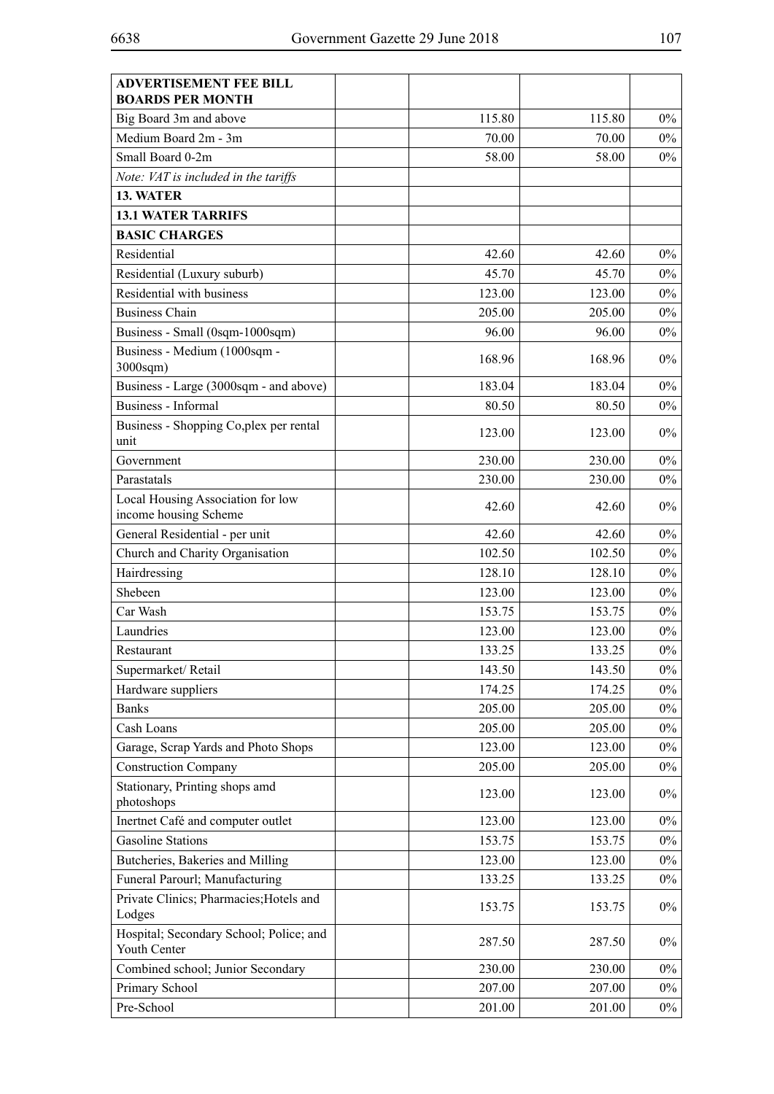| <b>ADVERTISEMENT FEE BILL</b><br><b>BOARDS PER MONTH</b> |        |        |       |
|----------------------------------------------------------|--------|--------|-------|
| Big Board 3m and above                                   | 115.80 | 115.80 | 0%    |
| Medium Board 2m - 3m                                     | 70.00  | 70.00  | 0%    |
| Small Board 0-2m                                         | 58.00  | 58.00  | 0%    |
| Note: VAT is included in the tariffs                     |        |        |       |
| 13. WATER                                                |        |        |       |
| <b>13.1 WATER TARRIFS</b>                                |        |        |       |
| <b>BASIC CHARGES</b>                                     |        |        |       |
| Residential                                              | 42.60  | 42.60  | 0%    |
| Residential (Luxury suburb)                              | 45.70  | 45.70  | 0%    |
| Residential with business                                | 123.00 | 123.00 | 0%    |
| <b>Business Chain</b>                                    | 205.00 | 205.00 | 0%    |
| Business - Small (0sqm-1000sqm)                          | 96.00  | 96.00  | 0%    |
| Business - Medium (1000sqm -<br>$3000$ sqm $)$           | 168.96 | 168.96 | 0%    |
| Business - Large (3000sqm - and above)                   | 183.04 | 183.04 | 0%    |
| <b>Business</b> - Informal                               | 80.50  | 80.50  | 0%    |
| Business - Shopping Co, plex per rental<br>unit          | 123.00 | 123.00 | 0%    |
| Government                                               | 230.00 | 230.00 | 0%    |
| Parastatals                                              | 230.00 | 230.00 | $0\%$ |
| Local Housing Association for low                        |        |        |       |
| income housing Scheme                                    | 42.60  | 42.60  | 0%    |
| General Residential - per unit                           | 42.60  | 42.60  | 0%    |
| Church and Charity Organisation                          | 102.50 | 102.50 | 0%    |
| Hairdressing                                             | 128.10 | 128.10 | 0%    |
| Shebeen                                                  | 123.00 | 123.00 | 0%    |
| Car Wash                                                 | 153.75 | 153.75 | 0%    |
| Laundries                                                | 123.00 | 123.00 | $0\%$ |
| Restaurant                                               | 133.25 | 133.25 | $0\%$ |
| Supermarket/Retail                                       | 143.50 | 143.50 | 0%    |
| Hardware suppliers                                       | 174.25 | 174.25 | $0\%$ |
| <b>Banks</b>                                             | 205.00 | 205.00 | $0\%$ |
| Cash Loans                                               | 205.00 | 205.00 | $0\%$ |
| Garage, Scrap Yards and Photo Shops                      | 123.00 | 123.00 | $0\%$ |
| <b>Construction Company</b>                              | 205.00 | 205.00 | $0\%$ |
| Stationary, Printing shops amd<br>photoshops             | 123.00 | 123.00 | $0\%$ |
| Inertnet Café and computer outlet                        | 123.00 | 123.00 | $0\%$ |
| <b>Gasoline Stations</b>                                 | 153.75 | 153.75 | $0\%$ |
| Butcheries, Bakeries and Milling                         | 123.00 | 123.00 | $0\%$ |
| Funeral Parourl; Manufacturing                           | 133.25 | 133.25 | $0\%$ |
| Private Clinics; Pharmacies; Hotels and<br>Lodges        | 153.75 | 153.75 | 0%    |
| Hospital; Secondary School; Police; and<br>Youth Center  | 287.50 | 287.50 | 0%    |
| Combined school; Junior Secondary                        | 230.00 | 230.00 | $0\%$ |
| Primary School                                           | 207.00 | 207.00 | $0\%$ |
| Pre-School                                               | 201.00 | 201.00 | $0\%$ |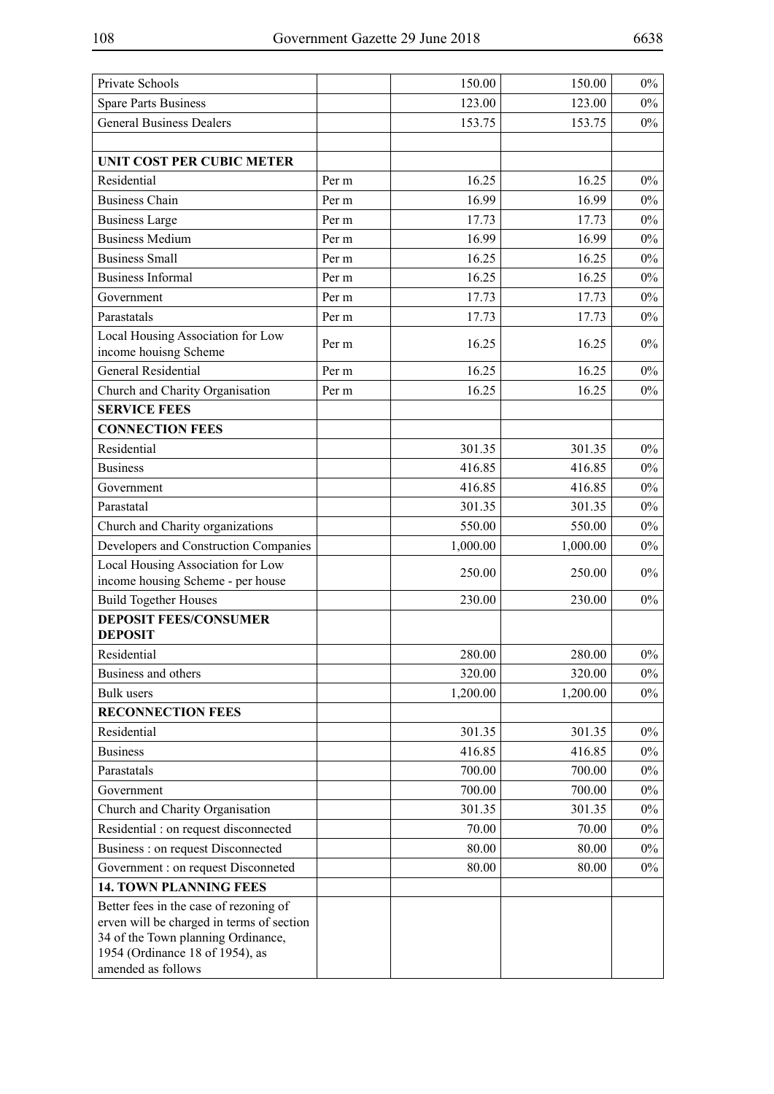| Private Schools                                                                                                                                                                    |       | 150.00    | 150.00   | $0\%$ |
|------------------------------------------------------------------------------------------------------------------------------------------------------------------------------------|-------|-----------|----------|-------|
| <b>Spare Parts Business</b>                                                                                                                                                        |       | 123.00    | 123.00   | $0\%$ |
| <b>General Business Dealers</b>                                                                                                                                                    |       | 153.75    | 153.75   | $0\%$ |
|                                                                                                                                                                                    |       |           |          |       |
| <b>UNIT COST PER CUBIC METER</b>                                                                                                                                                   |       |           |          |       |
| Residential                                                                                                                                                                        | Per m | 16.25     | 16.25    | $0\%$ |
| <b>Business Chain</b>                                                                                                                                                              | Per m | 16.99     | 16.99    | $0\%$ |
| <b>Business Large</b>                                                                                                                                                              | Per m | 17.73     | 17.73    | $0\%$ |
| <b>Business Medium</b>                                                                                                                                                             | Per m | 16.99     | 16.99    | $0\%$ |
| <b>Business Small</b>                                                                                                                                                              | Per m | 16.25     | 16.25    | $0\%$ |
| <b>Business Informal</b>                                                                                                                                                           | Per m | 16.25     | 16.25    | $0\%$ |
| Government                                                                                                                                                                         | Per m | 17.73     | 17.73    | $0\%$ |
| Parastatals                                                                                                                                                                        | Per m | 17.73     | 17.73    | $0\%$ |
| Local Housing Association for Low<br>income houisng Scheme                                                                                                                         | Per m | 16.25     | 16.25    | $0\%$ |
| <b>General Residential</b>                                                                                                                                                         | Per m | 16.25     | 16.25    | $0\%$ |
| Church and Charity Organisation                                                                                                                                                    | Per m | 16.25     | 16.25    | $0\%$ |
| <b>SERVICE FEES</b>                                                                                                                                                                |       |           |          |       |
| <b>CONNECTION FEES</b>                                                                                                                                                             |       |           |          |       |
| Residential                                                                                                                                                                        |       | 301.35    | 301.35   | $0\%$ |
| <b>Business</b>                                                                                                                                                                    |       | 416.85    | 416.85   | $0\%$ |
| Government                                                                                                                                                                         |       | 416.85    | 416.85   | $0\%$ |
| Parastatal                                                                                                                                                                         |       | 301.35    | 301.35   | $0\%$ |
| Church and Charity organizations                                                                                                                                                   |       | 550.00    | 550.00   | $0\%$ |
| Developers and Construction Companies                                                                                                                                              |       | 1,000.00  | 1,000.00 | $0\%$ |
| Local Housing Association for Low<br>income housing Scheme - per house                                                                                                             |       | 250.00    | 250.00   | $0\%$ |
| <b>Build Together Houses</b>                                                                                                                                                       |       | 230.00    | 230.00   | $0\%$ |
| <b>DEPOSIT FEES/CONSUMER</b><br><b>DEPOSIT</b>                                                                                                                                     |       |           |          |       |
| Residential                                                                                                                                                                        |       | 280.00    | 280.00   | $0\%$ |
| Business and others                                                                                                                                                                |       | 320.00    | 320.00   | $0\%$ |
| Bulk users                                                                                                                                                                         |       | 1,200.00  | 1,200.00 | $0\%$ |
| <b>RECONNECTION FEES</b>                                                                                                                                                           |       |           |          |       |
| Residential                                                                                                                                                                        |       | 301.35    | 301.35   | $0\%$ |
| <b>Business</b>                                                                                                                                                                    |       | 416.85    | 416.85   | $0\%$ |
| Parastatals                                                                                                                                                                        |       | 700.00    | 700.00   | $0\%$ |
| Government                                                                                                                                                                         |       | 700.00    | 700.00   | $0\%$ |
| Church and Charity Organisation                                                                                                                                                    |       | 301.35    | 301.35   | $0\%$ |
| Residential : on request disconnected                                                                                                                                              |       | $70.00\,$ | 70.00    | $0\%$ |
| Business : on request Disconnected                                                                                                                                                 |       | 80.00     | 80.00    | $0\%$ |
| Government : on request Disconneted                                                                                                                                                |       | 80.00     | 80.00    | $0\%$ |
| <b>14. TOWN PLANNING FEES</b>                                                                                                                                                      |       |           |          |       |
| Better fees in the case of rezoning of<br>erven will be charged in terms of section<br>34 of the Town planning Ordinance,<br>1954 (Ordinance 18 of 1954), as<br>amended as follows |       |           |          |       |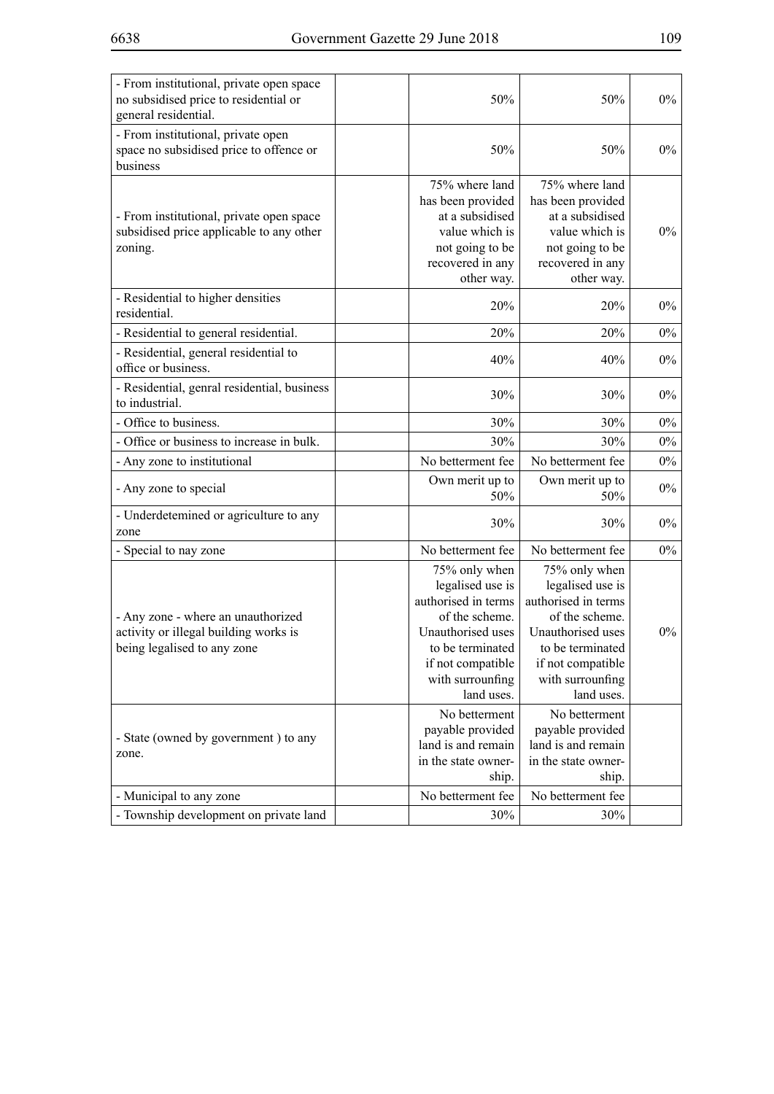| - From institutional, private open space<br>no subsidised price to residential or<br>general residential.                                          | 50%                                                                                                                                                                                                                                   | 50%                                                                                                                                                                                                                                   | $0\%$ |
|----------------------------------------------------------------------------------------------------------------------------------------------------|---------------------------------------------------------------------------------------------------------------------------------------------------------------------------------------------------------------------------------------|---------------------------------------------------------------------------------------------------------------------------------------------------------------------------------------------------------------------------------------|-------|
| - From institutional, private open<br>space no subsidised price to offence or<br>business                                                          | 50%                                                                                                                                                                                                                                   | 50%                                                                                                                                                                                                                                   | $0\%$ |
| - From institutional, private open space<br>subsidised price applicable to any other<br>zoning.                                                    | 75% where land<br>has been provided<br>at a subsidised<br>value which is<br>not going to be<br>recovered in any<br>other way.                                                                                                         | 75% where land<br>has been provided<br>at a subsidised<br>value which is<br>not going to be<br>recovered in any<br>other way.                                                                                                         | $0\%$ |
| - Residential to higher densities<br>residential.                                                                                                  | 20%                                                                                                                                                                                                                                   | 20%                                                                                                                                                                                                                                   | $0\%$ |
| - Residential to general residential.                                                                                                              | 20%                                                                                                                                                                                                                                   | 20%                                                                                                                                                                                                                                   | $0\%$ |
| - Residential, general residential to<br>office or business.                                                                                       | 40%                                                                                                                                                                                                                                   | 40%                                                                                                                                                                                                                                   | $0\%$ |
| - Residential, genral residential, business<br>to industrial.                                                                                      | 30%                                                                                                                                                                                                                                   | 30%                                                                                                                                                                                                                                   | $0\%$ |
| - Office to business.                                                                                                                              | 30%                                                                                                                                                                                                                                   | 30%                                                                                                                                                                                                                                   | $0\%$ |
| - Office or business to increase in bulk.                                                                                                          | 30%                                                                                                                                                                                                                                   | 30%                                                                                                                                                                                                                                   | $0\%$ |
| - Any zone to institutional                                                                                                                        | No betterment fee                                                                                                                                                                                                                     | No betterment fee                                                                                                                                                                                                                     | $0\%$ |
| - Any zone to special                                                                                                                              | Own merit up to<br>50%                                                                                                                                                                                                                | Own merit up to<br>50%                                                                                                                                                                                                                | $0\%$ |
| - Underdetemined or agriculture to any<br>zone                                                                                                     | 30%                                                                                                                                                                                                                                   | 30%                                                                                                                                                                                                                                   | $0\%$ |
| - Special to nay zone                                                                                                                              | No betterment fee                                                                                                                                                                                                                     | No betterment fee                                                                                                                                                                                                                     | $0\%$ |
| - Any zone - where an unauthorized<br>activity or illegal building works is<br>being legalised to any zone<br>- State (owned by government) to any | 75% only when<br>legalised use is<br>authorised in terms<br>of the scheme.<br>Unauthorised uses<br>to be terminated<br>if not compatible<br>with surrounfing<br>land uses.<br>No betterment<br>payable provided<br>land is and remain | 75% only when<br>legalised use is<br>authorised in terms<br>of the scheme.<br>Unauthorised uses<br>to be terminated<br>if not compatible<br>with surrounfing<br>land uses.<br>No betterment<br>payable provided<br>land is and remain | $0\%$ |
| zone.                                                                                                                                              | in the state owner-<br>ship.                                                                                                                                                                                                          | in the state owner-<br>ship.                                                                                                                                                                                                          |       |
| - Municipal to any zone                                                                                                                            | No betterment fee                                                                                                                                                                                                                     | No betterment fee                                                                                                                                                                                                                     |       |
| - Township development on private land                                                                                                             | 30%                                                                                                                                                                                                                                   | 30%                                                                                                                                                                                                                                   |       |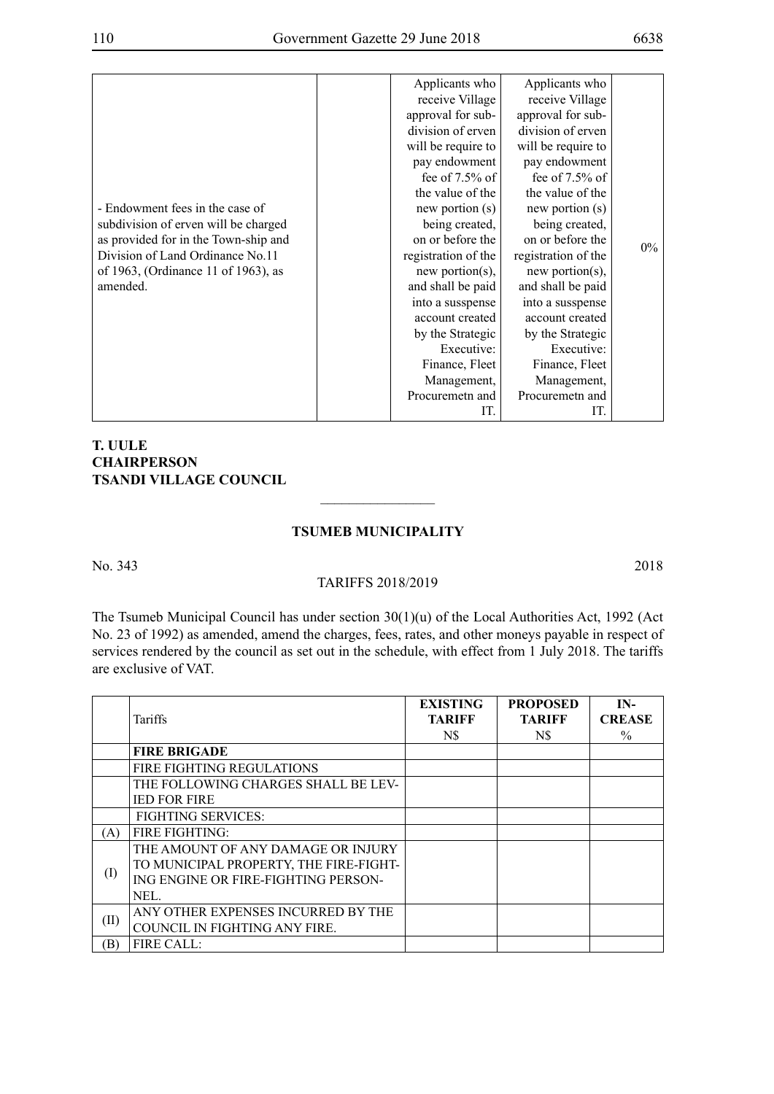### **T. UULE CHAIRPERSON TSANDI VILLAGE COUNCIL**

### **TSUMEB MUNICIPALITY**

 $\overline{\phantom{a}}$  , where  $\overline{\phantom{a}}$ 

No. 343 2018

#### TARIFFS 2018/2019

The Tsumeb Municipal Council has under section 30(1)(u) of the Local Authorities Act, 1992 (Act No. 23 of 1992) as amended, amend the charges, fees, rates, and other moneys payable in respect of services rendered by the council as set out in the schedule, with effect from 1 July 2018. The tariffs are exclusive of VAT.

|      |                                        | <b>EXISTING</b> | <b>PROPOSED</b> | IN-           |
|------|----------------------------------------|-----------------|-----------------|---------------|
|      | Tariffs                                | <b>TARIFF</b>   | <b>TARIFF</b>   | <b>CREASE</b> |
|      |                                        | N\$             | N\$             | $\%$          |
|      | <b>FIRE BRIGADE</b>                    |                 |                 |               |
|      | <b>FIRE FIGHTING REGULATIONS</b>       |                 |                 |               |
|      | THE FOLLOWING CHARGES SHALL BE LEV-    |                 |                 |               |
|      | <b>IED FOR FIRE</b>                    |                 |                 |               |
|      | <b>FIGHTING SERVICES:</b>              |                 |                 |               |
| A)   | <b>FIRE FIGHTING:</b>                  |                 |                 |               |
|      | THE AMOUNT OF ANY DAMAGE OR INJURY     |                 |                 |               |
|      | TO MUNICIPAL PROPERTY, THE FIRE-FIGHT- |                 |                 |               |
| (I)  | ING ENGINE OR FIRE-FIGHTING PERSON-    |                 |                 |               |
|      | NEL.                                   |                 |                 |               |
|      | ANY OTHER EXPENSES INCURRED BY THE     |                 |                 |               |
| (II) | COUNCIL IN FIGHTING ANY FIRE.          |                 |                 |               |
| ΈĐ)  | FIRE CALL:                             |                 |                 |               |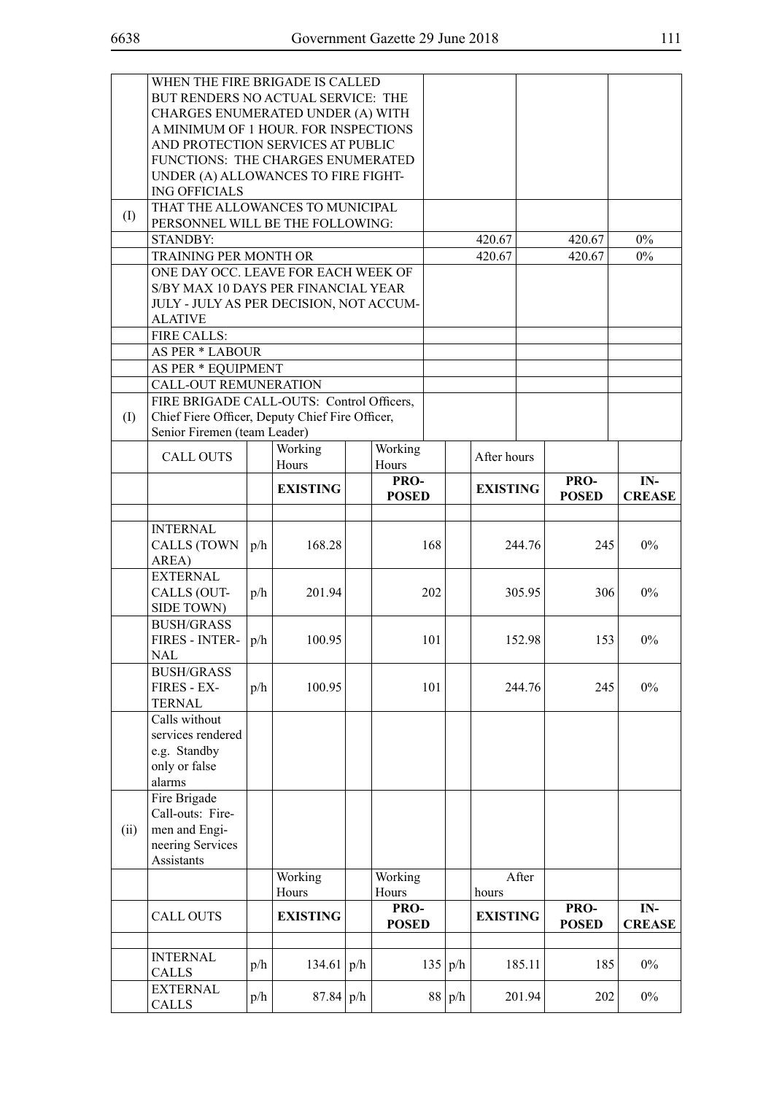|      | WHEN THE FIRE BRIGADE IS CALLED                 |     |                 |  |              |     |     |                 |        |              |               |
|------|-------------------------------------------------|-----|-----------------|--|--------------|-----|-----|-----------------|--------|--------------|---------------|
|      | BUT RENDERS NO ACTUAL SERVICE: THE              |     |                 |  |              |     |     |                 |        |              |               |
|      | CHARGES ENUMERATED UNDER (A) WITH               |     |                 |  |              |     |     |                 |        |              |               |
|      | A MINIMUM OF 1 HOUR. FOR INSPECTIONS            |     |                 |  |              |     |     |                 |        |              |               |
|      | AND PROTECTION SERVICES AT PUBLIC               |     |                 |  |              |     |     |                 |        |              |               |
|      | FUNCTIONS: THE CHARGES ENUMERATED               |     |                 |  |              |     |     |                 |        |              |               |
|      | UNDER (A) ALLOWANCES TO FIRE FIGHT-             |     |                 |  |              |     |     |                 |        |              |               |
|      | <b>ING OFFICIALS</b>                            |     |                 |  |              |     |     |                 |        |              |               |
|      | THAT THE ALLOWANCES TO MUNICIPAL                |     |                 |  |              |     |     |                 |        |              |               |
| (I)  | PERSONNEL WILL BE THE FOLLOWING:                |     |                 |  |              |     |     |                 |        |              |               |
|      | <b>STANDBY:</b>                                 |     |                 |  |              |     |     | 420.67          |        | 420.67       | $0\%$         |
|      | TRAINING PER MONTH OR                           |     |                 |  |              |     |     | 420.67          |        | 420.67       | $0\%$         |
|      | ONE DAY OCC. LEAVE FOR EACH WEEK OF             |     |                 |  |              |     |     |                 |        |              |               |
|      | S/BY MAX 10 DAYS PER FINANCIAL YEAR             |     |                 |  |              |     |     |                 |        |              |               |
|      | JULY - JULY AS PER DECISION, NOT ACCUM-         |     |                 |  |              |     |     |                 |        |              |               |
|      | <b>ALATIVE</b>                                  |     |                 |  |              |     |     |                 |        |              |               |
|      | <b>FIRE CALLS:</b>                              |     |                 |  |              |     |     |                 |        |              |               |
|      | <b>AS PER * LABOUR</b>                          |     |                 |  |              |     |     |                 |        |              |               |
|      | AS PER * EQUIPMENT                              |     |                 |  |              |     |     |                 |        |              |               |
|      | CALL-OUT REMUNERATION                           |     |                 |  |              |     |     |                 |        |              |               |
|      | FIRE BRIGADE CALL-OUTS: Control Officers,       |     |                 |  |              |     |     |                 |        |              |               |
| (I)  | Chief Fiere Officer, Deputy Chief Fire Officer, |     |                 |  |              |     |     |                 |        |              |               |
|      | Senior Firemen (team Leader)                    |     |                 |  |              |     |     |                 |        |              |               |
|      |                                                 |     | Working         |  | Working      |     |     |                 |        |              |               |
|      | <b>CALL OUTS</b>                                |     | Hours           |  | Hours        |     |     | After hours     |        |              |               |
|      |                                                 |     |                 |  | PRO-         |     |     |                 |        | PRO-         | IN-           |
|      |                                                 |     | <b>EXISTING</b> |  | <b>POSED</b> |     |     | <b>EXISTING</b> |        | <b>POSED</b> | <b>CREASE</b> |
|      |                                                 |     |                 |  |              |     |     |                 |        |              |               |
|      | <b>INTERNAL</b>                                 |     |                 |  |              |     |     |                 |        |              |               |
|      | <b>CALLS (TOWN</b>                              | p/h | 168.28          |  |              | 168 |     |                 | 244.76 | 245          | $0\%$         |
|      | AREA)                                           |     |                 |  |              |     |     |                 |        |              |               |
|      | <b>EXTERNAL</b>                                 |     |                 |  |              |     |     |                 |        |              |               |
|      | CALLS (OUT-                                     | p/h | 201.94          |  |              | 202 |     |                 | 305.95 | 306          | $0\%$         |
|      | SIDE TOWN)                                      |     |                 |  |              |     |     |                 |        |              |               |
|      | <b>BUSH/GRASS</b>                               |     |                 |  |              |     |     |                 |        |              |               |
|      | FIRES - INTER-                                  | p/h | 100.95          |  |              | 101 |     |                 | 152.98 | 153          | $0\%$         |
|      | NAL                                             |     |                 |  |              |     |     |                 |        |              |               |
|      | <b>BUSH/GRASS</b>                               |     |                 |  |              |     |     |                 |        |              |               |
|      | FIRES - EX-                                     | p/h | 100.95          |  |              | 101 |     |                 | 244.76 | 245          | $0\%$         |
|      | <b>TERNAL</b>                                   |     |                 |  |              |     |     |                 |        |              |               |
|      | Calls without                                   |     |                 |  |              |     |     |                 |        |              |               |
|      | services rendered                               |     |                 |  |              |     |     |                 |        |              |               |
|      | e.g. Standby                                    |     |                 |  |              |     |     |                 |        |              |               |
|      | only or false                                   |     |                 |  |              |     |     |                 |        |              |               |
|      | alarms                                          |     |                 |  |              |     |     |                 |        |              |               |
|      | Fire Brigade                                    |     |                 |  |              |     |     |                 |        |              |               |
|      | Call-outs: Fire-                                |     |                 |  |              |     |     |                 |        |              |               |
| (ii) | men and Engi-                                   |     |                 |  |              |     |     |                 |        |              |               |
|      | neering Services                                |     |                 |  |              |     |     |                 |        |              |               |
|      | Assistants                                      |     |                 |  |              |     |     |                 |        |              |               |
|      |                                                 |     | Working         |  | Working      |     |     |                 | After  |              |               |
|      |                                                 |     | Hours           |  | Hours        |     |     | hours           |        |              |               |
|      | <b>CALL OUTS</b>                                |     | <b>EXISTING</b> |  | PRO-         |     |     | <b>EXISTING</b> |        | PRO-         | IN-           |
|      |                                                 |     |                 |  | <b>POSED</b> |     |     |                 |        | <b>POSED</b> | <b>CREASE</b> |
|      |                                                 |     |                 |  |              |     |     |                 |        |              |               |
|      | <b>INTERNAL</b>                                 | p/h | 134.61   $p/h$  |  |              | 135 | p/h |                 | 185.11 | 185          | $0\%$         |
|      | <b>CALLS</b>                                    |     |                 |  |              |     |     |                 |        |              |               |
|      | <b>EXTERNAL</b>                                 | p/h | 87.84 p/h       |  |              | 88  | p/h |                 | 201.94 | 202          | $0\%$         |
|      | <b>CALLS</b>                                    |     |                 |  |              |     |     |                 |        |              |               |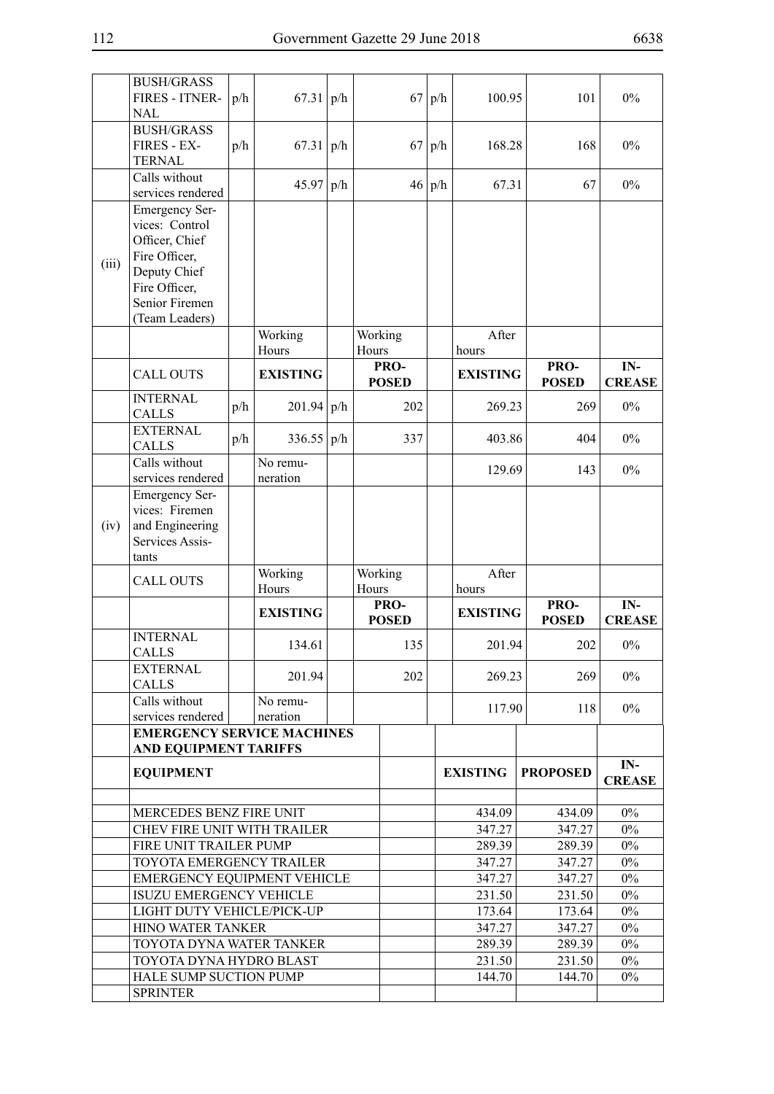|       | <b>BUSH/GRASS</b><br>FIRES - ITNER-<br><b>NAL</b>                                                                                               | p/h | 67.31                | p/h |       | 67                   | p/h    | 100.95           | 101                  | $0\%$                  |
|-------|-------------------------------------------------------------------------------------------------------------------------------------------------|-----|----------------------|-----|-------|----------------------|--------|------------------|----------------------|------------------------|
|       | <b>BUSH/GRASS</b><br>FIRES - EX-<br><b>TERNAL</b>                                                                                               | p/h | 67.31                | p/h |       | 67                   | p/h    | 168.28           | 168                  | $0\%$                  |
|       | Calls without<br>services rendered                                                                                                              |     | 45.97 p/h            |     |       |                      | 46 p/h | 67.31            | 67                   | $0\%$                  |
| (iii) | <b>Emergency Ser-</b><br>vices: Control<br>Officer, Chief<br>Fire Officer,<br>Deputy Chief<br>Fire Officer,<br>Senior Firemen<br>(Team Leaders) |     |                      |     |       |                      |        | After            |                      |                        |
|       |                                                                                                                                                 |     | Working<br>Hours     |     | Hours | Working              |        | hours            |                      |                        |
|       | <b>CALL OUTS</b>                                                                                                                                |     | <b>EXISTING</b>      |     |       | PRO-<br><b>POSED</b> |        | <b>EXISTING</b>  | PRO-<br><b>POSED</b> | $IN-$<br><b>CREASE</b> |
|       | <b>INTERNAL</b><br><b>CALLS</b>                                                                                                                 | p/h | 201.94               | p/h |       | 202                  |        | 269.23           | 269                  | $0\%$                  |
|       | <b>EXTERNAL</b><br><b>CALLS</b>                                                                                                                 | p/h | 336.55               | p/h |       | 337                  |        | 403.86           | 404                  | $0\%$                  |
|       | Calls without<br>services rendered                                                                                                              |     | No remu-<br>neration |     |       |                      |        | 129.69           | 143                  | $0\%$                  |
| (iv)  | Emergency Ser-<br>vices: Firemen<br>and Engineering<br>Services Assis-                                                                          |     |                      |     |       |                      |        |                  |                      |                        |
|       | tants                                                                                                                                           |     |                      |     |       |                      |        |                  |                      |                        |
|       | <b>CALL OUTS</b>                                                                                                                                |     | Working<br>Hours     |     | Hours | Working              |        | After<br>hours   |                      |                        |
|       |                                                                                                                                                 |     | <b>EXISTING</b>      |     |       | PRO-<br><b>POSED</b> |        | <b>EXISTING</b>  | PRO-<br><b>POSED</b> | $IN-$<br><b>CREASE</b> |
|       | <b>INTERNAL</b><br><b>CALLS</b>                                                                                                                 |     | 134.61               |     |       | 135                  |        | 201.94           | 202                  | $0\%$                  |
|       | <b>EXTERNAL</b><br><b>CALLS</b>                                                                                                                 |     | 201.94               |     |       | 202                  |        | 269.23           | 269                  | $0\%$                  |
|       | Calls without<br>services rendered                                                                                                              |     | No remu-<br>neration |     |       |                      |        | 117.90           | 118                  | $0\%$                  |
|       | <b>EMERGENCY SERVICE MACHINES</b>                                                                                                               |     |                      |     |       |                      |        |                  |                      |                        |
|       | <b>AND EQUIPMENT TARIFFS</b><br><b>EQUIPMENT</b>                                                                                                |     |                      |     |       |                      |        | <b>EXISTING</b>  | <b>PROPOSED</b>      | $IN-$<br><b>CREASE</b> |
|       |                                                                                                                                                 |     |                      |     |       |                      |        |                  |                      |                        |
|       | MERCEDES BENZ FIRE UNIT<br>CHEV FIRE UNIT WITH TRAILER                                                                                          |     |                      |     |       |                      |        | 434.09<br>347.27 | 434.09<br>347.27     | $0\%$<br>$0\%$         |
|       | FIRE UNIT TRAILER PUMP                                                                                                                          |     |                      |     |       |                      |        | 289.39           | 289.39               | $0\%$                  |
|       | TOYOTA EMERGENCY TRAILER                                                                                                                        |     |                      |     |       |                      |        | 347.27           | 347.27               | $0\%$                  |
|       | EMERGENCY EQUIPMENT VEHICLE                                                                                                                     |     |                      |     |       |                      |        | 347.27           | 347.27               | $0\%$                  |
|       | ISUZU EMERGENCY VEHICLE                                                                                                                         |     |                      |     |       |                      |        | 231.50           | 231.50               | $0\%$                  |
|       | LIGHT DUTY VEHICLE/PICK-UP                                                                                                                      |     |                      |     |       |                      |        | 173.64           | 173.64               | $0\%$                  |
|       | <b>HINO WATER TANKER</b>                                                                                                                        |     |                      |     |       |                      |        | 347.27           | 347.27               | $0\%$                  |
|       | TOYOTA DYNA WATER TANKER                                                                                                                        |     |                      |     |       |                      |        | 289.39           | 289.39               | $0\%$                  |
|       | TOYOTA DYNA HYDRO BLAST<br>HALE SUMP SUCTION PUMP                                                                                               |     |                      |     |       |                      |        | 231.50<br>144.70 | 231.50<br>144.70     | $0\%$<br>$0\%$         |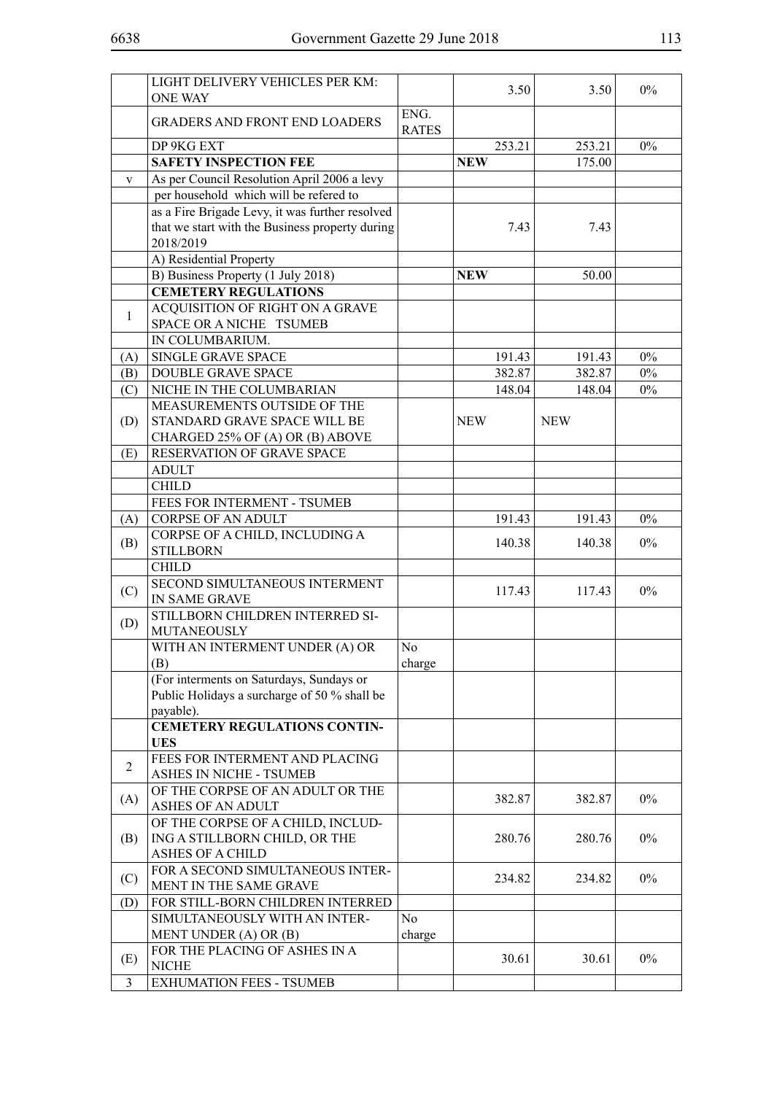|                | LIGHT DELIVERY VEHICLES PER KM:                              |                      | 3.50       | 3.50       | $0\%$ |
|----------------|--------------------------------------------------------------|----------------------|------------|------------|-------|
|                | <b>ONE WAY</b>                                               |                      |            |            |       |
|                | <b>GRADERS AND FRONT END LOADERS</b>                         | ENG.<br><b>RATES</b> |            |            |       |
|                | DP 9KG EXT                                                   |                      | 253.21     | 253.21     | $0\%$ |
|                | <b>SAFETY INSPECTION FEE</b>                                 |                      | <b>NEW</b> | 175.00     |       |
| $\mathbf{V}$   | As per Council Resolution April 2006 a levy                  |                      |            |            |       |
|                | per household which will be refered to                       |                      |            |            |       |
|                | as a Fire Brigade Levy, it was further resolved              |                      |            |            |       |
|                | that we start with the Business property during<br>2018/2019 |                      | 7.43       | 7.43       |       |
|                | A) Residential Property                                      |                      |            |            |       |
|                | B) Business Property (1 July 2018)                           |                      | <b>NEW</b> | 50.00      |       |
|                | <b>CEMETERY REGULATIONS</b>                                  |                      |            |            |       |
|                | ACQUISITION OF RIGHT ON A GRAVE                              |                      |            |            |       |
| $\mathbf{1}$   | SPACE OR A NICHE TSUMEB                                      |                      |            |            |       |
|                | IN COLUMBARIUM.                                              |                      |            |            |       |
| (A)            | SINGLE GRAVE SPACE                                           |                      | 191.43     | 191.43     | $0\%$ |
| (B)            | <b>DOUBLE GRAVE SPACE</b>                                    |                      | 382.87     | 382.87     | $0\%$ |
| (C)            | NICHE IN THE COLUMBARIAN                                     |                      | 148.04     | 148.04     | $0\%$ |
|                | MEASUREMENTS OUTSIDE OF THE                                  |                      |            |            |       |
| (D)            | STANDARD GRAVE SPACE WILL BE                                 |                      | <b>NEW</b> | <b>NEW</b> |       |
|                | CHARGED 25% OF (A) OR (B) ABOVE                              |                      |            |            |       |
| (E)            | RESERVATION OF GRAVE SPACE                                   |                      |            |            |       |
|                | <b>ADULT</b>                                                 |                      |            |            |       |
|                | <b>CHILD</b>                                                 |                      |            |            |       |
|                | FEES FOR INTERMENT - TSUMEB                                  |                      |            |            |       |
| (A)            | <b>CORPSE OF AN ADULT</b>                                    |                      | 191.43     | 191.43     | $0\%$ |
|                | CORPSE OF A CHILD, INCLUDING A                               |                      |            |            |       |
| (B)            | <b>STILLBORN</b>                                             |                      | 140.38     | 140.38     | $0\%$ |
|                | <b>CHILD</b>                                                 |                      |            |            |       |
|                | SECOND SIMULTANEOUS INTERMENT                                |                      |            |            |       |
| (C)            | IN SAME GRAVE                                                |                      | 117.43     | 117.43     | $0\%$ |
| (D)            | STILLBORN CHILDREN INTERRED SI-<br>MUTANEOUSLY               |                      |            |            |       |
|                | WITH AN INTERMENT UNDER (A) OR                               | No                   |            |            |       |
|                | (B)                                                          | charge               |            |            |       |
|                | (For interments on Saturdays, Sundays or                     |                      |            |            |       |
|                | Public Holidays a surcharge of 50 % shall be                 |                      |            |            |       |
|                | payable).                                                    |                      |            |            |       |
|                | <b>CEMETERY REGULATIONS CONTIN-</b>                          |                      |            |            |       |
|                | <b>UES</b>                                                   |                      |            |            |       |
| $\overline{2}$ | FEES FOR INTERMENT AND PLACING                               |                      |            |            |       |
|                | ASHES IN NICHE - TSUMEB                                      |                      |            |            |       |
| (A)            | OF THE CORPSE OF AN ADULT OR THE<br><b>ASHES OF AN ADULT</b> |                      | 382.87     | 382.87     | $0\%$ |
|                | OF THE CORPSE OF A CHILD, INCLUD-                            |                      |            |            |       |
| (B)            | ING A STILLBORN CHILD, OR THE                                |                      | 280.76     | 280.76     | $0\%$ |
|                | <b>ASHES OF A CHILD</b>                                      |                      |            |            |       |
|                | FOR A SECOND SIMULTANEOUS INTER-                             |                      |            |            |       |
| (C)            | MENT IN THE SAME GRAVE                                       |                      | 234.82     | 234.82     | $0\%$ |
| (D)            | FOR STILL-BORN CHILDREN INTERRED                             |                      |            |            |       |
|                | SIMULTANEOUSLY WITH AN INTER-                                | N <sub>0</sub>       |            |            |       |
|                | MENT UNDER (A) OR (B)                                        | charge               |            |            |       |
|                | FOR THE PLACING OF ASHES IN A                                |                      |            |            |       |
| (E)            | <b>NICHE</b>                                                 |                      | 30.61      | 30.61      | $0\%$ |
| $\overline{3}$ | <b>EXHUMATION FEES - TSUMEB</b>                              |                      |            |            |       |
|                |                                                              |                      |            |            |       |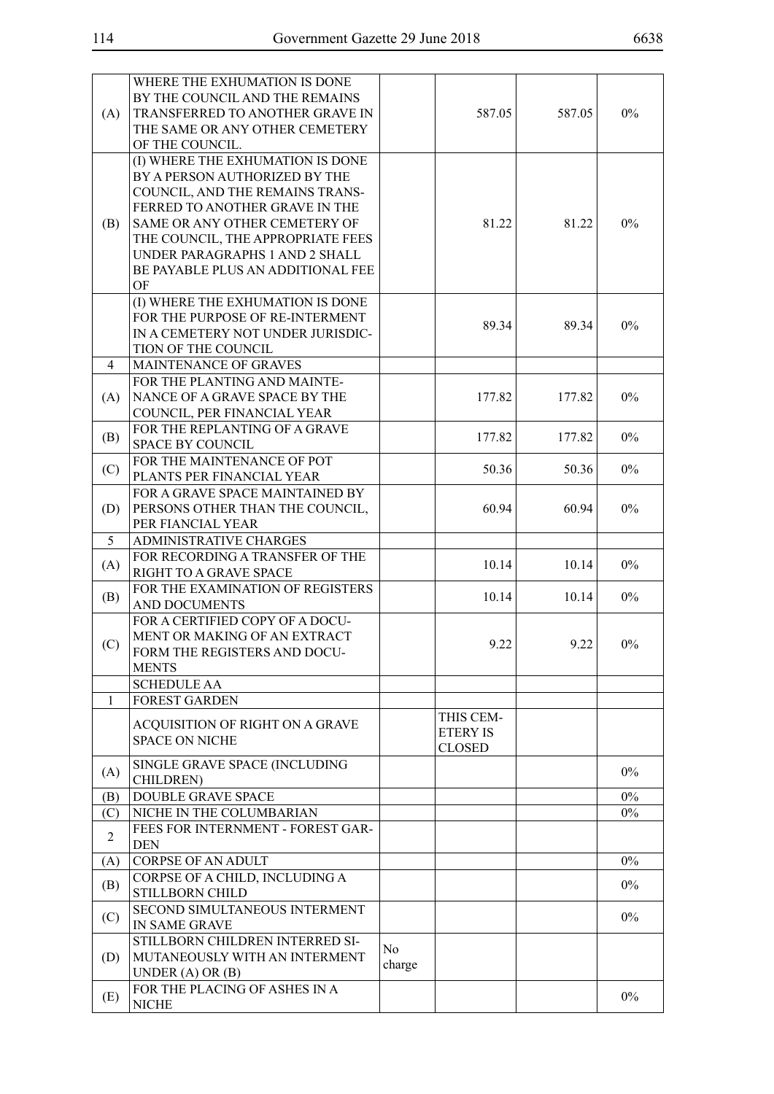|                | WHERE THE EXHUMATION IS DONE<br>BY THE COUNCIL AND THE REMAINS                                                                                                                                                                                                                            |               |                                               |        |       |
|----------------|-------------------------------------------------------------------------------------------------------------------------------------------------------------------------------------------------------------------------------------------------------------------------------------------|---------------|-----------------------------------------------|--------|-------|
| (A)            | TRANSFERRED TO ANOTHER GRAVE IN<br>THE SAME OR ANY OTHER CEMETERY<br>OF THE COUNCIL.                                                                                                                                                                                                      |               | 587.05                                        | 587.05 | $0\%$ |
| (B)            | (I) WHERE THE EXHUMATION IS DONE<br>BY A PERSON AUTHORIZED BY THE<br>COUNCIL, AND THE REMAINS TRANS-<br>FERRED TO ANOTHER GRAVE IN THE<br>SAME OR ANY OTHER CEMETERY OF<br>THE COUNCIL, THE APPROPRIATE FEES<br>UNDER PARAGRAPHS 1 AND 2 SHALL<br>BE PAYABLE PLUS AN ADDITIONAL FEE<br>OF |               | 81.22                                         | 81.22  | 0%    |
|                | (I) WHERE THE EXHUMATION IS DONE<br>FOR THE PURPOSE OF RE-INTERMENT<br>IN A CEMETERY NOT UNDER JURISDIC-<br>TION OF THE COUNCIL                                                                                                                                                           |               | 89.34                                         | 89.34  | 0%    |
| 4              | <b>MAINTENANCE OF GRAVES</b>                                                                                                                                                                                                                                                              |               |                                               |        |       |
| (A)            | FOR THE PLANTING AND MAINTE-<br>NANCE OF A GRAVE SPACE BY THE<br>COUNCIL, PER FINANCIAL YEAR                                                                                                                                                                                              |               | 177.82                                        | 177.82 | $0\%$ |
| (B)            | FOR THE REPLANTING OF A GRAVE<br><b>SPACE BY COUNCIL</b>                                                                                                                                                                                                                                  |               | 177.82                                        | 177.82 | $0\%$ |
| (C)            | FOR THE MAINTENANCE OF POT<br>PLANTS PER FINANCIAL YEAR                                                                                                                                                                                                                                   |               | 50.36                                         | 50.36  | 0%    |
| (D)            | FOR A GRAVE SPACE MAINTAINED BY<br>PERSONS OTHER THAN THE COUNCIL,<br>PER FIANCIAL YEAR                                                                                                                                                                                                   |               | 60.94                                         | 60.94  | $0\%$ |
| 5              | <b>ADMINISTRATIVE CHARGES</b>                                                                                                                                                                                                                                                             |               |                                               |        |       |
| (A)            | FOR RECORDING A TRANSFER OF THE<br>RIGHT TO A GRAVE SPACE                                                                                                                                                                                                                                 |               | 10.14                                         | 10.14  | $0\%$ |
| (B)            | FOR THE EXAMINATION OF REGISTERS<br><b>AND DOCUMENTS</b>                                                                                                                                                                                                                                  |               | 10.14                                         | 10.14  | $0\%$ |
| (C)            | FOR A CERTIFIED COPY OF A DOCU-<br>MENT OR MAKING OF AN EXTRACT<br>FORM THE REGISTERS AND DOCU-<br><b>MENTS</b>                                                                                                                                                                           |               | 9.22                                          | 9.22   | $0\%$ |
|                | <b>SCHEDULE AA</b>                                                                                                                                                                                                                                                                        |               |                                               |        |       |
| 1              | <b>FOREST GARDEN</b>                                                                                                                                                                                                                                                                      |               |                                               |        |       |
|                | ACQUISITION OF RIGHT ON A GRAVE<br><b>SPACE ON NICHE</b>                                                                                                                                                                                                                                  |               | THIS CEM-<br><b>ETERY IS</b><br><b>CLOSED</b> |        |       |
| (A)            | SINGLE GRAVE SPACE (INCLUDING<br>CHILDREN)                                                                                                                                                                                                                                                |               |                                               |        | $0\%$ |
| (B)            | <b>DOUBLE GRAVE SPACE</b>                                                                                                                                                                                                                                                                 |               |                                               |        | $0\%$ |
| (C)            | NICHE IN THE COLUMBARIAN                                                                                                                                                                                                                                                                  |               |                                               |        | $0\%$ |
| $\overline{2}$ | FEES FOR INTERNMENT - FOREST GAR-<br><b>DEN</b>                                                                                                                                                                                                                                           |               |                                               |        |       |
| (A)            | <b>CORPSE OF AN ADULT</b>                                                                                                                                                                                                                                                                 |               |                                               |        | $0\%$ |
| (B)            | CORPSE OF A CHILD, INCLUDING A<br>STILLBORN CHILD                                                                                                                                                                                                                                         |               |                                               |        | $0\%$ |
| (C)            | SECOND SIMULTANEOUS INTERMENT<br>IN SAME GRAVE                                                                                                                                                                                                                                            |               |                                               |        | $0\%$ |
| (D)            | STILLBORN CHILDREN INTERRED SI-<br>MUTANEOUSLY WITH AN INTERMENT<br>UNDER $(A)$ OR $(B)$                                                                                                                                                                                                  | No.<br>charge |                                               |        |       |
| (E)            | FOR THE PLACING OF ASHES IN A<br><b>NICHE</b>                                                                                                                                                                                                                                             |               |                                               |        | $0\%$ |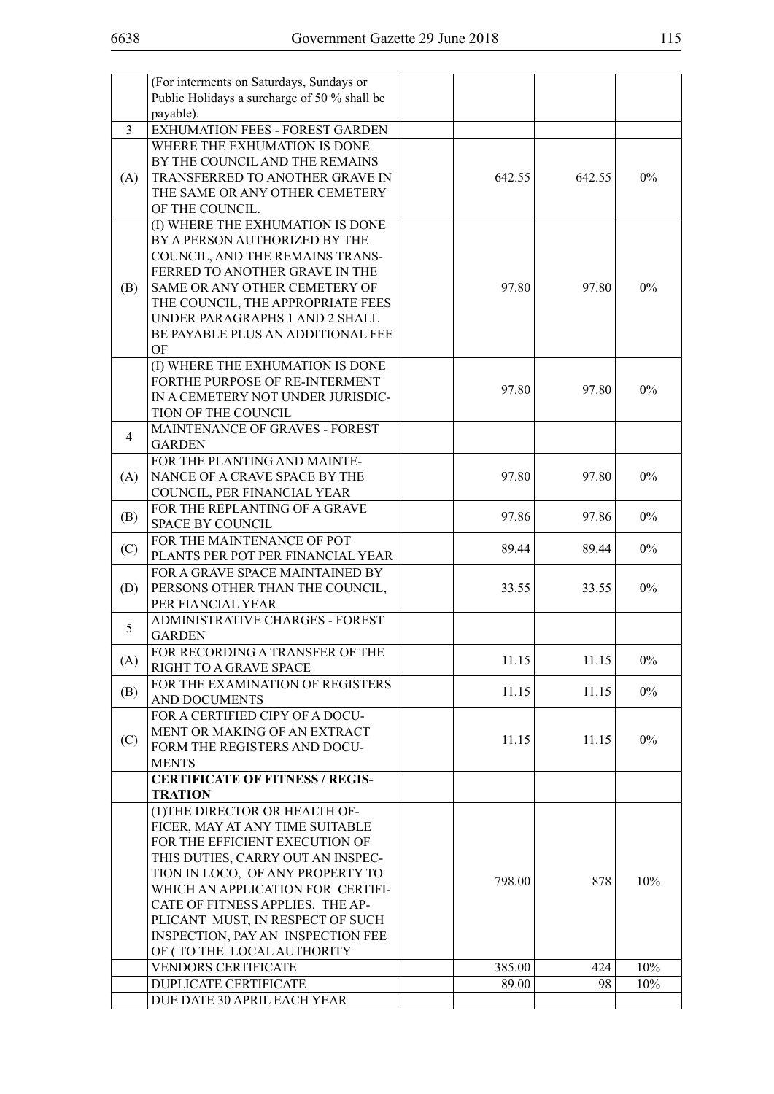|                | (For interments on Saturdays, Sundays or     |        |        |       |
|----------------|----------------------------------------------|--------|--------|-------|
|                | Public Holidays a surcharge of 50 % shall be |        |        |       |
|                | payable).                                    |        |        |       |
| $\overline{3}$ | EXHUMATION FEES - FOREST GARDEN              |        |        |       |
|                |                                              |        |        |       |
|                | WHERE THE EXHUMATION IS DONE                 |        |        |       |
|                | BY THE COUNCIL AND THE REMAINS               |        |        |       |
| (A)            | TRANSFERRED TO ANOTHER GRAVE IN              | 642.55 | 642.55 | $0\%$ |
|                | THE SAME OR ANY OTHER CEMETERY               |        |        |       |
|                | OF THE COUNCIL.                              |        |        |       |
|                | (I) WHERE THE EXHUMATION IS DONE             |        |        |       |
|                | BY A PERSON AUTHORIZED BY THE                |        |        |       |
|                | COUNCIL, AND THE REMAINS TRANS-              |        |        |       |
|                | FERRED TO ANOTHER GRAVE IN THE               |        |        |       |
|                |                                              |        |        |       |
| (B)            | SAME OR ANY OTHER CEMETERY OF                | 97.80  | 97.80  | $0\%$ |
|                | THE COUNCIL, THE APPROPRIATE FEES            |        |        |       |
|                | UNDER PARAGRAPHS 1 AND 2 SHALL               |        |        |       |
|                | BE PAYABLE PLUS AN ADDITIONAL FEE            |        |        |       |
|                | OF                                           |        |        |       |
|                | (I) WHERE THE EXHUMATION IS DONE             |        |        |       |
|                | FORTHE PURPOSE OF RE-INTERMENT               |        |        |       |
|                | IN A CEMETERY NOT UNDER JURISDIC-            | 97.80  | 97.80  | $0\%$ |
|                | TION OF THE COUNCIL                          |        |        |       |
|                |                                              |        |        |       |
| 4              | <b>MAINTENANCE OF GRAVES - FOREST</b>        |        |        |       |
|                | <b>GARDEN</b>                                |        |        |       |
|                | FOR THE PLANTING AND MAINTE-                 |        |        |       |
| (A)            | NANCE OF A CRAVE SPACE BY THE                | 97.80  | 97.80  | $0\%$ |
|                | COUNCIL, PER FINANCIAL YEAR                  |        |        |       |
|                | FOR THE REPLANTING OF A GRAVE                |        |        |       |
| (B)            | <b>SPACE BY COUNCIL</b>                      | 97.86  | 97.86  | $0\%$ |
|                | FOR THE MAINTENANCE OF POT                   |        |        |       |
| (C)            | PLANTS PER POT PER FINANCIAL YEAR            | 89.44  | 89.44  | $0\%$ |
|                |                                              |        |        |       |
|                | FOR A GRAVE SPACE MAINTAINED BY              |        |        |       |
| (D)            | PERSONS OTHER THAN THE COUNCIL,              | 33.55  | 33.55  | $0\%$ |
|                | PER FIANCIAL YEAR                            |        |        |       |
| 5              | ADMINISTRATIVE CHARGES - FOREST              |        |        |       |
|                | <b>GARDEN</b>                                |        |        |       |
|                | FOR RECORDING A TRANSFER OF THE              |        |        |       |
| (A)            | RIGHT TO A GRAVE SPACE                       | 11.15  | 11.15  | $0\%$ |
|                | FOR THE EXAMINATION OF REGISTERS             |        |        |       |
| (B)            | AND DOCUMENTS                                | 11.15  | 11.15  | $0\%$ |
|                |                                              |        |        |       |
|                | FOR A CERTIFIED CIPY OF A DOCU-              |        |        |       |
| (C)            | MENT OR MAKING OF AN EXTRACT                 | 11.15  | 11.15  | $0\%$ |
|                | FORM THE REGISTERS AND DOCU-                 |        |        |       |
|                | <b>MENTS</b>                                 |        |        |       |
|                | <b>CERTIFICATE OF FITNESS / REGIS-</b>       |        |        |       |
|                | <b>TRATION</b>                               |        |        |       |
|                | (1) THE DIRECTOR OR HEALTH OF-               |        |        |       |
|                | FICER, MAY AT ANY TIME SUITABLE              |        |        |       |
|                | FOR THE EFFICIENT EXECUTION OF               |        |        |       |
|                |                                              |        |        |       |
|                | THIS DUTIES, CARRY OUT AN INSPEC-            |        |        |       |
|                | TION IN LOCO, OF ANY PROPERTY TO             | 798.00 | 878    | 10%   |
|                | WHICH AN APPLICATION FOR CERTIFI-            |        |        |       |
|                | CATE OF FITNESS APPLIES. THE AP-             |        |        |       |
|                | PLICANT MUST, IN RESPECT OF SUCH             |        |        |       |
|                | INSPECTION, PAY AN INSPECTION FEE            |        |        |       |
|                | OF (TO THE LOCAL AUTHORITY                   |        |        |       |
|                | <b>VENDORS CERTIFICATE</b>                   | 385.00 | 424    | 10%   |
|                | DUPLICATE CERTIFICATE                        | 89.00  | 98     | 10%   |
|                |                                              |        |        |       |
|                | DUE DATE 30 APRIL EACH YEAR                  |        |        |       |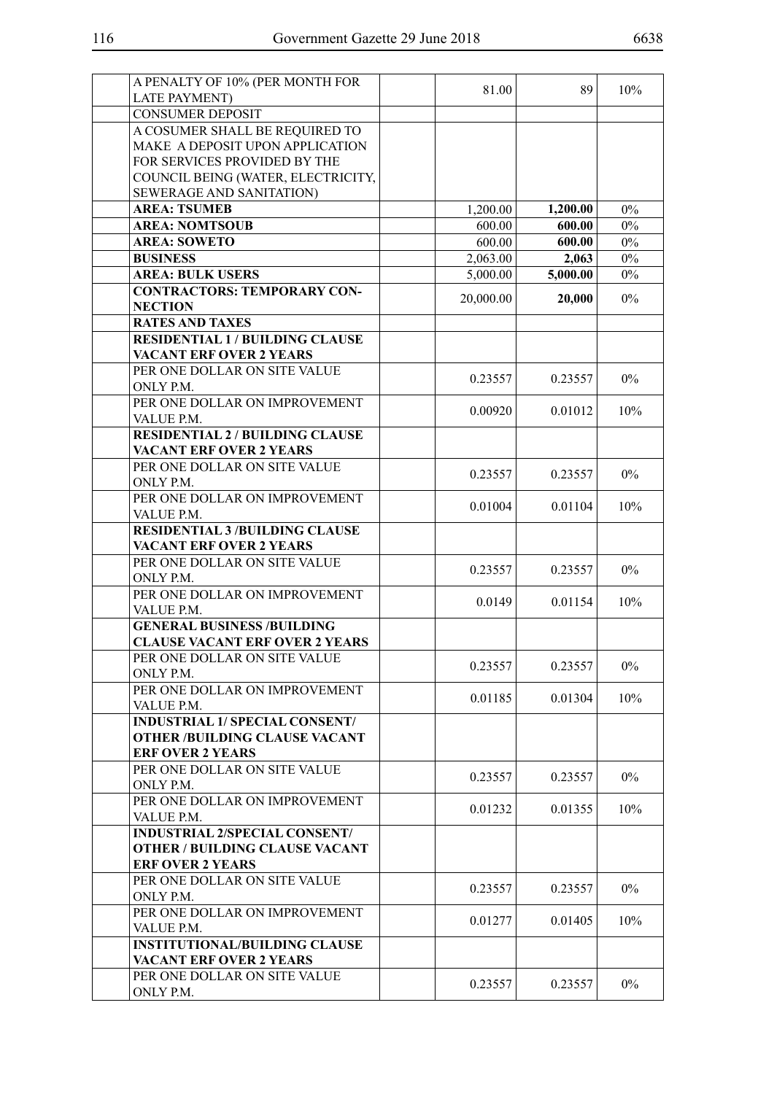| A PENALTY OF 10% (PER MONTH FOR            |           |          |       |
|--------------------------------------------|-----------|----------|-------|
| <b>LATE PAYMENT)</b>                       | 81.00     | 89       | 10%   |
| <b>CONSUMER DEPOSIT</b>                    |           |          |       |
| A COSUMER SHALL BE REQUIRED TO             |           |          |       |
| MAKE A DEPOSIT UPON APPLICATION            |           |          |       |
| FOR SERVICES PROVIDED BY THE               |           |          |       |
| COUNCIL BEING (WATER, ELECTRICITY,         |           |          |       |
| SEWERAGE AND SANITATION)                   |           |          |       |
| <b>AREA: TSUMEB</b>                        | 1,200.00  | 1,200.00 | $0\%$ |
| <b>AREA: NOMTSOUB</b>                      | 600.00    | 600.00   | $0\%$ |
| <b>AREA: SOWETO</b>                        | 600.00    | 600.00   | $0\%$ |
| <b>BUSINESS</b>                            | 2,063.00  | 2,063    | $0\%$ |
| <b>AREA: BULK USERS</b>                    | 5,000.00  | 5,000.00 | $0\%$ |
| <b>CONTRACTORS: TEMPORARY CON-</b>         |           |          |       |
| <b>NECTION</b>                             | 20,000.00 | 20,000   | 0%    |
| <b>RATES AND TAXES</b>                     |           |          |       |
| <b>RESIDENTIAL 1 / BUILDING CLAUSE</b>     |           |          |       |
| <b>VACANT ERF OVER 2 YEARS</b>             |           |          |       |
|                                            |           |          |       |
| PER ONE DOLLAR ON SITE VALUE               | 0.23557   | 0.23557  | $0\%$ |
| ONLY P.M.<br>PER ONE DOLLAR ON IMPROVEMENT |           |          |       |
|                                            | 0.00920   | 0.01012  | 10%   |
| VALUE P.M.                                 |           |          |       |
| <b>RESIDENTIAL 2 / BUILDING CLAUSE</b>     |           |          |       |
| <b>VACANT ERF OVER 2 YEARS</b>             |           |          |       |
| PER ONE DOLLAR ON SITE VALUE               | 0.23557   | 0.23557  | $0\%$ |
| ONLY P.M.                                  |           |          |       |
| PER ONE DOLLAR ON IMPROVEMENT              | 0.01004   | 0.01104  | 10%   |
| VALUE P.M.                                 |           |          |       |
| <b>RESIDENTIAL 3 /BUILDING CLAUSE</b>      |           |          |       |
| <b>VACANT ERF OVER 2 YEARS</b>             |           |          |       |
| PER ONE DOLLAR ON SITE VALUE               | 0.23557   | 0.23557  | $0\%$ |
| ONLY P.M.                                  |           |          |       |
| PER ONE DOLLAR ON IMPROVEMENT              | 0.0149    | 0.01154  | 10%   |
| VALUE P.M.                                 |           |          |       |
| <b>GENERAL BUSINESS /BUILDING</b>          |           |          |       |
| <b>CLAUSE VACANT ERF OVER 2 YEARS</b>      |           |          |       |
| PER ONE DOLLAR ON SITE VALUE               | 0.23557   | 0.23557  | $0\%$ |
| ONLY P.M.                                  |           |          |       |
| PER ONE DOLLAR ON IMPROVEMENT              | 0.01185   | 0.01304  | 10%   |
| VALUE P.M.                                 |           |          |       |
| <b>INDUSTRIAL 1/ SPECIAL CONSENT/</b>      |           |          |       |
| <b>OTHER /BUILDING CLAUSE VACANT</b>       |           |          |       |
| <b>ERF OVER 2 YEARS</b>                    |           |          |       |
| PER ONE DOLLAR ON SITE VALUE               | 0.23557   | 0.23557  | $0\%$ |
| ONLY P.M.                                  |           |          |       |
| PER ONE DOLLAR ON IMPROVEMENT              | 0.01232   | 0.01355  | 10%   |
| VALUE P.M.                                 |           |          |       |
| <b>INDUSTRIAL 2/SPECIAL CONSENT/</b>       |           |          |       |
| <b>OTHER / BUILDING CLAUSE VACANT</b>      |           |          |       |
| <b>ERF OVER 2 YEARS</b>                    |           |          |       |
| PER ONE DOLLAR ON SITE VALUE               | 0.23557   | 0.23557  | $0\%$ |
| ONLY P.M.                                  |           |          |       |
| PER ONE DOLLAR ON IMPROVEMENT              | 0.01277   | 0.01405  | 10%   |
| VALUE P.M.                                 |           |          |       |
| <b>INSTITUTIONAL/BUILDING CLAUSE</b>       |           |          |       |
| <b>VACANT ERF OVER 2 YEARS</b>             |           |          |       |
| PER ONE DOLLAR ON SITE VALUE               | 0.23557   | 0.23557  | $0\%$ |
| ONLY P.M.                                  |           |          |       |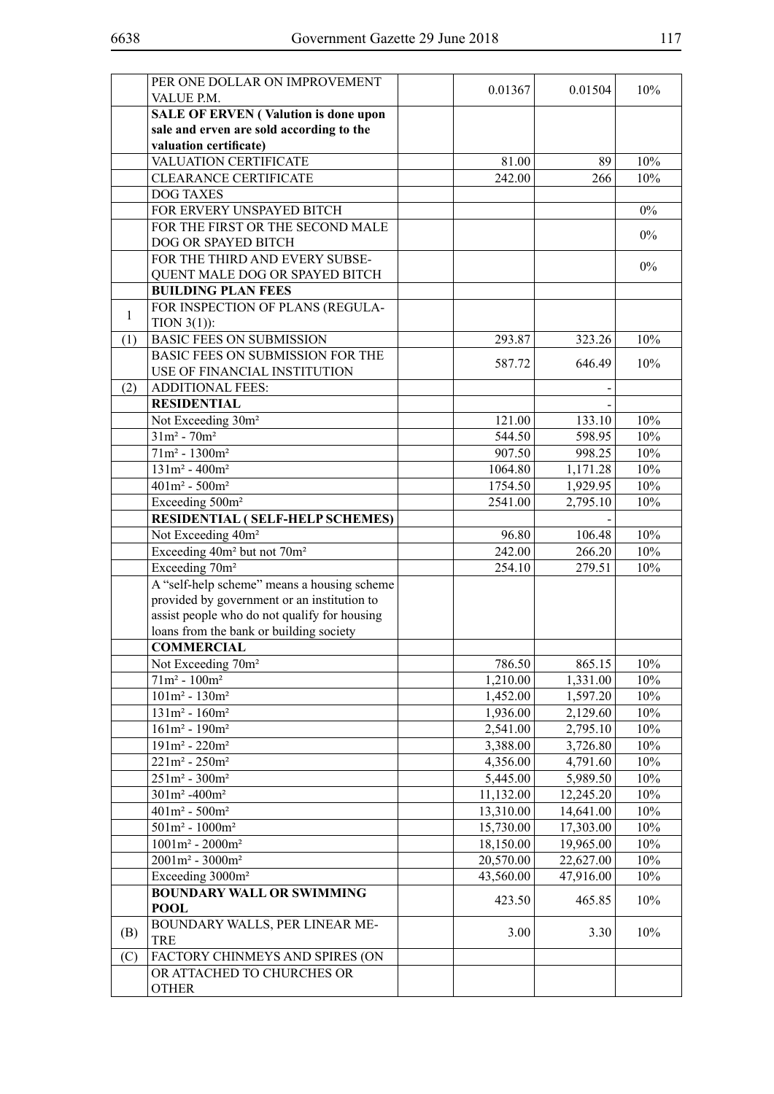|              | PER ONE DOLLAR ON IMPROVEMENT                       | 0.01367   | 0.01504   | 10%   |
|--------------|-----------------------------------------------------|-----------|-----------|-------|
|              | VALUE P.M.                                          |           |           |       |
|              | <b>SALE OF ERVEN (Valution is done upon</b>         |           |           |       |
|              | sale and erven are sold according to the            |           |           |       |
|              | valuation certificate)                              |           |           |       |
|              | VALUATION CERTIFICATE                               | 81.00     | 89        | 10%   |
|              | <b>CLEARANCE CERTIFICATE</b>                        | 242.00    | 266       | 10%   |
|              | <b>DOG TAXES</b>                                    |           |           |       |
|              | FOR ERVERY UNSPAYED BITCH                           |           |           | $0\%$ |
|              | FOR THE FIRST OR THE SECOND MALE                    |           |           | $0\%$ |
|              | DOG OR SPAYED BITCH                                 |           |           |       |
|              | FOR THE THIRD AND EVERY SUBSE-                      |           |           | $0\%$ |
|              | QUENT MALE DOG OR SPAYED BITCH                      |           |           |       |
|              | <b>BUILDING PLAN FEES</b>                           |           |           |       |
| $\mathbf{1}$ | FOR INSPECTION OF PLANS (REGULA-                    |           |           |       |
|              | TION $3(1)$ :                                       |           |           |       |
| (1)          | <b>BASIC FEES ON SUBMISSION</b>                     | 293.87    | 323.26    | 10%   |
|              | BASIC FEES ON SUBMISSION FOR THE                    | 587.72    | 646.49    | 10%   |
|              | USE OF FINANCIAL INSTITUTION                        |           |           |       |
| (2)          | <b>ADDITIONAL FEES:</b>                             |           |           |       |
|              | <b>RESIDENTIAL</b>                                  |           |           |       |
|              | Not Exceeding 30m <sup>2</sup>                      | 121.00    | 133.10    | 10%   |
|              | $31m^2 - 70m^2$                                     | 544.50    | 598.95    | 10%   |
|              | $71m^2 - 1300m^2$                                   | 907.50    | 998.25    | 10%   |
|              | $131m^2 - 400m^2$                                   | 1064.80   | 1,171.28  | 10%   |
|              | $401m^2 - 500m^2$                                   | 1754.50   | 1,929.95  | 10%   |
|              | Exceeding 500m <sup>2</sup>                         | 2541.00   | 2,795.10  | 10%   |
|              | RESIDENTIAL (SELF-HELP SCHEMES)                     |           |           |       |
|              | Not Exceeding 40m <sup>2</sup>                      | 96.80     | 106.48    | 10%   |
|              | Exceeding 40m <sup>2</sup> but not 70m <sup>2</sup> | 242.00    | 266.20    | 10%   |
|              | Exceeding 70m <sup>2</sup>                          | 254.10    | 279.51    | 10%   |
|              | A "self-help scheme" means a housing scheme         |           |           |       |
|              | provided by government or an institution to         |           |           |       |
|              | assist people who do not qualify for housing        |           |           |       |
|              | loans from the bank or building society             |           |           |       |
|              | <b>COMMERCIAL</b>                                   |           |           |       |
|              | Not Exceeding 70m <sup>2</sup>                      | 786.50    | 865.15    | 10%   |
|              | $71m^2 - 100m^2$                                    | 1,210.00  | 1,331.00  | 10%   |
|              | $101m^2 - 130m^2$                                   | 1,452.00  | 1,597.20  | 10%   |
|              | $131m^2 - 160m^2$                                   | 1,936.00  | 2,129.60  | 10%   |
|              | $161m^2 - 190m^2$                                   | 2,541.00  | 2,795.10  | 10%   |
|              | $191m^2 - 220m^2$                                   | 3,388.00  | 3,726.80  | 10%   |
|              | $221m^2 - 250m^2$                                   | 4,356.00  | 4,791.60  | 10%   |
|              | $251m^2 - 300m^2$                                   | 5,445.00  | 5,989.50  | 10%   |
|              | $301m^2 - 400m^2$                                   | 11,132.00 | 12,245.20 | 10%   |
|              | $401m^2 - 500m^2$                                   | 13,310.00 | 14,641.00 | 10%   |
|              | $501m^2 - 1000m^2$                                  | 15,730.00 | 17,303.00 | 10%   |
|              | $1001m^2 - 2000m^2$                                 | 18,150.00 | 19,965.00 | 10%   |
|              | $2001m^2 - 3000m^2$                                 | 20,570.00 | 22,627.00 | 10%   |
|              | Exceeding 3000m <sup>2</sup>                        | 43,560.00 | 47,916.00 | 10%   |
|              | <b>BOUNDARY WALL OR SWIMMING</b>                    |           |           |       |
|              | <b>POOL</b>                                         | 423.50    | 465.85    | 10%   |
|              | BOUNDARY WALLS, PER LINEAR ME-                      |           |           |       |
| (B)          | <b>TRE</b>                                          | 3.00      | 3.30      | 10%   |
| (C)          | FACTORY CHINMEYS AND SPIRES (ON                     |           |           |       |
|              | OR ATTACHED TO CHURCHES OR                          |           |           |       |
|              | <b>OTHER</b>                                        |           |           |       |
|              |                                                     |           |           |       |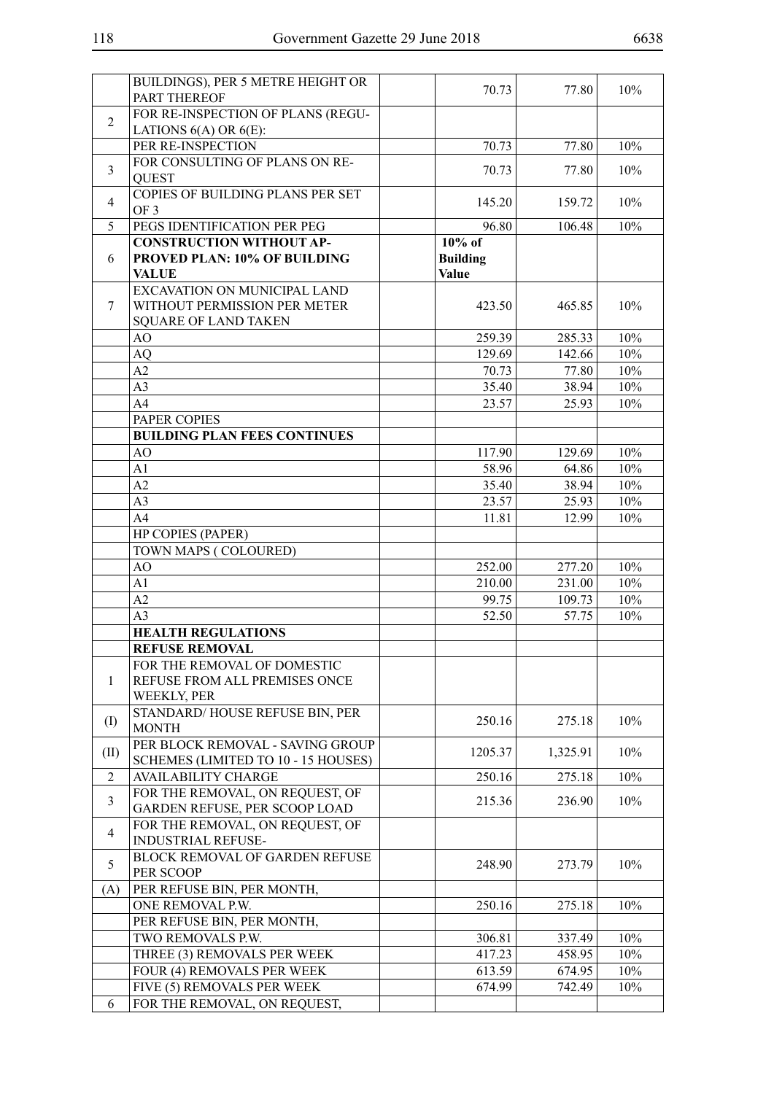|                | BUILDINGS), PER 5 METRE HEIGHT OR                                                           | 70.73                                        | 77.80    | 10%    |
|----------------|---------------------------------------------------------------------------------------------|----------------------------------------------|----------|--------|
|                | <b>PART THEREOF</b>                                                                         |                                              |          |        |
| $\overline{2}$ | FOR RE-INSPECTION OF PLANS (REGU-                                                           |                                              |          |        |
|                | LATIONS $6(A)$ OR $6(E)$ :                                                                  |                                              |          |        |
|                | PER RE-INSPECTION                                                                           | 70.73                                        | 77.80    | 10%    |
| 3              | FOR CONSULTING OF PLANS ON RE-<br><b>QUEST</b>                                              | 70.73                                        | 77.80    | 10%    |
| $\overline{4}$ | COPIES OF BUILDING PLANS PER SET<br>OF <sub>3</sub>                                         | 145.20                                       | 159.72   | 10%    |
| 5              | PEGS IDENTIFICATION PER PEG                                                                 | 96.80                                        | 106.48   | 10%    |
| 6              | <b>CONSTRUCTION WITHOUT AP-</b><br>PROVED PLAN: 10% OF BUILDING<br><b>VALUE</b>             | $10\%$ of<br><b>Building</b><br><b>Value</b> |          |        |
| 7              | EXCAVATION ON MUNICIPAL LAND<br>WITHOUT PERMISSION PER METER<br><b>SQUARE OF LAND TAKEN</b> | 423.50                                       | 465.85   | 10%    |
|                | AO                                                                                          | 259.39                                       | 285.33   | 10%    |
|                | AQ                                                                                          | 129.69                                       | 142.66   | 10%    |
|                | A2                                                                                          | 70.73                                        | 77.80    | 10%    |
|                | A <sub>3</sub>                                                                              | 35.40                                        | 38.94    | 10%    |
|                | A <sub>4</sub>                                                                              | 23.57                                        | 25.93    | 10%    |
|                | PAPER COPIES                                                                                |                                              |          |        |
|                | <b>BUILDING PLAN FEES CONTINUES</b>                                                         |                                              |          |        |
|                | AO                                                                                          | 117.90                                       | 129.69   | 10%    |
|                | A <sub>1</sub>                                                                              | 58.96                                        | 64.86    | 10%    |
|                | A2                                                                                          | 35.40                                        | 38.94    | 10%    |
|                | A <sub>3</sub>                                                                              | 23.57                                        | 25.93    | 10%    |
|                | A <sub>4</sub>                                                                              | 11.81                                        | 12.99    | 10%    |
|                | HP COPIES (PAPER)                                                                           |                                              |          |        |
|                | TOWN MAPS (COLOURED)                                                                        |                                              |          |        |
|                | AO                                                                                          | 252.00                                       | 277.20   | 10%    |
|                | A1                                                                                          | 210.00                                       | 231.00   | 10%    |
|                | A2                                                                                          | 99.75                                        | 109.73   | $10\%$ |
|                | A <sub>3</sub>                                                                              | 52.50                                        | 57.75    | 10%    |
|                | <b>HEALTH REGULATIONS</b>                                                                   |                                              |          |        |
|                | <b>REFUSE REMOVAL</b>                                                                       |                                              |          |        |
|                | FOR THE REMOVAL OF DOMESTIC                                                                 |                                              |          |        |
| $\mathbf{1}$   | REFUSE FROM ALL PREMISES ONCE<br>WEEKLY, PER                                                |                                              |          |        |
| $\rm (I)$      | STANDARD/HOUSE REFUSE BIN, PER<br><b>MONTH</b>                                              | 250.16                                       | 275.18   | 10%    |
| (II)           | PER BLOCK REMOVAL - SAVING GROUP<br>SCHEMES (LIMITED TO 10 - 15 HOUSES)                     | 1205.37                                      | 1,325.91 | 10%    |
| $\overline{2}$ | <b>AVAILABILITY CHARGE</b>                                                                  | 250.16                                       | 275.18   | 10%    |
| 3              | FOR THE REMOVAL, ON REQUEST, OF<br>GARDEN REFUSE, PER SCOOP LOAD                            | 215.36                                       | 236.90   | 10%    |
| $\overline{4}$ | FOR THE REMOVAL, ON REQUEST, OF<br><b>INDUSTRIAL REFUSE-</b>                                |                                              |          |        |
| 5              | BLOCK REMOVAL OF GARDEN REFUSE<br>PER SCOOP                                                 | 248.90                                       | 273.79   | 10%    |
| (A)            | PER REFUSE BIN, PER MONTH,                                                                  |                                              |          |        |
|                | ONE REMOVAL P.W.                                                                            | 250.16                                       | 275.18   | 10%    |
|                | PER REFUSE BIN, PER MONTH,                                                                  |                                              |          |        |
|                | TWO REMOVALS P.W.                                                                           | 306.81                                       | 337.49   | 10%    |
|                | THREE (3) REMOVALS PER WEEK                                                                 | 417.23                                       | 458.95   | 10%    |
|                | FOUR (4) REMOVALS PER WEEK                                                                  | 613.59                                       | 674.95   | 10%    |
|                | FIVE (5) REMOVALS PER WEEK                                                                  | 674.99                                       | 742.49   | 10%    |
| 6              | FOR THE REMOVAL, ON REQUEST,                                                                |                                              |          |        |
|                |                                                                                             |                                              |          |        |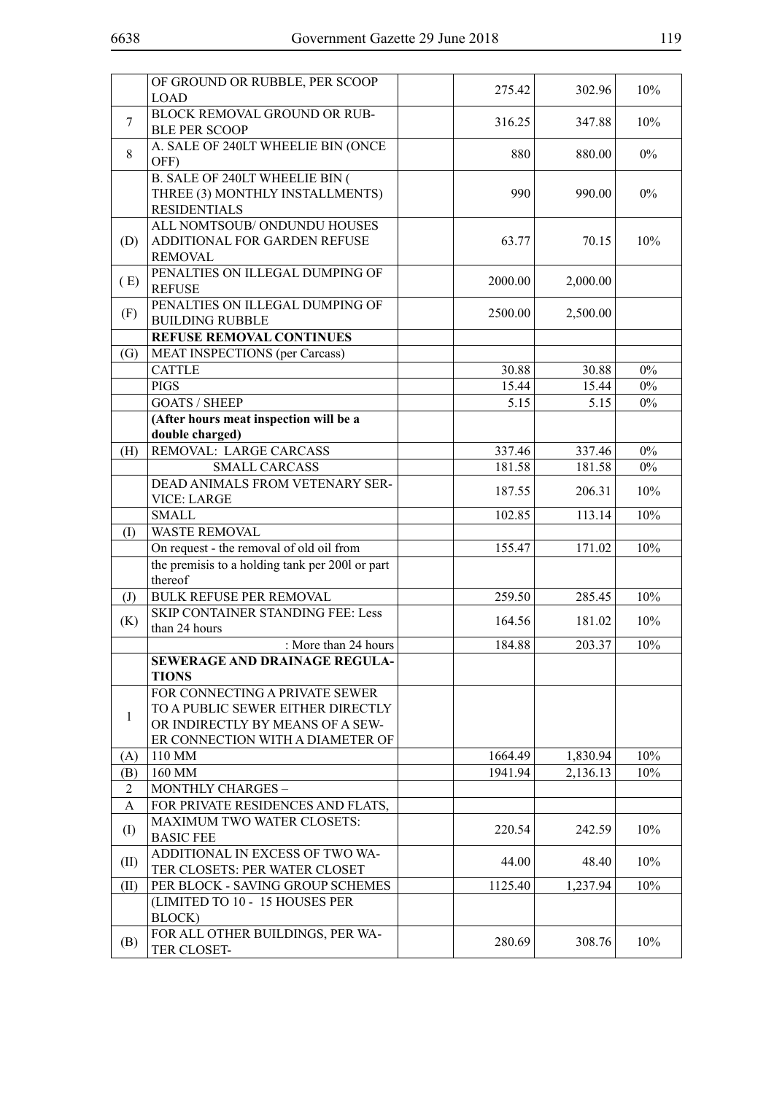|                            | OF GROUND OR RUBBLE, PER SCOOP                                        | 275.42           | 302.96           | 10%   |
|----------------------------|-----------------------------------------------------------------------|------------------|------------------|-------|
|                            | <b>LOAD</b>                                                           |                  |                  |       |
| $\overline{7}$             | BLOCK REMOVAL GROUND OR RUB-                                          | 316.25           | 347.88           | 10%   |
|                            | <b>BLE PER SCOOP</b>                                                  |                  |                  |       |
| 8                          | A. SALE OF 240LT WHEELIE BIN (ONCE<br>OFF)                            | 880              | 880.00           | $0\%$ |
|                            | <b>B. SALE OF 240LT WHEELIE BIN (</b>                                 |                  |                  |       |
|                            | THREE (3) MONTHLY INSTALLMENTS)                                       | 990              | 990.00           | $0\%$ |
|                            | <b>RESIDENTIALS</b>                                                   |                  |                  |       |
|                            | ALL NOMTSOUB/ ONDUNDU HOUSES                                          |                  |                  |       |
| (D)                        | ADDITIONAL FOR GARDEN REFUSE                                          | 63.77            | 70.15            | 10%   |
|                            | <b>REMOVAL</b>                                                        |                  |                  |       |
| (E)                        | PENALTIES ON ILLEGAL DUMPING OF                                       | 2000.00          | 2,000.00         |       |
|                            | <b>REFUSE</b>                                                         |                  |                  |       |
| (F)                        | PENALTIES ON ILLEGAL DUMPING OF                                       | 2500.00          | 2,500.00         |       |
|                            | <b>BUILDING RUBBLE</b>                                                |                  |                  |       |
|                            | <b>REFUSE REMOVAL CONTINUES</b>                                       |                  |                  |       |
| (G)                        | <b>MEAT INSPECTIONS (per Carcass)</b>                                 |                  |                  |       |
|                            | <b>CATTLE</b>                                                         | 30.88            | 30.88            | $0\%$ |
|                            | <b>PIGS</b>                                                           | 15.44            | 15.44            | $0\%$ |
|                            | <b>GOATS / SHEEP</b>                                                  | 5.15             | 5.15             | $0\%$ |
|                            | (After hours meat inspection will be a                                |                  |                  |       |
|                            | double charged)<br>REMOVAL: LARGE CARCASS                             |                  |                  | $0\%$ |
| (H)                        | <b>SMALL CARCASS</b>                                                  | 337.46<br>181.58 | 337.46<br>181.58 | $0\%$ |
|                            | DEAD ANIMALS FROM VETENARY SER-                                       |                  |                  |       |
|                            | <b>VICE: LARGE</b>                                                    | 187.55           | 206.31           | 10%   |
|                            | <b>SMALL</b>                                                          | 102.85           | 113.14           | 10%   |
| (I)                        | <b>WASTE REMOVAL</b>                                                  |                  |                  |       |
|                            | On request - the removal of old oil from                              | 155.47           | 171.02           | 10%   |
|                            | the premisis to a holding tank per 2001 or part                       |                  |                  |       |
|                            | thereof                                                               |                  |                  |       |
| $\left( \mathrm{J}\right)$ | <b>BULK REFUSE PER REMOVAL</b>                                        | 259.50           | 285.45           | 10%   |
| (K)                        | <b>SKIP CONTAINER STANDING FEE: Less</b>                              | 164.56           | 181.02           | 10%   |
|                            | than 24 hours                                                         |                  |                  |       |
|                            | : More than 24 hours                                                  | 184.88           | 203.37           | 10%   |
|                            | SEWERAGE AND DRAINAGE REGULA-                                         |                  |                  |       |
|                            | <b>TIONS</b>                                                          |                  |                  |       |
|                            | FOR CONNECTING A PRIVATE SEWER                                        |                  |                  |       |
| $\mathbf{1}$               | TO A PUBLIC SEWER EITHER DIRECTLY<br>OR INDIRECTLY BY MEANS OF A SEW- |                  |                  |       |
|                            | ER CONNECTION WITH A DIAMETER OF                                      |                  |                  |       |
| (A)                        | 110 MM                                                                | 1664.49          | 1,830.94         | 10%   |
| (B)                        | 160 MM                                                                | 1941.94          | 2,136.13         | 10%   |
| 2                          | <b>MONTHLY CHARGES -</b>                                              |                  |                  |       |
| A                          | FOR PRIVATE RESIDENCES AND FLATS,                                     |                  |                  |       |
|                            | MAXIMUM TWO WATER CLOSETS:                                            |                  |                  |       |
| (I)                        | <b>BASIC FEE</b>                                                      | 220.54           | 242.59           | 10%   |
|                            | ADDITIONAL IN EXCESS OF TWO WA-                                       | 44.00            | 48.40            | 10%   |
| (II)                       | TER CLOSETS: PER WATER CLOSET                                         |                  |                  |       |
| (II)                       | PER BLOCK - SAVING GROUP SCHEMES                                      | 1125.40          | 1,237.94         | 10%   |
|                            | (LIMITED TO 10 - 15 HOUSES PER                                        |                  |                  |       |
|                            | BLOCK)                                                                |                  |                  |       |
| (B)                        | FOR ALL OTHER BUILDINGS, PER WA-                                      | 280.69           | 308.76           | 10%   |
|                            | TER CLOSET-                                                           |                  |                  |       |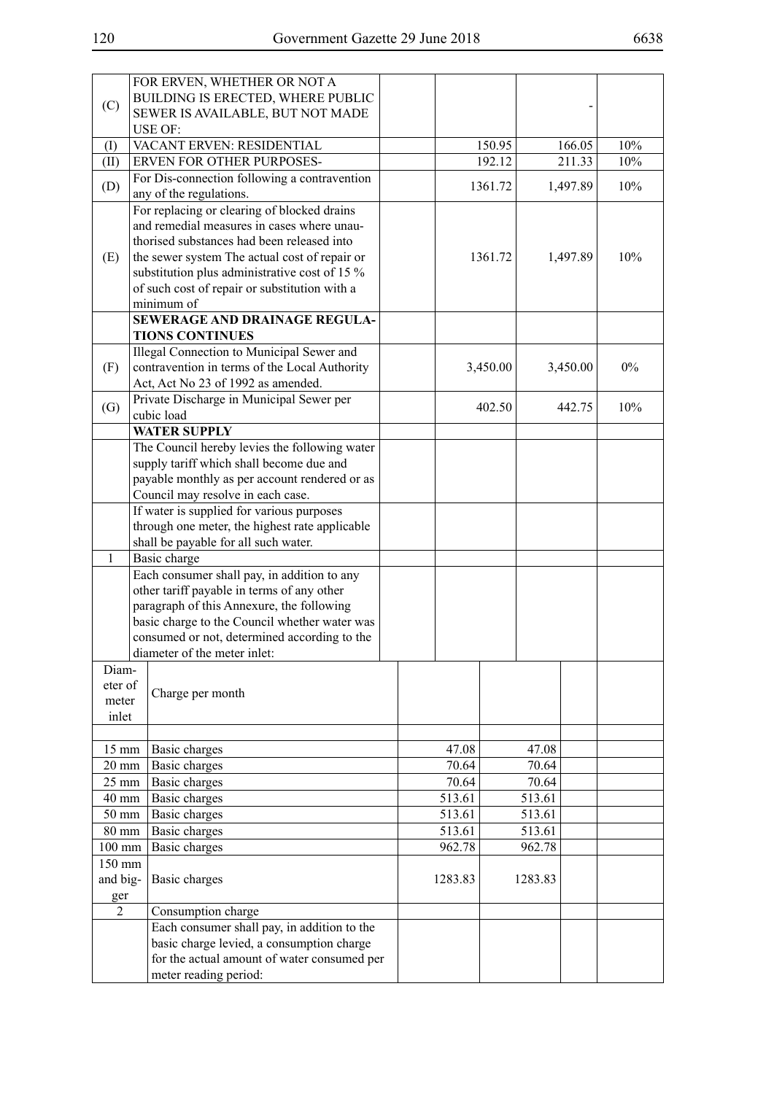| (C)                      | FOR ERVEN, WHETHER OR NOT A<br>BUILDING IS ERECTED, WHERE PUBLIC<br>SEWER IS AVAILABLE, BUT NOT MADE                                                                                                                                                      |                |          |                |          |     |
|--------------------------|-----------------------------------------------------------------------------------------------------------------------------------------------------------------------------------------------------------------------------------------------------------|----------------|----------|----------------|----------|-----|
|                          | <b>USE OF:</b>                                                                                                                                                                                                                                            |                |          |                |          |     |
| (I)                      | VACANT ERVEN: RESIDENTIAL                                                                                                                                                                                                                                 |                | 150.95   |                | 166.05   | 10% |
| (II)                     | ERVEN FOR OTHER PURPOSES-                                                                                                                                                                                                                                 |                | 192.12   |                | 211.33   | 10% |
| (D)                      | For Dis-connection following a contravention<br>any of the regulations.                                                                                                                                                                                   |                | 1361.72  |                | 1,497.89 | 10% |
|                          | For replacing or clearing of blocked drains                                                                                                                                                                                                               |                |          |                |          |     |
| (E)                      | and remedial measures in cases where unau-<br>thorised substances had been released into<br>the sewer system The actual cost of repair or<br>substitution plus administrative cost of 15 %<br>of such cost of repair or substitution with a<br>minimum of |                | 1361.72  |                | 1,497.89 | 10% |
|                          | SEWERAGE AND DRAINAGE REGULA-                                                                                                                                                                                                                             |                |          |                |          |     |
|                          | <b>TIONS CONTINUES</b>                                                                                                                                                                                                                                    |                |          |                |          |     |
| (F)                      | Illegal Connection to Municipal Sewer and<br>contravention in terms of the Local Authority<br>Act, Act No 23 of 1992 as amended.                                                                                                                          |                | 3,450.00 |                | 3,450.00 | 0%  |
| (G)                      | Private Discharge in Municipal Sewer per<br>cubic load                                                                                                                                                                                                    |                | 402.50   |                | 442.75   | 10% |
|                          | <b>WATER SUPPLY</b>                                                                                                                                                                                                                                       |                |          |                |          |     |
|                          | The Council hereby levies the following water                                                                                                                                                                                                             |                |          |                |          |     |
|                          | supply tariff which shall become due and                                                                                                                                                                                                                  |                |          |                |          |     |
|                          | payable monthly as per account rendered or as                                                                                                                                                                                                             |                |          |                |          |     |
|                          | Council may resolve in each case.                                                                                                                                                                                                                         |                |          |                |          |     |
|                          | If water is supplied for various purposes                                                                                                                                                                                                                 |                |          |                |          |     |
|                          | through one meter, the highest rate applicable<br>shall be payable for all such water.                                                                                                                                                                    |                |          |                |          |     |
| 1                        | Basic charge                                                                                                                                                                                                                                              |                |          |                |          |     |
|                          | Each consumer shall pay, in addition to any                                                                                                                                                                                                               |                |          |                |          |     |
|                          | other tariff payable in terms of any other                                                                                                                                                                                                                |                |          |                |          |     |
|                          | paragraph of this Annexure, the following                                                                                                                                                                                                                 |                |          |                |          |     |
|                          | basic charge to the Council whether water was                                                                                                                                                                                                             |                |          |                |          |     |
|                          | consumed or not, determined according to the                                                                                                                                                                                                              |                |          |                |          |     |
|                          | diameter of the meter inlet:                                                                                                                                                                                                                              |                |          |                |          |     |
| Diam-                    |                                                                                                                                                                                                                                                           |                |          |                |          |     |
| eter of                  | Charge per month                                                                                                                                                                                                                                          |                |          |                |          |     |
| meter                    |                                                                                                                                                                                                                                                           |                |          |                |          |     |
| inlet                    |                                                                                                                                                                                                                                                           |                |          |                |          |     |
|                          |                                                                                                                                                                                                                                                           |                |          |                |          |     |
| 15 mm<br>$20 \text{ mm}$ | Basic charges<br>Basic charges                                                                                                                                                                                                                            | 47.08<br>70.64 |          | 47.08<br>70.64 |          |     |
| $25 \text{ mm}$          | Basic charges                                                                                                                                                                                                                                             | 70.64          |          | 70.64          |          |     |
| 40 mm                    | Basic charges                                                                                                                                                                                                                                             | 513.61         |          | 513.61         |          |     |
| $50 \text{ mm}$          | Basic charges                                                                                                                                                                                                                                             | 513.61         |          | 513.61         |          |     |
| 80 mm                    | Basic charges                                                                                                                                                                                                                                             | 513.61         |          | 513.61         |          |     |
| $100$ mm                 | Basic charges                                                                                                                                                                                                                                             | 962.78         |          | 962.78         |          |     |
| 150 mm                   |                                                                                                                                                                                                                                                           |                |          |                |          |     |
| and big-                 | Basic charges                                                                                                                                                                                                                                             | 1283.83        |          | 1283.83        |          |     |
| ger                      |                                                                                                                                                                                                                                                           |                |          |                |          |     |
| $\overline{2}$           | Consumption charge                                                                                                                                                                                                                                        |                |          |                |          |     |
|                          | Each consumer shall pay, in addition to the                                                                                                                                                                                                               |                |          |                |          |     |
|                          | basic charge levied, a consumption charge                                                                                                                                                                                                                 |                |          |                |          |     |
|                          | for the actual amount of water consumed per<br>meter reading period:                                                                                                                                                                                      |                |          |                |          |     |
|                          |                                                                                                                                                                                                                                                           |                |          |                |          |     |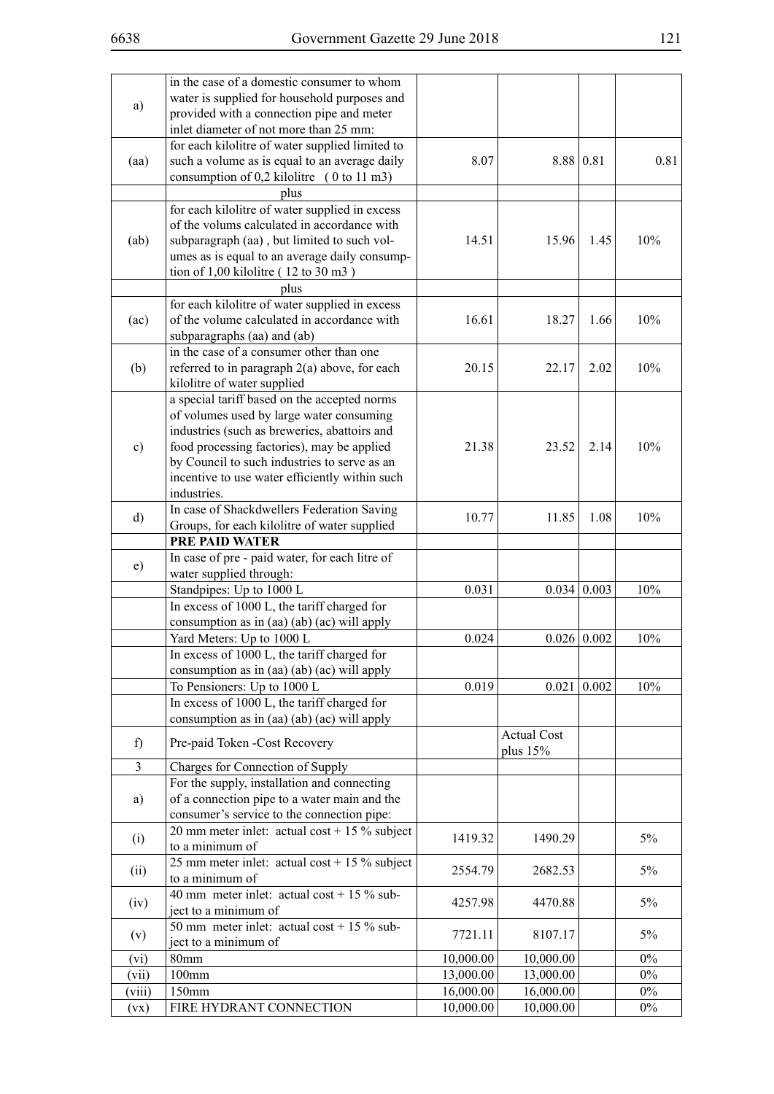|              | in the case of a domestic consumer to whom      |           |                    |                    |        |
|--------------|-------------------------------------------------|-----------|--------------------|--------------------|--------|
| a)           | water is supplied for household purposes and    |           |                    |                    |        |
|              | provided with a connection pipe and meter       |           |                    |                    |        |
|              | inlet diameter of not more than 25 mm:          |           |                    |                    |        |
|              | for each kilolitre of water supplied limited to |           |                    |                    |        |
| (aa)         | such a volume as is equal to an average daily   | 8.07      |                    | 8.88 0.81          | 0.81   |
|              | consumption of $0,2$ kilolitre (0 to 11 m3)     |           |                    |                    |        |
|              | plus                                            |           |                    |                    |        |
|              | for each kilolitre of water supplied in excess  |           |                    |                    |        |
|              | of the volums calculated in accordance with     |           |                    |                    |        |
| (ab)         | subparagraph (aa), but limited to such vol-     | 14.51     | 15.96              | 1.45               | 10%    |
|              | umes as is equal to an average daily consump-   |           |                    |                    |        |
|              | tion of $1,00$ kilolitre ( $12$ to $30$ m $3$ ) |           |                    |                    |        |
|              | plus                                            |           |                    |                    |        |
|              | for each kilolitre of water supplied in excess  |           |                    |                    |        |
| (ac)         | of the volume calculated in accordance with     | 16.61     | 18.27              | 1.66               | 10%    |
|              | subparagraphs (aa) and (ab)                     |           |                    |                    |        |
|              | in the case of a consumer other than one        |           |                    |                    |        |
| (b)          | referred to in paragraph $2(a)$ above, for each | 20.15     | 22.17              | 2.02               | 10%    |
|              | kilolitre of water supplied                     |           |                    |                    |        |
|              | a special tariff based on the accepted norms    |           |                    |                    |        |
|              |                                                 |           |                    |                    |        |
|              | of volumes used by large water consuming        |           |                    |                    |        |
|              | industries (such as breweries, abattoirs and    |           | 23.52              |                    | 10%    |
| c)           | food processing factories), may be applied      | 21.38     |                    | 2.14               |        |
|              | by Council to such industries to serve as an    |           |                    |                    |        |
|              | incentive to use water efficiently within such  |           |                    |                    |        |
|              | industries.                                     |           |                    |                    |        |
| $\mathbf{d}$ | In case of Shackdwellers Federation Saving      | 10.77     | 11.85              | 1.08               | 10%    |
|              | Groups, for each kilolitre of water supplied    |           |                    |                    |        |
|              | <b>PRE PAID WATER</b>                           |           |                    |                    |        |
| e)           | In case of pre - paid water, for each litre of  |           |                    |                    |        |
|              | water supplied through:                         |           |                    |                    |        |
|              | Standpipes: Up to 1000 L                        | 0.031     |                    | $0.034 \mid 0.003$ | 10%    |
|              | In excess of 1000 L, the tariff charged for     |           |                    |                    |        |
|              | consumption as in (aa) (ab) (ac) will apply     |           |                    |                    |        |
|              | Yard Meters: Up to 1000 L                       | 0.024     | 0.026              | 0.002              | $10\%$ |
|              | In excess of 1000 L, the tariff charged for     |           |                    |                    |        |
|              | consumption as in (aa) (ab) (ac) will apply     |           |                    |                    |        |
|              | To Pensioners: Up to 1000 L                     | 0.019     | 0.021              | 0.002              | 10%    |
|              | In excess of 1000 L, the tariff charged for     |           |                    |                    |        |
|              | consumption as in (aa) (ab) (ac) will apply     |           |                    |                    |        |
| f)           | Pre-paid Token -Cost Recovery                   |           | <b>Actual Cost</b> |                    |        |
|              |                                                 |           | plus $15%$         |                    |        |
| 3            | Charges for Connection of Supply                |           |                    |                    |        |
|              | For the supply, installation and connecting     |           |                    |                    |        |
| a)           | of a connection pipe to a water main and the    |           |                    |                    |        |
|              | consumer's service to the connection pipe:      |           |                    |                    |        |
| (i)          | 20 mm meter inlet: actual cost + 15 % subject   | 1419.32   | 1490.29            |                    | $5\%$  |
|              | to a minimum of                                 |           |                    |                    |        |
| (ii)         | 25 mm meter inlet: actual cost + 15 % subject   | 2554.79   | 2682.53            |                    | 5%     |
|              | to a minimum of                                 |           |                    |                    |        |
|              | 40 mm meter inlet: actual cost + 15 % sub-      |           |                    |                    | 5%     |
| (iv)         | ject to a minimum of                            | 4257.98   | 4470.88            |                    |        |
|              | 50 mm meter inlet: actual cost + 15 $\%$ sub-   |           |                    |                    |        |
| (v)          | ject to a minimum of                            | 7721.11   | 8107.17            |                    | 5%     |
| (vi)         | 80mm                                            | 10,000.00 | 10,000.00          |                    | $0\%$  |
| (vii)        | $100$ mm                                        | 13,000.00 | 13,000.00          |                    | $0\%$  |
| (viii)       | 150mm                                           | 16,000.00 | 16,000.00          |                    | $0\%$  |
| (vx)         | FIRE HYDRANT CONNECTION                         | 10,000.00 | 10,000.00          |                    | $0\%$  |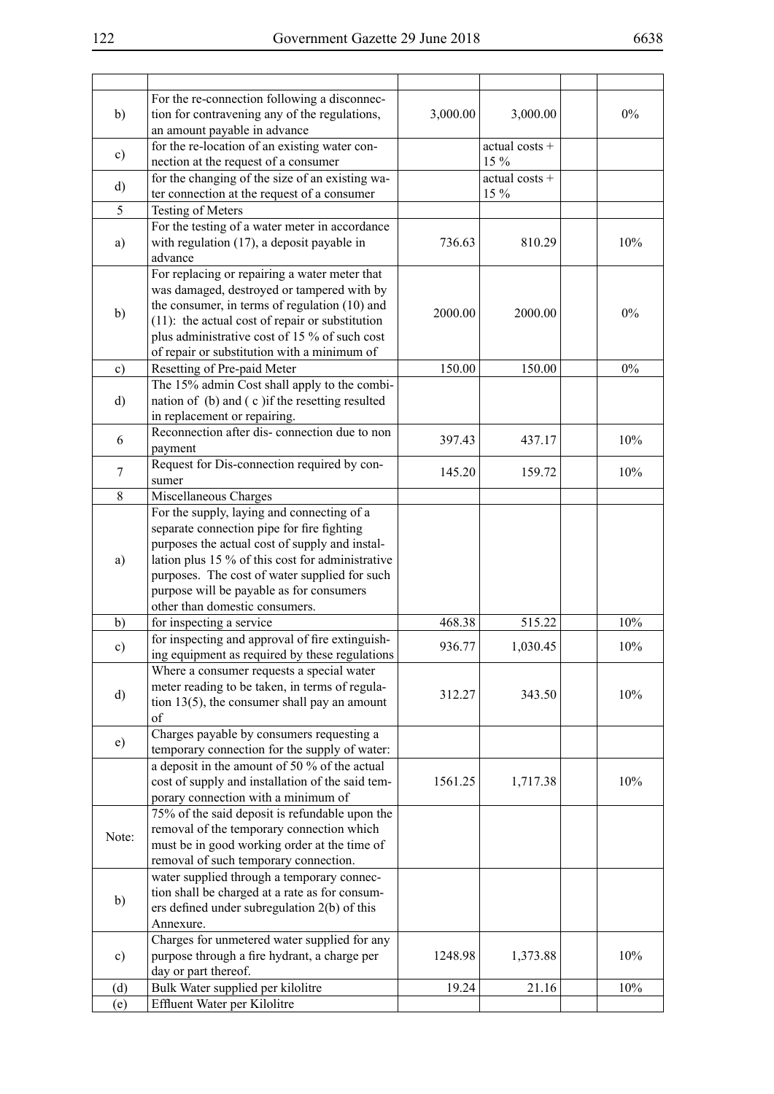|               | For the re-connection following a disconnec-                                            |          |                |       |
|---------------|-----------------------------------------------------------------------------------------|----------|----------------|-------|
| b)            | tion for contravening any of the regulations,                                           | 3,000.00 | 3,000.00       | $0\%$ |
|               | an amount payable in advance                                                            |          |                |       |
| $\mathbf{c})$ | for the re-location of an existing water con-                                           |          | actual costs + |       |
|               | nection at the request of a consumer                                                    |          | 15 %           |       |
| d)            | for the changing of the size of an existing wa-                                         |          | actual costs + |       |
|               | ter connection at the request of a consumer                                             |          | 15 %           |       |
| 5             | <b>Testing of Meters</b>                                                                |          |                |       |
|               | For the testing of a water meter in accordance                                          |          |                |       |
| a)            | with regulation (17), a deposit payable in                                              | 736.63   | 810.29         | 10%   |
|               | advance                                                                                 |          |                |       |
|               | For replacing or repairing a water meter that                                           |          |                |       |
|               | was damaged, destroyed or tampered with by                                              |          |                |       |
| b)            | the consumer, in terms of regulation (10) and                                           | 2000.00  | 2000.00        | $0\%$ |
|               | (11): the actual cost of repair or substitution                                         |          |                |       |
|               | plus administrative cost of 15 % of such cost                                           |          |                |       |
|               | of repair or substitution with a minimum of                                             |          |                |       |
| $\circ$ )     | Resetting of Pre-paid Meter                                                             | 150.00   | 150.00         | $0\%$ |
|               | The 15% admin Cost shall apply to the combi-                                            |          |                |       |
| d)            | nation of (b) and (c) if the resetting resulted                                         |          |                |       |
|               | in replacement or repairing.                                                            |          |                |       |
| 6             | Reconnection after dis-connection due to non                                            | 397.43   | 437.17         | 10%   |
|               | payment                                                                                 |          |                |       |
| 7             | Request for Dis-connection required by con-                                             | 145.20   | 159.72         | 10%   |
|               | sumer                                                                                   |          |                |       |
| 8             | Miscellaneous Charges                                                                   |          |                |       |
|               | For the supply, laying and connecting of a                                              |          |                |       |
|               | separate connection pipe for fire fighting                                              |          |                |       |
|               | purposes the actual cost of supply and instal-                                          |          |                |       |
| a)            | lation plus 15 % of this cost for administrative                                        |          |                |       |
|               | purposes. The cost of water supplied for such                                           |          |                |       |
|               | purpose will be payable as for consumers                                                |          |                |       |
|               | other than domestic consumers.                                                          |          |                |       |
| b)            | for inspecting a service                                                                | 468.38   | 515.22         | 10%   |
| c)            | for inspecting and approval of fire extinguish-                                         | 936.77   | 1,030.45       | 10%   |
|               | ing equipment as required by these regulations                                          |          |                |       |
|               | Where a consumer requests a special water                                               |          |                |       |
| d)            | meter reading to be taken, in terms of regula-                                          | 312.27   | 343.50         | 10%   |
|               | tion $13(5)$ , the consumer shall pay an amount                                         |          |                |       |
|               | of                                                                                      |          |                |       |
| e)            | Charges payable by consumers requesting a                                               |          |                |       |
|               | temporary connection for the supply of water:                                           |          |                |       |
|               | a deposit in the amount of 50 % of the actual                                           | 1561.25  |                |       |
|               | cost of supply and installation of the said tem-<br>porary connection with a minimum of |          | 1,717.38       | 10%   |
|               | 75% of the said deposit is refundable upon the                                          |          |                |       |
|               | removal of the temporary connection which                                               |          |                |       |
| Note:         | must be in good working order at the time of                                            |          |                |       |
|               | removal of such temporary connection.                                                   |          |                |       |
|               | water supplied through a temporary connec-                                              |          |                |       |
|               | tion shall be charged at a rate as for consum-                                          |          |                |       |
| b)            | ers defined under subregulation 2(b) of this                                            |          |                |       |
|               | Annexure.                                                                               |          |                |       |
|               | Charges for unmetered water supplied for any                                            |          |                |       |
| $\mathbf{c})$ | purpose through a fire hydrant, a charge per                                            | 1248.98  | 1,373.88       | 10%   |
|               | day or part thereof.                                                                    |          |                |       |
| (d)           | Bulk Water supplied per kilolitre                                                       | 19.24    | 21.16          | 10%   |
| (e)           | Effluent Water per Kilolitre                                                            |          |                |       |
|               |                                                                                         |          |                |       |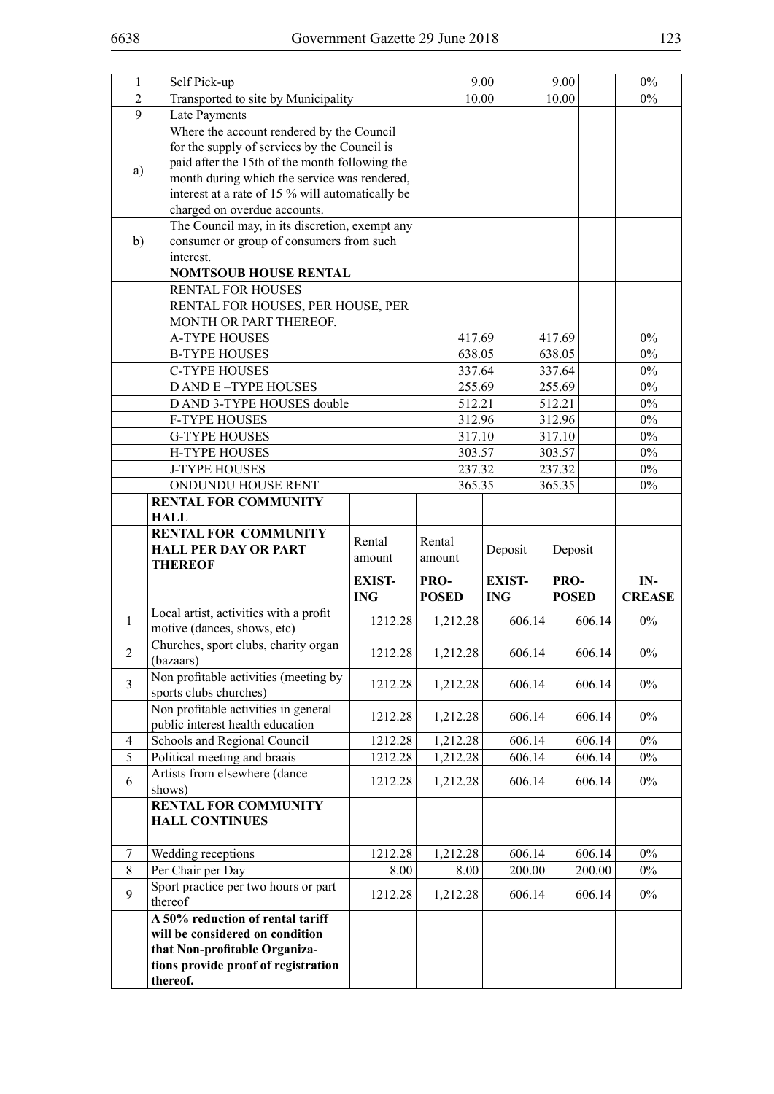| $\mathbf{1}$   | Self Pick-up                                     |                                                |              |                  | 9.00         | $0\%$         |
|----------------|--------------------------------------------------|------------------------------------------------|--------------|------------------|--------------|---------------|
| $\overline{2}$ | Transported to site by Municipality              |                                                |              |                  | 10.00        | $0\%$         |
| 9              | Late Payments                                    |                                                |              |                  |              |               |
|                | Where the account rendered by the Council        |                                                |              |                  |              |               |
|                | for the supply of services by the Council is     |                                                |              |                  |              |               |
|                | paid after the 15th of the month following the   |                                                |              |                  |              |               |
| a)             | month during which the service was rendered,     |                                                |              |                  |              |               |
|                | interest at a rate of 15 % will automatically be |                                                |              |                  |              |               |
|                | charged on overdue accounts.                     |                                                |              |                  |              |               |
|                |                                                  | The Council may, in its discretion, exempt any |              |                  |              |               |
| b)             | consumer or group of consumers from such         |                                                |              |                  |              |               |
|                | interest.                                        |                                                |              |                  |              |               |
|                | <b>NOMTSOUB HOUSE RENTAL</b>                     |                                                |              |                  |              |               |
|                | RENTAL FOR HOUSES                                |                                                |              |                  |              |               |
|                | RENTAL FOR HOUSES, PER HOUSE, PER                |                                                |              |                  |              |               |
|                | MONTH OR PART THEREOF.                           |                                                |              |                  |              |               |
|                | <b>A-TYPE HOUSES</b>                             |                                                | 417.69       |                  | 417.69       | $0\%$         |
|                | <b>B-TYPE HOUSES</b>                             |                                                | 638.05       |                  | 638.05       | $0\%$         |
|                | <b>C-TYPE HOUSES</b>                             |                                                | 337.64       |                  | 337.64       | $0\%$         |
|                | <b>DAND E-TYPE HOUSES</b>                        |                                                | 255.69       |                  | 255.69       | $0\%$         |
|                | D AND 3-TYPE HOUSES double                       |                                                | 512.21       |                  | 512.21       | $0\%$         |
|                | <b>F-TYPE HOUSES</b>                             |                                                | 312.96       |                  | 312.96       | $0\%$         |
|                | <b>G-TYPE HOUSES</b>                             |                                                |              |                  |              |               |
|                |                                                  |                                                | 317.10       |                  | 317.10       | $0\%$         |
|                |                                                  | <b>H-TYPE HOUSES</b>                           |              | 303.57<br>303.57 |              | $0\%$         |
|                | <b>J-TYPE HOUSES</b>                             |                                                |              | 237.32<br>237.32 |              | $0\%$         |
|                | ONDUNDU HOUSE RENT                               |                                                | 365.35       |                  | 365.35       | $0\%$         |
|                | <b>RENTAL FOR COMMUNITY</b>                      |                                                |              |                  |              |               |
|                | <b>HALL</b>                                      |                                                |              |                  |              |               |
|                | <b>RENTAL FOR COMMUNITY</b>                      |                                                |              |                  |              |               |
|                |                                                  |                                                | Rental       |                  |              |               |
|                | <b>HALL PER DAY OR PART</b>                      | Rental<br>amount                               | amount       | Deposit          | Deposit      |               |
|                | <b>THEREOF</b>                                   |                                                |              |                  |              |               |
|                |                                                  | <b>EXIST-</b>                                  | PRO-         | <b>EXIST-</b>    | PRO-         | IN-           |
|                |                                                  | <b>ING</b>                                     | <b>POSED</b> | <b>ING</b>       | <b>POSED</b> | <b>CREASE</b> |
| 1              | Local artist, activities with a profit           | 1212.28                                        | 1,212.28     | 606.14           | 606.14       | $0\%$         |
|                | motive (dances, shows, etc)                      |                                                |              |                  |              |               |
| $\overline{2}$ | Churches, sport clubs, charity organ             | 1212.28                                        | 1,212.28     | 606.14           | 606.14       | $0\%$         |
|                | (bazaars)                                        |                                                |              |                  |              |               |
| $\overline{3}$ | Non profitable activities (meeting by            | 1212.28                                        | 1,212.28     | 606.14           | 606.14       | $0\%$         |
|                | sports clubs churches)                           |                                                |              |                  |              |               |
|                | Non profitable activities in general             | 1212.28                                        | 1,212.28     | 606.14           | 606.14       | $0\%$         |
|                | public interest health education                 |                                                |              |                  |              |               |
| 4              | Schools and Regional Council                     | 1212.28                                        | 1,212.28     | 606.14           | 606.14       | $0\%$         |
| 5              | Political meeting and braais                     | 1212.28                                        | 1,212.28     | 606.14           | 606.14       | $0\%$         |
| 6              | Artists from elsewhere (dance                    | 1212.28                                        | 1,212.28     | 606.14           | 606.14       | $0\%$         |
|                | shows)                                           |                                                |              |                  |              |               |
|                | <b>RENTAL FOR COMMUNITY</b>                      |                                                |              |                  |              |               |
|                | <b>HALL CONTINUES</b>                            |                                                |              |                  |              |               |
|                |                                                  |                                                |              |                  |              |               |
| 7              | Wedding receptions                               | 1212.28                                        | 1,212.28     | 606.14           | 606.14       | $0\%$         |
| $\,$ 8 $\,$    | Per Chair per Day                                | 8.00                                           | 8.00         | 200.00           | 200.00       | $0\%$         |
| 9              | Sport practice per two hours or part             | 1212.28                                        | 1,212.28     | 606.14           | 606.14       | $0\%$         |
|                | thereof                                          |                                                |              |                  |              |               |
|                | A 50% reduction of rental tariff                 |                                                |              |                  |              |               |
|                | will be considered on condition                  |                                                |              |                  |              |               |
|                | that Non-profitable Organiza-                    |                                                |              |                  |              |               |
|                | tions provide proof of registration<br>thereof.  |                                                |              |                  |              |               |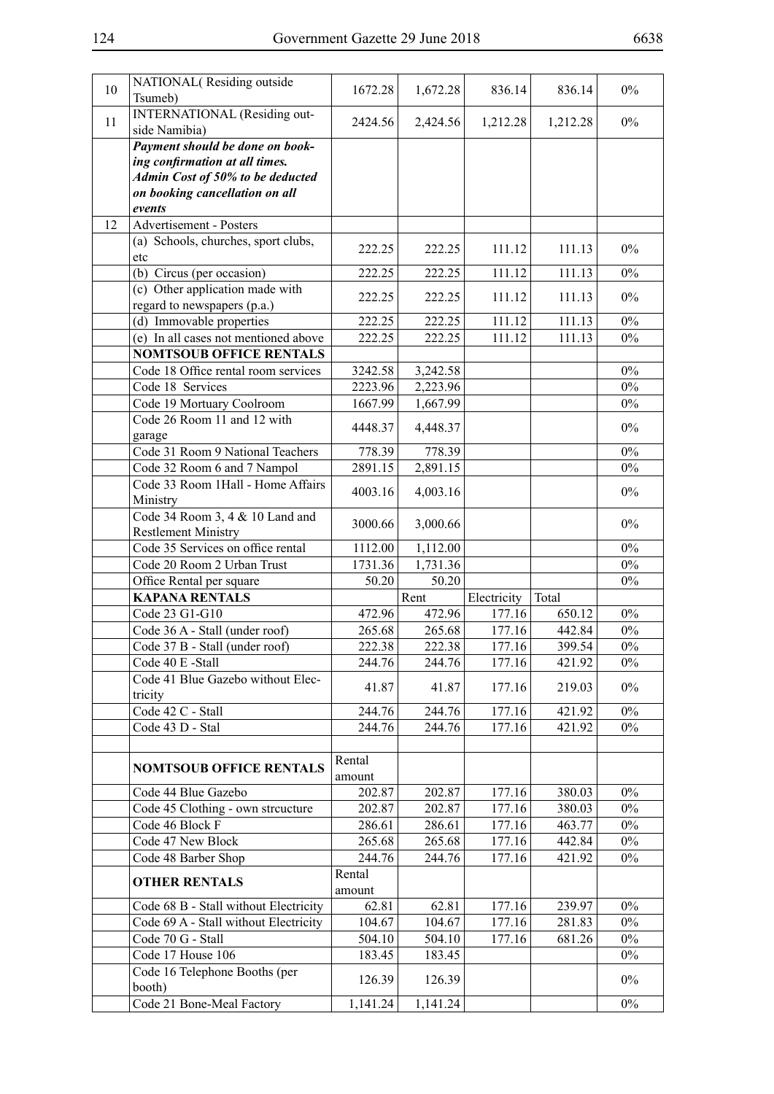| 10 | NATIONAL(Residing outside<br>Tsumeb)                     | 1672.28          | 1,672.28           | 836.14           | 836.14           | $0\%$ |
|----|----------------------------------------------------------|------------------|--------------------|------------------|------------------|-------|
|    | <b>INTERNATIONAL</b> (Residing out-                      |                  |                    |                  |                  |       |
| 11 | side Namibia)                                            | 2424.56          | 2,424.56           | 1,212.28         | 1,212.28         | $0\%$ |
|    | Payment should be done on book-                          |                  |                    |                  |                  |       |
|    | ing confirmation at all times.                           |                  |                    |                  |                  |       |
|    | Admin Cost of 50% to be deducted                         |                  |                    |                  |                  |       |
|    | on booking cancellation on all                           |                  |                    |                  |                  |       |
|    | events                                                   |                  |                    |                  |                  |       |
| 12 | Advertisement - Posters                                  |                  |                    |                  |                  |       |
|    | (a) Schools, churches, sport clubs,                      | 222.25           | 222.25             | 111.12           | 111.13           | $0\%$ |
|    | etc                                                      |                  |                    |                  |                  |       |
|    | (b) Circus (per occasion)                                | 222.25           | 222.25             | 111.12           | 111.13           | $0\%$ |
|    | (c) Other application made with                          | 222.25           | 222.25             | 111.12           | 111.13           | $0\%$ |
|    | regard to newspapers (p.a.)                              |                  |                    |                  |                  |       |
|    | (d) Immovable properties                                 | 222.25           | 222.25             | 111.12           | 111.13           | $0\%$ |
|    | (e) In all cases not mentioned above                     | 222.25           | 222.25             | 111.12           | 111.13           | $0\%$ |
|    | <b>NOMTSOUB OFFICE RENTALS</b>                           |                  |                    |                  |                  |       |
|    | Code 18 Office rental room services                      | 3242.58          | 3,242.58           |                  |                  | $0\%$ |
|    | Code 18 Services                                         | 2223.96          | 2,223.96           |                  |                  | $0\%$ |
|    | Code 19 Mortuary Coolroom<br>Code 26 Room 11 and 12 with | 1667.99          | 1,667.99           |                  |                  | $0\%$ |
|    | garage                                                   | 4448.37          | 4,448.37           |                  |                  | $0\%$ |
|    | Code 31 Room 9 National Teachers                         | 778.39           | 778.39             |                  |                  | $0\%$ |
|    | Code 32 Room 6 and 7 Nampol                              | 2891.15          | 2,891.15           |                  |                  | $0\%$ |
|    | Code 33 Room 1Hall - Home Affairs                        |                  |                    |                  |                  |       |
|    | Ministry                                                 | 4003.16          | 4,003.16           |                  |                  | $0\%$ |
|    | Code 34 Room 3, 4 & 10 Land and                          | 3000.66          |                    |                  |                  | $0\%$ |
|    | <b>Restlement Ministry</b>                               |                  | 3,000.66           |                  |                  |       |
|    |                                                          |                  |                    |                  |                  |       |
|    | Code 35 Services on office rental                        | 1112.00          | 1,112.00           |                  |                  | $0\%$ |
|    | Code 20 Room 2 Urban Trust                               | 1731.36          | 1,731.36           |                  |                  | $0\%$ |
|    | Office Rental per square                                 | 50.20            | 50.20              |                  |                  | $0\%$ |
|    | <b>KAPANA RENTALS</b>                                    |                  | Rent               | Electricity      | Total            |       |
|    | Code 23 G1-G10                                           | 472.96           | 472.96             | 177.16           | 650.12           | $0\%$ |
|    | Code 36 A - Stall (under roof)                           | 265.68           | 265.68             | 177.16           | 442.84           | $0\%$ |
|    | Code 37 B - Stall (under roof)                           | 222.38           | 222.38             | 177.16           | 399.54           | $0\%$ |
|    | Code 40 E -Stall                                         | 244.76           | 244.76             | 177.16           | 421.92           | $0\%$ |
|    | Code 41 Blue Gazebo without Elec-                        | 41.87            | 41.87              | 177.16           | 219.03           | $0\%$ |
|    | tricity                                                  |                  |                    |                  |                  |       |
|    | Code 42 C - Stall                                        | 244.76           | 244.76             | 177.16           | 421.92           | $0\%$ |
|    | Code 43 D - Stal                                         | 244.76           | 244.76             | 177.16           | 421.92           | $0\%$ |
|    |                                                          |                  |                    |                  |                  |       |
|    | <b>NOMTSOUB OFFICE RENTALS</b>                           | Rental           |                    |                  |                  |       |
|    |                                                          | amount<br>202.87 |                    |                  |                  | $0\%$ |
|    | Code 44 Blue Gazebo                                      | 202.87           | 202.87<br>202.87   | 177.16<br>177.16 | 380.03<br>380.03 | $0\%$ |
|    | Code 45 Clothing - own streucture<br>Code 46 Block F     | 286.61           | 286.61             | 177.16           | 463.77           | $0\%$ |
|    | Code 47 New Block                                        | 265.68           | 265.68             | 177.16           | 442.84           | $0\%$ |
|    | Code 48 Barber Shop                                      | 244.76           | 244.76             | 177.16           | 421.92           | $0\%$ |
|    |                                                          | Rental           |                    |                  |                  |       |
|    | <b>OTHER RENTALS</b>                                     | amount           |                    |                  |                  |       |
|    | Code 68 B - Stall without Electricity                    | 62.81            | 62.81              | 177.16           | 239.97           | $0\%$ |
|    | Code 69 A - Stall without Electricity                    | 104.67           | 104.67             | 177.16           | 281.83           | $0\%$ |
|    | Code 70 G - Stall                                        | 504.10           | 504.10             | 177.16           | 681.26           | $0\%$ |
|    | Code 17 House 106                                        | 183.45           | 183.45             |                  |                  | $0\%$ |
|    | Code 16 Telephone Booths (per                            | 126.39           |                    |                  |                  | $0\%$ |
|    | booth)<br>Code 21 Bone-Meal Factory                      | 1,141.24         | 126.39<br>1,141.24 |                  |                  | $0\%$ |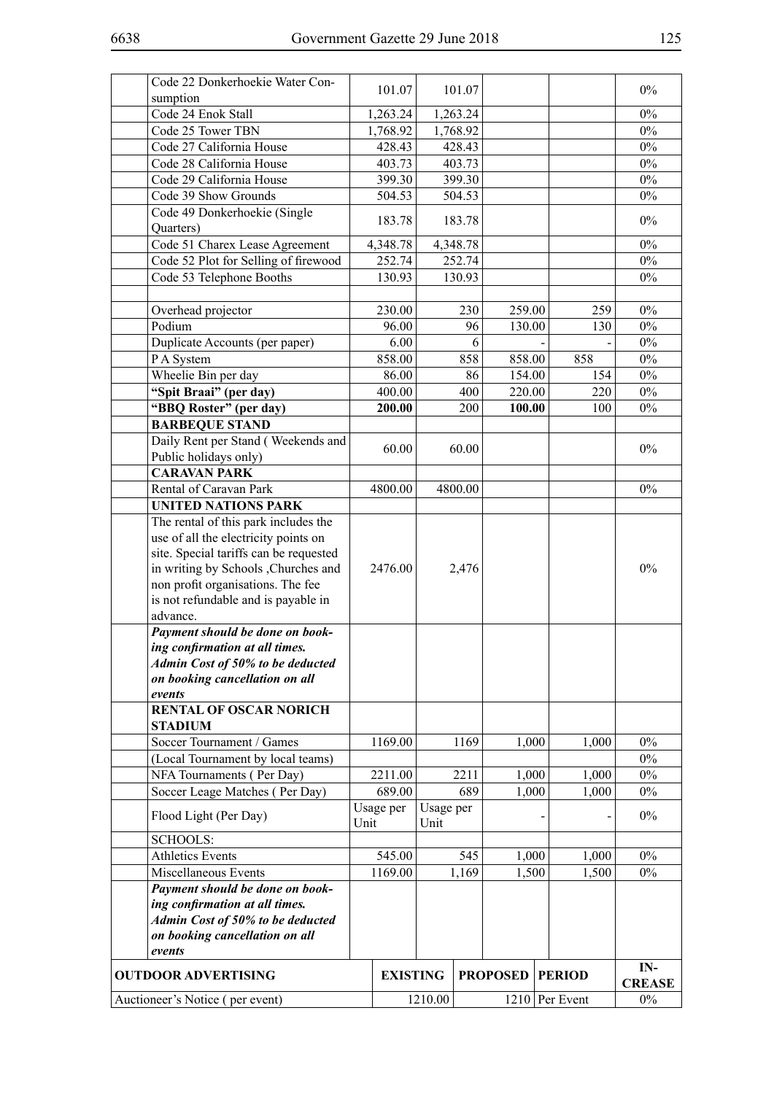| Code 22 Donkerhoekie Water Con-                  |      | 101.07          |           | 101.07   |                 |                  | $0\%$         |
|--------------------------------------------------|------|-----------------|-----------|----------|-----------------|------------------|---------------|
| sumption                                         |      |                 |           |          |                 |                  |               |
| Code 24 Enok Stall                               |      | 1,263.24        |           | 1,263.24 |                 |                  | $0\%$         |
| Code 25 Tower TBN                                |      | 1,768.92        |           | 1,768.92 |                 |                  | $0\%$         |
| Code 27 California House                         |      | 428.43          |           | 428.43   |                 |                  | $0\%$         |
| Code 28 California House                         |      | 403.73          |           | 403.73   |                 |                  | $0\%$         |
| Code 29 California House                         |      | 399.30          |           | 399.30   |                 |                  | $0\%$         |
| Code 39 Show Grounds                             |      | 504.53          |           | 504.53   |                 |                  | $0\%$         |
| Code 49 Donkerhoekie (Single                     |      |                 |           |          |                 |                  |               |
| Quarters)                                        |      | 183.78          |           | 183.78   |                 |                  | $0\%$         |
| Code 51 Charex Lease Agreement                   |      | 4,348.78        |           | 4,348.78 |                 |                  | $0\%$         |
| Code 52 Plot for Selling of firewood             |      | 252.74          |           | 252.74   |                 |                  | $0\%$         |
| Code 53 Telephone Booths                         |      | 130.93          |           | 130.93   |                 |                  | $0\%$         |
|                                                  |      |                 |           |          |                 |                  |               |
| Overhead projector                               |      | 230.00          |           | 230      | 259.00          | 259              | $0\%$         |
| Podium                                           |      | 96.00           |           | 96       | 130.00          | 130              | $0\%$         |
| Duplicate Accounts (per paper)                   |      | 6.00            |           | 6        |                 |                  | $0\%$         |
| P A System                                       |      | 858.00          |           | 858      | 858.00          | 858              | $0\%$         |
| Wheelie Bin per day                              |      | 86.00           |           | 86       | 154.00          | 154              | $0\%$         |
|                                                  |      | 400.00          |           | 400      | 220.00          | 220              | $0\%$         |
| "Spit Braai" (per day)<br>"BBQ Roster" (per day) |      | 200.00          |           | 200      | 100.00          |                  | $0\%$         |
|                                                  |      |                 |           |          |                 | 100              |               |
| <b>BARBEQUE STAND</b>                            |      |                 |           |          |                 |                  |               |
| Daily Rent per Stand (Weekends and               |      | 60.00           |           | 60.00    |                 |                  | $0\%$         |
| Public holidays only)                            |      |                 |           |          |                 |                  |               |
| <b>CARAVAN PARK</b>                              |      |                 |           |          |                 |                  |               |
| Rental of Caravan Park                           |      | 4800.00         |           | 4800.00  |                 |                  | $0\%$         |
| <b>UNITED NATIONS PARK</b>                       |      |                 |           |          |                 |                  |               |
| The rental of this park includes the             |      |                 |           |          |                 |                  |               |
| use of all the electricity points on             |      |                 |           |          |                 |                  |               |
| site. Special tariffs can be requested           |      |                 |           |          |                 |                  |               |
| in writing by Schools , Churches and             |      | 2476.00         |           | 2,476    |                 |                  | $0\%$         |
| non profit organisations. The fee                |      |                 |           |          |                 |                  |               |
| is not refundable and is payable in              |      |                 |           |          |                 |                  |               |
| advance.                                         |      |                 |           |          |                 |                  |               |
| Payment should be done on book-                  |      |                 |           |          |                 |                  |               |
| ing confirmation at all times.                   |      |                 |           |          |                 |                  |               |
| Admin Cost of 50% to be deducted                 |      |                 |           |          |                 |                  |               |
| on booking cancellation on all                   |      |                 |           |          |                 |                  |               |
| events                                           |      |                 |           |          |                 |                  |               |
| <b>RENTAL OF OSCAR NORICH</b>                    |      |                 |           |          |                 |                  |               |
| <b>STADIUM</b>                                   |      |                 |           |          |                 |                  |               |
| Soccer Tournament / Games                        |      | 1169.00         |           | 1169     | 1,000           | 1,000            | $0\%$         |
| (Local Tournament by local teams)                |      |                 |           |          |                 |                  | $0\%$         |
| NFA Tournaments (Per Day)                        |      | 2211.00         |           | 2211     | 1,000           | 1,000            | $0\%$         |
| Soccer Leage Matches (Per Day)                   |      | 689.00          |           | 689      | 1,000           | 1,000            | $0\%$         |
| Flood Light (Per Day)                            |      | Usage per       | Usage per |          |                 |                  | $0\%$         |
|                                                  | Unit |                 | Unit      |          |                 |                  |               |
| <b>SCHOOLS:</b>                                  |      |                 |           |          |                 |                  |               |
| <b>Athletics Events</b>                          |      | 545.00          |           | 545      | 1,000           | 1,000            | $0\%$         |
| Miscellaneous Events                             |      | 1169.00         |           | 1,169    | 1,500           | 1,500            | $0\%$         |
| Payment should be done on book-                  |      |                 |           |          |                 |                  |               |
| ing confirmation at all times.                   |      |                 |           |          |                 |                  |               |
| Admin Cost of 50% to be deducted                 |      |                 |           |          |                 |                  |               |
| on booking cancellation on all                   |      |                 |           |          |                 |                  |               |
| events                                           |      |                 |           |          |                 |                  |               |
|                                                  |      |                 |           |          |                 |                  | IN-           |
| <b>OUTDOOR ADVERTISING</b>                       |      | <b>EXISTING</b> |           |          | <b>PROPOSED</b> | <b>PERIOD</b>    | <b>CREASE</b> |
| Auctioneer's Notice (per event)                  |      |                 | 1210.00   |          |                 | $1210$ Per Event | $0\%$         |
|                                                  |      |                 |           |          |                 |                  |               |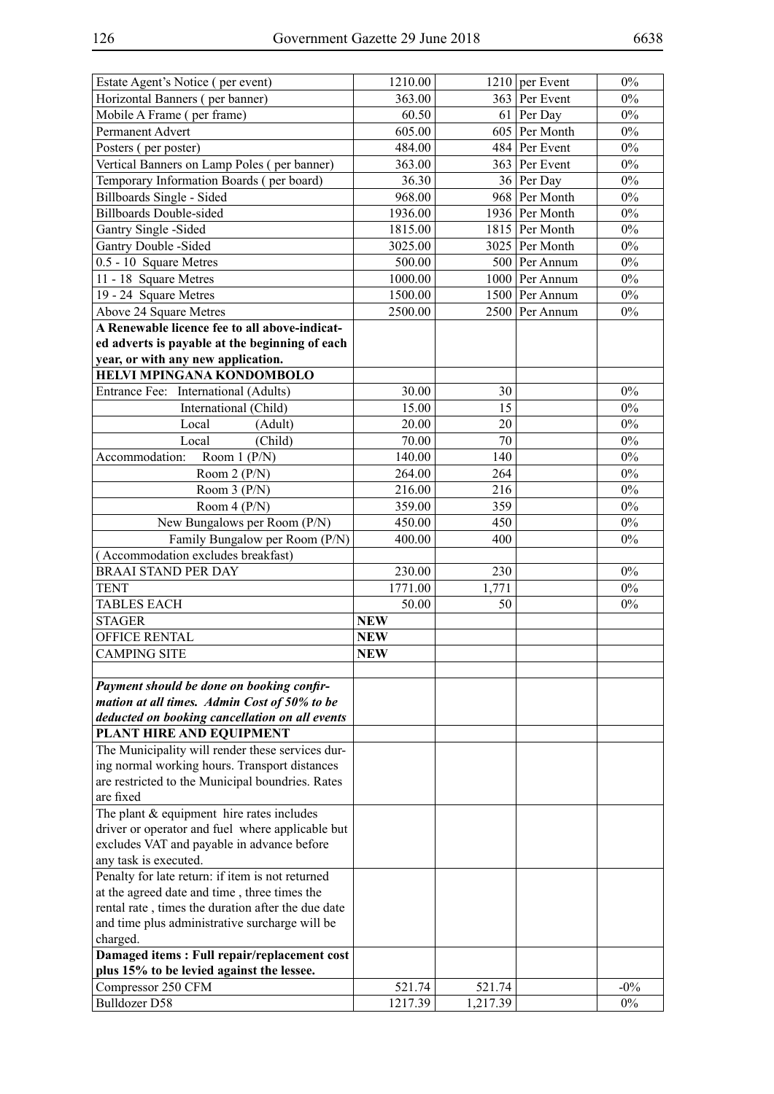| Estate Agent's Notice (per event)                             | 1210.00    |            | $1210$ per Event | $0\%$  |
|---------------------------------------------------------------|------------|------------|------------------|--------|
| Horizontal Banners (per banner)                               | 363.00     |            | 363 Per Event    | $0\%$  |
| Mobile A Frame (per frame)                                    | 60.50      |            | 61 Per Day       | $0\%$  |
| Permanent Advert                                              | 605.00     |            | 605 Per Month    | $0\%$  |
| Posters (per poster)                                          | 484.00     |            | 484 Per Event    | $0\%$  |
| Vertical Banners on Lamp Poles (per banner)                   | 363.00     |            | 363 Per Event    | $0\%$  |
| Temporary Information Boards (per board)                      | 36.30      |            | 36 Per Day       | $0\%$  |
| Billboards Single - Sided                                     | 968.00     |            | 968 Per Month    | $0\%$  |
| <b>Billboards Double-sided</b>                                | 1936.00    |            | 1936 Per Month   | $0\%$  |
| Gantry Single -Sided                                          | 1815.00    |            | 1815 Per Month   | $0\%$  |
| Gantry Double -Sided                                          | 3025.00    |            | 3025 Per Month   | $0\%$  |
| 0.5 - 10 Square Metres                                        | 500.00     |            | 500 Per Annum    | $0\%$  |
| 11 - 18 Square Metres                                         | 1000.00    |            | 1000 Per Annum   | $0\%$  |
| 19 - 24 Square Metres                                         | 1500.00    |            | 1500 Per Annum   | $0\%$  |
| Above 24 Square Metres                                        | 2500.00    |            | 2500 Per Annum   | $0\%$  |
| A Renewable licence fee to all above-indicat-                 |            |            |                  |        |
| ed adverts is payable at the beginning of each                |            |            |                  |        |
| year, or with any new application.                            |            |            |                  |        |
| HELVI MPINGANA KONDOMBOLO                                     |            |            |                  |        |
| Entrance Fee: International (Adults)                          | 30.00      | 30         |                  | $0\%$  |
| International (Child)                                         | 15.00      | 15         |                  | $0\%$  |
| Local<br>(Adult)                                              | 20.00      | 20         |                  | $0\%$  |
| (Child)<br>Local                                              | 70.00      | 70         |                  | $0\%$  |
| Accommodation:<br>Room $1(P/N)$                               | 140.00     | 140        |                  | $0\%$  |
|                                                               | 264.00     | 264        |                  | $0\%$  |
| Room $2(P/N)$                                                 |            |            |                  | $0\%$  |
| Room $3(P/N)$                                                 | 216.00     | 216<br>359 |                  | $0\%$  |
| Room $4(P/N)$                                                 | 359.00     |            |                  |        |
| New Bungalows per Room (P/N)                                  | 450.00     | 450        |                  | $0\%$  |
| Family Bungalow per Room (P/N)                                | 400.00     | 400        |                  | $0\%$  |
| (Accommodation excludes breakfast)                            |            |            |                  |        |
| <b>BRAAI STAND PER DAY</b>                                    | 230.00     | 230        |                  | $0\%$  |
| <b>TENT</b>                                                   | 1771.00    | 1,771      |                  | $0\%$  |
| <b>TABLES EACH</b>                                            | 50.00      | 50         |                  | $0\%$  |
| <b>STAGER</b>                                                 | <b>NEW</b> |            |                  |        |
| <b>OFFICE RENTAL</b>                                          | <b>NEW</b> |            |                  |        |
| <b>CAMPING SITE</b>                                           | NEW        |            |                  |        |
|                                                               |            |            |                  |        |
| Payment should be done on booking confir-                     |            |            |                  |        |
| mation at all times. Admin Cost of 50% to be                  |            |            |                  |        |
| deducted on booking cancellation on all events                |            |            |                  |        |
| PLANT HIRE AND EQUIPMENT                                      |            |            |                  |        |
| The Municipality will render these services dur-              |            |            |                  |        |
| ing normal working hours. Transport distances                 |            |            |                  |        |
| are restricted to the Municipal boundries. Rates<br>are fixed |            |            |                  |        |
| The plant $&$ equipment hire rates includes                   |            |            |                  |        |
| driver or operator and fuel where applicable but              |            |            |                  |        |
| excludes VAT and payable in advance before                    |            |            |                  |        |
| any task is executed.                                         |            |            |                  |        |
| Penalty for late return: if item is not returned              |            |            |                  |        |
| at the agreed date and time, three times the                  |            |            |                  |        |
| rental rate, times the duration after the due date            |            |            |                  |        |
| and time plus administrative surcharge will be                |            |            |                  |        |
| charged.                                                      |            |            |                  |        |
| Damaged items: Full repair/replacement cost                   |            |            |                  |        |
| plus 15% to be levied against the lessee.                     |            |            |                  |        |
| Compressor 250 CFM                                            | 521.74     | 521.74     |                  | $-0\%$ |
| <b>Bulldozer D58</b>                                          | 1217.39    | 1,217.39   |                  | $0\%$  |
|                                                               |            |            |                  |        |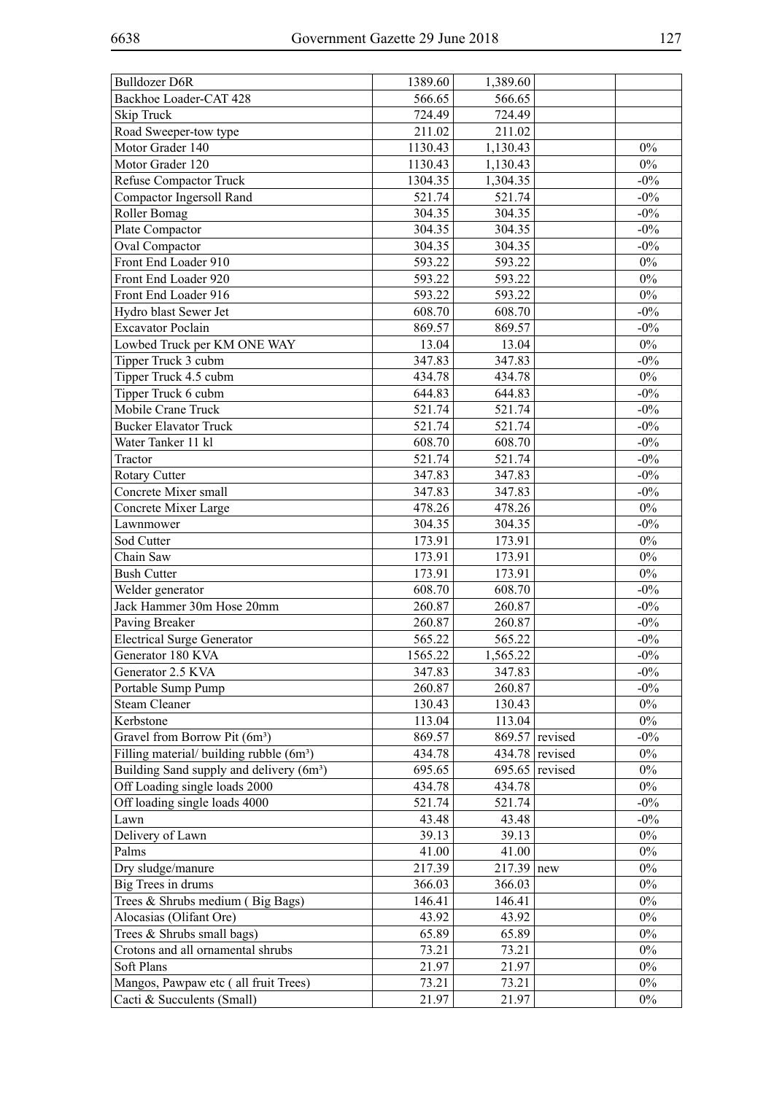| Backhoe Loader-CAT 428<br>566.65<br>566.65<br>Skip Truck<br>724.49<br>724.49<br>211.02<br>211.02<br>Road Sweeper-tow type<br>Motor Grader 140<br>1130.43<br>1,130.43<br>$0\%$<br>Motor Grader 120<br>1130.43<br>1,130.43<br>$0\%$<br>1304.35<br>1,304.35<br>$-0\%$<br>Refuse Compactor Truck<br>521.74<br>$-0\%$<br>Compactor Ingersoll Rand<br>521.74<br>Roller Bomag<br>304.35<br>304.35<br>$-0\%$<br>$-0\%$<br>Plate Compactor<br>304.35<br>304.35<br>Oval Compactor<br>304.35<br>304.35<br>$-0\%$<br>Front End Loader 910<br>593.22<br>$0\%$<br>593.22<br>Front End Loader 920<br>593.22<br>593.22<br>$0\%$<br>Front End Loader 916<br>593.22<br>593.22<br>$0\%$<br>Hydro blast Sewer Jet<br>608.70<br>608.70<br>$-0\%$<br><b>Excavator Poclain</b><br>869.57<br>869.57<br>$-0\%$<br>$0\%$<br>13.04<br>Lowbed Truck per KM ONE WAY<br>13.04<br>$-0\%$<br>Tipper Truck 3 cubm<br>347.83<br>347.83<br>$0\%$<br>Tipper Truck 4.5 cubm<br>434.78<br>434.78<br>Tipper Truck 6 cubm<br>$-0\%$<br>644.83<br>644.83<br>Mobile Crane Truck<br>$-0\%$<br>521.74<br>521.74<br><b>Bucker Elavator Truck</b><br>$-0\%$<br>521.74<br>521.74<br>Water Tanker 11 kl<br>608.70<br>608.70<br>$-0\%$<br>$-0\%$<br>521.74<br>521.74<br>Tractor<br><b>Rotary Cutter</b><br>347.83<br>347.83<br>$-0\%$<br>347.83<br>347.83<br>Concrete Mixer small<br>$-0\%$<br>$0\%$<br>478.26<br>478.26<br>Concrete Mixer Large<br>$-0\%$<br>304.35<br>304.35<br>Lawnmower<br>$0\%$<br>173.91<br>173.91<br>Sod Cutter<br>Chain Saw<br>$0\%$<br>173.91<br>173.91<br>173.91<br>$0\%$<br><b>Bush Cutter</b><br>173.91<br>608.70<br>$-0\%$<br>Welder generator<br>608.70<br>Jack Hammer 30m Hose 20mm<br>260.87<br>260.87<br>$-0\%$<br>Paving Breaker<br>260.87<br>260.87<br>$-0\%$<br>565.22<br>565.22<br><b>Electrical Surge Generator</b><br>$-0\%$<br>1565.22<br>1,565.22<br>$-0\%$<br>Generator 180 KVA<br>$-0\%$<br>Generator 2.5 KVA<br>347.83<br>347.83<br>260.87<br>260.87<br>Portable Sump Pump<br>$-0\%$<br><b>Steam Cleaner</b><br>130.43<br>130.43<br>$0\%$<br>$0\%$<br>Kerbstone<br>113.04<br>113.04<br>Gravel from Borrow Pit (6m <sup>3</sup> )<br>869.57<br>$-0\%$<br>$869.57$ revised<br>Filling material/ building rubble (6m <sup>3</sup> )<br>$0\%$<br>434.78<br>$434.78$ revised<br>Building Sand supply and delivery (6m <sup>3</sup> )<br>695.65<br>695.65 revised<br>$0\%$<br>Off Loading single loads 2000<br>434.78<br>$0\%$<br>434.78<br>Off loading single loads 4000<br>521.74<br>521.74<br>$-0\%$<br>43.48<br>$-0\%$<br>Lawn<br>43.48<br>Delivery of Lawn<br>39.13<br>39.13<br>$0\%$<br>41.00<br>Palms<br>41.00<br>$0\%$<br>Dry sludge/manure<br>217.39<br>217.39<br>$0\%$<br>new<br>Big Trees in drums<br>$0\%$<br>366.03<br>366.03<br>Trees & Shrubs medium (Big Bags)<br>$0\%$<br>146.41<br>146.41<br>Alocasias (Olifant Ore)<br>$0\%$<br>43.92<br>43.92<br>Trees & Shrubs small bags)<br>65.89<br>65.89<br>$0\%$<br>Crotons and all ornamental shrubs<br>73.21<br>73.21<br>$0\%$<br>21.97<br>$0\%$<br>Soft Plans<br>21.97<br>73.21<br>Mangos, Pawpaw etc (all fruit Trees)<br>73.21<br>$0\%$<br>21.97<br>21.97<br>$0\%$ | <b>Bulldozer D6R</b>       | 1389.60 | 1,389.60 |  |
|------------------------------------------------------------------------------------------------------------------------------------------------------------------------------------------------------------------------------------------------------------------------------------------------------------------------------------------------------------------------------------------------------------------------------------------------------------------------------------------------------------------------------------------------------------------------------------------------------------------------------------------------------------------------------------------------------------------------------------------------------------------------------------------------------------------------------------------------------------------------------------------------------------------------------------------------------------------------------------------------------------------------------------------------------------------------------------------------------------------------------------------------------------------------------------------------------------------------------------------------------------------------------------------------------------------------------------------------------------------------------------------------------------------------------------------------------------------------------------------------------------------------------------------------------------------------------------------------------------------------------------------------------------------------------------------------------------------------------------------------------------------------------------------------------------------------------------------------------------------------------------------------------------------------------------------------------------------------------------------------------------------------------------------------------------------------------------------------------------------------------------------------------------------------------------------------------------------------------------------------------------------------------------------------------------------------------------------------------------------------------------------------------------------------------------------------------------------------------------------------------------------------------------------------------------------------------------------------------------------------------------------------------------------------------------------------------------------------------------------------------------------------------------------------------------------------------------------------------------------------------------------------------------------------------------------------------------------------------------------------------------------------------------------------------------------------------------------------------------------------|----------------------------|---------|----------|--|
|                                                                                                                                                                                                                                                                                                                                                                                                                                                                                                                                                                                                                                                                                                                                                                                                                                                                                                                                                                                                                                                                                                                                                                                                                                                                                                                                                                                                                                                                                                                                                                                                                                                                                                                                                                                                                                                                                                                                                                                                                                                                                                                                                                                                                                                                                                                                                                                                                                                                                                                                                                                                                                                                                                                                                                                                                                                                                                                                                                                                                                                                                                                        |                            |         |          |  |
|                                                                                                                                                                                                                                                                                                                                                                                                                                                                                                                                                                                                                                                                                                                                                                                                                                                                                                                                                                                                                                                                                                                                                                                                                                                                                                                                                                                                                                                                                                                                                                                                                                                                                                                                                                                                                                                                                                                                                                                                                                                                                                                                                                                                                                                                                                                                                                                                                                                                                                                                                                                                                                                                                                                                                                                                                                                                                                                                                                                                                                                                                                                        |                            |         |          |  |
|                                                                                                                                                                                                                                                                                                                                                                                                                                                                                                                                                                                                                                                                                                                                                                                                                                                                                                                                                                                                                                                                                                                                                                                                                                                                                                                                                                                                                                                                                                                                                                                                                                                                                                                                                                                                                                                                                                                                                                                                                                                                                                                                                                                                                                                                                                                                                                                                                                                                                                                                                                                                                                                                                                                                                                                                                                                                                                                                                                                                                                                                                                                        |                            |         |          |  |
|                                                                                                                                                                                                                                                                                                                                                                                                                                                                                                                                                                                                                                                                                                                                                                                                                                                                                                                                                                                                                                                                                                                                                                                                                                                                                                                                                                                                                                                                                                                                                                                                                                                                                                                                                                                                                                                                                                                                                                                                                                                                                                                                                                                                                                                                                                                                                                                                                                                                                                                                                                                                                                                                                                                                                                                                                                                                                                                                                                                                                                                                                                                        |                            |         |          |  |
|                                                                                                                                                                                                                                                                                                                                                                                                                                                                                                                                                                                                                                                                                                                                                                                                                                                                                                                                                                                                                                                                                                                                                                                                                                                                                                                                                                                                                                                                                                                                                                                                                                                                                                                                                                                                                                                                                                                                                                                                                                                                                                                                                                                                                                                                                                                                                                                                                                                                                                                                                                                                                                                                                                                                                                                                                                                                                                                                                                                                                                                                                                                        |                            |         |          |  |
|                                                                                                                                                                                                                                                                                                                                                                                                                                                                                                                                                                                                                                                                                                                                                                                                                                                                                                                                                                                                                                                                                                                                                                                                                                                                                                                                                                                                                                                                                                                                                                                                                                                                                                                                                                                                                                                                                                                                                                                                                                                                                                                                                                                                                                                                                                                                                                                                                                                                                                                                                                                                                                                                                                                                                                                                                                                                                                                                                                                                                                                                                                                        |                            |         |          |  |
|                                                                                                                                                                                                                                                                                                                                                                                                                                                                                                                                                                                                                                                                                                                                                                                                                                                                                                                                                                                                                                                                                                                                                                                                                                                                                                                                                                                                                                                                                                                                                                                                                                                                                                                                                                                                                                                                                                                                                                                                                                                                                                                                                                                                                                                                                                                                                                                                                                                                                                                                                                                                                                                                                                                                                                                                                                                                                                                                                                                                                                                                                                                        |                            |         |          |  |
|                                                                                                                                                                                                                                                                                                                                                                                                                                                                                                                                                                                                                                                                                                                                                                                                                                                                                                                                                                                                                                                                                                                                                                                                                                                                                                                                                                                                                                                                                                                                                                                                                                                                                                                                                                                                                                                                                                                                                                                                                                                                                                                                                                                                                                                                                                                                                                                                                                                                                                                                                                                                                                                                                                                                                                                                                                                                                                                                                                                                                                                                                                                        |                            |         |          |  |
|                                                                                                                                                                                                                                                                                                                                                                                                                                                                                                                                                                                                                                                                                                                                                                                                                                                                                                                                                                                                                                                                                                                                                                                                                                                                                                                                                                                                                                                                                                                                                                                                                                                                                                                                                                                                                                                                                                                                                                                                                                                                                                                                                                                                                                                                                                                                                                                                                                                                                                                                                                                                                                                                                                                                                                                                                                                                                                                                                                                                                                                                                                                        |                            |         |          |  |
|                                                                                                                                                                                                                                                                                                                                                                                                                                                                                                                                                                                                                                                                                                                                                                                                                                                                                                                                                                                                                                                                                                                                                                                                                                                                                                                                                                                                                                                                                                                                                                                                                                                                                                                                                                                                                                                                                                                                                                                                                                                                                                                                                                                                                                                                                                                                                                                                                                                                                                                                                                                                                                                                                                                                                                                                                                                                                                                                                                                                                                                                                                                        |                            |         |          |  |
|                                                                                                                                                                                                                                                                                                                                                                                                                                                                                                                                                                                                                                                                                                                                                                                                                                                                                                                                                                                                                                                                                                                                                                                                                                                                                                                                                                                                                                                                                                                                                                                                                                                                                                                                                                                                                                                                                                                                                                                                                                                                                                                                                                                                                                                                                                                                                                                                                                                                                                                                                                                                                                                                                                                                                                                                                                                                                                                                                                                                                                                                                                                        |                            |         |          |  |
|                                                                                                                                                                                                                                                                                                                                                                                                                                                                                                                                                                                                                                                                                                                                                                                                                                                                                                                                                                                                                                                                                                                                                                                                                                                                                                                                                                                                                                                                                                                                                                                                                                                                                                                                                                                                                                                                                                                                                                                                                                                                                                                                                                                                                                                                                                                                                                                                                                                                                                                                                                                                                                                                                                                                                                                                                                                                                                                                                                                                                                                                                                                        |                            |         |          |  |
|                                                                                                                                                                                                                                                                                                                                                                                                                                                                                                                                                                                                                                                                                                                                                                                                                                                                                                                                                                                                                                                                                                                                                                                                                                                                                                                                                                                                                                                                                                                                                                                                                                                                                                                                                                                                                                                                                                                                                                                                                                                                                                                                                                                                                                                                                                                                                                                                                                                                                                                                                                                                                                                                                                                                                                                                                                                                                                                                                                                                                                                                                                                        |                            |         |          |  |
|                                                                                                                                                                                                                                                                                                                                                                                                                                                                                                                                                                                                                                                                                                                                                                                                                                                                                                                                                                                                                                                                                                                                                                                                                                                                                                                                                                                                                                                                                                                                                                                                                                                                                                                                                                                                                                                                                                                                                                                                                                                                                                                                                                                                                                                                                                                                                                                                                                                                                                                                                                                                                                                                                                                                                                                                                                                                                                                                                                                                                                                                                                                        |                            |         |          |  |
|                                                                                                                                                                                                                                                                                                                                                                                                                                                                                                                                                                                                                                                                                                                                                                                                                                                                                                                                                                                                                                                                                                                                                                                                                                                                                                                                                                                                                                                                                                                                                                                                                                                                                                                                                                                                                                                                                                                                                                                                                                                                                                                                                                                                                                                                                                                                                                                                                                                                                                                                                                                                                                                                                                                                                                                                                                                                                                                                                                                                                                                                                                                        |                            |         |          |  |
|                                                                                                                                                                                                                                                                                                                                                                                                                                                                                                                                                                                                                                                                                                                                                                                                                                                                                                                                                                                                                                                                                                                                                                                                                                                                                                                                                                                                                                                                                                                                                                                                                                                                                                                                                                                                                                                                                                                                                                                                                                                                                                                                                                                                                                                                                                                                                                                                                                                                                                                                                                                                                                                                                                                                                                                                                                                                                                                                                                                                                                                                                                                        |                            |         |          |  |
|                                                                                                                                                                                                                                                                                                                                                                                                                                                                                                                                                                                                                                                                                                                                                                                                                                                                                                                                                                                                                                                                                                                                                                                                                                                                                                                                                                                                                                                                                                                                                                                                                                                                                                                                                                                                                                                                                                                                                                                                                                                                                                                                                                                                                                                                                                                                                                                                                                                                                                                                                                                                                                                                                                                                                                                                                                                                                                                                                                                                                                                                                                                        |                            |         |          |  |
|                                                                                                                                                                                                                                                                                                                                                                                                                                                                                                                                                                                                                                                                                                                                                                                                                                                                                                                                                                                                                                                                                                                                                                                                                                                                                                                                                                                                                                                                                                                                                                                                                                                                                                                                                                                                                                                                                                                                                                                                                                                                                                                                                                                                                                                                                                                                                                                                                                                                                                                                                                                                                                                                                                                                                                                                                                                                                                                                                                                                                                                                                                                        |                            |         |          |  |
|                                                                                                                                                                                                                                                                                                                                                                                                                                                                                                                                                                                                                                                                                                                                                                                                                                                                                                                                                                                                                                                                                                                                                                                                                                                                                                                                                                                                                                                                                                                                                                                                                                                                                                                                                                                                                                                                                                                                                                                                                                                                                                                                                                                                                                                                                                                                                                                                                                                                                                                                                                                                                                                                                                                                                                                                                                                                                                                                                                                                                                                                                                                        |                            |         |          |  |
|                                                                                                                                                                                                                                                                                                                                                                                                                                                                                                                                                                                                                                                                                                                                                                                                                                                                                                                                                                                                                                                                                                                                                                                                                                                                                                                                                                                                                                                                                                                                                                                                                                                                                                                                                                                                                                                                                                                                                                                                                                                                                                                                                                                                                                                                                                                                                                                                                                                                                                                                                                                                                                                                                                                                                                                                                                                                                                                                                                                                                                                                                                                        |                            |         |          |  |
|                                                                                                                                                                                                                                                                                                                                                                                                                                                                                                                                                                                                                                                                                                                                                                                                                                                                                                                                                                                                                                                                                                                                                                                                                                                                                                                                                                                                                                                                                                                                                                                                                                                                                                                                                                                                                                                                                                                                                                                                                                                                                                                                                                                                                                                                                                                                                                                                                                                                                                                                                                                                                                                                                                                                                                                                                                                                                                                                                                                                                                                                                                                        |                            |         |          |  |
|                                                                                                                                                                                                                                                                                                                                                                                                                                                                                                                                                                                                                                                                                                                                                                                                                                                                                                                                                                                                                                                                                                                                                                                                                                                                                                                                                                                                                                                                                                                                                                                                                                                                                                                                                                                                                                                                                                                                                                                                                                                                                                                                                                                                                                                                                                                                                                                                                                                                                                                                                                                                                                                                                                                                                                                                                                                                                                                                                                                                                                                                                                                        |                            |         |          |  |
|                                                                                                                                                                                                                                                                                                                                                                                                                                                                                                                                                                                                                                                                                                                                                                                                                                                                                                                                                                                                                                                                                                                                                                                                                                                                                                                                                                                                                                                                                                                                                                                                                                                                                                                                                                                                                                                                                                                                                                                                                                                                                                                                                                                                                                                                                                                                                                                                                                                                                                                                                                                                                                                                                                                                                                                                                                                                                                                                                                                                                                                                                                                        |                            |         |          |  |
|                                                                                                                                                                                                                                                                                                                                                                                                                                                                                                                                                                                                                                                                                                                                                                                                                                                                                                                                                                                                                                                                                                                                                                                                                                                                                                                                                                                                                                                                                                                                                                                                                                                                                                                                                                                                                                                                                                                                                                                                                                                                                                                                                                                                                                                                                                                                                                                                                                                                                                                                                                                                                                                                                                                                                                                                                                                                                                                                                                                                                                                                                                                        |                            |         |          |  |
|                                                                                                                                                                                                                                                                                                                                                                                                                                                                                                                                                                                                                                                                                                                                                                                                                                                                                                                                                                                                                                                                                                                                                                                                                                                                                                                                                                                                                                                                                                                                                                                                                                                                                                                                                                                                                                                                                                                                                                                                                                                                                                                                                                                                                                                                                                                                                                                                                                                                                                                                                                                                                                                                                                                                                                                                                                                                                                                                                                                                                                                                                                                        |                            |         |          |  |
|                                                                                                                                                                                                                                                                                                                                                                                                                                                                                                                                                                                                                                                                                                                                                                                                                                                                                                                                                                                                                                                                                                                                                                                                                                                                                                                                                                                                                                                                                                                                                                                                                                                                                                                                                                                                                                                                                                                                                                                                                                                                                                                                                                                                                                                                                                                                                                                                                                                                                                                                                                                                                                                                                                                                                                                                                                                                                                                                                                                                                                                                                                                        |                            |         |          |  |
|                                                                                                                                                                                                                                                                                                                                                                                                                                                                                                                                                                                                                                                                                                                                                                                                                                                                                                                                                                                                                                                                                                                                                                                                                                                                                                                                                                                                                                                                                                                                                                                                                                                                                                                                                                                                                                                                                                                                                                                                                                                                                                                                                                                                                                                                                                                                                                                                                                                                                                                                                                                                                                                                                                                                                                                                                                                                                                                                                                                                                                                                                                                        |                            |         |          |  |
|                                                                                                                                                                                                                                                                                                                                                                                                                                                                                                                                                                                                                                                                                                                                                                                                                                                                                                                                                                                                                                                                                                                                                                                                                                                                                                                                                                                                                                                                                                                                                                                                                                                                                                                                                                                                                                                                                                                                                                                                                                                                                                                                                                                                                                                                                                                                                                                                                                                                                                                                                                                                                                                                                                                                                                                                                                                                                                                                                                                                                                                                                                                        |                            |         |          |  |
|                                                                                                                                                                                                                                                                                                                                                                                                                                                                                                                                                                                                                                                                                                                                                                                                                                                                                                                                                                                                                                                                                                                                                                                                                                                                                                                                                                                                                                                                                                                                                                                                                                                                                                                                                                                                                                                                                                                                                                                                                                                                                                                                                                                                                                                                                                                                                                                                                                                                                                                                                                                                                                                                                                                                                                                                                                                                                                                                                                                                                                                                                                                        |                            |         |          |  |
|                                                                                                                                                                                                                                                                                                                                                                                                                                                                                                                                                                                                                                                                                                                                                                                                                                                                                                                                                                                                                                                                                                                                                                                                                                                                                                                                                                                                                                                                                                                                                                                                                                                                                                                                                                                                                                                                                                                                                                                                                                                                                                                                                                                                                                                                                                                                                                                                                                                                                                                                                                                                                                                                                                                                                                                                                                                                                                                                                                                                                                                                                                                        |                            |         |          |  |
|                                                                                                                                                                                                                                                                                                                                                                                                                                                                                                                                                                                                                                                                                                                                                                                                                                                                                                                                                                                                                                                                                                                                                                                                                                                                                                                                                                                                                                                                                                                                                                                                                                                                                                                                                                                                                                                                                                                                                                                                                                                                                                                                                                                                                                                                                                                                                                                                                                                                                                                                                                                                                                                                                                                                                                                                                                                                                                                                                                                                                                                                                                                        |                            |         |          |  |
|                                                                                                                                                                                                                                                                                                                                                                                                                                                                                                                                                                                                                                                                                                                                                                                                                                                                                                                                                                                                                                                                                                                                                                                                                                                                                                                                                                                                                                                                                                                                                                                                                                                                                                                                                                                                                                                                                                                                                                                                                                                                                                                                                                                                                                                                                                                                                                                                                                                                                                                                                                                                                                                                                                                                                                                                                                                                                                                                                                                                                                                                                                                        |                            |         |          |  |
|                                                                                                                                                                                                                                                                                                                                                                                                                                                                                                                                                                                                                                                                                                                                                                                                                                                                                                                                                                                                                                                                                                                                                                                                                                                                                                                                                                                                                                                                                                                                                                                                                                                                                                                                                                                                                                                                                                                                                                                                                                                                                                                                                                                                                                                                                                                                                                                                                                                                                                                                                                                                                                                                                                                                                                                                                                                                                                                                                                                                                                                                                                                        |                            |         |          |  |
|                                                                                                                                                                                                                                                                                                                                                                                                                                                                                                                                                                                                                                                                                                                                                                                                                                                                                                                                                                                                                                                                                                                                                                                                                                                                                                                                                                                                                                                                                                                                                                                                                                                                                                                                                                                                                                                                                                                                                                                                                                                                                                                                                                                                                                                                                                                                                                                                                                                                                                                                                                                                                                                                                                                                                                                                                                                                                                                                                                                                                                                                                                                        |                            |         |          |  |
|                                                                                                                                                                                                                                                                                                                                                                                                                                                                                                                                                                                                                                                                                                                                                                                                                                                                                                                                                                                                                                                                                                                                                                                                                                                                                                                                                                                                                                                                                                                                                                                                                                                                                                                                                                                                                                                                                                                                                                                                                                                                                                                                                                                                                                                                                                                                                                                                                                                                                                                                                                                                                                                                                                                                                                                                                                                                                                                                                                                                                                                                                                                        |                            |         |          |  |
|                                                                                                                                                                                                                                                                                                                                                                                                                                                                                                                                                                                                                                                                                                                                                                                                                                                                                                                                                                                                                                                                                                                                                                                                                                                                                                                                                                                                                                                                                                                                                                                                                                                                                                                                                                                                                                                                                                                                                                                                                                                                                                                                                                                                                                                                                                                                                                                                                                                                                                                                                                                                                                                                                                                                                                                                                                                                                                                                                                                                                                                                                                                        |                            |         |          |  |
|                                                                                                                                                                                                                                                                                                                                                                                                                                                                                                                                                                                                                                                                                                                                                                                                                                                                                                                                                                                                                                                                                                                                                                                                                                                                                                                                                                                                                                                                                                                                                                                                                                                                                                                                                                                                                                                                                                                                                                                                                                                                                                                                                                                                                                                                                                                                                                                                                                                                                                                                                                                                                                                                                                                                                                                                                                                                                                                                                                                                                                                                                                                        |                            |         |          |  |
|                                                                                                                                                                                                                                                                                                                                                                                                                                                                                                                                                                                                                                                                                                                                                                                                                                                                                                                                                                                                                                                                                                                                                                                                                                                                                                                                                                                                                                                                                                                                                                                                                                                                                                                                                                                                                                                                                                                                                                                                                                                                                                                                                                                                                                                                                                                                                                                                                                                                                                                                                                                                                                                                                                                                                                                                                                                                                                                                                                                                                                                                                                                        |                            |         |          |  |
|                                                                                                                                                                                                                                                                                                                                                                                                                                                                                                                                                                                                                                                                                                                                                                                                                                                                                                                                                                                                                                                                                                                                                                                                                                                                                                                                                                                                                                                                                                                                                                                                                                                                                                                                                                                                                                                                                                                                                                                                                                                                                                                                                                                                                                                                                                                                                                                                                                                                                                                                                                                                                                                                                                                                                                                                                                                                                                                                                                                                                                                                                                                        |                            |         |          |  |
|                                                                                                                                                                                                                                                                                                                                                                                                                                                                                                                                                                                                                                                                                                                                                                                                                                                                                                                                                                                                                                                                                                                                                                                                                                                                                                                                                                                                                                                                                                                                                                                                                                                                                                                                                                                                                                                                                                                                                                                                                                                                                                                                                                                                                                                                                                                                                                                                                                                                                                                                                                                                                                                                                                                                                                                                                                                                                                                                                                                                                                                                                                                        |                            |         |          |  |
|                                                                                                                                                                                                                                                                                                                                                                                                                                                                                                                                                                                                                                                                                                                                                                                                                                                                                                                                                                                                                                                                                                                                                                                                                                                                                                                                                                                                                                                                                                                                                                                                                                                                                                                                                                                                                                                                                                                                                                                                                                                                                                                                                                                                                                                                                                                                                                                                                                                                                                                                                                                                                                                                                                                                                                                                                                                                                                                                                                                                                                                                                                                        |                            |         |          |  |
|                                                                                                                                                                                                                                                                                                                                                                                                                                                                                                                                                                                                                                                                                                                                                                                                                                                                                                                                                                                                                                                                                                                                                                                                                                                                                                                                                                                                                                                                                                                                                                                                                                                                                                                                                                                                                                                                                                                                                                                                                                                                                                                                                                                                                                                                                                                                                                                                                                                                                                                                                                                                                                                                                                                                                                                                                                                                                                                                                                                                                                                                                                                        |                            |         |          |  |
|                                                                                                                                                                                                                                                                                                                                                                                                                                                                                                                                                                                                                                                                                                                                                                                                                                                                                                                                                                                                                                                                                                                                                                                                                                                                                                                                                                                                                                                                                                                                                                                                                                                                                                                                                                                                                                                                                                                                                                                                                                                                                                                                                                                                                                                                                                                                                                                                                                                                                                                                                                                                                                                                                                                                                                                                                                                                                                                                                                                                                                                                                                                        |                            |         |          |  |
|                                                                                                                                                                                                                                                                                                                                                                                                                                                                                                                                                                                                                                                                                                                                                                                                                                                                                                                                                                                                                                                                                                                                                                                                                                                                                                                                                                                                                                                                                                                                                                                                                                                                                                                                                                                                                                                                                                                                                                                                                                                                                                                                                                                                                                                                                                                                                                                                                                                                                                                                                                                                                                                                                                                                                                                                                                                                                                                                                                                                                                                                                                                        |                            |         |          |  |
|                                                                                                                                                                                                                                                                                                                                                                                                                                                                                                                                                                                                                                                                                                                                                                                                                                                                                                                                                                                                                                                                                                                                                                                                                                                                                                                                                                                                                                                                                                                                                                                                                                                                                                                                                                                                                                                                                                                                                                                                                                                                                                                                                                                                                                                                                                                                                                                                                                                                                                                                                                                                                                                                                                                                                                                                                                                                                                                                                                                                                                                                                                                        |                            |         |          |  |
|                                                                                                                                                                                                                                                                                                                                                                                                                                                                                                                                                                                                                                                                                                                                                                                                                                                                                                                                                                                                                                                                                                                                                                                                                                                                                                                                                                                                                                                                                                                                                                                                                                                                                                                                                                                                                                                                                                                                                                                                                                                                                                                                                                                                                                                                                                                                                                                                                                                                                                                                                                                                                                                                                                                                                                                                                                                                                                                                                                                                                                                                                                                        |                            |         |          |  |
|                                                                                                                                                                                                                                                                                                                                                                                                                                                                                                                                                                                                                                                                                                                                                                                                                                                                                                                                                                                                                                                                                                                                                                                                                                                                                                                                                                                                                                                                                                                                                                                                                                                                                                                                                                                                                                                                                                                                                                                                                                                                                                                                                                                                                                                                                                                                                                                                                                                                                                                                                                                                                                                                                                                                                                                                                                                                                                                                                                                                                                                                                                                        |                            |         |          |  |
|                                                                                                                                                                                                                                                                                                                                                                                                                                                                                                                                                                                                                                                                                                                                                                                                                                                                                                                                                                                                                                                                                                                                                                                                                                                                                                                                                                                                                                                                                                                                                                                                                                                                                                                                                                                                                                                                                                                                                                                                                                                                                                                                                                                                                                                                                                                                                                                                                                                                                                                                                                                                                                                                                                                                                                                                                                                                                                                                                                                                                                                                                                                        |                            |         |          |  |
|                                                                                                                                                                                                                                                                                                                                                                                                                                                                                                                                                                                                                                                                                                                                                                                                                                                                                                                                                                                                                                                                                                                                                                                                                                                                                                                                                                                                                                                                                                                                                                                                                                                                                                                                                                                                                                                                                                                                                                                                                                                                                                                                                                                                                                                                                                                                                                                                                                                                                                                                                                                                                                                                                                                                                                                                                                                                                                                                                                                                                                                                                                                        |                            |         |          |  |
|                                                                                                                                                                                                                                                                                                                                                                                                                                                                                                                                                                                                                                                                                                                                                                                                                                                                                                                                                                                                                                                                                                                                                                                                                                                                                                                                                                                                                                                                                                                                                                                                                                                                                                                                                                                                                                                                                                                                                                                                                                                                                                                                                                                                                                                                                                                                                                                                                                                                                                                                                                                                                                                                                                                                                                                                                                                                                                                                                                                                                                                                                                                        |                            |         |          |  |
|                                                                                                                                                                                                                                                                                                                                                                                                                                                                                                                                                                                                                                                                                                                                                                                                                                                                                                                                                                                                                                                                                                                                                                                                                                                                                                                                                                                                                                                                                                                                                                                                                                                                                                                                                                                                                                                                                                                                                                                                                                                                                                                                                                                                                                                                                                                                                                                                                                                                                                                                                                                                                                                                                                                                                                                                                                                                                                                                                                                                                                                                                                                        |                            |         |          |  |
|                                                                                                                                                                                                                                                                                                                                                                                                                                                                                                                                                                                                                                                                                                                                                                                                                                                                                                                                                                                                                                                                                                                                                                                                                                                                                                                                                                                                                                                                                                                                                                                                                                                                                                                                                                                                                                                                                                                                                                                                                                                                                                                                                                                                                                                                                                                                                                                                                                                                                                                                                                                                                                                                                                                                                                                                                                                                                                                                                                                                                                                                                                                        |                            |         |          |  |
|                                                                                                                                                                                                                                                                                                                                                                                                                                                                                                                                                                                                                                                                                                                                                                                                                                                                                                                                                                                                                                                                                                                                                                                                                                                                                                                                                                                                                                                                                                                                                                                                                                                                                                                                                                                                                                                                                                                                                                                                                                                                                                                                                                                                                                                                                                                                                                                                                                                                                                                                                                                                                                                                                                                                                                                                                                                                                                                                                                                                                                                                                                                        |                            |         |          |  |
|                                                                                                                                                                                                                                                                                                                                                                                                                                                                                                                                                                                                                                                                                                                                                                                                                                                                                                                                                                                                                                                                                                                                                                                                                                                                                                                                                                                                                                                                                                                                                                                                                                                                                                                                                                                                                                                                                                                                                                                                                                                                                                                                                                                                                                                                                                                                                                                                                                                                                                                                                                                                                                                                                                                                                                                                                                                                                                                                                                                                                                                                                                                        |                            |         |          |  |
|                                                                                                                                                                                                                                                                                                                                                                                                                                                                                                                                                                                                                                                                                                                                                                                                                                                                                                                                                                                                                                                                                                                                                                                                                                                                                                                                                                                                                                                                                                                                                                                                                                                                                                                                                                                                                                                                                                                                                                                                                                                                                                                                                                                                                                                                                                                                                                                                                                                                                                                                                                                                                                                                                                                                                                                                                                                                                                                                                                                                                                                                                                                        |                            |         |          |  |
|                                                                                                                                                                                                                                                                                                                                                                                                                                                                                                                                                                                                                                                                                                                                                                                                                                                                                                                                                                                                                                                                                                                                                                                                                                                                                                                                                                                                                                                                                                                                                                                                                                                                                                                                                                                                                                                                                                                                                                                                                                                                                                                                                                                                                                                                                                                                                                                                                                                                                                                                                                                                                                                                                                                                                                                                                                                                                                                                                                                                                                                                                                                        | Cacti & Succulents (Small) |         |          |  |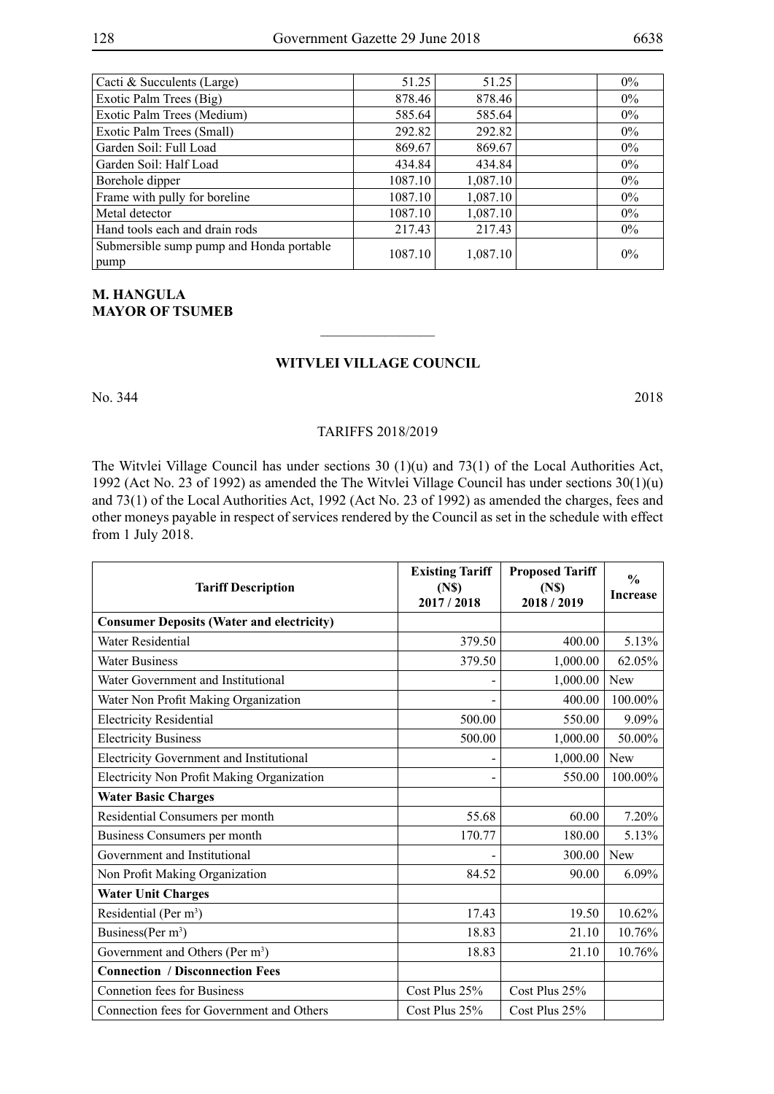| 51.25  | 51.25    |                                                              | $0\%$ |
|--------|----------|--------------------------------------------------------------|-------|
|        | 878.46   |                                                              | $0\%$ |
|        | 585.64   |                                                              | $0\%$ |
| 292.82 | 292.82   |                                                              | $0\%$ |
| 869.67 | 869.67   |                                                              | $0\%$ |
| 434.84 | 434.84   |                                                              | $0\%$ |
|        | 1,087.10 |                                                              | $0\%$ |
|        | 1,087.10 |                                                              | $0\%$ |
|        | 1,087.10 |                                                              | $0\%$ |
| 217.43 | 217.43   |                                                              | $0\%$ |
|        | 1,087.10 |                                                              | 0%    |
|        |          | 878.46<br>585.64<br>1087.10<br>1087.10<br>1087.10<br>1087.10 |       |

## **M. Hangula MAYOR OF TSUMEB**

## **Witvlei Village Council**

 $\frac{1}{2}$ 

No. 344 2018

## TARIFFS 2018/2019

The Witvlei Village Council has under sections 30 (1)(u) and 73(1) of the Local Authorities Act, 1992 (Act No. 23 of 1992) as amended the The Witvlei Village Council has under sections 30(1)(u) and 73(1) of the Local Authorities Act, 1992 (Act No. 23 of 1992) as amended the charges, fees and other moneys payable in respect of services rendered by the Council as set in the schedule with effect from 1 July 2018.

| <b>Tariff Description</b>                        | <b>Existing Tariff</b><br>(N <sub>s</sub> )<br>2017/2018 | <b>Proposed Tariff</b><br>(N <sub>s</sub> )<br>2018/2019 | $\frac{0}{0}$<br><b>Increase</b> |
|--------------------------------------------------|----------------------------------------------------------|----------------------------------------------------------|----------------------------------|
| <b>Consumer Deposits (Water and electricity)</b> |                                                          |                                                          |                                  |
| Water Residential                                | 379.50                                                   | 400.00                                                   | 5.13%                            |
| <b>Water Business</b>                            | 379.50                                                   | 1,000.00                                                 | 62.05%                           |
| Water Government and Institutional               |                                                          | 1,000.00                                                 | New                              |
| Water Non Profit Making Organization             | $\overline{\phantom{0}}$                                 | 400.00                                                   | 100.00%                          |
| <b>Electricity Residential</b>                   | 500.00                                                   | 550.00                                                   | 9.09%                            |
| <b>Electricity Business</b>                      | 500.00                                                   | 1,000.00                                                 | 50.00%                           |
| Electricity Government and Institutional         | $\overline{\phantom{0}}$                                 | 1,000.00                                                 | New                              |
| Electricity Non Profit Making Organization       | $\blacksquare$                                           | 550.00                                                   | 100.00%                          |
| <b>Water Basic Charges</b>                       |                                                          |                                                          |                                  |
| Residential Consumers per month                  | 55.68                                                    | 60.00                                                    | 7.20%                            |
| Business Consumers per month                     | 170.77                                                   | 180.00                                                   | 5.13%                            |
| Government and Institutional                     |                                                          | 300.00                                                   | <b>New</b>                       |
| Non Profit Making Organization                   | 84.52                                                    | 90.00                                                    | 6.09%                            |
| <b>Water Unit Charges</b>                        |                                                          |                                                          |                                  |
| Residential (Per $m^3$ )                         | 17.43                                                    | 19.50                                                    | 10.62%                           |
| Business(Per m <sup>3</sup> )                    | 18.83                                                    | 21.10                                                    | 10.76%                           |
| Government and Others (Per m <sup>3</sup> )      | 18.83                                                    | 21.10                                                    | 10.76%                           |
| <b>Connection / Disconnection Fees</b>           |                                                          |                                                          |                                  |
| <b>Connetion fees for Business</b>               | Cost Plus $25%$                                          | Cost Plus $25%$                                          |                                  |
| Connection fees for Government and Others        | Cost Plus $25%$                                          | Cost Plus 25%                                            |                                  |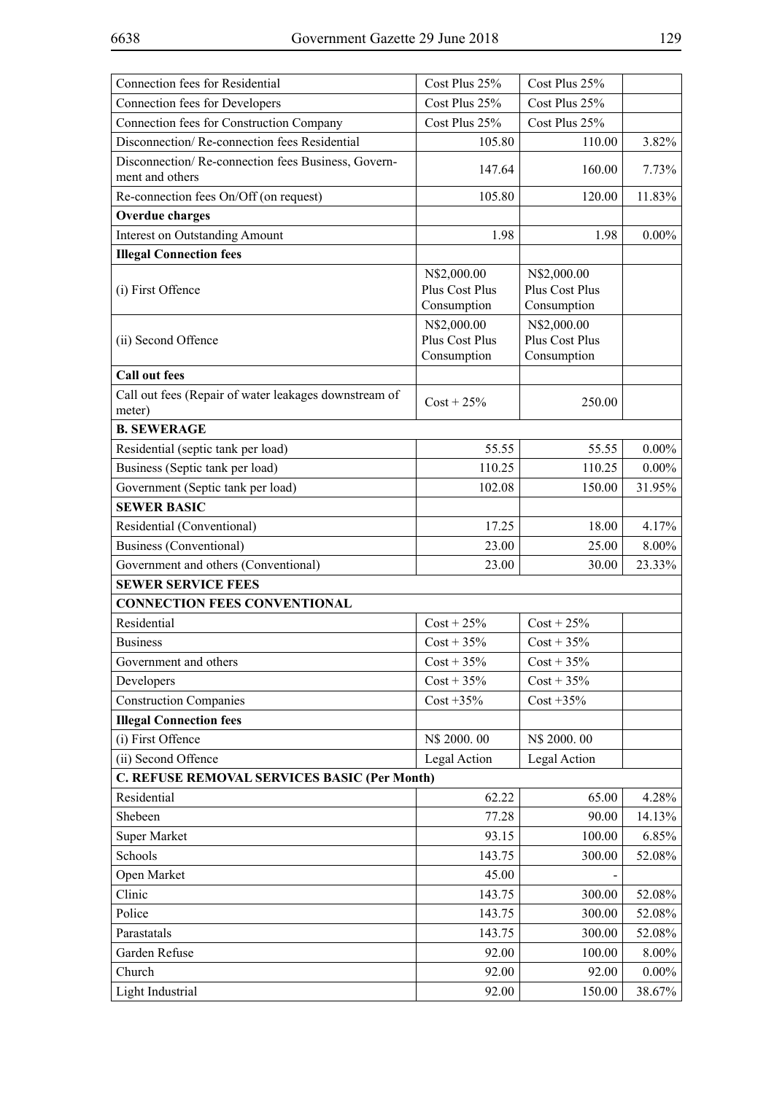| Connection fees for Residential                                       | Cost Plus 25%                                | Cost Plus 25%                                |          |
|-----------------------------------------------------------------------|----------------------------------------------|----------------------------------------------|----------|
| Connection fees for Developers                                        | Cost Plus 25%                                | Cost Plus 25%                                |          |
| Connection fees for Construction Company                              | Cost Plus 25%                                | Cost Plus 25%                                |          |
| Disconnection/Re-connection fees Residential                          | 105.80                                       | 110.00                                       | 3.82%    |
| Disconnection/Re-connection fees Business, Govern-<br>ment and others | 147.64                                       | 160.00                                       | 7.73%    |
| Re-connection fees On/Off (on request)                                | 105.80                                       | 120.00                                       | 11.83%   |
| <b>Overdue charges</b>                                                |                                              |                                              |          |
| <b>Interest on Outstanding Amount</b>                                 | 1.98                                         | 1.98                                         | $0.00\%$ |
| <b>Illegal Connection fees</b>                                        |                                              |                                              |          |
| (i) First Offence                                                     | N\$2,000.00<br>Plus Cost Plus<br>Consumption | N\$2,000.00<br>Plus Cost Plus<br>Consumption |          |
| (ii) Second Offence                                                   | N\$2,000.00<br>Plus Cost Plus<br>Consumption | N\$2,000.00<br>Plus Cost Plus<br>Consumption |          |
| <b>Call out fees</b>                                                  |                                              |                                              |          |
| Call out fees (Repair of water leakages downstream of<br>meter)       | $Cost + 25\%$                                | 250.00                                       |          |
| <b>B. SEWERAGE</b>                                                    |                                              |                                              |          |
| Residential (septic tank per load)                                    | 55.55                                        | 55.55                                        | $0.00\%$ |
| Business (Septic tank per load)                                       | 110.25                                       | 110.25                                       | $0.00\%$ |
| Government (Septic tank per load)                                     | 102.08                                       | 150.00                                       | 31.95%   |
| <b>SEWER BASIC</b>                                                    |                                              |                                              |          |
| Residential (Conventional)                                            | 17.25                                        | 18.00                                        | 4.17%    |
| <b>Business (Conventional)</b>                                        | 23.00                                        | 25.00                                        | 8.00%    |
| Government and others (Conventional)                                  | 23.00                                        | 30.00                                        | 23.33%   |
| <b>SEWER SERVICE FEES</b>                                             |                                              |                                              |          |
| <b>CONNECTION FEES CONVENTIONAL</b>                                   |                                              |                                              |          |
| Residential                                                           | $Cost + 25\%$                                | $Cost + 25\%$                                |          |
| <b>Business</b>                                                       | $Cost + 35\%$                                | $Cost + 35\%$                                |          |
| Government and others                                                 | $Cost + 35%$                                 | $Cost + 35\%$                                |          |
| Developers                                                            | $Cost + 35\%$                                | $Cost + 35\%$                                |          |
| <b>Construction Companies</b>                                         | $Cost + 35\%$                                | $Cost + 35\%$                                |          |
| <b>Illegal Connection fees</b>                                        |                                              |                                              |          |
| (i) First Offence                                                     | N\$ 2000.00                                  | N\$ 2000.00                                  |          |
| (ii) Second Offence                                                   | Legal Action                                 | Legal Action                                 |          |
| C. REFUSE REMOVAL SERVICES BASIC (Per Month)                          |                                              |                                              |          |
| Residential                                                           | 62.22                                        | 65.00                                        | 4.28%    |
| Shebeen                                                               | 77.28                                        | 90.00                                        | 14.13%   |
| <b>Super Market</b>                                                   | 93.15                                        | 100.00                                       | 6.85%    |
| Schools                                                               | 143.75                                       | 300.00                                       | 52.08%   |
| Open Market                                                           | 45.00                                        |                                              |          |
| Clinic                                                                | 143.75                                       | 300.00                                       | 52.08%   |
| Police                                                                | 143.75                                       | 300.00                                       | 52.08%   |
| Parastatals                                                           | 143.75                                       | 300.00                                       | 52.08%   |
| Garden Refuse                                                         | 92.00                                        | 100.00                                       | 8.00%    |
| Church                                                                | 92.00                                        | 92.00                                        | $0.00\%$ |
| Light Industrial                                                      | 92.00                                        | 150.00                                       | 38.67%   |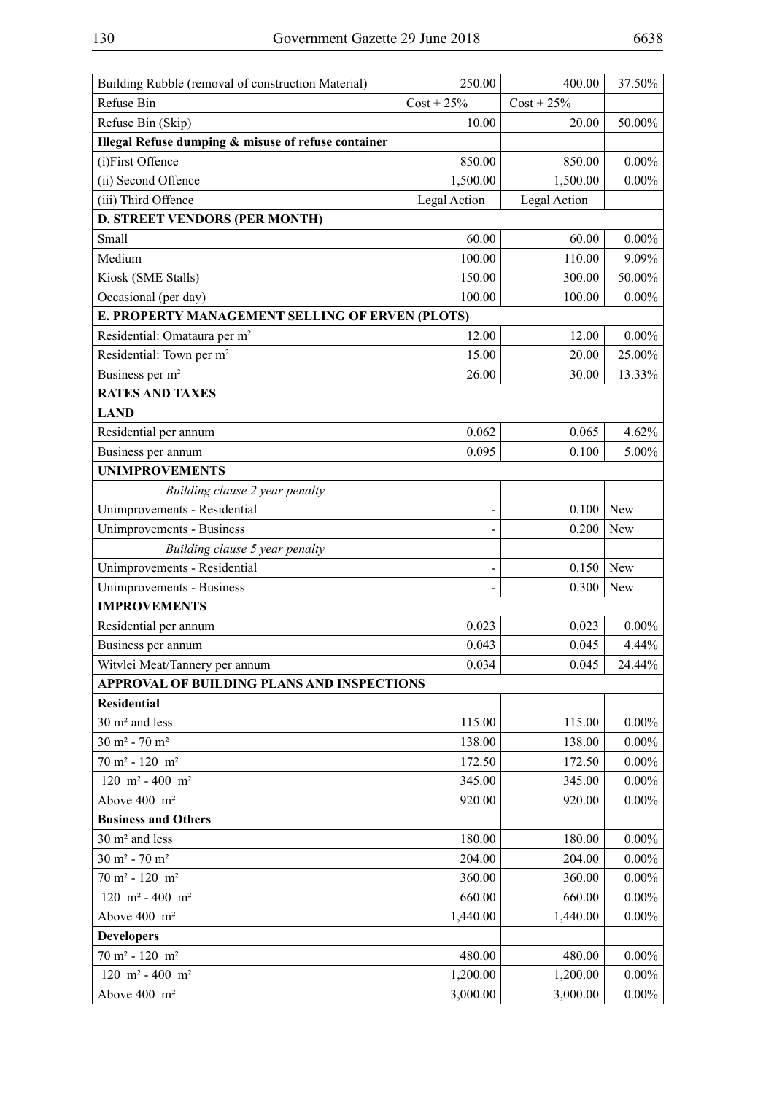| Building Rubble (removal of construction Material)  | 250.00        | 400.00        | 37.50%   |
|-----------------------------------------------------|---------------|---------------|----------|
| Refuse Bin                                          | $Cost + 25\%$ | $Cost + 25\%$ |          |
| Refuse Bin (Skip)                                   | 10.00         | 20.00         | 50.00%   |
| Illegal Refuse dumping & misuse of refuse container |               |               |          |
| (i)First Offence                                    | 850.00        | 850.00        | $0.00\%$ |
| (ii) Second Offence                                 | 1,500.00      | 1,500.00      | $0.00\%$ |
| (iii) Third Offence                                 | Legal Action  | Legal Action  |          |
| <b>D. STREET VENDORS (PER MONTH)</b>                |               |               |          |
| Small                                               | 60.00         | 60.00         | $0.00\%$ |
| Medium                                              | 100.00        | 110.00        | 9.09%    |
| Kiosk (SME Stalls)                                  | 150.00        | 300.00        | 50.00%   |
| Occasional (per day)                                | 100.00        | 100.00        | $0.00\%$ |
| E. PROPERTY MANAGEMENT SELLING OF ERVEN (PLOTS)     |               |               |          |
| Residential: Omataura per m <sup>2</sup>            | 12.00         | 12.00         | $0.00\%$ |
| Residential: Town per m <sup>2</sup>                | 15.00         | 20.00         | 25.00%   |
| Business per m <sup>2</sup>                         | 26.00         | 30.00         | 13.33%   |
| <b>RATES AND TAXES</b>                              |               |               |          |
| <b>LAND</b>                                         |               |               |          |
| Residential per annum                               | 0.062         | 0.065         | 4.62%    |
| Business per annum                                  | 0.095         | 0.100         | 5.00%    |
| <b>UNIMPROVEMENTS</b>                               |               |               |          |
| Building clause 2 year penalty                      |               |               |          |
| Unimprovements - Residential                        | -             | 0.100         | New      |
| Unimprovements - Business                           | -             | 0.200         | New      |
| Building clause 5 year penalty                      |               |               |          |
| Unimprovements - Residential                        | -             | 0.150         | New      |
| Unimprovements - Business                           |               | 0.300         | New      |
| <b>IMPROVEMENTS</b>                                 |               |               |          |
| Residential per annum                               | 0.023         | 0.023         | $0.00\%$ |
| Business per annum                                  | 0.043         | 0.045         | 4.44%    |
| Witvlei Meat/Tannery per annum                      | 0.034         | 0.045         | 24.44%   |
| APPROVAL OF BUILDING PLANS AND INSPECTIONS          |               |               |          |
| <b>Residential</b>                                  |               |               |          |
| 30 m <sup>2</sup> and less                          | 115.00        | 115.00        | $0.00\%$ |
| $30 m2 - 70 m2$                                     | 138.00        | 138.00        | $0.00\%$ |
| $70 m2 - 120 m2$                                    | 172.50        | 172.50        | $0.00\%$ |
| 120 m <sup>2</sup> - 400 m <sup>2</sup>             | 345.00        | 345.00        | $0.00\%$ |
| Above 400 m <sup>2</sup>                            | 920.00        | 920.00        | $0.00\%$ |
| <b>Business and Others</b>                          |               |               |          |
| 30 m <sup>2</sup> and less                          | 180.00        | 180.00        | $0.00\%$ |
| $30 \text{ m}^2$ - $70 \text{ m}^2$                 | 204.00        | 204.00        | $0.00\%$ |
| $70 m2 - 120 m2$                                    | 360.00        | 360.00        | $0.00\%$ |
| 120 m <sup>2</sup> - 400 m <sup>2</sup>             | 660.00        | 660.00        | $0.00\%$ |
| Above 400 m <sup>2</sup>                            | 1,440.00      | 1,440.00      | $0.00\%$ |
| <b>Developers</b>                                   |               |               |          |
| $70 m2 - 120 m2$                                    | 480.00        | 480.00        | $0.00\%$ |
| 120 m <sup>2</sup> - 400 m <sup>2</sup>             | 1,200.00      | 1,200.00      | $0.00\%$ |
| Above 400 m <sup>2</sup>                            | 3,000.00      | 3,000.00      | $0.00\%$ |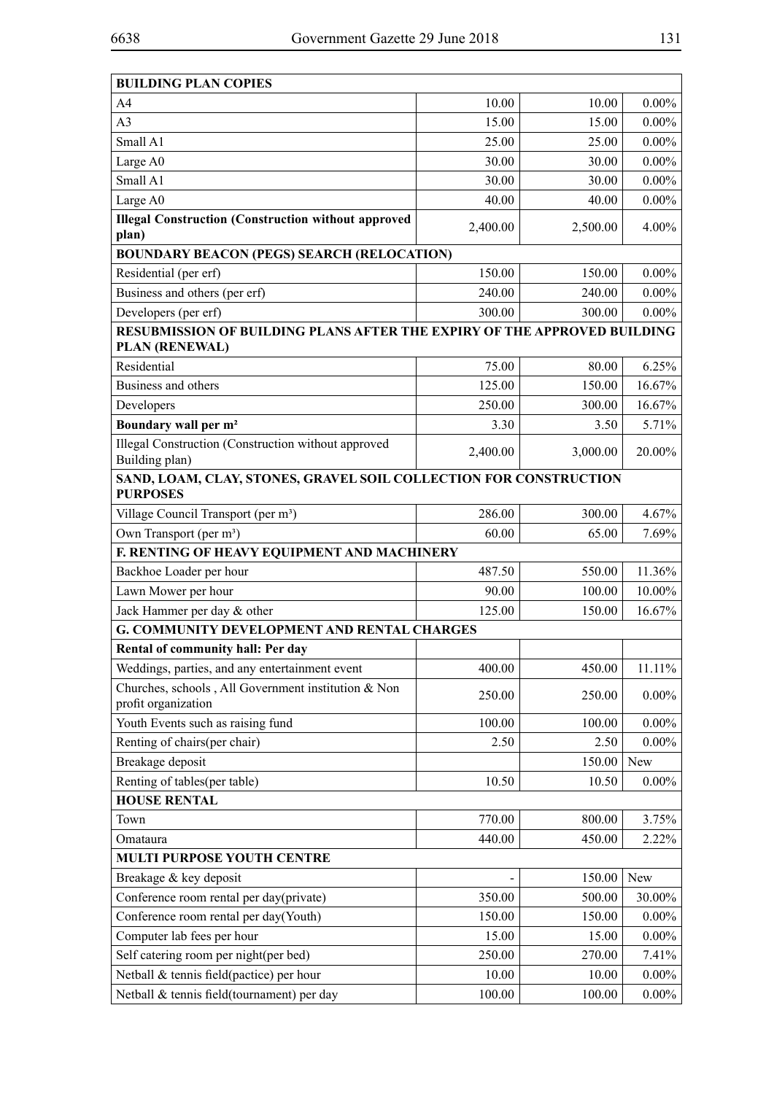| <b>BUILDING PLAN COPIES</b>                                                                       |          |          |          |
|---------------------------------------------------------------------------------------------------|----------|----------|----------|
| A <sub>4</sub>                                                                                    | 10.00    | 10.00    | $0.00\%$ |
| A <sub>3</sub>                                                                                    | 15.00    | 15.00    | $0.00\%$ |
| Small A1                                                                                          | 25.00    | 25.00    | $0.00\%$ |
| Large A0                                                                                          | 30.00    | 30.00    | $0.00\%$ |
| Small A1                                                                                          | 30.00    | 30.00    | $0.00\%$ |
| Large A0                                                                                          | 40.00    | 40.00    | $0.00\%$ |
| <b>Illegal Construction (Construction without approved</b><br>plan)                               | 2,400.00 | 2,500.00 | 4.00%    |
| <b>BOUNDARY BEACON (PEGS) SEARCH (RELOCATION)</b>                                                 |          |          |          |
| Residential (per erf)                                                                             | 150.00   | 150.00   | $0.00\%$ |
| Business and others (per erf)                                                                     | 240.00   | 240.00   | $0.00\%$ |
| Developers (per erf)                                                                              | 300.00   | 300.00   | $0.00\%$ |
| RESUBMISSION OF BUILDING PLANS AFTER THE EXPIRY OF THE APPROVED BUILDING<br><b>PLAN (RENEWAL)</b> |          |          |          |
| Residential                                                                                       | 75.00    | 80.00    | 6.25%    |
| Business and others                                                                               | 125.00   | 150.00   | 16.67%   |
| Developers                                                                                        | 250.00   | 300.00   | 16.67%   |
| Boundary wall per m <sup>2</sup>                                                                  | 3.30     | 3.50     | 5.71%    |
| Illegal Construction (Construction without approved<br>Building plan)                             | 2,400.00 | 3,000.00 | 20.00%   |
| SAND, LOAM, CLAY, STONES, GRAVEL SOIL COLLECTION FOR CONSTRUCTION                                 |          |          |          |
| <b>PURPOSES</b>                                                                                   | 286.00   | 300.00   | 4.67%    |
| Village Council Transport (per m <sup>3</sup> )<br>Own Transport (per m <sup>3</sup> )            |          |          |          |
| F. RENTING OF HEAVY EQUIPMENT AND MACHINERY                                                       | 60.00    | 65.00    | 7.69%    |
| Backhoe Loader per hour                                                                           | 487.50   | 550.00   | 11.36%   |
| Lawn Mower per hour                                                                               | 90.00    | 100.00   | 10.00%   |
| Jack Hammer per day & other                                                                       | 125.00   | 150.00   | 16.67%   |
| <b>G. COMMUNITY DEVELOPMENT AND RENTAL CHARGES</b>                                                |          |          |          |
| Rental of community hall: Per day                                                                 |          |          |          |
| Weddings, parties, and any entertainment event                                                    | 400.00   | 450.00   | 11.11%   |
| Churches, schools, All Government institution & Non                                               |          |          |          |
| profit organization                                                                               | 250.00   | 250.00   | $0.00\%$ |
| Youth Events such as raising fund                                                                 | 100.00   | 100.00   | $0.00\%$ |
| Renting of chairs(per chair)                                                                      | 2.50     | 2.50     | $0.00\%$ |
| Breakage deposit                                                                                  |          | 150.00   | New      |
| Renting of tables(per table)                                                                      | 10.50    | 10.50    | $0.00\%$ |
| <b>HOUSE RENTAL</b>                                                                               |          |          |          |
| Town                                                                                              | 770.00   | 800.00   | 3.75%    |
| Omataura                                                                                          | 440.00   | 450.00   | 2.22%    |
| MULTI PURPOSE YOUTH CENTRE                                                                        |          |          |          |
| Breakage & key deposit                                                                            |          | 150.00   | New      |
| Conference room rental per day(private)                                                           | 350.00   | 500.00   | 30.00%   |
| Conference room rental per day(Youth)                                                             | 150.00   | 150.00   | $0.00\%$ |
| Computer lab fees per hour                                                                        | 15.00    | 15.00    | $0.00\%$ |
| Self catering room per night(per bed)                                                             | 250.00   | 270.00   | 7.41%    |
| Netball & tennis field(pactice) per hour                                                          | 10.00    | 10.00    | $0.00\%$ |
| Netball & tennis field(tournament) per day                                                        | 100.00   | 100.00   | $0.00\%$ |

 $\overline{\phantom{0}}$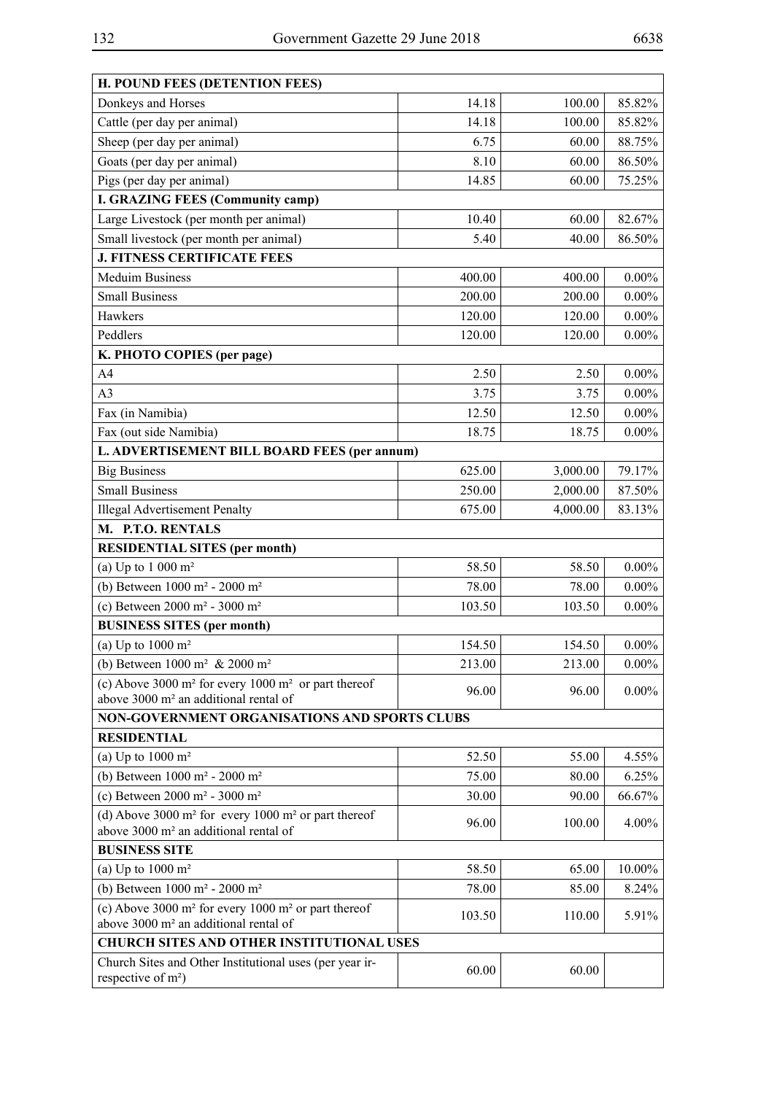| <b>H. POUND FEES (DETENTION FEES)</b>                                                                          |        |          |           |
|----------------------------------------------------------------------------------------------------------------|--------|----------|-----------|
| Donkeys and Horses                                                                                             | 14.18  | 100.00   | 85.82%    |
| Cattle (per day per animal)                                                                                    | 14.18  | 100.00   | 85.82%    |
| Sheep (per day per animal)                                                                                     | 6.75   | 60.00    | 88.75%    |
| Goats (per day per animal)                                                                                     | 8.10   | 60.00    | 86.50%    |
| Pigs (per day per animal)                                                                                      | 14.85  | 60.00    | 75.25%    |
| <b>I. GRAZING FEES (Community camp)</b>                                                                        |        |          |           |
| Large Livestock (per month per animal)                                                                         | 10.40  | 60.00    | 82.67%    |
| Small livestock (per month per animal)                                                                         | 5.40   | 40.00    | 86.50%    |
| <b>J. FITNESS CERTIFICATE FEES</b>                                                                             |        |          |           |
| <b>Meduim Business</b>                                                                                         | 400.00 | 400.00   | $0.00\%$  |
| <b>Small Business</b>                                                                                          | 200.00 | 200.00   | $0.00\%$  |
| Hawkers                                                                                                        | 120.00 | 120.00   | $0.00\%$  |
| Peddlers                                                                                                       | 120.00 | 120.00   | $0.00\%$  |
| K. PHOTO COPIES (per page)                                                                                     |        |          |           |
| A4                                                                                                             | 2.50   | 2.50     | $0.00\%$  |
| A <sub>3</sub>                                                                                                 | 3.75   | 3.75     | $0.00\%$  |
| Fax (in Namibia)                                                                                               | 12.50  | 12.50    | $0.00\%$  |
| Fax (out side Namibia)                                                                                         | 18.75  | 18.75    | $0.00\%$  |
| L. ADVERTISEMENT BILL BOARD FEES (per annum)                                                                   |        |          |           |
| <b>Big Business</b>                                                                                            | 625.00 | 3,000.00 | 79.17%    |
| <b>Small Business</b>                                                                                          | 250.00 | 2,000.00 | 87.50%    |
| <b>Illegal Advertisement Penalty</b>                                                                           | 675.00 | 4,000.00 | 83.13%    |
| M. P.T.O. RENTALS                                                                                              |        |          |           |
| <b>RESIDENTIAL SITES (per month)</b>                                                                           |        |          |           |
| (a) Up to $1000 \text{ m}^2$                                                                                   | 58.50  | 58.50    | $0.00\%$  |
| (b) Between 1000 m <sup>2</sup> - 2000 m <sup>2</sup>                                                          | 78.00  | 78.00    | $0.00\%$  |
| (c) Between $2000 \text{ m}^2$ - $3000 \text{ m}^2$                                                            | 103.50 | 103.50   | $0.00\%$  |
| <b>BUSINESS SITES (per month)</b>                                                                              |        |          |           |
| (a) Up to $1000 \text{ m}^2$                                                                                   | 154.50 | 154.50   | $0.00\%$  |
| (b) Between $1000 \text{ m}^2$ & $2000 \text{ m}^2$                                                            | 213.00 | 213.00   | $0.00\%$  |
| (c) Above 3000 $m^2$ for every 1000 $m^2$ or part thereof<br>above 3000 m <sup>2</sup> an additional rental of | 96.00  | 96.00    | $0.00\%$  |
| NON-GOVERNMENT ORGANISATIONS AND SPORTS CLUBS                                                                  |        |          |           |
| <b>RESIDENTIAL</b>                                                                                             |        |          |           |
| (a) Up to $1000 \text{ m}^2$                                                                                   | 52.50  | 55.00    | $4.55\%$  |
| (b) Between 1000 m <sup>2</sup> - 2000 m <sup>2</sup>                                                          | 75.00  | 80.00    | 6.25%     |
| (c) Between $2000 \text{ m}^2$ - $3000 \text{ m}^2$                                                            | 30.00  | 90.00    | 66.67%    |
| (d) Above 3000 $m^2$ for every 1000 $m^2$ or part thereof                                                      |        |          |           |
| above 3000 m <sup>2</sup> an additional rental of                                                              | 96.00  | 100.00   | $4.00\%$  |
| <b>BUSINESS SITE</b>                                                                                           |        |          |           |
| (a) Up to $1000 \text{ m}^2$                                                                                   | 58.50  | 65.00    | $10.00\%$ |
| (b) Between 1000 m <sup>2</sup> - 2000 m <sup>2</sup>                                                          | 78.00  | 85.00    | 8.24%     |
| (c) Above 3000 $m^2$ for every 1000 $m^2$ or part thereof                                                      | 103.50 | 110.00   | 5.91%     |
| above 3000 m <sup>2</sup> an additional rental of                                                              |        |          |           |
| <b>CHURCH SITES AND OTHER INSTITUTIONAL USES</b>                                                               |        |          |           |
| Church Sites and Other Institutional uses (per year ir-<br>respective of m <sup>2</sup> )                      | 60.00  | 60.00    |           |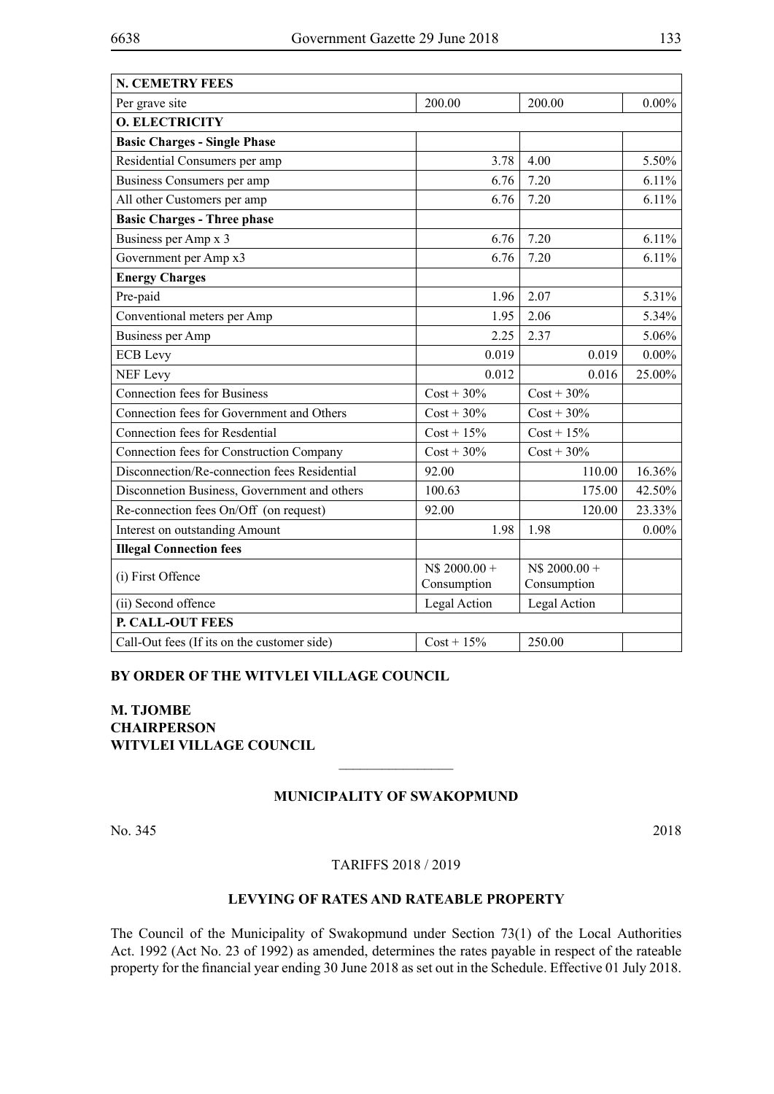| <b>N. CEMETRY FEES</b>                       |                              |                               |          |
|----------------------------------------------|------------------------------|-------------------------------|----------|
| Per grave site                               | 200.00                       | 200.00                        | $0.00\%$ |
| <b>O. ELECTRICITY</b>                        |                              |                               |          |
| <b>Basic Charges - Single Phase</b>          |                              |                               |          |
| Residential Consumers per amp                | 3.78                         | 4.00                          | 5.50%    |
| Business Consumers per amp                   | 6.76                         | 7.20                          | 6.11%    |
| All other Customers per amp                  | 6.76                         | 7.20                          | 6.11%    |
| <b>Basic Charges - Three phase</b>           |                              |                               |          |
| Business per Amp x 3                         | 6.76                         | 7.20                          | 6.11%    |
| Government per Amp x3                        | 6.76                         | 7.20                          | 6.11%    |
| <b>Energy Charges</b>                        |                              |                               |          |
| Pre-paid                                     | 1.96                         | 2.07                          | 5.31%    |
| Conventional meters per Amp                  | 1.95                         | 2.06                          | 5.34%    |
| <b>Business per Amp</b>                      | 2.25                         | 2.37                          | 5.06%    |
| <b>ECB</b> Levy                              | 0.019                        | 0.019                         | $0.00\%$ |
| <b>NEF Levy</b>                              | 0.012                        | 0.016                         | 25.00%   |
| <b>Connection fees for Business</b>          | $Cost + 30\%$                | $Cost + 30\%$                 |          |
| Connection fees for Government and Others    | $Cost + 30\%$                | $Cost + 30\%$                 |          |
| Connection fees for Resdential               | $Cost + 15\%$                | $Cost + 15\%$                 |          |
| Connection fees for Construction Company     | $Cost + 30\%$                | $Cost + 30\%$                 |          |
| Disconnection/Re-connection fees Residential | 92.00                        | 110.00                        | 16.36%   |
| Disconnetion Business, Government and others | 100.63                       | 175.00                        | 42.50%   |
| Re-connection fees On/Off (on request)       | 92.00                        | 120.00                        | 23.33%   |
| Interest on outstanding Amount               | 1.98                         | 1.98                          | $0.00\%$ |
| <b>Illegal Connection fees</b>               |                              |                               |          |
| (i) First Offence                            | N\$ 2000.00 +<br>Consumption | $NS 2000.00 +$<br>Consumption |          |
| (ii) Second offence                          | Legal Action                 | Legal Action                  |          |
| P. CALL-OUT FEES                             |                              |                               |          |
| Call-Out fees (If its on the customer side)  | $Cost + 15%$                 | 250.00                        |          |

### **BY ORDER OF THE WITVLEI VILLAGE COUNCIL**

**M. TJOMBE CHAIRPERSON WITVLEI VILLAGE COUNCIL**

### **MUNICIPALITY OF SWAKOPMUND**

 $\overline{\phantom{a}}$  , where  $\overline{\phantom{a}}$ 

No. 345 2018

### TARIFFS 2018 / 2019

### **LEVYING OF RATES AND RATEABLE PROPERTY**

The Council of the Municipality of Swakopmund under Section 73(1) of the Local Authorities Act. 1992 (Act No. 23 of 1992) as amended, determines the rates payable in respect of the rateable property for the financial year ending 30 June 2018 as set out in the Schedule. Effective 01 July 2018.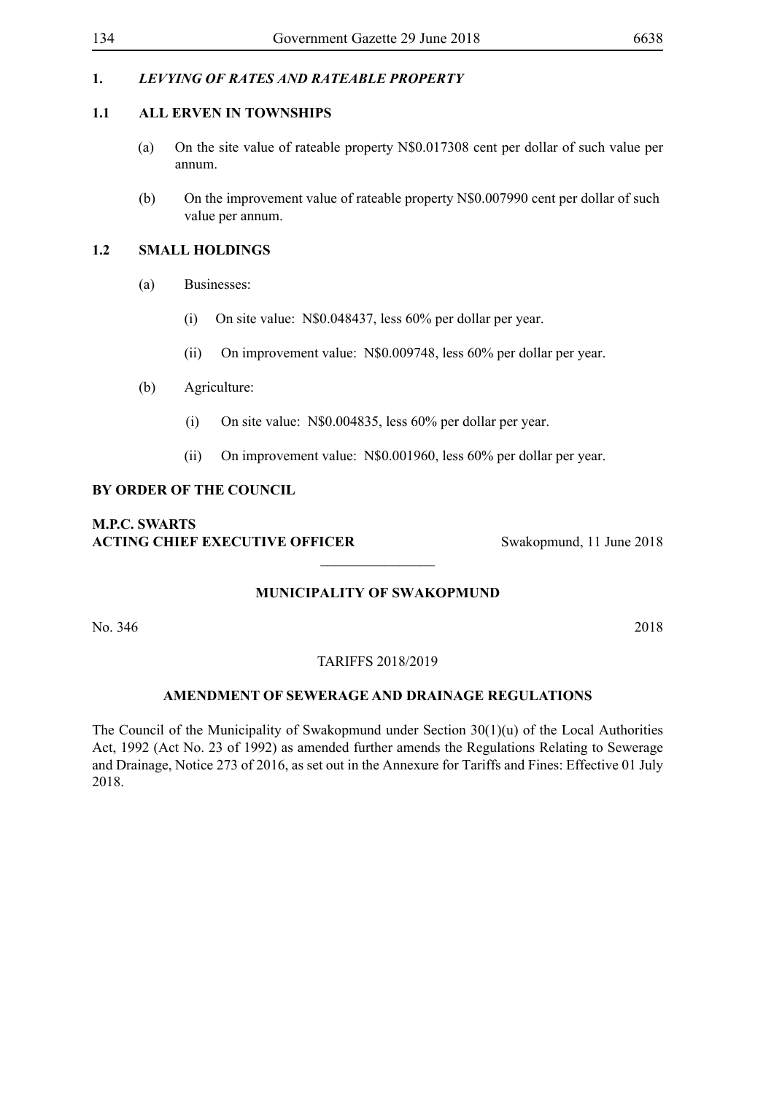## **1.** *LEVYING OF RATES AND RATEABLE PROPERTY*

### **1.1 ALL ERVEN IN TOWNSHIPS**

- (a) On the site value of rateable property N\$0.017308 cent per dollar of such value per annum.
- (b) On the improvement value of rateable property N\$0.007990 cent per dollar of such value per annum.

## **1.2 SMALL HOLDINGS**

- (a) Businesses:
	- (i) On site value: N\$0.048437, less 60% per dollar per year.
	- (ii) On improvement value: N\$0.009748, less 60% per dollar per year.
- (b) Agriculture:
	- (i) On site value: N\$0.004835, less 60% per dollar per year.
	- (ii) On improvement value: N\$0.001960, less 60% per dollar per year.

## **BY ORDER OF THE COUNCIL**

## **M.P.C. Swarts ACTING CHIEF EXECUTIVE OFFICER** Swakopmund, 11 June 2018

## **MUNICIPALITY OF SWAKOPMUND**

 $\overline{\phantom{a}}$  , where  $\overline{\phantom{a}}$ 

No. 346 2018

### TARIFFS 2018/2019

### **AMENDMENT OF SEWERAGE AND DRAINAGE REGULATIONS**

The Council of the Municipality of Swakopmund under Section 30(1)(u) of the Local Authorities Act, 1992 (Act No. 23 of 1992) as amended further amends the Regulations Relating to Sewerage and Drainage, Notice 273 of 2016, as set out in the Annexure for Tariffs and Fines: Effective 01 July 2018.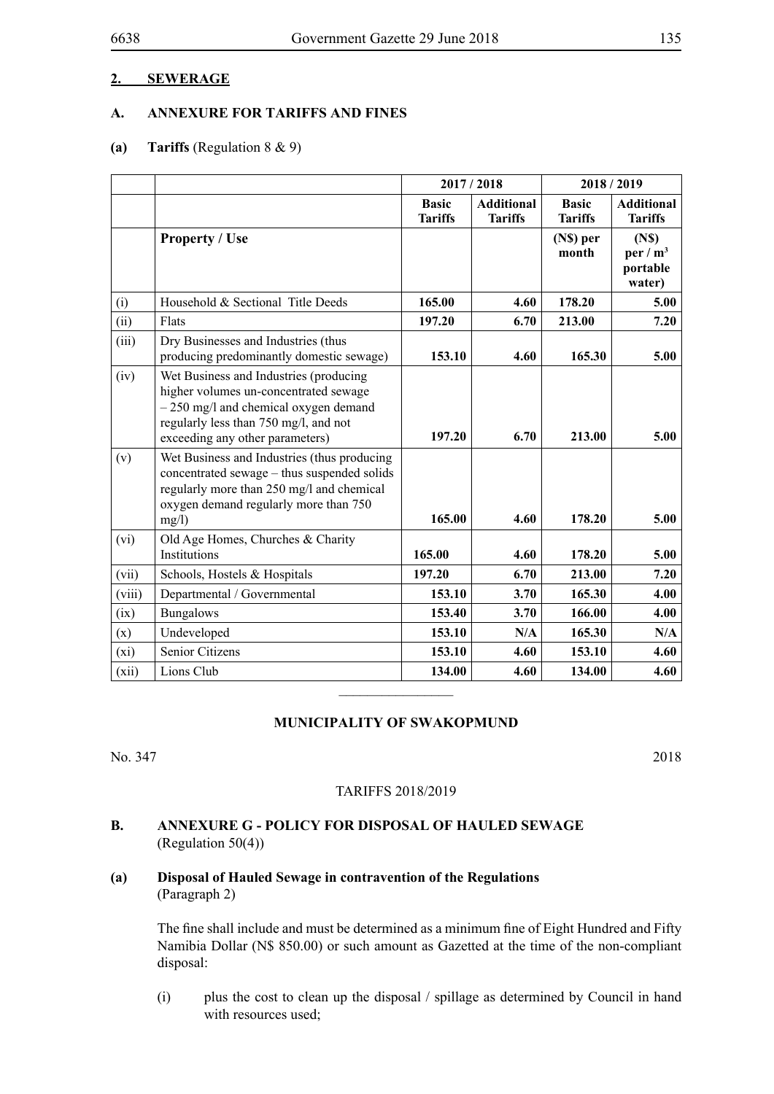### **2. SEWERAGE**

### **A. ANNEXURE FOR TARIFFS AND FINES**

### **(a) Tariffs** (Regulation 8 & 9)

|        |                                                                                                                                                                                                       | 2017/2018                      |                                     |                                | 2018/2019                                             |  |
|--------|-------------------------------------------------------------------------------------------------------------------------------------------------------------------------------------------------------|--------------------------------|-------------------------------------|--------------------------------|-------------------------------------------------------|--|
|        |                                                                                                                                                                                                       | <b>Basic</b><br><b>Tariffs</b> | <b>Additional</b><br><b>Tariffs</b> | <b>Basic</b><br><b>Tariffs</b> | <b>Additional</b><br><b>Tariffs</b>                   |  |
|        | <b>Property / Use</b>                                                                                                                                                                                 |                                |                                     | (N\$) per<br>month             | (N <sub>s</sub> )<br>per / $m3$<br>portable<br>water) |  |
| (i)    | Household & Sectional Title Deeds                                                                                                                                                                     | 165.00                         | 4.60                                | 178.20                         | 5.00                                                  |  |
| (ii)   | Flats                                                                                                                                                                                                 | 197.20                         | 6.70                                | 213.00                         | 7.20                                                  |  |
| (iii)  | Dry Businesses and Industries (thus<br>producing predominantly domestic sewage)                                                                                                                       | 153.10                         | 4.60                                | 165.30                         | 5.00                                                  |  |
| (iv)   | Wet Business and Industries (producing<br>higher volumes un-concentrated sewage<br>$-250$ mg/l and chemical oxygen demand<br>regularly less than 750 mg/l, and not<br>exceeding any other parameters) | 197.20                         | 6.70                                | 213.00                         | 5.00                                                  |  |
| (v)    | Wet Business and Industries (thus producing<br>concentrated sewage – thus suspended solids<br>regularly more than 250 mg/l and chemical<br>oxygen demand regularly more than 750<br>mg/l)             | 165.00                         | 4.60                                | 178.20                         | 5.00                                                  |  |
| (vi)   | Old Age Homes, Churches & Charity                                                                                                                                                                     |                                |                                     |                                |                                                       |  |
|        | Institutions                                                                                                                                                                                          | 165.00                         | 4.60                                | 178.20                         | 5.00                                                  |  |
| (vii)  | Schools, Hostels & Hospitals                                                                                                                                                                          | 197.20                         | 6.70                                | 213.00                         | 7.20                                                  |  |
| (viii) | Departmental / Governmental                                                                                                                                                                           | 153.10                         | 3.70                                | 165.30                         | 4.00                                                  |  |
| (ix)   | <b>Bungalows</b>                                                                                                                                                                                      | 153.40                         | 3.70                                | 166.00                         | 4.00                                                  |  |
| (x)    | Undeveloped                                                                                                                                                                                           | 153.10                         | N/A                                 | 165.30                         | N/A                                                   |  |
| (xi)   | Senior Citizens                                                                                                                                                                                       | 153.10                         | 4.60                                | 153.10                         | 4.60                                                  |  |
| (xii)  | Lions Club                                                                                                                                                                                            | 134.00                         | 4.60                                | 134.00                         | 4.60                                                  |  |
|        |                                                                                                                                                                                                       |                                |                                     |                                |                                                       |  |

### **MUNICIPALITY OF SWAKOPMUND**

No. 347 2018

#### TARIFFS 2018/2019

## **B. ANNEXURE G - POLICY FOR DISPOSAL OF HAULED SEWAGE** (Regulation 50(4))

**(a) Disposal of Hauled Sewage in contravention of the Regulations** (Paragraph 2)

> The fine shall include and must be determined as a minimum fine of Eight Hundred and Fifty Namibia Dollar (N\$ 850.00) or such amount as Gazetted at the time of the non-compliant disposal:

> (i) plus the cost to clean up the disposal / spillage as determined by Council in hand with resources used;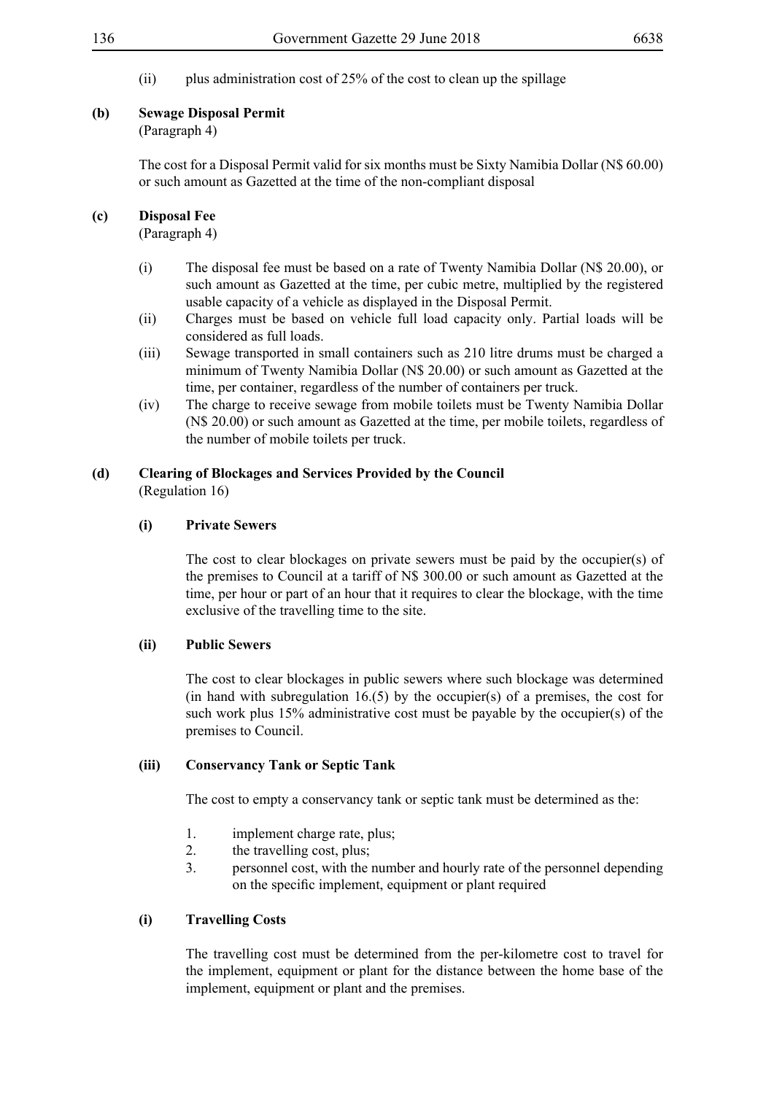(ii) plus administration cost of  $25%$  of the cost to clean up the spillage

### **(b) Sewage Disposal Permit**

## (Paragraph 4)

The cost for a Disposal Permit valid for six months must be Sixty Namibia Dollar (N\$ 60.00) or such amount as Gazetted at the time of the non-compliant disposal

### **(c) Disposal Fee**

(Paragraph 4)

- (i) The disposal fee must be based on a rate of Twenty Namibia Dollar (N\$ 20.00), or such amount as Gazetted at the time, per cubic metre, multiplied by the registered usable capacity of a vehicle as displayed in the Disposal Permit.
- (ii) Charges must be based on vehicle full load capacity only. Partial loads will be considered as full loads.
- (iii) Sewage transported in small containers such as 210 litre drums must be charged a minimum of Twenty Namibia Dollar (N\$ 20.00) or such amount as Gazetted at the time, per container, regardless of the number of containers per truck.
- (iv) The charge to receive sewage from mobile toilets must be Twenty Namibia Dollar (N\$ 20.00) or such amount as Gazetted at the time, per mobile toilets, regardless of the number of mobile toilets per truck.

## **(d) Clearing of Blockages and Services Provided by the Council**

(Regulation 16)

### **(i) Private Sewers**

The cost to clear blockages on private sewers must be paid by the occupier(s) of the premises to Council at a tariff of N\$ 300.00 or such amount as Gazetted at the time, per hour or part of an hour that it requires to clear the blockage, with the time exclusive of the travelling time to the site.

### **(ii) Public Sewers**

The cost to clear blockages in public sewers where such blockage was determined (in hand with subregulation  $16(5)$  by the occupier(s) of a premises, the cost for such work plus 15% administrative cost must be payable by the occupier(s) of the premises to Council.

### **(iii) Conservancy Tank or Septic Tank**

The cost to empty a conservancy tank or septic tank must be determined as the:

- 1. implement charge rate, plus;
- 2. the travelling cost, plus;
- 3. personnel cost, with the number and hourly rate of the personnel depending on the specific implement, equipment or plant required

## **(i) Travelling Costs**

The travelling cost must be determined from the per-kilometre cost to travel for the implement, equipment or plant for the distance between the home base of the implement, equipment or plant and the premises.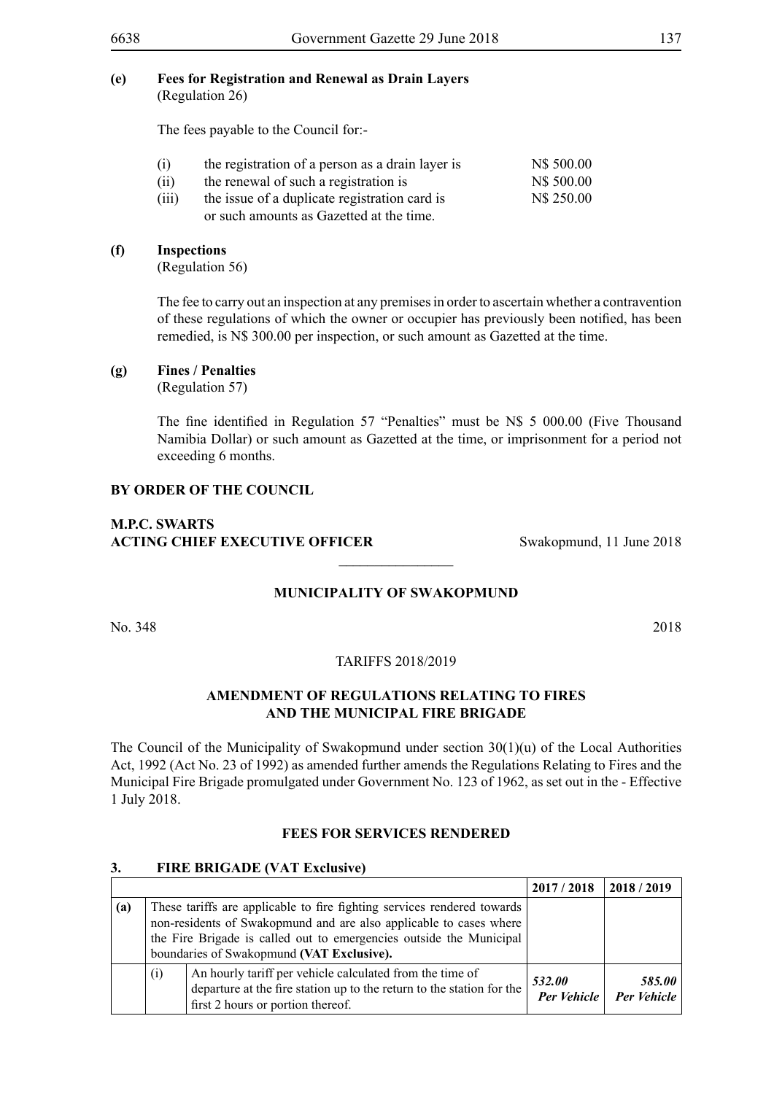The fees payable to the Council for:-

| (i)   | the registration of a person as a drain layer is | N\$ 500.00 |
|-------|--------------------------------------------------|------------|
| (ii)  | the renewal of such a registration is            | N\$ 500.00 |
| (iii) | the issue of a duplicate registration card is    | N\$ 250.00 |
|       | or such amounts as Gazetted at the time.         |            |

### **(f) Inspections**

(Regulation 56)

The fee to carry out an inspection at any premises in order to ascertain whether a contravention of these regulations of which the owner or occupier has previously been notified, has been remedied, is N\$ 300.00 per inspection, or such amount as Gazetted at the time.

### **(g) Fines / Penalties**

(Regulation 57)

The fine identified in Regulation 57 "Penalties" must be N\$ 5 000.00 (Five Thousand Namibia Dollar) or such amount as Gazetted at the time, or imprisonment for a period not exceeding 6 months.

### **BY ORDER OF THE COUNCIL**

## **M.P.C. Swarts ACTING CHIEF EXECUTIVE OFFICER** Swakopmund, 11 June 2018

## **MUNICIPALITY OF SWAKOPMUND**

 $\overline{\phantom{a}}$  , where  $\overline{\phantom{a}}$ 

No. 348 2018

TARIFFS 2018/2019

### **AMENDMENT OF REGULATIONS RELATING TO FIRES AND THE MUNICIPAL FIRE BRIGADE**

The Council of the Municipality of Swakopmund under section  $30(1)(u)$  of the Local Authorities Act, 1992 (Act No. 23 of 1992) as amended further amends the Regulations Relating to Fires and the Municipal Fire Brigade promulgated under Government No. 123 of 1962, as set out in the - Effective 1 July 2018.

### **FEES FOR SERVICES RENDERED**

### **3. FIRE BRIGADE (VAT Exclusive)**

|     |     |                                                                                                                                                                                                                                                                   | 2017/2018                    | 2018/2019             |
|-----|-----|-------------------------------------------------------------------------------------------------------------------------------------------------------------------------------------------------------------------------------------------------------------------|------------------------------|-----------------------|
| (a) |     | These tariffs are applicable to fire fighting services rendered towards<br>non-residents of Swakopmund and are also applicable to cases where<br>the Fire Brigade is called out to emergencies outside the Municipal<br>boundaries of Swakopmund (VAT Exclusive). |                              |                       |
|     | (i) | An hourly tariff per vehicle calculated from the time of<br>departure at the fire station up to the return to the station for the<br>first 2 hours or portion thereof.                                                                                            | 532.00<br><b>Per Vehicle</b> | 585.00<br>Per Vehicle |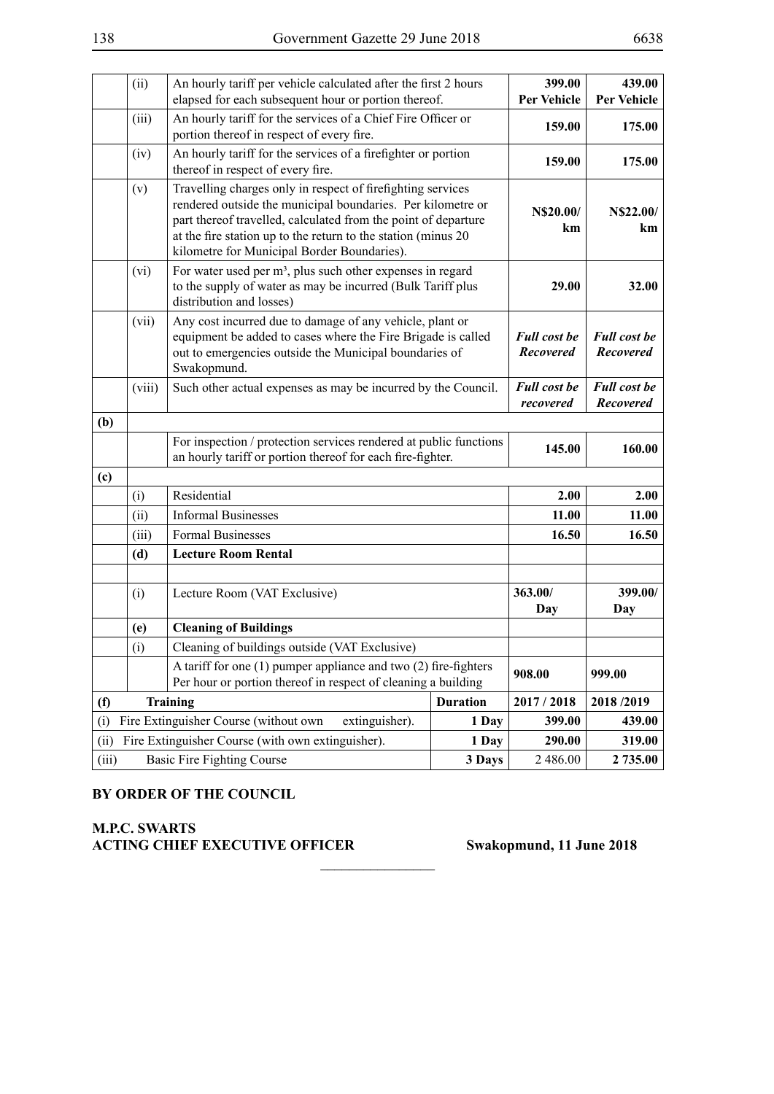|       | (ii)   | An hourly tariff per vehicle calculated after the first 2 hours<br>elapsed for each subsequent hour or portion thereof.                                                                                                                                                                                      |                 | 399.00<br><b>Per Vehicle</b>            | 439.00<br><b>Per Vehicle</b>            |
|-------|--------|--------------------------------------------------------------------------------------------------------------------------------------------------------------------------------------------------------------------------------------------------------------------------------------------------------------|-----------------|-----------------------------------------|-----------------------------------------|
|       | (iii)  | An hourly tariff for the services of a Chief Fire Officer or<br>portion thereof in respect of every fire.                                                                                                                                                                                                    |                 | 159.00                                  | 175.00                                  |
|       | (iv)   | An hourly tariff for the services of a firefighter or portion<br>thereof in respect of every fire.                                                                                                                                                                                                           |                 | 159.00                                  | 175.00                                  |
|       | (v)    | Travelling charges only in respect of firefighting services<br>rendered outside the municipal boundaries. Per kilometre or<br>part thereof travelled, calculated from the point of departure<br>at the fire station up to the return to the station (minus 20<br>kilometre for Municipal Border Boundaries). |                 | N\$20.00/<br>km                         | <b>N\$22.00/</b><br>km                  |
|       | (vi)   | For water used per m <sup>3</sup> , plus such other expenses in regard<br>to the supply of water as may be incurred (Bulk Tariff plus<br>distribution and losses)                                                                                                                                            |                 | 29.00                                   | 32.00                                   |
|       | (vii)  | Any cost incurred due to damage of any vehicle, plant or<br>equipment be added to cases where the Fire Brigade is called<br>out to emergencies outside the Municipal boundaries of<br>Swakopmund.                                                                                                            |                 | <b>Full cost be</b><br><b>Recovered</b> | <b>Full cost be</b><br><b>Recovered</b> |
|       | (viii) | Such other actual expenses as may be incurred by the Council.                                                                                                                                                                                                                                                |                 | <b>Full cost be</b><br>recovered        | <b>Full cost be</b><br><b>Recovered</b> |
| (b)   |        |                                                                                                                                                                                                                                                                                                              |                 |                                         |                                         |
|       |        | For inspection / protection services rendered at public functions<br>an hourly tariff or portion thereof for each fire-fighter.                                                                                                                                                                              |                 | 145.00                                  | 160.00                                  |
| (c)   |        |                                                                                                                                                                                                                                                                                                              |                 |                                         |                                         |
|       | (i)    | Residential                                                                                                                                                                                                                                                                                                  |                 | 2.00                                    | 2.00                                    |
|       | (ii)   | <b>Informal Businesses</b>                                                                                                                                                                                                                                                                                   |                 | 11.00                                   | 11.00                                   |
|       | (iii)  | <b>Formal Businesses</b>                                                                                                                                                                                                                                                                                     |                 | 16.50                                   | 16.50                                   |
|       | (d)    | <b>Lecture Room Rental</b>                                                                                                                                                                                                                                                                                   |                 |                                         |                                         |
|       |        |                                                                                                                                                                                                                                                                                                              |                 |                                         |                                         |
|       | (i)    | Lecture Room (VAT Exclusive)                                                                                                                                                                                                                                                                                 |                 | 363.00/<br>Day                          | 399.00/<br>Day                          |
|       | (e)    | <b>Cleaning of Buildings</b>                                                                                                                                                                                                                                                                                 |                 |                                         |                                         |
|       | (i)    | Cleaning of buildings outside (VAT Exclusive)                                                                                                                                                                                                                                                                |                 |                                         |                                         |
|       |        | A tariff for one $(1)$ pumper appliance and two $(2)$ fire-fighters<br>Per hour or portion thereof in respect of cleaning a building                                                                                                                                                                         |                 | 908.00                                  | 999.00                                  |
| (f)   |        | Training                                                                                                                                                                                                                                                                                                     | <b>Duration</b> | 2017 / 2018                             | 2018/2019                               |
| (i)   |        | Fire Extinguisher Course (without own<br>extinguisher).                                                                                                                                                                                                                                                      | 1 Day           | 399.00                                  | 439.00                                  |
| (ii)  |        | Fire Extinguisher Course (with own extinguisher).                                                                                                                                                                                                                                                            | 1 Day           | 290.00                                  | 319.00                                  |
| (iii) |        | <b>Basic Fire Fighting Course</b>                                                                                                                                                                                                                                                                            | 3 Days          | 2 486.00                                | 2 735.00                                |

 $\frac{1}{2}$ 

## **BY ORDER OF THE COUNCIL**

## **M.P.C. Swarts Acting CHIEF EXECUTIVE OFFICER Swakopmund, 11 June 2018**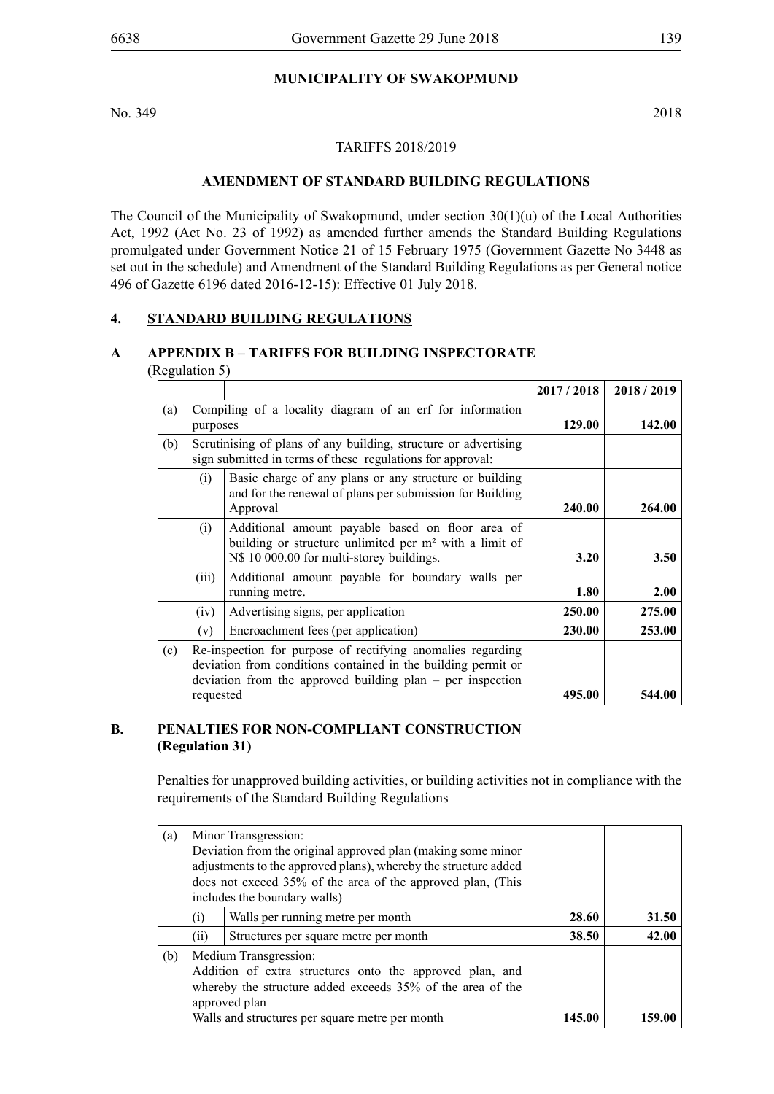## **MUNICIPALITY OF SWAKOPMUND**

No. 349 2018

#### TARIFFS 2018/2019

### **AMENDMENT OF STANDARD BUILDING REGULATIONS**

The Council of the Municipality of Swakopmund, under section 30(1)(u) of the Local Authorities Act, 1992 (Act No. 23 of 1992) as amended further amends the Standard Building Regulations promulgated under Government Notice 21 of 15 February 1975 (Government Gazette No 3448 as set out in the schedule) and Amendment of the Standard Building Regulations as per General notice 496 of Gazette 6196 dated 2016-12-15): Effective 01 July 2018.

### **4. STANDARD BUILDING REGULATIONS**

### **A APPENDIX B – TARIFFS FOR BUILDING INSPECTORATE**

(Regulation 5)

|     |                                                                                                                                                                                                           | 2017/2018 | 2018/2019 |
|-----|-----------------------------------------------------------------------------------------------------------------------------------------------------------------------------------------------------------|-----------|-----------|
| (a) | Compiling of a locality diagram of an erf for information<br>purposes                                                                                                                                     | 129.00    | 142.00    |
| (b) | Scrutinising of plans of any building, structure or advertising<br>sign submitted in terms of these regulations for approval:                                                                             |           |           |
|     | Basic charge of any plans or any structure or building<br>(i)<br>and for the renewal of plans per submission for Building<br>Approval                                                                     | 240.00    | 264.00    |
|     | Additional amount payable based on floor area of<br>(i)<br>building or structure unlimited per m <sup>2</sup> with a limit of<br>N\$ 10 000.00 for multi-storey buildings.                                | 3.20      | 3.50      |
|     | Additional amount payable for boundary walls per<br>(iii)<br>running metre.                                                                                                                               | 1.80      | 2.00      |
|     | Advertising signs, per application<br>(iv)                                                                                                                                                                | 250.00    | 275.00    |
|     | Encroachment fees (per application)<br>(v)                                                                                                                                                                | 230.00    | 253.00    |
| (c) | Re-inspection for purpose of rectifying anomalies regarding<br>deviation from conditions contained in the building permit or<br>deviation from the approved building $plan - per inspection$<br>requested | 495.00    | 544.00    |

## **B. PENALTIES FOR NON-COMPLIANT CONSTRUCTION (Regulation 31)**

Penalties for unapproved building activities, or building activities not in compliance with the requirements of the Standard Building Regulations

| (a) |                   | Minor Transgression:                                            |        |        |
|-----|-------------------|-----------------------------------------------------------------|--------|--------|
|     |                   | Deviation from the original approved plan (making some minor    |        |        |
|     |                   | adjustments to the approved plans), whereby the structure added |        |        |
|     |                   | does not exceed 35% of the area of the approved plan, (This     |        |        |
|     |                   | includes the boundary walls)                                    |        |        |
|     | $\left( i\right)$ | Walls per running metre per month                               | 28.60  | 31.50  |
|     | (ii)              | Structures per square metre per month                           | 38.50  | 42.00  |
| (b) |                   | Medium Transgression:                                           |        |        |
|     |                   | Addition of extra structures onto the approved plan, and        |        |        |
|     |                   | whereby the structure added exceeds 35% of the area of the      |        |        |
|     |                   | approved plan                                                   |        |        |
|     |                   | Walls and structures per square metre per month                 | 145.00 | 159.00 |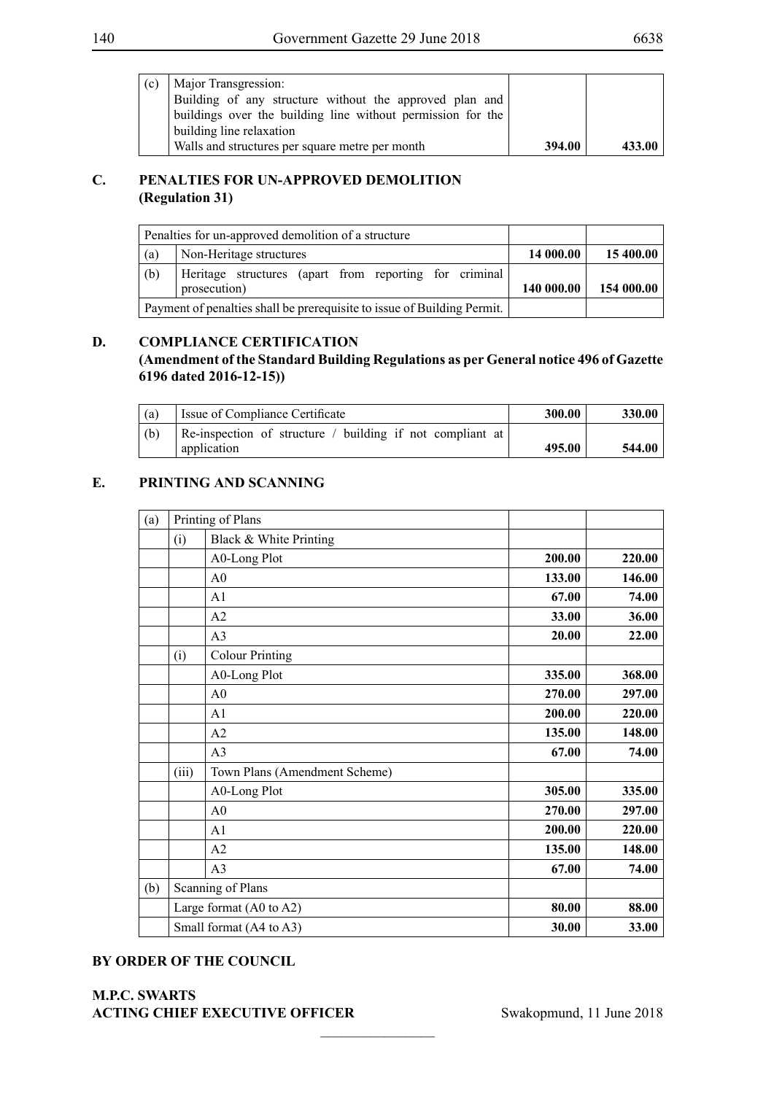| (c) | Major Transgression:                                        |        |        |
|-----|-------------------------------------------------------------|--------|--------|
|     | Building of any structure without the approved plan and     |        |        |
|     | buildings over the building line without permission for the |        |        |
|     | building line relaxation                                    |        |        |
|     | Walls and structures per square metre per month             | 394.00 | 433.00 |

## **C. PENALTIES FOR UN-APPROVED DEMOLITION (Regulation 31)**

|     | Penalties for un-approved demolition of a structure                     |            |            |
|-----|-------------------------------------------------------------------------|------------|------------|
| (a) | Non-Heritage structures                                                 | 14 000.00  | 15 400.00  |
| (b) | Heritage structures (apart from reporting for criminal                  |            |            |
|     | prosecution)                                                            | 140 000.00 | 154 000.00 |
|     | Payment of penalties shall be prerequisite to issue of Building Permit. |            |            |

## **D. COMPLIANCE CERTIFICATION**

**(Amendment of the Standard Building Regulations as per General notice 496 of Gazette 6196 dated 2016-12-15))**

| (a) | Issue of Compliance Certificate                           | 300.00 | 330.00 |
|-----|-----------------------------------------------------------|--------|--------|
| (b) | Re-inspection of structure / building if not compliant at |        |        |
|     | application                                               | 495.00 | 544.00 |

## **E. PRINTING AND SCANNING**

| (a) |       | Printing of Plans             |        |        |
|-----|-------|-------------------------------|--------|--------|
|     | (i)   | Black & White Printing        |        |        |
|     |       | A0-Long Plot                  | 200.00 | 220.00 |
|     |       | A <sub>0</sub>                | 133.00 | 146.00 |
|     |       | A1                            | 67.00  | 74.00  |
|     |       | A2                            | 33.00  | 36.00  |
|     |       | A <sub>3</sub>                | 20.00  | 22.00  |
|     | (i)   | <b>Colour Printing</b>        |        |        |
|     |       | A0-Long Plot                  | 335.00 | 368.00 |
|     |       | A <sub>0</sub>                | 270.00 | 297.00 |
|     |       | A <sub>1</sub>                | 200.00 | 220.00 |
|     |       | A2                            | 135.00 | 148.00 |
|     |       | A <sub>3</sub>                | 67.00  | 74.00  |
|     | (iii) | Town Plans (Amendment Scheme) |        |        |
|     |       | A0-Long Plot                  | 305.00 | 335.00 |
|     |       | A <sub>0</sub>                | 270.00 | 297.00 |
|     |       | A <sub>1</sub>                | 200.00 | 220.00 |
|     |       | A2                            | 135.00 | 148.00 |
|     |       | A <sub>3</sub>                | 67.00  | 74.00  |
| (b) |       | Scanning of Plans             |        |        |
|     |       | Large format (A0 to A2)       | 80.00  | 88.00  |
|     |       | Small format (A4 to A3)       | 30.00  | 33.00  |

 $\frac{1}{2}$ 

## **BY ORDER OF THE COUNCIL**

## **M.P.C. Swarts ACTING CHIEF EXECUTIVE OFFICER** Swakopmund, 11 June 2018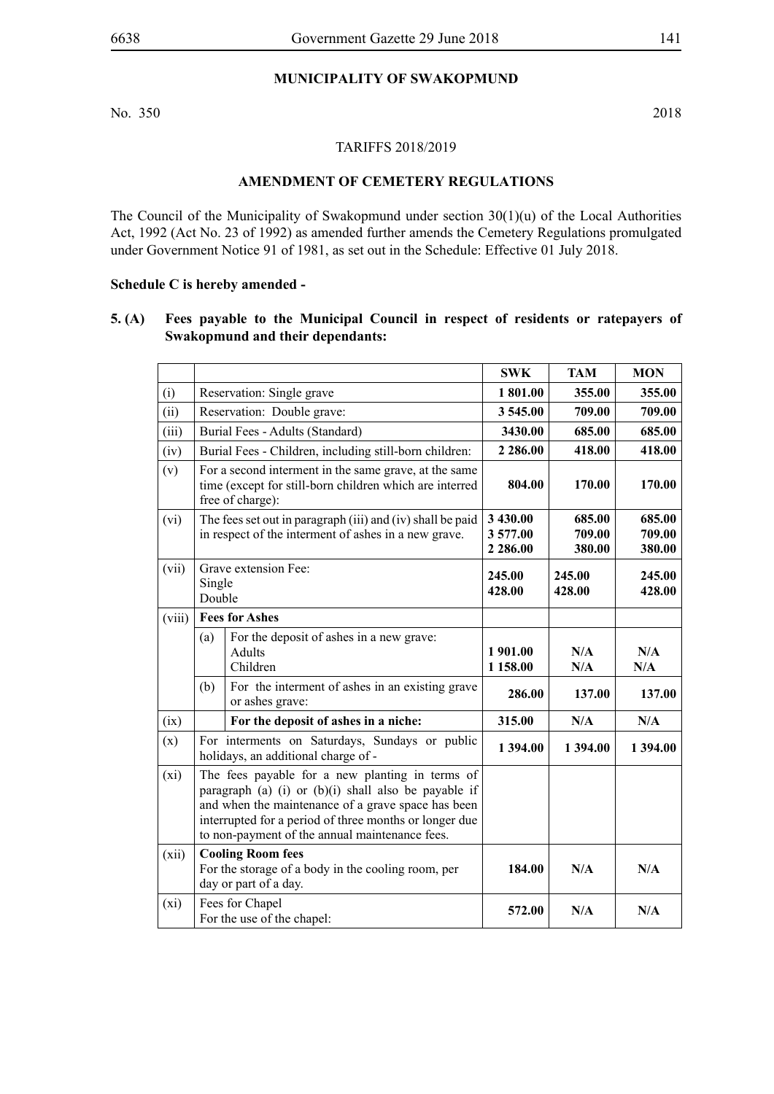## **MUNICIPALITY OF SWAKOPMUND**

No. 350 2018

TARIFFS 2018/2019

## **AMENDMENT OF CEMETERY REGULATIONS**

The Council of the Municipality of Swakopmund under section 30(1)(u) of the Local Authorities Act, 1992 (Act No. 23 of 1992) as amended further amends the Cemetery Regulations promulgated under Government Notice 91 of 1981, as set out in the Schedule: Effective 01 July 2018.

#### **Schedule C is hereby amended -**

### **5. (A) Fees payable to the Municipal Council in respect of residents or ratepayers of Swakopmund and their dependants:**

|        |                  |                                                                                                                                                                                                                                                                             | <b>SWK</b>                         | <b>TAM</b>                 | <b>MON</b>                 |
|--------|------------------|-----------------------------------------------------------------------------------------------------------------------------------------------------------------------------------------------------------------------------------------------------------------------------|------------------------------------|----------------------------|----------------------------|
| (i)    |                  | Reservation: Single grave                                                                                                                                                                                                                                                   | 1 801.00                           | 355.00                     | 355.00                     |
| (ii)   |                  | Reservation: Double grave:                                                                                                                                                                                                                                                  | 3 545.00                           | 709.00                     | 709.00                     |
| (iii)  |                  | Burial Fees - Adults (Standard)                                                                                                                                                                                                                                             | 3430.00                            | 685.00                     | 685.00                     |
| (iv)   |                  | Burial Fees - Children, including still-born children:                                                                                                                                                                                                                      | 2 2 8 6 .00                        | 418.00                     | 418.00                     |
| (v)    |                  | For a second interment in the same grave, at the same<br>time (except for still-born children which are interred<br>free of charge):                                                                                                                                        | 804.00                             | 170.00                     | 170.00                     |
| (vi)   |                  | The fees set out in paragraph (iii) and (iv) shall be paid<br>in respect of the interment of ashes in a new grave.                                                                                                                                                          | 3 430.00<br>3577.00<br>2 2 8 6 .00 | 685.00<br>709.00<br>380.00 | 685.00<br>709.00<br>380.00 |
| (vii)  | Single<br>Double | Grave extension Fee:                                                                                                                                                                                                                                                        | 245.00<br>428.00                   | 245.00<br>428.00           | 245.00<br>428.00           |
| (viii) |                  | <b>Fees for Ashes</b>                                                                                                                                                                                                                                                       |                                    |                            |                            |
|        | (a)              | For the deposit of ashes in a new grave:<br><b>Adults</b><br>Children                                                                                                                                                                                                       | 1 901.00<br>1 158.00               | N/A<br>N/A                 | N/A<br>N/A                 |
|        | (b)              | For the interment of ashes in an existing grave<br>or ashes grave:                                                                                                                                                                                                          | 286.00                             | 137.00                     | 137.00                     |
| (ix)   |                  | For the deposit of ashes in a niche:                                                                                                                                                                                                                                        | 315.00                             | N/A                        | N/A                        |
| (x)    |                  | For interments on Saturdays, Sundays or public<br>holidays, an additional charge of -                                                                                                                                                                                       | 1 394.00                           | 1 394.00                   | 1 394.00                   |
| (xi)   |                  | The fees payable for a new planting in terms of<br>paragraph (a) (i) or $(b)(i)$ shall also be payable if<br>and when the maintenance of a grave space has been<br>interrupted for a period of three months or longer due<br>to non-payment of the annual maintenance fees. |                                    |                            |                            |
| (xii)  |                  | <b>Cooling Room fees</b><br>For the storage of a body in the cooling room, per<br>day or part of a day.                                                                                                                                                                     | 184.00                             | N/A                        | N/A                        |
| (xi)   |                  | Fees for Chapel<br>For the use of the chapel:                                                                                                                                                                                                                               | 572.00                             | N/A                        | N/A                        |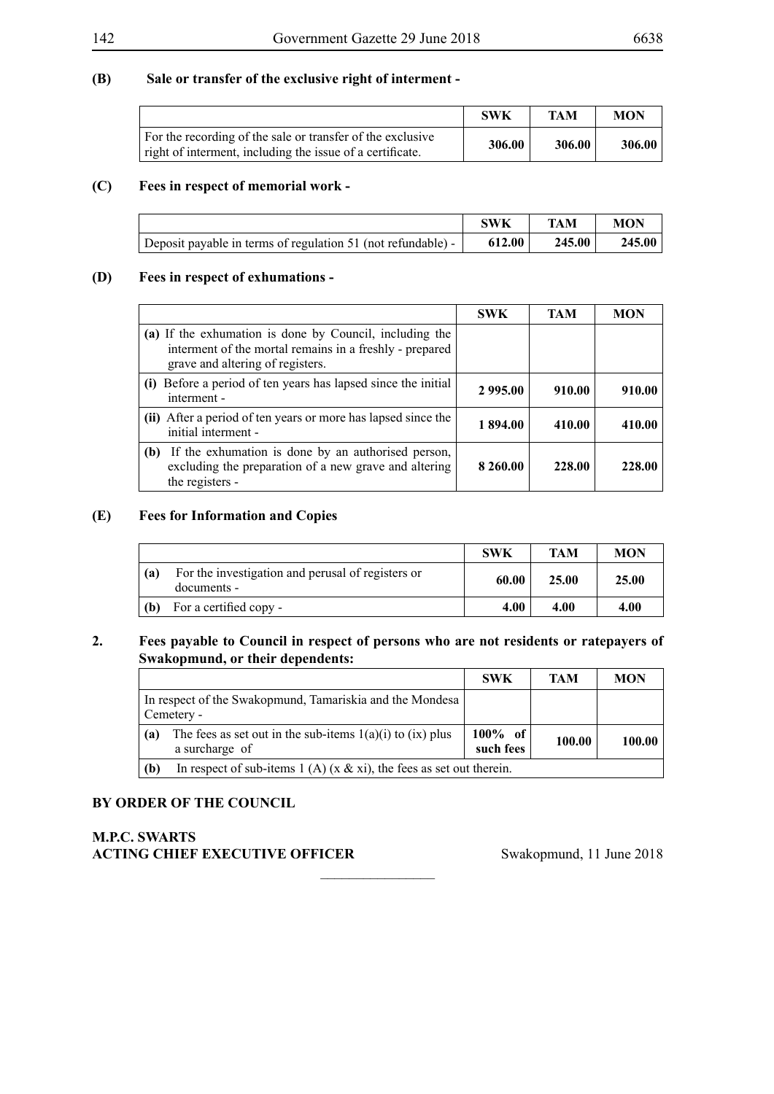## **(B) Sale or transfer of the exclusive right of interment -**

|                                                                                                                         | <b>SWK</b> | TAM    | <b>MON</b> |
|-------------------------------------------------------------------------------------------------------------------------|------------|--------|------------|
| For the recording of the sale or transfer of the exclusive<br>right of interment, including the issue of a certificate. | 306.00     | 306.00 | 306.00     |

### **(C) Fees in respect of memorial work -**

|                                                              | <b>SWK</b> | TAM    | <b>MON</b> |
|--------------------------------------------------------------|------------|--------|------------|
| Deposit payable in terms of regulation 51 (not refundable) - | 612.00     | 245.00 | 245.00     |

### **(D) Fees in respect of exhumations -**

|                                                                                                                                                        | <b>SWK</b> | TAM    | <b>MON</b> |
|--------------------------------------------------------------------------------------------------------------------------------------------------------|------------|--------|------------|
| (a) If the exhumation is done by Council, including the<br>interment of the mortal remains in a freshly - prepared<br>grave and altering of registers. |            |        |            |
| Before a period of ten years has lapsed since the initial<br>(i)<br>interment -                                                                        | 2 995.00   | 910.00 | 910.00     |
| (ii) After a period of ten years or more has lapsed since the<br>initial interment -                                                                   | 1 894.00   | 410.00 | 410.00     |
| If the exhumation is done by an authorised person,<br>(b)<br>excluding the preparation of a new grave and altering<br>the registers -                  | 8 260.00   | 228.00 | 228.00     |

#### **(E) Fees for Information and Copies**

|     |                                                                  | SWK   | <b>TAM</b> | <b>MON</b> |
|-----|------------------------------------------------------------------|-------|------------|------------|
| (a) | For the investigation and perusal of registers or<br>documents - | 60.00 | 25.00      | 25.00      |
| (b) | For a certified copy -                                           | 4.00  | 4.00       | 4.00       |

## **2. Fees payable to Council in respect of persons who are not residents or ratepayers of Swakopmund, or their dependents:**

 $\overline{\phantom{a}}$  , where  $\overline{\phantom{a}}$ 

|                                                                        |                                                                                 | <b>SWK</b>              | TAM    | <b>MON</b> |
|------------------------------------------------------------------------|---------------------------------------------------------------------------------|-------------------------|--------|------------|
| In respect of the Swakopmund, Tamariskia and the Mondesa<br>Cemetery - |                                                                                 |                         |        |            |
| (a)                                                                    | The fees as set out in the sub-items $1(a)(i)$ to $(ix)$ plus<br>a surcharge of | $100\%$ of<br>such fees | 100.00 | 100.00     |
| (b)                                                                    | In respect of sub-items 1 (A) (x & xi), the fees as set out therein.            |                         |        |            |

## **BY ORDER OF THE COUNCIL**

## **M.P.C. Swarts** ACTING CHIEF EXECUTIVE OFFICER Swakopmund, 11 June 2018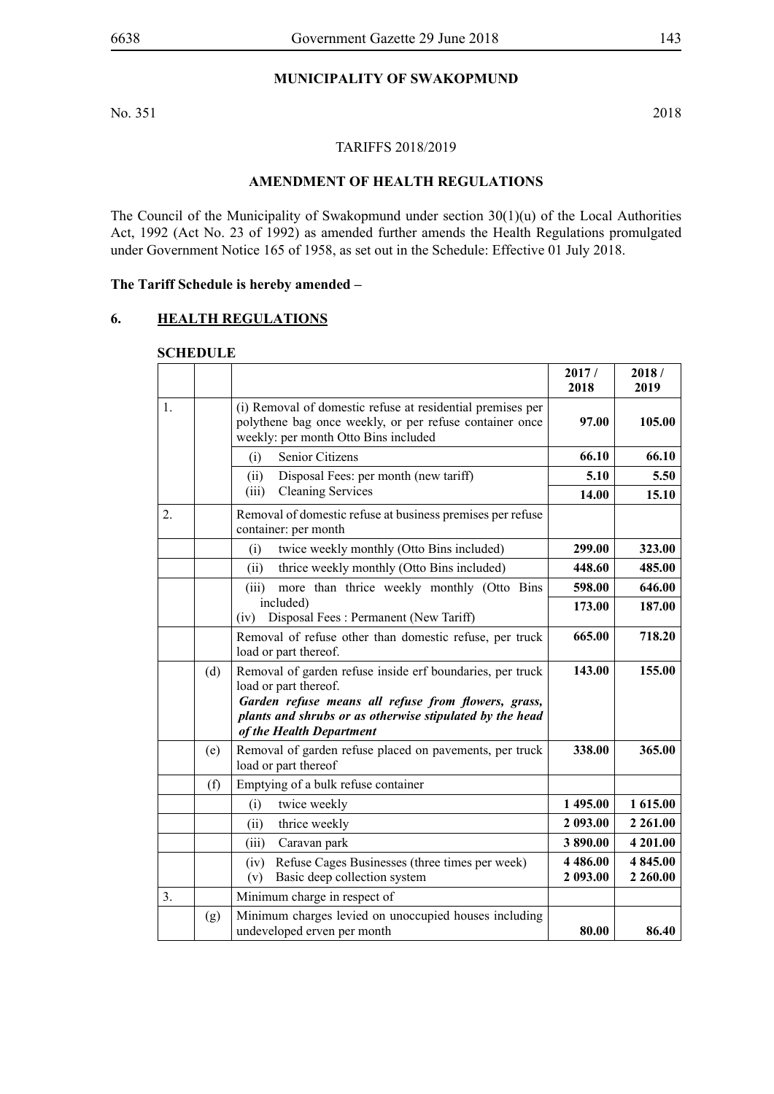## **MUNICIPALITY OF SWAKOPMUND**

No. 351 2018

### TARIFFS 2018/2019

## **AMENDMENT OF HEALTH REGULATIONS**

The Council of the Municipality of Swakopmund under section 30(1)(u) of the Local Authorities Act, 1992 (Act No. 23 of 1992) as amended further amends the Health Regulations promulgated under Government Notice 165 of 1958, as set out in the Schedule: Effective 01 July 2018.

**The Tariff Schedule is hereby amended –**

### **6. HEALTH REGULATIONS**

#### **SCHEDULE**

|    |     |                                                                                                                                                                                                                                   | 2017/<br>2018           | 2018/<br>2019       |
|----|-----|-----------------------------------------------------------------------------------------------------------------------------------------------------------------------------------------------------------------------------------|-------------------------|---------------------|
| 1. |     | (i) Removal of domestic refuse at residential premises per<br>polythene bag once weekly, or per refuse container once<br>weekly: per month Otto Bins included                                                                     | 97.00                   | 105.00              |
|    |     | Senior Citizens<br>(i)                                                                                                                                                                                                            | 66.10                   | 66.10               |
|    |     | Disposal Fees: per month (new tariff)<br>(ii)                                                                                                                                                                                     | 5.10                    | 5.50                |
|    |     | <b>Cleaning Services</b><br>(iii)                                                                                                                                                                                                 | 14.00                   | 15.10               |
| 2. |     | Removal of domestic refuse at business premises per refuse<br>container: per month                                                                                                                                                |                         |                     |
|    |     | twice weekly monthly (Otto Bins included)<br>(i)                                                                                                                                                                                  | 299.00                  | 323.00              |
|    |     | thrice weekly monthly (Otto Bins included)<br>(ii)                                                                                                                                                                                | 448.60                  | 485.00              |
|    |     | more than thrice weekly monthly (Otto Bins<br>(iii)                                                                                                                                                                               | 598.00                  | 646.00              |
|    |     | included)<br>Disposal Fees: Permanent (New Tariff)<br>(iv)                                                                                                                                                                        | 173.00                  | 187.00              |
|    |     | Removal of refuse other than domestic refuse, per truck<br>load or part thereof.                                                                                                                                                  | 665.00                  | 718.20              |
|    | (d) | Removal of garden refuse inside erf boundaries, per truck<br>load or part thereof.<br>Garden refuse means all refuse from flowers, grass,<br>plants and shrubs or as otherwise stipulated by the head<br>of the Health Department | 143.00                  | 155.00              |
|    | (e) | Removal of garden refuse placed on pavements, per truck<br>load or part thereof                                                                                                                                                   | 338.00                  | 365.00              |
|    | (f) | Emptying of a bulk refuse container                                                                                                                                                                                               |                         |                     |
|    |     | (i)<br>twice weekly                                                                                                                                                                                                               | 1 495.00                | 1 615.00            |
|    |     | thrice weekly<br>(ii)                                                                                                                                                                                                             | 2 093.00                | 2 2 6 1 .00         |
|    |     | (iii)<br>Caravan park                                                                                                                                                                                                             | 3890.00                 | 4 201.00            |
|    |     | Refuse Cages Businesses (three times per week)<br>(iv)<br>Basic deep collection system<br>(v)                                                                                                                                     | 4 4 8 6 .00<br>2 093.00 | 4845.00<br>2 260.00 |
| 3. |     | Minimum charge in respect of                                                                                                                                                                                                      |                         |                     |
|    | (g) | Minimum charges levied on unoccupied houses including<br>undeveloped erven per month                                                                                                                                              | 80.00                   | 86.40               |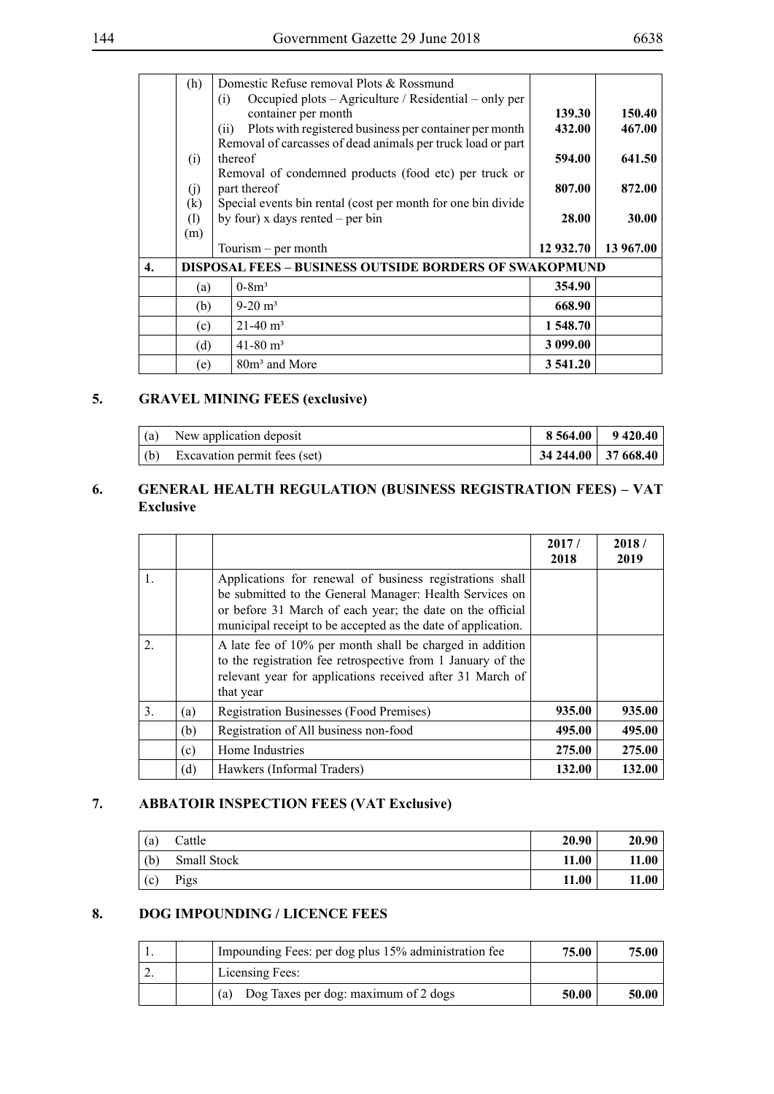|--|--|

|                  | (h)                      | Domestic Refuse removal Plots & Rossmund                                                                                                              |                  |                  |
|------------------|--------------------------|-------------------------------------------------------------------------------------------------------------------------------------------------------|------------------|------------------|
|                  |                          | Occupied plots - Agriculture / Residential - only per<br>(i)<br>container per month<br>Plots with registered business per container per month<br>(ii) | 139.30<br>432.00 | 150.40<br>467.00 |
|                  | (i)                      | Removal of carcasses of dead animals per truck load or part<br>thereof                                                                                | 594.00           | 641.50           |
|                  | (i)                      | Removal of condemned products (food etc) per truck or<br>part thereof                                                                                 | 807.00           | 872.00           |
|                  | $\left( k\right)$<br>(1) | Special events bin rental (cost per month for one bin divide<br>by four) x days rented $-$ per bin                                                    | 28.00            | 30.00            |
|                  | (m)                      | Tourism $-$ per month                                                                                                                                 | 12 932.70        | 13 967.00        |
| $\overline{4}$ . |                          | <b>DISPOSAL FEES - BUSINESS OUTSIDE BORDERS OF SWAKOPMUND</b>                                                                                         |                  |                  |
|                  | (a)                      | $0 - 8m^3$                                                                                                                                            | 354.90           |                  |
|                  | (b)                      | $9-20 \text{ m}^3$                                                                                                                                    | 668.90           |                  |
|                  | (c)                      | $21-40$ m <sup>3</sup>                                                                                                                                | 1 548.70         |                  |
|                  | (d)                      | $41 - 80$ m <sup>3</sup>                                                                                                                              | 3 099.00         |                  |
|                  | (e)                      | 80m <sup>3</sup> and More                                                                                                                             | 3 541.20         |                  |

# **5. GRAVEL MINING FEES (exclusive)**

| (a) | New application deposit      |                                             | $8564.00$   9420.40 |
|-----|------------------------------|---------------------------------------------|---------------------|
| (b) | Excavation permit fees (set) | $\vert$ 34 244.00 $\vert$ 37 668.40 $\vert$ |                     |

## **6. GENERAL HEALTH REGULATION (BUSINESS REGISTRATION FEES) – VAT Exclusive**

|                  |     |                                                                                                                                                                                                                                                  | 2017/<br>2018 | 2018/<br>2019 |
|------------------|-----|--------------------------------------------------------------------------------------------------------------------------------------------------------------------------------------------------------------------------------------------------|---------------|---------------|
| 1.               |     | Applications for renewal of business registrations shall<br>be submitted to the General Manager: Health Services on<br>or before 31 March of each year; the date on the official<br>municipal receipt to be accepted as the date of application. |               |               |
| $\overline{2}$ . |     | A late fee of 10% per month shall be charged in addition<br>to the registration fee retrospective from 1 January of the<br>relevant year for applications received after 31 March of<br>that year                                                |               |               |
| 3.               | (a) | <b>Registration Businesses (Food Premises)</b>                                                                                                                                                                                                   | 935.00        | 935.00        |
|                  | (b) | Registration of All business non-food                                                                                                                                                                                                            | 495.00        | 495.00        |
|                  | (c) | Home Industries                                                                                                                                                                                                                                  | 275.00        | 275.00        |
|                  | (d) | Hawkers (Informal Traders)                                                                                                                                                                                                                       | 132.00        | 132.00        |

## **7. ABBATOIR INSPECTION FEES (VAT Exclusive)**

| (a) | Cattle      | 20.90 | 20.90 |
|-----|-------------|-------|-------|
| (b) | Small Stock | 11.00 | 11.00 |
| (c) | Pigs        | 11.00 | 11.00 |

## **8. DOG IMPOUNDING / LICENCE FEES**

|  | Impounding Fees: per dog plus 15% administration fee | 75.00 | 75.00 |
|--|------------------------------------------------------|-------|-------|
|  | Licensing Fees:                                      |       |       |
|  | Dog Taxes per dog: maximum of 2 dogs<br>(a)          | 50.00 | 50.00 |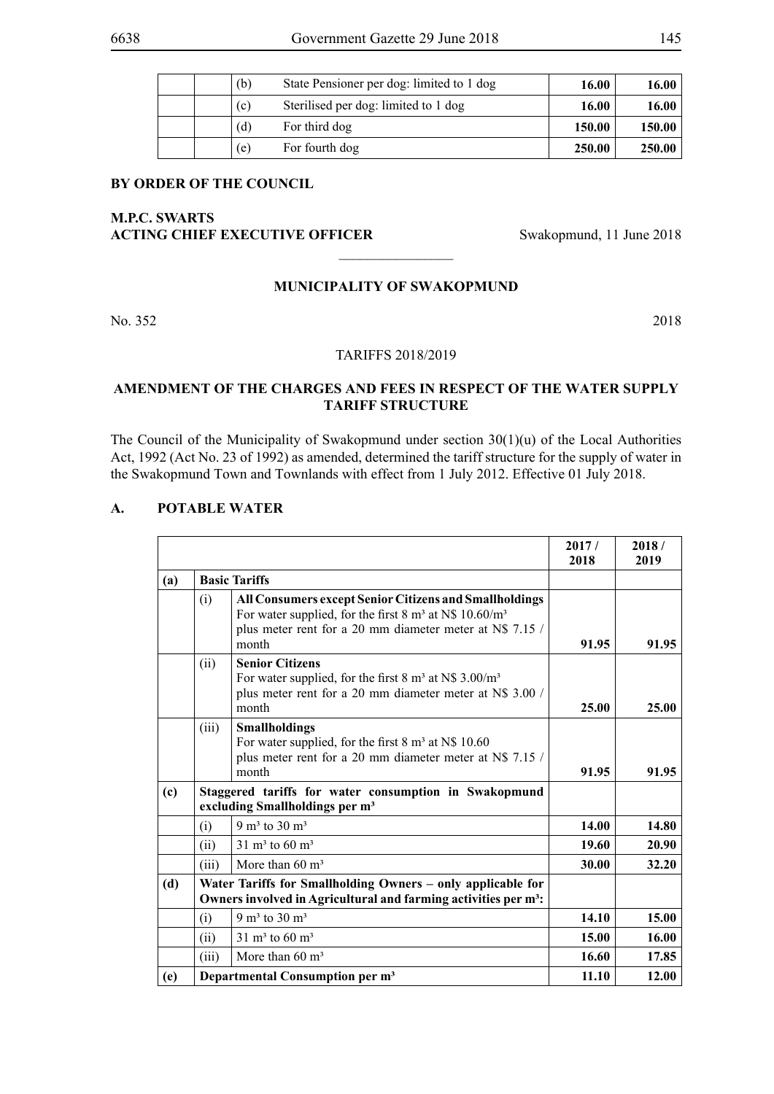| State Pensioner per dog: limited to 1 dog<br>(b) |        | 16.00  |
|--------------------------------------------------|--------|--------|
| Sterilised per dog: limited to 1 dog<br>(c)      | 16.00  | 16.00  |
| For third dog<br>(d)                             | 150.00 | 150.00 |
| For fourth dog<br>(e)                            | 250.00 | 250.00 |

## **M.P.C. Swarts ACTING CHIEF EXECUTIVE OFFICER** Swakopmund, 11 June 2018

### **MUNICIPALITY OF SWAKOPMUND**

 $\overline{\phantom{a}}$  , where  $\overline{\phantom{a}}$ 

No. 352 2018

#### TARIFFS 2018/2019

### **AMENDMENT OF THE CHARGES AND FEES IN RESPECT OF THE WATER SUPPLY TARIFF STRUCTURE**

The Council of the Municipality of Swakopmund under section 30(1)(u) of the Local Authorities Act, 1992 (Act No. 23 of 1992) as amended, determined the tariff structure for the supply of water in the Swakopmund Town and Townlands with effect from 1 July 2012. Effective 01 July 2018.

### **A. POTABLE WATER**

|     |       |                                                                                                                                                                                                               | 2017/<br>2018 | 2018/<br>2019 |
|-----|-------|---------------------------------------------------------------------------------------------------------------------------------------------------------------------------------------------------------------|---------------|---------------|
| (a) |       | <b>Basic Tariffs</b>                                                                                                                                                                                          |               |               |
|     | (i)   | All Consumers except Senior Citizens and Smallholdings<br>For water supplied, for the first 8 m <sup>3</sup> at N\$ 10.60/m <sup>3</sup><br>plus meter rent for a 20 mm diameter meter at N\$ 7.15 /<br>month | 91.95         | 91.95         |
|     | (ii)  | <b>Senior Citizens</b><br>For water supplied, for the first $8 \text{ m}^3$ at N\$ 3.00/m <sup>3</sup><br>plus meter rent for a 20 mm diameter meter at N\$ 3.00 /<br>month                                   | 25.00         | 25.00         |
|     | (iii) | <b>Smallholdings</b><br>For water supplied, for the first $8 \text{ m}^3$ at N\$ 10.60<br>plus meter rent for a 20 mm diameter meter at N\$ 7.15 /<br>month                                                   | 91.95         | 91.95         |
| (c) |       | Staggered tariffs for water consumption in Swakopmund<br>excluding Smallholdings per m <sup>3</sup>                                                                                                           |               |               |
|     | (i)   | 9 m <sup>3</sup> to 30 m <sup>3</sup>                                                                                                                                                                         | 14.00         | 14.80         |
|     | (ii)  | $31 \text{ m}^3$ to 60 m <sup>3</sup>                                                                                                                                                                         | 19.60         | 20.90         |
|     | (iii) | More than $60 \text{ m}^3$                                                                                                                                                                                    | 30.00         | 32.20         |
| (d) |       | Water Tariffs for Smallholding Owners - only applicable for<br>Owners involved in Agricultural and farming activities per m <sup>3</sup> :                                                                    |               |               |
|     | (i)   | 9 m <sup>3</sup> to 30 m <sup>3</sup>                                                                                                                                                                         | 14.10         | 15.00         |
|     | (i)   | $31 \text{ m}^3$ to 60 m <sup>3</sup>                                                                                                                                                                         | 15.00         | 16.00         |
|     | (iii) | More than $60 \text{ m}^3$                                                                                                                                                                                    | 16.60         | 17.85         |
| (e) |       | Departmental Consumption per m <sup>3</sup>                                                                                                                                                                   | 11.10         | 12.00         |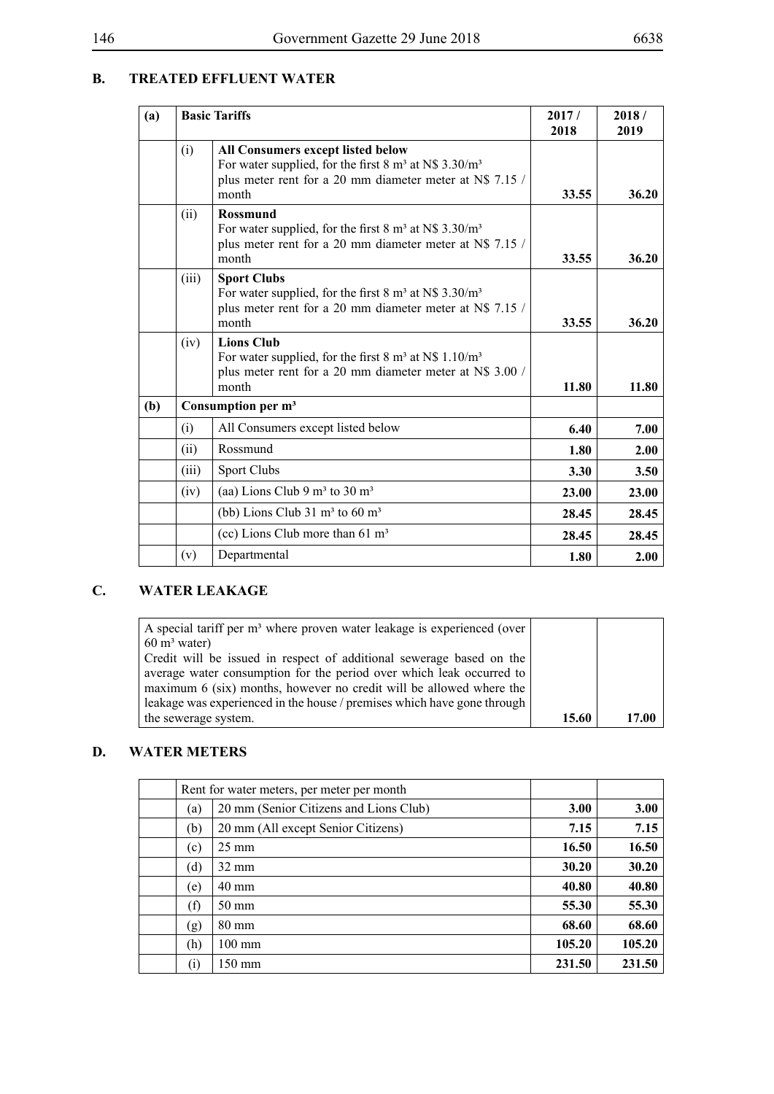# **B. TREATED EFFLUENT WATER**

| (a) |       | <b>Basic Tariffs</b>                                                                                                                                                                   | 2017/<br>2018 | 2018/<br>2019 |
|-----|-------|----------------------------------------------------------------------------------------------------------------------------------------------------------------------------------------|---------------|---------------|
|     | (i)   | All Consumers except listed below<br>For water supplied, for the first $8 \text{ m}^3$ at N\$ 3.30/m <sup>3</sup><br>plus meter rent for a 20 mm diameter meter at N\$ 7.15 /<br>month | 33.55         | 36.20         |
|     | (ii)  | <b>Rossmund</b><br>For water supplied, for the first $8 \text{ m}^3$ at N\$ 3.30/m <sup>3</sup><br>plus meter rent for a 20 mm diameter meter at N\$ 7.15 /<br>month                   | 33.55         | 36.20         |
|     | (iii) | <b>Sport Clubs</b><br>For water supplied, for the first $8 \text{ m}^3$ at N\$ 3.30/m <sup>3</sup><br>plus meter rent for a 20 mm diameter meter at N\$ 7.15 /<br>month                | 33.55         | 36.20         |
|     | (iv)  | <b>Lions Club</b><br>For water supplied, for the first $8 \text{ m}^3$ at N\$ 1.10/m <sup>3</sup><br>plus meter rent for a 20 mm diameter meter at N\$ 3.00 /<br>month                 | 11.80         | 11.80         |
| (b) |       | Consumption per m <sup>3</sup>                                                                                                                                                         |               |               |
|     | (i)   | All Consumers except listed below                                                                                                                                                      | 6.40          | 7.00          |
|     | (ii)  | Rossmund                                                                                                                                                                               | 1.80          | 2.00          |
|     | (iii) | <b>Sport Clubs</b>                                                                                                                                                                     | 3.30          | 3.50          |
|     | (iv)  | (aa) Lions Club 9 $m3$ to 30 $m3$                                                                                                                                                      | 23.00         | 23.00         |
|     |       | (bb) Lions Club $31 \text{ m}^3$ to $60 \text{ m}^3$                                                                                                                                   | 28.45         | 28.45         |
|     |       | (cc) Lions Club more than $61 \text{ m}^3$                                                                                                                                             | 28.45         | 28.45         |
|     | (v)   | Departmental                                                                                                                                                                           | 1.80          | 2.00          |

# **C. WATER LEAKAGE**

| A special tariff per m <sup>3</sup> where proven water leakage is experienced (over |       |       |
|-------------------------------------------------------------------------------------|-------|-------|
| $60 \text{ m}^3$ water)                                                             |       |       |
| Credit will be issued in respect of additional sewerage based on the                |       |       |
| average water consumption for the period over which leak occurred to                |       |       |
| maximum 6 (six) months, however no credit will be allowed where the                 |       |       |
| leakage was experienced in the house / premises which have gone through             |       |       |
| the sewerage system.                                                                | 15.60 | 17.00 |

# **D. WATER METERS**

|                           | Rent for water meters, per meter per month |             |        |
|---------------------------|--------------------------------------------|-------------|--------|
| (a)                       | 20 mm (Senior Citizens and Lions Club)     | <b>3.00</b> | 3.00   |
| (b)                       | 20 mm (All except Senior Citizens)         | 7.15        | 7.15   |
| (c)                       | $25 \text{ mm}$                            | 16.50       | 16.50  |
| (d)                       | $32 \text{ mm}$                            | 30.20       | 30.20  |
| (e)                       | 40 mm                                      | 40.80       | 40.80  |
| (f)                       | $50 \text{ mm}$                            | 55.30       | 55.30  |
| $\left( \text{g} \right)$ | $80 \text{ mm}$                            | 68.60       | 68.60  |
| (h)                       | $100 \text{ mm}$                           | 105.20      | 105.20 |
| (i)                       | 150 mm                                     | 231.50      | 231.50 |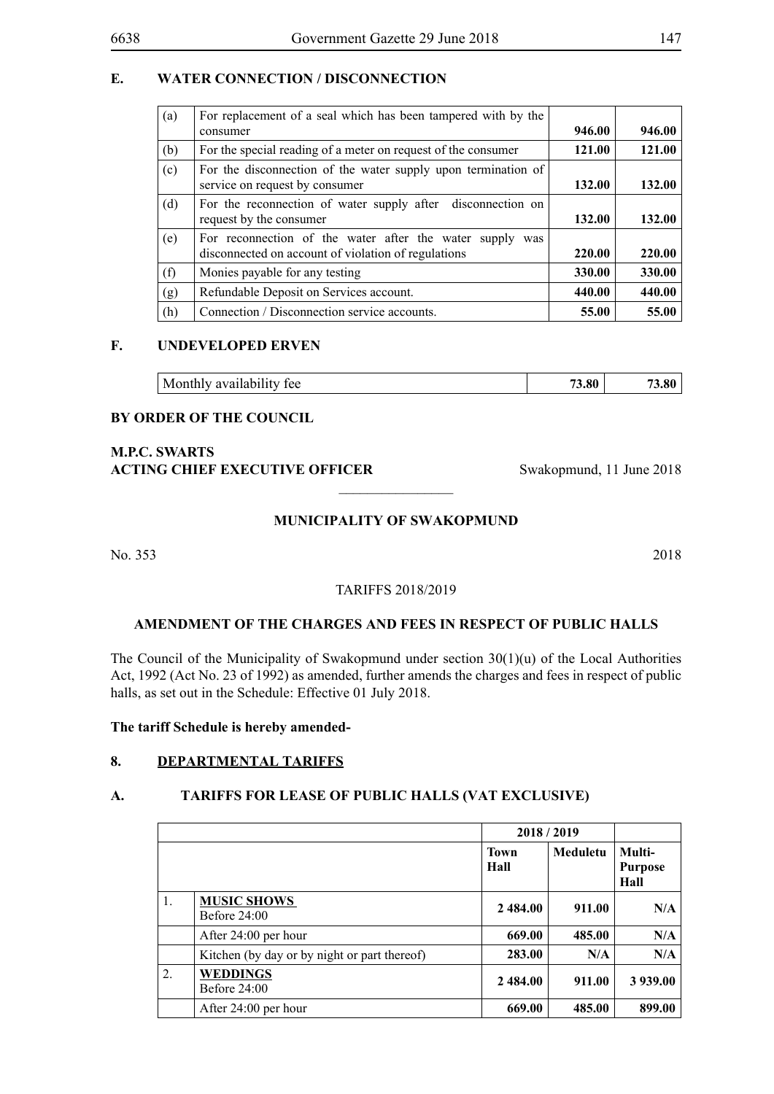### **E. WATER CONNECTION / DISCONNECTION**

| (a) | For replacement of a seal which has been tampered with by the<br>consumer                                       | 946.00 | 946.00 |
|-----|-----------------------------------------------------------------------------------------------------------------|--------|--------|
| (b) | For the special reading of a meter on request of the consumer                                                   | 121.00 | 121.00 |
| (c) | For the disconnection of the water supply upon termination of<br>service on request by consumer                 | 132.00 | 132.00 |
| (d) | For the reconnection of water supply after disconnection on<br>request by the consumer                          | 132.00 | 132.00 |
| (e) | For reconnection of the water after the water supply was<br>disconnected on account of violation of regulations | 220.00 | 220.00 |
| (f) | Monies payable for any testing                                                                                  | 330.00 | 330.00 |
| (g) | Refundable Deposit on Services account.                                                                         | 440.00 | 440.00 |
| (h) | Connection / Disconnection service accounts.                                                                    | 55.00  | 55.00  |

#### **F. UNDEVELOPED ERVEN**

#### **BY ORDER OF THE COUNCIL**

### **M.P.C. Swarts ACTING CHIEF EXECUTIVE OFFICER** Swakopmund, 11 June 2018

#### **MUNICIPALITY OF SWAKOPMUND**

 $\overline{\phantom{a}}$  , where  $\overline{\phantom{a}}$ 

No. 353 2018

### TARIFFS 2018/2019

#### **AMENDMENT OF THE CHARGES AND FEES IN RESPECT OF PUBLIC HALLS**

The Council of the Municipality of Swakopmund under section 30(1)(u) of the Local Authorities Act, 1992 (Act No. 23 of 1992) as amended, further amends the charges and fees in respect of public halls, as set out in the Schedule: Effective 01 July 2018.

**The tariff Schedule is hereby amended-**

### **8. DEPARTMENTAL TARIFFS**

#### **A. TARIFFS FOR LEASE OF PUBLIC HALLS (VAT EXCLUSIVE)**

|    |                                              | 2018/2019           |          |                                  |
|----|----------------------------------------------|---------------------|----------|----------------------------------|
|    |                                              | <b>Town</b><br>Hall | Meduletu | Multi-<br><b>Purpose</b><br>Hall |
| 1. | <b>MUSIC SHOWS</b><br>Before $24:00$         | 2 484.00            | 911.00   | N/A                              |
|    | After 24:00 per hour                         | 669.00              | 485.00   | N/A                              |
|    | Kitchen (by day or by night or part thereof) | 283.00              | N/A      | N/A                              |
| 2. | <b>WEDDINGS</b><br>Before $24:00$            | 2 484.00            | 911.00   | 3 939.00                         |
|    | After 24:00 per hour                         | 669.00              | 485.00   | 899.00                           |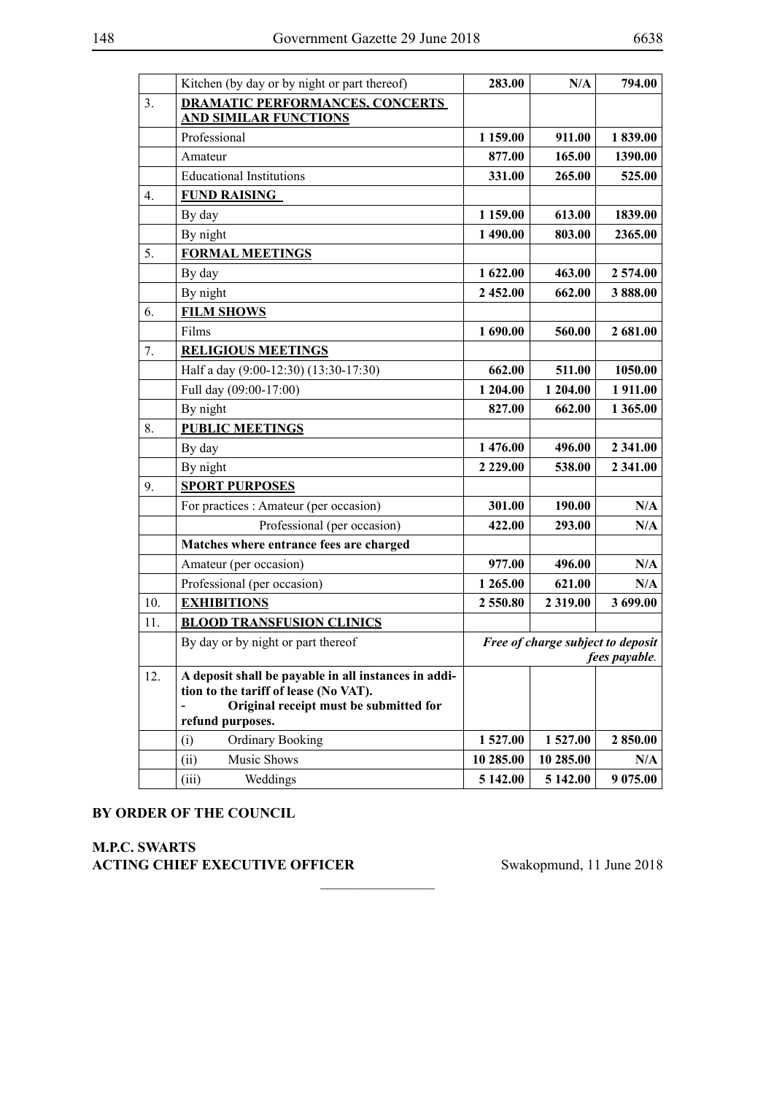|     | Kitchen (by day or by night or part thereof)                                                                                                                | 283.00        | N/A                               | 794.00        |
|-----|-------------------------------------------------------------------------------------------------------------------------------------------------------------|---------------|-----------------------------------|---------------|
| 3.  | <b>DRAMATIC PERFORMANCES, CONCERTS</b>                                                                                                                      |               |                                   |               |
|     | <b>AND SIMILAR FUNCTIONS</b>                                                                                                                                |               |                                   |               |
|     | Professional                                                                                                                                                | 1 159.00      | 911.00                            | 1839.00       |
|     | Amateur                                                                                                                                                     | 877.00        | 165.00                            | 1390.00       |
|     | <b>Educational Institutions</b>                                                                                                                             | 331.00        | 265.00                            | 525.00        |
| 4.  | <b>FUND RAISING</b>                                                                                                                                         |               |                                   |               |
|     | By day                                                                                                                                                      | 1 159.00      | 613.00                            | 1839.00       |
|     | By night                                                                                                                                                    | 1 490.00      | 803.00                            | 2365.00       |
| 5.  | <b>FORMAL MEETINGS</b>                                                                                                                                      |               |                                   |               |
|     | By day                                                                                                                                                      | 1 622.00      | 463.00                            | 2 574.00      |
|     | By night                                                                                                                                                    | 2 452.00      | 662.00                            | 3 888.00      |
| 6.  | <b>FILM SHOWS</b>                                                                                                                                           |               |                                   |               |
|     | Films                                                                                                                                                       | 1 690.00      | 560.00                            | 2 681.00      |
| 7.  | <b>RELIGIOUS MEETINGS</b>                                                                                                                                   |               |                                   |               |
|     | Half a day (9:00-12:30) (13:30-17:30)                                                                                                                       | 662.00        | 511.00                            | 1050.00       |
|     | Full day (09:00-17:00)                                                                                                                                      | 1 204.00      | 1 204.00                          | 1 911.00      |
|     | By night                                                                                                                                                    | 827.00        | 662.00                            | 1 365.00      |
| 8.  | <b>PUBLIC MEETINGS</b>                                                                                                                                      |               |                                   |               |
|     | By day                                                                                                                                                      | 1476.00       | 496.00                            | 2 341.00      |
|     | By night                                                                                                                                                    | 2 2 2 9 . 0 0 | 538.00                            | 2 341.00      |
| 9.  | <b>SPORT PURPOSES</b>                                                                                                                                       |               |                                   |               |
|     | For practices : Amateur (per occasion)                                                                                                                      | 301.00        | 190.00                            | N/A           |
|     | Professional (per occasion)                                                                                                                                 | 422.00        | 293.00                            | N/A           |
|     | Matches where entrance fees are charged                                                                                                                     |               |                                   |               |
|     | Amateur (per occasion)                                                                                                                                      | 977.00        | 496.00                            | N/A           |
|     | Professional (per occasion)                                                                                                                                 | 1 265.00      | 621.00                            | N/A           |
| 10. | <b>EXHIBITIONS</b>                                                                                                                                          | 2550.80       | 2 3 1 9 .00                       | 3 699.00      |
| 11. | <b>BLOOD TRANSFUSION CLINICS</b>                                                                                                                            |               |                                   |               |
|     | By day or by night or part thereof                                                                                                                          |               | Free of charge subject to deposit | fees payable. |
| 12. | A deposit shall be payable in all instances in addi-<br>tion to the tariff of lease (No VAT).<br>Original receipt must be submitted for<br>refund purposes. |               |                                   |               |
|     | <b>Ordinary Booking</b><br>(i)                                                                                                                              | 1527.00       | 1527.00                           | 2 850.00      |
|     | (ii)<br>Music Shows                                                                                                                                         | 10 285.00     | 10 285.00                         | N/A           |
|     | (iii)<br>Weddings                                                                                                                                           | 5 142.00      | 5 142.00                          | 9 075.00      |

 $\overline{\phantom{a}}$  , where  $\overline{\phantom{a}}$ 

#### **BY ORDER OF THE COUNCIL**

**M.P.C. Swarts ACTING CHIEF EXECUTIVE OFFICER** Swakopmund, 11 June 2018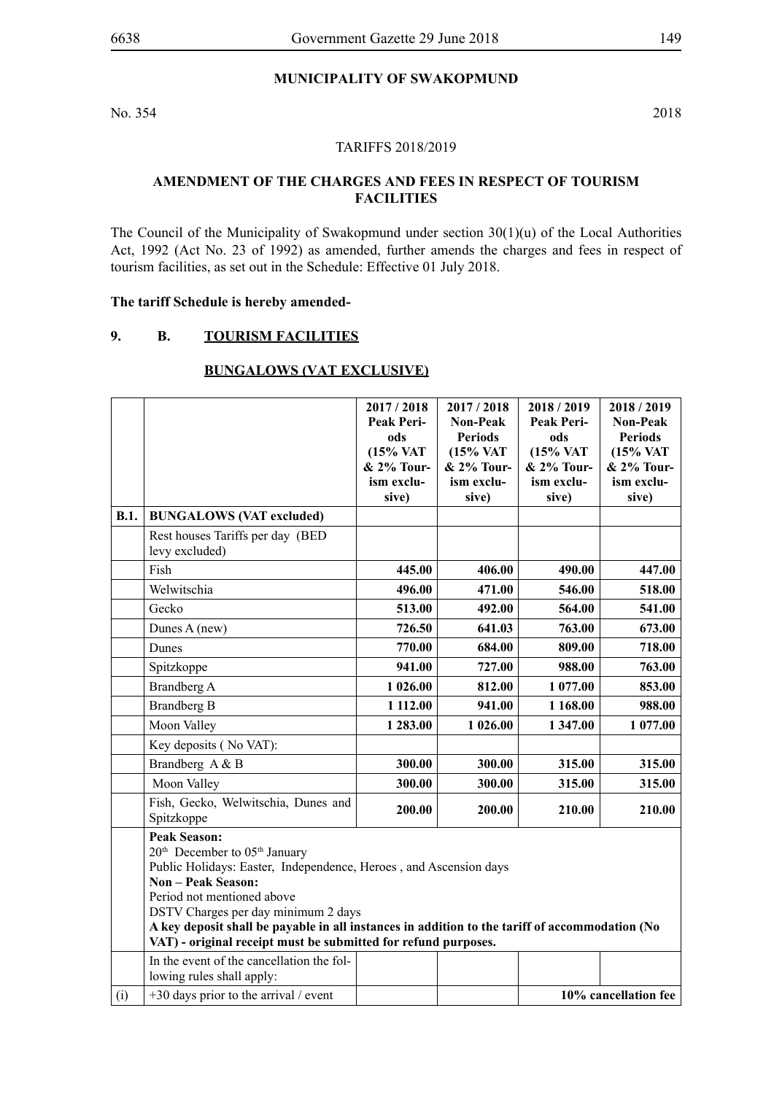### **MUNICIPALITY OF SWAKOPMUND**

No. 354 2018

### TARIFFS 2018/2019

### **AMENDMENT OF THE CHARGES AND FEES IN RESPECT OF TOURISM FACILITIES**

The Council of the Municipality of Swakopmund under section 30(1)(u) of the Local Authorities Act, 1992 (Act No. 23 of 1992) as amended, further amends the charges and fees in respect of tourism facilities, as set out in the Schedule: Effective 01 July 2018.

#### **The tariff Schedule is hereby amended-**

### **9. B. TOURISM FACILITIES**

# **BUNGALOWS (VAT EXCLUSIVE)**

|             |                                                                                                | 2017 / 2018          | 2017/2018       | 2018/2019  | 2018/2019            |  |
|-------------|------------------------------------------------------------------------------------------------|----------------------|-----------------|------------|----------------------|--|
|             |                                                                                                | Peak Peri-           | <b>Non-Peak</b> | Peak Peri- | <b>Non-Peak</b>      |  |
|             |                                                                                                | ods                  | <b>Periods</b>  | ods        | <b>Periods</b>       |  |
|             |                                                                                                | $(15\% \text{ VAT})$ | (15% VAT        | (15% VAT   | (15% VAT             |  |
|             |                                                                                                | & 2% Tour-           | & 2% Tour-      | & 2% Tour- | & 2% Tour-           |  |
|             |                                                                                                | ism exclu-           | ism exclu-      | ism exclu- | ism exclu-           |  |
|             |                                                                                                | sive)                | sive)           | sive)      | sive)                |  |
| <b>B.1.</b> | <b>BUNGALOWS (VAT excluded)</b>                                                                |                      |                 |            |                      |  |
|             | Rest houses Tariffs per day (BED<br>levy excluded)                                             |                      |                 |            |                      |  |
|             | Fish                                                                                           | 445.00               | 406.00          | 490.00     | 447.00               |  |
|             | Welwitschia                                                                                    | 496.00               | 471.00          | 546.00     | 518.00               |  |
|             | Gecko                                                                                          | 513.00               | 492.00          | 564.00     | 541.00               |  |
|             | Dunes A (new)                                                                                  | 726.50               | 641.03          | 763.00     | 673.00               |  |
|             | Dunes                                                                                          | 770.00               | 684.00          | 809.00     | 718.00               |  |
|             | Spitzkoppe                                                                                     | 941.00               | 727.00          | 988.00     | 763.00               |  |
|             | Brandberg A                                                                                    | 1 026.00             | 812.00          | 1 077.00   | 853.00               |  |
|             | <b>Brandberg B</b>                                                                             | 1 112.00             | 941.00          | 1 168.00   | 988.00               |  |
|             | Moon Valley                                                                                    | 1 283.00             | 1 026.00        | 1347.00    | 1 077.00             |  |
|             | Key deposits (No VAT):                                                                         |                      |                 |            |                      |  |
|             | Brandberg A & B                                                                                | 300.00               | 300.00          | 315.00     | 315.00               |  |
|             | Moon Valley                                                                                    | 300.00               | 300.00          | 315.00     | 315.00               |  |
|             | Fish, Gecko, Welwitschia, Dunes and<br>Spitzkoppe                                              | 200.00               | 200.00          | 210.00     | 210.00               |  |
|             | <b>Peak Season:</b>                                                                            |                      |                 |            |                      |  |
|             | 20 <sup>th</sup> December to 05 <sup>th</sup> January                                          |                      |                 |            |                      |  |
|             | Public Holidays: Easter, Independence, Heroes, and Ascension days                              |                      |                 |            |                      |  |
|             | <b>Non - Peak Season:</b>                                                                      |                      |                 |            |                      |  |
|             | Period not mentioned above<br>DSTV Charges per day minimum 2 days                              |                      |                 |            |                      |  |
|             | A key deposit shall be payable in all instances in addition to the tariff of accommodation (No |                      |                 |            |                      |  |
|             | VAT) - original receipt must be submitted for refund purposes.                                 |                      |                 |            |                      |  |
|             | In the event of the cancellation the fol-                                                      |                      |                 |            |                      |  |
|             | lowing rules shall apply:                                                                      |                      |                 |            |                      |  |
| (i)         | $+30$ days prior to the arrival / event                                                        |                      |                 |            | 10% cancellation fee |  |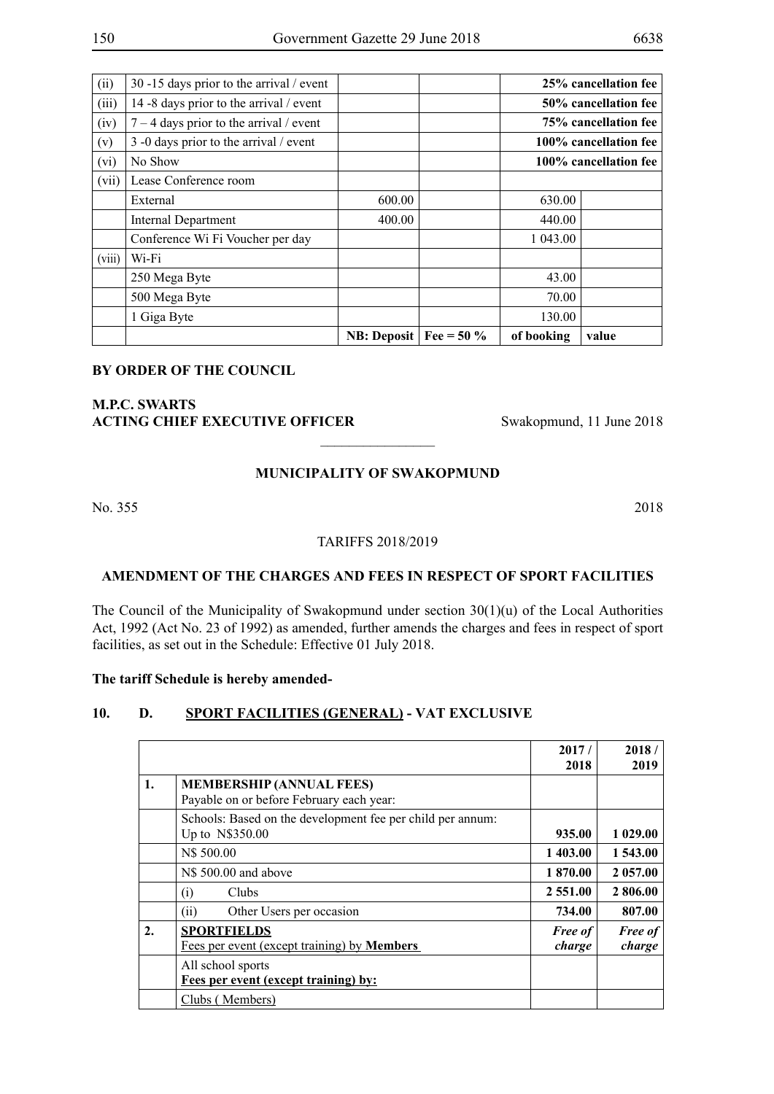| (ii)   | 30 -15 days prior to the arrival / event  |                     |              |                      | 25% cancellation fee  |  |  |
|--------|-------------------------------------------|---------------------|--------------|----------------------|-----------------------|--|--|
| (iii)  | 14 -8 days prior to the arrival / event   |                     |              | 50% cancellation fee |                       |  |  |
| (iv)   | $7 - 4$ days prior to the arrival / event |                     |              |                      | 75% cancellation fee  |  |  |
| (v)    | 3 -0 days prior to the arrival / event    |                     |              |                      | 100% cancellation fee |  |  |
| (vi)   | No Show                                   |                     |              |                      | 100% cancellation fee |  |  |
| (vii)  | Lease Conference room                     |                     |              |                      |                       |  |  |
|        | External                                  | 600.00              |              | 630.00               |                       |  |  |
|        | <b>Internal Department</b>                | 400.00              |              | 440.00               |                       |  |  |
|        | Conference Wi Fi Voucher per day          |                     |              | 1 043.00             |                       |  |  |
| (viii) | Wi-Fi                                     |                     |              |                      |                       |  |  |
|        | 250 Mega Byte                             |                     |              | 43.00                |                       |  |  |
|        | 500 Mega Byte                             |                     |              | 70.00                |                       |  |  |
|        | 1 Giga Byte                               |                     |              | 130.00               |                       |  |  |
|        |                                           | <b>NB</b> : Deposit | Fee = $50\%$ | of booking           | value                 |  |  |

## **M.P.C. Swarts ACTING CHIEF EXECUTIVE OFFICER** Swakopmund, 11 June 2018

#### **MUNICIPALITY OF SWAKOPMUND**

 $\frac{1}{2}$ 

No. 355 2018

#### TARIFFS 2018/2019

#### **AMENDMENT OF THE CHARGES AND FEES IN RESPECT OF SPORT FACILITIES**

The Council of the Municipality of Swakopmund under section 30(1)(u) of the Local Authorities Act, 1992 (Act No. 23 of 1992) as amended, further amends the charges and fees in respect of sport facilities, as set out in the Schedule: Effective 01 July 2018.

#### **The tariff Schedule is hereby amended-**

### **10. D. SPORT FACILITIES (GENERAL) - VAT EXCLUSIVE**

|                  |                                                                               | 2017/<br>2018            | 2018/<br>2019            |
|------------------|-------------------------------------------------------------------------------|--------------------------|--------------------------|
| 1.               | <b>MEMBERSHIP (ANNUAL FEES)</b><br>Payable on or before February each year:   |                          |                          |
|                  | Schools: Based on the development fee per child per annum:<br>Up to N\$350.00 | 935.00                   | 1 029.00                 |
|                  | N\$ 500.00                                                                    | 1403.00                  | 1 543.00                 |
|                  | N\$ 500.00 and above                                                          | 1870.00                  | 2 057.00                 |
|                  | <b>Clubs</b><br>$\left( i\right)$                                             | 2 5 5 1 .00              | 2 806.00                 |
|                  | (ii)<br>Other Users per occasion                                              | 734.00                   | 807.00                   |
| $\overline{2}$ . | <b>SPORTFIELDS</b><br>Fees per event (except training) by <b>Members</b>      | <b>Free of</b><br>charge | <b>Free of</b><br>charge |
|                  | All school sports                                                             |                          |                          |
|                  | Fees per event (except training) by:                                          |                          |                          |
|                  | Clubs (Members)                                                               |                          |                          |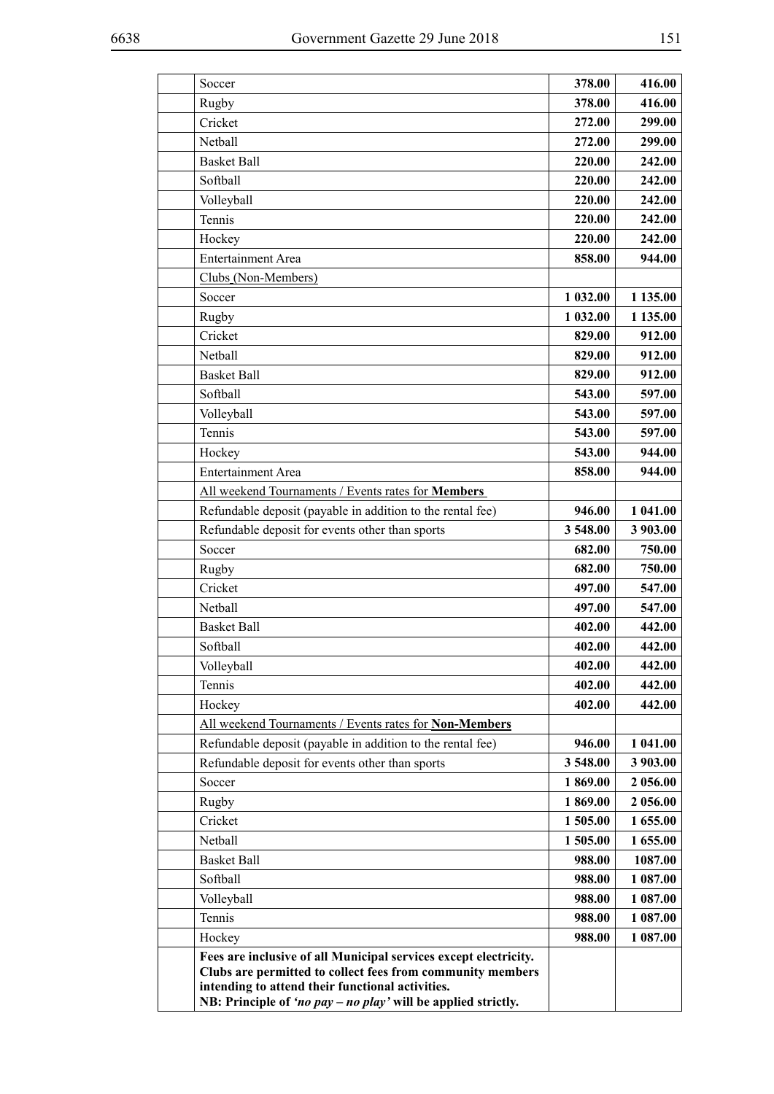| Soccer                                                           | 378.00   | 416.00   |
|------------------------------------------------------------------|----------|----------|
| Rugby                                                            | 378.00   | 416.00   |
| Cricket                                                          | 272.00   | 299.00   |
| Nethall                                                          | 272.00   | 299.00   |
| <b>Basket Ball</b>                                               | 220.00   | 242.00   |
| Softball                                                         | 220.00   | 242.00   |
| Volleyball                                                       | 220.00   | 242.00   |
| Tennis                                                           | 220.00   | 242.00   |
| Hockey                                                           | 220.00   | 242.00   |
| Entertainment Area                                               | 858.00   | 944.00   |
| Clubs (Non-Members)                                              |          |          |
| Soccer                                                           | 1 032.00 | 1 135.00 |
| Rugby                                                            | 1 032.00 | 1 135.00 |
| Cricket                                                          | 829.00   | 912.00   |
| Netball                                                          | 829.00   | 912.00   |
| <b>Basket Ball</b>                                               | 829.00   | 912.00   |
| Softball                                                         | 543.00   | 597.00   |
| Volleyball                                                       | 543.00   | 597.00   |
| Tennis                                                           | 543.00   | 597.00   |
| Hockey                                                           | 543.00   | 944.00   |
| <b>Entertainment Area</b>                                        | 858.00   | 944.00   |
| All weekend Tournaments / Events rates for Members               |          |          |
| Refundable deposit (payable in addition to the rental fee)       | 946.00   | 1 041.00 |
| Refundable deposit for events other than sports                  | 3548.00  | 3 903.00 |
| Soccer                                                           | 682.00   | 750.00   |
| Rugby                                                            | 682.00   | 750.00   |
| Cricket                                                          | 497.00   | 547.00   |
| Netball                                                          | 497.00   | 547.00   |
| <b>Basket Ball</b>                                               | 402.00   | 442.00   |
| Softball                                                         | 402.00   | 442.00   |
| Volleyball                                                       | 402.00   | 442.00   |
| Tennis                                                           | 402.00   | 442.00   |
| Hockey                                                           | 402.00   | 442.00   |
| All weekend Tournaments / Events rates for Non-Members           |          |          |
| Refundable deposit (payable in addition to the rental fee)       | 946.00   | 1 041.00 |
| Refundable deposit for events other than sports                  | 3 548.00 | 3 903.00 |
| Soccer                                                           | 1869.00  | 2 056.00 |
| Rugby                                                            | 1869.00  | 2 056.00 |
| Cricket                                                          | 1 505.00 | 1 655.00 |
| Netball                                                          | 1 505.00 | 1 655.00 |
| <b>Basket Ball</b>                                               | 988.00   | 1087.00  |
| Softball                                                         | 988.00   | 1 087.00 |
| Volleyball                                                       | 988.00   | 1 087.00 |
| Tennis                                                           | 988.00   | 1 087.00 |
| Hockey                                                           | 988.00   | 1 087.00 |
| Fees are inclusive of all Municipal services except electricity. |          |          |
| Clubs are permitted to collect fees from community members       |          |          |
| intending to attend their functional activities.                 |          |          |
| NB: Principle of 'no pay – no play' will be applied strictly.    |          |          |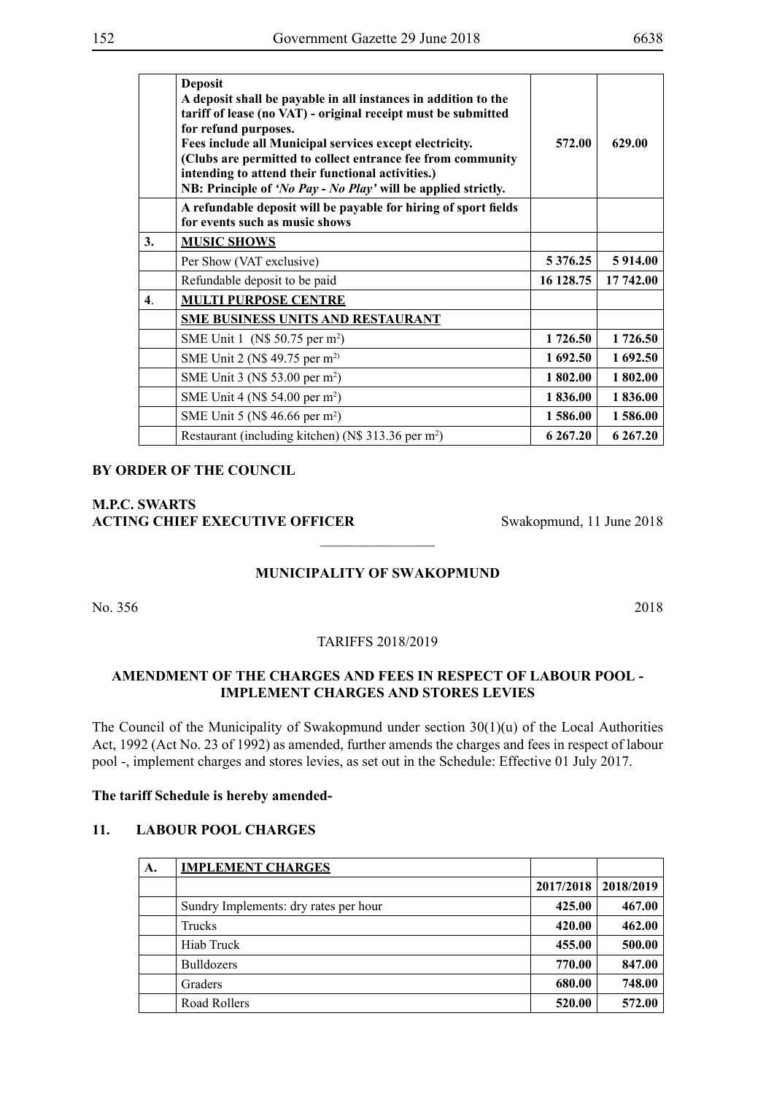|                           | <b>Deposit</b><br>A deposit shall be payable in all instances in addition to the<br>tariff of lease (no VAT) - original receipt must be submitted<br>for refund purposes.<br>Fees include all Municipal services except electricity.<br>(Clubs are permitted to collect entrance fee from community<br>intending to attend their functional activities.)<br>NB: Principle of 'No Pay - No Play' will be applied strictly. | 572.00        | 629.00    |
|---------------------------|---------------------------------------------------------------------------------------------------------------------------------------------------------------------------------------------------------------------------------------------------------------------------------------------------------------------------------------------------------------------------------------------------------------------------|---------------|-----------|
|                           | A refundable deposit will be payable for hiring of sport fields<br>for events such as music shows                                                                                                                                                                                                                                                                                                                         |               |           |
| 3.                        | <b>MUSIC SHOWS</b>                                                                                                                                                                                                                                                                                                                                                                                                        |               |           |
|                           | Per Show (VAT exclusive)                                                                                                                                                                                                                                                                                                                                                                                                  | 5 3 7 6 . 2 5 | 5 9 14.00 |
|                           | Refundable deposit to be paid                                                                                                                                                                                                                                                                                                                                                                                             | 16 128.75     | 17 742.00 |
| $\overline{\mathbf{4}}$ . | <b>MULTI PURPOSE CENTRE</b>                                                                                                                                                                                                                                                                                                                                                                                               |               |           |
|                           | <b>SME BUSINESS UNITS AND RESTAURANT</b>                                                                                                                                                                                                                                                                                                                                                                                  |               |           |
|                           | SME Unit 1 (N\$ 50.75 per m <sup>2</sup> )                                                                                                                                                                                                                                                                                                                                                                                | 1726.50       | 1726.50   |
|                           | SME Unit 2 (N\$ 49.75 per m <sup>2)</sup>                                                                                                                                                                                                                                                                                                                                                                                 | 1 692.50      | 1 692.50  |
|                           | SME Unit 3 (N\$ 53.00 per m <sup>2</sup> )                                                                                                                                                                                                                                                                                                                                                                                | 1 802.00      | 1802.00   |
|                           | SME Unit 4 (N\$ 54.00 per m <sup>2</sup> )                                                                                                                                                                                                                                                                                                                                                                                | 1836.00       | 1836.00   |
|                           | SME Unit 5 (N\$ 46.66 per m <sup>2</sup> )                                                                                                                                                                                                                                                                                                                                                                                | 1 586.00      | 1 586.00  |
|                           | Restaurant (including kitchen) (N\$ 313.36 per m <sup>2</sup> )                                                                                                                                                                                                                                                                                                                                                           | 6 267.20      | 6 267.20  |

### **M.P.C. Swarts ACTING CHIEF EXECUTIVE OFFICER** Swakopmund, 11 June 2018

#### **MUNICIPALITY OF SWAKOPMUND**

 $\frac{1}{2}$ 

No. 356 2018

TARIFFS 2018/2019

### **AMENDMENT OF THE CHARGES AND FEES IN RESPECT OF LABOUR POOL - IMPLEMENT CHARGES AND STORES LEVIES**

The Council of the Municipality of Swakopmund under section 30(1)(u) of the Local Authorities Act, 1992 (Act No. 23 of 1992) as amended, further amends the charges and fees in respect of labour pool -, implement charges and stores levies, as set out in the Schedule: Effective 01 July 2017.

#### **The tariff Schedule is hereby amended-**

#### **11. LABOUR POOL CHARGES**

| A. | <b>IMPLEMENT CHARGES</b>              |           |           |
|----|---------------------------------------|-----------|-----------|
|    |                                       | 2017/2018 | 2018/2019 |
|    | Sundry Implements: dry rates per hour | 425.00    | 467.00    |
|    | Trucks                                | 420.00    | 462.00    |
|    | Hiab Truck                            | 455.00    | 500.00    |
|    | <b>Bulldozers</b>                     | 770.00    | 847.00    |
|    | Graders                               | 680.00    | 748.00    |
|    | Road Rollers                          | 520.00    | 572.00    |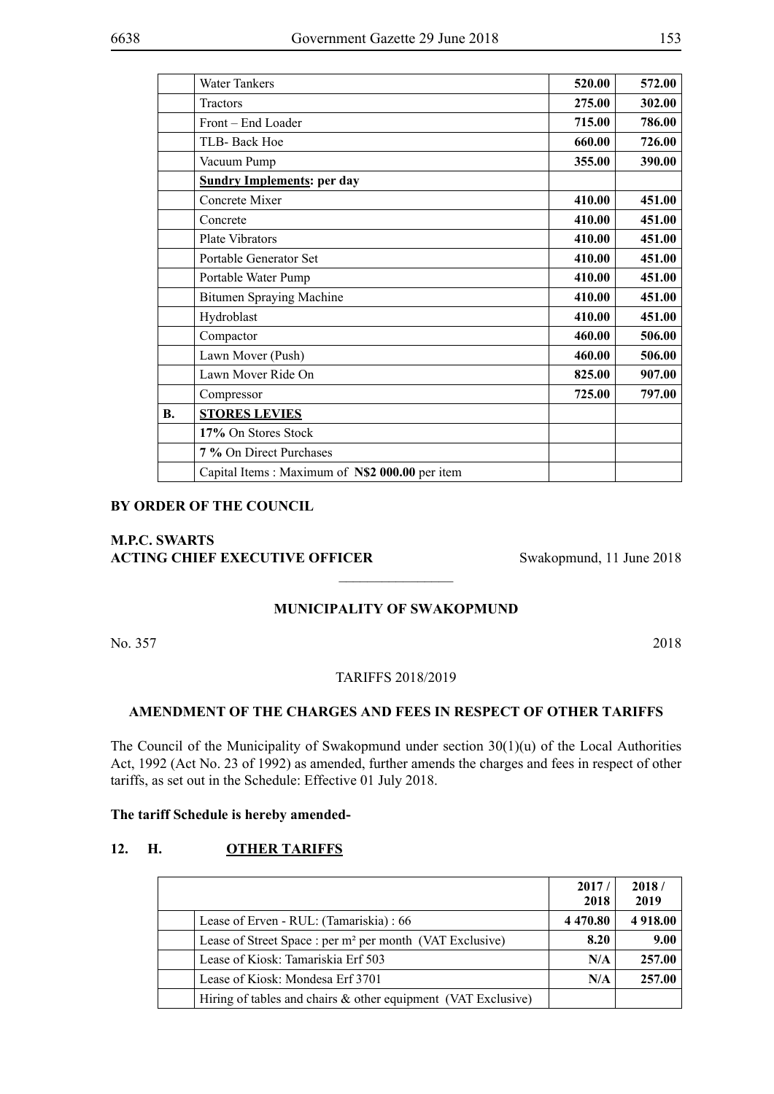|           | <b>Water Tankers</b>                           | 520.00 | 572.00 |
|-----------|------------------------------------------------|--------|--------|
|           | <b>Tractors</b>                                | 275.00 | 302.00 |
|           | Front - End Loader                             | 715.00 | 786.00 |
|           | TLB- Back Hoe                                  | 660.00 | 726.00 |
|           | Vacuum Pump                                    | 355.00 | 390.00 |
|           | <b>Sundry Implements: per day</b>              |        |        |
|           | Concrete Mixer                                 | 410.00 | 451.00 |
|           | Concrete                                       | 410.00 | 451.00 |
|           | Plate Vibrators                                | 410.00 | 451.00 |
|           | Portable Generator Set                         | 410.00 | 451.00 |
|           | Portable Water Pump                            | 410.00 | 451.00 |
|           | <b>Bitumen Spraying Machine</b>                | 410.00 | 451.00 |
|           | Hydroblast                                     | 410.00 | 451.00 |
|           | Compactor                                      | 460.00 | 506.00 |
|           | Lawn Mover (Push)                              | 460.00 | 506.00 |
|           | Lawn Mover Ride On                             | 825.00 | 907.00 |
|           | Compressor                                     | 725.00 | 797.00 |
| <b>B.</b> | <b>STORES LEVIES</b>                           |        |        |
|           | 17% On Stores Stock                            |        |        |
|           | 7 % On Direct Purchases                        |        |        |
|           | Capital Items: Maximum of N\$2 000.00 per item |        |        |

### **M.P.C. Swarts ACTING CHIEF EXECUTIVE OFFICER** Swakopmund, 11 June 2018

### **MUNICIPALITY OF SWAKOPMUND**

 $\frac{1}{2}$ 

No. 357 2018

#### TARIFFS 2018/2019

#### **AMENDMENT OF THE CHARGES AND FEES IN RESPECT OF OTHER TARIFFS**

The Council of the Municipality of Swakopmund under section  $30(1)(u)$  of the Local Authorities Act, 1992 (Act No. 23 of 1992) as amended, further amends the charges and fees in respect of other tariffs, as set out in the Schedule: Effective 01 July 2018.

#### **The tariff Schedule is hereby amended-**

#### **12. H. OTHER TARIFFS**

|                                                                      | 2017/<br>2018 | 2018/<br>2019 |
|----------------------------------------------------------------------|---------------|---------------|
| Lease of Erven - RUL: (Tamariskia) : 66                              | 4 4 7 0 . 8 0 | 4 9 18.00     |
| Lease of Street Space : per m <sup>2</sup> per month (VAT Exclusive) | 8.20          | 9.00          |
| Lease of Kiosk: Tamariskia Erf 503                                   | N/A           | 257.00        |
| Lease of Kiosk: Mondesa Erf 3701                                     | N/A           | 257.00        |
| Hiring of tables and chairs $\&$ other equipment (VAT Exclusive)     |               |               |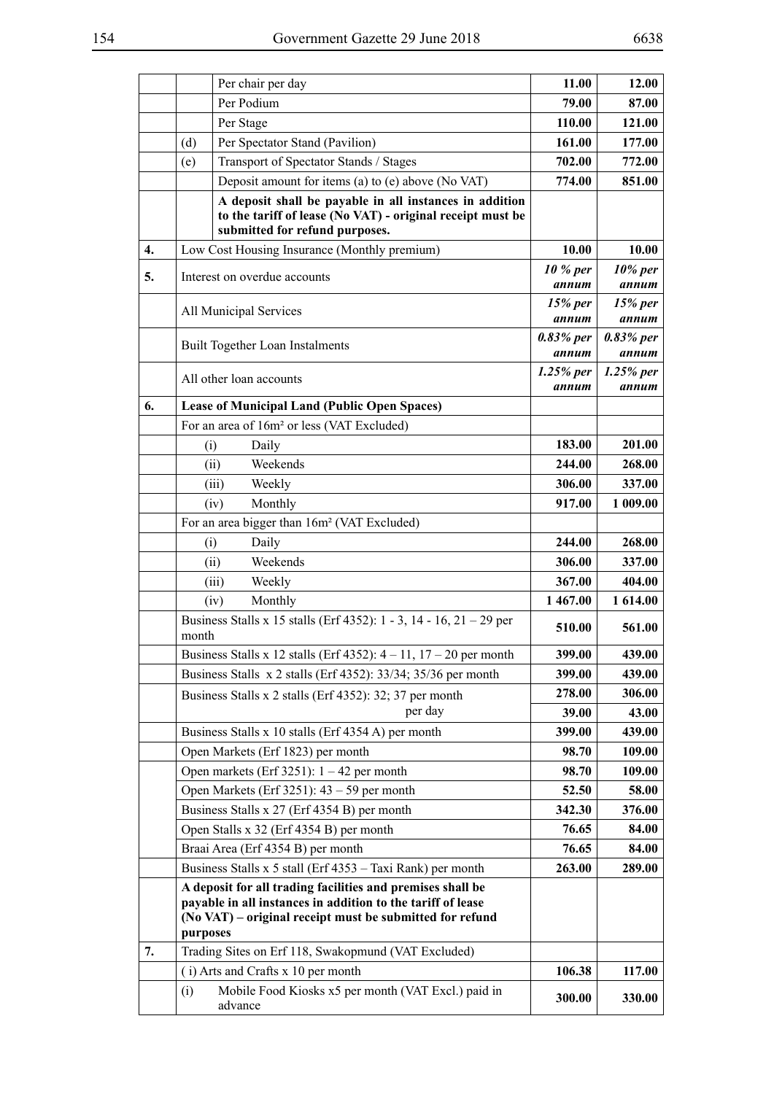|    |                                                                                                                                                                                                   | Per chair per day                                                                                                                                       | 11.00                | 12.00                |
|----|---------------------------------------------------------------------------------------------------------------------------------------------------------------------------------------------------|---------------------------------------------------------------------------------------------------------------------------------------------------------|----------------------|----------------------|
|    |                                                                                                                                                                                                   | Per Podium                                                                                                                                              | 79.00                | 87.00                |
|    |                                                                                                                                                                                                   | Per Stage                                                                                                                                               | 110.00               | 121.00               |
|    | (d)                                                                                                                                                                                               | Per Spectator Stand (Pavilion)                                                                                                                          | 161.00               | 177.00               |
|    | (e)                                                                                                                                                                                               | Transport of Spectator Stands / Stages                                                                                                                  | 702.00               | 772.00               |
|    |                                                                                                                                                                                                   | Deposit amount for items (a) to (e) above (No VAT)                                                                                                      | 774.00               | 851.00               |
|    |                                                                                                                                                                                                   | A deposit shall be payable in all instances in addition<br>to the tariff of lease (No VAT) - original receipt must be<br>submitted for refund purposes. |                      |                      |
| 4. |                                                                                                                                                                                                   | Low Cost Housing Insurance (Monthly premium)                                                                                                            | 10.00                | 10.00                |
| 5. |                                                                                                                                                                                                   | Interest on overdue accounts                                                                                                                            | 10 % per<br>annum    | $10\%$ per<br>annum  |
|    |                                                                                                                                                                                                   | All Municipal Services                                                                                                                                  | 15% per<br>annum     | $15%$ per<br>annum   |
|    |                                                                                                                                                                                                   | Built Together Loan Instalments                                                                                                                         | 0.83% per<br>annum   | 0.83% per<br>annum   |
|    |                                                                                                                                                                                                   | All other loan accounts                                                                                                                                 | $1.25%$ per<br>annum | $1.25%$ per<br>annum |
| 6. |                                                                                                                                                                                                   | <b>Lease of Municipal Land (Public Open Spaces)</b>                                                                                                     |                      |                      |
|    |                                                                                                                                                                                                   | For an area of 16m <sup>2</sup> or less (VAT Excluded)                                                                                                  |                      |                      |
|    | (i)                                                                                                                                                                                               | Daily                                                                                                                                                   | 183.00               | 201.00               |
|    |                                                                                                                                                                                                   | Weekends<br>(ii)                                                                                                                                        | 244.00               | 268.00               |
|    |                                                                                                                                                                                                   | Weekly<br>(iii)                                                                                                                                         | 306.00               | 337.00               |
|    |                                                                                                                                                                                                   | Monthly<br>(iv)                                                                                                                                         | 917.00               | 1 009.00             |
|    |                                                                                                                                                                                                   | For an area bigger than 16m <sup>2</sup> (VAT Excluded)                                                                                                 |                      |                      |
|    | (i)                                                                                                                                                                                               | Daily                                                                                                                                                   | 244.00               | 268.00               |
|    |                                                                                                                                                                                                   | Weekends<br>(ii)                                                                                                                                        | 306.00               | 337.00               |
|    |                                                                                                                                                                                                   | (iii)<br>Weekly                                                                                                                                         | 367.00               | 404.00               |
|    | Monthly<br>(iv)<br>Business Stalls x 15 stalls (Erf 4352): 1 - 3, 14 - 16, 21 - 29 per<br>month                                                                                                   |                                                                                                                                                         | 1467.00              | 1 614.00             |
|    |                                                                                                                                                                                                   |                                                                                                                                                         | 510.00               | 561.00               |
|    |                                                                                                                                                                                                   | Business Stalls x 12 stalls (Erf 4352): $4 - 11$ , $17 - 20$ per month                                                                                  | 399.00               | 439.00               |
|    |                                                                                                                                                                                                   | Business Stalls x 2 stalls (Erf 4352): 33/34; 35/36 per month                                                                                           | 399.00               | 439.00               |
|    |                                                                                                                                                                                                   | Business Stalls x 2 stalls (Erf 4352): 32; 37 per month                                                                                                 | 278.00               | 306.00               |
|    |                                                                                                                                                                                                   | per day                                                                                                                                                 | 39.00                | 43.00                |
|    |                                                                                                                                                                                                   | Business Stalls x 10 stalls (Erf 4354 A) per month                                                                                                      | 399.00               | 439.00               |
|    |                                                                                                                                                                                                   | Open Markets (Erf 1823) per month                                                                                                                       | 98.70                | 109.00               |
|    |                                                                                                                                                                                                   | Open markets (Erf 3251): $1 - 42$ per month                                                                                                             | 98.70                | 109.00               |
|    |                                                                                                                                                                                                   | Open Markets (Erf 3251): $43 - 59$ per month                                                                                                            | 52.50                | 58.00                |
|    |                                                                                                                                                                                                   | Business Stalls x 27 (Erf 4354 B) per month                                                                                                             | 342.30               | 376.00               |
|    |                                                                                                                                                                                                   | Open Stalls x 32 (Erf 4354 B) per month                                                                                                                 | 76.65                | 84.00                |
|    |                                                                                                                                                                                                   | Braai Area (Erf 4354 B) per month                                                                                                                       | 76.65                | 84.00                |
|    |                                                                                                                                                                                                   | Business Stalls x 5 stall (Erf 4353 – Taxi Rank) per month                                                                                              | 263.00               | 289.00               |
|    | A deposit for all trading facilities and premises shall be<br>payable in all instances in addition to the tariff of lease<br>(No VAT) – original receipt must be submitted for refund<br>purposes |                                                                                                                                                         |                      |                      |
| 7. |                                                                                                                                                                                                   | Trading Sites on Erf 118, Swakopmund (VAT Excluded)                                                                                                     |                      |                      |
|    |                                                                                                                                                                                                   | (i) Arts and Crafts x 10 per month                                                                                                                      | 106.38               | 117.00               |
|    | (i)                                                                                                                                                                                               | Mobile Food Kiosks x5 per month (VAT Excl.) paid in                                                                                                     |                      |                      |
|    |                                                                                                                                                                                                   | advance                                                                                                                                                 | 300.00               | 330.00               |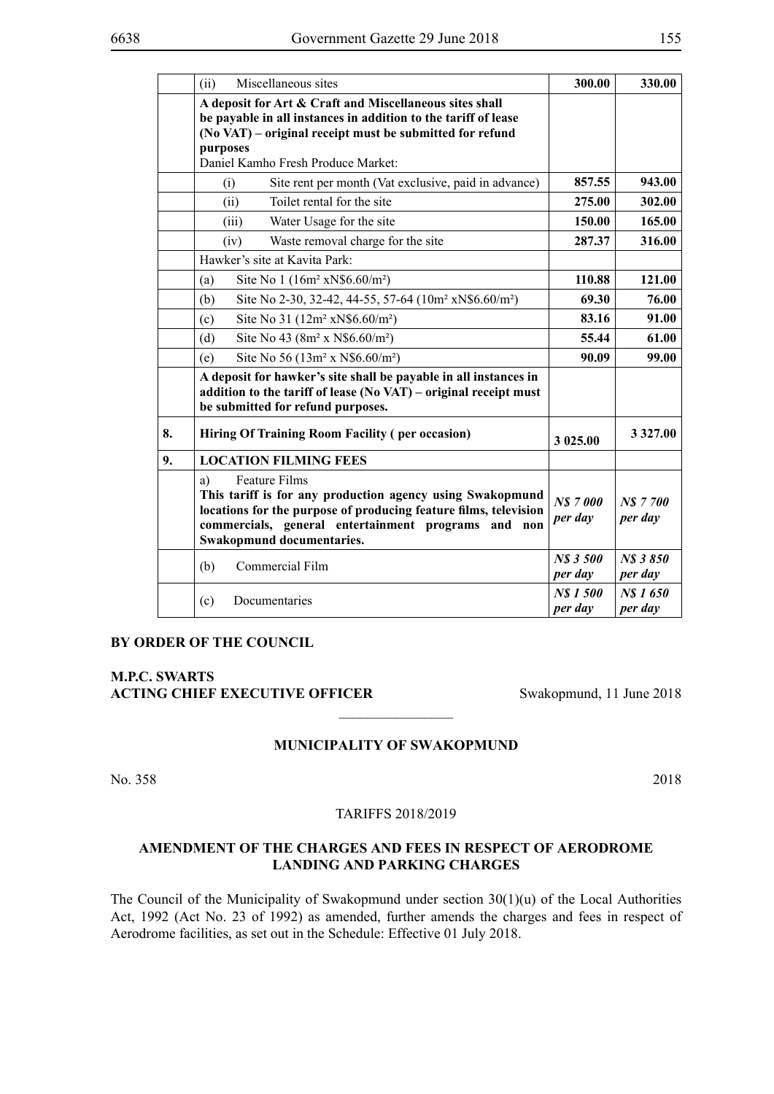|                                          | (ii)<br>Miscellaneous sites                                                                                                                                                                                                                     |                      | 330.00              |
|------------------------------------------|-------------------------------------------------------------------------------------------------------------------------------------------------------------------------------------------------------------------------------------------------|----------------------|---------------------|
|                                          | A deposit for Art & Craft and Miscellaneous sites shall<br>be payable in all instances in addition to the tariff of lease<br>(No VAT) – original receipt must be submitted for refund<br>purposes                                               |                      |                     |
|                                          | Daniel Kamho Fresh Produce Market:                                                                                                                                                                                                              |                      |                     |
|                                          | Site rent per month (Vat exclusive, paid in advance)<br>(i)                                                                                                                                                                                     | 857.55               | 943.00              |
|                                          | Toilet rental for the site<br>(ii)                                                                                                                                                                                                              | 275.00               | 302.00              |
|                                          | Water Usage for the site<br>(iii)                                                                                                                                                                                                               | 150.00               | 165.00              |
|                                          | Waste removal charge for the site<br>(iv)                                                                                                                                                                                                       | 287.37               | 316.00              |
|                                          | Hawker's site at Kavita Park:                                                                                                                                                                                                                   |                      |                     |
|                                          | Site No 1 $(16m^2 xN\$ {6.60/m^2})<br>(a)                                                                                                                                                                                                       | 110.88               | 121.00              |
|                                          | Site No 2-30, 32-42, 44-55, 57-64 (10m <sup>2</sup> xN\$6.60/m <sup>2</sup> )<br>(b)<br>Site No 31 (12m <sup>2</sup> xN\$6.60/m <sup>2</sup> )<br>(c)                                                                                           |                      | 76.00               |
|                                          |                                                                                                                                                                                                                                                 |                      | 91.00               |
| (d)<br>Site No 43 $(8m^2 x N $6.60/m^2)$ |                                                                                                                                                                                                                                                 | 55.44                | 61.00               |
|                                          | Site No 56 $(13m^2 x N\$ {6.60/m^2})<br>(e)                                                                                                                                                                                                     | 90.09                | 99.00               |
|                                          | A deposit for hawker's site shall be payable in all instances in<br>addition to the tariff of lease (No VAT) – original receipt must<br>be submitted for refund purposes.                                                                       |                      |                     |
| 8.                                       | <b>Hiring Of Training Room Facility (per occasion)</b>                                                                                                                                                                                          | 3 025.00             | 3 3 2 7 .00         |
| 9.                                       | <b>LOCATION FILMING FEES</b>                                                                                                                                                                                                                    |                      |                     |
|                                          | <b>Feature Films</b><br>a)<br>This tariff is for any production agency using Swakopmund<br>locations for the purpose of producing feature films, television<br>commercials, general entertainment programs and non<br>Swakopmund documentaries. |                      | N\$7700<br>per day  |
|                                          | Commercial Film<br>(b)                                                                                                                                                                                                                          | NS 3 500<br>per day  | NS 3850<br>per day  |
|                                          | (c)<br>Documentaries                                                                                                                                                                                                                            | N\$ 1 500<br>per day | N\$ 1650<br>per day |

**M.P.C. Swarts ACTING CHIEF EXECUTIVE OFFICER** Swakopmund, 11 June 2018

#### **MUNICIPALITY OF SWAKOPMUND**

 $\overline{\phantom{a}}$  , where  $\overline{\phantom{a}}$ 

No. 358 2018

#### TARIFFS 2018/2019

### **AMENDMENT OF THE CHARGES AND FEES IN RESPECT OF AERODROME LANDING AND PARKING CHARGES**

The Council of the Municipality of Swakopmund under section 30(1)(u) of the Local Authorities Act, 1992 (Act No. 23 of 1992) as amended, further amends the charges and fees in respect of Aerodrome facilities, as set out in the Schedule: Effective 01 July 2018.